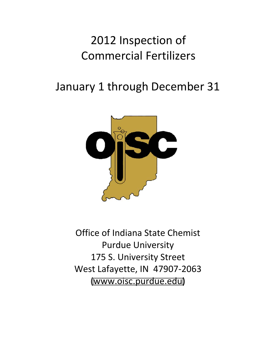# 2012 Inspection of Commercial Fertilizers

# January 1 through December 31



Office of Indiana State Chemist Purdue University 175 S. University Street West Lafayette, IN 47907-2063 (www.oisc[.purdue.edu\)](http://www.oisc.purdue.edu)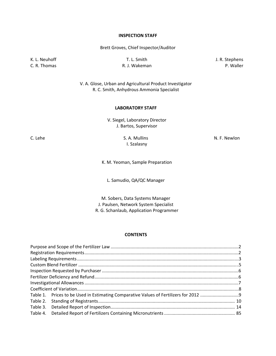#### **INSPECTION STAFF**

Brett Groves, Chief Inspector/Auditor

K. L. Neuhoff **T. L. Smith** T. L. Smith **T. L. Smith** J. R. Stephens

C. R. Thomas **R. J. Wakeman** P. Waller

V. A. Glose, Urban and Agricultural Product Investigator R. C. Smith, Anhydrous Ammonia Specialist

#### **LABORATORY STAFF**

V. Siegel, Laboratory Director J. Bartos, Supervisor

I. Szalasny

C. Lehe S. A. Mullins S. A. Mullins S. A. Mullins S. A. Mullins S. A. Mullins S. A. Mullins S. A. Mullins S. A. Mullins S. A. Mullins S. A. Mullins S. A. Mullins S. A. Mullins S. A. Mullins S. A. Mullins S. A. Mullins S. A

K. M. Yeoman, Sample Preparation

L. Samudio, QA/QC Manager

M. Sobers, Data Systems Manager J. Paulsen, Network System Specialist R. G. Schanlaub, Application Programmer

#### **CONTENTS**

| Table 3. |  |
|----------|--|
| Table 4. |  |
|          |  |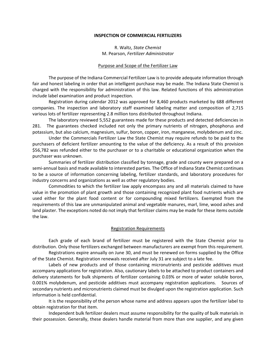#### **INSPECTION OF COMMERCIAL FERTILIZERS**

R. Waltz, *State Chemist* M. Pearson, *Fertilizer Administrator*

#### Purpose and Scope of the Fertilizer Law

The purpose of the Indiana Commercial Fertilizer Law is to provide adequate information through fair and honest labeling in order that an intelligent purchase may be made. The Indiana State Chemist is charged with the responsibility for administration of this law. Related functions of this administration include label examination and product inspection.

Registration during calendar 2012 was approved for 8,460 products marketed by 688 different companies. The inspection and laboratory staff examined labeling matter and composition of 2,715 various lots of fertilizer representing 2.8 million tons distributed throughout Indiana.

The laboratory reviewed 5,552 guarantees made for these products and detected deficiencies in 281. The guarantees checked included not only the primary nutrients of nitrogen, phosphorus and potassium, but also calcium, magnesium, sulfur, boron, copper, iron, manganese, molybdenum and zinc.

Under the Commercials Fertilizer Law the State Chemist may require refunds to be paid to the purchasers of deficient fertilizer amounting to the value of the deficiency. As a result of this provision \$56,782 was refunded either to the purchaser or to a charitable or educational organization when the purchaser was unknown.

Summaries of fertilizer distribution classified by tonnage, grade and county were prepared on a semi-annual basis and made available to interested parties. The Office of Indiana State Chemist continues to be a source of information concerning labeling, fertilizer standards, and laboratory procedures for industry concerns and organizations as well as other regulatory bodies.

Commodities to which the fertilizer law apply encompass any and all materials claimed to have value in the promotion of plant growth and those containing recognized plant food nutrients which are used either for the plant food content or for compounding mixed fertilizers. Exempted from the requirements of this law are unmanipulated animal and vegetable manures, marl, lime, wood ashes and land plaster. The exceptions noted do not imply that fertilizer claims may be made for these items outside the law.

#### Registration Requirements

Each grade of each brand of fertilizer must be registered with the State Chemist prior to distribution. Only those fertilizers exchanged between manufacturers are exempt from this requirement.

Registrations expire annually on June 30, and must be renewed on forms supplied by the Office of the State Chemist. Registration renewals received after July 31 are subject to a late fee.

Labels of new products and of those containing micronutrients and pesticide additives must accompany applications for registration. Also, cautionary labels to be attached to product containers and delivery statements for bulk shipments of fertilizer containing 0.03% or more of water soluble boron, 0.001% molybdenum, and pesticide additives must accompany registration applications. Sources of secondary nutrients and micronutrients claimed must be divulged upon the registration application. Such information is held confidential.

It is the responsibility of the person whose name and address appears upon the fertilizer label to obtain registration for that item.

Independent bulk fertilizer dealers must assume responsibility for the quality of bulk materials in their possession. Generally, these dealers handle material from more than one supplier, and any given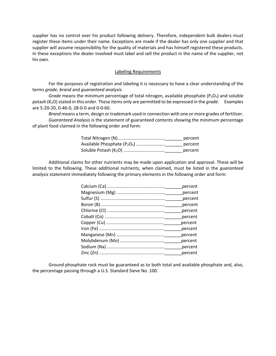supplier has no control over his product following delivery. Therefore, independent bulk dealers must register these items under their name. Exceptions are made if the dealer has only one supplier and that supplier will assume responsibility for the quality of materials and has himself registered these products. In these exceptions the dealer involved must label and sell the product in the name of the supplier, not his own.

#### Labeling Requirements

For the purposes of registration and labeling it is necessary to have a clear understanding of the terms *grade, brand* and *guaranteed analysis.*

*Grade* means the minimum percentage of total nitrogen, available phosphate (P<sub>2</sub>O<sub>5</sub>) and soluble potash (K<sub>2</sub>O) stated in this order. These items only are permitted to be expressed in the *grade.* Examples are 5‐20‐20, 0‐46‐0, 28‐0‐0 and 0‐0‐60.

*Brand* means a term, design or trademark used in connection with one or more grades of fertilizer. *Guaranteed Analysis* is the statement of guaranteed contents showing the minimum percentage of plant food claimed in the following order and form:

|                                | percent |
|--------------------------------|---------|
| Available Phosphate $(P_2O_5)$ | percent |
|                                | percent |

Additional claims for other nutrients may be made upon application and approval. These will be limited to the following. These additional nutrients, when claimed, must be listed in the *guaranteed analysis* statement immediately following the primary elements in the following order and form:

| percent |
|---------|
| percent |
| percent |
| percent |
| percent |
| percent |
| percent |
| percent |
| percent |
| percent |
| percent |
| percent |

Ground phosphate rock must be guaranteed as to both total and available phosphate and, also, the percentage passing through a U.S. Standard Sieve No. 100.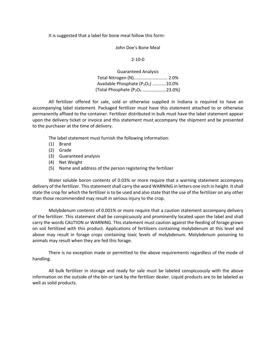It is suggested that a label for bone meal follow this form:

John Doe's Bone Meal

2‐10‐0

Guaranteed Analysis Total Nitrogen (N)........................... 2.0% Available Phosphate  $(P_2O_5)$  ...........10.0% (Total Phosphate  $(P_2O_5$  ......................23.0%)

All fertilizer offered for sale, sold or otherwise supplied in Indiana is required to have an accompanying label statement. Packaged fertilizer must have this statement attached to or otherwise permanently affixed to the container. Fertilizer distributed in bulk must have the label statement appear upon the delivery ticket or invoice and this statement must accompany the shipment and be presented to the purchaser at the time of delivery.

The label statement must furnish the following information:

- (1) Brand
- (2) Grade
- (3) Guaranteed analysis
- (4) Net Weight
- (5) Name and address of the person registering the fertilizer

Water soluble boron contents of 0.03% or more require that a warning statement accompany delivery of the fertilizer. This statement shall carry the word WARNING in letters one inch in height. It shall state the crop for which the fertilizer is to be used and also state that the use of the fertilizer on any other than those recommended may result in serious injury to the crop.

Molybdenum contents of 0.001% or more require that a caution statement accompany delivery of the fertilizer. This statement shall be conspicuously and prominently located upon the label and shall carry the words CAUTION or WARNING. This statement must caution against the feeding of forage grown on soil fertilized with this product. Applications of fertilizers containing molybdenum at this level and above may result in forage crops containing toxic levels of molybdenum. Molybdenum poisoning to animals may result when they are fed this forage.

There is no exception made or permitted to the above requirements regardless of the mode of handling.

All bulk fertilizer in storage and ready for sale must be labeled conspicuously with the above information on the outside of the bin or tank by the fertilizer dealer. Liquid products are to be labeled as well as solid products.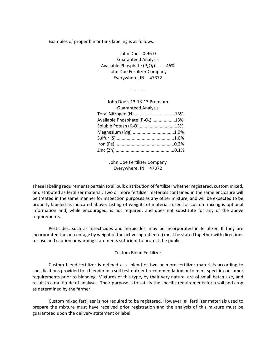Examples of proper bin or tank labeling is as follows:

‐‐‐‐‐‐‐‐‐

John Doe's 0‐46‐0 Guaranteed Analysis Available Phosphate  $(P_2O_5)$  ........46% John Doe Fertilizer Company Everywhere, IN 47372

| John Doe's 13-13-13 Premium           |  |
|---------------------------------------|--|
| <b>Guaranteed Analysis</b>            |  |
| Total Nitrogen (N)13%                 |  |
| Available Phosphate $(P_2O_5)$ 13%    |  |
| Soluble Potash (K <sub>2</sub> O) 13% |  |
| Magnesium (Mg) 1.0%                   |  |
|                                       |  |
|                                       |  |
|                                       |  |
|                                       |  |

John Doe Fertilizer Company Everywhere, IN 47372

These labeling requirements pertain to all bulk distribution of fertilizer whether registered, custom mixed, or distributed as fertilizer material. Two or more fertilizer materials contained in the same enclosure will be treated in the same manner for inspection purposes as any other mixture, and will be expected to be properly labeled as indicated above. Listing of weights of materials used for custom mixing is optional information and, while encouraged, is not required, and does not substitute for any of the above requirements.

Pesticides, such as insecticides and herbicides, may be incorporated in fertilizer. If they are incorporated the percentage by weight of the active ingredient(s) must be stated together with directions for use and caution or warning statements sufficient to protect the public.

#### Custom Blend Fertilizer

Custom blend fertilizer is defined as a blend of two or more fertilizer materials according to specifications provided to a blender in a soil test nutrient recommendation or to meet specific consumer requirements prior to blending. Mixtures of this type, by their very nature, are of small batch size, and result in a multitude of analyses. Their purpose is to satisfy the specific requirements for a soil and crop as determined by the farmer.

Custom mixed fertilizer is not required to be registered. However, all fertilizer materials used to prepare the mixture must have received prior registration and the analysis of this mixture must be guaranteed upon the delivery statement or label.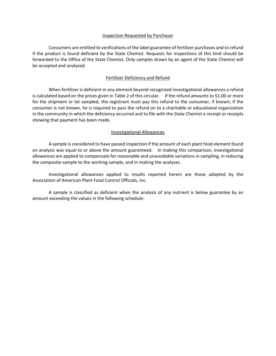#### Inspection Requested by Purchaser

Consumers are entitled to verifications of the label guarantee of fertilizer purchases and to refund if the product is found deficient by the State Chemist. Requests for inspections of this kind should be forwarded to the Office of the State Chemist. Only samples drawn by an agent of the State Chemist will be accepted and analyzed.

#### Fertilizer Deficiency and Refund

When fertilizer is deficient in any element beyond recognized investigational allowances a refund is calculated based on the prices given in Table 2 of this circular. If the refund amounts to \$1.00 or more for the shipment or lot sampled, the registrant must pay this refund to the consumer, if known; if the consumer is not known, he is required to pass the refund on to a charitable or educational organization in the community in which the deficiency occurred and to file with the State Chemist a receipt or receipts showing that payment has been made.

#### Investigational Allowances

A sample is considered to have passed inspection if the amount of each plant food element found on analysis was equal to or above the amount guaranteed. In making this comparison, investigational allowances are applied to compensate for reasonable and unavoidable variations in sampling, in reducing the composite sample to the working sample, and in making the analyses.

Investigational allowances applied to results reported herein are those adopted by the Association of American Plant Food Control Officials, Inc.

A sample is classified as deficient when the analysis of any nutrient is below guarantee by an amount exceeding the values in the following schedule: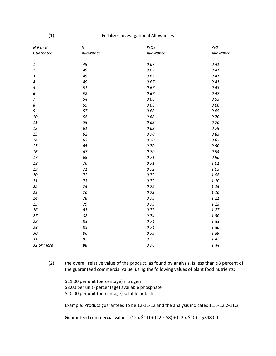#### (1) Fertilizer Investigational Allowances

| $N P$ or $K$                | $\boldsymbol{N}$ | $P_2O_5$  | $K_2O$    |
|-----------------------------|------------------|-----------|-----------|
| Guarantee                   | Allowance        | Allowance | Allowance |
|                             |                  |           |           |
| $\ensuremath{\mathbf{1}}$   | .49              | 0.67      | 0.41      |
| $\overline{2}$              | .49              | 0.67      | 0.41      |
| $\ensuremath{\mathfrak{Z}}$ | .49              | 0.67      | 0.41      |
| $\pmb{4}$                   | .49              | 0.67      | 0.41      |
| 5                           | $.51\,$          | 0.67      | 0.43      |
| 6                           | .52              | 0.67      | 0.47      |
| $\overline{7}$              | .54              | 0.68      | 0.53      |
| $\boldsymbol{8}$            | .55              | 0.68      | 0.60      |
| 9                           | .57              | 0.68      | 0.65      |
| 10                          | $.58\,$          | 0.68      | 0.70      |
| 11                          | .59              | 0.68      | 0.76      |
| 12                          | $.61\,$          | 0.68      | 0.79      |
| 13                          | .62              | 0.70      | 0.83      |
| 14                          | .63              | 0.70      | 0.87      |
| 15                          | .65              | 0.70      | 0.90      |
| 16                          | .67              | 0.70      | 0.94      |
| 17                          | .68              | 0.71      | 0.96      |
| 18                          | .70              | 0.71      | 1.01      |
| 19                          | $.71\,$          | 0.72      | 1.03      |
| 20                          | .72              | 0.72      | 1.08      |
| 21                          | .73              | 0.72      | 1.10      |
| 22                          | .75              | 0.72      | 1.15      |
| 23                          | .76              | 0.73      | 1.16      |
| 24                          | .78              | 0.73      | 1.21      |
| 25                          | .79              | 0.73      | 1.23      |
| 26                          | $.81\,$          | 0.73      | 1.27      |
| 27                          | .82              | 0.74      | 1.30      |
| 28                          | .83              | 0.74      | 1.33      |
| 29                          | .85              | 0.74      | 1.36      |
| $30\,$                      | .86              | 0.75      | 1.39      |
| 31                          | .87              | 0.75      | 1.42      |
| 32 or more                  | $.88\,$          | 0.76      | 1.44      |

(2) the overall relative value of the product, as found by analysis, is less than 98 percent of the guaranteed commercial value, using the following values of plant food nutrients:

\$11.00 per unit (percentage) nitrogen \$8.00 per unit (percentage) available phosphate \$10.00 per unit (percentage) soluble potash

Example: Product guaranteed to be 12‐12‐12 and the analysis indicates 11.5‐12.2‐11.2

Guaranteed commercial value =  $(12 \times $11) + (12 \times $8) + (12 \times $10) = $348.00$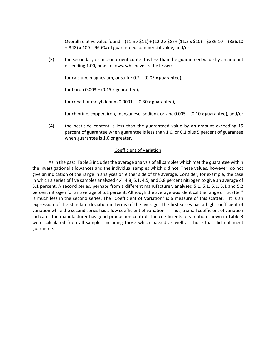Overall relative value found =  $(11.5 \times 11) + (12.2 \times 15) + (11.2 \times 10) = 15336.10$  (336.10  $\div$  348) x 100 = 96.6% of guaranteed commercial value, and/or

(3) the secondary or micronutrient content is less than the guaranteed value by an amount exceeding 1.00, or as follows, whichever is the lesser:

for calcium, magnesium, or sulfur 0.2 + (0.05 x guarantee),

for boron  $0.003 + (0.15 \times \text{guarantee})$ ,

for cobalt or molybdenum  $0.0001 + (0.30 \times \text{guarantee})$ ,

for chlorine, copper, iron, manganese, sodium, or zinc 0.005 + (0.10 x guarantee), and/or

(4) the pesticide content is less than the guaranteed value by an amount exceeding 15 percent of guarantee when guarantee is less than 1.0, or 0.1 plus 5 percent of guarantee when guarantee is 1.0 or greater.

#### Coefficient of Variation

As in the past, Table 3 includes the average analysis of all samples which met the guarantee within the investigational allowances and the individual samples which did not. These values, however, do not give an indication of the range in analyses on either side of the average. Consider, for example, the case in which a series of five samples analyzed 4.4, 4.8, 5.1, 4.5, and 5.8 percent nitrogen to give an average of 5.1 percent. A second series, perhaps from a different manufacturer, analyzed 5.1, 5.1, 5.1, 5.1 and 5.2 percent nitrogen for an average of 5.1 percent. Although the average was identical the range or "scatter" is much less in the second series. The "Coefficient of Variation" is a measure of this scatter. It is an expression of the standard deviation in terms of the average. The first series has a high coefficient of variation while the second series has a low coefficient of variation. Thus, a small coefficient of variation indicates the manufacturer has good production control. The coefficients of variation shown in Table 3 were calculated from all samples including those which passed as well as those that did not meet guarantee.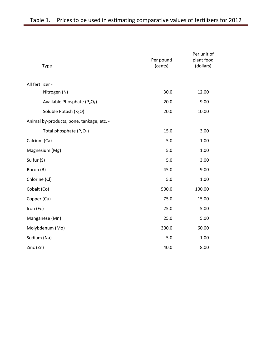| Type                                                 | Per pound<br>(cents) | Per unit of<br>plant food<br>(dollars) |
|------------------------------------------------------|----------------------|----------------------------------------|
| All fertilizer -                                     |                      |                                        |
| Nitrogen (N)                                         | 30.0                 | 12.00                                  |
| Available Phosphate (P <sub>2</sub> O <sub>5</sub> ) | 20.0                 | 9.00                                   |
| Soluble Potash (K2O)                                 | 20.0                 | 10.00                                  |
| Animal by-products, bone, tankage, etc. -            |                      |                                        |
| Total phosphate (P <sub>2</sub> O <sub>5</sub> )     | 15.0                 | 3.00                                   |
| Calcium (Ca)                                         | 5.0                  | 1.00                                   |
| Magnesium (Mg)                                       | 5.0                  | 1.00                                   |
| Sulfur (S)                                           | 5.0                  | 3.00                                   |
| Boron (B)                                            | 45.0                 | 9.00                                   |
| Chlorine (Cl)                                        | 5.0                  | 1.00                                   |
| Cobalt (Co)                                          | 500.0                | 100.00                                 |
| Copper (Cu)                                          | 75.0                 | 15.00                                  |
| Iron (Fe)                                            | 25.0                 | 5.00                                   |
| Manganese (Mn)                                       | 25.0                 | 5.00                                   |
| Molybdenum (Mo)                                      | 300.0                | 60.00                                  |
| Sodium (Na)                                          | 5.0                  | 1.00                                   |
| Zinc (Zn)                                            | 40.0                 | 8.00                                   |
|                                                      |                      |                                        |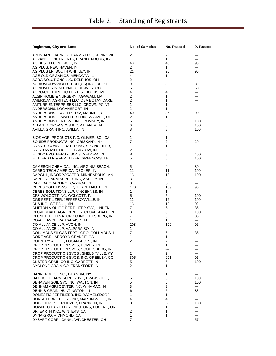| <b>Registrant, City and State</b>                                                | No. of Samples                   | No. Passed               | % Passed  |
|----------------------------------------------------------------------------------|----------------------------------|--------------------------|-----------|
| ABUNDANT HARVEST FARMS LLC`, SPRINGVIL                                           | 2                                | 2                        | ---       |
| ADVANCED NUTRIENTS, BRANDENBURG, KY                                              | $\mathbf{1}$                     | $\mathbf{1}$             | ---       |
| AG BEST LLC, MUNCIE, IN                                                          | 43                               | 40                       | 93        |
| AG PLUS, NEW HAVEN, IN                                                           | 2                                | 1                        | ---       |
| AG PLUS LP, SOUTH WHITLEY, IN                                                    | 21                               | 20                       | 95        |
| AGE OLD ORGANICS, MENDOTA, IL                                                    | 4                                | 1                        | ---       |
| AGRA SOLUTIONS LLC, DELPHOS, OH                                                  | 2                                | $\overline{\phantom{a}}$ | ---       |
| AGRIUM ADVANCED TECH (US) INC.-REESE,                                            | 9                                | 8                        | 89        |
| AGRIUM US INC-DENVER, DENVER, CO                                                 | 6                                | 3                        | 50        |
| AGRO-CULTURE LIQ FERT, ST JOHNS, MI                                              | 4                                | 4                        | ---       |
| ALSIP HOME & NURSERY, AGAWAM, MA                                                 | $\overline{2}$<br>$\overline{2}$ | 1<br>$\mathbf{1}$        | ---       |
| AMERICAN AGRITECH LLC, DBA BOTANICARE,<br>AMTURF ENTERPRISES LLC, CROWN POINT, I | 1                                | 1                        |           |
| ANDERSONS, LOGANSPORT, IN                                                        | $\overline{2}$                   | 1                        | ---       |
| ANDERSONS - AG FERT DIV, MAUMEE, OH                                              | 40                               | 36                       | 90        |
| ANDERSONS - LAWN FERT DIV, MAUMEE, OH                                            | 2                                | 1                        | ---       |
| ANDERSONS FERT SVC INC, ROMNEY, IN                                               | 5                                | 5                        | 100       |
| ATLANTA CROP SVCS INC, ATLANTA, IN                                               | 6                                | 6                        | 100       |
| AVILLA GRAIN INC, AVILLA, IN                                                     | 8                                | 8                        | 100       |
| BIOZ AGRI PRODUCTS INC, OLIVER, BC CA                                            | 1                                | 1                        | $\cdots$  |
| BONIDE PRODUCTS INC, ORISKANY, NY                                                | 7                                | $\overline{c}$           | 29        |
| BRANDT CONSOLIDATED INC, SPRINGFIELD,                                            | 1                                | $\mathbf{1}$             | ---       |
| BRISTOW MILLING LLC, BRISTOW, IN                                                 | 2                                | 2                        | ---       |
| BUNDY BROTHERS & SONS, MEDORA, IN                                                | 8                                | 8                        | 100       |
| BUTLERS LP & FERTILIZER, GREENCASTLE,                                            | 5                                | 5                        | 100       |
| CAMERON CHEMICAL INC, VIRGINIA BEACH,                                            | 5                                | 4                        | 80        |
| CARBO-TECH AMERICA, DECKER, IN                                                   | 11                               | 11                       | 100       |
| CARGILL, INCORPORATED, MINNEAPOLIS, MN                                           | 13                               | 13                       | 100       |
| CARPER FARM SUPPLY INC, ASHLEY, IN                                               | 3                                | 3                        | ---       |
| CAYUGA GRAIN INC., CAYUGA, IN                                                    | 3                                | 3                        | ---       |
| CERES SOLUTIONS LLP, TERRE HAUTE, IN                                             | 173                              | 169                      | 98        |
| CERES SOLUTIONS LLP, VINCENNES, IN                                               | 1                                | 1                        | ---       |
| CFS WOLCOTT INC, WOLCOTT, IN                                                     | 5                                | 5                        | 100       |
| CGB FERTILIZER, JEFFERSONVILLE, IN                                               | 12                               | 12                       | 100       |
| CHS INC., ST PAUL, MN                                                            | 13                               | 12                       | 92        |
| CLIFTON & QUIGG FERTILIZER SVC, LINDEN                                           | 7                                | 6                        | 86        |
| CLOVERDALE AGRI CENTER, CLOVERDALE, IN                                           | 8                                | 8                        | 100       |
| CLUNETTE ELEVATOR CO INC, LEESBURG, IN                                           | 7                                | 6                        | 86        |
| CO-ALLIANCE, VALPARAISO, IN                                                      | 1                                | 1                        | ---       |
| CO-ALLIANCE LLP, AVON, IN<br>CO-ALLIANCE LLP, VALPARAISO, IN                     | 208<br>1                         | 199<br>---               | 96<br>--- |
| COLUMBUS SILGAS FERTILGRO, COLUMBUS, I                                           | 7                                | 6                        | 86        |
| CORE AGRI, ARROYO GRANDE, CA                                                     | 1                                | 1                        | ---       |
| COUNTRY AG LLC, LOGANSPORT, IN                                                   | 2                                | $\overline{c}$           | ---       |
| CROP PRODUCTION SVCS, HOMER, IN                                                  | 1                                | 1                        |           |
| CROP PRODUCTION SVCS, SCOTTSBURG, IN                                             | $\mathbf{1}$                     | ---                      | ---       |
| CROP PRODUCTION SVCS, SHELBYVILLE, KY                                            | 2                                | 2                        | ---       |
| CROP PRODUCTION SVCS, INC, GREELEY, CO                                           | 305                              | 291                      | 95        |
| CUSTER GRAIN CO INC, GARRETT, IN                                                 | 5                                | 5                        | 100       |
| CYCLONE GRAIN CO, FRANKFORT, IN                                                  | 2                                | 1                        | ---       |
| DANNER MFG. INC., ISLANDIA, NY                                                   | 1                                | 1                        | ---       |
| DAYLIGHT FARM SUPPLY INC, EVANSVILLE,                                            | 6                                | 6                        | 100       |
| DEHAVEN SOIL SVC INC, WALTON, IN                                                 | 5                                | 5                        | 100       |
| DENHAM AGRI CENTER INC, WINAMAC, IN                                              | 3                                | 3                        | ---       |
| DENNIS GRAIN, HUNTINGTON, IN                                                     | 6                                | 5                        | 83        |
| DOMESTIC FERTILIZER, INC, WOMELSDORF,                                            | 1                                | 1                        | ---       |
| DORSETT BROTHERS INC, MARTINSVILLE, IN                                           | 4                                | 4                        | ---       |
| DOUGHERTY FERTILIZER, FRANKLIN, IN                                               | 8                                | 8                        | 100       |
| DOWN TO EARTH DISTRIBUTORS, EUGENE, OR                                           | 1                                | 1                        | ---       |
| DR. EARTH INC., WINTERS, CA                                                      | 2                                | 1                        | ---       |
| DYNA-GRO, RICHMOND, CA                                                           | 1                                | 1                        | ---       |
| DYSART CORP., CANAL WINCHESTER, OH                                               | 7                                | 4                        | 57        |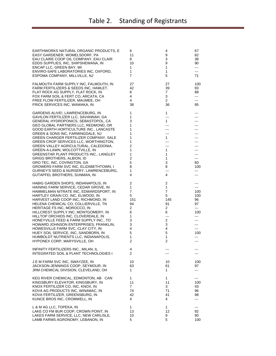| EARTHWORKS NATURAL ORGANIC PRODUCTS, E | 6              | 4                            | 67  |
|----------------------------------------|----------------|------------------------------|-----|
| EASY GARDENER, WOMELSDORF, PA          | 11             | 9                            | 82  |
| EAU CLAIRE COOP OIL COMPANY, EAU CLAIR | 8              | 3                            | 38  |
| EDDS SUPPLIES, INC, SHIPSHEWANA, IN    | 10             | 9                            | 90  |
| ENCAP LLC, GREEN BAY, WI               | 1              | $\mathbf{1}$                 | --- |
| ENVIRO-SAFE LABORATORIES INC, OXFORD,  | 1              | 1                            | --- |
| ESPOMA COMPANY, MILLVILLE, NJ          | 7              | 5                            | 71  |
|                                        |                |                              |     |
| FALMOUTH FARM SUPPLY INC, FALMOUTH, IN | 27             | 27                           | 100 |
| FARM FERTILIZERS & SEEDS INC, HAMLET,  | 42             | 39                           | 93  |
| FLAT ROCK AG SUPPLY, FLAT ROCK, IN     | 8              | 7                            | 88  |
| FOX FARM SOIL & FERT CO, ARCATA, CA    | 4              | 3                            | --- |
| FREE FLOW FERTILIZER, MAUMEE, OH       | 4              | 2                            | --- |
| FRICK SERVICES INC, WAWAKA, IN         | 38             | 36                           | 95  |
|                                        |                |                              |     |
| GARDENS ALIVE!, LAWRENCEBURG, IN       | 1              | 1                            |     |
| GAVILON FERTILIZER LLC, SAVANNAH, GA   | 1              | $--$                         | --- |
| GENERAL HYDROPONICS, SEBASTOPOL, CA    | 3              | $\mathbf{1}$                 |     |
| GEO GLOBAL PARTNERS LLC, REDMOND, OR   | 1              | $\cdots$                     | --- |
| GOOD EARTH HORTICULTURE INC., LANCASTE | 1              | $\hspace{0.05cm} \ldots$     | --- |
| GREEN & SONS INC, FARMINGDALE, NJ      | 1              | ---                          |     |
| GREEN CHARGER FERTILIZER COMPANY, SALE | 1              | 1                            |     |
| GREEN CROP SERVICES LLC, WORTHINGTON,  | 1              | $\qquad \qquad -$            |     |
| GREEN VALLEY AGRICULTURAL, CALEDONIA,  | 2              | ---                          |     |
|                                        | 1              | 1                            |     |
| GREEN-A-LAWN, WOLCOTTVILLE, IN         |                |                              |     |
| GREENSTAR PLANT PRODUCTS INC., LANGLEY | 1              | $\mathbf{1}$                 | --- |
| GRIGG BROTHERS, ALBION, ID             | 2              | 1                            | --- |
| GRO TEC, INC, COVINGTON, GA            | 5              | 3                            | 60  |
| GROWERS FARM SVC INC, ELIZABETHTOWN, I | 8              | 8                            | 100 |
| GURNEY'S SEED & NURSERY, LAWRENCEBURG, | 1              | $\qquad \qquad \textbf{---}$ | --- |
| GUTAPFEL BROTHERS, SUNMAN, IN          | 4              | 4                            | --- |
|                                        |                |                              |     |
| HABIG GARDEN SHOPS, INDIANAPOLIS, IN   | 2              | 2                            | --- |
| HAINING FARM SERVICE, CEDAR GROVE, IN  | 1              | 1                            | --- |
| HAMMELMAN NITRATE INC, EDWARDSPORT, IN | $\overline{7}$ | 7                            | 100 |
| HARTLEY GRAIN CO, INC, ELWOOD, IN      | 5              | 5                            | 100 |
| HARVEST LAND COOP INC, RICHMOND, IN    | 151            | 145                          | 96  |
| HELENA CHEMICAL CO, COLLIERVILLE, TN   | 94             | 91                           | 97  |
| HERITAGE FS INC, MOROCCO, IN           | 2              | 2                            | --- |
| HILLCREST SUPPLY INC, MONTGOMERY, IN   | 6              | 6                            | 100 |
| HILLTOP ORCHIDS INC, CLOVERDALE, IN    | 1              | $\qquad \qquad \cdots$       | --- |
| HONEYVILLE FEED & FARM SUPPLY INC., TO | 3              | 2                            | --- |
| HOWARD JOHNSON ENTERPRISES, FRANKLIN,  | 3              | 3                            | --- |
| HOWESVILLE FARM SVC, CLAY CITY, IN     | 4              | 4                            |     |
|                                        |                |                              | --- |
| HUEY SOIL SERVICE, INC, SANDBORN, IN   | 5              | 5                            | 100 |
| HUMBOLDT NUTRIENTS LLC, INDIANAPOLIS,  | 1              | $\mathbf{1}$                 | --- |
| HYPONEX CORP, MARYSVILLE, OH           | 2              | 2                            | --- |
| INFINITY FERTILIZERS INC., MILAN, IL   | 4              | $---$                        | --- |
| INTEGRATED SOIL & PLANT TECHNOLOGIES I | 2              |                              |     |
|                                        |                |                              |     |
| J E M FARM SVC INC, SWAYZEE, IN        | 10             | 10                           | 100 |
| JACKSON-JENNINGS COOP, SEYMOUR, IN     | 63             | 61                           | 97  |
| JRM CHEMICAL DIVISION, CLEVELAND, OH   | 1              | 1                            | --- |
|                                        |                |                              |     |
| KEG RIVER CHEMICAL, EDMONTON, AB CAN   | 1              | 1                            |     |
| KINGSBURY ELEVATOR, KINGSBURY, IN      | 11             | 11                           | 100 |
| KNOX FERTILIZER CO, INC, KNOX, IN      | $\overline{7}$ | 3                            | 43  |
| KOVA AG PRODUCTS INC, WINAMAC, IN      | 74             | 71                           | 96  |
| KOVA FERTILIZER, GREENSBURG, IN        | 42             | 41                           | 98  |
|                                        | 4              | 4                            |     |
| KUNCE BROS INC, CROMWELL, IN           |                |                              | --- |
| L & M AG LLC, TOPEKA, IN               | 1              | 1                            | --- |
| LAKE CO FM BUR COOP, CROWN POINT, IN   | 13             | 12                           | 92  |
| LAKES FARM SERVICE, LLC, NEW CARLISLE, | 10             | 9                            | 90  |
| LAMB FARMS AGRONOMY, LEBANON, IN       | 5              | 5                            | 100 |
|                                        |                |                              |     |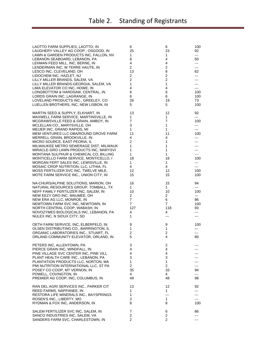| LAOTTO FARM SUPPLIES, LAOTTO, IN                                       | 6              | 6                      | 100        |
|------------------------------------------------------------------------|----------------|------------------------|------------|
| LAUGHERY VALLEY AG COOP, OSGOOD, IN                                    | 25             | 23                     | 92         |
| LAWN & GARDEN PRODUCTS INC, FALLON, NV                                 | 1              | 1                      | $---$      |
| LEBANON SEABOARD, LEBANON, PA                                          | 8              | 4                      | 50         |
| LEHMAN FEED MILL, INC, BERNE, IN                                       | 4              | 4                      | ---        |
| LENDERMAN INC, W TERRE HAUTE, IN                                       | $\overline{2}$ | 2                      | ---        |
| LESCO INC, CLEVELAND, OH                                               | 13             | 8                      | 62         |
| LIDOCHEM INC, HAZLET, NJ                                               | $\overline{2}$ | 2                      | ---        |
| LILLY MILLER BRANDS, SALEM, VA                                         | 2              | 2                      |            |
| LILLY MILLER BRANDS-GEORGIA, SALEM, VA                                 | 1              | 1                      | ---        |
| LIMA ELEVATOR CO INC, HOWE, IN                                         | 4              | 4                      | ---        |
| LONGBOTTOM & HARDSAW, CENTRAL, IN                                      | 6              | 6                      | 100        |
| LORDS GRAIN INC, LAGRANGE, IN                                          | 6              | 6                      | 100        |
| LOVELAND PRODUCTS INC., GREELEY, CO                                    | 26             | 19                     | 73         |
| LUELLEN BROTHERS, INC, NEW LISBON, IN                                  | 5              | 5                      | 100        |
|                                                                        |                |                        |            |
| MARTIN SEED & SUPPLY, ELKHART, IN                                      | 13             | 12                     | 92         |
| MAXWELL FARM SERVICE, MARTINSVILLE, IN                                 | 1              | 1                      | $---$      |
| MCGRAWSVILLE FEED & GRAIN, AMBOY, IN                                   | 7              | 7                      | 100        |
| MCLELLAN CO., MARYSVILLE, OH                                           | 3              | 1                      | ---        |
| MEIJER INC, GRAND RAPIDS, MI                                           | 1              | 1                      | ---        |
| MEM VENTURES LLC-DBA/ROUND GROVE FARM                                  | 11             | 11                     | 100        |
| MERRELL GRAIN, BROOKVILLE, IN                                          | 4              | 4                      | ---        |
| MICRO SOURCE, EAST PEORIA, IL                                          | $\overline{2}$ | 1                      | ---        |
| MILWAUKEE METRO SEWERAGE DIST, MILWAUK                                 | 1              | 1                      |            |
| MIRACLE-GRO LAWN PRODUCTS INC, MARYSVI                                 | 1              | 1                      |            |
| MONTANA SULPHUR & CHEMICAL CO, BILLING                                 | 1              | 1                      | ---        |
| MONTICELLO FARM SERVICE, MONTICELLO, I                                 | 18             | 18                     | 100        |
| MORGAN FERT SALES INC, LEWISVILLE, IN                                  | 1              | $\mathbf{1}$           | ---        |
| MOSAIC CROP NUTRITION, LLC, LITHIA, FL                                 | 4              | 4                      | ---        |
| MOSS FERTILIZER SVC INC, TWELVE MILE,                                  | 12             | 12                     | 100        |
| MOTE FARM SERVICE INC., UNION CITY, IN                                 | 15             | 15                     | 100        |
| NA-CHURS/ALPINE SOLUTIONS, MARION, OH                                  | 16             | 15                     | 94         |
| NATURAL RESOURCES GROUP, TOMBALL, TX                                   | $\mathbf{1}$   | $\mathbf{1}$           | $---$      |
| NEFF FAMILY FERTILIZER INC, SALEM, IN                                  | 10             | 10                     | 100        |
| NEW EEZY GRO INC, MAUMEE, OH                                           | $\overline{2}$ | $\overline{2}$         | $--$       |
| NEW ERA AG LLC, MONROE, IN                                             | $\overline{7}$ | 6                      | 86         |
| NEWTOWN FARM SVC INC, NEWTOWN, IN                                      | $\overline{7}$ | $\overline{7}$         | 100        |
| NORTH CENTRAL COOP, WABASH, IN                                         | 127            | 118                    | 93         |
| NOVOZYMES BIOLOGICALS INC, LEBANON, PA                                 | 4              | 4                      | ---        |
| NULEX INC, N SIOUX CITY, SD                                            | 1              | $\qquad \qquad \cdots$ | ---        |
|                                                                        |                |                        |            |
| OETH FARM SERVICE, INC, ELBERFELD, IN                                  | 9              | 9                      | 100        |
| OLSEN DISTRIBUTING CO., BARRINGTON, IL                                 | 1              | $\mathbf{1}$           | ---        |
| ORGANIC LABORATORIES INC., STUART, FL                                  | 2              | 2                      | ---        |
| ORLAND COMMUNITY ELEVATOR, ORLAND, IN                                  | 5              | 4                      | 80         |
|                                                                        |                |                        |            |
| PETERS INC, ALLENTOWN, PA                                              | 3              | 2                      |            |
| PIERCE GRAIN INC, WINDFALL, IN                                         | 4              | 4                      |            |
| PINE VILLAGE SVC CENTER INC, PINE VILL                                 | 4              | 4                      |            |
| PLANT HEALTH CARE INC., LEBANON, PA                                    | 3              | 3                      |            |
| PLANTATION PRODUCTS LLC, NORTON, MA                                    | 1              | 1                      |            |
| PMI NUTRITION INTERNATIONAL LLC, ST PA                                 | 2              | 2                      | ---        |
| POSEY CO COOP, MT VERNON, IN                                           | 35             | 33                     | 94         |
| POWELL, COVINGTON, IN                                                  | 4              | 4                      | ---        |
| PREMIER AG COOP, INC, COLUMBUS, IN                                     | 49             | 48                     | 98         |
|                                                                        |                |                        |            |
| RAN DEL AGRI SERVICES INC., PARKER CIT                                 | 13             | 12                     | 92         |
| REED FARMS, NAPPANEE, IN<br>RESTORA LIFE MINERALS INC., BAYSPRINGS     | 1<br>1         | 1<br>$---$             | ---        |
| ROSEN'S INC., LIBERTY, MO                                              | 2              | 1                      | ---<br>--- |
| RYDMAN & FOX INC, ANDERSON, IN                                         | 8              | 8                      | 100        |
|                                                                        |                |                        |            |
|                                                                        |                |                        |            |
|                                                                        | 7              | 6                      | 86         |
| SALEM FERTILIZER SVC INC, SALEM, IN<br>SANCO INDUSTRIES INC, SALEM, VA | 2              | 2                      | ---        |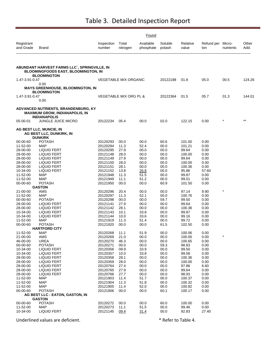|                         |                                                                                                           |                      | Found                        |                        |                   |                   |                   |                     |               |
|-------------------------|-----------------------------------------------------------------------------------------------------------|----------------------|------------------------------|------------------------|-------------------|-------------------|-------------------|---------------------|---------------|
| Registrant<br>and Grade | Brand                                                                                                     | Inspection<br>number | Total<br>nitrogen            | Available<br>phosphate | Soluble<br>potash | Relative<br>value | Refund per<br>ton | Micro-<br>nutrients | Other<br>Add. |
|                         | ABUNDANT HARVEST FARMS LLC`, SPRINGVILLE, IN<br>BLOOMINGFOODS EAST, BLOOMINGTON, IN<br><b>BLOOMINGTON</b> |                      |                              |                        |                   |                   |                   |                     |               |
| 1.47-3.91-0.47          |                                                                                                           |                      | <b>VEGETABLE MIX ORGANIC</b> |                        | 20122188          | 01.8              | 05.0              | 00.5                | 124.26        |
|                         | 0.00                                                                                                      |                      |                              |                        |                   |                   |                   |                     |               |
|                         | <b>MAYS GREENHOUSE, BLOOMINGTON, IN</b><br><b>BLOOMINGTON</b>                                             |                      |                              |                        |                   |                   |                   |                     |               |
| 1.47-3.91-0.47          |                                                                                                           |                      | VEGETABLE MIX ORG PL &       |                        | 20122364          | 01.5              | 05.7              | 01.3                | 144.01        |
|                         | 0.00                                                                                                      |                      |                              |                        |                   |                   |                   |                     |               |
|                         | ADVANCED NUTRIENTS, BRANDENBURG, KY<br><b>MAXIMUM GROW, INDIANAPOLIS, IN</b><br><b>INDIANAPOLIS</b>       |                      |                              |                        |                   |                   |                   |                     |               |
| 05-00-01                | <b>JUNGLE JUICE MICRO</b>                                                                                 | 20122234             | 05.4                         | 00.0                   | 02.0              | 122.15            | 0.00              |                     | $***$         |
|                         | <b>AG BEST LLC, MUNCIE, IN</b><br>AG BEST LLC, DUNKIRK, IN<br><b>DUNKIRK</b>                              |                      |                              |                        |                   |                   |                   |                     |               |
| 00-00-60                | <b>POTASH</b>                                                                                             | 20120293             | 00.0                         | 00.0                   | 60.6              | 101.00            | 0.00              |                     |               |
| 11-52-00                | <b>MAP</b>                                                                                                | 20120294             | 11.3                         | 52.4                   | 00.0              | 101.21            | 0.00              |                     |               |
| 28-00-00                | LIQUID FERT                                                                                               | 20120295             | 27.9                         | 00.0                   | 00.0              | 99.64             | 0.00              |                     |               |
| 28-00-00<br>28-00-00    | <b>LIQUID FERT</b><br><b>LIQUID FERT</b>                                                                  | 20121148<br>20121149 | 28.0<br>27.9                 | 00.0<br>00.0           | 00.0<br>00.0      | 100.00<br>99.64   | 0.00<br>0.00      |                     |               |
| 28-00-00                | LIQUID FERT                                                                                               | 20121150             | 28.0                         | 00.0                   | 00.0              | 100.00            | 0.00              |                     |               |
| 28-00-00                | LIQUID FERT                                                                                               | 20121151             | 28.1                         | 00.0                   | 00.0              | 100.36            | 0.00              |                     |               |
| 10-34-00                | <b>LIQUID FERT</b>                                                                                        | 20121152             | 13.8                         | 26.8                   | 00.0              | 95.86             | 57.60             |                     |               |
| 11-52-00                | MAP                                                                                                       | 20121948             | 11.3                         | 51.5                   | 00.0              | 99.87             | 0.00              |                     |               |
| 11-52-00<br>00-00-60    | MAP<br><b>POTASH</b>                                                                                      | 20121949<br>20121950 | 11.1<br>00.0                 | 51.2<br>00.0           | 00.0<br>60.9      | 99.01<br>101.50   | 0.00<br>0.00      |                     |               |
|                         | <b>GASTON</b>                                                                                             |                      |                              |                        |                   |                   |                   |                     |               |
| 21-00-00                | AMS                                                                                                       | 20120296             | 20.4                         | 00.0                   | 00.0              | 97.14             | 9.90              | $\star$             |               |
| 11-52-00                | MAP                                                                                                       | 20120297             | 11.3                         | 52.1                   | 00.0              | 100.76            | 0.00              |                     |               |
| 00-00-60<br>28-00-00    | <b>POTASH</b><br>LIQUID FERT                                                                              | 20120298<br>20121141 | 00.0<br>27.9                 | 00.0<br>00.0           | 59.7<br>00.0      | 99.50<br>99.64    | 0.00<br>0.00      |                     |               |
| 28-00-00                | LIQUID FERT                                                                                               | 20121142             | 28.1                         | 00.0                   | 00.0              | 100.36            | 0.00              |                     |               |
| 10-34-00                | <b>LIQUID FERT</b>                                                                                        | 20121143             | 10.1                         | 33.8                   | 00.0              | 99.87             | 0.00              |                     |               |
| 10-34-00                | <b>LIQUID FERT</b>                                                                                        | 20121144             | 10.0                         | 33.6                   | 00.0              | 99.16             | 0.00              |                     |               |
| 11-52-00<br>00-00-60    | MAP<br><b>POTASH</b>                                                                                      | 20121919<br>20121920 | 11.3<br>00.0                 | 51.4<br>00.0           | 00.0<br>61.5      | 99.72<br>102.50   | 0.00<br>0.00      |                     |               |
|                         | <b>HARTFORD CITY</b>                                                                                      |                      |                              |                        |                   |                   |                   |                     |               |
| 11-52-00                | MAP                                                                                                       | 20120268             | 11.1                         | 51.9                   | 00.0              | 100.06            | 0.00              |                     |               |
| 21-00-00<br>46-00-00    | AMS                                                                                                       | 20120269             | 21.0                         | 00.0                   | 00.0              | 100.00            | 0.00              |                     |               |
| 00-00-60                | <b>UREA</b><br><b>POTASH</b>                                                                              | 20120270<br>20120271 | 46.3<br>00.0                 | 00.0<br>00.0           | 00.0<br>59.3      | 100.65<br>98.83   | 0.00<br>0.00      |                     |               |
| 10-34-00                | <b>LIQUID FERT</b>                                                                                        | 20120356             | 09.9                         | 33.9                   | 00.0              | 99.50             | 0.00              |                     |               |
| 10-34-00                | LIQUID FERT                                                                                               | 20120357             | 10.0                         | 33.8                   | 00.0              | 99.58             | 0.00              |                     |               |
| 28-00-00                | <b>LIQUID FERT</b>                                                                                        | 20120358             | 28.1                         | 00.0                   | 00.0              | 100.36            | 0.00              |                     |               |
| 28-00-00<br>28-00-00    | LIQUID FERT<br><b>LIQUID FERT</b>                                                                         | 20120359<br>20120764 | 28.0<br>27.4                 | 00.0<br>00.0           | 00.0<br>00.0      | 100.00<br>97.86   | 0.00<br>6.60      |                     |               |
| 28-00-00                | LIQUID FERT                                                                                               | 20120765             | 27.9                         | 00.0                   | 00.0              | 99.64             | 0.00              |                     |               |
| 28-00-00                | <b>LIQUID FERT</b>                                                                                        | 20120766             | 27.7                         | 00.0                   | 00.0              | 98.93             | 0.00              |                     |               |
| 11-52-00                | <b>MAP</b>                                                                                                | 20121903             | 11.4                         | 51.7                   | 00.0              | 100.37            | 0.00              |                     |               |
| 11-52-00<br>11-52-00    | <b>MAP</b><br><b>MAP</b>                                                                                  | 20121904<br>20121905 | 11.3<br>11.4                 | 51.8                   | 00.0<br>00.0      | 100.32<br>100.82  | 0.00<br>0.00      |                     |               |
| 00-00-60                | <b>POTASH</b>                                                                                             | 20121906             | 00.0                         | 52.0<br>00.0           | 60.1              | 100.17            | 0.00              |                     |               |
|                         | AG BEST LLC - EATON, GASTON, IN                                                                           |                      |                              |                        |                   |                   |                   |                     |               |
|                         | <b>GASTON</b>                                                                                             |                      |                              |                        |                   |                   |                   |                     |               |
| 00-00-60<br>11-52-00    | <b>POTASH</b><br><b>MAP</b>                                                                               | 20120272<br>20120273 | 00.0<br>11.1                 | 00.0<br>51.5           | 60.0<br>00.0      | 100.00<br>99.46   | 0.00<br>0.00      |                     |               |
| 10-34-00                | <b>LIQUID FERT</b>                                                                                        | 20121145             | 09.4                         | 31.4                   | 00.0              | 92.83             | 27.40             |                     |               |
|                         |                                                                                                           |                      |                              |                        |                   |                   |                   |                     |               |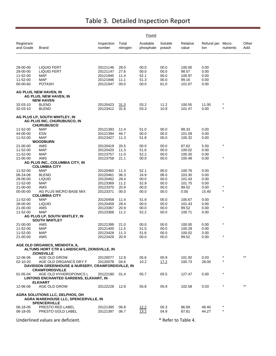|                         |                                                                                                   |                      | Found             |                        |                     |                   |                          |            |               |
|-------------------------|---------------------------------------------------------------------------------------------------|----------------------|-------------------|------------------------|---------------------|-------------------|--------------------------|------------|---------------|
| Registrant<br>and Grade | Brand                                                                                             | Inspection<br>number | Total<br>nitrogen | Available<br>phosphate | Soluble<br>potash   | Relative<br>value | Refund per Micro-<br>ton | nutrients  | Other<br>Add. |
|                         |                                                                                                   |                      |                   |                        |                     |                   |                          |            |               |
| 28-00-00<br>28-00-00    | <b>LIQUID FERT</b><br><b>LIQUID FERT</b>                                                          | 20121146<br>20121147 | 28.0<br>27.6      | 00.0<br>00.0           | 00.0<br>00.0        | 100.00<br>98.57   | 0.00<br>0.00             |            |               |
| 11-52-00                | MAP                                                                                               | 20121945             | 11.4              | 52.1                   | 00.0                | 100.97            | 0.00                     |            |               |
| 11-52-00                | <b>MAP</b>                                                                                        | 20121946             | 11.1              | 51.3                   | 00.0                | 99.16             | 0.00                     |            |               |
| 00-00-60                | <b>POTASH</b>                                                                                     | 20121947             | 00.0              | 00.0                   | 61.0                | 101.67            | 0.00                     |            |               |
|                         | AG PLUS, NEW HAVEN, IN<br>AG PLUS, NEW HAVEN, IN<br><b>NEW HAVEN</b>                              |                      |                   |                        |                     |                   |                          |            |               |
| 32-03-10                | <b>BLEND</b>                                                                                      | 20120423             | 31.0              | 03.2                   | 11.2                | 100.55            | 11.00                    |            |               |
| 32-03-10                | <b>BLEND</b>                                                                                      | 20123412             | 31.6              | 03.3                   | 10.9                | 101.47            | 0.00                     | $\star$    |               |
|                         | AG PLUS LP, SOUTH WHITLEY, IN<br>AG PLUS INC, CHURUBUSCO, IN<br><b>CHURUBUSCO</b>                 |                      |                   |                        |                     |                   |                          |            |               |
| 11-52-00                | <b>MAP</b>                                                                                        | 20121393             | 11.4              | 51.0                   | 00.0                | 99.33             | 0.00                     |            |               |
| 44-00-00<br>11-52-00    | ESN<br>MAP                                                                                        | 20121394<br>20123427 | 44.7<br>11.3      | 00.0<br>51.8           | 00.0<br>00.0        | 101.59<br>100.32  | 0.00<br>0.00             |            |               |
|                         | <b>WOODBURN</b>                                                                                   |                      |                   |                        |                     |                   |                          |            |               |
| 21-00-00                | AMS                                                                                               | 20120419             | 20.5              | 00.0                   | 00.0                | 97.62             | 5.50                     | $\star$    |               |
| 11-52-00                | <b>MAP</b>                                                                                        | 20120420             | 11.3              | 51.6                   | 00.0                | 100.02            | 0.00                     |            |               |
| 11-52-00                | <b>MAP</b>                                                                                        | 20123757             | 11.0              | 52.2                   | 00.0                | 100.30            | 0.00                     | $\star$    |               |
| 21-00-00                | AMS                                                                                               | 20123758             | 21.1              | 00.0                   | 00.0                | 100.48            | 0.00                     |            |               |
|                         | AG PLUS INC., COLUMBIA CITY, IN<br><b>COLUMBIA CITY</b>                                           |                      |                   |                        |                     |                   |                          |            |               |
| 11-52-00                | <b>MAP</b>                                                                                        | 20120460             | 11.3              | 52.1                   | 00.0                | 100.76            | 0.00                     |            |               |
| 06-24-06                | <b>BLEND</b>                                                                                      | 20120461             | 06.3              | 24.9                   | 06.0                | 103.30            | 0.00                     |            |               |
| 28-00-00                | <b>LIQUID</b>                                                                                     | 20120462             | 28.4              | 00.0                   | 00.0                | 101.43            | 0.00                     |            |               |
| 11-52-00                | <b>MAP</b>                                                                                        | 20123369             | 11.2              | 52.9                   | 00.0                | 101.75            | 0.00                     |            |               |
| 21-00-00                | AMS                                                                                               | 20123370             | 20.9              | 00.0                   | 00.0                | 99.52             | 0.00                     | $\star$    |               |
| 00-00-00                | AG PLUS MICRO BASE MIX<br><b>COLUMBIA CITY</b>                                                    | 20123371             | 00.0              | 00.0                   | 00.0                | 0.00              | 15.40                    |            |               |
| 11-52-00                | MAP                                                                                               | 20120458             | 11.4              | 51.9                   | 00.0                | 100.67            | 0.00                     |            |               |
| 28-00-00                | <b>LIQUID</b>                                                                                     | 20120459             | 28.4              | 00.0                   | 00.0                | 101.43            | 0.00                     |            |               |
| 21-00-00                | AMS                                                                                               | 20123367             | 20.9              | 00.0                   | 00.0                | 99.52             | 0.00                     | $\star$    |               |
| 11-52-00                | <b>MAP</b>                                                                                        | 20123368             | 11.2              | 52.2                   | 00.0                | 100.71            | 0.00                     |            |               |
|                         | AG PLUS LP, SOUTH WHITLEY, IN<br><b>SOUTH WHITLEY</b>                                             |                      |                   |                        |                     |                   |                          |            |               |
| 21-00-00                | AMS                                                                                               | 20121399             | 21.0              | 00.0                   | 00.0                | 100.00            | 0.00                     | $\star$    |               |
| 11-52-00                | MAP                                                                                               | 20121400             | 11.5              | 51.5                   | 00.0                | 100.28            | 0.00                     |            |               |
| 11-52-00                | MAP                                                                                               | 20123428             | 11.3              | 51.6                   | $00.0$              | 100.02            | 0.00                     | $^\star$   |               |
| 21-00-00                | AMS                                                                                               | 20123429             | 20.9              | 00.0                   | 00.0                | 99.52             | 0.00                     |            |               |
|                         | AGE OLD ORGANICS, MENDOTA, IL<br>ALTUMS HORT CTR & LANDSCAPE, ZIONSVILLE, IN<br><b>ZIONSVILLE</b> |                      |                   |                        |                     |                   |                          |            |               |
| 12-06-06                | AGE OLD GROW                                                                                      | 20120077             | 12.8              | 05.6                   | 05.9                | 101.92            | 0.03                     |            | $***$         |
| $02 - 10 - 20$          | AGE OLD ORGANICS DRY F                                                                            | 20120078             | 04.6              | 10.2                   | 17.2                | 100.73            | 28.00                    | $\star$    |               |
|                         | DAVIDSON GREENHOUSE & NURSERY, CRAWFORDSVILLE, IN<br><b>CRAWFORDSVILLE</b>                        |                      |                   |                        |                     |                   |                          |            |               |
| 01-05-04                | AGE OLD HYHDROPONICS L<br>LINTONS ENCHANTED GARDENS, ELKHART, IN                                  | 20122180             | 01.4              | 05.7                   | 05.5                | 127.47            | 0.00                     | $\star$    |               |
| 12-06-06                | <b>ELKHART</b><br>AGE OLD GROW                                                                    | 20122228             | 12.8              | 05.8                   | 05.9                | 102.58            | 0.03                     | $^{\star}$ | $***$         |
|                         |                                                                                                   |                      |                   |                        |                     |                   |                          |            |               |
|                         | AGRA SOLUTIONS LLC, DELPHOS, OH<br>AGRA WAREHOUSE LLC, SPENCERVILLE, IN<br><b>SPENCERVILLE</b>    |                      |                   |                        |                     |                   |                          |            |               |
| 06-18-05                | PRESTO RED LABEL                                                                                  | 20121395             | 06.8              | 12.2                   | 05.3                | 86.69             | 46.40                    |            |               |
| 06-18-05                | PRESTO GOLD LABEL                                                                                 | 20121397             | 06.7              | 13.2                   | 04.9                | 87.81             | 44.27                    |            |               |
|                         | Underlined values are deficient.                                                                  |                      |                   |                        | * Refer to Table 4. |                   |                          |            |               |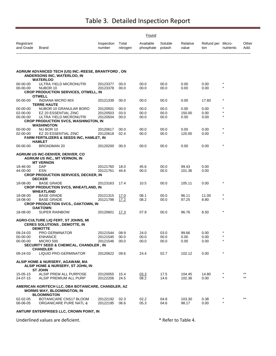|                         | Found                                                                                                 |                      |                   |                        |                   |                   |                          |           |               |  |  |
|-------------------------|-------------------------------------------------------------------------------------------------------|----------------------|-------------------|------------------------|-------------------|-------------------|--------------------------|-----------|---------------|--|--|
| Registrant<br>and Grade | Brand                                                                                                 | Inspection<br>number | Total<br>nitrogen | Available<br>phosphate | Soluble<br>potash | Relative<br>value | Refund per Micro-<br>ton | nutrients | Other<br>Add. |  |  |
|                         |                                                                                                       |                      |                   |                        |                   |                   |                          |           |               |  |  |
|                         | AGRIUM ADVANCED TECH (US) INC.-REESE, BRANTFORD, ON<br>ANDERSONS INC, WATERLOO, IN<br><b>WATERLOO</b> |                      |                   |                        |                   |                   |                          |           |               |  |  |
| $00 - 00 - 00$          | ULTRA YIELD MICRONUTRI                                                                                | 20123377             | 00.0              | 00.0                   | 00.0              | 0.00              | 0.00                     |           |               |  |  |
| 00-00-00                | NUBOR 10                                                                                              | 20123378             | 00.0              | 00.0                   | 00.0              | 0.00              | 0.00                     | $\star$   |               |  |  |
|                         | <b>CROP PRODUCTION SERVICES, OTWELL, IN</b>                                                           |                      |                   |                        |                   |                   |                          |           |               |  |  |
|                         | <b>OTWELL</b>                                                                                         |                      |                   |                        |                   |                   |                          |           |               |  |  |
| $00 - 00 - 00$          | INDIANA MICRO MIX<br><b>TERRE HAUTE</b>                                                               | 20121339             | 00.0              | 00.0                   | 00.0              | 0.00              | 17.60                    | $\star$   |               |  |  |
| 00-00-00                | NUBOR 10 GRANULAR BORO                                                                                | 20120501             | 00.0              | 00.0                   | 00.0              | 0.00              | 0.00                     |           |               |  |  |
| 02-00-00                | EZ 20 ESSENTIAL ZINC                                                                                  | 20120503             | 03.0              | 00.0                   | 00.0              | 150.00            | 0.00                     |           |               |  |  |
| 00-00-00                | ULTRA YIELD MICRONUTRI                                                                                | 20120504             | 00.0              | 00.0                   | 00.0              | 0.00              | 0.00                     | $\star$   |               |  |  |
|                         | <b>CROP PRODUCTION SVCS, WASHINGTON, IN</b><br><b>WASHINGTON</b>                                      |                      |                   |                        |                   |                   |                          |           |               |  |  |
| 00-00-00                | NU BOR 10                                                                                             | 20120617             | 00.0              | 00.0                   | 00.0              | 0.00              | 0.00                     |           |               |  |  |
| 02-00-00                | EZ 20 ESSENTIAL ZINC                                                                                  | 20120618             | 02.4              | 00.0                   | 00.0              | 120.00            | 0.00                     | $\star$   |               |  |  |
|                         | <b>FARM FERTILIZERS &amp; SEEDS INC, HAMLET, IN</b>                                                   |                      |                   |                        |                   |                   |                          |           |               |  |  |
|                         | <b>HAMLET</b>                                                                                         |                      |                   |                        |                   |                   |                          |           |               |  |  |
| 00-00-00                | <b>BROADMAN 20</b>                                                                                    | 20120200             | 00.0              | 00.0                   | 00.0              | 0.00              | 0.00                     | $\star$   |               |  |  |
|                         | <b>AGRIUM US INC-DENVER, DENVER, CO</b>                                                               |                      |                   |                        |                   |                   |                          |           |               |  |  |
|                         | <b>AGRIUM US INC., MT VERNON, IN</b>                                                                  |                      |                   |                        |                   |                   |                          |           |               |  |  |
|                         | <b>MT VERNON</b>                                                                                      |                      |                   |                        |                   |                   |                          |           |               |  |  |
| 18-46-00<br>44-00-00    | <b>DAP</b><br>ESN                                                                                     | 20121760<br>20121761 | 18.0<br>44.6      | 45.6<br>00.0           | 00.0<br>00.0      | 99.43<br>101.36   | 0.00<br>0.00             |           |               |  |  |
|                         | <b>CROP PRODUCTION SERVICES, DECKER, IN</b>                                                           |                      |                   |                        |                   |                   |                          |           |               |  |  |
|                         | <b>DECKER</b>                                                                                         |                      |                   |                        |                   |                   |                          |           |               |  |  |
| 18-08-00                | <b>BASE GRADE</b>                                                                                     | 20123163             | 17.4              | 10.5                   | 00.0              | 105.11            | 0.00                     | $\star$   |               |  |  |
|                         | <b>CROP PRODUCTION SVCS, WHEATLAND, IN</b>                                                            |                      |                   |                        |                   |                   |                          |           |               |  |  |
|                         | <b>WHEATLAND</b>                                                                                      |                      |                   |                        |                   |                   |                          |           |               |  |  |
| 18-08-00                | <b>BASE GRADE</b>                                                                                     | 20121315             | 17.0              | 08.1                   | 00.0              | 96.11             | 11.00                    | $\star$   |               |  |  |
| 18-08-00                | <b>BASE GRADE</b>                                                                                     | 20121798             | 17.2              | 08.2                   | 00.0              | 97.25             | 8.80                     | $\star$   |               |  |  |
|                         | <b>CROP PRODUCTION SVCS., OAKTOWN, IN</b>                                                             |                      |                   |                        |                   |                   |                          |           |               |  |  |
|                         | <b>OAKTOWN</b>                                                                                        |                      |                   |                        |                   |                   |                          | $\star$   |               |  |  |
| 18-08-00                | <b>SUPER RAINBOW</b>                                                                                  | 20120601             | 17.3              | 07.9                   | 00.0              | 96.76             | 8.50                     |           |               |  |  |
|                         | AGRO-CULTURE LIQ FERT, ST JOHNS, MI<br><b>CERES SOLUTIONS, DEMOTTE, IN</b><br><b>DEMOTTE</b>          |                      |                   |                        |                   |                   |                          |           |               |  |  |
| 09-24-03                | PRO GERMINATOR                                                                                        | 20121544             | 08.9              | 24.0                   | 03.0              | 99.66             | 0.00                     |           |               |  |  |
| 00-00-00                | <b>ENHANCE</b>                                                                                        | 20121545             | 00.0              | 00.0                   | 00.0              | 0.00              | 0.00                     | $\star$   |               |  |  |
| 00-00-00                | <b>MICRO 500</b>                                                                                      | 20121546             | 00.0              | 00.0                   | 00.0              | 0.00              | 0.00                     | $\star$   |               |  |  |
|                         | <b>SECURITY SEED &amp; CHEMICAL, CHANDLER, IN</b>                                                     |                      |                   |                        |                   |                   |                          |           |               |  |  |
|                         | <b>CHANDLER</b>                                                                                       |                      |                   |                        |                   |                   |                          |           |               |  |  |
| 09-24-03                | <b>LIQUID PRO-GERMINATOR</b>                                                                          | 20120622             | 09.6              | 24.4                   | 02.7              | 102.12            | 0.00                     |           |               |  |  |
|                         | ALSIP HOME & NURSERY, AGAWAM, MA<br>ALSIP HOME & NURSERY, ST JOHN, IN                                 |                      |                   |                        |                   |                   |                          |           |               |  |  |
|                         | <b>ST JOHN</b>                                                                                        |                      |                   |                        |                   |                   |                          |           |               |  |  |
| 15-05-15<br>24-07-15    | ALSIP PREM ALL PURPOSE<br>ALSIP PREMIUM ALL PURP                                                      | 20120055<br>20122206 | 15.4<br>24.5      | 03.3<br>08.2           | 17.5<br>14.6      | 104.45<br>102.36  | 14.80<br>0.00            |           |               |  |  |
|                         | AMERICAN AGRITECH LLC, DBA BOTANICARE, CHANDLER, AZ<br><b>WORMS WAY, BLOOMINGTON, IN</b>              |                      |                   |                        |                   |                   |                          |           |               |  |  |
|                         | <b>BLOOMINGTON</b>                                                                                    |                      |                   |                        |                   |                   |                          |           |               |  |  |
| 02-02-05                | BOTANICARE CNS17 BLOOM                                                                                | 20122192             | 02.3              | 02.2                   | 04.8              | 103.30            | 0.38                     |           | $***$         |  |  |
| 06-06-05                | ORGANICARE PURE NATL &                                                                                | 20122195             | 06.6              | 05.3                   | 04.6              | 98.17             | 0.00                     |           |               |  |  |
|                         |                                                                                                       |                      |                   |                        |                   |                   |                          |           |               |  |  |

**AMTURF ENTERPRISES LLC, CROWN POINT, IN**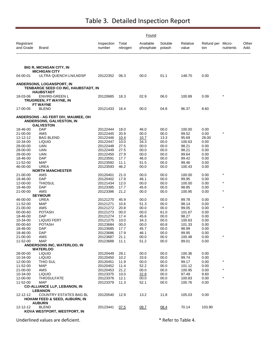|                         |                                                                                             |                      |                   | Found                  |                   |                   |                          |           |               |
|-------------------------|---------------------------------------------------------------------------------------------|----------------------|-------------------|------------------------|-------------------|-------------------|--------------------------|-----------|---------------|
| Registrant<br>and Grade | Brand                                                                                       | Inspection<br>number | Total<br>nitrogen | Available<br>phosphate | Soluble<br>potash | Relative<br>value | Refund per Micro-<br>ton | nutrients | Other<br>Add. |
|                         |                                                                                             |                      |                   |                        |                   |                   |                          |           |               |
|                         | <b>BIG R, MICHIGAN CITY, IN</b><br><b>MICHIGAN CITY</b>                                     |                      |                   |                        |                   |                   |                          |           |               |
| 04-00-01                | ULTRA QUENCH LN/LNDSP                                                                       | 20122352             | 06.3              | 00.0                   | 01.1              | 148.70            | 0.00                     |           |               |
|                         | <b>ANDERSONS, LOGANSPORT, IN</b><br>TENBARGE SEED CO INC, HAUBSTADT, IN<br><b>HAUBSTADT</b> |                      |                   |                        |                   |                   |                          |           |               |
| 18-03-06                | <b>ENVIRO-GREEN L</b>                                                                       | 20120685             | 18.3              | 02.9                   | 06.0              | 100.89            | 0.09                     |           |               |
|                         | TRUGREEN, FT WAYNE, IN                                                                      |                      |                   |                        |                   |                   |                          |           |               |
| 17-00-05                | <b>FT WAYNE</b><br><b>BLEND</b>                                                             | 20121433             | 16.4              | 00.0                   | 04.8              | 96.37             | 8.60                     |           |               |
|                         | ANDERSONS - AG FERT DIV, MAUMEE, OH<br>ANDERSONS, GALVESTON, IN<br><b>GALVESTON</b>         |                      |                   |                        |                   |                   |                          |           |               |
| 18-46-00                | <b>DAP</b>                                                                                  | 20122444             | 18.0              | 46.0                   | 00.0              | 100.00            | 0.00                     |           |               |
| 21-00-00                | AMS                                                                                         | 20122445             | 20.9              | 00.0                   | 00.0              | 99.52             | 0.00                     |           |               |
| 12-12-12                | <b>BAG BLEND</b>                                                                            | 20122446             | 10.4              | 10.7                   | 13.3              | 95.69             | 28.00                    |           |               |
| 10-34-00                | <b>LIQUID</b>                                                                               | 20122447             | 10.0              | 34.3                   | 00.0              | 100.63            | 0.00                     |           |               |
| 28-00-00                | UAN                                                                                         | 20122448             | 27.5              | 00.0                   | 00.0              | 98.21             | 0.00                     |           |               |
| 28-00-00<br>28-00-00    | UAN<br>UAN                                                                                  | 20122449<br>20122450 | 27.5<br>27.9      | 00.0<br>00.0           | 00.0<br>00.0      | 98.21<br>99.64    | 0.00<br>0.00             |           |               |
| 18-46-00                | <b>DAP</b>                                                                                  | 20123591             | 17.7              | 46.0                   | 00.0              | 99.42             | 0.00                     |           |               |
| 11-52-00                | <b>MAP</b>                                                                                  | 20123592             | 11.1              | 51.5                   | 00.0              | 99.46             | 0.00                     |           |               |
| 46-00-00                | <b>UREA</b>                                                                                 | 20123593             | 46.2              | 00.0                   | 00.0              | 100.43            | 0.00                     |           |               |
|                         | <b>NORTH MANCHESTER</b>                                                                     |                      |                   |                        |                   |                   |                          |           |               |
| 21-00-00                | AMS                                                                                         | 20120401             | 21.0              | 00.0                   | 00.0              | 100.00            | 0.00                     | $\star$   |               |
| 18-46-00                | DAP                                                                                         | 20120402             | 17.9              | 46.1                   | 00.0              | 99.95             | 0.00                     | $\star$   |               |
| 12-00-00                | <b>THIOSUL</b><br><b>DAP</b>                                                                | 20121434<br>20123395 | 12.0              | 00.0                   | 00.0              | 100.00<br>98.85   | 0.00                     |           |               |
| 18-46-00<br>21-00-00    | AMS                                                                                         | 20123396             | 17.7<br>21.2      | 45.6<br>00.0           | 00.0<br>00.0      | 100.95            | 0.00<br>0.00             | $\star$   |               |
|                         | <b>SEYMOUR</b>                                                                              |                      |                   |                        |                   |                   |                          |           |               |
| 46-00-00                | <b>UREA</b>                                                                                 | 20121270             | 45.9              | 00.0                   | 00.0              | 99.78             | 0.00                     |           |               |
| 11-52-00                | MAP                                                                                         | 20121271             | 10.6              | 51.3                   | 00.0              | 98.14             | 0.00                     |           |               |
| 21-00-00                | AMS                                                                                         | 20121272             | 20.8              | 00.0                   | 00.0              | 99.05             | 0.00                     | $\star$   |               |
| 00-00-60                | <b>POTASH</b>                                                                               | 20121273             | 00.0              | 00.0                   | 61.0              | 101.67            | 0.00                     |           |               |
| 18-46-00<br>10-34-00    | <b>DAP</b>                                                                                  | 20121274             | 17.4              | 45.6                   | 00.0              | 98.27             | 0.00                     |           |               |
| 00-00-60                | <b>LIQUID FERT</b><br><b>POTASH</b>                                                         | 20121275<br>20123684 | 10.0<br>00.0      | 34.3<br>00.0           | 00.0<br>60.8      | 100.63<br>101.33  | 0.00<br>0.00             |           |               |
| 18-46-00                | DAP                                                                                         | 20123685             | 17.7              | 45.7                   | 00.0              | 98.99             | 0.00                     |           |               |
| 18-46-00                | <b>DAP</b>                                                                                  | 20123686             | 17.9              | 46.1                   | 00.0              | 99.95             | 0.00                     |           |               |
| 21-00-00                | AMS                                                                                         | 20123687             | 21.1              | 00.0                   | 00.0              | 100.48            | 0.00                     | $\star$   |               |
| 11-52-00                | <b>MAP</b>                                                                                  | 20123688             | 11.1              | 51.2                   | 00.0              | 99.01             | 0.00                     |           |               |
|                         | ANDERSONS INC, WATERLOO, IN                                                                 |                      |                   |                        |                   |                   |                          |           |               |
|                         | <b>WATERLOO</b>                                                                             |                      |                   |                        |                   |                   |                          |           |               |
| 28-00-00<br>10-34-00    | <b>LIQUID</b><br><b>LIQUID</b>                                                              | 20120449<br>20120450 | 28.1<br>10.2      | 00.0<br>33.6           | 00.0<br>00.0      | 100.36<br>99.74   | 0.00<br>0.00             |           |               |
| 12-00-00                | THIO SUL                                                                                    | 20120451             | 11.9              | 00.0                   | 00.0              | 99.17             | 0.00                     | $\star$   |               |
| 11-52-00                | <b>MAP</b>                                                                                  | 20120452             | 11.4              | 52.2                   | 00.0              | 101.12            | 0.00                     |           |               |
| 21-00-00                | AMS                                                                                         | 20120453             | 21.2              | 00.0                   | 00.0              | 100.95            | 0.00                     | $\star$   |               |
| 10-34-00                | <b>LIQUID</b>                                                                               | 20123375             | 10.0              | 32.8                   | 00.0              | 97.49             | 9.60                     |           |               |
| 12-00-00                | <b>THIOSULFATE</b>                                                                          | 20123376             | 12.1              | 00.0                   | 00.0              | 100.83            | 0.00                     | $\star$   |               |
| 11-52-00                | <b>MAP</b>                                                                                  | 20123379             | 11.3              | 52.1                   | 00.0              | 100.76            | 0.00                     |           |               |
|                         | <b>CO-ALLIANCE LLP, LEBANON, IN</b>                                                         |                      |                   |                        |                   |                   |                          |           |               |
|                         | <b>LEBANON</b>                                                                              |                      |                   |                        |                   |                   |                          |           |               |
| 12-12-12                | COUNTRY ESTATES BAG BL<br><b>HOHAM FEED &amp; SEED, AUBURN, IN</b>                          | 20120540             | 12.9              | 13.2                   | 11.8              | 105.03            | 0.00                     |           |               |
|                         | <b>AUBURN</b>                                                                               |                      |                   |                        |                   |                   |                          |           |               |
| 12-12-12                | <b>BLEND</b>                                                                                | 20123441             | 07.5              | 09.7                   | 08.4              | 70.14             | 103.90                   |           |               |
|                         | KOVA WESTPORT, WESTPORT, IN                                                                 |                      |                   |                        |                   |                   |                          |           |               |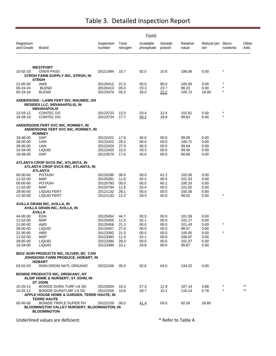|                                                                                              | Found                                                                                                                      |                                                                                              |                                                              |                                                              |                                                              |                                                                            |                                                              |                    |                |
|----------------------------------------------------------------------------------------------|----------------------------------------------------------------------------------------------------------------------------|----------------------------------------------------------------------------------------------|--------------------------------------------------------------|--------------------------------------------------------------|--------------------------------------------------------------|----------------------------------------------------------------------------|--------------------------------------------------------------|--------------------|----------------|
| Registrant<br>and Grade                                                                      | Brand                                                                                                                      | Inspection<br>number                                                                         | Total<br>nitrogen                                            | Available<br>phosphate                                       | Soluble<br>potash                                            | Relative<br>value                                                          | Refund per Micro-<br>ton                                     | nutrients          | Other<br>Add.  |
|                                                                                              |                                                                                                                            |                                                                                              |                                                              |                                                              |                                                              |                                                                            |                                                              |                    |                |
| 10-02-10                                                                                     | <b>WESTPORT</b><br><b>OVER PASS</b><br>STROH FARM SUPPLY INC, STROH, IN<br><b>STROH</b>                                    | 20121994                                                                                     | 10.7                                                         | 02.0                                                         | 10.6                                                         | 106.06                                                                     | 0.00                                                         | $\star$            |                |
| 21-00-00<br>05-24-24<br>05-24-24                                                             | AMS<br><b>BLEND</b><br><b>BLEND</b>                                                                                        | 20120412<br>20120413<br>20123374                                                             | 21.0<br>05.0<br>05.5                                         | 00.0<br>23.3<br>26.0                                         | 00.0<br>23.7<br>22.2                                         | 100.00<br>98.23<br>100.72                                                  | 0.00<br>0.00<br>18.00                                        | $\star$<br>$\star$ |                |
|                                                                                              | <b>ANDERSONS - LAWN FERT DIV, MAUMEE, OH</b><br><b>RESIDEX LLC, INDIANAPOLIS, IN</b>                                       |                                                                                              |                                                              |                                                              |                                                              |                                                                            |                                                              |                    |                |
| 12-03-12<br>18-09-18                                                                         | <b>INDIANAPOLIS</b><br><b>CONTEC DG</b><br>CONTEC DG                                                                       | 20123723<br>20123724                                                                         | 12.0<br>17.7                                                 | 03.4<br>08.2                                                 | 12.4<br>18.8                                                 | 102.61<br>99.62                                                            | 0.00<br>6.40                                                 | *<br>$\star$       |                |
|                                                                                              | ANDERSONS FERT SVC INC, ROMNEY, IN<br>ANDERSONS FERT SVC INC, ROMNEY, IN<br><b>ROMNEY</b>                                  |                                                                                              |                                                              |                                                              |                                                              |                                                                            |                                                              |                    |                |
| 18-46-00<br>28-00-00<br>28-00-00<br>10-34-00                                                 | DAP<br>UAN<br>UAN<br><b>LIQUID</b>                                                                                         | 20122421<br>20122422<br>20122424<br>20122425                                                 | 17.8<br>28.2<br>27.9<br>10.3                                 | 45.6<br>00.0<br>00.0<br>33.3                                 | 00.0<br>00.0<br>00.0<br>00.0                                 | 99.05<br>100.71<br>99.64<br>99.40                                          | 0.00<br>0.00<br>0.00<br>0.00                                 |                    |                |
| 18-46-00                                                                                     | DAP<br>ATLANTA CROP SVCS INC, ATLANTA, IN<br>ATLANTA CROP SVCS INC, ATLANTA, IN                                            | 20123570                                                                                     | 17.6                                                         | 45.6                                                         | 00.0                                                         | 98.66                                                                      | 0.00                                                         |                    |                |
| 00-00-60<br>11-52-00<br>00-00-60<br>11-52-00<br>28-00-00<br>12-30-00                         | <b>ATLANTA</b><br><b>POTASH</b><br><b>MAP</b><br><b>POTASH</b><br>MAP<br>LIQUID FERT<br>LIQUID FERT                        | 20120280<br>20120281<br>20120793<br>20120794<br>20121132<br>20121133                         | 00.0<br>11.6<br>00.0<br>11.6<br>28.1<br>12.2                 | 00.0<br>52.2<br>00.0<br>52.4<br>00.0<br>29.5                 | 61.2<br>00.0<br>60.2<br>00.0<br>00.0<br>00.0                 | 102.00<br>101.53<br>100.33<br>101.82<br>100.36<br>99.52                    | 0.00<br>0.00<br>0.00<br>0.00<br>0.00<br>0.00                 | $^\star$           |                |
|                                                                                              | AVILLA GRAIN INC, AVILLA, IN<br>AVILLA GRAIN INC, AVILLA, IN<br><b>AVILLA</b>                                              |                                                                                              |                                                              |                                                              |                                                              |                                                                            |                                                              |                    |                |
| 44-00-00<br>11-52-00<br>21-00-00<br>28-00-00<br>21-00-00<br>11-52-00<br>28-00-00<br>10-34-00 | <b>ESN</b><br>MAP<br>AMS<br><b>LIQUID</b><br>AMS<br>MAP<br><b>LIQUID</b><br><b>LIQUID</b>                                  | 20120454<br>20120455<br>20120456<br>20120457<br>20123382<br>20123383<br>20123384<br>20123385 | 44.7<br>11.5<br>21.3<br>27.6<br>21.0<br>11.4<br>28.3<br>10.1 | 00.0<br>52.1<br>00.0<br>00.0<br>00.0<br>52.1<br>00.0<br>33.8 | 00.0<br>00.0<br>00.0<br>00.0<br>00.0<br>00.0<br>00.0<br>00.0 | 101.59<br>101.17<br>101.43<br>98.57<br>100.00<br>100.97<br>101.07<br>99.87 | 0.00<br>0.00<br>0.00<br>0.00<br>0.00<br>0.00<br>0.00<br>0.00 | $^\star$           |                |
|                                                                                              | <b>BIOZ AGRI PRODUCTS INC, OLIVER, BC CAN</b><br>JOHNSONS FARM PRODUCE, HOBART, IN<br><b>HOBART</b>                        |                                                                                              |                                                              |                                                              |                                                              |                                                                            |                                                              |                    |                |
| 04-02-03                                                                                     | RAIN GROW NATL ORGANIC                                                                                                     | 20122169                                                                                     | 05.0                                                         | 02.6                                                         | 04.5                                                         | 134.22                                                                     | 0.00                                                         |                    |                |
|                                                                                              | <b>BONIDE PRODUCTS INC, ORISKANY, NY</b><br>ALSIP HOME & NURSERY, ST JOHN, IN<br><b>ST JOHN</b>                            |                                                                                              |                                                              |                                                              |                                                              |                                                                            |                                                              |                    |                |
| 10-25-12<br>10-25-12                                                                         | BONIDE DURA TURF LN SD<br><b>BONIDE DURATURF LN SD</b><br>APPLE HOUSE HOME & GARDEN, TERRE HAUTE, IN<br><b>TERRE HAUTE</b> | 20120054<br>20122205                                                                         | 10.3<br>10.8                                                 | 27.3<br>28.7                                                 | 12.9<br>15.1                                                 | 107.14<br>116.14                                                           | 0.88<br>0.78                                                 | $\star$            | $***$<br>$***$ |
| 00-45-00                                                                                     | BONIDE TRIPLE SUPER PH<br><b>BLOOMINGTON VALLEY NURSERY, BLOOMINGTON, IN</b><br><b>BLOOMINGTON</b>                         | 20122159                                                                                     | 00.0                                                         | 41.4                                                         | 00.0                                                         | 92.00                                                                      | 28.80                                                        |                    |                |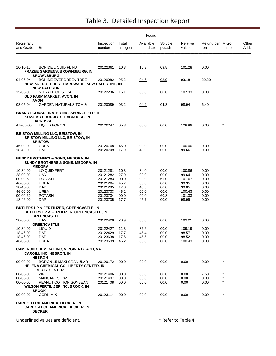|                         |                                                                                                                       |                      |                   | Found                  |                   |                   |                          |           |               |
|-------------------------|-----------------------------------------------------------------------------------------------------------------------|----------------------|-------------------|------------------------|-------------------|-------------------|--------------------------|-----------|---------------|
| Registrant<br>and Grade | Brand                                                                                                                 | Inspection<br>number | Total<br>nitrogen | Available<br>phosphate | Soluble<br>potash | Relative<br>value | Refund per Micro-<br>ton | nutrients | Other<br>Add. |
|                         |                                                                                                                       |                      |                   |                        |                   |                   |                          |           |               |
| $10 - 10 - 10$          | <b>BONIDE LIQUID PL FD</b><br>FRAZEE GARDENS, BROWNSBURG, IN<br><b>BROWNSBURG</b>                                     | 20122361             | 10.3              | 10.3                   | 09.8              | 101.28            | 0.00                     |           |               |
| 04-06-04                | <b>BONIDE EVERGREEN TREE</b><br>NEW PAL DO IT BEST HARDWARE, NEW PALESTINE, IN<br><b>NEW PALESTINE</b>                | 20120082             | 05.2              | 04.6                   | 02.9              | 93.18             | 22.20                    |           |               |
| 15-00-00                | NITRATE OF SODA<br>OLD FARM MARKET, AVON, IN<br><b>AVON</b>                                                           | 20122236             | 16.1              | 00.0                   | 00.0              | 107.33            | 0.00                     |           |               |
| 03-05-04                | <b>GARDEN NATURALS TOM &amp;</b>                                                                                      | 20120089             | 03.2              | 04.2                   | 04.3              | 98.94             | 6.40                     |           |               |
|                         | <b>BRANDT CONSOLIDATED INC, SPRINGFIELD, IL</b><br>KOVA AG PRODUCTS, LACROSSE, IN<br><b>LACROSSE</b>                  |                      |                   |                        |                   |                   |                          |           |               |
| 4.5-00-00               | LIQUID BORON                                                                                                          | 20120247             | 05.8              | 00.0                   | 00.0              | 128.89            | 0.00                     | $^\star$  |               |
|                         | <b>BRISTOW MILLING LLC, BRISTOW, IN</b><br><b>BRISTOW MILLING LLC, BRISTOW, IN</b><br><b>BRISTOW</b>                  |                      |                   |                        |                   |                   |                          |           |               |
| 46-00-00<br>18-46-00    | <b>UREA</b><br>DAP                                                                                                    | 20120708<br>20120709 | 46.0<br>17.9      | 00.0<br>45.9           | 00.0<br>00.0      | 100.00<br>99.66   | 0.00<br>0.00             |           |               |
|                         | <b>BUNDY BROTHERS &amp; SONS, MEDORA, IN</b><br><b>BUNDY BROTHERS &amp; SONS, MEDORA, IN</b><br><b>MEDORA</b>         |                      |                   |                        |                   |                   |                          |           |               |
| 10-34-00                | <b>LOIQUID FERT</b>                                                                                                   | 20121281             | 10.3              | 34.0                   | 00.0              | 100.86            | 0.00                     |           |               |
| 28-00-00                | UAN                                                                                                                   | 20121282             | 27.9              | 00.0                   | 00.0              | 99.64             | 0.00                     |           |               |
| 00-00-60                | <b>POTASH</b>                                                                                                         | 20121283             | 00.0              | 00.0                   | 61.0              | 101.67            | 0.00                     |           |               |
| 46-00-00                | UREA                                                                                                                  | 20121284             | 45.7              | 00.0                   | 00.0              | 99.35             | 0.00                     |           |               |
| 18-46-00                | DAP                                                                                                                   | 20121285             | 17.8              | 45.6                   | 00.0              | 99.05             | 0.00                     |           |               |
| 46-00-00                | UREA                                                                                                                  | 20123733             | 46.2              | 00.0                   | 00.0              | 100.43            | 0.00                     |           |               |
| 00-00-60                | <b>POTASH</b>                                                                                                         | 20123734             | 00.0              | 00.0                   | 60.8              | 101.33            | 0.00                     |           |               |
| 18-46-00                | <b>DAP</b>                                                                                                            | 20123735             | 17.7              | 45.7                   | 00.0              | 98.99             | 0.00                     |           |               |
|                         | <b>BUTLERS LP &amp; FERTILIZER, GREENCASTLE, IN</b><br>BUTLERS LP & FERTILIZER, GREENCASTLE, IN<br><b>GREENCASTLE</b> |                      |                   |                        |                   |                   |                          |           |               |
| 28-00-00                | UAN                                                                                                                   | 20122428             | 28.9              | 00.0                   | 00.0              | 103.21            | 0.00                     |           |               |
|                         | <b>GREENCASTLE</b>                                                                                                    |                      |                   |                        |                   |                   |                          |           |               |
| 10-34-00                | LIQUID                                                                                                                | 20122427             | 11.3              | 36.6                   | 00.0              | 109.19            | 0.00                     |           |               |
| 18-46-00                | <b>DAP</b>                                                                                                            | 20122429             | 17.7              | 45.4                   | 00.0              | 98.57             | 0.00                     |           |               |
| 18-46-00                | DAP                                                                                                                   | 20123638             | 17.6              | 45.5                   | 00.0              | 98.52             | 0.00                     |           |               |
| 46-00-00                | <b>UREA</b>                                                                                                           | 20123639             | 46.2              | 00.0                   | 00.0              | 100.43            | 0.00                     |           |               |
|                         | <b>CAMERON CHEMICAL INC, VIRGINIA BEACH, VA</b><br><b>CARGILL INC, HEBRON, IN</b><br><b>HEBRON</b>                    |                      |                   |                        |                   |                   |                          |           |               |
| $00 - 00 - 00$          | BORON 15 MAXI GRANULAR<br>HELENA CHEMICAL CO, LIBERTY CENTER, IN<br><b>LIBERTY CENTER</b>                             | 20120172             | 00.0              | 00.0                   | 00.0              | 0.00              | 0.00                     |           |               |
| 00-00-00                | <b>ZINC</b>                                                                                                           | 20121406             | 00.0              | 00.0                   | 00.0              | 0.00              | 7.50                     |           |               |
| 00-00-00                | MANGANESE 32                                                                                                          | 20121407             | 00.0              | 00.0                   | 00.0              | 0.00              | 0.00                     | $^\star$  |               |
| 00-00-00                | PEANUT COTTON SOYBEAN<br>WILSON FERTILIZER INC, BROOK, IN<br><b>BROOK</b>                                             | 20121408             | 00.0              | 00.0                   | 00.0              | 0.00              | 0.00                     | $\star$   |               |
| 00-00-00                | <b>CORN MIX</b>                                                                                                       | 20123114             | 00.0              | 00.0                   | 00.0              | 0.00              | 0.00                     | $\star$   |               |
|                         | <b>CARBO-TECH AMERICA, DECKER, IN</b><br><b>CARBO-TECH AMERICA, DECKER, IN</b><br><b>DECKER</b>                       |                      |                   |                        |                   |                   |                          |           |               |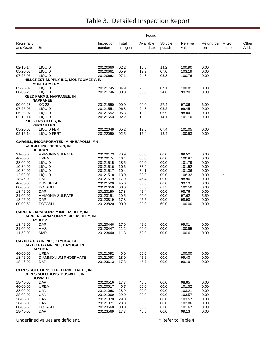|                         |                                                                                                         |                      |                   | Found                  |                   |                   |                          |           |               |
|-------------------------|---------------------------------------------------------------------------------------------------------|----------------------|-------------------|------------------------|-------------------|-------------------|--------------------------|-----------|---------------|
| Registrant<br>and Grade | <b>Brand</b>                                                                                            | Inspection<br>number | Total<br>nitrogen | Available<br>phosphate | Soluble<br>potash | Relative<br>value | Refund per Micro-<br>ton | nutrients | Other<br>Add. |
|                         |                                                                                                         |                      |                   |                        |                   |                   |                          |           |               |
| 02-16-14                | <b>LIQUID</b>                                                                                           | 20120660             | 02.2              | 15.8                   | 14.2              | 100.90            | 0.00                     |           |               |
| 05-20-07                | <b>LIQUID</b>                                                                                           | 20120661             | 05.9              | 19.9                   | 07.0              | 103.19            | 0.00                     |           |               |
| 07-25-05                | <b>LIQUID</b><br>HILLCREST SUPPLY INC, MONTGOMERY, IN                                                   | 20120662             | 07.1              | 24.8                   | 05.3              | 100.76            | 0.00                     |           |               |
|                         | <b>MONTGOMERY</b>                                                                                       |                      |                   |                        |                   |                   |                          |           |               |
| 05-20-07                | <b>LIQUID</b>                                                                                           | 20121745             | 04.9              | 20.3                   | 07.1              | 100.81            | 0.00                     |           |               |
| 00-00-25                | <b>LIQUID</b>                                                                                           | 20121746             | 00.0              | 00.0                   | 24.8              | 99.20             | 0.00                     |           |               |
|                         | <b>REED FARMS, NAPPANEE, IN</b><br><b>NAPPANEE</b>                                                      |                      |                   |                        |                   |                   |                          |           |               |
| 00-00-28                | <b>KC-28</b>                                                                                            | 20121550             | 00.0              | 00.0                   | 27.4              | 97.86             | 6.00                     |           |               |
| 07-25-05                | <b>LIQUID</b>                                                                                           | 20121551             | 06.8              | 24.8                   | 05.2              | 99.45             | 0.00                     |           |               |
| 05-20-07                | <b>LIQUID</b>                                                                                           | 20121552             | 05.3              | 19.3                   | 06.9              | 98.84             | 0.00                     |           |               |
| 02-16-14                | <b>LIQUID</b><br><b>RJE, VERSAILLES, IN</b>                                                             | 20121553             | 02.2              | 16.0                   | 14.1              | 101.10            | 0.00                     |           |               |
|                         | <b>VERSAILLES</b>                                                                                       |                      |                   |                        |                   |                   |                          |           |               |
| 05-20-07                | <b>LIQUID FERT</b>                                                                                      | 20122049             | 05.2              | 19.6                   | 07.4              | 101.05            | 0.00                     |           |               |
| 02-16-14                | <b>LIQUID FERT</b>                                                                                      | 20122050             | 02.5              | 16.4                   | 13.4              | 100.93            | 0.00                     |           |               |
|                         | <b>CARGILL, INCORPORATED, MINNEAPOLIS, MN</b><br><b>CARGILL INC, HEBRON, IN</b>                         |                      |                   |                        |                   |                   |                          |           |               |
| 21-00-00                | <b>HEBRON</b><br>AMMONIA SULFATE                                                                        | 20120173             | 20.9              | 00.0                   | 00.0              | 99.52             | 0.00                     |           |               |
| 46-00-00                | UREA                                                                                                    | 20120174             | 46.4              | 00.0                   | 00.0              | 100.87            | 0.00                     |           |               |
| 28-00-00                | <b>LIQUID</b>                                                                                           | 20121515             | 28.5              | 00.0                   | 00.0              | 101.79            | 0.00                     |           |               |
| 10-34-00                | <b>LIQUID</b>                                                                                           | 20121516             | 10.6              | 33.9                   | 00.0              | 101.52            | 0.00                     |           |               |
| 10-34-00<br>12-00-00    | <b>LIQUID</b><br><b>LIQUID</b>                                                                          | 20121517<br>20121518 | 10.4<br>13.0      | 34.1<br>00.0           | 00.0<br>00.0      | 101.36<br>108.33  | 0.00<br>0.00             |           |               |
| 18-46-00                | <b>DAP</b>                                                                                              | 20121519             | 17.9              | 45.4                   | 00.0              | 98.96             | 0.00                     |           |               |
| 46-00-00                | DRY UREA                                                                                                | 20121520             | 45.6              | 00.0                   | 00.0              | 99.13             | 0.00                     |           |               |
| 00-00-60                | <b>POTASH</b>                                                                                           | 20121650             | 00.0              | 00.0                   | 61.5              | 102.50            | 0.00                     |           |               |
| 18-46-00<br>21-00-00    | <b>DAP</b>                                                                                              | 20123150             | 17.8              | 45.4                   | 00.0              | 98.76<br>97.62    | 0.00<br>5.50             |           |               |
| 18-46-00                | <b>AMMONIA SULFATE</b><br><b>DAP</b>                                                                    | 20123151<br>20123819 | 20.5<br>17.8      | 00.0<br>45.5           | 00.0<br>00.0      | 98.90             | 0.00                     |           |               |
| 00-00-60                | <b>POTASH</b>                                                                                           | 20123820             | 00.0              | 00.0                   | 60.0              | 100.00            | 0.00                     |           |               |
|                         | <b>CARPER FARM SUPPLY INC, ASHLEY, IN</b><br><b>CARPER FARM SUPPLY INC, ASHLEY, IN</b><br><b>ASHLEY</b> |                      |                   |                        |                   |                   |                          |           |               |
| 18-46-00                | <b>DAP</b>                                                                                              | 20120446             | 17.9              | 46.0                   | 00.0              | 99.81             | 0.00                     |           |               |
| 21-00-00                | AMS                                                                                                     | 20120447             | 21.2              | 00.0                   | 00.0              | 100.95            | 0.00                     |           |               |
| 11-52-00                | <b>MAP</b>                                                                                              | 20123440             | 11.3              | 52.0                   | 00.0              | 100.61            | 0.00                     |           |               |
|                         | CAYUGA GRAIN INC., CAYUGA, IN<br>CAYUGA GRAIN INC., CAYUGA, IN                                          |                      |                   |                        |                   |                   |                          |           |               |
| 46-00-00                | <b>CAYUGA</b><br><b>UREA</b>                                                                            | 20121092             | 46.0              | 00.0                   | 00.0              | 100.00            | 0.00                     |           |               |
| 18-46-00                | DIAMMONIUM PHOSPHATE                                                                                    | 20121093             | 18.0              | 45.6                   | 00.0              | 99.43             | 0.00                     |           |               |
| 18-46-00                | DAP                                                                                                     | 20123613             | 17.8              | 45.7                   | 00.0              | 99.19             | 0.00                     |           |               |
|                         | <b>CERES SOLUTIONS LLP, TERRE HAUTE, IN</b><br><b>CERES SOLUTIONS, BOSWELL, IN</b><br><b>BOSWELL</b>    |                      |                   |                        |                   |                   |                          |           |               |
| 18-46-00                | DAP                                                                                                     | 20120516             | 17.7              | 45.6                   | 00.0              | 98.85             | 0.00                     |           |               |
| 46-00-00                | <b>UREA</b>                                                                                             | 20120517             | 46.7              | 00.0                   | 00.0              | 101.52            | 0.00                     |           |               |
| 28-00-00                | UAN                                                                                                     | 20121068             | 28.9              | 00.0                   | 00.0              | 103.21            | 0.00                     |           |               |
| 28-00-00<br>28-00-00    | <b>UAN</b><br>UAN                                                                                       | 20121069<br>20121070 | 29.0<br>29.0      | 00.0<br>00.0           | 00.0<br>00.0      | 103.57<br>103.57  | 0.00<br>0.00             |           |               |
| 28-00-00                | UAN                                                                                                     | 20121071             | 28.8              | 00.0                   | 00.0              | 102.86            | 0.00                     |           |               |
| 00-00-60                | <b>POTASH</b>                                                                                           | 20123568             | 00.0              | 00.0                   | 61.0              | 101.67            | 0.00                     |           |               |
| 18-46-00                | DAP                                                                                                     | 20123569             | 17.7              | 45.8                   | 00.0              | 99.13             | 0.00                     |           |               |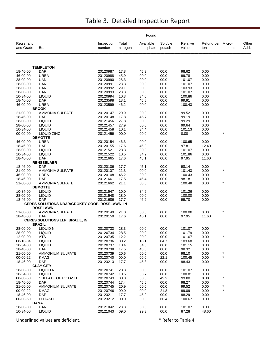|                         |                                                |                      |                   | Found                  |                   |                   |                          |           |               |
|-------------------------|------------------------------------------------|----------------------|-------------------|------------------------|-------------------|-------------------|--------------------------|-----------|---------------|
| Registrant<br>and Grade | Brand                                          | Inspection<br>number | Total<br>nitrogen | Available<br>phosphate | Soluble<br>potash | Relative<br>value | Refund per Micro-<br>ton | nutrients | Other<br>Add. |
|                         |                                                |                      |                   |                        |                   |                   |                          |           |               |
|                         | <b>TEMPLETON</b>                               |                      |                   |                        |                   |                   |                          |           |               |
| 18-46-00                | DAP                                            | 20120987             | 17.8              | 45.3                   | 00.0              | 98.62             | 0.00                     |           |               |
| 46-00-00                | <b>UREA</b>                                    | 20120988             | 45.9              | 00.0                   | 00.0              | 99.78             | 0.00                     |           |               |
| 28-00-00<br>28-00-00    | UAN<br>UAN                                     | 20120990<br>20120991 | 28.3<br>28.3      | 00.0<br>00.0           | 00.0<br>00.0      | 101.07<br>101.07  | 0.00<br>0.00             |           |               |
| 28-00-00                | UAN                                            | 20120992             | 29.1              | 00.0                   | 00.0              | 103.93            | 0.00                     |           |               |
| 28-00-00                | <b>UAN</b>                                     | 20120993             | 28.3              | 00.0                   | 00.0              | 101.07            | 0.00                     |           |               |
| 10-34-00                | <b>LIQUID</b>                                  | 20120994             | 10.3              | 34.0                   | 00.0              | 100.86            | 0.00                     |           |               |
| 18-46-00                | DAP                                            | 20123598             | 18.1              | 45.8                   | 00.0              | 99.91             | 0.00                     |           |               |
| 46-00-00                | <b>UREA</b>                                    | 20123599             | 46.2              | 00.0                   | 00.0              | 100.43            | 0.00                     |           |               |
|                         | <b>BROOK</b>                                   |                      |                   |                        |                   |                   |                          |           |               |
| 21-00-00                | <b>AMMONIA SULFATE</b>                         | 20120147             | 20.9              | 00.0                   | 00.0              | 99.52             | 0.00                     |           |               |
| 18-46-00                | DAP                                            | 20120148             | 17.8              | 45.7                   | 00.0              | 99.19             | 0.00                     |           |               |
| 28-00-00                | <b>LIQUID</b>                                  | 20121456             | 27.8              | 00.0                   | 00.0              | 99.29             | 0.00                     |           |               |
| 28-00-00                | <b>LIQUID</b>                                  | 20121457             | 27.9              | 00.0                   | 00.0              | 99.64             | 0.00                     |           |               |
| 10-34-00                | <b>LIQUID</b>                                  | 20121458             | 10.1              | 34.4                   | 00.0              | 101.13            | 0.00                     |           |               |
| 00-00-00                | LIQUID ZINC                                    | 20121459             | 00.0              | 00.0                   | 00.0              | 0.00              | 0.00                     |           |               |
| 46-00-00                | <b>DEMOTTE</b><br><b>UREA</b>                  | 20120154             | 46.3              | 00.0                   | 00.0              | 100.65            | 0.00                     |           |               |
| 18-46-00                | DAP                                            | 20120155             | 17.6              | 45.0                   | 00.0              | 97.81             | 12.40                    |           |               |
| 28-00-00                | <b>LIQUID</b>                                  | 20121521             | 28.3              | 00.0                   | 00.0              | 101.07            | 0.00                     |           |               |
| 10-34-00                | <b>LIQUID</b>                                  | 20121522             | 10.5              | 34.2                   | 00.0              | 101.86            | 0.00                     |           |               |
| 18-46-00                | DAP                                            | 20121665             | 17.6              | 45.1                   | 00.0              | 97.95             | 11.60                    |           |               |
|                         | <b>RENSSELAER</b>                              |                      |                   |                        |                   |                   |                          |           |               |
| 18-46-00                | <b>DAP</b>                                     | 20120106             | 17.7              | 45.1                   | 00.0              | 98.14             | 0.00                     |           |               |
| 21-00-00                | <b>AMMONIA SULFATE</b>                         | 20120107             | 21.3              | 00.0                   | 00.0              | 101.43            | 0.00                     |           |               |
| 46-00-00                | UREA                                           | 20120108             | 46.2              | 00.0                   | 00.0              | 100.43            | 0.00                     |           |               |
| 18-46-00                | DAP                                            | 20121661             | 17.5              | 45.4                   | 00.0              | 98.18             | 0.00                     |           |               |
| 21-00-00                | <b>AMMONIA SULFATE</b>                         | 20121662             | 21.1              | 00.0                   | 00.0              | 100.48            | 0.00                     | $\star$   |               |
|                         | <b>DEMOTTE</b>                                 |                      |                   |                        |                   |                   |                          |           |               |
| 10-34-00                | <b>LIQUID</b>                                  | 20121547             | 10.0              | 34.6                   | 00.0              | 101.26            | 0.00                     |           |               |
| 28-00-00<br>18-46-00    | <b>LIQUID</b><br>DAP                           | 20121548<br>20121686 | 28.0<br>17.7      | 00.0<br>46.2           | 00.0<br>00.0      | 100.00<br>99.70   | 0.00<br>0.00             |           |               |
|                         | CERES SOLUTIONS DBA/AGROKEY COOP, ROSELAWN, IN |                      |                   |                        |                   |                   |                          |           |               |
|                         | <b>ROSELAWN</b>                                |                      |                   |                        |                   |                   |                          |           |               |
| 21-00-00                | <b>AMMONIA SULFATE</b>                         | 20120149             | 21.0              | 00.0                   | 00.0              | 100.00            | 0.00                     | $\star$   |               |
| 18-46-00                | DAP                                            | 20120150             | 17.6              | 45.1                   | 00.0              | 97.95             | 11.60                    |           |               |
|                         | CERES SOLUTIONS LLP, BRAZIL, IN                |                      |                   |                        |                   |                   |                          |           |               |
|                         | <b>BRAZIL</b>                                  |                      |                   |                        |                   |                   |                          |           |               |
| 28-00-00                | LIQUID N                                       | 20120733             | 28.3              | 00.0                   | 00.0              | 101.07            | 0.00                     |           |               |
| 28-00-00                | <b>LIQUID</b>                                  | 20120734             | 28.5              | 00.0                   | 00.0              | 101.79            | 0.00                     |           |               |
| 12-00-00                | <b>ATS</b>                                     | 20120735             | 12.2              | 00.0                   | 00.0              | 101.67            | 0.00                     | $\star$   |               |
| 08-18-04                | <b>LIQUID</b>                                  | 20120736             | 08.2              | 18.1                   | 04.7              | 103.68            | 0.00                     |           |               |
| 10-34-00                | <b>LIQUID</b>                                  | 20120737             | 10.4              | 34.0                   | 00.0              | 101.15            | 0.00                     |           |               |
| 18-46-00<br>21-00-00    | <b>DAP</b>                                     | 20120738<br>20120739 | 17.5<br>20.6      | 45.5<br>00.0           | 00.0<br>00.0      | 98.32<br>98.10    | 0.00<br>0.00             | $\star$   |               |
| 00-00-22                | AMMONIUM SULFATE<br>KMAG                       | 20120740             | 00.0              | 00.0                   | 22.1              | 100.45            | 0.00                     | $\star$   |               |
| 18-46-00                | <b>DAP</b>                                     | 20123213             | 17.7              | 45.3                   | 00.0              | 98.43             | 0.00                     |           |               |
|                         | <b>CLAY CITY</b>                               |                      |                   |                        |                   |                   |                          |           |               |
| 28-00-00                | LIQUID N                                       | 20120741             | 28.3              | 00.0                   | 00.0              | 101.07            | 0.00                     |           |               |
| 10-34-00                | <b>LIQUID</b>                                  | 20120742             | 10.5              | 33.7                   | 00.0              | 100.81            | 0.00                     |           |               |
| 00-00-50                | SULFATE OF POTASH                              | 20120743             | 00.0              | 00.0                   | 49.9              | 99.80             | 0.00                     | $\ast$    |               |
| 18-46-00                | <b>DAP</b>                                     | 20120744             | 17.4              | 45.6                   | 00.0              | 98.27             | 0.00                     |           |               |
| 21-00-00                | <b>AMMONIUM SULFATE</b>                        | 20120745             | 20.9              | 00.0                   | 00.0              | 99.52             | 0.00                     |           |               |
| 00-00-22                | <b>KMAG</b>                                    | 20120746             | 00.0              | 00.0                   | 21.8              | 99.09             | 0.00                     | $\star$   |               |
| 18-46-00                | <b>DAP</b>                                     | 20123211             | 17.7              | 45.2                   | 00.0              | 98.29             | 0.00                     |           |               |
| 00-00-60                | <b>POTASH</b>                                  | 20123212             | 00.0              | 00.0                   | 60.4              | 100.67            | 0.00                     |           |               |
|                         | DANA                                           |                      |                   |                        |                   |                   |                          |           |               |
| 28-00-00                | UAN                                            | 20121042             | 28.3              | 00.0                   | 00.0              | 101.07            | 0.00                     |           |               |
| 10-34-00                | <b>LIQUID</b>                                  | 20121043             | 09.0              | 29.3                   | 00.0              | 87.28             | 48.60                    |           |               |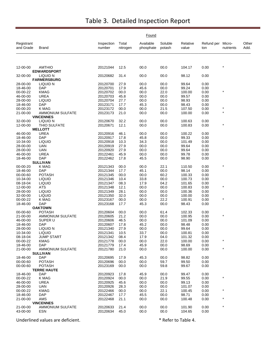|                         |                                     |                      | Found             |                        |                   |                   |                          |           |               |
|-------------------------|-------------------------------------|----------------------|-------------------|------------------------|-------------------|-------------------|--------------------------|-----------|---------------|
| Registrant<br>and Grade | Brand                               | Inspection<br>number | Total<br>nitrogen | Available<br>phosphate | Soluble<br>potash | Relative<br>value | Refund per Micro-<br>ton | nutrients | Other<br>Add. |
|                         |                                     |                      |                   |                        |                   |                   |                          | $\star$   |               |
| 12-00-00                | <b>AMTHIO</b><br><b>EDWARDSPORT</b> | 20121044             | 12.5              | 00.0                   | 00.0              | 104.17            | 0.00                     |           |               |
| 32-00-00                | LIQUID N<br><b>FARMERSBURG</b>      | 20120682             | 31.4              | 00.0                   | 00.0              | 98.12             | 0.00                     |           |               |
| 28-00-00                | LIQUID N                            | 20120700             | 27.9              | 00.0                   | 00.0              | 99.64             | 0.00                     |           |               |
| 18-46-00                | <b>DAP</b>                          | 20120701             | 17.9              | 45.6                   | 00.0              | 99.24             | 0.00                     |           |               |
| 00-00-22                | <b>KMAG</b>                         | 20120702             | 00.0              | 00.0                   | 22.0              | 100.00            | 0.00                     |           |               |
| 46-00-00<br>28-00-00    | <b>UREA</b><br><b>LIQUID</b>        | 20120703<br>20120704 | 45.8<br>27.7      | 00.0<br>00.0           | 00.0<br>00.0      | 99.57<br>98.93    | 0.00<br>0.00             |           |               |
| 18-46-00                | <b>DAP</b>                          | 20123171             | 17.7              | 45.3                   | 00.0              | 98.43             | 0.00                     |           |               |
| 00-00-20                | K MAG                               | 20123172             | 00.0              | 00.0                   | 21.5              | 107.50            | 0.00                     | $\star$   |               |
| 21-00-00                | AMMONIUM SULFATE                    | 20123173             | 21.0              | 00.0                   | 00.0              | 100.00            | 0.00                     |           |               |
|                         | <b>VINCENNES</b>                    |                      |                   |                        |                   |                   |                          |           |               |
| 32-00-00                | LIQUID N                            | 20120670             | 32.2              | 00.0                   | 00.0              | 100.63            | 0.00                     |           |               |
| 12-00-00                | <b>THIO SULFATE</b>                 | 20120671             | 12.1              | 00.0                   | 00.0              | 100.83            | 0.00                     | $\star$   |               |
| 46-00-00                | <b>MELLOTT</b><br><b>UREA</b>       | 20120916             | 46.1              | 00.0                   | 00.0              | 100.22            | 0.00                     |           |               |
| 18-46-00                | <b>DAP</b>                          | 20120917             | 17.8              | 45.8                   | 00.0              | 99.33             | 0.00                     |           |               |
| 10-34-00                | <b>LIQUID</b>                       | 20120918             | 10.3              | 34.3                   | 00.0              | 101.49            | 0.00                     |           |               |
| 28-00-00                | <b>UAN</b>                          | 20120919             | 27.9              | 00.0                   | 00.0              | 99.64             | 0.00                     |           |               |
| 28-00-00                | UAN                                 | 20120920             | 27.9              | 00.0                   | 00.0              | 99.64             | 0.00                     |           |               |
| 46-00-00                | <b>UREA</b>                         | 20122461             | 45.9              | 00.0                   | 00.0              | 99.78             | 0.00                     |           |               |
| 18-46-00                | DAP                                 | 20122462             | 17.8              | 45.5                   | 00.0              | 98.90             | 0.00                     |           |               |
|                         | <b>SULLIVAN</b>                     |                      |                   |                        |                   |                   |                          | $\star$   |               |
| 00-00-20<br>18-46-00    | K MAG<br><b>DAP</b>                 | 20121343<br>20121344 | 00.0<br>17.7      | 00.0<br>45.1           | 22.1<br>00.0      | 110.50<br>98.14   | 0.00<br>0.00             |           |               |
| 00-00-60                | <b>POTASH</b>                       | 20121345             | 00.0              | 00.0                   | 60.2              | 100.33            | 0.00                     |           |               |
| 10-34-00                | <b>LIQUID</b>                       | 20121346             | 10.4              | 33.8                   | 00.0              | 100.73            | 0.00                     |           |               |
| 08-18-04                | <b>LIQUID</b>                       | 20121347             | 08.3              | 17.9                   | 04.2              | 101.65            | 0.00                     |           |               |
| 12-00-00                | ATS                                 | 20121348             | 12.1              | 00.0                   | 00.0              | 100.83            | 0.00                     | $\star$   |               |
| 28-00-00                | <b>LIQUID</b>                       | 20121349             | 28.1              | 00.0                   | 00.0              | 100.36            | 0.00                     |           |               |
| 32-00-00                | <b>LIQUID</b>                       | 20121350             | 32.0              | 00.0                   | 00.0              | 100.00            | 0.00                     |           |               |
| 00-00-22                | K MAG                               | 20123167             | 00.0              | 00.0                   | 22.2              | 100.91            | 0.00                     | $\star$   |               |
| 18-46-00                | <b>DAP</b><br><b>OAKTOWN</b>        | 20123168             | 17.7              | 45.3                   | 00.0              | 98.43             | 0.00                     |           |               |
| 00-00-60                | <b>POTASH</b>                       | 20120604             | 00.0              | 00.0                   | 61.4              | 102.33            | 0.00                     |           |               |
| 21-00-00                | <b>AMMONIUM SULFATE</b>             | 20120605             | 21.2              | 00.0                   | 00.0              | 100.95            | 0.00                     |           |               |
| 46-00-00                | SUPER U                             | 20120606             | 46.5              | 00.0                   | 00.0              | 101.09            | 0.00                     |           |               |
| 18-46-00                | <b>DAP</b>                          | 20120607             | 17.8              | 45.2                   | 00.0              | 98.48             | 0.00                     |           |               |
| 28-00-00                | LIQUID N                            | 20121340             | 27.9              | 00.0                   | 00.0              | 99.64             | 0.00                     |           |               |
| 10-34-00                | <b>LIQUID</b>                       | 20121341             | 10.5              | 33.7                   | 00.0              | 100.81            | 0.00                     |           |               |
| 08-18-04                | <b>JUMP START</b>                   | 20121342             | 08.4              | 17.9                   | 04.0              | 101.32            | 0.00                     |           |               |
| 00-00-22<br>18-46-00    | <b>KMAG</b><br>DAP.                 | 20121778<br>20121779 | 00.0<br>17.4      | 00.0<br>45.9           | 22.0<br>00.0      | 100.00<br>98.69   | 0.00<br>0.00             |           |               |
| 21-00-00                | <b>AMMONIUM SULFATE</b>             | 20121780             | 21.0              | 00.0                   | 00.0              | 100.00            | 0.00                     | $\star$   |               |
|                         | <b>SULLIVAN</b>                     |                      |                   |                        |                   |                   |                          |           |               |
| 18-46-00                | <b>DAP</b>                          | 20120695             | 17.9              | 45.3                   | 00.0              | 98.82             | 0.00                     |           |               |
| 00-00-60                | <b>POTASH</b>                       | 20120696             | 00.0              | 00.0                   | 59.7              | 99.50             | 0.00                     |           |               |
| 00-00-60                | <b>POTASH</b>                       | 20123169             | 00.0              | 00.0                   | 59.8              | 99.67             | 0.00                     |           |               |
|                         | <b>TERRE HAUTE</b>                  |                      |                   |                        |                   |                   |                          |           |               |
| 18-46-00<br>00-00-22    | <b>DAP</b><br>K MAG                 | 20120923<br>20120924 | 17.8<br>00.0      | 45.9<br>00.0           | 00.0<br>21.9      | 99.47<br>99.55    | 0.00<br>0.00             | $^\star$  |               |
| 46-00-00                | UREA                                | 20120925             | 45.6              | 00.0                   | 00.0              | 99.13             | 0.00                     |           |               |
| 28-00-00                | UAN                                 | 20120926             | 28.3              | 00.0                   | 00.0              | 101.07            | 0.00                     |           |               |
| 00-00-22                | KMAG                                | 20122466             | 00.0              | 00.0                   | 22.1              | 100.45            | 0.00                     | $\star$   |               |
| 18-46-00                | <b>DAP</b>                          | 20122467             | 17.7              | 45.5                   | 00.0              | 98.71             | 0.00                     |           |               |
| 21-00-00                | AMS                                 | 20122468             | 21.1              | 00.0                   | 00.0              | 100.48            | 0.00                     |           |               |
|                         | <b>VINCENNES</b>                    |                      |                   |                        |                   |                   |                          |           |               |
| 21-00-00                | <b>AMMONIUM SULFATE</b>             | 20120633             | 21.4              | 00.0                   | 00.0              | 101.90            | 0.00                     | $\star$   |               |
| 43-00-00                | ESN                                 | 20120634             | 45.0              | 00.0                   | 00.0              | 104.65            | 0.00                     |           |               |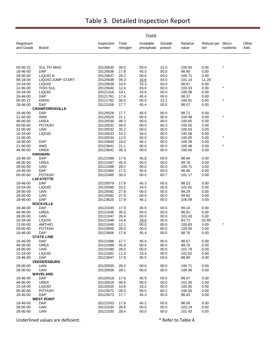|                         |                              |                      |                   | Found                  |                   |                   |                   |                     |               |
|-------------------------|------------------------------|----------------------|-------------------|------------------------|-------------------|-------------------|-------------------|---------------------|---------------|
| Registrant<br>and Grade | <b>Brand</b>                 | Inspection<br>number | Total<br>nitrogen | Available<br>phosphate | Soluble<br>potash | Relative<br>value | Refund per<br>ton | Micro-<br>nutrients | Other<br>Add. |
|                         |                              |                      |                   |                        |                   |                   |                   |                     |               |
| 00-00-22                | <b>SUL PO MAG</b>            | 20120635             | 00.0              | 00.0                   | 22.0              | 100.00            | 0.00              |                     |               |
| 18-46-00                | <b>DAP</b>                   | 20120636             | 17.8              | 45.5                   | 00.0              | 98.90             | 0.00              |                     |               |
| 28-00-00                | LIQUID N                     | 20120637             | 28.2              | 00.0                   | 00.0              | 100.71            | 0.00              |                     |               |
| 08-18-04                | LIQUID-JUMP START            | 20120638             | 09.3              | 16.6                   | 04.0              | 101.14            | 11.20             |                     |               |
| 10-34-00                | <b>LIQUID</b>                | 20120639             | 10.5              | 33.3                   | 00.0              | 99.97             | 0.00              |                     |               |
| 12-00-00                | THIO SUL                     | 20120640             | 12.4              | 00.0                   | 00.0              | 103.33            | 0.00              | $\ast$              |               |
| 10-34-00                | <b>LIQUID</b>                | 20121316             | 10.1              | 33.9                   | 00.0              | 100.08            | 0.00              |                     |               |
| 18-46-00                | <b>DAP</b>                   | 20121781             | 17.6              | 45.4                   | 00.0              | 98.37             | 0.00              |                     |               |
| 00-00-22                | <b>KMAG</b>                  | 20121782             | 00.0              | 00.0                   | 22.2              | 100.91            | 0.00              | $\star$             |               |
| 18-46-00                | <b>DAP</b>                   | 20123159             | 17.7              | 45.4                   | 00.0              | 98.57             | 0.00              |                     |               |
|                         | <b>CRAWFORDSVILLE</b>        |                      |                   |                        |                   |                   |                   |                     |               |
| 18-46-00                | <b>DAP</b>                   | 20120528             | 17.7              | 45.5                   | 00.0              | 98.71             | 0.00              |                     |               |
| 21-00-00                | <b>AMS</b>                   | 20120529             | 21.1              | 00.0                   | 00.0              | 100.48            | 0.00              | $\star$             |               |
| 46-00-00                | <b>UREA</b>                  | 20120530             | 46.3              | 00.0                   | 00.0              | 100.65            | 0.00              |                     |               |
| 00-00-60                | <b>POTASH</b>                | 20120531             | 00.0              | 00.0                   | 60.3              | 100.50            | 0.00              |                     |               |
| 32-00-00                | <b>UAN</b>                   | 20120532             | 32.2              | 00.0                   | 00.0              | 100.63            | 0.00              |                     |               |
| 10-34-00                | <b>LIQUID</b>                | 20120533             | 10.2              | 34.0                   | 00.0              | 100.58            | 0.00              | $\star$             |               |
| 12-00-00                |                              | 20120534             | 12.0              | 00.0                   | 00.0              | 100.00            | 0.00              |                     |               |
| 18-46-00                | <b>DAP</b>                   | 20123640             | 18.0              | 46.2                   | 00.0              | 100.28            | 0.00              |                     |               |
| 21-00-00                | AMS                          | 20123641             | 21.1              | 00.0                   | 00.0              | 100.48            | 0.00              |                     |               |
| 46-00-00                | <b>UREA</b>                  | 20123642             | 46.3              | 00.0                   | 00.0              | 100.65            | 0.00              |                     |               |
| 18-46-00                | <b>KINGMAN</b><br><b>DAP</b> | 20121096             | 17.6              | 45.8                   | 00.0              | 98.94             | 0.00              |                     |               |
| 46-00-00                | <b>UREA</b>                  | 20121097             | 45.9              | 00.0                   | 00.0              | 99.78             | 0.00              |                     |               |
| 28-00-00                | <b>UAN</b>                   | 20121098             | 28.2              | 00.0                   | 00.0              | 100.71            | 0.00              |                     |               |
| 18-46-00                | <b>DAP</b>                   | 20122464             | 17.5              | 45.6                   | 00.0              | 98.46             | 0.00              |                     |               |
| 00-00-60                | <b>POTASH</b>                | 20122465             | 00.0              | 00.0                   | 60.7              | 101.17            | 0.00              |                     |               |
|                         | <b>LAFAYETTE</b>             |                      |                   |                        |                   |                   |                   |                     |               |
| 18-46-00                | <b>DAP</b>                   | 20120579             | 17.6              | 45.3                   | 00.0              | 98.23             | 0.00              |                     |               |
| 10-34-00                | <b>LIQUID</b>                | 20120580             | 10.2              | 34.5                   | 00.0              | 101.62            | 0.00              |                     |               |
| 28-00-00                | <b>UAN</b>                   | 20120581             | 27.8              | 00.0                   | 00.0              | 99.29             | 0.00              |                     |               |
| 28-00-00                | <b>UAN</b>                   | 20120582             | 27.9              | 00.0                   | 00.0              | 99.64             | 0.00              |                     |               |
| 18-46-00                | <b>DAP</b>                   | 20123625             | 17.9              | 46.2                   | 00.0              | 100.09            | 0.00              |                     |               |
|                         | <b>ROCKVILLE</b>             |                      |                   |                        |                   |                   |                   |                     |               |
| 18-46-00                | <b>DAP</b>                   | 20121045             | 17.9              | 45.5                   | 00.0              | 99.10             | 0.00              |                     |               |
| 46-00-00                | <b>UREA</b>                  | 20121046             | 45.5              | 00.0                   | 00.0              | 98.91             | 0.00              |                     |               |
| 28-00-00                | <b>UAN</b>                   | 20121047             | 28.4              | 00.0                   | 00.0              | 101.43            | 0.00              |                     |               |
| 10-34-00                | <b>LIQUID</b>                | 20121048             | 10.8              | 29.9                   | 00.0              | 93.72             | 32.80             |                     |               |
| 12-00-00                | <b>AMTHIO</b>                | 20121049             | 12.1              | 00.0                   | 00.0              | 100.83            | 0.00              |                     |               |
| 00-00-60                | <b>POTASH</b>                | 20123605             | 00.0              | 00.0                   | 60.0              | 100.00            | 0.00              |                     |               |
| 18-46-00                | <b>DAP</b>                   | 20123606             | 17.8              | 45.4                   | 00.0              | 98.76             | 0.00              |                     |               |
|                         | <b>STATE LINE</b>            |                      |                   |                        |                   |                   |                   |                     |               |
| 18-46-00                | <b>DAP</b>                   | 20121088             | 17.7              | 45.4                   | 00.0              | 98.57             | 0.00              |                     |               |
| 46-00-00                | <b>UREA</b>                  | 20121089             | 45.9              | 00.0                   | 00.0              | 99.78             | 0.00              |                     |               |
| 28-00-00                | UAN                          | 20121090             | 28.5              | 00.0                   | 00.0              | 101.79            | 0.00              |                     |               |
| 10-34-00                | <b>LIQUID</b>                | 20121091             | 11.0              | 33.4                   | 00.0              | 101.62            | 0.00              |                     |               |
| 18-46-00                | <b>DAP</b>                   | 20123647             | 17.8              | 45.5                   | 00.0              | 98.90             | 0.00              |                     |               |
|                         | <b>VEEDERSBURG</b>           |                      |                   |                        |                   |                   |                   |                     |               |
| 28-00-00                | UAN                          | 20120935             | 28.2              | 00.0                   | 00.0              | 100.71            | 0.00              |                     |               |
| 28-00-00                | <b>UAN</b>                   | 20120936             | 28.1              | 00.0                   | 00.0              | 100.36            | 0.00              |                     |               |
|                         | <b>WAVELAND</b>              |                      |                   |                        |                   |                   |                   |                     |               |
| 18-46-00                | <b>DAP</b>                   | 20120518             | 17.8              | 45.9                   | 00.0              | 99.47             | 0.00              |                     |               |
| 46-00-00                | UREA<br><b>LIQUID</b>        | 20120519             | 46.6              | 00.0                   | 00.0<br>00.0      | 101.30            | 0.00              |                     |               |
| 10-34-00<br>00-00-60    | <b>POTASH</b>                | 20120520<br>20123572 | 10.6<br>00.0      | 33.2<br>00.0           | 60.2              | 100.05<br>100.33  | 0.00<br>0.00      |                     |               |
| 18-46-00                | <b>DAP</b>                   | 20123573             | 17.7              | 45.3                   | 00.0              | 98.43             | 0.00              |                     |               |
|                         | <b>WEST POINT</b>            |                      |                   |                        |                   |                   |                   |                     |               |
| 18-46-00                | <b>DAP</b>                   | 20121033             | 17.6              | 45.2                   | 00.0              | 98.09             | 0.00              |                     |               |
| 28-00-00                | <b>UAN</b>                   | 20121034             | 28.6              | 00.0                   | 00.0              | 102.14            | 0.00              |                     |               |
| 28-00-00                | <b>UAN</b>                   | 20121035             | 28.4              | 00.0                   | 00.0              | 101.43            | 0.00              |                     |               |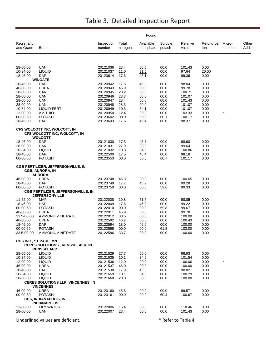|                         |                                                                                      |                      |                   | Found                  |                   |                   |                          |           |               |
|-------------------------|--------------------------------------------------------------------------------------|----------------------|-------------------|------------------------|-------------------|-------------------|--------------------------|-----------|---------------|
| Registrant<br>and Grade | Brand                                                                                | Inspection<br>number | Total<br>nitrogen | Available<br>phosphate | Soluble<br>potash | Relative<br>value | Refund per Micro-<br>ton | nutrients | Other<br>Add. |
|                         |                                                                                      |                      |                   |                        |                   |                   |                          |           |               |
| 28-00-00                | <b>UAN</b>                                                                           | 20121036             | 28.4              | 00.0                   | 00.0              | 101.43            | 0.00                     |           |               |
| 10-34-00                | <b>LIQUID</b>                                                                        | 20121037             | 11.0              | 31.5                   | 00.0              | 97.64             | 20.00                    |           |               |
| 18-46-00                | <b>DAP</b>                                                                           | 20123614             | 17.6              | 46.1                   | 00.0              | 99.36             | 0.00                     |           |               |
| 18-46-00                | <b>WINGATE</b><br><b>DAP</b>                                                         | 20120942             | 17.5              | 45.3                   | 00.0              | 98.04             | 0.00                     |           |               |
| 46-00-00                | <b>UREA</b>                                                                          | 20120943             | 45.9              | 00.0                   | 00.0              | 99.78             | 0.00                     |           |               |
| 28-00-00                | <b>UAN</b>                                                                           | 20120945             | 28.2              | 00.0                   | 00.0              | 100.71            | 0.00                     |           |               |
| 28-00-00                | UAN                                                                                  | 20120946             | 28.3              | 00.0                   | 00.0              | 101.07            | 0.00                     |           |               |
| 28-00-00                | <b>UAN</b>                                                                           | 20120947             | 28.4              | 00.0                   | 00.0              | 101.43            | 0.00                     |           |               |
| 28-00-00                | UAN                                                                                  | 20120948             | 28.3              | 00.0                   | 00.0              | 101.07            | 0.00                     |           |               |
| 10-34-00                | <b>LIQUID FERT</b>                                                                   | 20120949             | 10.3              | 34.1                   | 00.0              | 101.07            | 0.00                     |           |               |
| 12-00-00                | AM THIO                                                                              | 20120950             | 12.4              | 00.0                   | 00.0              | 103.33            | 0.00                     | $\star$   |               |
| 00-00-60                | <b>POTASH</b>                                                                        | 20123602             | 00.0              | 00.0                   | 60.1              | 100.17            | 0.00                     |           |               |
| 18-46-00                | <b>DAP</b>                                                                           | 20123603             | 17.6              | 45.4                   | 00.0              | 98.37             | 0.00                     |           |               |
|                         | CFS WOLCOTT INC, WOLCOTT, IN<br>CFS WOLCOTT INC, WOLCOTT, IN<br><b>WOLCOTT</b>       |                      |                   |                        |                   |                   |                          |           |               |
| 18-46-00                | <b>DAP</b>                                                                           | 20121030             | 17.5              | 45.7                   | 00.0              | 98.60             | 0.00                     |           |               |
| 28-00-00                | <b>UAN</b>                                                                           | 20121031             | 27.9              | 00.0                   | 00.0              | 99.64             | 0.00                     |           |               |
| 10-34-00                | <b>LIQUID</b>                                                                        | 20121032             | 10.3              | 34.0                   | 00.0              | 100.86            | 0.00                     |           |               |
| 18-46-00                | <b>DAP</b>                                                                           | 20122500             | 17.5              | 45.4                   | 00.0              | 98.18             | 0.00                     |           |               |
| 00-00-60                | <b>POTASH</b>                                                                        | 20123553             | 00.0              | 00.0                   | 60.7              | 101.17            | 0.00                     |           |               |
|                         | <b>CGB FERTILIZER, JEFFERSONVILLE, IN</b><br><b>CGB, AURORA, IN</b><br><b>AURORA</b> |                      |                   |                        |                   |                   |                          |           |               |
| 46-00-00                | <b>UREA</b>                                                                          | 20123748             | 46.3              | 00.0                   | 00.0              | 100.65            | 0.00                     |           |               |
| 18-46-00                | <b>DAP</b>                                                                           | 20123749             | 17.7              | 45.9                   | 00.0              | 99.28             | 0.00                     |           |               |
| 00-00-60                | <b>POTASH</b>                                                                        | 20123750             | 00.0              | 00.0                   | 59.6              | 99.33             | 0.00                     |           |               |
|                         | <b>CGB FERTILIZER, JEFFERSONVILLE, IN</b>                                            |                      |                   |                        |                   |                   |                          |           |               |
|                         | <b>JEFFERSONVILLE</b>                                                                |                      |                   |                        |                   |                   |                          |           |               |
| 11-52-00                | <b>MAP</b>                                                                           | 20122008             | 10.8              | 51.5                   | 00.0              | 98.85             | 0.00                     |           |               |
| 18-46-00                | DAP                                                                                  | 20122009             | 17.6              | 46.0                   | 00.0              | 99.22             | 0.00                     |           |               |
| 00-00-60                | <b>POTASH</b>                                                                        | 20122010             | 00.0              | 00.0                   | 59.8              | 99.67             | 0.00                     |           |               |
| 46-00-00                | <b>UREA</b>                                                                          | 20122011             | 45.9              | 00.0                   | 00.0              | 99.78             | 0.00                     |           |               |
| 33.5-00-00              | <b>AMMONIUM NITRATE</b>                                                              | 20122012             | 33.5              | 00.0                   | 00.0              | 100.00            | 0.00                     |           |               |
| 46-00-00<br>18-46-00    | <b>UREA</b><br>DAP                                                                   | 20122592<br>20122594 | 46.2<br>18.0      | 00.0<br>46.0           | 00.0<br>00.0      | 100.43<br>100.00  | 0.00<br>0.00             |           |               |
| 00-00-60                | <b>POTASH</b>                                                                        | 20122595             | 00.0              | 00.0                   | 61.8              | 103.00            | 0.00                     |           |               |
| 33.5-00-00              | AMMONIUM NITRATE                                                                     | 20122596             | 33.7              | 00.0                   | 00.0              | 100.60            | 0.00                     |           |               |
|                         | CHS INC., ST PAUL, MN                                                                |                      |                   |                        |                   |                   |                          |           |               |
|                         | <b>CERES SOLUTIONS, RENSSELAER, IN</b><br><b>RENSSELAER</b>                          |                      |                   |                        |                   |                   |                          |           |               |
| 28-00-00                | <b>LIQUID</b>                                                                        | 20121529             | 27.7              | 00.0                   | 00.0              | 98.93             | 0.00                     |           |               |
| 10-34-00                | <b>LIQUID</b>                                                                        | 20121535             | 10.1              | 34.6                   | 00.0              | 101.54            | 0.00                     |           |               |
| 12-00-00                | <b>LIQUID</b>                                                                        | 20121536             | 12.0              | 00.0                   | 00.0              | 100.00            | 0.00                     | $\star$   |               |
| 46-00-00                | <b>UREA</b>                                                                          | 20121537             | 46.0              | 00.0                   | 00.0              | 100.00            | 0.00                     |           |               |
| 18-46-00                | <b>DAP</b>                                                                           | 20121538             | 17.9              | 45.3                   | 00.0              | 98.82             | 0.00                     |           |               |
| 10-34-00                | <b>LIQUID</b>                                                                        | 20121659             | 10.1              | 34.0                   | 00.0              | 100.29            | 0.00                     |           |               |
| 28-00-00                | <b>LIQUID</b>                                                                        | 20121660             | 28.0              | 00.0                   | 00.0              | 100.00            | 0.00                     |           |               |
|                         | <b>CERES SOLUTIONS LLP, VINCENNES, IN</b><br><b>VINCENNES</b>                        |                      |                   |                        |                   |                   |                          |           |               |
| 46-00-00                | <b>UREA</b>                                                                          | 20123160             | 45.8              | 00.0                   | 00.0              | 99.57             | 0.00                     |           |               |
| 00-00-60                | <b>POTASH</b>                                                                        | 20123161             | 00.0              | 00.0                   | 60.4              | 100.67            | 0.00                     |           |               |
|                         | CHS, INDIANAPOLIS, IN                                                                |                      |                   |                        |                   |                   |                          |           |               |
|                         | <b>INDIANAPOLIS</b>                                                                  |                      |                   |                        |                   |                   |                          |           |               |
| 13-00-00                | <b>LILY WATER</b>                                                                    | 20122006             | 15.4<br>28.4      | 00.0                   | 00.0<br>00.0      | 118.46            | 0.00                     |           |               |
| 28-00-00                | UAN                                                                                  | 20122007             |                   | 00.0                   |                   | 101.43            | 0.00                     |           |               |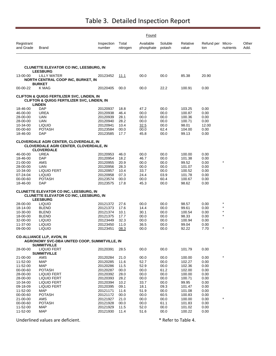|                         |                                                                                                                                 |                      |                   | Found                  |                   |                   |                          |           |               |
|-------------------------|---------------------------------------------------------------------------------------------------------------------------------|----------------------|-------------------|------------------------|-------------------|-------------------|--------------------------|-----------|---------------|
| Registrant<br>and Grade | Brand                                                                                                                           | Inspection<br>number | Total<br>nitrogen | Available<br>phosphate | Soluble<br>potash | Relative<br>value | Refund per Micro-<br>ton | nutrients | Other<br>Add. |
|                         |                                                                                                                                 |                      |                   |                        |                   |                   |                          |           |               |
|                         | <b>CLUNETTE ELEVATOR CO INC, LEESBURG, IN</b><br><b>LEESBURG</b>                                                                |                      |                   |                        |                   |                   |                          |           |               |
| 13-00-00                | LILLY WATER<br>NORTH CENTRAL COOP INC, BURKET, IN                                                                               | 20123452             | 11.1              | 00.0                   | 00.0              | 85.38             | 20.90                    |           |               |
| 00-00-22                | <b>BURKET</b><br>K MAG                                                                                                          | 20120405             | 00.0              | 00.0                   | 22.2              | 100.91            | 0.00                     |           |               |
|                         | <b>CLIFTON &amp; QUIGG FERTILIZER SVC, LINDEN, IN</b><br><b>CLIFTON &amp; QUIGG FERTILIZER SVC, LINDEN, IN</b><br><b>LINDEN</b> |                      |                   |                        |                   |                   |                          |           |               |
| 18-46-00                | <b>DAP</b>                                                                                                                      | 20120937             | 18.8              | 47.2                   | 00.0              | 103.25            | 0.00                     |           |               |
| 46-00-00                | <b>UREA</b>                                                                                                                     | 20120938             | 46.4              | 00.0                   | 00.0              | 100.87            | 0.00                     |           |               |
| 28-00-00<br>28-00-00    | UAN<br>UAN                                                                                                                      | 20120939<br>20120940 | 28.1<br>28.2      | 00.0<br>00.0           | 00.0<br>00.0      | 100.36<br>100.71  | 0.00<br>0.00             |           |               |
| 10-34-00                | <b>LIQUID</b>                                                                                                                   | 20120941             | 10.4              | 32.5                   | 00.0              | 98.01             | 12.00                    |           |               |
| 00-00-60                | <b>POTASH</b>                                                                                                                   | 20123584             | 00.0              | 00.0                   | 62.4              | 104.00            | 0.00                     |           |               |
| 18-46-00                | DAP                                                                                                                             | 20123585             | 17.7              | 45.8                   | 00.0              | 99.13             | 0.00                     |           |               |
|                         | <b>CLOVERDALE AGRI CENTER, CLOVERDALE, IN</b><br><b>CLOVERDALE AGRI CENTER, CLOVERDALE, IN</b><br><b>CLOVERDALE</b>             |                      |                   |                        |                   |                   |                          |           |               |
| 46-00-00                | <b>UREA</b>                                                                                                                     | 20120953             | 46.0              | 00.0                   | 00.0              | 100.00            | 0.00                     |           |               |
| 18-46-00                | DAP                                                                                                                             | 20120954             | 18.2              | 46.7                   | 00.0              | 101.38            | 0.00                     |           |               |
| 21-00-00                | AMS                                                                                                                             | 20120955             | 20.9              | 00.0                   | 00.0              | 99.52             | 0.00                     | $\star$   |               |
| 28-00-00                | UAN                                                                                                                             | 20120956             | 28.3              | 00.0                   | 00.0              | 101.07            | 0.00                     |           |               |
| 10-34-00                | LIQUID FERT                                                                                                                     | 20120957             | 10.4              | 33.7                   | 00.0              | 100.52            | 0.00                     |           |               |
| 07-24-04<br>00-00-60    | <b>LIQUID</b><br><b>POTASH</b>                                                                                                  | 20120958             | 07.3<br>00.0      | 24.4                   | 03.9<br>60.4      | 101.78<br>100.67  | 0.00<br>0.00             |           |               |
| 18-46-00                | DAP                                                                                                                             | 20123574<br>20123575 | 17.8              | 00.0<br>45.3           | 00.0              | 98.62             | 0.00                     |           |               |
|                         | <b>CLUNETTE ELEVATOR CO INC, LEESBURG, IN</b>                                                                                   |                      |                   |                        |                   |                   |                          |           |               |
|                         | <b>CLUNETTE ELEVATOR CO INC, LEESBURG, IN</b><br><b>LEESBURG</b>                                                                |                      |                   |                        |                   |                   |                          |           |               |
| 28-00-00                | <b>LIQUID</b>                                                                                                                   | 20121372             | 27.6              | 00.0                   | 00.0              | 98.57             | 0.00                     |           |               |
| 18-14-00                | <b>BLEND</b>                                                                                                                    | 20121373             | 17.6              | 14.4                   | 00.0              | 99.61             | 0.00                     | $\star$   |               |
| 10-30-00                | <b>BLEND</b>                                                                                                                    | 20121374             | 10.1              | 30.1                   | 00.0              | 100.54            | 0.00                     | $\star$   |               |
| 18-00-00                | <b>BLEND</b>                                                                                                                    | 20121375             | 17.7              | 00.0                   | 00.0              | 98.33             | 0.00                     | $\star$   |               |
| 32-00-00                | <b>LIQUID</b>                                                                                                                   | 20123449             | 32.3              | 00.0                   | 00.0              | 100.94            | 0.00                     |           |               |
| 11-37-00<br>09-00-00    | <b>LIQUID</b><br><b>LIQUID</b>                                                                                                  | 20123450<br>20123451 | 11.0<br>08.3      | 36.5<br>00.0           | 00.0<br>00.0      | 99.04<br>92.22    | 0.00<br>7.70             | $\star$   |               |
|                         | <b>CO-ALLIANCE LLP, AVON, IN</b><br>AGRONOMY SVC-DBA UNITED COOP, SUMMITVILLE, IN                                               |                      |                   |                        |                   |                   |                          |           |               |
| 28-00-00                | <b>SUMMITVILLE</b><br><b>LIQUID FERT</b>                                                                                        | 20120391             | 28.5              | 00.0                   | 00.0              | 101.79            | 0.00                     |           |               |
|                         | <b>SUMMITVILLE</b>                                                                                                              |                      |                   |                        |                   |                   |                          |           |               |
| 21-00-00                | AMS                                                                                                                             | 20120284             | 21.0              | 00.0                   | 00.0              | 100.00            | 0.00                     | $\star$   |               |
| 11-52-00                | <b>MAP</b>                                                                                                                      | 20120285             | 11.6              | 52.7                   | 00.0              | 102.27            | 0.00                     |           |               |
| 11-52-00                | <b>MAP</b>                                                                                                                      | 20120286             | 11.5              | 52.9                   | 00.0              | 102.36            | 0.00                     |           |               |
| 00-00-60<br>28-00-00    | <b>POTASH</b><br><b>LIQUID FERT</b>                                                                                             | 20120287<br>20120392 | 00.0<br>28.0      | 00.0<br>00.0           | 61.2<br>00.0      | 102.00<br>100.00  | 0.00<br>0.00             |           |               |
| 28-00-00                | <b>LIQUID FERT</b>                                                                                                              | 20120393             | 28.2              | 00.0                   | 00.0              | 100.71            | 0.00                     |           |               |
| 10-34-00                | <b>LIQUID FERT</b>                                                                                                              | 20120394             | 10.2              | 33.7                   | 00.0              | 99.95             | 0.00                     |           |               |
| 09-18-09                | <b>LIQUID FERT</b>                                                                                                              | 20120395             | 09.1              | 18.1                   | 09.3              | 101.47            | 0.00                     |           |               |
| 11-52-00                | MAP                                                                                                                             | 20121171             | 11.6              | 51.9                   | 00.0              | 101.08            | 0.00                     |           |               |
| 00-00-60                | <b>POTASH</b>                                                                                                                   | 20121172             | 00.0              | 00.0                   | 60.5              | 100.83            | 0.00                     | $\star$   |               |
| 21-00-00<br>00-00-60    | AMS<br><b>POTASH</b>                                                                                                            | 20121927<br>20121928 | 21.0<br>00.0      | 00.0<br>00.0           | 00.0<br>61.1      | 100.00<br>101.83  | 0.00<br>0.00             |           |               |
| 11-52-00                | <b>MAP</b>                                                                                                                      | 20121929             | 11.5              | 52.0                   | 00.0              | 101.02            | 0.00                     |           |               |
| 11-52-00                | <b>MAP</b>                                                                                                                      | 20121930             | 11.4              | 51.6                   | 00.0              | 100.22            | 0.00                     |           |               |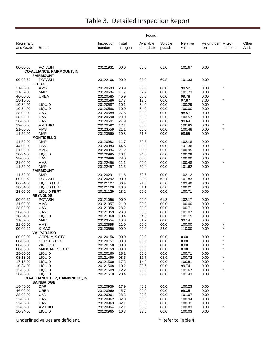|                         |                                                    |                      | Found             |                        |                   |                   |                          |                    |               |
|-------------------------|----------------------------------------------------|----------------------|-------------------|------------------------|-------------------|-------------------|--------------------------|--------------------|---------------|
| Registrant<br>and Grade | <b>Brand</b>                                       | Inspection<br>number | Total<br>nitrogen | Available<br>phosphate | Soluble<br>potash | Relative<br>value | Refund per Micro-<br>ton | nutrients          | Other<br>Add. |
|                         |                                                    |                      |                   |                        |                   |                   |                          |                    |               |
| 00-00-60                | <b>POTASH</b><br><b>CO-ALLIANCE, FAIRMOUNT, IN</b> | 20121931             | 00.0              | 00.0                   | 61.0              | 101.67            | 0.00                     |                    |               |
|                         | <b>FAIRMOUNT</b>                                   |                      |                   |                        |                   |                   |                          |                    |               |
| 00-00-60                | <b>POTASH</b>                                      | 20122106             | 00.0              | 00.0                   | 60.8              | 101.33            | 0.00                     |                    |               |
|                         | <b>FLORA</b>                                       |                      |                   |                        |                   |                   |                          | $\star$            |               |
| 21-00-00                | AMS                                                | 20120583             | 20.9              | 00.0                   | 00.0              | 99.52             | 0.00                     |                    |               |
| 11-52-00<br>46-00-00    | <b>MAP</b><br><b>UREA</b>                          | 20120584<br>20120585 | 11.7<br>45.9      | 52.2<br>00.0           | 00.0<br>00.0      | 101.73<br>99.78   | 0.00<br>0.00             |                    |               |
| 18-18-00                |                                                    | 20120586             | 17.7              | 17.5                   | 00.0              | 97.87             | 7.30                     | $\star$            |               |
| 10-34-00                | <b>LIQUID</b>                                      | 20120587             | 10.1              | 34.0                   | 00.0              | 100.29            | 0.00                     |                    |               |
| 10-34-00                | <b>LIQUID</b>                                      | 20120588             | 10.0              | 34.0                   | 00.0              | 100.00            | 0.00                     |                    |               |
| 28-00-00                | <b>UAN</b>                                         | 20120589             | 27.6              | 00.0                   | 00.0              | 98.57             | 0.00                     |                    |               |
| 28-00-00                | <b>UAN</b>                                         | 20120590             | 29.0              | 00.0                   | 00.0              | 103.57            | 0.00                     |                    |               |
| 28-00-00                | <b>UAN</b>                                         | 20120591             | 27.9              | 00.0                   | 00.0              | 99.64             | 0.00                     |                    |               |
| 12-00-00                | AM THIO                                            | 20120592             | 12.1              | 00.0                   | 00.0              | 100.83            | 0.00                     | $\star$            |               |
| 21-00-00                | AMS                                                | 20123559             | 21.1              | 00.0                   | 00.0              | 100.48            | 0.00                     | $\star$            |               |
| 11-52-00                | <b>MAP</b>                                         | 20123560             | 10.8              | 51.3                   | 00.0              | 98.55             | 0.00                     |                    |               |
|                         | <b>MONTICELLO</b>                                  |                      |                   |                        |                   |                   |                          |                    |               |
| 11-52-00                | <b>MAP</b>                                         | 20120982             | 11.7              | 52.5                   | 00.0              | 102.18            | 0.00                     |                    |               |
| 44-00-00                | <b>ESN</b>                                         | 20120983             | 44.6              | 00.0                   | 00.0              | 101.36            | 0.00                     | $\star$            |               |
| 21-00-00                | AMS                                                | 20120984             | 21.2              | 00.0                   | 00.0              | 100.95            | 0.00                     |                    |               |
| 10-34-00                | <b>LIQUID</b>                                      | 20120985             | 10.1              | 34.0                   | 00.0              | 100.29<br>100.00  | 0.00                     |                    |               |
| 28-00-00<br>21-00-00    | UAN<br>AMS                                         | 20120986<br>20122456 | 28.0<br>21.1      | 00.0<br>00.0           | 00.0<br>00.0      | 100.48            | 0.00<br>0.00             | $\star$            |               |
| 11-52-00                | <b>MAP</b>                                         | 20122457             | 11.5              | 52.4                   | 00.0              | 101.62            | 0.00                     |                    |               |
|                         | <b>FAIRMOUNT</b>                                   |                      |                   |                        |                   |                   |                          |                    |               |
| 11-52-00                | <b>MAP</b>                                         | 20120291             | 11.6              | 52.6                   | 00.0              | 102.12            | 0.00                     |                    |               |
| 00-00-60                | <b>POTASH</b>                                      | 20120292             | 00.0              | 00.0                   | 61.1              | 101.83            | 0.00                     |                    |               |
| 06-24-06                | <b>LIQUID FERT</b>                                 | 20121127             | 06.4              | 24.8                   | 06.0              | 103.40            | 0.00                     |                    |               |
| 10-34-00                | <b>LIQUID FERT</b>                                 | 20121128             | 10.0              | 34.1                   | 00.0              | 100.21            | 0.00                     |                    |               |
| 28-00-00                | <b>LIQUID FERT</b>                                 | 20121129             | 28.2              | 00.0                   | 00.0              | 100.71            | 0.00                     |                    |               |
|                         | <b>REYNOLDS</b>                                    |                      |                   |                        |                   |                   |                          |                    |               |
| 00-00-60                | <b>POTASH</b>                                      | 20121056             | 00.0              | 00.0                   | 61.3              | 102.17            | 0.00                     |                    |               |
| 21-00-00                | AMS                                                | 20121057             | 21.0              | 00.0                   | 00.0              | 100.00            | 0.00                     | $\star$            |               |
| 28-00-00                | <b>UAN</b>                                         | 20121058             | 28.2              | 00.0                   | 00.0              | 100.71            | 0.00                     |                    |               |
| 28-00-00                | <b>UAN</b>                                         | 20121059             | 28.3              | 00.0                   | 00.0              | 101.07            | 0.00                     |                    |               |
| 10-34-00<br>11-52-00    | <b>LIQUID</b><br><b>MAP</b>                        | 20121060<br>20123554 | 10.4<br>10.8      | 34.0<br>51.7           | 00.0<br>00.0      | 101.15<br>99.14   | 0.00<br>0.00             |                    |               |
| 21-00-00                | AMS                                                | 20123555             | 21.0              | 00.0                   | 00.0              | 100.00            | 0.00                     |                    |               |
| 00-00-20                | K MAG                                              | 20123556             | 00.0              | 00.0                   | 22.0              | 110.00            | 0.00                     | $\star$            |               |
|                         | <b>VALPARAISO</b>                                  |                      |                   |                        |                   |                   |                          |                    |               |
| 00-00-00                | CORN MIX CTC                                       | 20120156             | 00.0              | 00.0                   | 00.0              | 0.00              | 0.00                     |                    |               |
| 00-00-00                | <b>COPPER CTC</b>                                  | 20120157             | 00.0              | 00.0                   | 00.0              | 0.00              | 0.00                     |                    |               |
| 00-00-00                | <b>ZINC CTC</b>                                    | 20120158             | 00.0              | 00.0                   | 00.0              | 0.00              | 0.00                     |                    |               |
| 00-00-00                | MANGANESE CTC                                      | 20120159             | 00.0              | 00.0                   | 00.0              | 0.00              | 0.00                     | $\star$            |               |
| 28-00-00                | <b>LIQUID</b>                                      | 20120160             | 28.2              | 00.0                   | 00.0              | 100.71            | 0.00                     |                    |               |
| 08-18-06                | <b>LIQUID</b>                                      | 20121499             | 08.5              | 17.7                   | 05.9              | 100.72            | 0.00                     | $\star$<br>$\star$ |               |
| 17-15-00                | <b>LIQUID</b>                                      | 20121500             | 17.3              | 14.9                   | 00.0              | 100.81            | 0.00                     |                    |               |
| 10-34-00                | <b>LIQUID</b>                                      | 20121508             | 10.2              | 33.6                   | 00.0              | 99.74             | 0.00                     |                    |               |
| 12-00-00<br>28-00-00    | <b>LIQUID</b><br><b>LIQUID</b>                     | 20121509<br>20121510 | 12.2              | 00.0<br>00.0           | 00.0<br>00.0      | 101.67<br>101.43  | 0.00<br>0.00             |                    |               |
|                         | <b>CO-ALLIANCE LLP, BAINBRIDGE, IN</b>             |                      | 28.4              |                        |                   |                   |                          |                    |               |
|                         | <b>BAINBRIDGE</b>                                  |                      |                   |                        |                   |                   |                          |                    |               |
| 18-46-00                | <b>DAP</b>                                         | 20120959             | 17.9              | 46.3                   | 00.0              | 100.23            | 0.00                     |                    |               |
| 46-00-00                | <b>UREA</b>                                        | 20120960             | 45.7              | 00.0                   | 00.0              | 99.35             | 0.00                     |                    |               |
| 28-00-00                | <b>UAN</b>                                         | 20120961             | 28.3              | 00.0                   | 00.0              | 101.07            | 0.00                     |                    |               |
| 32-00-00                | <b>UAN</b>                                         | 20120962             | 32.3              | 00.0                   | 00.0              | 100.94            | 0.00                     |                    |               |
| 32-00-00                | UAN                                                | 20120963             | 32.1              | 00.0                   | 00.0              | 100.31            | 0.00                     |                    |               |
| 12-00-00                | <b>AMTHIO</b>                                      | 20120964             | 12.1              | 00.0                   | 00.0              | 100.83            | 0.00                     | *                  |               |
| 10-34-00                | <b>LIQUID</b>                                      | 20120965             | 10.3              | 33.6                   | 00.0              | 100.03            | 0.00                     |                    |               |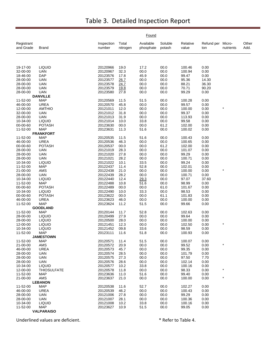|                         |                                  |                      |                   | Found                  |                   |                   |                   |                     |               |
|-------------------------|----------------------------------|----------------------|-------------------|------------------------|-------------------|-------------------|-------------------|---------------------|---------------|
| Registrant<br>and Grade | <b>Brand</b>                     | Inspection<br>number | Total<br>nitrogen | Available<br>phosphate | Soluble<br>potash | Relative<br>value | Refund per<br>ton | Micro-<br>nutrients | Other<br>Add. |
|                         |                                  |                      |                   |                        |                   |                   |                   |                     |               |
| 19-17-00                | <b>LIQUID</b>                    | 20120966             | 19.0              | 17.2                   | 00.0              | 100.46            | 0.00              |                     |               |
| 32-00-00                | <b>UAN</b>                       | 20120967             | 32.3              | 00.0                   | 00.0              | 100.94            | 0.00              |                     |               |
| 18-46-00                | DAP                              | 20123576             | 17.8              | 45.9                   | 00.0              | 99.47             | 0.00              |                     |               |
| 28-00-00<br>28-00-00    | <b>UAN</b><br><b>UAN</b>         | 20123577<br>20123578 | 26.7<br>24.7      | 00.0<br>00.0           | 00.0<br>00.0      | 95.36<br>88.21    | 14.30<br>36.30    |                     |               |
| 28-00-00                | <b>UAN</b>                       | 20123579             | 19.8              | 00.0                   | 00.0              | 70.71             | 90.20             |                     |               |
| 28-00-00                | <b>UAN</b>                       | 20123580             | 27.8              | 00.0                   | 00.0              | 99.29             | 0.00              |                     |               |
|                         | <b>DANVILLE</b>                  |                      |                   |                        |                   |                   |                   |                     |               |
| 11-52-00                | <b>MAP</b>                       | 20120569             | 11.5              | 51.5                   | 00.0              | 100.28            | 0.00              |                     |               |
| 46-00-00                | <b>UREA</b>                      | 20120570             | 45.8              | 00.0                   | 00.0              | 99.57             | 0.00              |                     |               |
| 12-00-00                | <b>AMTHIO</b>                    | 20121011             | 12.0              | 00.0                   | 00.0              | 100.00            | 0.00              | $\ast$              |               |
| 32-00-00                | <b>UAN</b>                       | 20121012             | 31.8              | 00.0                   | 00.0              | 99.37             | 0.00              |                     |               |
| 28-00-00<br>10-34-00    | <b>UAN</b><br><b>LIQUID</b>      | 20121013<br>20121014 | 31.9<br>10.0      | 00.0<br>33.8           | 00.0<br>00.0      | 113.93<br>99.58   | 0.00<br>0.00      |                     |               |
| 00-00-60                | <b>POTASH</b>                    | 20123630             | 00.0              | 00.0                   | 61.2              | 102.00            | 0.00              |                     |               |
| 11-52-00                | <b>MAP</b>                       | 20123631             | 11.3              | 51.6                   | 00.0              | 100.02            | 0.00              |                     |               |
|                         | <b>FRANKFORT</b>                 |                      |                   |                        |                   |                   |                   |                     |               |
| 11-52-00                | <b>MAP</b>                       | 20120535             | 11.5              | 51.6                   | 00.0              | 100.43            | 0.00              |                     |               |
| 46-00-00                | <b>UREA</b>                      | 20120536             | 46.3              | 00.0                   | 00.0              | 100.65            | 0.00              |                     |               |
| 00-00-60                | <b>POTASH</b>                    | 20120537             | 00.0              | 00.0                   | 61.2              | 102.00            | 0.00              |                     |               |
| 28-00-00                | <b>UAN</b>                       | 20121019             | 28.3              | 00.0                   | 00.0              | 101.07            | 0.00              |                     |               |
| 28-00-00<br>28-00-00    | <b>UAN</b><br><b>UAN</b>         | 20121020<br>20121021 | 27.8<br>28.2      | 00.0<br>00.0           | 00.0<br>00.0      | 99.29<br>100.71   | 0.00<br>0.00      |                     |               |
| 10-34-00                | <b>LIQUID</b>                    | 20121022             | 10.1              | 33.5                   | 00.0              | 99.24             | 0.00              |                     |               |
| 11-52-00                | <b>MAP</b>                       | 20122437             | 11.4              | 52.8                   | 00.0              | 102.01            | 0.00              |                     |               |
| 21-00-00                | AMS                              | 20122438             | 21.0              | 00.0                   | 00.0              | 100.00            | 0.00              | $\star$             |               |
| 28-00-00                | <b>UAN</b>                       | 20122439             | 28.2              | 00.0                   | 00.0              | 100.71            | 0.00              |                     |               |
| 10-34-00                | <b>LIQUID</b>                    | 20122440             | 12.4              | 29.3                   | 00.0              | 97.07             | 37.60             |                     |               |
| 11-52-00                | <b>MAP</b>                       | 20122488             | 10.8              | 51.6                   | 00.0              | 98.99             | 0.00              |                     |               |
| 00-00-60                | <b>POTASH</b>                    | 20122489             | 00.0              | 00.0                   | 61.0              | 101.67            | 0.00              |                     |               |
| 10-34-00                | <b>LIQUID</b>                    | 20122490             | 10.0              | 33.3                   | 00.0              | 98.53             | 0.00              |                     |               |
| 00-00-60<br>46-00-00    | <b>POTASH</b><br><b>UREA</b>     | 20123622<br>20123623 | 00.0<br>46.0      | 00.0<br>00.0           | 61.1<br>00.0      | 101.83<br>100.00  | 0.00<br>0.00      |                     |               |
| 11-52-00                | <b>MAP</b>                       | 20123624             | 11.2              | 51.5                   | 00.0              | 99.66             | 0.00              |                     |               |
|                         | <b>GOODLAND</b>                  |                      |                   |                        |                   |                   |                   |                     |               |
| 11-52-00                | <b>MAP</b>                       | 20120144             | 11.7              | 52.8                   | 00.0              | 102.63            | 0.00              |                     |               |
| 28-00-00                | <b>LIQUID</b>                    | 20120499             | 27.9              | 00.0                   | 00.0              | 99.64             | 0.00              |                     |               |
| 28-00-00                | <b>LIQUID</b>                    | 20120500             | 28.0              | 00.0                   | 00.0              | 100.00            | 0.00              |                     |               |
| 12-00-00                | <b>LIQUID</b>                    | 20121451             | 12.3              | 00.0                   | 00.0              | 102.50            | 0.00              | $\star$             |               |
| 10-34-00                | <b>LIQUID</b>                    | 20121452             | 09.8              | 33.6                   | 00.0              | 98.59             | 0.00              |                     |               |
| 11-52-00                | <b>MAP</b><br><b>JAMESTOWN</b>   | 20123111             | 11.6              | 51.8                   | 00.0              | 100.93            | 0.00              |                     |               |
| 11-52-00                | <b>MAP</b>                       | 20120571             | 11.4              | 51.5                   | 00.0              | 100.07            | 0.00              |                     |               |
| 21-00-00                | AMS                              | 20120572             | 20.9              | 00.0                   | 00.0              | 99.52             | 0.00              |                     |               |
| 46-00-00                | <b>UREA</b>                      | 20120573             | 45.7              | 00.0                   | 00.0              | 99.35             | 0.00              |                     |               |
| 28-00-00                | UAN                              | 20120574             | 28.5              | 00.0                   | 00.0              | 101.79            | 0.00              |                     |               |
| 28-00-00                | <b>UAN</b>                       | 20120575             | 27.3              | 00.0                   | 00.0              | 97.50             | 7.70              |                     |               |
| 28-00-00                | <b>UAN</b>                       | 20120576             | 28.6              | 00.0                   | 00.0              | 102.14            | 0.00              |                     |               |
| 10-34-00                | <b>LIQUID</b>                    | 20120577             | 10.2              | 33.8                   | 00.0              | 100.16            | 0.00              | *                   |               |
| 12-00-00<br>11-52-00    | <b>THIOSULFATE</b><br><b>MAP</b> | 20120578<br>20123636 | 11.8<br>11.0      | 00.0<br>51.6           | 00.0<br>00.0      | 98.33<br>99.40    | 0.00<br>0.00      |                     |               |
| 21-00-00                | AMS                              | 20123637             | 21.0              | 00.0                   | 00.0              | 100.00            | 0.00              | $\star$             |               |
|                         | <b>LEBANON</b>                   |                      |                   |                        |                   |                   |                   |                     |               |
| 11-52-00                | <b>MAP</b>                       | 20120538             | 11.6              | 52.7                   | 00.0              | 102.27            | 0.00              |                     |               |
| 46-00-00                | UREA                             | 20120539             | 46.2              | 00.0                   | 00.0              | 100.43            | 0.00              |                     |               |
| 28-00-00                | <b>UAN</b>                       | 20121006             | 27.8              | 00.0                   | 00.0              | 99.29             | 0.00              |                     |               |
| 28-00-00                | <b>UAN</b>                       | 20121007             | 28.1              | 00.0                   | 00.0              | 100.36            | 0.00              |                     |               |
| 10-34-00                | <b>LIQUID</b>                    | 20121008             | 10.2              | 33.8                   | 00.0              | 100.16            | 0.00              |                     |               |
| 11-52-00                | <b>MAP</b>                       | 20123627             | 10.9              | 51.5                   | 00.0              | 99.05             | 0.00              |                     |               |
|                         | <b>VALPARAISO</b>                |                      |                   |                        |                   |                   |                   |                     |               |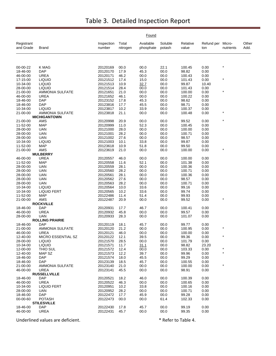|                         |                              |                      |                   | Found                  |                   |                   |                          |                    |               |
|-------------------------|------------------------------|----------------------|-------------------|------------------------|-------------------|-------------------|--------------------------|--------------------|---------------|
| Registrant<br>and Grade | Brand                        | Inspection<br>number | Total<br>nitrogen | Available<br>phosphate | Soluble<br>potash | Relative<br>value | Refund per Micro-<br>ton | nutrients          | Other<br>Add. |
|                         |                              |                      |                   |                        |                   |                   |                          |                    |               |
| 00-00-22                | K MAG                        | 20120169             | 00.0              | 00.0                   | 22.1              | 100.45            | 0.00                     |                    |               |
| 18-46-00                | DAP                          | 20120170             | 17.9              | 45.3                   | 00.0              | 98.82             | 0.00                     |                    |               |
| 46-00-00<br>17-15-00    | <b>UREA</b><br><b>LIQUID</b> | 20120171<br>20121512 | 46.2<br>17.4      | 00.0<br>15.0           | 00.0<br>00.0      | 100.43<br>101.43  | 0.00<br>0.00             | $\star$            |               |
| 10-34-00                | <b>LIQUID</b>                | 20121513             | 10.9              | 32.7                   | 00.0              | 99.87             | 10.40                    |                    |               |
| 28-00-00                | <b>LIQUID</b>                | 20121514             | 28.4              | 00.0                   | 00.0              | 101.43            | 0.00                     |                    |               |
| 21-00-00                | <b>AMMONIA SULFATE</b>       | 20121651             | 21.0              | 00.0                   | 00.0              | 100.00            | 0.00                     |                    |               |
| 46-00-00                | UREA                         | 20121652             | 46.1              | 00.0                   | 00.0              | 100.22            | 0.00                     |                    |               |
| 18-46-00                | <b>DAP</b>                   | 20123152             | 17.8              | 45.3                   | 00.0              | 98.62             | 0.00                     |                    |               |
| 18-46-00                | <b>DAP</b>                   | 20123816             | 17.7              | 45.5                   | 00.0              | 98.71             | 0.00                     |                    |               |
| 10-34-00                | <b>LIQUID</b>                | 20123817             | 10.2              | 33.9                   | 00.0              | 100.37            | 0.00                     |                    |               |
| 21-00-00                | AMMONIA SULFATE              | 20123818             | 21.1              | 00.0                   | 00.0              | 100.48            | 0.00                     |                    |               |
|                         | <b>MICHIGANTOWN</b>          |                      |                   |                        |                   |                   |                          |                    |               |
| 21-00-00                | AMS                          | 20120998             | 20.9              | 00.0                   | 00.0              | 99.52             | 0.00                     | $\star$            |               |
| 11-52-00                | <b>MAP</b>                   | 20120999             | 11.0              | 52.3                   | 00.0              | 100.45            | 0.00                     |                    |               |
| 28-00-00                | <b>UAN</b>                   | 20121000             | 28.0              | 00.0                   | 00.0              | 100.00            | 0.00                     |                    |               |
| 28-00-00<br>28-00-00    | <b>UAN</b><br><b>UAN</b>     | 20121001<br>20121002 | 28.2<br>27.6      | 00.0<br>00.0           | 00.0<br>00.0      | 100.71<br>98.57   | 0.00<br>0.00             |                    |               |
| 10-34-00                | <b>LIQUID</b>                | 20121003             | 10.1              | 33.8                   | 00.0              | 99.87             | 0.00                     |                    |               |
| 11-52-00                | <b>MAP</b>                   | 20123618             | 10.9              | 51.8                   | 00.0              | 99.50             | 0.00                     |                    |               |
| 21-00-00                | AMS                          | 20123619             | 21.0              | 00.0                   | 00.0              | 100.00            | 0.00                     |                    |               |
|                         | <b>MULBERRY</b>              |                      |                   |                        |                   |                   |                          |                    |               |
| 46-00-00                | <b>UREA</b>                  | 20120557             | 46.0              | 00.0                   | 00.0              | 100.00            | 0.00                     |                    |               |
| 11-52-00                | <b>MAP</b>                   | 20120558             | 11.6              | 52.1                   | 00.0              | 101.38            | 0.00                     |                    |               |
| 28-00-00                | UAN                          | 20120559             | 28.1              | 00.0                   | 00.0              | 100.36            | 0.00                     |                    |               |
| 28-00-00                | UAN                          | 20120560             | 28.2              | 00.0                   | 00.0              | 100.71            | 0.00                     |                    |               |
| 28-00-00                | UAN                          | 20120561             | 28.1              | 00.0                   | 00.0              | 100.36            | 0.00                     |                    |               |
| 28-00-00                | <b>UAN</b>                   | 20120562             | 27.6              | 00.0                   | 00.0              | 98.57             | 0.00                     |                    |               |
| 28-00-00                | UAN                          | 20120563             | 28.2              | 00.0                   | 00.0              | 100.71            | 0.00                     |                    |               |
| 10-34-00                | <b>LIQUID</b>                | 20120564             | 10.0              | 33.6                   | 00.0              | 99.16             | 0.00                     |                    |               |
| 10-34-00                | <b>LIQUID FERT</b>           | 20120565             | 10.2              | 33.6                   | 00.0              | 99.74             | 0.00                     |                    |               |
| 11-52-00                | <b>MAP</b>                   | 20122486             | 11.4              | 51.4                   | 00.0              | 99.93             | 0.00                     |                    |               |
| 21-00-00                | AMS<br><b>ROCKVILLE</b>      | 20122487             | 20.9              | 00.0                   | 00.0              | 99.52             | 0.00                     |                    |               |
| 18-46-00                | DAP                          | 20120931             | 17.7              | 46.7                   | 00.0              | 100.41            | 0.00                     |                    |               |
| 46-00-00                | <b>UREA</b>                  | 20120932             | 45.8              | 00.0                   | 00.0              | 99.57             | 0.00                     |                    |               |
| 28-00-00                | <b>UAN</b>                   | 20120933             | 28.3              | 00.0                   | 00.0              | 101.07            | 0.00                     |                    |               |
|                         | <b>ROLLING PRAIRIE</b>       |                      |                   |                        |                   |                   |                          |                    |               |
| 18-46-00                | <b>DAP</b>                   | 20120119             | 18.1              | 45.7                   | 00.0              | 99.77             | 0.00                     |                    |               |
| 21-00-00                | <b>AMMONIA SULFATE</b>       | 20120120             | 21.2              | 00.0                   | 00.0              | 100.95            | 0.00                     |                    |               |
| 46-00-00                | UREA                         | 20120121             | 46.0              | 00.0                   | 00.0              | 100.00            | 0.00                     |                    |               |
| 12-40-00                | MICRO ESSENTIAL SZ           | 20120122             | 12.1              | 39.5                   | 00.0              | 99.36             | 0.00                     | $\star$            |               |
| 28-00-00                | <b>LIQUID</b>                | 20121570             | 28.5              | 00.0                   | 00.0              | 101.79            | 0.00                     |                    |               |
| 10-34-00                | <b>LIQUID</b>                | 20121571             | 11.7              | 31.1                   | 00.0              | 98.82             | 23.20                    |                    |               |
| 12-00-00                | THIO SUL                     | 20121572             | 12.4              | 00.0                   | 00.0              | 103.33            | 0.00                     | $\star$<br>$\star$ |               |
| 12-40-00                | MAP SZ                       | 20121573             | 12.2              | 39.7                   | 00.0              | 99.96             | 0.00                     |                    |               |
| 18-46-00<br>18-46-00    | <b>DAP</b><br><b>DAP</b>     | 20121574<br>20123139 | 18.0              | 45.5<br>45.7           | 00.0              | 99.29<br>100.55   | 0.00<br>0.00             |                    |               |
| 21-00-00                | <b>AMMONIA SULFATE</b>       | 20123140             | 18.5<br>21.0      | 00.0                   | 00.0<br>00.0      | 100.00            | 0.00                     | $\star$            |               |
| 46-00-00                | <b>UREA</b>                  | 20123141             | 45.5              | 00.0                   | 00.0              | 98.91             | 0.00                     |                    |               |
|                         | <b>RUSSELLVILLE</b>          |                      |                   |                        |                   |                   |                          |                    |               |
| 18-46-00                | <b>DAP</b>                   | 20120521             | 18.2              | 46.0                   | 00.0              | 100.39            | 0.00                     |                    |               |
| 46-00-00                | <b>UREA</b>                  | 20120522             | 46.3              | 00.0                   | 00.0              | 100.65            | 0.00                     |                    |               |
| 10-34-00                | <b>LIQUID FERT</b>           | 20120951             | 10.2              | 33.8                   | 00.0              | 100.16            | 0.00                     |                    |               |
| 28-00-00                | <b>UAN</b>                   | 20120952             | 28.2              | 00.0                   | 00.0              | 100.71            | 0.00                     |                    |               |
| 18-46-00                | <b>DAP</b>                   | 20122472             | 17.7              | 45.9                   | 00.0              | 99.28             | 0.00                     |                    |               |
| 00-00-60                | <b>POTASH</b>                | 20122473             | 00.0              | 00.0                   | 61.4              | 102.33            | 0.00                     |                    |               |
|                         | <b>STILESVILLE</b>           |                      |                   |                        |                   |                   |                          |                    |               |
| 18-46-00                | <b>DAP</b>                   | 20122430             | 17.8              | 45.7                   | 00.0              | 99.19             | 0.00                     |                    |               |
| 46-00-00                | <b>UREA</b>                  | 20122431             | 45.7              | 00.0                   | 00.0              | 99.35             | 0.00                     |                    |               |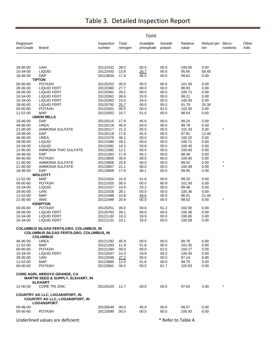|                         |                                                                                                       |                      |                   | Found                  |                     |                   |                   |                     |               |
|-------------------------|-------------------------------------------------------------------------------------------------------|----------------------|-------------------|------------------------|---------------------|-------------------|-------------------|---------------------|---------------|
| Registrant<br>and Grade | <b>Brand</b>                                                                                          | Inspection<br>number | Total<br>nitrogen | Available<br>phosphate | Soluble<br>potash   | Relative<br>value | Refund per<br>ton | Micro-<br>nutrients | Other<br>Add. |
|                         |                                                                                                       |                      |                   |                        |                     |                   |                   |                     |               |
| 28-00-00                | <b>UAN</b>                                                                                            | 20122432             | 28.0              | 00.0                   | 00.0                | 100.00            | 0.00              |                     |               |
| 10-34-00                | <b>LIQUID</b>                                                                                         | 20122433             | 13.8              | 26.7                   | 00.0                | 95.65             | 58.40             |                     |               |
| 18-46-00                | <b>DAP</b><br><b>TIPTON</b>                                                                           | 20123634             | 17.8              | 46.0                   | 00.0                | 99.61             | 0.00              |                     |               |
| 00-00-60                | <b>POTASH</b>                                                                                         | 20120252             | 00.0              | 00.0                   | 60.6                | 101.00            | 0.00              |                     |               |
| 28-00-00                | <b>LIQUID FERT</b>                                                                                    | 20120360             | 27.7              | 00.0                   | 00.0                | 98.93             | 0.00              |                     |               |
| 28-00-00                | <b>LIQUID FERT</b>                                                                                    | 20120361             | 28.2              | 00.0                   | 00.0                | 100.71            | 0.00              |                     |               |
| 10-34-00                | <b>LIQUID FERT</b>                                                                                    | 20120362             | 09.8              | 33.9                   | 00.0                | 99.21             | 0.00              |                     |               |
| 10-34-00                | <b>LIQUID FERT</b>                                                                                    | 20120363             | 10.0              | 34.0                   | 00.0                | 100.00            | 0.00              |                     |               |
| 28-00-00<br>00-00-60    | <b>LIQUID FERT</b><br><b>POTASH</b>                                                                   | 20120792<br>20122051 | 25.7<br>00.0      | 00.0<br>00.0           | 00.0<br>61.5        | 91.79<br>102.50   | 25.30<br>0.00     |                     |               |
| 11-52-00                | <b>MAP</b>                                                                                            | 20122052             | 10.7              | 51.5                   | 00.0                | 98.64             | 0.00              |                     |               |
|                         | <b>UNION MILLS</b>                                                                                    |                      |                   |                        |                     |                   |                   |                     |               |
| 18-46-00                | <b>DAP</b>                                                                                            | 20120115             | 17.9              | 45.6                   | 00.0                | 99.24             | 0.00              |                     |               |
| 46-00-00                | <b>UREA</b>                                                                                           | 20120116             | 45.9              | 00.0                   | 00.0                | 99.78             | 0.00              |                     |               |
| 21-00-00                | <b>AMMONIA SULFATE</b>                                                                                | 20120117             | 21.3              | 00.0                   | 00.0                | 101.43            | 0.00              |                     |               |
| 18-46-00<br>46-00-00    | <b>DAP</b><br><b>UREA</b>                                                                             | 20120118<br>20121579 | 17.6<br>46.1      | 45.0<br>00.0           | 00.0<br>00.0        | 97.81<br>100.22   | 12.40<br>0.00     |                     |               |
| 28-00-00                | <b>LIQUID</b>                                                                                         | 20121580             | 28.2              | 00.0                   | 00.0                | 100.71            | 0.00              |                     |               |
| 10-34-00                | LIQUID                                                                                                | 20121581             | 10.3              | 33.8                   | 00.0                | 100.45            | 0.00              |                     |               |
| 12-00-00                | AMMONIA THIO SULFATE                                                                                  | 20121582             | 12.1              | 00.0                   | 00.0                | 100.83            | 0.00              |                     |               |
| 18-46-00                | <b>DAP</b>                                                                                            | 20121583             | 17.8              | 45.2                   | 00.0                | 98.48             | 0.00              |                     |               |
| 00-00-60                | <b>POTASH</b>                                                                                         | 20123805             | 00.0              | 00.0                   | 60.0                | 100.00            | 0.00              |                     |               |
| 21-00-00                | AMMONIA SULFATE                                                                                       | 20123806             | 20.9              | 00.0                   | 00.0                | 99.52             | 0.00              | $\star$<br>$\star$  |               |
| 21-00-00<br>18-46-00    | AMMONIA SULFATE<br><b>DAP</b>                                                                         | 20123807<br>20123808 | 21.1<br>17.9      | 00.0<br>46.1           | 00.0<br>00.0        | 100.48<br>99.95   | 0.00<br>0.00      |                     |               |
|                         | <b>WOLCOTT</b>                                                                                        |                      |                   |                        |                     |                   |                   |                     |               |
| 11-52-00                | <b>MAP</b>                                                                                            | 20121024             | 10.9              | 51.6                   | 00.0                | 99.20             | 0.00              |                     |               |
| 00-00-60                | <b>POTASH</b>                                                                                         | 20121025             | 00.0              | 00.0                   | 60.9                | 101.50            | 0.00              |                     |               |
| 10-34-00                | <b>LIQUID</b>                                                                                         | 20121027             | 10.4              | 33.2                   | 00.0                | 99.48             | 0.00              |                     |               |
| 28-00-00                | <b>UAN</b>                                                                                            | 20121028             | 28.1              | 00.0                   | 00.0                | 100.36            | 0.00              |                     |               |
| 11-52-00<br>21-00-00    | <b>MAP</b><br>AMS                                                                                     | 20122498<br>20122499 | 10.8<br>20.9      | 49.6                   | 00.0                | 96.01<br>99.52    | 21.40<br>0.00     | $\star$             |               |
|                         | <b>KEMPTON</b>                                                                                        |                      |                   | 00.0                   | 00.0                |                   |                   |                     |               |
| 00-00-60                | <b>POTASH</b>                                                                                         | 20120251             | 00.0              | 00.0                   | 61.2                | 102.00            | 0.00              |                     |               |
| 28-00-00                | <b>LIQUID FERT</b>                                                                                    | 20120763             | 28.1              | 00.0                   | 00.0                | 100.36            | 0.00              |                     |               |
| 10-34-00                | <b>LIQUID FERT</b>                                                                                    | 20121130             | 10.3              | 33.9                   | 00.0                | 100.65            | 0.00              |                     |               |
| 10-34-00                | <b>LIQUID FERT</b>                                                                                    | 20121131             | 10.1              | 33.9                   | 00.0                | 100.08            | 0.00              |                     |               |
|                         | COLUMBUS SILGAS FERTILGRO, COLUMBUS, IN<br>COLUMBUS SILGAS FERTILGRO, COLUMBUS, IN<br><b>COLUMBUS</b> |                      |                   |                        |                     |                   |                   |                     |               |
| 46-00-00                | <b>UREA</b>                                                                                           | 20121292             | 45.9              | 00.0                   | 00.0                | 99.78             | 0.00              |                     |               |
| 11-52-00                | <b>MAP</b>                                                                                            | 20121293             | 11.9              | 51.8                   | 00.0                | 101.55            | 0.00              |                     |               |
| 00-00-60                | <b>POTASH</b>                                                                                         | 20121294             | 00.0              | 00.0                   | 62.5                | 104.17            | 0.00              |                     |               |
| 10-34-00                | <b>LIQUID FERT</b>                                                                                    | 20122047             | 10.3              | 33.8                   | 00.0                | 100.45            | 0.00              |                     |               |
| 28-00-00                | UAN                                                                                                   | 20122048             | 27.2              | 00.0                   | 00.0                | 97.14             | 8.80              |                     |               |
| 11-52-00<br>00-00-60    | MAP<br><b>POTASH</b>                                                                                  | 20123660<br>20123661 | 11.0<br>00.0      | 51.8<br>00.0           | 00.0<br>61.7        | 99.70<br>102.83   | 0.00<br>0.00      |                     |               |
|                         |                                                                                                       |                      |                   |                        |                     |                   |                   |                     |               |
|                         | <b>CORE AGRI, ARROYO GRANDE, CA</b><br><b>MARTIN SEED &amp; SUPPLY, ELKHART, IN</b><br><b>ELKHART</b> |                      |                   |                        |                     |                   |                   |                     |               |
| 12-00-00                | <b>CORE TRI ZINC</b>                                                                                  | 20120165             | 11.7              | 00.0                   | 00.0                | 97.50             | 3.30              | $^{\star}$          |               |
|                         | <b>COUNTRY AG LLC, LOGANSPORT, IN</b><br><b>COUNTRY AG LLC, LOGANSPORT, IN</b><br><b>LOGANSPORT</b>   |                      |                   |                        |                     |                   |                   |                     |               |
| 00-46-00                |                                                                                                       | 20120549             | 00.0              | 45.8                   | 00.0                | 99.57             | 0.00              |                     |               |
| 00-00-60                | <b>POTASH</b>                                                                                         | 20123590             | 00.0              | 00.0                   | 60.0                | 100.00            | 0.00              |                     |               |
|                         | Underlined values are deficient.                                                                      |                      |                   |                        | * Refer to Table 4. |                   |                   |                     |               |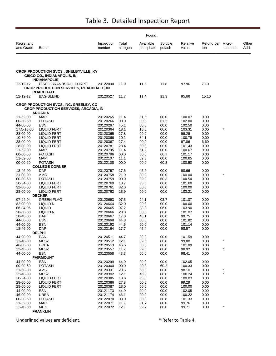|                         |                                                                                                          | Found                |                   |                        |                   |                   |                          |           |               |
|-------------------------|----------------------------------------------------------------------------------------------------------|----------------------|-------------------|------------------------|-------------------|-------------------|--------------------------|-----------|---------------|
| Registrant<br>and Grade | <b>Brand</b>                                                                                             | Inspection<br>number | Total<br>nitrogen | Available<br>phosphate | Soluble<br>potash | Relative<br>value | Refund per Micro-<br>ton | nutrients | Other<br>Add. |
|                         |                                                                                                          |                      |                   |                        |                   |                   |                          |           |               |
|                         | CROP PRODUCTION SVCS, SHELBYVILLE, KY<br><b>CISCO CO., INDIANAPOLIS, IN</b><br><b>INDIANAPOLIS</b>       |                      |                   |                        |                   |                   |                          |           |               |
| 12-12-12                | CISCO BRANDS ALL PURPO<br><b>CROP PRODUCTION SERVICES, ROACHDALE, IN</b><br><b>ROACHDALE</b>             | 20122000             | 11.9              | 11.5                   | 11.8              | 97.96             | 7.10                     |           |               |
| 12-12-12                | BAG BLEND                                                                                                | 20120527             | 11.7              | 11.4                   | 11.3              | 95.66             | 15.10                    |           |               |
|                         | CROP PRODUCTION SVCS, INC, GREELEY, CO<br><b>CROP PRODUCTION SERVICES, ARCADIA, IN</b><br><b>ARCADIA</b> |                      |                   |                        |                   |                   |                          |           |               |
| 11-52-00                | <b>MAP</b>                                                                                               | 20120265             | 11.4              | 51.5                   | 00.0              | 100.07            | 0.00                     |           |               |
| 00-00-60                | <b>POTASH</b>                                                                                            | 20120266             | 00.0              | 00.0                   | 61.2              | 102.00            | 0.00                     |           |               |
| 44-00-00                | <b>ESN</b>                                                                                               | 20120267             | 45.1              | 00.0                   | 00.0              | 102.50            | 0.00                     |           |               |
| 17.5-16-00              | <b>LIQUID FERT</b>                                                                                       | 20120364             | 18.1              | 16.5                   | 00.0              | 103.31            | 0.00                     | $\star$   |               |
| 28-00-00                | <b>LIQUID FERT</b>                                                                                       | 20120365             | 27.8              | 00.0                   | 00.0              | 99.29             | 0.00                     |           |               |
| 10-34-00                | <b>LIQUID FERT</b>                                                                                       | 20120366             | 10.2              | 34.1                   | 00.0              | 100.79            | 0.00                     |           |               |
| 28-00-00                | <b>LIQUID FERT</b>                                                                                       | 20120367             | 27.4              | 00.0                   | 00.0              | 97.86             | 6.60                     |           |               |
| 28-00-00                | <b>LIQUID FERT</b>                                                                                       | 20120781             | 28.4              | 00.0                   | 00.0              | 101.43            | 0.00                     |           |               |
| 11-52-00                | MAP                                                                                                      | 20120795             | 11.4              | 51.9                   | 00.0              | 100.67            | 0.00                     |           |               |
| 00-00-60<br>11-52-00    | <b>POTASH</b><br><b>MAP</b>                                                                              | 20120796<br>20122107 | 00.0<br>11.1      | 00.0<br>52.3           | 60.7<br>00.0      | 101.17<br>100.65  | 0.00<br>0.00             |           |               |
| 00-00-60                | <b>POTASH</b>                                                                                            | 20122108             | 00.0              | 00.0                   | 60.3              | 100.50            | 0.00                     |           |               |
|                         | <b>COLLEGE CORNER</b>                                                                                    |                      |                   |                        |                   |                   |                          |           |               |
| 18-46-00                | DAP                                                                                                      | 20120757             | 17.6              | 45.6                   | 00.0              | 98.66             | 0.00                     |           |               |
| 21-00-00                | AMS                                                                                                      | 20120758             | 21.0              | 00.0                   | 00.0              | 100.00            | 0.00                     |           |               |
| 00-00-60                | <b>POTASH</b>                                                                                            | 20120759             | 00.0              | 00.0                   | 60.3              | 100.50            | 0.00                     |           |               |
| 10-34-00                | <b>LIQUID FERT</b>                                                                                       | 20120760             | 10.7              | 33.8                   | 00.0              | 101.60            | 0.00                     |           |               |
| 32-00-00                | <b>LIQUID FERT</b>                                                                                       | 20120761             | 32.0              | 00.0                   | 00.0              | 100.00            | 0.00                     |           |               |
| 28-00-00                | <b>LIQUID FERT</b>                                                                                       | 20120762             | 28.9              | 00.0                   | 00.0              | 103.21            | 0.00                     |           |               |
|                         | <b>DECKER</b>                                                                                            |                      |                   |                        |                   |                   |                          |           |               |
| 07-24-04                | <b>GREEN FLAG</b>                                                                                        | 20120663             | 07.5              | 24.1                   | 03.7              | 101.07            | 0.00                     |           |               |
| 32-00-00                | LIQUID N                                                                                                 | 20120664             | 32.0              | 00.0                   | 00.0              | 100.00            | 0.00                     |           |               |
| 06-24-06<br>28-00-00    | <b>LIQUID</b><br>LIQUID N                                                                                | 20120665<br>20120666 | 07.2<br>28.3      | 23.9<br>00.0           | 06.0<br>00.0      | 103.90<br>101.07  | 0.00<br>0.00             |           |               |
| 18-46-00                | <b>DAP</b>                                                                                               | 20120667             | 17.8              | 46.1                   | 00.0              | 99.75             | 0.00                     |           |               |
| 44-00-00                | <b>ESN</b>                                                                                               | 20120668             | 44.8              | 00.0                   | 00.0              | 101.82            | 0.00                     |           |               |
| 44-00-00                | <b>ESN</b>                                                                                               | 20123162             | 44.5              | 00.0                   | 00.0              | 101.14            | 0.00                     |           |               |
| 18-46-00                | DAP                                                                                                      | 20123164             | 17.7              | 45.4                   | 00.0              | 98.57             | 0.00                     |           |               |
|                         | <b>DELPHI</b>                                                                                            |                      |                   |                        |                   |                   |                          |           |               |
| 44-00-00                | ESN                                                                                                      | 20120511             | 44.7              | 00.0                   | 00.0              | 101.59            | 0.00                     |           |               |
| 12-40-00                | <b>MESZ</b>                                                                                              | 20120512             | 12.1              | 39.3                   | 00.0              | 99.00             | 0.00                     | $\star$   |               |
| 46-00-00                | <b>UREA</b>                                                                                              | 20120513             | 46.5              | 00.0                   | 00.0              | 101.09            | 0.00                     | $\star$   |               |
| 12-40-00<br>44-00-00    | MESZ<br><b>ESN</b>                                                                                       | 20123557             | 11.7              | 39.8<br>00.0           | 00.0<br>00.0      | 98.92<br>98.41    | 0.00<br>0.00             |           |               |
|                         | <b>FAIRMOUNT</b>                                                                                         | 20123558             | 43.3              |                        |                   |                   |                          |           |               |
| 44-00-00                | <b>ESN</b>                                                                                               | 20120299             | 44.9              | 00.0                   | 00.0              | 102.05            | 0.00                     |           |               |
| 00-00-60                | <b>POTASH</b>                                                                                            | 20120300             | 00.0              | 00.0                   | 60.2              | 100.33            | 0.00                     |           |               |
| 21-00-00                | AMS                                                                                                      | 20120301             | 20.6              | 00.0                   | 00.0              | 98.10             | 0.00                     | $\ast$    |               |
| 12-40-00                | <b>MESZ</b>                                                                                              | 20120302             | 12.1              | 40.0                   | 00.0              | 100.24            | 0.00                     | $\star$   |               |
| 10-34-00                | <b>LIQUID FERT</b>                                                                                       | 20120385             | 10.3              | 33.6                   | 00.0              | 100.03            | 0.00                     |           |               |
| 28-00-00                | <b>LIQUID FERT</b>                                                                                       | 20120386             | 27.8              | 00.0                   | 00.0              | 99.29             | 0.00                     |           |               |
| 28-00-00                | <b>LIQUID FERT</b>                                                                                       | 20120387             | 28.0              | 00.0                   | 00.0              | 100.00            | 0.00                     |           |               |
| 44-00-00                | <b>ESN</b>                                                                                               | 20121173             | 44.9              | 00.0                   | 00.0              | 102.05            | 0.00                     |           |               |
| 46-00-00                | <b>UREA</b>                                                                                              | 20121174             | 46.1              | 00.0                   | 00.0              | 100.22            | 0.00                     |           |               |
| 00-00-60                | <b>POTASH</b>                                                                                            | 20122070             | 00.0              | 00.0                   | 60.8              | 101.33            | 0.00                     |           |               |
| 11-52-00                | <b>MAP</b>                                                                                               | 20122071             | 11.1              | 51.7                   | 00.0              | 99.76             | 0.00                     |           |               |
| 12-40-00                | MEZ<br><b>FRANKLIN</b>                                                                                   | 20122072             | 12.1              | 39.7                   | 00.0              | 99.71             | 0.00                     |           |               |
|                         |                                                                                                          |                      |                   |                        |                   |                   |                          |           |               |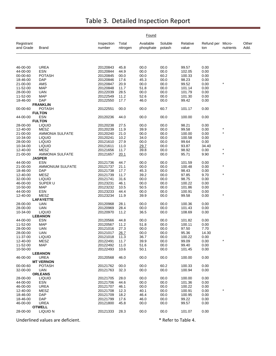|                         |                                |                      |                   | Found                  |                   |                   |                          |           |               |
|-------------------------|--------------------------------|----------------------|-------------------|------------------------|-------------------|-------------------|--------------------------|-----------|---------------|
| Registrant<br>and Grade | Brand                          | Inspection<br>number | Total<br>nitrogen | Available<br>phosphate | Soluble<br>potash | Relative<br>value | Refund per Micro-<br>ton | nutrients | Other<br>Add. |
|                         |                                |                      |                   |                        |                   |                   |                          |           |               |
| 46-00-00                | <b>UREA</b>                    | 20120843             | 45.8              | 00.0                   | 00.0              | 99.57             | 0.00                     |           |               |
| 44-00-00                | <b>ESN</b>                     | 20120844             | 44.9              | 00.0                   | 00.0              | 102.05            | 0.00                     |           |               |
| 00-00-60                | <b>POTASH</b>                  | 20120845             | 00.0              | 00.0                   | 60.2              | 100.33            | 0.00                     |           |               |
| 18-46-00                | <b>DAP</b>                     | 20120846             | 17.6              | 45.3                   | 00.0              | 98.23             | 0.00                     |           |               |
| 21-00-00                | AMS                            | 20120847             | 20.9              | 00.0                   | 00.0              | 99.52             | 0.00                     | $\star$   |               |
| 11-52-00                | <b>MAP</b>                     | 20120848             | 11.7              | 51.8                   | 00.0              | 101.14            | 0.00                     |           |               |
| 28-00-00                | <b>UAN</b>                     | 20122039             | 28.5              | 00.0                   | 00.0              | 101.79            | 0.00                     |           |               |
| 11-52-00                | <b>MAP</b>                     | 20122549             | 11.2              | 52.6                   | 00.0              | 101.30            | 0.00                     |           |               |
| 18-46-00                | <b>DAP</b>                     | 20122550             | 17.7              | 46.0                   | 00.0              | 99.42             | 0.00                     |           |               |
|                         | <b>FRANKLIN</b>                |                      |                   |                        |                   |                   |                          |           |               |
| 00-00-60                | <b>POTASH</b><br><b>FULTON</b> | 20122551             | 00.0              | 00.0                   | 60.7              | 101.17            | 0.00                     |           |               |
| 44-00-00                | <b>ESN</b>                     | 20120236             | 44.0              | 00.0                   | 00.0              | 100.00            | 0.00                     |           |               |
|                         | <b>FULTON</b>                  |                      |                   |                        |                   |                   |                          |           |               |
| 28-00-00                | <b>LIQUID</b>                  | 20120238             | 27.5              | 00.0                   | 00.0              | 98.21             | 0.00                     |           |               |
| 12-40-00                | MESZ                           | 20120239             | 11.9              | 39.9                   | 00.0              | 99.58             | 0.00                     |           |               |
| 21-00-00                | <b>AMMONIA SULFATE</b>         | 20120240             | 21.0              | 00.0                   | 00.0              | 100.00            | 0.00                     | $\star$   |               |
| 10-34-00                | <b>LIQUID</b>                  | 20120241             | 10.2              | 34.0                   | 00.0              | 100.58            | 0.00                     |           |               |
| 28-00-00                | <b>LIQUID</b>                  | 20121610             | 27.9              | 00.0                   | 00.0              | 99.64             | 0.00                     |           |               |
| 10-34-00                | <b>LIQUID</b>                  | 20121611             | 11.0              | 29.7                   | 00.0              | 93.87             | 34.40                    |           |               |
| 12-40-00                | <b>MESZ</b>                    | 20121656             | 11.7              | 39.8                   | 00.0              | 98.92             | 0.00                     |           |               |
| 21-00-00                | AMMONIA SULFATE                | 20121657             | 20.1              | 00.0                   | 00.0              | 95.71             | 9.90                     | $\star$   |               |
|                         | <b>JASPER</b>                  |                      |                   |                        |                   |                   |                          |           |               |
| 44-00-00                | <b>ESN</b>                     | 20121736             | 44.7              | 00.0                   | 00.0              | 101.59            | 0.00                     |           |               |
| 21-00-00                | <b>AMMONIUM SULFATE</b>        | 20121737             | 21.1              | 00.0                   | 00.0              | 100.48            | 0.00                     | $\star$   |               |
| 18-46-00                | <b>DAP</b>                     | 20121738             | 17.7              | 45.3                   | 00.0              | 98.43             | 0.00                     |           |               |
| 12-40-00                | <b>MESZ</b>                    | 20121739             | 11.7              | 39.2                   | 00.0              | 97.85             | 9.70                     |           |               |
| 32-00-00                | <b>LIQUID</b>                  | 20121741             | 31.6              | 00.0                   | 00.0              | 98.75             | 0.00                     |           |               |
| 46-00-00                | SUPER U                        | 20123231             | 46.1              | 00.0                   | 00.0              | 100.22            | 0.00                     |           |               |
| 10-50-00                | <b>MAP</b>                     | 20123232             | 10.5              | 50.5                   | 00.0              | 101.86            | 0.00                     |           |               |
| 44-00-00                | <b>ESN</b>                     | 20123233             | 44.4              | 00.0                   | 00.0              | 100.91            | 0.00                     |           |               |
| 12-40-00                | <b>MESZ</b>                    | 20123234             | 11.9              | 39.9                   | 00.0              | 99.58             | 0.00                     | $\ast$    |               |
|                         | <b>LAFAYETTE</b>               |                      |                   |                        |                   |                   |                          |           |               |
| 28-00-00                | UAN                            | 20120968             | 28.1              | 00.0                   | 00.0              | 100.36            | 0.00                     |           |               |
| 28-00-00<br>10-34-00    | <b>UAN</b><br><b>LIQUID</b>    | 20120969<br>20120970 | 28.4<br>11.2      | 00.0<br>36.5           | 00.0<br>00.0      | 101.43<br>108.69  | 0.00<br>0.00             |           |               |
|                         | <b>LEBANON</b>                 |                      |                   |                        |                   |                   |                          |           |               |
| 44-00-00                | ESN                            | 20120566             | 44.8              | 00.0                   | 00.0              | 101.82            | 0.00                     |           |               |
| 11-52-00                | <b>MAP</b>                     | 20120567             | 11.2              | 51.8                   | 00.0              | 100.11            | 0.00                     |           |               |
| 28-00-00                | <b>UAN</b>                     | 20121016             | 27.3              | 00.0                   | 00.0              | 97.50             | 7.70                     |           |               |
| 28-00-00                | UAN                            | 20121017             | 26.7              | 00.0                   | 00.0              | 95.36             | 14.30                    |           |               |
| 11-37-00                | <b>LIQUID</b>                  | 20121018             | 11.3              | 36.7                   | 00.0              | 100.22            | 0.00                     |           |               |
| 12-40-00                | MESZ                           | 20122491             | 11.7              | 39.9                   | 00.0              | 99.09             | 0.00                     | $\star$   |               |
| 11-52-00                | <b>MAP</b>                     | 20122492             | 11.0              | 51.6                   | 00.0              | 99.40             | 0.00                     |           |               |
| 10-50-00                |                                | 20122493             | 10.6              | 50.1                   | 00.0              | 101.45            | 0.00                     |           |               |
|                         | <b>LEBANON</b>                 |                      |                   |                        |                   |                   |                          |           |               |
| 46-00-00                | <b>UREA</b>                    | 20120568             | 46.0              | 00.0                   | 00.0              | 100.00            | 0.00                     |           |               |
|                         | <b>MT VERNON</b>               |                      |                   |                        |                   |                   |                          |           |               |
| 00-00-60                | <b>POTASH</b>                  | 20121762             | 00.0              | 00.0                   | 60.2              | 100.33            | 0.00                     |           |               |
| 32-00-00                | <b>UAN</b>                     | 20121763             | 32.3              | 00.0                   | 00.0              | 100.94            | 0.00                     |           |               |
|                         | <b>ORLEANS</b>                 |                      |                   |                        |                   |                   |                          |           |               |
| 28-00-00                | <b>LIQUID</b>                  | 20121705             | 28.0              | 00.0                   | 00.0              | 100.00            | 0.00                     |           |               |
| 44-00-00                | ESN                            | 20121706             | 44.6              | 00.0                   | 00.0              | 101.36            | 0.00                     |           |               |
| 46-00-00                | <b>UREA</b>                    | 20121707             | 46.1              | 00.0                   | 00.0              | 100.22            | 0.00                     | $\ast$    |               |
| 12-40-00                | MESZ                           | 20121708             | 12.3              | 40.1                   | 00.0              | 100.91            | 0.00                     |           |               |
| 18-46-00<br>18-46-00    | <b>DAP</b><br><b>DAP</b>       | 20121709<br>20121799 | 18.2              | 46.4<br>46.0           | 00.0<br>00.0      | 100.95<br>99.22   | 0.00<br>0.00             |           |               |
| 46-00-00                | <b>UREA</b>                    | 20121800             | 17.6<br>45.8      | 00.0                   | 00.0              | 99.57             | 0.00                     |           |               |
|                         | <b>OTWELL</b>                  |                      |                   |                        |                   |                   |                          |           |               |
| 28-00-00                | LIQUID N                       | 20121333             | 28.3              | 00.0                   | 00.0              | 101.07            | 0.00                     |           |               |
|                         |                                |                      |                   |                        |                   |                   |                          |           |               |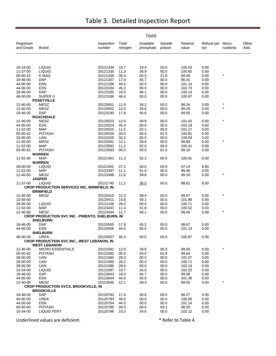|                         |                                                    |                      |                   | Found                  |                   |                   |                          |           |               |
|-------------------------|----------------------------------------------------|----------------------|-------------------|------------------------|-------------------|-------------------|--------------------------|-----------|---------------|
| Registrant<br>and Grade | Brand                                              | Inspection<br>number | Total<br>nitrogen | Available<br>phosphate | Soluble<br>potash | Relative<br>value | Refund per Micro-<br>ton | nutrients | Other<br>Add. |
|                         |                                                    |                      |                   |                        |                   |                   |                          |           |               |
| 18-18-00                | <b>LIQUID</b>                                      | 20121334             | 18.7              | 19.4                   | 00.0              | 105.53            | 0.00                     |           |               |
| 11-37-00                | <b>LIQUID</b>                                      | 20121335             | 11.3              | 36.9                   | 00.0              | 100.60            | 0.00                     |           |               |
| 00-00-22                | K MAG                                              | 20121336             | 00.0              | 00.0                   | 21.8              | 99.09             | 0.00                     |           |               |
| 18-46-00                | <b>DAP</b>                                         | 20121337             | 17.4              | 45.7                   | 00.0              | 98.41             | 0.00                     |           |               |
| 44-00-00                | <b>ESN</b>                                         | 20121338             | 44.5              | 00.0                   | 00.0              | 101.14            | 0.00                     |           |               |
| 44-00-00                | <b>ESN</b>                                         | 20123184             | 45.2              | 00.0                   | 00.0              | 102.73            | 0.00                     |           |               |
| 18-46-00<br>46-00-00    | <b>DAP</b><br>SUPER U                              | 20123185<br>20123186 | 18.0<br>46.4      | 46.1<br>00.0           | 00.0<br>00.0      | 100.14<br>100.87  | 0.00<br>0.00             |           |               |
|                         | <b>POSEYVILLE</b>                                  |                      |                   |                        |                   |                   |                          |           |               |
| 12-40-00                | <b>MESZ</b>                                        | 20120651             | 11.9              | 39.2                   | 00.0              | 98.34             | 0.00                     | $\star$   |               |
| 12-40-00                | <b>MESZ</b>                                        | 20120652             | 12.0              | 39.6                   | 00.0              | 99.29             | 0.00                     | $\star$   |               |
| 18-46-00                | <b>DAP</b>                                         | 20123190             | 17.8              | 45.6                   | 00.0              | 99.05             | 0.00                     |           |               |
|                         | <b>ROACHDALE</b>                                   |                      |                   |                        |                   |                   |                          |           |               |
| 12-40-00                | MESZ                                               | 20120523             | 12.0              | 40.8                   | 00.0              | 101.42            | 0.00                     | $\star$   |               |
| 44-00-00                | <b>ESN</b>                                         | 20120524             | 45.4              | 00.0                   | 00.0              | 103.18            | 0.00                     |           |               |
| 11-52-00                | <b>MAP</b>                                         | 20120525             | 11.5              | 52.1                   | 00.0              | 101.17            | 0.00                     |           |               |
| 00-00-62                | <b>POTASH</b>                                      | 20120526             | 00.0              | 00.0                   | 62.5              | 100.81            | 0.00                     |           |               |
| 32-00-00                | <b>UAN</b>                                         | 20122426             | 32.2              | 00.0                   | 00.0              | 100.63            | 0.00                     |           |               |
| 12-40-00                | MESZ                                               | 20123581             | 12.1              | 39.8                   | 00.0              | 99.89             | 0.00                     | $\star$   |               |
| 11-52-00                | <b>MAP</b>                                         | 20123582             | 11.2              | 52.0                   | 00.0              | 100.41            | 0.00                     |           |               |
| 00-00-62                | <b>POTASH</b>                                      | 20123583             | 00.0              | 00.0                   | 61.5              | 99.19             | 0.00                     |           |               |
|                         | <b>WARREN</b>                                      |                      |                   |                        |                   |                   |                          |           |               |
| 11-52-00                | <b>MAP</b>                                         | 20121401             | 11.3              | 52.2                   | 00.0              | 100.91            | 0.00                     |           |               |
|                         | <b>WARREN</b>                                      |                      |                   |                        |                   |                   |                          |           |               |
| 28-00-00                | <b>LIQUID</b><br><b>MAP</b>                        | 20121402             | 27.2              | 00.0                   | 00.0              | 97.14             | 8.80                     |           |               |
| 11-52-00<br>12-40-00    | <b>MESZ</b>                                        | 20123397<br>20123398 | 11.1<br>11.8      | 51.5<br>39.8           | 00.0<br>00.0      | 99.46<br>99.16    | 0.00<br>0.00             |           |               |
|                         | <b>JASPER</b>                                      |                      |                   |                        |                   |                   |                          |           |               |
| 11-37-00                | <b>LIQUID</b>                                      | 20121740             | 11.2              | 36.0                   | 00.0              | 98.61             | 8.00                     |           |               |
|                         | <b>CROP PRODUCTION SERVICES INC, BRIMFIELD, IN</b> |                      |                   |                        |                   |                   |                          |           |               |
|                         | <b>BRIMFIELD</b>                                   |                      |                   |                        |                   |                   |                          |           |               |
| 12-40-00                | <b>MESZ</b>                                        | 20120410             | 12.3              | 39.4                   | 00.0              | 99.67             | 0.00                     | $\star$   |               |
| 10-50-00                |                                                    | 20120411             | 10.8              | 50.1                   | 00.0              | 101.88            | 0.00                     |           |               |
| 28-00-00                | <b>LIQUID</b>                                      | 20121438             | 28.2              | 00.0                   | 00.0              | 100.71            | 0.00                     |           |               |
| 11-52-00                | <b>MAP</b>                                         | 20123443             | 11.4              | 51.8                   | 00.0              | 100.52            | 0.00                     |           |               |
| 12-40-00                | MESZ                                               | 20123444             | 11.7              | 40.1                   | 00.0              | 99.45             | 0.00                     | $\star$   |               |
|                         | CROP PRODUCTION SVC INC - PIMENTO, SHELBURN, IN    |                      |                   |                        |                   |                   |                          |           |               |
|                         | <b>SHELBURN</b>                                    |                      |                   |                        |                   |                   |                          |           |               |
| 18-46-00                | <b>DAP</b>                                         | 20120505             | 17.9              | 45.2                   | 00.0              | 98.67             | 0.00                     |           |               |
| 44-00-00                | <b>ESN</b>                                         | 20120506             | 44.5              | 00.0                   | 00.0              | 101.14            | 0.00                     |           |               |
| 46-00-00                | <b>SHELBURN</b><br>UREA                            | 20120507             | 46.4              | 00.0                   | 00.0              | 100.87            | 0.00                     |           |               |
|                         | CROP PRODUCTION SVC INC., WEST LEBANON, IN         |                      |                   |                        |                   |                   |                          |           |               |
|                         | <b>WEST LEBANON</b>                                |                      |                   |                        |                   |                   |                          |           |               |
| 12-40-00                | <b>MICRO ESSENTIALS</b>                            | 20121081             | 12.0              | 39.8                   | 00.0              | 99.65             | 0.00                     | $\star$   |               |
| 00-00-62                | <b>POTASH</b>                                      | 20121082             | 00.0              | 00.0                   | 61.9              | 99.84             | 0.00                     |           |               |
| 28-00-00                | UAN                                                | 20121084             | 28.3              | 00.0                   | 00.0              | 101.07            | 0.00                     |           |               |
| 28-00-00                | <b>UAN</b>                                         | 20121085             | 28.2              | 00.0                   | 00.0              | 100.71            | 0.00                     |           |               |
| 28-00-00                | <b>UAN</b>                                         | 20121086             | 28.6              | 00.0                   | 00.0              | 102.14            | 0.00                     |           |               |
| 10-34-00                | <b>LIQUID</b>                                      | 20121087             | 10.7              | 34.0                   | 00.0              | 102.02            | 0.00                     |           |               |
| 18-46-00                | <b>DAP</b>                                         | 20123643             | 18.0              | 45.7                   | 00.0              | 99.58             | 0.00                     |           |               |
| 44-00-00                | <b>ESN</b>                                         | 20123644             | 44.6              | 00.0                   | 00.0              | 101.36            | 0.00                     |           |               |
| 12-40-00                | <b>MESZ</b>                                        | 20123645             | 12.1              | 39.3                   | 00.0              | 99.00             | 0.00                     | *         |               |
|                         | <b>CROP PRODUCTION SVCS, BROOKVILLE, IN</b>        |                      |                   |                        |                   |                   |                          |           |               |
|                         | <b>BROOKVILLE</b>                                  |                      |                   |                        |                   |                   |                          |           |               |
| 18-46-00                | <b>DAP</b>                                         | 20120782             | 17.4              | 45.6                   | 00.0              | 98.27             | 0.00                     |           |               |
| 46-00-00                | UREA                                               | 20120783             | 46.0              | 00.0                   | 00.0              | 100.00            | 0.00                     |           |               |
| 44-00-00                | <b>ESN</b><br><b>POTASH</b>                        | 20120784             | 44.5              | 00.0                   | 00.0              | 101.14            | 0.00                     |           |               |
| 00-00-60<br>10-34-00    | <b>LIQUID FERT</b>                                 | 20120785<br>20120786 | 00.0<br>10.3      | 00.0<br>34.6           | 59.1<br>00.0      | 98.50<br>102.12   | 0.00<br>0.00             |           |               |
|                         |                                                    |                      |                   |                        |                   |                   |                          |           |               |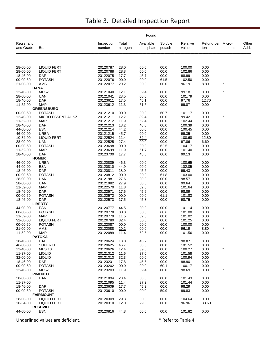|                         |                                        |                      |                   | Found                  |                   |                   |                          |           |               |
|-------------------------|----------------------------------------|----------------------|-------------------|------------------------|-------------------|-------------------|--------------------------|-----------|---------------|
| Registrant<br>and Grade | Brand                                  | Inspection<br>number | Total<br>nitrogen | Available<br>phosphate | Soluble<br>potash | Relative<br>value | Refund per Micro-<br>ton | nutrients | Other<br>Add. |
|                         |                                        |                      |                   |                        |                   |                   |                          |           |               |
| 28-00-00                | <b>LIQUID FERT</b>                     | 20120787             | 28.0              | 00.0                   | 00.0              | 100.00            | 0.00                     |           |               |
| 28-00-00                | <b>LIQUID FERT</b>                     | 20120788             | 28.8              | 00.0                   | 00.0              | 102.86            | 0.00                     |           |               |
| 18-46-00                | <b>DAP</b>                             | 20122075             | 17.7              | 45.7                   | 00.0              | 98.99             | 0.00                     |           |               |
| 00-00-60                | <b>POTASH</b>                          | 20122076             | 00.0              | 00.0                   | 61.5              | 102.50            | 0.00                     | $\star$   |               |
| 21-00-00                | AMS<br><b>DANA</b>                     | 20122077             | 20.2              | 00.0                   | 00.0              | 96.19             | 8.80                     |           |               |
| 12-40-00                | MESZ                                   | 20121040             | 12.1              | 39.4                   | 00.0              | 99.18             | 0.00                     | $\star$   |               |
| 28-00-00                | UAN                                    | 20121041             | 28.5              | 00.0                   | 00.0              | 101.79            | 0.00                     |           |               |
| 18-46-00                | <b>DAP</b>                             | 20123611             | 17.5              | 45.1                   | 00.0              | 97.76             | 12.70                    |           |               |
| 11-52-00                | <b>MAP</b>                             | 20123612             | 11.3              | 51.5                   | 00.0              | 99.87             | 0.00                     |           |               |
|                         | <b>GREENSBURG</b>                      |                      |                   |                        |                   |                   |                          |           |               |
| 00-00-60                | <b>POTASH</b>                          | 20121210             | 00.0<br>12.2      | 00.0                   | 60.7              | 101.17            | 0.00                     | $\star$   |               |
| 12-40-00<br>11-52-00    | MICRO ESSENTIAL SZ<br>MAP              | 20121211<br>20121212 | 11.9              | 39.4<br>52.4           | 00.0<br>00.0      | 99.42<br>102.44   | 0.00<br>0.00             |           |               |
| 18-46-00                | <b>DAP</b>                             | 20121213             | 18.2              | 46.0                   | 00.0              | 100.39            | 0.00                     |           |               |
| 44-00-00                | <b>ESN</b>                             | 20121214             | 44.2              | 00.0                   | 00.0              | 100.45            | 0.00                     |           |               |
| 46-00-00                | <b>UREA</b>                            | 20121215             | 45.7              | 00.0                   | 00.0              | 99.35             | 0.00                     |           |               |
| 10-34-00                | <b>LIQUID FERT</b>                     | 20122524             | 11.4              | 32.4                   | 00.0              | 100.68            | 12.80                    |           |               |
| 28-00-00                | <b>UAN</b>                             | 20122525             | 27.4              | 00.0                   | 00.0              | 97.86             | 6.60                     |           |               |
| 00-00-60                | <b>POTASH</b>                          | 20123698             | 00.0              | 00.0                   | 62.5              | 104.17            | 0.00                     |           |               |
| 11-52-00                | <b>MAP</b>                             | 20123699             | 11.9              | 51.7                   | 00.0              | 101.40            | 0.00                     |           |               |
| 18-46-00                | DAP<br><b>HOMER</b>                    | 20123700             | 17.7              | 45.8                   | 00.0              | 99.13             | 0.00                     |           |               |
| 46-00-00                | <b>UREA</b>                            | 20120809             | 46.3              | 00.0                   | 00.0              | 100.65            | 0.00                     |           |               |
| 44-00-00                | <b>ESN</b>                             | 20120810             | 44.9              | 00.0                   | 00.0              | 102.05            | 0.00                     |           |               |
| 18-46-00                | <b>DAP</b>                             | 20120811             | 18.0              | 45.6                   | 00.0              | 99.43             | 0.00                     |           |               |
| 00-00-60                | <b>POTASH</b>                          | 20120812             | 00.0              | 00.0                   | 61.8              | 103.00            | 0.00                     |           |               |
| 28-00-00                | <b>UAN</b>                             | 20121981             | 27.6              | 00.0                   | 00.0              | 98.57             | 0.00                     |           |               |
| 28-00-00                | <b>UAN</b>                             | 20121982             | 27.9              | 00.0                   | 00.0              | 99.64             | 0.00                     |           |               |
| 11-52-00                | <b>MAP</b>                             | 20122570             | 11.8              | 52.0                   | 00.0              | 101.64            | 0.00                     |           |               |
| 18-46-00                | DAP                                    | 20122571             | 17.5              | 45.9                   | 00.0              | 98.89             | 0.00                     |           |               |
| 00-00-60<br>18-46-00    | <b>POTASH</b><br><b>DAP</b>            | 20122572<br>20122573 | 00.0<br>17.5      | 00.0<br>45.8           | 61.1<br>00.0      | 101.83<br>98.75   | 0.00<br>0.00             |           |               |
|                         | <b>LIBERTY</b>                         |                      |                   |                        |                   |                   |                          |           |               |
| 44-00-00                | <b>ESN</b>                             | 20120777             | 44.5              | 00.0                   | 00.0              | 101.14            | 0.00                     |           |               |
| 00-00-60                | <b>POTASH</b>                          | 20120778             | 00.0              | 00.0                   | 60.6              | 101.00            | 0.00                     |           |               |
| 11-52-00                | <b>MAP</b>                             | 20120779             | 11.5              | 52.0                   | 00.0              | 101.02            | 0.00                     |           |               |
| 32-00-00                | <b>LIQUID FERT</b>                     | 20120780             | 32.4              | 00.0                   | 00.0              | 101.25            | 0.00                     |           |               |
| 00-00-60                | <b>POTASH</b>                          | 20122087             | 00.0              | 00.0                   | 60.0              | 100.00            | 0.00                     |           |               |
| 21-00-00                | AMS                                    | 20122088             | 20.2              | 00.0                   | 00.0              | 96.19<br>101.56   | 8.80                     |           |               |
| 11-52-00                | MAP<br><b>PATOKA</b>                   | 20122089             | 11.4              | 52.5                   | 00.0              |                   | 0.00                     |           |               |
| 18-46-00                | <b>DAP</b>                             | 20120624             | 18.0              | 45.2                   | 00.0              | 98.87             | 0.00                     |           |               |
| 46-00-00                | SUPER U                                | 20120625             | 46.7              | 00.0                   | 00.0              | 101.52            | 0.00                     |           |               |
| 12-40-00                | <b>MES 10</b>                          | 20120626             | 12.4              | 39.6                   | 00.0              | 100.27            | 0.00                     | $\star$   |               |
| 11-37-00                | <b>LIQUID</b>                          | 20121312             | 11.6              | 37.0                   | 00.0              | 101.58            | 0.00                     |           |               |
| 32-00-00                | <b>LIQUID</b>                          | 20121313             | 32.3              | 00.0                   | 00.0              | 100.94            | 0.00                     |           |               |
| 18-46-00                | <b>DAP</b>                             | 20123201             | 17.8              | 45.5                   | 00.0              | 98.90             | 0.00                     |           |               |
| 00-00-60<br>12-40-00    | <b>POTASH</b><br><b>MESZ</b>           | 20123202<br>20123203 | 00.0<br>11.9      | 00.0<br>39.4           | 60.1<br>00.0      | 100.17<br>98.69   | 0.00<br>0.00             |           |               |
|                         | <b>PIMENTO</b>                         |                      |                   |                        |                   |                   |                          |           |               |
| 28-00-00                | <b>UAN</b>                             | 20121094             | 28.4              | 00.0                   | 00.0              | 101.43            | 0.00                     |           |               |
| 11-37-00                |                                        | 20121095             | 11.4              | 37.2                   | 00.0              | 101.44            | 0.00                     |           |               |
| 18-46-00                | <b>DAP</b>                             | 20123609             | 17.7              | 45.2                   | 00.0              | 98.29             | 0.00                     |           |               |
| 00-00-60                | <b>POTASH</b>                          | 20123610             | 00.0              | 00.0                   | 59.9              | 99.83             | 0.00                     |           |               |
|                         | <b>FAIRMOUNT</b>                       |                      |                   |                        |                   |                   |                          |           |               |
| 28-00-00                | <b>LIQUID FERT</b>                     | 20120309             | 29.3              | 00.0                   | 00.0              | 104.64            | 0.00                     |           |               |
| 10-34-00                | <b>LIQUID FERT</b><br><b>RUSHVILLE</b> | 20120310             | 12.0              | 29.8                   | 00.0              | 96.96             | 33.60                    |           |               |
| 44-00-00                | <b>ESN</b>                             | 20120816             | 44.8              | 00.0                   | 00.0              | 101.82            | 0.00                     |           |               |
|                         |                                        |                      |                   |                        |                   |                   |                          |           |               |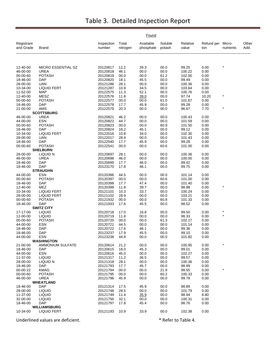|                         |                                  |                      |                   | Found                  |                   |                   |                          |           |               |
|-------------------------|----------------------------------|----------------------|-------------------|------------------------|-------------------|-------------------|--------------------------|-----------|---------------|
| Registrant<br>and Grade | <b>Brand</b>                     | Inspection<br>number | Total<br>nitrogen | Available<br>phosphate | Soluble<br>potash | Relative<br>value | Refund per Micro-<br>ton | nutrients | Other<br>Add. |
|                         |                                  |                      |                   |                        |                   |                   |                          |           |               |
| 12-40-00                | MICRO ESSENTIAL SZ               | 20120817             | 12.2              | 39.3                   | 00.0              | 99.25             | 0.00                     |           |               |
| 46-00-00                | <b>UREA</b>                      | 20120818             | 46.1              | 00.0                   | 00.0              | 100.22            | 0.00                     |           |               |
| 00-00-60                | <b>POTASH</b>                    | 20120819             | 00.0              | 00.0                   | 61.2              | 102.00            | 0.00                     |           |               |
| 18-46-00                | <b>DAP</b>                       | 20120820             | 18.1              | 45.5                   | 00.0              | 99.49             | 0.00                     |           |               |
| 28-00-00                | <b>UAN</b>                       | 20121286             | 28.1              | 00.0                   | 00.0              | 100.36            | 0.00                     |           |               |
| 10-34-00<br>11-52-00    | <b>LIQUID FERT</b><br><b>MAP</b> | 20121287<br>20122575 | 10.9<br>11.3      | 34.5<br>52.1           | 00.0<br>00.0      | 103.64<br>100.76  | 0.00<br>0.00             |           |               |
| 12-40-00                | <b>MESZ</b>                      | 20122576             | 11.8              | 39.0                   | 00.0              | 97.74             | 10.20                    |           |               |
| 00-00-60                | <b>POTASH</b>                    | 20122577             | 00.0              | 00.0                   | 61.0              | 101.67            | 0.00                     |           |               |
| 18-46-00                | <b>DAP</b>                       | 20122578             | 17.7              | 45.9                   | 00.0              | 99.28             | 0.00                     |           |               |
| 21-00-00                | AMS                              | 20122579             | 20.3              | 00.0                   | 00.0              | 96.67             | 7.70                     | $\star$   |               |
|                         | <b>SCOTTSBURG</b>                |                      |                   |                        |                   |                   |                          |           |               |
| 46-00-00                | <b>UREA</b>                      | 20120821             | 46.2              | 00.0                   | 00.0              | 100.43            | 0.00                     |           |               |
| 44-00-00                | <b>ESN</b>                       | 20120822             | 44.7              | 00.0                   | 00.0              | 101.59            | 0.00                     |           |               |
| 00-00-60                | <b>POTASH</b><br><b>DAP</b>      | 20120823             | 00.0              | 00.0                   | 60.9              | 101.50            | 0.00                     |           |               |
| 18-46-00<br>10-34-00    | <b>LIQUID FERT</b>               | 20120824<br>20122016 | 18.2<br>10.8      | 45.1<br>34.0           | 00.0<br>00.0      | 99.12<br>102.30   | 0.00<br>0.00             |           |               |
| 28-00-00                | <b>UAN</b>                       | 20122017             | 28.4              | 00.0                   | 00.0              | 101.43            | 0.00                     |           |               |
| 18-46-00                | <b>DAP</b>                       | 20122540             | 17.7              | 45.9                   | 00.0              | 99.28             | 0.00                     |           |               |
| 00-00-60                | <b>POTASH</b>                    | 20122541             | 00.0              | 00.0                   | 60.6              | 101.00            | 0.00                     |           |               |
|                         | <b>SHELBURN</b>                  |                      |                   |                        |                   |                   |                          |           |               |
| 28-00-00                | <b>LIQUID N</b>                  | 20120697             | 28.1              | 00.0                   | 00.0              | 100.36            | 0.00                     |           |               |
| 46-00-00                | UREA                             | 20120698             | 46.0              | 00.0                   | 00.0              | 100.00            | 0.00                     |           |               |
| 18-46-00                | <b>DAP</b>                       | 20120699             | 17.7              | 46.0                   | 00.0              | 99.42             | 0.00                     |           |               |
| 18-46-00                | <b>DAP</b>                       | 20123170             | 17.8              | 46.1                   | 00.0              | 99.75             | 0.00                     |           |               |
| 44-00-00                | <b>STRAUGHN</b><br><b>ESN</b>    | 20120396             | 44.5              | 00.0                   | 00.0              | 101.14            | 0.00                     |           |               |
| 00-00-60                | <b>POTASH</b>                    | 20120397             | 00.0              | 00.0                   | 60.6              | 101.00            | 0.00                     |           |               |
| 18-46-00                | <b>DAP</b>                       | 20120398             | 17.7              | 47.4                   | 00.0              | 101.40            | 0.00                     |           |               |
| 12-40-00                | <b>MEZ</b>                       | 20120399             | 11.8              | 39.7                   | 00.0              | 98.98             | 0.00                     |           |               |
| 10-34-00                | <b>LIQUID FERT</b>               | 20121101             | 10.3              | 33.7                   | 00.0              | 100.24            | 0.00                     |           |               |
| 28-00-00                | <b>LIQUID FERT</b>               | 20121102             | 28.9              | 00.0                   | 00.0              | 103.21            | 0.00                     |           |               |
| 00-00-60                | <b>POTASH</b>                    | 20121932             | 00.0              | 00.0                   | 60.8              | 101.33            | 0.00                     |           |               |
| 18-46-00                | <b>DAP</b>                       | 20121933             | 17.6              | 45.5                   | 00.0              | 98.52             | 0.00                     |           |               |
|                         | <b>SWITZ CITY</b>                | 20120718             | 17.0              |                        |                   |                   | 0.00                     | $\star$   |               |
| 17-17-00<br>12-00-00    | <b>LIQUID</b><br><b>LIQUID</b>   | 20120719             | 11.8              | 16.8<br>00.0           | 00.0<br>00.0      | 99.50<br>98.33    | 0.00                     | $\star$   |               |
| 00-00-60                | <b>POTASH</b>                    | 20120720             | 00.0              | 00.0                   | 61.3              | 102.17            | 0.00                     |           |               |
| 44-00-00                | <b>ESN</b>                       | 20120721             | 44.5              | 00.0                   | 00.0              | 101.14            | 0.00                     |           |               |
| 18-46-00                | <b>DAP</b>                       | 20120722             | 17.6              | 46.1                   | 00.0              | 99.36             | 0.00                     |           |               |
| 18-46-00                | <b>DAP</b>                       | 20123237             | 17.9              | 45.5                   | 00.0              | 99.10             | 0.00                     |           |               |
| 44-00-00                | <b>ESN</b>                       | 20123238             | 44.8              | 00.0                   | 00.0              | 101.82            | 0.00                     |           |               |
|                         | <b>WASHINGTON</b>                |                      |                   |                        |                   |                   |                          | $\star$   |               |
| 21-00-00<br>18-46-00    | AMMONIUM SULFATE<br><b>DAP</b>   | 20120614<br>20120615 | 21.2<br>18.0      | 00.0<br>45.3           | 00.0<br>00.0      | 100.95<br>99.01   | 0.00<br>0.00             |           |               |
| 44-00-00                | ESN                              | 20120616             | 45.0              | 00.0                   | 00.0              | 102.27            | 0.00                     |           |               |
| 11-37-00                | <b>LIQUID</b>                    | 20121317             | 11.2              | 36.5                   | 00.0              | 99.57             | 0.00                     |           |               |
| 28-00-00                | LIQUID N                         | 20121318             | 28.1              | 00.0                   | 00.0              | 100.36            | 0.00                     |           |               |
| 18-46-00                | <b>DAP</b>                       | 20121793             | 17.7              | 45.7                   | 00.0              | 98.99             | 0.00                     |           |               |
| 00-00-22                | <b>KMAG</b>                      | 20121794             | 00.0              | 00.0                   | 21.9              | 99.55             | 0.00                     | $\star$   |               |
| 00-00-60                | <b>POTASH</b>                    | 20121795             | 00.0              | 00.0                   | 60.2              | 100.33            | 0.00                     |           |               |
| 46-00-00                | <b>UREA</b>                      | 20121796             | 45.9              | 00.0                   | 00.0              | 99.78             | 0.00                     |           |               |
|                         | <b>WHEATLAND</b>                 |                      |                   |                        |                   |                   |                          |           |               |
| 18-46-00                | <b>DAP</b>                       | 20121314             | 17.5              | 45.9                   | 00.0              | 98.89<br>101.79   | 0.00                     |           |               |
| 28-00-00<br>11-37-00    | <b>LIQUID</b><br><b>LIQUID</b>   | 20121748<br>20121749 | 28.5<br>11.4      | 00.0<br>35.9           | 00.0<br>00.0      | 98.94             | 0.00<br>8.80             |           |               |
| 32-00-00                | <b>LIQUID</b>                    | 20121750             | 32.1              | 00.0                   | 00.0              | 100.31            | 0.00                     |           |               |
| 18-46-00                | <b>DAP</b>                       | 20121797             | 17.8              | 45.4                   | 00.0              | 98.76             | 0.00                     |           |               |
|                         | <b>WILLIAMSBURG</b>              |                      |                   |                        |                   |                   |                          |           |               |
| 10-34-00                | <b>LIQUID FERT</b>               | 20121193             | 10.9              | 33.9                   | 00.0              | 102.38            | 0.00                     |           |               |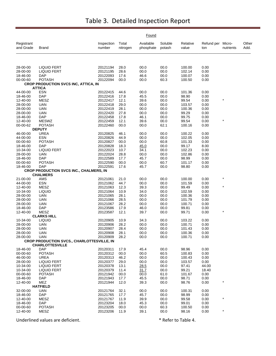|                         |                                                |                      |                   | Found                  |                   |                   |                   |                     |               |
|-------------------------|------------------------------------------------|----------------------|-------------------|------------------------|-------------------|-------------------|-------------------|---------------------|---------------|
| Registrant<br>and Grade | Brand                                          | Inspection<br>number | Total<br>nitrogen | Available<br>phosphate | Soluble<br>potash | Relative<br>value | Refund per<br>ton | Micro-<br>nutrients | Other<br>Add. |
|                         |                                                |                      |                   |                        |                   |                   |                   |                     |               |
| 28-00-00                | <b>LIQUID FERT</b>                             | 20121194             | 28.0              | 00.0                   | 00.0              | 100.00            | 0.00              |                     |               |
| 28-00-00                | <b>LIQUID FERT</b>                             | 20121195             | 28.6              | 00.0                   | 00.0              | 102.14            | 0.00              |                     |               |
| 18-46-00                | DAP                                            | 20122093             | 17.6              | 46.6                   | 00.0              | 100.07            | 0.00              |                     |               |
| 00-00-60                | <b>POTASH</b>                                  | 20122094             | 00.0              | 00.0                   | 60.3              | 100.50            | 0.00              |                     |               |
|                         | <b>CROP PRODUCTION SVCS INC, ATTICA, IN</b>    |                      |                   |                        |                   |                   |                   |                     |               |
|                         | <b>ATTICA</b>                                  |                      |                   |                        |                   |                   |                   |                     |               |
| 44-00-00                | <b>ESN</b>                                     | 20122415             | 44.6              | 00.0                   | 00.0              | 101.36            | 0.00              |                     |               |
| 18-46-00                | <b>DAP</b><br>MESZ                             | 20122416<br>20122417 | 17.8              | 45.5<br>39.6           | 00.0              | 98.90<br>99.54    | 0.00              | $\star$             |               |
| 12-40-00<br>28-00-00    | UAN                                            | 20122418             | 12.1<br>29.0      | 00.0                   | 00.0<br>00.0      | 103.57            | 0.00<br>0.00      |                     |               |
| 28-00-00                | <b>UAN</b>                                     | 20122419             | 28.1              | 00.0                   | 00.0              | 100.36            | 0.00              |                     |               |
| 28-00-00                | <b>UAN</b>                                     | 20122420             | 27.8              | 00.0                   | 00.0              | 99.29             | 0.00              |                     |               |
| 18-46-00                | <b>DAP</b>                                     | 20122458             | 17.8              | 46.1                   | 00.0              | 99.75             | 0.00              |                     |               |
| 12-40-00                | <b>MESWZ</b>                                   | 20122459             | 12.1              | 39.6                   | 00.0              | 99.54             | 0.00              |                     |               |
| 00-00-62                | <b>POTASH</b>                                  | 20122460             | 00.0              | 00.0                   | 62.1              | 100.16            | 0.00              |                     |               |
|                         | <b>DEPUTY</b>                                  |                      |                   |                        |                   |                   |                   |                     |               |
| 46-00-00                | <b>UREA</b>                                    | 20120825             | 46.1              | 00.0                   | 00.0              | 100.22            | 0.00              |                     |               |
| 44-00-00                | <b>ESN</b>                                     | 20120826             | 44.9              | 00.0                   | 00.0              | 102.05            | 0.00              |                     |               |
| 00-00-60                | <b>POTASH</b>                                  | 20120827             | 00.0              | 00.0                   | 60.8              | 101.33            | 0.00              |                     |               |
| 18-46-00                | <b>DAP</b>                                     | 20120828             | 18.3              | 45.0                   | 00.0              | 99.17             | 8.00              |                     |               |
| 10-34-00                | <b>LIQUID FERT</b>                             | 20122023             | 10.7              | 34.1                   | 00.0              | 102.23            | 0.00              |                     |               |
| 28-00-00                | <b>UAN</b>                                     | 20122024             | 28.8              | 00.0                   | 00.0              | 102.86            | 0.00              |                     |               |
| 18-46-00                | <b>DAP</b><br><b>POTASH</b>                    | 20122589             | 17.7              | 45.7                   | 00.0              | 98.99             | 0.00<br>0.00      |                     |               |
| 00-00-60<br>18-46-00    | DAP                                            | 20122590<br>20122591 | 00.0<br>17.6      | 00.0<br>45.7           | 60.7<br>00.0      | 101.17<br>98.80   | 0.00              |                     |               |
|                         | <b>CROP PRODUCTION SVCS INC., CHALMERS, IN</b> |                      |                   |                        |                   |                   |                   |                     |               |
|                         | <b>CHALMERS</b>                                |                      |                   |                        |                   |                   |                   |                     |               |
| 21-00-00                | AMS                                            | 20121061             | 21.0              | 00.0                   | 00.0              | 100.00            | 0.00              | $\star$             |               |
| 44-00-00                | <b>ESN</b>                                     | 20121062             | 44.7              | 00.0                   | 00.0              | 101.59            | 0.00              |                     |               |
| 12-40-00                | MESZ                                           | 20121063             | 12.3              | 39.3                   | 00.0              | 99.49             | 0.00              | $\star$             |               |
| 10-34-00                | <b>LIQUID</b>                                  | 20121064             | 10.9              | 34.0                   | 00.0              | 102.59            | 0.00              |                     |               |
| 28-00-00                | <b>UAN</b>                                     | 20121065             | 28.1              | 00.0                   | 00.0              | 100.36            | 0.00              |                     |               |
| 28-00-00                | UAN                                            | 20121066             | 28.5              | 00.0                   | 00.0              | 101.79            | 0.00              |                     |               |
| 28-00-00                | UAN                                            | 20121067             | 28.2              | 00.0                   | 00.0              | 100.71            | 0.00              |                     |               |
| 18-46-00                | DAP                                            | 20123586             | 17.9              | 46.0                   | 00.0              | 99.81             | 0.00              | $\ast$              |               |
| 12-40-00                | <b>MESZ</b><br><b>CLARKS HILL</b>              | 20123587             | 12.1              | 39.7                   | 00.0              | 99.71             | 0.00              |                     |               |
| 10-34-00                | <b>LIQUID</b>                                  | 20120905             | 10.9              | 34.3                   | 00.0              | 103.22            | 0.00              |                     |               |
| 28-00-00                | UAN                                            | 20120906             | 28.2              | 00.0                   | 00.0              | 100.71            | 0.00              |                     |               |
| 28-00-00                | UAN                                            | 20120907             | 28.4              | 00.0                   | 00.0              | 101.43            | 0.00              |                     |               |
| 28-00-00                | <b>UAN</b>                                     | 20120908             | 28.1              | 00.0                   | 00.0              | 100.36            | 0.00              |                     |               |
| 28-00-00                | UAN                                            | 20120909             | 28.2              | 00.0                   | 00.0              | 100.71            | 0.00              |                     |               |
|                         | CROP PRODUCTION SVCS., CHARLOTTESVILLE, IN     |                      |                   |                        |                   |                   |                   |                     |               |
|                         | <b>CHARLOTTESVILLE</b>                         |                      |                   |                        |                   |                   |                   |                     |               |
| 18-46-00                | DAP                                            | 20120311             | 17.9              | 45.4                   | 00.0              | 98.96             | 0.00              |                     |               |
| 00-00-60                | <b>POTASH</b>                                  | 20120312             | 00.0              | 00.0                   | 60.5              | 100.83            | 0.00              |                     |               |
| 46-00-00                | <b>UREA</b>                                    | 20120313             | 46.2              | 00.0                   | 00.0              | 100.43            | 0.00              |                     |               |
| 28-00-00<br>10-34-00    | <b>LIQUID FERT</b><br><b>LIQUID FERT</b>       | 20120377<br>20120378 | 29.0              | 00.0                   | 00.0<br>00.0      | 103.57<br>97.41   | 0.00<br>44.00     |                     |               |
| 10-34-00                | <b>LIQUID FERT</b>                             | 20120379             | 13.1<br>11.4      | 28.5<br>31.7           | 00.0              | 99.21             | 18.40             |                     |               |
| 00-00-60                | <b>POTASH</b>                                  | 20121942             | 00.0              | 00.0                   | 61.0              | 101.67            | 0.00              |                     |               |
| 18-46-00                | DAP                                            | 20121943             | 17.7              | 45.5                   | 00.0              | 98.71             | 0.00              |                     |               |
| 12-40-00                | MEZ                                            | 20121944             | 12.0              | 39.3                   | 00.0              | 98.76             | 0.00              |                     |               |
|                         | <b>HATFIELD</b>                                |                      |                   |                        |                   |                   |                   |                     |               |
| 32-00-00                | UAN                                            | 20121764             | 32.1              | 00.0                   | 00.0              | 100.31            | 0.00              |                     |               |
| 18-46-00                | <b>DAP</b>                                     | 20121765             | 17.7              | 45.7                   | 00.0              | 98.99             | 0.00              |                     |               |
| 12-40-00                | MESZ                                           | 20121767             | 11.9              | 39.9                   | 00.0              | 99.58             | 0.00              |                     |               |
| 18-46-00                | <b>DAP</b>                                     | 20123204             | 18.0              | 45.3                   | 00.0              | 99.01             | 0.00              |                     |               |
| 00-00-60                | <b>POTASH</b>                                  | 20123205             | 00.0              | 00.0                   | 60.3              | 100.50            | 0.00              |                     |               |
| 12-40-00                | <b>MESZ</b>                                    | 20123206             | 11.9              | 39.1                   | 00.0              | 98.16             | 0.00              | $\star$             |               |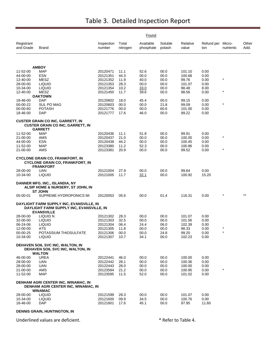|                         |                                                                                                           |                      |                   | Found                  |                   |                   |                          |           |               |
|-------------------------|-----------------------------------------------------------------------------------------------------------|----------------------|-------------------|------------------------|-------------------|-------------------|--------------------------|-----------|---------------|
| Registrant<br>and Grade | <b>Brand</b>                                                                                              | Inspection<br>number | Total<br>nitrogen | Available<br>phosphate | Soluble<br>potash | Relative<br>value | Refund per Micro-<br>ton | nutrients | Other<br>Add. |
|                         |                                                                                                           |                      |                   |                        |                   |                   |                          |           |               |
|                         | <b>AMBOY</b>                                                                                              |                      |                   |                        |                   |                   |                          |           |               |
| 11-52-00                | <b>MAP</b>                                                                                                | 20120471             | 11.1              | 52.6                   | 00.0              | 101.10            | 0.00                     |           |               |
| 44-00-00<br>12-40-00    | <b>ESN</b><br>MESZ                                                                                        | 20121351<br>20121352 | 44.3<br>11.9      | 00.0<br>40.0           | 00.0<br>00.0      | 100.68<br>99.76   | 0.00<br>0.00             | $\star$   |               |
| 28-00-00                | LIQUID                                                                                                    | 20121353             | 28.3              | 00.0                   | 00.0              | 101.07            | 0.00                     |           |               |
| 10-34-00                | <b>LIQUID</b>                                                                                             | 20121354             | 10.2              | 33.0                   | 00.0              | 98.48             | 8.00                     |           |               |
| 12-40-00                | MESZ                                                                                                      | 20121450             | 11.7              | 39.6                   | 00.0              | 98.56             | 0.00                     | $\star$   |               |
|                         | <b>OAKTOWN</b>                                                                                            |                      |                   |                        |                   |                   |                          |           |               |
| 18-46-00<br>00-00-22    | DAP<br>SUL PO MAG                                                                                         | 20120602             | 18.0<br>00.0      | 45.4                   | 00.0<br>21.8      | 99.15             | 0.00<br>0.00             | $\star$   |               |
| 00-00-60                | <b>POTASH</b>                                                                                             | 20120603<br>20121776 | 00.0              | 00.0<br>00.0           | 60.6              | 99.09<br>101.00   | 0.00                     |           |               |
| 18-46-00                | DAP                                                                                                       | 20121777             | 17.6              | 46.0                   | 00.0              | 99.22             | 0.00                     |           |               |
|                         | <b>CUSTER GRAIN CO INC, GARRETT, IN</b><br><b>CUSTER GRAIN CO INC, GARRETT, IN</b>                        |                      |                   |                        |                   |                   |                          |           |               |
| 11-52-00                | <b>GARRETT</b><br><b>MAP</b>                                                                              | 20120436             | 11.1              | 51.8                   | 00.0              | 99.91             | 0.00                     |           |               |
| 21-00-00                | AMS                                                                                                       | 20120437             | 21.0              | 00.0                   | 00.0              | 100.00            | 0.00                     | $\star$   |               |
| 44-00-00                | ESN                                                                                                       | 20120438             | 44.2              | 00.0                   | 00.0              | 100.45            | 0.00                     |           |               |
| 11-52-00                | <b>MAP</b>                                                                                                | 20123380             | 11.2              | 52.3                   | 00.0              | 100.86            | 0.00                     |           |               |
| 21-00-00                | AMS                                                                                                       | 20123381             | 20.9              | 00.0                   | 00.0              | 99.52             | 0.00                     | $\star$   |               |
|                         | <b>CYCLONE GRAIN CO, FRANKFORT, IN</b><br><b>CYCLONE GRAIN CO, FRANKFORT, IN</b><br><b>FRANKFORT</b>      |                      |                   |                        |                   |                   |                          |           |               |
| 28-00-00                | UAN                                                                                                       | 20121004             | 27.9              | 00.0                   | 00.0              | 99.64             | 0.00                     |           |               |
| 10-34-00                | <b>LIQUID</b>                                                                                             | 20121005             | 11.7              | 32.1                   | 00.0              | 100.92            | 15.20                    |           |               |
|                         | DANNER MFG. INC., ISLANDIA, NY<br>ALSIP HOME & NURSERY, ST JOHN, IN<br><b>ST JOHN</b>                     |                      |                   |                        |                   |                   |                          |           |               |
| 05-00-01                | SUPREME HYDROPONICS MI                                                                                    | 20120053             | 05.6              | 00.0                   | 01.4              | 116.31            | 0.00                     |           |               |
|                         | DAYLIGHT FARM SUPPLY INC, EVANSVILLE, IN<br>DAYLIGHT FARM SUPPLY INC, EVANSVILLE, IN<br><b>EVANSVILLE</b> |                      |                   |                        |                   |                   |                          |           |               |
| 28-00-00                | LIQUID N                                                                                                  | 20121302             | 28.3              | 00.0                   | 00.0              | 101.07            | 0.00                     |           |               |
| 32-00-00                | <b>LIQUID</b>                                                                                             | 20121303             | 32.5              | 00.0                   | 00.0              | 101.56            | 0.00                     |           |               |
| 06-24-06                | <b>LIQUID</b>                                                                                             | 20121304             | 06.4              | 24.4                   | 06.0              | 102.39            | 0.00                     | $\star$   |               |
| 12-00-00<br>00-00-25    | ATS<br>POTASSIUM THIOSULFATE                                                                              | 20121305             | 11.8              | 00.0                   | 00.0              | 98.33             | 0.00<br>0.00             |           |               |
| 10-34-00                | <b>LIQUID</b>                                                                                             | 20121306<br>20121307 | 00.0<br>10.7      | 00.0<br>34.1           | 24.8<br>00.0      | 99.20<br>102.23   | 0.00                     |           |               |
|                         | DEHAVEN SOIL SVC INC, WALTON, IN<br>DEHAVEN SOIL SVC INC, WALTON, IN<br><b>WALTON</b>                     |                      |                   |                        |                   |                   |                          |           |               |
| 46-00-00                | <b>UREA</b>                                                                                               | 20122441             | 46.0              | 00.0                   | 00.0              | 100.00            | 0.00                     |           |               |
| 28-00-00                | <b>UAN</b>                                                                                                | 20122442             | 28.1              | 00.0                   | 00.0              | 100.36            | 0.00                     |           |               |
| 28-00-00                | UAN                                                                                                       | 20122443             | 28.0              | 00.0                   | 00.0              | 100.00            | 0.00                     |           |               |
| 21-00-00                | AMS                                                                                                       | 20123594             | 21.2              | 00.0                   | 00.0              | 100.95            | 0.00                     | $\star$   |               |
| 11-52-00                | <b>MAP</b>                                                                                                | 20123595             | 11.5              | 52.0                   | 00.0              | 101.02            | 0.00                     |           |               |
|                         | DENHAM AGRI CENTER INC, WINAMAC, IN<br><b>DENHAM AGRI CENTER INC, WINAMAC, IN</b><br><b>WINAMAC</b>       |                      |                   |                        |                   |                   |                          |           |               |
| 28-00-00                | <b>LIQUID</b>                                                                                             | 20121599             | 28.3              | 00.0                   | 00.0              | 101.07            | 0.00                     |           |               |
| 10-34-00                | <b>LIQUID</b>                                                                                             | 20121600             | 09.9              | 34.5                   | 00.0              | 100.76            | 0.00                     |           |               |
| 18-46-00                | <b>DAP</b>                                                                                                | 20121601             | 17.6              | 45.1                   | 00.0              | 97.95             | 11.60                    |           |               |

**DENNIS GRAIN, HUNTINGTON, IN**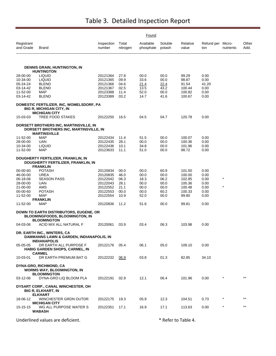|                         |                                                                                                                |                      |                   | Found                  |                   |                   |                          |           |               |
|-------------------------|----------------------------------------------------------------------------------------------------------------|----------------------|-------------------|------------------------|-------------------|-------------------|--------------------------|-----------|---------------|
| Registrant<br>and Grade | <b>Brand</b>                                                                                                   | Inspection<br>number | Total<br>nitrogen | Available<br>phosphate | Soluble<br>potash | Relative<br>value | Refund per Micro-<br>ton | nutrients | Other<br>Add. |
|                         | <b>DENNIS GRAIN, HUNTINGTON, IN</b>                                                                            |                      |                   |                        |                   |                   |                          |           |               |
|                         | <b>HUNTINGTON</b>                                                                                              |                      |                   |                        |                   |                   |                          |           |               |
| 28-00-00                | <b>LIQUID</b>                                                                                                  | 20121364             | 27.8              | 00.0                   | 00.0              | 99.29             | 0.00                     |           |               |
| 10-34-00                | <b>LIQUID</b>                                                                                                  | 20121365             | 09.9              | 33.6                   | 00.0              | 98.87             | 0.00                     |           |               |
| $05 - 24 - 24$          | <b>BLEND</b><br><b>BLEND</b>                                                                                   | 20121366             | 04.6              | 21.4                   | 22.4              | 91.54             | 41.20                    |           |               |
| 03-14-42<br>11-52-00    | <b>MAP</b>                                                                                                     | 20121367<br>20123388 | 02.5<br>11.4      | 13.5<br>52.0           | 43.2<br>00.0      | 100.44<br>100.82  | 0.00<br>0.00             |           |               |
| 03-14-42                | <b>BLEND</b>                                                                                                   | 20123389             | 03.2              | 14.7                   | 41.6              | 100.67            | 0.00                     |           |               |
|                         | DOMESTIC FERTILIZER, INC, WOMELSDORF, PA<br>BIG R, MICHIGAN CITY, IN<br><b>MICHIGAN CITY</b>                   |                      |                   |                        |                   |                   |                          |           |               |
| 15-03-03                | TREE FOOD STAKES                                                                                               | 20122250             | 16.5              | 04.5                   | 04.7              | 120.78            | 0.00                     |           |               |
|                         | DORSETT BROTHERS INC, MARTINSVILLE, IN<br><b>DORSETT BROTHERS INC, MARTINSVILLE, IN</b><br><b>MARTINSVILLE</b> |                      |                   |                        |                   |                   |                          |           |               |
| 11-52-00                | <b>MAP</b>                                                                                                     | 20122434             | 11.4              | 51.5                   | 00.0              | 100.07            | 0.00                     |           |               |
| 28-00-00                | UAN                                                                                                            | 20122435             | 28.1              | 00.0                   | 00.0              | 100.36            | 0.00                     |           |               |
| 10-34-00                | LIQUID                                                                                                         | 20122436             | 10.1              | 34.8                   | 00.0              | 101.96            | 0.00                     |           |               |
| 11-52-00                | <b>MAP</b>                                                                                                     | 20123633             | 11.1              | 51.0                   | 00.0              | 98.72             | 0.00                     |           |               |
|                         | DOUGHERTY FERTILIZER, FRANKLIN, IN<br>DOUGHERTY FERTILIZER, FRANKLIN, IN<br><b>FRANKLIN</b>                    |                      |                   |                        |                   |                   |                          |           |               |
| 00-00-60                | <b>POTASH</b>                                                                                                  | 20120834             | 00.0              | 00.0                   | 60.9              | 101.50            | 0.00                     |           |               |
| 46-00-00                | UREA                                                                                                           | 20120835             | 46.0              | 00.0                   | 00.0              | 100.00            | 0.00                     |           |               |
| 06-18-06                | <b>SEASON PASS</b>                                                                                             | 20122042             | 06.3              | 18.3                   | 06.2              | 102.85            | 0.00                     | $\star$   |               |
| 28-00-00                | <b>UAN</b>                                                                                                     | 20122043             | 28.1              | 00.0                   | 00.0              | 100.36            | 0.00                     |           |               |
| 21-00-00                | AMS                                                                                                            | 20122552             | 21.1              | 00.0                   | 00.0              | 100.48            | 0.00                     |           |               |
| 00-00-60                | <b>POTASH</b>                                                                                                  | 20122553             | 00.0              | 00.0                   | 60.2              | 100.33            | 0.00                     |           |               |
| 11-52-00                | MAP                                                                                                            | 20122554             | 10.9              | 52.0                   | 00.0              | 99.80             | 0.00                     |           |               |
| 11-52-00                | <b>FRANKLIN</b><br><b>MAP</b>                                                                                  | 20120836             | 11.2              | 51.6                   | 00.0              | 99.81             | 0.00                     |           |               |
|                         | <b>DOWN TO EARTH DISTRIBUTORS, EUGENE, OR</b><br>BLOOMINGFOODS, BLOOMINGTON, IN<br><b>BLOOMINGTON</b>          |                      |                   |                        |                   |                   |                          |           |               |
| 04-03-06                | ACID MIX ALL NATURAL F                                                                                         | 20120061             | 03.9              | 03.4                   | 06.3              | 103.98            | 0.00                     |           |               |
|                         | DR. EARTH INC., WINTERS, CA<br>DAMMANNS LAWN & GARDEN, INDIANAPOLIS, IN<br><b>INDIANAPOLIS</b>                 |                      |                   |                        |                   |                   |                          |           |               |
| 05-05-05                | DR EARTH ALL PURPOSE F<br>HABIG GARDEN SHOPS, CARMEL, IN<br><b>CARMEL</b>                                      | 20122176             | 05.4              | 06.1                   | 05.0              | 109.10            | 0.00                     |           |               |
| 10-03-01                | DR EARTH PREMIUM BAT G                                                                                         | 20122232             | 06.9              | 03.8                   | 01.3              | 82.85             | 34.10                    |           |               |
|                         | <b>DYNA-GRO, RICHMOND, CA</b><br><b>WORMS WAY, BLOOMINGTON, IN</b><br><b>BLOOMINGTON</b>                       |                      |                   |                        |                   |                   |                          |           |               |
| 03-12-06                | DYNA-GRO LIQ BLOOM PLA                                                                                         | 20122191             | 02.9              | 12.1                   | 06.4              | 101.96            | 0.00                     |           | $***$         |
|                         | DYSART CORP., CANAL WINCHESTER, OH<br>BIG R, ELKHART, IN<br><b>ELKHART</b>                                     |                      |                   |                        |                   |                   |                          |           |               |
| 18-06-12                | WINCHESTER GRDN OUTDR<br><b>MICHIGAN CITY</b>                                                                  | 20122175             | 19.3              | 05.9                   | 12.3              | 104.51            | 0.73                     |           | $***$         |
| 15-15-15                | WG ALL PURPOSE WATER S                                                                                         | 20122351             | 17.1              | 16.9                   | 17.1              | 113.63            | 0.00                     | $^\star$  | $***$         |
|                         | WABASH                                                                                                         |                      |                   |                        |                   |                   |                          |           |               |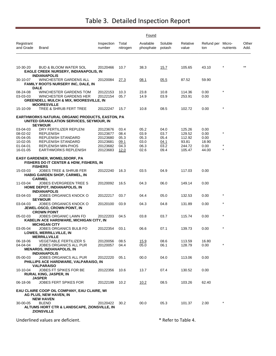|                                  |                                                                                                                |                                  |                      | Found                  |                      |                            |                          |                       |               |
|----------------------------------|----------------------------------------------------------------------------------------------------------------|----------------------------------|----------------------|------------------------|----------------------|----------------------------|--------------------------|-----------------------|---------------|
| Registrant<br>and Grade          | <b>Brand</b>                                                                                                   | Inspection<br>number             | Total<br>nitrogen    | Available<br>phosphate | Soluble<br>potash    | Relative<br>value          | Refund per Micro-<br>ton | nutrients             | Other<br>Add. |
| 10-30-20                         | <b>BUD &amp; BLOOM WATER SOL</b><br><b>EAGLE CREEK NURSERY, INDIANAPOLIS, IN</b>                               | 20120466                         | 10.7                 | 38.3                   | 15.7                 | 105.65                     | 43.10                    |                       |               |
| 30-10-07                         | <b>INDIANAPOLIS</b><br>WINCHESTER GARDENS ALL<br><b>FAMILY ROOTS NURSERY INC, DALE, IN</b>                     | 20120084                         | 27.3                 | 08.1                   | 05.5                 | 87.52                      | 59.90                    |                       |               |
| 08-24-08<br>03-03-03             | <b>DALE</b><br>WINCHESTER GARDENS TOM<br>WINCHESTER GARDENS HER                                                | 20122153<br>20122154             | 10.3<br>05.7         | 23.8<br>14.9           | 10.8<br>03.9         | 114.36<br>253.91           | 0.00<br>0.00             | $\star$               |               |
| 15-10-09                         | GREENDELL MULCH & MIX, MOORESVILLE, IN<br><b>MOORESVILLE</b><br>TREE & SHRUB FERT TREE                         | 20122247                         | 15.7                 | 10.8                   | 08.5                 | 102.72                     | 0.00                     | $\star$               |               |
|                                  | <b>EARTHWORKS NATURAL ORGANIC PRODUCTS, EASTON, PA</b>                                                         |                                  |                      |                        |                      |                            |                          |                       |               |
|                                  | UNITED GRANULATION SERVICES, SEYMOUR, IN<br><b>SEYMOUR</b>                                                     |                                  |                      |                        |                      |                            |                          |                       |               |
| 03-04-03<br>08-02-02<br>05-04-05 | DRY FERTILIZER REPLENI<br><b>REPLENISH</b><br>REPLENISH STANDARD                                               | 20123676<br>20123677<br>20123680 | 03.4<br>08.4<br>05.3 | 05.2<br>03.9<br>05.3   | 04.0<br>03.7<br>05.4 | 125.26<br>129.52<br>112.92 | 0.00<br>0.00<br>0.00     | $\star$               |               |
| 10-02-05<br>01-04-01             | REPLENISH STANDARD<br><b>REPLENISH MIN-PHOS</b>                                                                | 20123681<br>20123682             | 09.1<br>04.3         | 03.0<br>06.3           | 04.1<br>03.2         | 93.81<br>244.72            | 18.90<br>0.00            | $^{\star}$<br>$\star$ |               |
| 16-01-05                         | <b>EARTHWORKS REPLENISH</b><br><b>EASY GARDENER, WOMELSDORF, PA</b><br>FISHERS DO IT CENTER & HDW, FISHERS, IN | 20123683                         | 12.0                 | 02.6                   | 09.4                 | 105.47                     | 44.00                    |                       |               |
| 15-03-03                         | <b>FISHERS</b><br><b>JOBES TREE &amp; SHRUB FER</b><br>HABIG GARDEN SHOP, CARMEL, IN<br><b>CARMEL</b>          | 20122240                         | 16.3                 | 03.5                   | 04.9                 | 117.03                     | 0.00                     |                       |               |
| 11-03-04                         | JOBES EVERGREEN TREE S<br><b>HOME DEPOT, INDIANAPOLIS, IN</b>                                                  | 20120092                         | 16.5                 | 04.3                   | 06.0                 | 149.14                     | 0.00                     |                       |               |
| 03-04-03                         | <b>INDIANAPOLIS</b><br>JOBES ORGANICS KNOCK O<br><b>SEYMOUR</b>                                                | 20122217                         | 03.7                 | 04.4                   | 05.0                 | 132.53                     | 0.00                     | $\star$               |               |
| 03-04-03                         | JOBES ORGANICS KNOCK O<br><b>JEWEL-OSCO, CROWN POINT, IN</b><br><b>CROWN POINT</b>                             | 20120100                         | 03.9                 | 04.3                   | 04.8                 | 131.89                     | 0.00                     | $\star$               |               |
| 05-02-03                         | JOBES ORGANIC LAWN FD<br>KABELIN ACE HARDWARE, MICHIGAN CITY, IN<br><b>MICHIGAN CITY</b>                       | 20122203                         | 04.5                 | 03.8                   | 03.7                 | 115.74                     | 0.00                     | $\star$               |               |
| 03-05-04                         | JOBES ORGANICS BULB FO<br><b>LOWES, MERRILLVILLE, IN</b><br><b>MERRILLVILLE</b>                                | 20122354                         | 03.1                 | 06.6                   | 07.1                 | 139.73                     | 0.00                     | $\star$               |               |
| 06-18-06<br>04-04-04             | <b>VEGETABLE FERTILIZER S</b><br>JOBES ORGANICS ALL PUR<br><b>MENARDS, INDIANAPOLIS, IN</b>                    | 20120056<br>20120057             | 08.5<br>04.4         | 15.9<br>05.0           | 08.6<br>06.1         | 113.59<br>128.79           | 16.80<br>0.00            | $^{\star}$            |               |
| 05-00-03                         | <b>INDIANAPOLIS</b><br>JOBES ORGANICS ALL PUR<br>PHILLIPS ACE HARDWARE, VALPARAISO, IN                         | 20122220                         | 05.1                 | 00.0                   | 04.0                 | 113.06                     | 0.00                     |                       |               |
| 10-10-04                         | <b>VALPARAISO</b><br>JOBES FT SPIKES FOR BE<br><b>RURAL KING, JASPER, IN</b>                                   | 20122356                         | 10.6                 | 13.7                   | 07.4                 | 130.52                     | 0.00                     |                       |               |
| 06-18-06                         | <b>JASPER</b><br><b>JOBES FERT SPIKES FOR</b>                                                                  | 20122199                         | 10.2                 | 10.2                   | 08.5                 | 103.26                     | 62.40                    |                       |               |
|                                  | EAU CLAIRE COOP OIL COMPANY, EAU CLAIRE, WI<br>AG PLUS, NEW HAVEN, IN                                          |                                  |                      |                        |                      |                            |                          |                       |               |
| 30-00-05                         | <b>NEW HAVEN</b><br><b>BLEND</b><br>ALTUMS HORT CTR & LANDSCAPE, ZIONSVILLE, IN<br><b>ZIONSVILLE</b>           | 20120422                         | 30.2                 | 00.0                   | 05.3                 | 101.37                     | 2.00                     |                       |               |
|                                  | Underlined values are deficient.                                                                               |                                  |                      |                        |                      | * Refer to Table 4.        |                          |                       |               |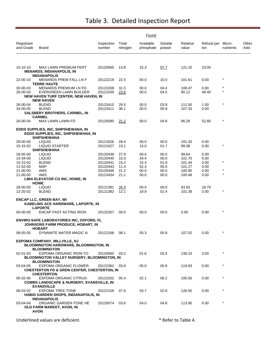|                         |                                                                                                            | Found                |                     |                        |                   |                   |                          |                       |               |
|-------------------------|------------------------------------------------------------------------------------------------------------|----------------------|---------------------|------------------------|-------------------|-------------------|--------------------------|-----------------------|---------------|
| Registrant<br>and Grade | Brand                                                                                                      | Inspection<br>number | Total<br>nitrogen   | Available<br>phosphate | Soluble<br>potash | Relative<br>value | Refund per Micro-<br>ton | nutrients             | Other<br>Add. |
|                         |                                                                                                            |                      |                     |                        |                   |                   |                          |                       |               |
| 10-10-10                | MAX LAWN PREMIUM FERT<br><b>MENARDS, INDIANAPOLIS, IN</b><br><b>INDIANAPOLIS</b>                           | 20120065             | 13.8                | 15.3                   | 07.7              | 121.10            | 23.00                    |                       |               |
| 22-00-10                | <b>MENARDS PREM FALL LN F</b><br><b>TERRE HAUTE</b>                                                        | 20122219             | 22.5                | 00.0                   | 10.0              | 101.61            | 0.00                     | $\star$               |               |
| 30-00-03<br>28-00-03    | <b>MENARDS PREMIUM LN FD</b><br>EVERGREEN LAWN BUILDER<br><b>NEW HAVEN TURF CENTER, NEW HAVEN, IN</b>      | 20121038<br>20121039 | 31.5<br>23.6        | 00.0<br>00.0           | 04.4<br>04.5      | 108.47<br>90.12   | 0.00<br>48.40            | $\star$               |               |
| 26-00-04                | <b>NEW HAVEN</b><br><b>BLEND</b>                                                                           | 20123410             | 29.5                | 00.0                   | 03.9              | 111.50            | 1.00                     | $\star$               |               |
| 34-00-05                | <b>BLEND</b><br><b>SALSBERY BROTHERS, CARMEL, IN</b>                                                       | 20123411             | 36.1                | 00.0                   | 05.8              | 107.33            | 0.00                     |                       |               |
| 26-00-04                | <b>CARMEL</b><br>MAX LAWN LAWN FD                                                                          | 20120090             | 21.2                | 00.0                   | 04.8              | 86.26             | 52.80                    | $\star$               |               |
|                         | EDDS SUPPLIES, INC, SHIPSHEWANA, IN<br>EDDS SUPPLIES, INC, SHIPSHEWANA, IN<br><b>SHIPSHEWANA</b>           |                      |                     |                        |                   |                   |                          |                       |               |
| 28-00-00                | <b>LIQUID</b>                                                                                              | 20121626             | 28.4                | 00.0                   | 00.0              | 101.43            | 0.00                     |                       |               |
| 15-15-02                | <b>LIQUID STARTER</b><br><b>SHIPSHEWANA</b>                                                                | 20121627             | 15.1                | 15.0                   | 01.7              | 99.38             | 0.00                     |                       |               |
| 28-00-00<br>10-34-00    | <b>LIQUID</b><br><b>LIQUID</b>                                                                             | 20120439<br>20120440 | 27.9<br>10.3        | 00.0<br>34.4           | 00.0<br>00.0      | 99.64<br>101.70   | 0.00<br>0.00             |                       |               |
| 15-15-02                | <b>BLEND</b>                                                                                               | 20120441             | 15.2                | 15.4                   | 01.9              | 101.44            | 0.00                     | $\star$               |               |
| 11-52-00                | MAP                                                                                                        | 20120443             | 11.4                | 52.3                   | 00.0              | 101.27            | 0.00                     |                       |               |
| 21-00-00                | AMS                                                                                                        | 20120448             | 21.2                | 00.0                   | 00.0              | 100.95            | 0.00                     | $^{\star}$<br>$\star$ |               |
| 21-00-00                | AMS<br>LIMA ELEVATOR CO INC, HOWE, IN<br><b>HOWE</b>                                                       | 20123434             | 21.1                | 00.0                   | 00.0              | 100.48            | 0.00                     |                       |               |
| 28-00-00<br>12-20-02    | <b>LIQUID</b><br><b>BLEND</b>                                                                              | 20121381<br>20121382 | <u>26.3</u><br>12.1 | 00.0<br>19.9           | 00.0<br>02.4      | 93.93<br>101.38   | 18.70<br>0.00            | $\star$               |               |
|                         | <b>ENCAP LLC, GREEN BAY, WI</b><br>KABELING ACE HARDWARE, LAPORTE, IN<br><b>LAPORTE</b>                    |                      |                     |                        |                   |                   |                          |                       |               |
| 00-00-00                | ENCAP FAST ACTING IRON                                                                                     | 20122357             | 00.0                | 00.0                   | 00.0              | 0.00              | 0.00                     | $\star$               |               |
|                         | ENVIRO-SAFE LABORATORIES INC, OXFORD, FL<br>JOHNSONS FARM PRODUCE, HOBART, IN<br><b>HOBART</b>             |                      |                     |                        |                   |                   |                          |                       |               |
| 08-05-05                | DYNAMITE MATER MAGIC N                                                                                     | 20122168             | 08.1                | 05.3                   | 05.9              | 107.02            | 0.00                     |                       |               |
|                         | <b>ESPOMA COMPANY, MILLVILLE, NJ</b><br><b>BLOOMINGTON HARDWARE, BLOOMINGTON, IN</b><br><b>BLOOMINGTON</b> |                      |                     |                        |                   |                   |                          |                       |               |
| 02-01-03                | ESPOMA ORGANIC IRON-TO<br><b>BLOOMINGTON VALLEY NURSERY, BLOOMINGTON, IN</b><br><b>BLOOMINGTON</b>         | 20120060             | 03.2                | 01.6                   | 03.5              | 138.33            | 3.00                     | $\star$               |               |
| 03-04-05                | ESPOMA ORGANIC FLOWER-<br><b>CHESTERTON FD &amp; GRDN CENTER, CHESTERTON, IN</b><br><b>CHESTERTON</b>      | 20122362             | 03.8                | 05.0                   | 05.6              | 119.83            | 0.00                     | $\star$               |               |
| 05-02-06                | <b>ESPOMA ORGANIC CITRUS-</b><br><b>COMBS LANDSCAPE &amp; NURSERY, EVANSVILLE, IN</b><br><b>EVANSVILLE</b> | 20122202             | 05.4                | 02.1                   | 06.2              | 105.50            | 0.00                     | $\star$               |               |
| 06-03-02                | <b>ESPOMA TREE-TONE</b><br>HABIG GARDEN SHOPS, INDIANAPOLIS, IN<br><b>INDIANAPOLIS</b>                     | 20122158             | 07.6                | 03.7                   | 02.6              | 126.55            | 0.00                     | $\star$               |               |
| 03-04-04                | ORGANIC GARDEN-TONE HE<br>OLD FARM MARKET, AVON, IN<br><b>AVON</b>                                         | 20120074             | 03.6                | 04.0                   | 04.8              | 113.90            | 0.00                     | $\star$               |               |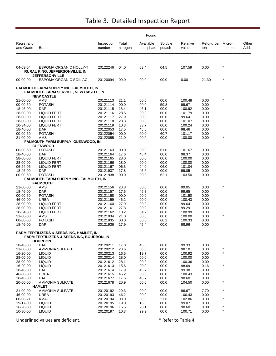|                         | Found                                                                                                       |                      |                   |                        |                   |                   |                          |           |               |  |  |  |
|-------------------------|-------------------------------------------------------------------------------------------------------------|----------------------|-------------------|------------------------|-------------------|-------------------|--------------------------|-----------|---------------|--|--|--|
| Registrant<br>and Grade | <b>Brand</b>                                                                                                | Inspection<br>number | Total<br>nitrogen | Available<br>phosphate | Soluble<br>potash | Relative<br>value | Refund per Micro-<br>ton | nutrients | Other<br>Add. |  |  |  |
|                         |                                                                                                             |                      |                   |                        |                   |                   |                          |           |               |  |  |  |
| 04-03-04                | <b>ESPOMA ORGANIC HOLLY-T</b><br><b>RURAL KING, JEFFERSONVILLE, IN</b>                                      | 20122246             | 04.0              | 03.4                   | 04.5              | 107.59            | 0.00                     | $\star$   |               |  |  |  |
| 00-00-00                | <b>JEFFERSONVILLE</b><br>ESPOMA ORGANIC SOIL AC                                                             | 20120094             | 00.0              | 00.0                   | 00.0              | 0.00              | 21.30                    |           |               |  |  |  |
|                         | FALMOUTH FARM SUPPLY INC, FALMOUTH, IN<br><b>FALMOUTH FARM SERVICE, NEW CASTLE, IN</b><br><b>NEW CASTLE</b> |                      |                   |                        |                   |                   |                          |           |               |  |  |  |
| 21-00-00                | AMS                                                                                                         | 20121113             | 21.1              | 00.0                   | 00.0              | 100.48            | 0.00                     |           |               |  |  |  |
| 00-00-60                | <b>POTASH</b>                                                                                               | 20121114             | 00.0              | 00.0                   | 59.8              | 99.67             | 0.00                     |           |               |  |  |  |
| 18-46-00                | <b>DAP</b>                                                                                                  | 20121115             | 18.4              | 46.1                   | 00.0              | 100.92            | 0.00                     |           |               |  |  |  |
| 28-00-00                | <b>LIQUID FERT</b>                                                                                          | 20121116             | 28.5              | 00.0                   | 00.0              | 101.79            | 0.00                     |           |               |  |  |  |
| 28-00-00                | <b>LIQUID FERT</b>                                                                                          | 20121117             | 27.9              | 00.0                   | 00.0              | 99.64             | 0.00                     |           |               |  |  |  |
| 28-00-00                | <b>LIQUID FERT</b>                                                                                          | 20121118             | 28.3              | 00.0                   | 00.0              | 101.07            | 0.00                     |           |               |  |  |  |
| 10-34-00                | <b>LIQUID FERT</b>                                                                                          | 20121119             | 10.3              | 33.7                   | 00.0              | 100.24            | 0.00                     |           |               |  |  |  |
| 18-46-00                | DAP                                                                                                         | 20122053             | 17.5              | 45.6                   | 00.0              | 98.46             | 0.00                     |           |               |  |  |  |
| 00-00-60                | <b>POTASH</b>                                                                                               | 20122054             | 00.0              | 00.0                   | 60.7              | 101.17            | 0.00                     | $\star$   |               |  |  |  |
| 21-00-00                | AMS<br>FALMOUTH FARM SUPPLY, GLENWOOD, IN                                                                   | 20122055             | 21.0              | 00.0                   | 00.0              | 100.00            | 0.00                     |           |               |  |  |  |
|                         | <b>GLENWOOD</b>                                                                                             |                      |                   |                        |                   |                   |                          |           |               |  |  |  |
| 00-00-60                | <b>POTASH</b>                                                                                               | 20121163             | 00.0              | 00.0                   | 61.0              | 101.67            | 0.00                     |           |               |  |  |  |
| 18-46-00                | <b>DAP</b>                                                                                                  | 20121164             | 17.6              | 45.4                   | 00.0              | 98.37             | 0.00                     |           |               |  |  |  |
| 28-00-00                | <b>LIQUID FERT</b>                                                                                          | 20121165             | 28.0              | 00.0                   | 00.0              | 100.00            | 0.00                     |           |               |  |  |  |
| 28-00-00<br>06-24-06    | LIQUID FERT<br><b>LIQUID FERT</b>                                                                           | 20121166<br>20121167 | 28.0<br>06.3      | 00.0<br>24.0           | 00.0<br>06.0      | 100.00<br>101.04  | 0.00<br>0.00             |           |               |  |  |  |
| 18-46-00                | <b>DAP</b>                                                                                                  | 20121937             | 17.8              | 45.6                   | 00.0              | 99.05             | 0.00                     |           |               |  |  |  |
| 00-00-60                | <b>POTASH</b>                                                                                               | 20121938             | 00.0              | 00.0                   | 62.1              | 103.50            | 0.00                     |           |               |  |  |  |
|                         | FALMOUTH FARM SUPPLY INC, FALMOUTH, IN                                                                      |                      |                   |                        |                   |                   |                          |           |               |  |  |  |
|                         | <b>FALMOUTH</b>                                                                                             |                      |                   |                        |                   |                   |                          |           |               |  |  |  |
| 21-00-00                | AMS                                                                                                         | 20121156             | 20.8              | 00.0                   | 00.0              | 99.05             | 0.00                     |           |               |  |  |  |
| 18-46-00                | <b>DAP</b>                                                                                                  | 20121157             | 17.6              | 46.3                   | 00.0              | 99.65             | 0.00                     |           |               |  |  |  |
| 00-00-60<br>46-00-00    | <b>POTASH</b><br><b>UREA</b>                                                                                | 20121158             | 00.0<br>46.2      | 00.0                   | 60.9              | 101.50            | 0.00<br>0.00             |           |               |  |  |  |
| 28-00-00                | LIQUID FERT                                                                                                 | 20121159<br>20121160 | 27.9              | 00.0<br>00.0           | 00.0<br>00.0      | 100.43<br>99.64   | 0.00                     |           |               |  |  |  |
| 28-00-00                | <b>LIQUID FERT</b>                                                                                          | 20121161             | 27.8              | 00.0                   | 00.0              | 99.29             | 0.00                     |           |               |  |  |  |
| 10-34-00                | <b>LIQUID FERT</b>                                                                                          | 20121162             | 10.2              | 34.2                   | 00.0              | 100.99            | 0.00                     |           |               |  |  |  |
| 21-00-00                | AMS                                                                                                         | 20121934             | 21.0              | 00.0                   | 00.0              | 100.00            | 0.00                     |           |               |  |  |  |
| 00-00-60                | <b>POTASH</b>                                                                                               | 20121935             | 00.0              | 00.0                   | 60.2              | 100.33            | 0.00                     |           |               |  |  |  |
| 18-46-00                | DAP                                                                                                         | 20121936             | 17.9              | 45.4                   | 00.0              | 98.96             | 0.00                     |           |               |  |  |  |
|                         | <b>FARM FERTILIZERS &amp; SEEDS INC, HAMLET, IN</b><br>FARM FERTILIZERS & SEEDS INC, BOURBON, IN            |                      |                   |                        |                   |                   |                          |           |               |  |  |  |
| 18-46-00                | <b>BOURBON</b><br><b>DAP</b>                                                                                |                      | 17.8              | 45.8                   |                   | 99.33             | 0.00                     |           |               |  |  |  |
| 21-00-00                | <b>AMMONIA SULFATE</b>                                                                                      | 20120211<br>20120212 | 20.6              | 00.0                   | 00.0<br>00.0      | 98.10             | 0.00                     | $\star$   |               |  |  |  |
| 16-20-00                | <b>LIQUID</b>                                                                                               | 20120213             | 16.5              | 19.7                   | 00.0              | 100.92            | 0.00                     | $\star$   |               |  |  |  |
| 28-00-00                | <b>LIQUID</b>                                                                                               | 20120214             | 28.0              | 00.0                   | 00.0              | 100.00            | 0.00                     |           |               |  |  |  |
| 28-00-00                | <b>LIQUID</b>                                                                                               | 20121612             | 28.1              | 00.0                   | 00.0              | 100.36            | 0.00                     |           |               |  |  |  |
| 16-20-00                | <b>LIQUID</b>                                                                                               | 20121613             | 15.6              | 20.0                   | 00.0              | 98.69             | 0.16                     | $\star$   |               |  |  |  |
| 18-46-00                | <b>DAP</b>                                                                                                  | 20121614             | 17.9              | 45.7                   | 00.0              | 99.38             | 0.00                     |           |               |  |  |  |
| 46-00-00                | <b>UREA</b>                                                                                                 | 20121615             | 46.2              | 00.0                   | 00.0              | 100.43            | 0.00                     |           |               |  |  |  |
| 18-46-00                | <b>DAP</b>                                                                                                  | 20121677             | 17.5              | 45.7                   | 00.0              | 98.60             | 0.00                     |           |               |  |  |  |
| 20-00-00                | AMMONIA SULFATE                                                                                             | 20121678             | 20.9              | 00.0                   | 00.0              | 104.50            | 0.00                     | $\star$   |               |  |  |  |
|                         | <b>HAMLET</b>                                                                                               |                      |                   |                        |                   |                   |                          |           |               |  |  |  |
| 21-00-00                | <b>AMMONIA SULFATE</b>                                                                                      | 20120192             | 20.3              | 00.0                   | 00.0              | 96.67             | 7.70                     | $\ast$    |               |  |  |  |
| 46-00-00                | <b>UREA</b>                                                                                                 | 20120193             | 46.2              | 00.0                   | 00.0              | 100.43            | 0.00                     | $\star$   |               |  |  |  |
| 00-00-21<br>19-17-00    | <b>KMAG</b><br><b>LIQUID</b>                                                                                | 20120194<br>20120195 | 00.0              | 00.0                   | 21.6              | 102.86<br>99.07   | 0.00<br>0.00             |           |               |  |  |  |
| 16-20-00                | <b>LIQUID</b>                                                                                               | 20120196             | 19.0<br>15.5      | 16.6<br>20.1           | 00.0<br>00.0      | 98.60             | 0.00                     | $\star$   |               |  |  |  |
| 10-30-00                | LIQUID                                                                                                      | 20120197             | 10.3              | 29.9                   | 00.0              | 100.71            | 0.00                     | $\star$   |               |  |  |  |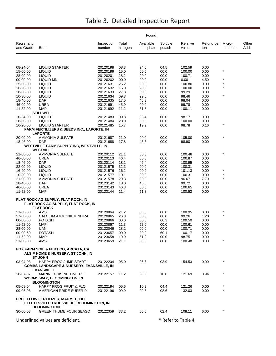|                         | Found                                                                                              |                      |                   |                        |                   |                     |                          |           |               |  |  |
|-------------------------|----------------------------------------------------------------------------------------------------|----------------------|-------------------|------------------------|-------------------|---------------------|--------------------------|-----------|---------------|--|--|
| Registrant<br>and Grade | Brand                                                                                              | Inspection<br>number | Total<br>nitrogen | Available<br>phosphate | Soluble<br>potash | Relative<br>value   | Refund per Micro-<br>ton | nutrients | Other<br>Add. |  |  |
|                         |                                                                                                    |                      |                   |                        |                   |                     |                          |           |               |  |  |
| 08-24-04                | <b>LIQUID STARTER</b>                                                                              | 20120198             | 08.3              | 24.0                   | 04.5              | 102.59              | 0.00                     |           |               |  |  |
| 15-00-00                | <b>LIQUID</b>                                                                                      | 20120199             | 15.0              | 00.0                   | 00.0              | 100.00              | 0.00                     | $\star$   |               |  |  |
| 28-00-00                | <b>LIQUID</b>                                                                                      | 20120201             | 28.2              | 00.0                   | 00.0              | 100.71              | 0.00                     | $\star$   |               |  |  |
| 00-00-00                | LIQUID MN                                                                                          | 20120202             | 00.0              | 00.0                   | 00.0              | 0.00                | 4.50                     | $\star$   |               |  |  |
| 25-00-00                | <b>LIQUID</b>                                                                                      | 20121631             | 25.2              | 00.0                   | 00.0              | 100.80              | 0.00                     | $\star$   |               |  |  |
| 16-20-00                | <b>LIQUID</b>                                                                                      | 20121632             | 16.0              | 20.0                   | 00.0              | 100.00              | 0.00                     |           |               |  |  |
| 28-00-00<br>10-30-00    | <b>LIQUID</b><br><b>LIQUID</b>                                                                     | 20121633<br>20121634 | 27.8<br>09.8      | 00.0<br>29.6           | 00.0<br>00.0      | 99.29<br>98.46      | 0.00<br>0.00             | $\star$   |               |  |  |
| 18-46-00                | <b>DAP</b>                                                                                         | 20121635             | 17.5              | 45.3                   | 00.0              | 98.04               | 0.00                     |           |               |  |  |
| 46-00-00                | <b>UREA</b>                                                                                        | 20121691             | 45.9              | 00.0                   | 00.0              | 99.78               | 0.00                     |           |               |  |  |
| 11-52-00                | <b>MAP</b>                                                                                         | 20121692             | 11.2              | 51.8                   | 00.0              | 100.11              | 0.00                     |           |               |  |  |
|                         | <b>STILLWELL</b>                                                                                   |                      |                   |                        |                   |                     |                          |           |               |  |  |
| 10-34-00                | <b>LIQUID</b>                                                                                      | 20121483             | 09.8              | 33.4                   | 00.0              | 98.17               | 0.00                     |           |               |  |  |
| 28-00-00                | <b>LIQUID</b>                                                                                      | 20121484             | 28.0              | 00.0                   | 00.0              | 100.00              | 0.00                     |           |               |  |  |
| 16-20-00                | <b>LIQUID STARTER</b>                                                                              | 20121485             | 15.7              | 19.9                   | 00.0              | 98.78               | 0.16                     | $\star$   |               |  |  |
|                         | FARM FERTILIZERS & SEEDS INC., LAPORTE, IN<br><b>LAPORTE</b>                                       |                      |                   |                        |                   |                     |                          |           |               |  |  |
| 20-00-00                | <b>AMMONIA SULFATE</b>                                                                             | 20121687             | 21.0              | 00.0                   | 00.0              | 105.00              | 0.00                     |           |               |  |  |
| 18-46-00                | DAP                                                                                                | 20121688             | 17.8              | 45.5                   | 00.0              | 98.90               | 0.00                     |           |               |  |  |
|                         | <b>WESTVILLE FARM SUPPLY INC, WESTVILLE, IN</b>                                                    |                      |                   |                        |                   |                     |                          |           |               |  |  |
|                         | <b>WESTVILLE</b>                                                                                   |                      |                   |                        |                   |                     |                          |           |               |  |  |
| 21-00-00                | <b>AMMONIA SULFATE</b>                                                                             | 20120112             | 21.1              | 00.0                   | 00.0              | 100.48              | 0.00                     |           |               |  |  |
| 46-00-00                | UREA<br><b>DAP</b>                                                                                 | 20120113             | 46.4              | 00.0                   | 00.0              | 100.87              | 0.00                     |           |               |  |  |
| 18-46-00<br>32-00-00    | <b>LIQUID</b>                                                                                      | 20120114<br>20121575 | 18.2<br>32.1      | 46.4<br>00.0           | 00.0<br>00.0      | 100.95<br>100.31    | 0.00<br>0.00             |           |               |  |  |
| 16-20-00                | <b>LIQUID</b>                                                                                      | 20121576             | 16.2              | 20.2                   | 00.0              | 101.13              | 0.00                     | $\star$   |               |  |  |
| 10-30-00                | LIQUID                                                                                             | 20121577             | 10.1              | 30.0                   | 00.0              | 100.31              | 0.00                     | $\star$   |               |  |  |
| 21-00-00                | <b>AMMONIA SULFATE</b>                                                                             | 20121578             | 20.3              | 00.0                   | 00.0              | 96.67               | 7.70                     | $\star$   |               |  |  |
| 18-46-00                | <b>DAP</b>                                                                                         | 20123142             | 18.0              | 45.8                   | 00.0              | 99.72               | 0.00                     |           |               |  |  |
| 46-00-00                | <b>UREA</b>                                                                                        | 20123143             | 46.3              | 00.0                   | 00.0              | 100.65              | 0.00                     |           |               |  |  |
| 11-52-00                | <b>MAP</b>                                                                                         | 20123144             | 11.4              | 51.8                   | 00.0              | 100.52              | 0.00                     |           |               |  |  |
|                         | FLAT ROCK AG SUPPLY, FLAT ROCK, IN<br>FLAT ROCK AG SUPPLY, FLAT ROCK, IN<br><b>FLAT ROCK</b>       |                      |                   |                        |                   |                     |                          |           |               |  |  |
| 21-00-00                | AMS                                                                                                | 20120864             | 21.2              | 00.0                   | 00.0              | 100.95              | 0.00                     | *         |               |  |  |
| 27-00-00                | CALCIUM AMMONIUM NITRA                                                                             | 20120865             | 26.8              | 00.0                   | 00.0              | 99.26               | 1.20                     | $\star$   |               |  |  |
| 00-00-60                | <b>POTASH</b>                                                                                      | 20120866             | 00.0              | 00.0                   | 60.3              | 100.50              | 0.00                     |           |               |  |  |
| 11-52-00                | <b>MAP</b>                                                                                         | 20120867             | 11.3              | 52.0                   | 00.0              | 100.61              | 0.00                     |           |               |  |  |
| 28-00-00                | UAN                                                                                                | 20122046             | 28.2              | 00.0                   | 00.0              | 100.71              | 0.00                     |           |               |  |  |
| 00-00-60                | <b>POTASH</b>                                                                                      | 20123657             | 00.0              | 00.0                   | 60.1              | 100.17              | 0.00                     |           |               |  |  |
| 11-52-00                | MAP                                                                                                | 20123658             | 10.9              | 51.3                   | 00.0              | 98.75               | 0.00                     |           |               |  |  |
| 21-00-00                | AMS                                                                                                | 20123659             | 21.1              | 00.0                   | 00.0              | 100.48              | 0.00                     | $\star$   |               |  |  |
|                         | FOX FARM SOIL & FERT CO, ARCATA, CA<br>ALSIP HOME & NURSERY, ST JOHN, IN                           |                      |                   |                        |                   |                     |                          |           |               |  |  |
| 03-04-03                | <b>ST JOHN</b><br>HAPPY FROG JUMP START<br><b>COMBS LANDSCAPE &amp; NURSERY, EVANSVILLE, IN</b>    | 20122204             | 05.0              | 06.6                   | 03.9              | 154.53              | 0.00                     |           |               |  |  |
| 10-07-07                | <b>EVANSVILLE</b><br>MARINE CUISINE TIME RE<br><b>WORMS WAY, BLOOMINGTON, IN</b>                   | 20122157             | 11.2              | 08.0                   | 10.0              | 121.69              | 0.94                     | $\star$   |               |  |  |
| 05-08-04                | <b>BLOOMINGTON</b><br><b>HAPPY FROG FRUIT &amp; FLO</b>                                            |                      | 05.6              |                        | 04.4              |                     | 0.00                     |           |               |  |  |
| 09-06-06                | AMERICAN PRIDE SUPER P                                                                             | 20122194<br>20122196 | 09.9              | 10.9<br>09.8           | 08.6              | 121.26<br>132.03    | 0.00                     |           |               |  |  |
|                         | FREE FLOW FERTILIZER, MAUMEE, OH<br>ELLETTSVILLE TRUE VALUE, BLOOMINGTON, IN<br><b>BLOOMINGTON</b> |                      |                   |                        |                   |                     |                          |           |               |  |  |
| 30-00-03                | <b>GREEN THUMB FOUR SEASO</b>                                                                      | 20122359             | 33.2              | 00.0                   | 02.4              | 108.11              | 6.00                     |           |               |  |  |
|                         | Underlined values are deficient.                                                                   |                      |                   |                        |                   | * Refer to Table 4. |                          |           |               |  |  |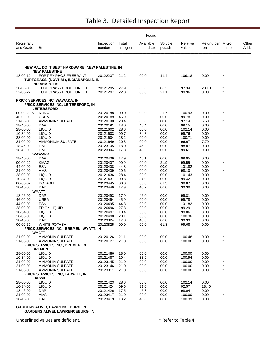|                         |                                                                                             |                      |                   | Found                  |                   |                   |                          |           |               |
|-------------------------|---------------------------------------------------------------------------------------------|----------------------|-------------------|------------------------|-------------------|-------------------|--------------------------|-----------|---------------|
| Registrant<br>and Grade | Brand                                                                                       | Inspection<br>number | Total<br>nitrogen | Available<br>phosphate | Soluble<br>potash | Relative<br>value | Refund per Micro-<br>ton | nutrients | Other<br>Add. |
|                         |                                                                                             |                      |                   |                        |                   |                   |                          |           |               |
|                         | NEW PAL DO IT BEST HARDWARE, NEW PALESTINE, IN<br><b>NEW PALESTINE</b>                      |                      |                   |                        |                   |                   |                          |           |               |
| 18-00-12                | FORTIFY PHOS FREE WINT                                                                      | 20122237             | 21.2              | 00.0                   | 11.4              | 109.18            | 0.00                     |           |               |
|                         | TURFGRASS (NOVI, MI), INDIANAPOLIS, IN<br><b>INDIANAPOLIS</b>                               |                      |                   |                        |                   |                   |                          |           |               |
| 30-00-05                | <b>TURFGRASS PROF TURF FE</b>                                                               | 20121295             | 27.9              | 00.0                   | 06.3              | 97.34             | 23.10                    | $\star$   |               |
| 22-00-22                | <b>TURFGRASS PROF TURF FE</b>                                                               | 20121297             | 22.8              | 00.0                   | 21.1              | 99.96             | 0.00                     | $\star$   |               |
|                         | FRICK SERVICES INC, WAWAKA, IN<br>FRICK SERVICES INC, LEITERSFORD, IN<br><b>LEITERSFORD</b> |                      |                   |                        |                   |                   |                          |           |               |
| 00-00-21.5              | K MAG                                                                                       | 20120188             | 00.0              | 00.0                   | 21.7              | 100.93            | 0.00                     | $\star$   |               |
| 46-00-00                | <b>UREA</b>                                                                                 | 20120189             | 45.9              | 00.0                   | 00.0              | 99.78             | 0.00                     |           |               |
| 21-00-00                | <b>AMMONIA SULFATE</b>                                                                      | 20120190             | 20.4              | 00.0                   | 00.0              | 97.14             | 6.60                     | $\star$   |               |
| 18-46-00                | <b>DAP</b>                                                                                  | 20120191             | 18.0              | 45.4                   | 00.0              | 99.15             | 0.00                     |           |               |
| 28-00-00                | <b>LIQUID</b>                                                                               | 20121602             | 28.6              | 00.0                   | 00.0              | 102.14            | 0.00                     |           |               |
| 10-34-00                | <b>LIQUID</b>                                                                               | 20121603             | 09.7              | 34.3                   | 00.0              | 99.76             | 0.00                     |           |               |
| 28-00-00                | <b>LIQUID</b>                                                                               | 20121604             | 28.2              | 00.0                   | 00.0              | 100.71            | 0.00                     |           |               |
| 21-00-00<br>18-46-00    | <b>AMMONIUM SULFATE</b><br>DAP                                                              | 20121649<br>20123105 | 20.3<br>18.0      | 00.0<br>45.2           | 00.0<br>00.0      | 96.67<br>98.87    | 7.70<br>0.00             |           |               |
| 18-46-00                | <b>DAP</b>                                                                                  | 20123804             | 17.8              | 46.0                   | 00.0              | 99.61             | 0.00                     |           |               |
|                         | <b>WAWAKA</b>                                                                               |                      |                   |                        |                   |                   |                          |           |               |
| 18-46-00                | <b>DAP</b>                                                                                  | 20120406             | 17.9              | 46.1                   | 00.0              | 99.95             | 0.00                     |           |               |
| 00-00-22                | KMAG                                                                                        | 20120407             | 00.0              | 00.0                   | 21.9              | 99.55             | 0.00                     | $\star$   |               |
| 44-00-00                | ESN                                                                                         | 20120408             | 44.8              | 00.0                   | 00.0              | 101.82            | 0.00                     |           |               |
| 21-00-00                | AMS                                                                                         | 20120409             | 20.6              | 00.0                   | 00.0              | 98.10             | 0.00                     | $\star$   |               |
| 28-00-00                | <b>LIQUID</b>                                                                               | 20121436             | 28.4              | 00.0                   | 00.0              | 101.43            | 0.00                     |           |               |
| 10-34-00<br>00-00-62    | <b>LIQUID</b><br><b>POTASH</b>                                                              | 20121437<br>20123445 | 09.8<br>00.0      | 34.0<br>00.0           | 00.0<br>61.3      | 99.42<br>98.87    | 0.00<br>0.00             |           |               |
| 18-46-00                | DAP                                                                                         | 20123446             | 17.9              | 45.7                   | 00.0              | 99.38             | 0.00                     |           |               |
|                         | <b>WYATT</b>                                                                                |                      |                   |                        |                   |                   |                          |           |               |
| 18-46-00                | DAP                                                                                         | 20120493             | 17.9              | 46.0                   | 00.0              | 99.81             | 0.00                     |           |               |
| 46-00-00                | UREA                                                                                        | 20120494             | 45.9              | 00.0                   | 00.0              | 99.78             | 0.00                     |           |               |
| 44-00-00                | <b>ESN</b>                                                                                  | 20120495             | 44.8              | 00.0                   | 00.0              | 101.82            | 0.00                     |           |               |
| 28-00-00                | <b>FRICK LIQUID</b>                                                                         | 20120496             | 27.8              | 00.0                   | 00.0              | 99.29             | 0.00                     |           |               |
| 10-34-00                | <b>LIQUID</b>                                                                               | 20120497             | 10.4              | 33.0                   | 00.0              | 99.06             | 8.00                     |           |               |
| 28-00-00<br>18-46-00    | <b>LIQUID</b><br>DAP                                                                        | 20120498<br>20123824 | 28.1<br>17.8      | 00.0<br>45.8           | 00.0<br>00.0      | 100.36<br>99.33   | 0.00<br>0.00             |           |               |
| 00-00-62                | <b>WHITE POTASH</b>                                                                         | 20123825             | 00.0              | 00.0                   | 61.8              | 99.68             | 0.00                     |           |               |
|                         | <b>FRICK SERVICES INC - BREMEN, WYATT, IN</b>                                               |                      |                   |                        |                   |                   |                          |           |               |
|                         | <b>WYATT</b>                                                                                |                      |                   |                        |                   |                   |                          |           |               |
| 21-00-00                | <b>AMMONIA SULFATE</b>                                                                      | 20120126             | 21.1              | 00.0                   | 00.0              | 100.48            | 0.00                     |           |               |
| 21-00-00                | AMMONIA SULFATE                                                                             | 20120127             | 21.0              | 00.0                   | 00.0              | 100.00            | 0.00                     | $\star$   |               |
|                         | FRICK SERVICES INC., BREMEN, IN                                                             |                      |                   |                        |                   |                   |                          |           |               |
| 28-00-00                | <b>BREMEN</b><br><b>LIQUID</b>                                                              | 20121486             | 28.0              | 00.0                   | 00.0              | 100.00            | 0.00                     |           |               |
| 10-34-00                | <b>LIQUID</b>                                                                               | 20121487             | 10.4              | 33.9                   | 00.0              | 100.94            | 0.00                     |           |               |
| 21-00-00                | <b>AMMONIA SULFATE</b>                                                                      | 20123145             | 21.0              | 00.0                   | 00.0              | 100.00            | 0.00                     |           |               |
| 21-00-00                | <b>AMMONIA SULFATE</b>                                                                      | 20123146             | 21.0              | 00.0                   | 00.0              | 100.00            | 0.00                     |           |               |
| 21-00-00                | <b>AMMONIA SULFATE</b>                                                                      | 20123811             | 21.0              | 00.0                   | 00.0              | 100.00            | 0.00                     | $\star$   |               |
|                         | FRICK SERVICES, INC, LARWILL, IN                                                            |                      |                   |                        |                   |                   |                          |           |               |
|                         | <b>LARWILL</b>                                                                              |                      |                   |                        |                   |                   |                          |           |               |
| 28-00-00                | <b>LIQUID</b>                                                                               | 20121423             | 28.6              | 00.0                   | 00.0              | 102.14            | 0.00                     |           |               |
| 10-34-00                | <b>LIQUID</b>                                                                               | 20121424             | 09.6              | 31.0                   | 00.0              | 92.57             | 28.40                    |           |               |
| 18-46-00<br>21-00-00    | DAP<br>AMS                                                                                  | 20121426<br>20123417 | 17.5<br>21.0      | 45.3<br>00.0           | 00.0<br>00.0      | 98.04<br>100.00   | 0.00<br>0.00             | $\ast$    |               |
| 18-46-00                | <b>DAP</b>                                                                                  | 20123419             | 18.2              | 46.0                   | 00.0              | 100.39            | 0.00                     |           |               |
|                         |                                                                                             |                      |                   |                        |                   |                   |                          |           |               |

**GARDENS ALIVE!, LAWRENCEBURG, IN GARDENS ALIVE!, LAWRENCEBURG, IN**

Underlined values are deficient. The same state of the set of the Second V and A set of the V and A set of Table 4.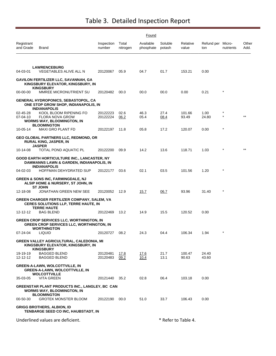|                         |                                                                                                                          |                      |                   | Found                  |                     |                   |                          |           |               |
|-------------------------|--------------------------------------------------------------------------------------------------------------------------|----------------------|-------------------|------------------------|---------------------|-------------------|--------------------------|-----------|---------------|
| Registrant<br>and Grade | Brand                                                                                                                    | Inspection<br>number | Total<br>nitrogen | Available<br>phosphate | Soluble<br>potash   | Relative<br>value | Refund per Micro-<br>ton | nutrients | Other<br>Add. |
|                         |                                                                                                                          |                      |                   |                        |                     |                   |                          |           |               |
| 04-03-01                | <b>LAWRENCEBURG</b><br>VEGETABLES ALIVE ALL N                                                                            | 20120067             | 05.9              | 04.7                   | 01.7                | 153.21            | 0.00                     |           |               |
|                         | <b>GAVILON FERTILIZER LLC, SAVANNAH, GA</b><br>KINGSBURY ELEVATOR, KINGSBURY, IN<br><b>KINGSBURY</b>                     |                      |                   |                        |                     |                   |                          |           |               |
| 00-00-00                | MMREE MICRONUTRIENT SU                                                                                                   | 20120482             | 00.0              | 00.0                   | 00.0                | 0.00              | 0.21                     | $\ast$    |               |
|                         | GENERAL HYDROPONICS, SEBASTOPOL, CA<br>ONE STOP GROW SHOP, INDIANAPOLIS, IN<br><b>INDIANAPOLIS</b>                       |                      |                   |                        |                     |                   |                          |           |               |
| 02-45-28<br>07-04-10    | KOOL BLOOM RIPENING FO<br>FLORA NOVA GROW<br><b>WORMS WAY, BLOOMINGTON, IN</b>                                           | 20122223<br>20122224 | 02.6<br>06.2      | 46.3<br>05.4           | 27.4<br>08.4        | 101.66<br>93.49   | 1.00<br>24.80            | $\star$   |               |
| 10-05-14                | <b>BLOOMINGTON</b><br><b>MAXI GRO PLANT FD</b>                                                                           | 20122197             | 11.8              | 05.8                   | 17.2                | 120.07            | 0.00                     | $\ast$    |               |
|                         | <b>GEO GLOBAL PARTNERS LLC, REDMOND, OR</b><br><b>RURAL KING, JASPER, IN</b>                                             |                      |                   |                        |                     |                   |                          |           |               |
| 10-14-08                | <b>JASPER</b><br>TOTAL POND AQUATIC PL                                                                                   | 20122200             | 09.9              | 14.2                   | 13.6                | 118.71            | 1.03                     |           |               |
|                         | GOOD EARTH HORTICULTURE INC., LANCASTER, NY<br>DAMMANNS LAWN & GARDEN, INDIANAPOLIS, IN<br><b>INDIANAPOLIS</b>           |                      |                   |                        |                     |                   |                          |           |               |
| 04-02-03                | HOFFMAN DEHYDRATED SUP                                                                                                   | 20122177             | 03.6              | 02.1                   | 03.5                | 101.56            | 1.20                     | $\star$   |               |
|                         | <b>GREEN &amp; SONS INC, FARMINGDALE, NJ</b><br>ALSIP HOME & NURSERY, ST JOHN, IN<br><b>ST JOHN</b>                      |                      |                   |                        |                     |                   |                          |           |               |
| 12-18-08                | JONATHAN GREEN NEW SEE                                                                                                   | 20120052             | 12.9              | 15.7                   | 06.7                | 93.96             | 31.40                    | $\ast$    |               |
|                         | GREEN CHARGER FERTILIZER COMPANY, SALEM, VA<br><b>CERES SOLUTIONS LLP, TERRE HAUTE, IN</b><br><b>TERRE HAUTE</b>         |                      |                   |                        |                     |                   |                          |           |               |
| 12-12-12                | BAG BLEND                                                                                                                | 20122469             | 13.2              | 14.9                   | 15.5                | 120.52            | 0.00                     |           |               |
|                         | <b>GREEN CROP SERVICES LLC, WORTHINGTON, IN</b><br><b>GREEN CROP SERVICES LLC, WORTHINGTON, IN</b><br><b>WORTHINGTON</b> |                      |                   |                        |                     |                   |                          |           |               |
| 07-24-04                | LIQUID                                                                                                                   | 20120727             | 08.2              | 24.3                   | 04.4                | 106.34            | 1.94                     |           |               |
|                         | <b>GREEN VALLEY AGRICULTURAL, CALEDONIA, MI</b><br>KINGSBURY ELEVATOR, KINGSBURY, IN<br><b>KINGSBURY</b>                 |                      |                   |                        |                     |                   |                          |           |               |
| 19-19-19<br>12-12-12    | <b>BAGGED BLEND</b><br><b>BAGGED BLEND</b>                                                                               | 20120481<br>20120483 | 17.8<br>09.2      | 17.6<br>10.4           | 21.7<br>13.1        | 100.47<br>90.63   | 24.40<br>43.60           |           |               |
|                         | <b>GREEN-A-LAWN, WOLCOTTVILLE, IN</b><br><b>GREEN-A-LAWN, WOLCOTTVILLE, IN</b><br><b>WOLCOTTVILLE</b>                    |                      |                   |                        |                     |                   |                          |           |               |
| 35-03-05                | <b>VITA GREEN</b>                                                                                                        | 20121440             | 35.2              | 02.8                   | 06.4                | 103.18            | 0.00                     |           |               |
|                         | GREENSTAR PLANT PRODUCTS INC., LANGLEY, BC CAN<br><b>WORMS WAY, BLOOMINGTON, IN</b><br><b>BLOOMINGTON</b>                |                      |                   |                        |                     |                   |                          |           |               |
| 00-50-30                | <b>GROTEK MONSTER BLOOM</b>                                                                                              | 20122190             | 00.0              | 51.0                   | 33.7                | 106.43            | 0.00                     |           |               |
|                         | <b>GRIGG BROTHERS, ALBION, ID</b><br>TENBARGE SEED CO INC, HAUBSTADT, IN                                                 |                      |                   |                        |                     |                   |                          |           |               |
|                         | Underlined values are deficient.                                                                                         |                      |                   |                        | * Refer to Table 4. |                   |                          |           |               |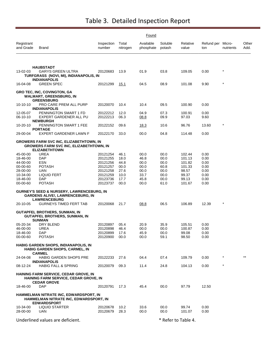|                         |                                                                                                                          |                      |                   | Found                  |                     |                   |                          |            |                 |
|-------------------------|--------------------------------------------------------------------------------------------------------------------------|----------------------|-------------------|------------------------|---------------------|-------------------|--------------------------|------------|-----------------|
| Registrant<br>and Grade | Brand                                                                                                                    | Inspection<br>number | Total<br>nitrogen | Available<br>phosphate | Soluble<br>potash   | Relative<br>value | Refund per Micro-<br>ton | nutrients  | Other<br>Add.   |
|                         |                                                                                                                          |                      |                   |                        |                     |                   |                          |            |                 |
| 13-02-03                | <b>HAUBSTADT</b><br><b>GARYS GREEN ULTRA</b><br>TURFGRASS (NOVI, MI), INDIANAPOLIS, IN                                   | 20120683             | 13.9              | 01.9                   | 03.8                | 109.05            | 0.00                     | $\star$    |                 |
| 16-04-08                | <b>INDIANAPOLIS</b><br><b>GREEN SPEC</b>                                                                                 | 20121299             | 15.1              | 04.5                   | 08.9                | 101.08            | 9.90                     | $^{\star}$ |                 |
|                         | GRO TEC, INC, COVINGTON, GA<br>WALMART, GREENSBURG, IN                                                                   |                      |                   |                        |                     |                   |                          |            |                 |
| 10-10-10                | <b>GREENSBURG</b><br>PRO CARE PREM ALL PURP                                                                              | 20120070             | 10.4              | 10.4                   | 09.5                | 100.90            | 0.00                     |            |                 |
| 12-05-07<br>06-10-10    | <b>INDIANAPOLIS</b><br>PENNINGTON SMART 1 FD<br>EXPERT GARDENER ALL PU                                                   | 20122212<br>20122213 | 12.0<br>06.3      | 04.9<br>08.8           | 07.3<br>09.9        | 100.91<br>97.03   | 0.00<br>9.60             |            |                 |
| 10-20-10                | <b>NEWBURGH</b><br>PENNINGTON SMART 1 FEE<br><b>PORTAGE</b>                                                              | 20122152             | 09.6              | <u> 18.3</u>           | 10.6                | 96.76             | 13.60                    | $\star$    |                 |
| 29-00-04                | EXPERT GARDENER LAWN F                                                                                                   | 20122170             | 33.0              | 00.0                   | 04.8                | 114.48            | 0.00                     |            |                 |
|                         | <b>GROWERS FARM SVC INC, ELIZABETHTOWN, IN</b><br><b>GROWERS FARM SVC INC, ELIZABETHTOWN, IN</b><br><b>ELIZABETHTOWN</b> |                      |                   |                        |                     |                   |                          |            |                 |
| 45-00-00                | UREA                                                                                                                     | 20121254             | 46.1              | 00.0                   | 00.0                | 102.44            | 0.00                     |            |                 |
| 18-46-00                | DAP                                                                                                                      | 20121255             | 18.0              | 46.8                   | 00.0                | 101.13            | 0.00                     |            |                 |
| 44-00-00                | ESN                                                                                                                      | 20121256             | 44.8              | 00.0                   | 00.0                | 101.82            | 0.00                     |            |                 |
| 00-00-60                | <b>POTASH</b>                                                                                                            | 20121257             | 00.0              | 00.0                   | 60.8                | 101.33            | 0.00                     |            |                 |
| 28-00-00                | UAN                                                                                                                      | 20121258             | 27.6              | 00.0                   | 00.0                | 98.57             | 0.00                     |            |                 |
| 10-34-00                | LIQUID FERT                                                                                                              | 20121259             | 10.0              | 33.7                   | 00.0                | 99.37             | 0.00                     |            |                 |
| 18-46-00<br>00-00-60    | DAP<br><b>POTASH</b>                                                                                                     | 20123736<br>20123737 | 17.7<br>00.0      | 45.8<br>00.0           | 00.0<br>61.0        | 99.13<br>101.67   | 0.00<br>0.00             |            |                 |
|                         | <b>GURNEY'S SEED &amp; NURSERY, LAWRENCEBURG, IN</b><br>GARDENS ALIVE!, LAWRENCEBURG, IN<br><b>LAWRENCEBURG</b>          |                      |                   |                        |                     |                   |                          |            |                 |
| 20-10-05                | <b>GURNEYS TIMED FERT TAB</b>                                                                                            | 20120068             | 21.7              | 08.8                   | 06.5                | 106.89            | 12.39                    | $^{\star}$ |                 |
|                         | GUTAPFEL BROTHERS, SUNMAN, IN<br>GUTAPFEL BROTHERS, SUNMAN, IN<br><b>SUNMAN</b>                                          |                      |                   |                        |                     |                   |                          |            |                 |
| 05-20-34                | DRY BLEND                                                                                                                | 20120897             | 05.4              | 20.9                   | 35.9                | 105.51            | 0.00                     |            |                 |
| 46-00-00                | UREA                                                                                                                     | 20120898             | 46.4              | 00.0                   | 00.0                | 100.87            | 0.00                     |            |                 |
| 18-46-00                | DAP                                                                                                                      | 20120899             | 17.6              | 45.9                   | 00.0                | 99.08             | 0.00                     |            |                 |
| 00-00-60                | <b>POTASH</b>                                                                                                            | 20120900             | 00.0              | 00.0                   | 59.1                | 98.50             | 0.00                     |            |                 |
|                         | <b>HABIG GARDEN SHOPS, INDIANAPOLIS, IN</b><br><b>HABIG GARDEN SHOPS, CARMEL, IN</b><br><b>CARMEL</b>                    |                      |                   |                        |                     |                   |                          |            |                 |
| 24-04-08                | HABIG GARDEN SHOPS PRE<br><b>INDIANAPOLIS</b>                                                                            | 20122233             | 27.6              | 04.4                   | 07.4                | 109.79            | 0.00                     | $\star$    | $^{\star\star}$ |
| 08-12-24                | <b>HABIG FALL &amp; SPRING</b>                                                                                           | 20120079             | 09.3              | 11.4                   | 24.8                | 104.13            | 0.00                     | *          |                 |
|                         | <b>HAINING FARM SERVICE, CEDAR GROVE, IN</b><br>HAINING FARM SERVICE, CEDAR GROVE, IN<br><b>CEDAR GROVE</b>              |                      |                   |                        |                     |                   |                          |            |                 |
| 18-46-00                | DAP                                                                                                                      | 20120791             | 17.3              | 45.4                   | 00.0                | 97.79             | 12.50                    |            |                 |
|                         | HAMMELMAN NITRATE INC, EDWARDSPORT, IN<br>HAMMELMAN NITRATE INC, EDWARDSPORT, IN<br><b>EDWARDSPORT</b>                   |                      |                   |                        |                     |                   |                          |            |                 |
| 10-34-00<br>28-00-00    | <b>LIQUID STARTER</b><br>UAN                                                                                             | 20120678<br>20120679 | 10.2<br>28.3      | 33.6<br>00.0           | 00.0<br>00.0        | 99.74<br>101.07   | 0.00<br>0.00             |            |                 |
|                         | Underlined values are deficient.                                                                                         |                      |                   |                        | * Refer to Table 4. |                   |                          |            |                 |
|                         |                                                                                                                          |                      |                   |                        |                     |                   |                          |            |                 |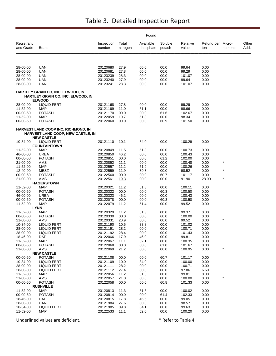|                            |                                                                                               |                      |                   | Found                  |                   |                   |                          |           |               |
|----------------------------|-----------------------------------------------------------------------------------------------|----------------------|-------------------|------------------------|-------------------|-------------------|--------------------------|-----------|---------------|
| Registrant<br>and Grade    | <b>Brand</b>                                                                                  | Inspection<br>number | Total<br>nitrogen | Available<br>phosphate | Soluble<br>potash | Relative<br>value | Refund per Micro-<br>ton | nutrients | Other<br>Add. |
|                            |                                                                                               |                      |                   |                        |                   |                   |                          |           |               |
| 28-00-00                   | <b>UAN</b>                                                                                    | 20120680             | 27.9              | 00.0                   | 00.0              | 99.64             | 0.00                     |           |               |
| 28-00-00                   | <b>UAN</b>                                                                                    | 20120681             | 27.8              | 00.0                   | 00.0              | 99.29             | 0.00                     |           |               |
| 28-00-00<br>28-00-00       | <b>UAN</b><br>UAN                                                                             | 20123239<br>20123240 | 28.3<br>27.9      | 00.0<br>00.0           | 00.0<br>00.0      | 101.07<br>99.64   | 0.00<br>0.00             |           |               |
| 28-00-00                   | <b>UAN</b>                                                                                    | 20123241             | 28.3              | 00.0                   | 00.0              | 101.07            | 0.00                     |           |               |
|                            | HARTLEY GRAIN CO, INC, ELWOOD, IN<br>HARTLEY GRAIN CO, INC, ELWOOD, IN                        |                      |                   |                        |                   |                   |                          |           |               |
| 28-00-00                   | <b>ELWOOD</b><br><b>LIQUID FERT</b>                                                           | 20121168             | 27.8              | 00.0                   | 00.0              | 99.29             | 0.00                     |           |               |
| 11-52-00                   | <b>MAP</b>                                                                                    | 20121169             | 11.0              | 51.1                   | 00.0              | 98.66             | 0.00                     |           |               |
| 00-00-60                   | <b>POTASH</b>                                                                                 | 20121170             | 00.0              | 00.0                   | 61.6              | 102.67            | 0.00                     |           |               |
| 11-52-00                   | <b>MAP</b>                                                                                    | 20122059             | 10.7              | 51.3                   | 00.0              | 98.34             | 0.00                     |           |               |
| 00-00-60                   | <b>POTASH</b>                                                                                 | 20122060             | 00.0              | 00.0                   | 60.9              | 101.50            | 0.00                     |           |               |
|                            | HARVEST LAND COOP INC, RICHMOND, IN<br>HARVEST LAND COOP, NEW CASTLE, IN<br><b>NEW CASTLE</b> |                      |                   |                        |                   |                   |                          |           |               |
| 10-34-00                   | <b>LIQUID FERT</b><br><b>FOUNTAINTOWN</b>                                                     | 20121110             | 10.1              | 34.0                   | 00.0              | 100.29            | 0.00                     |           |               |
| 11-52-00                   | <b>MAP</b>                                                                                    | 20120849             | 11.5              | 51.8                   | 00.0              | 100.73            | 0.00                     |           |               |
| 46-00-00                   | <b>UREA</b>                                                                                   | 20120850             | 46.2              | 00.0                   | 00.0              | 100.43            | 0.00                     |           |               |
| 00-00-60                   | <b>POTASH</b>                                                                                 | 20120851             | 00.0              | 00.0                   | 61.2              | 102.00            | 0.00                     | $\star$   |               |
| 21-00-00<br>11-52-00       | AMS<br><b>MAP</b>                                                                             | 20120852<br>20122557 | 21.1<br>11.2      | 00.0<br>51.9           | 00.0              | 100.48<br>100.26  | 0.00<br>0.00             |           |               |
| 12-40-00                   | MESZ                                                                                          | 20122559             | 11.9              | 39.3                   | 00.0<br>00.0      | 98.52             | 0.00                     | $\star$   |               |
| 00-00-60                   | POTASH`                                                                                       | 20122560             | 00.0              | 00.0                   | 60.7              | 101.17            | 0.00                     |           |               |
| 21-00-00                   | AMS                                                                                           | 20122561             | 19.3              | 00.0                   | 00.0              | 91.90             | 28.90                    | $\star$   |               |
|                            | <b>HAGERSTOWN</b>                                                                             |                      |                   |                        |                   |                   |                          |           |               |
| 11-52-00<br>00-00-60       | <b>MAP</b><br><b>POTASH</b>                                                                   | 20120321<br>20120322 | 11.2<br>00.0      | 51.8<br>00.0           | 00.0<br>60.3      | 100.11<br>100.50  | 0.00<br>0.00             |           |               |
| 46-00-00                   | <b>UREA</b>                                                                                   | 20120323             | 46.2              | 00.0                   | 00.0              | 100.43            | 0.00                     |           |               |
| 00-00-60                   | <b>POTASH</b>                                                                                 | 20122078             | 00.0              | 00.0                   | 60.3              | 100.50            | 0.00                     |           |               |
| 11-52-00                   | <b>MAP</b>                                                                                    | 20122079             | 11.2              | 51.4                   | 00.0              | 99.52             | 0.00                     |           |               |
|                            | <b>LYNN</b>                                                                                   |                      |                   |                        |                   |                   |                          |           |               |
| 11-52-00                   | <b>MAP</b>                                                                                    | 20120329             | 11.2              | 51.3                   | 00.0              | 99.37             | 0.00                     |           |               |
| 00-00-60<br>21-00-00       | <b>POTASH</b><br>AMS                                                                          | 20120330<br>20120331 | 00.0<br>20.9      | 00.0<br>00.0           | 60.0<br>00.0      | 100.00<br>99.52   | 0.00<br>0.00             |           |               |
| 10-34-00                   | <b>LIQUID FERT</b>                                                                            | 20121190             | 10.5              | 33.8                   | 00.0              | 101.02            | 0.00                     |           |               |
| 28-00-00                   | <b>LIQUID FERT</b>                                                                            | 20121191             | 28.2              | 00.0                   | 00.0              | 100.71            | 0.00                     |           |               |
| 28-00-00                   | <b>LIQUID FERT</b>                                                                            | 20121192             | 28.4              | 00.0                   | 00.0              | 101.43            | 0.00                     |           |               |
| 18-46-00                   | DAP                                                                                           | 20122066             | 17.9              | 46.0                   | 00.0              | 99.81             | 0.00                     |           |               |
| 11-52-00                   | <b>MAP</b>                                                                                    | 20122067             | 11.1              | 52.1                   | 00.0              | 100.35            | 0.00                     |           |               |
| 00-00-60<br>$21 - 00 - 00$ | <b>POTASH</b><br>AMS                                                                          | 20122068<br>20122069 | 00.0<br>21.2      | 00.0<br>00.0           | 61.0<br>00.0      | 101.67<br>100.95  | 0.00<br>0.00             |           |               |
|                            | <b>NEW CASTLE</b>                                                                             |                      |                   |                        |                   |                   |                          |           |               |
| 00-00-60                   | <b>POTASH</b>                                                                                 | 20121108             | 00.0              | 00.0                   | 60.7              | 101.17            | 0.00                     |           |               |
| 10-34-00                   | <b>LIQUID FERT</b>                                                                            | 20121109             | 10.0              | 34.0                   | 00.0              | 100.00            | 0.00                     |           |               |
| 28-00-00                   | LIQUID FERT                                                                                   | 20121111             | 28.2              | 00.0                   | 00.0              | 100.71            | 0.00                     |           |               |
| 28-00-00                   | <b>LIQUID FERT</b>                                                                            | 20121112             | 27.4              | 00.0                   | 00.0              | 97.86             | 6.60                     |           |               |
| 11-52-00<br>21-00-00       | <b>MAP</b>                                                                                    | 20122056             | 11.2              | 51.6                   | 00.0              | 99.81             | 0.00                     | $\ast$    |               |
| 00-00-60                   | AMS<br><b>POTASH</b>                                                                          | 20122057<br>20122058 | 21.0<br>00.0      | 00.0<br>00.0           | 00.0<br>60.8      | 100.00<br>101.33  | 0.00<br>0.00             |           |               |
|                            | <b>RUSHVILLE</b>                                                                              |                      |                   |                        |                   |                   |                          |           |               |
| 11-52-00                   | <b>MAP</b>                                                                                    | 20120813             | 11.3              | 51.6                   | 00.0              | 100.02            | 0.00                     |           |               |
| 00-00-60                   | <b>POTASH</b>                                                                                 | 20120814             | 00.0              | 00.0                   | 61.4              | 102.33            | 0.00                     |           |               |
| 18-46-00                   | DAP                                                                                           | 20120815             | 17.8              | 45.6                   | 00.0              | 99.05             | 0.00                     |           |               |
| 28-00-00                   | UAN                                                                                           | 20121984             | 27.6              | 00.0                   | 00.0              | 98.57             | 0.00                     |           |               |
| 10-34-00<br>11-52-00       | <b>LIQUID FERT</b><br><b>MAP</b>                                                              | 20121985<br>20122533 | 09.8<br>11.1      | 34.1<br>52.0           | 00.0<br>00.0      | 99.63<br>100.20   | 0.00<br>0.00             |           |               |
|                            |                                                                                               |                      |                   |                        |                   |                   |                          |           |               |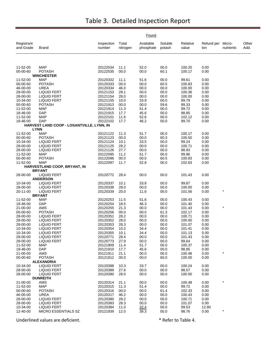|                         |                                                         |                      |                   | <u>Found</u>           |                   |                   |                   |                     |               |
|-------------------------|---------------------------------------------------------|----------------------|-------------------|------------------------|-------------------|-------------------|-------------------|---------------------|---------------|
| Registrant<br>and Grade | Brand                                                   | Inspection<br>number | Total<br>nitrogen | Available<br>phosphate | Soluble<br>potash | Relative<br>value | Refund per<br>ton | Micro-<br>nutrients | Other<br>Add. |
|                         |                                                         |                      |                   |                        |                   |                   |                   |                     |               |
| 11-52-00                | <b>MAP</b>                                              | 20122534             | 11.1              | 52.0                   | 00.0              | 100.20            | 0.00              |                     |               |
| 00-00-60                | <b>POTASH</b>                                           | 20122535             | 00.0              | 00.0                   | 60.1              | 100.17            | 0.00              |                     |               |
| 11-52-00                | <b>WINCHESTER</b><br><b>MAP</b>                         | 20120332             | 11.1              | 51.6                   | 00.0              | 99.61             | 0.00              |                     |               |
| 00-00-60                | <b>POTASH</b>                                           | 20120333             | 00.0              | 00.0                   | 60.5              | 100.83            | 0.00              |                     |               |
| 46-00-00                | <b>UREA</b>                                             | 20120334             | 46.0              | 00.0                   | 00.0              | 100.00            | 0.00              |                     |               |
| 28-00-00                | <b>LIQUID FERT</b>                                      | 20121153             | 28.1              | 00.0                   | 00.0              | 100.36            | 0.00              |                     |               |
| 28-00-00<br>10-34-00    | <b>LIQUID FERT</b><br><b>LIQUID FERT</b>                | 20121154<br>20121155 | 28.0<br>10.0      | 00.0<br>33.9           | 00.0<br>00.0      | 100.00<br>99.79   | 0.00<br>0.00      |                     |               |
| 00-00-60                | <b>POTASH</b>                                           | 20121913             | 00.0              | 00.0                   | 59.6              | 99.33             | 0.00              |                     |               |
| 11-52-00                | <b>MAP</b>                                              | 20121914             | 11.3              | 51.4                   | 00.0              | 99.72             | 0.00              |                     |               |
| 18-46-00                | <b>DAP</b>                                              | 20121915             | 17.7              | 45.6                   | 00.0              | 98.85             | 0.00              |                     |               |
| 11-52-00                | <b>MAP</b>                                              | 20122101             | 11.6              | 52.6                   | 00.0              | 102.12            | 0.00              |                     |               |
| 18-46-00                | <b>DAP</b><br>HARVEST LAND COOP - LOSANTVILLE, LYNN, IN | 20122102             | 17.7              | 46.2                   | 00.0              | 99.70             | 0.00              |                     |               |
|                         | <b>LYNN</b>                                             |                      |                   |                        |                   |                   |                   |                     |               |
| 11-52-00                | <b>MAP</b>                                              | 20121122             | 11.3              | 51.7                   | 00.0              | 100.17            | 0.00              |                     |               |
| 00-00-60                | <b>POTASH</b>                                           | 20121123             | 00.0              | 00.0                   | 60.3              | 100.50            | 0.00              |                     |               |
| 10-34-00                | <b>LIQUID FERT</b>                                      | 20121124             | 10.1              | 33.5                   | 00.0              | 99.24             | 0.00              |                     |               |
| 28-00-00                | <b>LIQUID FERT</b>                                      | 20121125             | 28.2              | 00.0                   | 00.0              | 100.71            | 0.00              |                     |               |
| 28-00-00<br>11-52-00    | <b>LIQUID FERT</b><br><b>MAP</b>                        | 20121126<br>20122095 | 27.7<br>11.2      | 00.0<br>51.7           | 00.0<br>00.0      | 98.93<br>99.96    | 0.00<br>0.00      |                     |               |
| 00-00-60                | <b>POTASH</b>                                           | 20122096             | 00.0              | 00.0                   | 60.5              | 100.83            | 0.00              |                     |               |
| 11-52-00                | <b>MAP</b>                                              | 20122097             | 11.7              | 52.8                   | 00.0              | 102.63            | 0.00              |                     |               |
|                         | HARVESTLAND COOP, BRYANT, IN                            |                      |                   |                        |                   |                   |                   |                     |               |
|                         | <b>BRYANT</b>                                           |                      |                   |                        |                   |                   |                   |                     |               |
| 28-00-00                | <b>LIQUID FERT</b><br><b>ANDERSON</b>                   | 20120772             | 28.4              | 00.0                   | 00.0              | 101.43            | 0.00              |                     |               |
| 10-34-00                | <b>LIQUID FERT</b>                                      | 20120337             | 10.1              | 33.8                   | 00.0              | 99.87             | 0.00              |                     |               |
| 28-00-00                | <b>LIQUID FERT</b>                                      | 20120338             | 28.0              | 00.0                   | 00.0              | 100.00            | 0.00              |                     |               |
| 20-11-00                | <b>LIQUID FERT</b>                                      | 20120339             | 20.0              | 11.6                   | 00.0              | 101.56            | 0.00              |                     |               |
|                         | <b>BRYANT</b>                                           |                      |                   |                        |                   |                   |                   |                     |               |
| 11-52-00<br>18-46-00    | <b>MAP</b><br><b>DAP</b>                                | 20120253<br>20120254 | 11.5<br>18.5      | 51.6<br>46.3           | 00.0<br>00.0      | 100.43<br>101.40  | 0.00<br>0.00      |                     |               |
| 21-00-00                | AMS                                                     | 20120255             | 21.3              | 00.0                   | 00.0              | 101.43            | 0.00              |                     |               |
| 00-00-60                | <b>POTASH</b>                                           | 20120256             | 00.0              | 00.0                   | 61.3              | 102.17            | 0.00              |                     |               |
| 28-00-00                | LIQUID FERT                                             | 20120351             | 28.2              | 00.0                   | 00.0              | 100.71            | 0.00              |                     |               |
| 28-00-00                | <b>LIQUID FERT</b>                                      | 20120352             | 28.0              | 00.0                   | 00.0              | 100.00            | 0.00              |                     |               |
| 28-00-00                | LIQUID FERT                                             | 20120353             | 28.3              | 00.0                   | 00.0              | 101.07            | 0.00              |                     |               |
| 10-34-00<br>10-34-00    | <b>LIQUID FERT</b><br><b>LIQUID FERT</b>                | 20120354<br>20120355 | 10.2<br>10.1      | 34.4<br>34.4           | 00.0<br>00.0      | 101.41<br>101.13  | 0.00<br>0.00      |                     |               |
| 28-00-00                | LIQUID FERT                                             | 20120771             | 28.4              | 00.0                   | 00.0              | 101.43            | 0.00              |                     |               |
| 28-00-00                | <b>LIQUID FERT</b>                                      | 20120773             | 27.9              | 00.0                   | 00.0              | 99.64             | 0.00              |                     |               |
| 11-52-00                | <b>MAP</b>                                              | 20121909             | 11.4              | 51.7                   | 00.0              | 100.37            | 0.00              |                     |               |
| 18-46-00                | DAP.                                                    | 20121910             | 17.7              | 45.6                   | 00.0              | 98.85             | 0.00              |                     |               |
| 21-00-00                | AMS                                                     | 20121911             | 21.1              | 00.0                   | 00.0              | 100.48<br>100.00  | 0.00              |                     |               |
| 00-00-60                | <b>POTASH</b><br><b>ALEXANDRIA</b>                      | 20121912             | 00.0              | 00.0                   | 60.0              |                   | 0.00              |                     |               |
| 10-34-00                | LIQUID FERT                                             | 20120388             | 10.3              | 33.7                   | 00.0              | 100.24            | 0.00              |                     |               |
| 28-00-00                | <b>LIQUID FERT</b>                                      | 20120389             | 27.6              | 00.0                   | 00.0              | 98.57             | 0.00              |                     |               |
| 28-00-00                | <b>LIQUID FERT</b>                                      | 20120390             | 28.0              | 00.0                   | 00.0              | 100.00            | 0.00              |                     |               |
|                         | <b>DUNREITH</b>                                         |                      |                   |                        |                   |                   |                   |                     |               |
| 21-00-00<br>11-52-00    | AMS<br><b>MAP</b>                                       | 20120314<br>20120315 | 21.1<br>11.3      | 00.0<br>51.4           | 00.0<br>00.0      | 100.48<br>99.72   | 0.00<br>0.00      |                     |               |
| 00-00-60                | <b>POTASH</b>                                           | 20120316             | 00.0              | 00.0                   | 61.4              | 102.33            | 0.00              |                     |               |
| 46-00-00                | <b>UREA</b>                                             | 20120317             | 46.2              | 00.0                   | 00.0              | 100.43            | 0.00              |                     |               |
| 28-00-00                | <b>LIQUID FERT</b>                                      | 20120380             | 28.2              | 00.0                   | 00.0              | 100.71            | 0.00              |                     |               |
| 28-00-00                | LIQUID FERT                                             | 20120383             | 28.3              | 00.0                   | 00.0              | 101.07            | 0.00              |                     |               |
| 10-34-00                | LIQUID FERT                                             | 20120384             | 11.0              | 32.4                   | 00.0              | 99.53             | 12.80             |                     |               |
| 12-40-00                | MICRO ESSENTIALS SZ                                     | 20121939             | 12.0              | 39.3                   | 00.0              | 98.76             | 0.00              | $\star$             |               |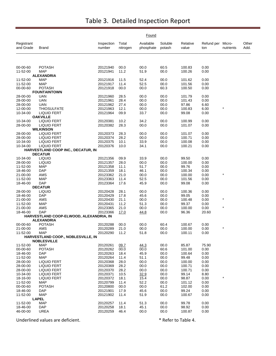|                         |                                                          |                                         | Found             |                        |                   |                   |                          |            |               |
|-------------------------|----------------------------------------------------------|-----------------------------------------|-------------------|------------------------|-------------------|-------------------|--------------------------|------------|---------------|
| Registrant<br>and Grade | Brand                                                    | Inspection<br>number                    | Total<br>nitrogen | Available<br>phosphate | Soluble<br>potash | Relative<br>value | Refund per Micro-<br>ton | nutrients  | Other<br>Add. |
|                         |                                                          |                                         |                   |                        |                   |                   |                          |            |               |
| 00-00-60<br>11-52-00    | <b>POTASH</b><br><b>MAP</b>                              | 20121940<br>20121941                    | 00.0<br>11.2      | 00.0<br>51.9           | 60.5<br>00.0      | 100.83<br>100.26  | 0.00<br>0.00             |            |               |
|                         | <b>ALEXANDRIA</b>                                        |                                         |                   |                        |                   |                   |                          |            |               |
| 11-52-00                | <b>MAP</b>                                               | 20121916                                | 11.5              | 52.4                   | 00.0              | 101.62            | 0.00                     |            |               |
| 11-52-00                | <b>MAP</b>                                               | 20121917                                | 11.4              | 52.5                   | 00.0              | 101.56            | 0.00                     |            |               |
| 00-00-60                | <b>POTASH</b><br><b>FOUNTAINTOWN</b>                     | 20121918                                | 00.0              | 00.0                   | 60.3              | 100.50            | 0.00                     |            |               |
| 28-00-00                | UAN                                                      | 20121960                                | 28.5              | 00.0                   | 00.0              | 101.79            | 0.00                     |            |               |
| 28-00-00                | <b>UAN</b>                                               | 20121961                                | 28.4              | 00.0                   | 00.0              | 101.43            | 0.00                     |            |               |
| 28-00-00                | <b>UAN</b>                                               | 20121962                                | 27.4              | 00.0                   | 00.0              | 97.86             | 6.60                     |            |               |
| 12-00-00                | <b>THIOSULFATE</b>                                       | 20121963                                | 12.1              | 00.0                   | 00.0              | 100.83            | 6.00                     |            |               |
| 10-34-00                | <b>LIQUID FERT</b><br><b>OAKVILLE</b>                    | 20121964                                | 09.9              | 33.7                   | 00.0              | 99.08             | 0.00                     |            |               |
| 10-34-00                | <b>LIQUID FERT</b>                                       | 20120381                                | 10.2              | 34.2                   | 00.0              | 100.99            | 0.00                     |            |               |
| 28-00-00                | LIQUID FERT                                              | 20120382                                | 28.3              | 00.0                   | 00.0              | 101.07            | 0.00                     |            |               |
|                         | <b>WILKINSON</b>                                         |                                         |                   |                        |                   |                   |                          |            |               |
| 28-00-00                | LIQUID FERT                                              | 20120373                                | 28.3              | 00.0                   | 00.0              | 101.07            | 0.00                     |            |               |
| 28-00-00<br>10-34-00    | LIQUID FERT<br><b>LIQUID FERT</b>                        | 20120374<br>20120375                    | 28.2<br>10.1      | 00.0<br>33.9           | 00.0<br>00.0      | 100.71<br>100.08  | 0.00<br>0.00             |            |               |
| 10-34-00                | <b>LIQUID FERT</b>                                       | 20120376                                | 10.0              | 34.1                   | 00.0              | 100.21            | 0.00                     |            |               |
|                         | HARVESTLAND COOP INC., DECATUR, IN                       |                                         |                   |                        |                   |                   |                          |            |               |
|                         | <b>DECATUR</b>                                           |                                         |                   |                        |                   |                   |                          |            |               |
| 10-34-00                | <b>LIQUID</b>                                            | 20121356                                | 09.9              | 33.9                   | 00.0              | 99.50             | 0.00                     |            |               |
| 28-00-00<br>11-52-00    | <b>LIQUID</b><br><b>MAP</b>                              | 20121357<br>20121358                    | 28.0<br>11.1      | 00.0<br>51.7           | 00.0<br>00.0      | 100.00<br>99.76   | 0.00<br>0.00             |            |               |
| 18-46-00                | <b>DAP</b>                                               | 20121359                                | 18.1              | 46.1                   | 00.0              | 100.34            | 0.00                     |            |               |
| 21-00-00                | AMS                                                      | 20123362                                | 21.0              | 00.0                   | 00.0              | 100.00            | 0.00                     | $\ast$     |               |
| 11-52-00                | <b>MAP</b>                                               | 20123363                                | 11.4              | 52.5                   | 00.0              | 101.56            | 0.00                     |            |               |
| 18-46-00                | <b>DAP</b>                                               | 20123364                                | 17.6              | 45.9                   | 00.0              | 99.08             | 0.00                     |            |               |
| 28-00-00                | <b>DECATUR</b><br><b>LIQUID</b>                          | 20120428                                | 28.1              | 00.0                   | 00.0              | 100.36            | 0.00                     |            |               |
| 18-46-00                | <b>DAP</b>                                               | 20120429                                | 17.8              | 45.6                   | 00.0              | 99.05             | 0.00                     |            |               |
| 21-00-00                | AMS                                                      | 20120430                                | 21.1              | 00.0                   | 00.0              | 100.48            | 0.00                     | *          |               |
| 11-52-00                | <b>MAP</b>                                               | 20120431                                | 11.2              | 51.3                   | 00.0              | 99.37             | 0.00                     |            |               |
| 21-00-00                | AMS                                                      | 20123365                                | 21.0              | 00.0                   | 00.0              | 100.00            | 0.00                     |            |               |
| 18-46-00                | <b>DAP</b>                                               | 20123366                                | 17.0              | 44.8                   | 00.0              | 96.36             | 20.60                    |            |               |
|                         | <b>ALEXANDRIA</b>                                        | HARVESTLAND COOP-ELWOOD, ALEXANDRIA, IN |                   |                        |                   |                   |                          |            |               |
| 00-00-60                | <b>POTASH</b>                                            | 20120288                                | 00.0              | 00.0                   | 60.4              | 100.67            | 0.00                     |            |               |
| 21-00-00                | AMS                                                      | 20120289                                | 21.0              | 00.0                   | 00.0              | 100.00            | 0.00                     | $^{\star}$ |               |
| 11-52-00                | <b>MAP</b>                                               | 20120290                                | 11.2              | 51.8                   | 00.0              | 100.11            | 0.00                     |            |               |
|                         | HARVESTLAND COOP., NOBLESVILLE, IN<br><b>NOBLESVILLE</b> |                                         |                   |                        |                   |                   |                          |            |               |
| 11-52-00                | <b>MAP</b>                                               | 20120261                                | 09.7              | 44.3                   | 00.0              | 85.87             | 75.90                    |            |               |
| 00-00-60                | <b>POTASH</b>                                            | 20120262                                | 00.0              | 00.0                   | 60.6              | 101.00            | 0.00                     |            |               |
| 18-46-00                | DAP                                                      | 20120263                                | 18.4              | 45.9                   | 00.0              | 100.64            | 0.00                     |            |               |
| 11-52-00                | <b>MAP</b>                                               | 20120264                                | 11.4              | 51.1                   | 00.0              | 99.48             | 0.00                     |            |               |
| 28-00-00<br>28-00-00    | <b>LIQUID FERT</b><br><b>LIQUID FERT</b>                 | 20120368<br>20120369                    | 28.0<br>28.2      | 00.0<br>00.0           | 00.0<br>00.0      | 100.00<br>100.71  | 0.00<br>0.00             |            |               |
| 28-00-00                | LIQUID FERT                                              | 20120370                                | 28.2              | 00.0                   | 00.0              | 100.71            | 0.00                     |            |               |
| 10-34-00                | <b>LIQUID FERT</b>                                       | 20120371                                | 10.5              | 32.9                   | 00.0              | 99.14             | 8.80                     |            |               |
| 18-16-00                | <b>LIQUID FERT</b>                                       | 20120372                                | 18.1              | 15.4                   | 00.0              | 98.87             | 0.00                     |            |               |
| 11-52-00                | <b>MAP</b>                                               | 20120799                                | 11.4              | 52.2                   | 00.0              | 101.12            | 0.00                     |            |               |
| 00-00-60                | <b>POTASH</b>                                            | 20120800                                | 00.0              | 00.0                   | 61.2              | 102.00            | 0.00                     |            |               |
| 18-46-00<br>11-52-00    | DAP<br><b>MAP</b>                                        | 20121901<br>20121902                    | 17.9<br>11.4      | 45.6<br>51.9           | 00.0<br>00.0      | 99.24<br>100.67   | 0.00<br>0.00             |            |               |
|                         | <b>LAPEL</b>                                             |                                         |                   |                        |                   |                   |                          |            |               |
| 11-52-00                | <b>MAP</b>                                               | 20120257                                | 11.4              | 51.3                   | 00.0              | 99.78             | 0.00                     |            |               |
| 18-46-00                | <b>DAP</b>                                               | 20120258                                | 18.1              | 45.1                   | 00.0              | 98.92             | 0.00                     |            |               |
| 46-00-00                | <b>UREA</b>                                              | 20120259                                | 46.4              | 00.0                   | 00.0              | 100.87            | 0.00                     |            |               |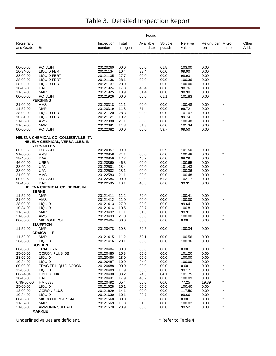|                         |                                                                                              |                      |                   | Found                  |                   |                   |                          |           |               |
|-------------------------|----------------------------------------------------------------------------------------------|----------------------|-------------------|------------------------|-------------------|-------------------|--------------------------|-----------|---------------|
| Registrant<br>and Grade | Brand                                                                                        | Inspection<br>number | Total<br>nitrogen | Available<br>phosphate | Soluble<br>potash | Relative<br>value | Refund per Micro-<br>ton | nutrients | Other<br>Add. |
|                         |                                                                                              |                      |                   |                        |                   |                   |                          |           |               |
| 00-00-60                | <b>POTASH</b>                                                                                | 20120260             | 00.0              | 00.0                   | 61.8              | 103.00            | 0.00                     |           |               |
| 10-34-00                | <b>LIQUID FERT</b>                                                                           | 20121134             | 10.4              | 33.4                   | 00.0              | 99.90             | 0.00                     |           |               |
| 28-00-00                | <b>LIQUID FERT</b>                                                                           | 20121135             | 27.7<br>28.1      | 00.0                   | 00.0              | 98.93             | 0.00                     |           |               |
| 28-00-00<br>28-00-00    | <b>LIQUID FERT</b><br><b>LIQUID FERT</b>                                                     | 20121136<br>20121137 | 28.0              | 00.0<br>00.0           | 00.0<br>00.0      | 100.36<br>100.00  | 0.00<br>0.00             |           |               |
| 18-46-00                | DAP                                                                                          | 20121924             | 17.8              | 45.4                   | 00.0              | 98.76             | 0.00                     |           |               |
| 11-52-00                | <b>MAP</b>                                                                                   | 20121925             | 10.9              | 51.4                   | 00.0              | 98.90             | 0.00                     |           |               |
| 00-00-60                | <b>POTASH</b>                                                                                | 20121926             | 00.0              | 00.0                   | 61.1              | 101.83            | 0.00                     |           |               |
|                         | <b>PERSHING</b>                                                                              |                      |                   |                        |                   |                   |                          | $\star$   |               |
| 21-00-00<br>11-52-00    | AMS<br><b>MAP</b>                                                                            | 20120318<br>20120319 | 21.1<br>11.3      | 00.0<br>51.4           | 00.0<br>00.0      | 100.48<br>99.72   | 0.00<br>0.00             |           |               |
| 28-00-00                | <b>LIQUID FERT</b>                                                                           | 20121120             | 28.3              | 00.0                   | 00.0              | 101.07            | 0.00                     |           |               |
| 10-34-00                | <b>LIQUID FERT</b>                                                                           | 20121121             | 10.2              | 33.6                   | 00.0              | 99.74             | 0.00                     |           |               |
| 21-00-00                | AMS                                                                                          | 20122080             | 21.1              | 00.0                   | 00.0              | 100.48            | 0.00                     | $\star$   |               |
| 11-52-00                | <b>MAP</b>                                                                                   | 20122081             | 11.8              | 51.8                   | 00.0              | 101.34            | 0.00                     |           |               |
| 00-00-60                | <b>POTASH</b>                                                                                | 20122082             | 00.0              | 00.0                   | 59.7              | 99.50             | 0.00                     |           |               |
|                         | HELENA CHEMICAL CO, COLLIERVILLE, TN<br>HELENA CHEMICAL, VERSAILLES, IN<br><b>VERSAILLES</b> |                      |                   |                        |                   |                   |                          |           |               |
| 00-00-60                | <b>POTASH</b>                                                                                | 20120857             | 00.0              | 00.0                   | 60.9              | 101.50            | 0.00                     |           |               |
| 21-00-00                | AMS                                                                                          | 20120858             | 21.1              | 00.0                   | 00.0              | 100.48            | 0.00                     | $\star$   |               |
| 18-46-00                | <b>DAP</b>                                                                                   | 20120859             | 17.7              | 45.2                   | 00.0              | 98.29             | 0.00                     |           |               |
| 46-00-00                | <b>UREA</b>                                                                                  | 20120860             | 46.3              | 00.0                   | 00.0              | 100.65            | 0.00                     |           |               |
| 28-00-00                | <b>UAN</b>                                                                                   | 20122501             | 28.4              | 00.0                   | 00.0              | 101.43            | 0.00                     |           |               |
| 28-00-00                | <b>UAN</b>                                                                                   | 20122502             | 28.1              | 00.0                   | 00.0              | 100.36            | 0.00                     |           |               |
| 21-00-00                | AMS                                                                                          | 20122583             | 21.1              | 00.0                   | 00.0              | 100.48            | 0.00                     |           |               |
| 00-00-60                | <b>POTASH</b>                                                                                | 20122584             | 00.0              | 00.0                   | 61.3              | 102.17            | 0.00                     |           |               |
| 18-46-00                | DAP<br>HELENA CHEMICAL CO, BERNE, IN                                                         | 20122585             | 18.1              | 45.8                   | 00.0              | 99.91             | 0.00                     |           |               |
|                         | <b>BERNE</b>                                                                                 |                      |                   |                        |                   |                   |                          |           |               |
| 11-52-00                | <b>MAP</b>                                                                                   | 20121411             | 11.2              | 52.0                   | 00.0              | 100.41            | 0.00                     |           |               |
| 21-00-00                | AMS                                                                                          | 20121412             | 21.0              | 00.0                   | 00.0              | 100.00            | 0.00                     |           |               |
| 28-00-00                | <b>LIQUID</b>                                                                                | 20121413             | 27.9              | 00.0                   | 00.0              | 99.64             | 0.00                     |           |               |
| 10-34-00                | <b>LIQUID</b>                                                                                | 20121414             | 10.5              | 33.7                   | 00.0              | 100.81            | 0.00                     |           |               |
| 11-52-00                | MAP                                                                                          | 20123402             | 11.1              | 51.8                   | 00.0              | 99.91             | 0.00                     | $\star$   |               |
| 21-00-00<br>00-00-00    | AMS<br><b>MICROMERGE</b>                                                                     | 20123403<br>20123404 | 21.0<br>00.0      | 00.0<br>00.0           | 00.0<br>00.0      | 100.00<br>0.00    | 0.00<br>0.00             | $\star$   |               |
|                         | <b>BLUFFTON</b>                                                                              |                      |                   |                        |                   |                   |                          |           |               |
| 11-52-00                | <b>MAP</b>                                                                                   | 20120478             | 10.8              | 52.5                   | 00.0              | 100.34            | 0.00                     |           |               |
|                         | <b>CRAIGVILLE</b>                                                                            |                      |                   |                        |                   |                   |                          |           |               |
| 11-52-00<br>28-00-00    | MAP<br><b>LIQUID</b>                                                                         | 20121415<br>20121416 | 11.2<br>28.1      | 52.1<br>00.0           | 00.0<br>00.0      | 100.56<br>100.36  | 0.00<br>0.00             |           |               |
|                         | <b>GOSHEN</b>                                                                                |                      |                   |                        |                   |                   |                          |           |               |
| 00-00-00                | <b>TRAFIX ZN</b>                                                                             | 20120484             | 00.0              | 00.0                   | 00.0              | 0.00              | 0.00                     | $\ast$    |               |
| 25-00-00                | <b>CORON PLUS .5B</b>                                                                        | 20120485             | 25.3              | 00.0                   | 00.0              | 101.20            | 0.00                     | $\star$   |               |
| 28-00-00                | <b>LIQUID</b>                                                                                | 20120486             | 28.0              | 00.0                   | 00.0              | 100.00            | 0.00                     |           |               |
| 10-34-00                | <b>LIQUID</b>                                                                                | 20120487             | 10.0              | 34.0                   | 00.0              | 100.00            | 0.00                     |           |               |
| 00-00-00                | <b>TRACITE LIQUID BORON</b>                                                                  | 20120488             | 00.0              | 00.0                   | 00.0              | 0.00              | 0.00                     |           |               |
| 12-00-00                | <b>LIQUID</b>                                                                                | 20120489             | 11.9              | 00.0                   | 00.0              | 99.17             | 0.00                     | $\star$   |               |
| 08-24-04                | <b>HYPERLINK</b>                                                                             | 20120490             | 08.2              | 24.3                   | 04.1              | 101.75            | 0.00                     |           |               |
| 18-46-00<br>6.99-00-00  | <b>DAP</b><br>HM 0838                                                                        | 20120491<br>20120492 | 17.9<br>05.4      | 46.2<br>00.0           | 00.0<br>00.0      | 100.09<br>77.25   | 0.00<br>19.89            |           |               |
| 25-00-00                | <b>LIQUID</b>                                                                                | 20121628             | 25.1              | 00.0                   | 00.0              | 100.40            | 0.00                     | $\star$   |               |
| 12-00-00                | <b>CORON PLUS</b>                                                                            | 20121629             | 14.1              | 00.0                   | 00.0              | 117.50            | 0.00                     |           |               |
| 10-34-00                | <b>LIQUID</b>                                                                                | 20121630             | 10.1              | 33.7                   | 00.0              | 99.66             | 0.00                     |           |               |
| 00-00-00                | MICRO MERGE 5144                                                                             | 20121668             | 00.0              | 00.0                   | 00.0              | 0.00              | 0.00                     |           |               |
| 11-52-00                | <b>MAP</b>                                                                                   | 20121669             | 11.3              | 51.6                   | 00.0              | 100.02            | 0.00                     |           |               |
| 21-00-00                | <b>AMMONIA SULFATE</b>                                                                       | 20121670             | 20.9              | 00.0                   | 00.0              | 99.52             | 0.00                     | $\star$   |               |
|                         | <b>MARKLE</b>                                                                                |                      |                   |                        |                   |                   |                          |           |               |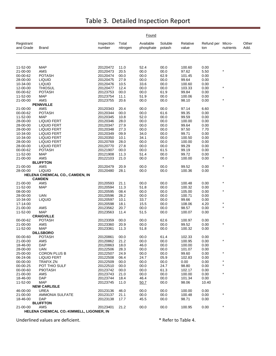|                         |                                           |                      |                   | Found                  |                   |                   |                   |                     |               |
|-------------------------|-------------------------------------------|----------------------|-------------------|------------------------|-------------------|-------------------|-------------------|---------------------|---------------|
| Registrant<br>and Grade | Brand                                     | Inspection<br>number | Total<br>nitrogen | Available<br>phosphate | Soluble<br>potash | Relative<br>value | Refund per<br>ton | Micro-<br>nutrients | Other<br>Add. |
|                         |                                           |                      |                   |                        |                   |                   |                   |                     |               |
| 11-52-00                | <b>MAP</b>                                | 20120472             | 11.0              | 52.4                   | 00.0              | 100.60            | 0.00              |                     |               |
| 21-00-00                | <b>AMS</b>                                | 20120473             | 20.5              | 00.0                   | 00.0              | 97.62             | 5.50              | $\star$             |               |
| 00-00-62                | <b>POTASH</b>                             | 20120474             | 00.0              | 00.0                   | 62.9              | 101.45            | 0.00              |                     |               |
| 28-00-00                | <b>LIQUID</b>                             | 20120475             | 27.9              | 00.0                   | 00.0              | 99.64             | 0.00              |                     |               |
| 10-34-00                | <b>LIQUID</b>                             | 20120476             | 10.5              | 33.6                   | 00.0              | 100.60            | 0.00              |                     |               |
| 12-00-00                | <b>THIOSUL</b>                            | 20120477             | 12.4              | 00.0                   | 00.0              | 103.33            | 0.00              |                     |               |
| 00-00-62                | <b>POTASH</b>                             | 20123753             | 00.0              | 00.0                   | 61.9              | 99.84             | 0.00              |                     |               |
| 11-52-00                | MAP                                       | 20123754             | 11.1              | 51.9                   | 00.0              | 100.06            | 0.00              | $\star$             |               |
| 21-00-00                | AMS<br><b>PENNVILLE</b>                   | 20123755             | 20.6              | 00.0                   | 00.0              | 98.10             | 0.00              |                     |               |
| 21-00-00                | AMS                                       | 20120343             | 20.4              | 00.0                   | 00.0              | 97.14             | 6.60              |                     |               |
| 00-00-62                | POTASH                                    | 20120344             | 00.0              | 00.0                   | 61.6              | 99.35             | 0.00              |                     |               |
| 11-52-00                | <b>MAP</b>                                | 20120345             | 10.8              | 52.0                   | 00.0              | 99.59             | 0.00              |                     |               |
| 28-00-00                | <b>LIQUID FERT</b>                        | 20120346             | 28.0              | 00.0                   | 00.0              | 100.00            | 0.00              |                     |               |
| 28-00-00                | <b>LIQUID FERT</b>                        | 20120347             | 27.9              | 00.0                   | 00.0              | 99.64             | 0.00              |                     |               |
| 28-00-00                | <b>LIQUID FERT</b>                        | 20120348             | 27.3              | 00.0                   | 00.0              | 97.50             | 7.70              |                     |               |
| 10-34-00                | <b>LIQUID FERT</b>                        | 20120349             | 09.9              | 34.0                   | 00.0              | 99.71             | 0.00              |                     |               |
| 10-34-00                | <b>LIQUID FERT</b>                        | 20120350             | 10.1              | 34.1                   | 00.0              | 100.50            | 0.00              |                     |               |
| 28-00-00                | <b>LIQUID FERT</b>                        | 20120769             | 28.0              | 00.0                   | 00.0              | 100.00            | 0.00              |                     |               |
| 28-00-00                | <b>LIQUID FERT</b>                        | 20120770             | 27.8              | 00.0                   | 00.0              | 99.29             | 0.00              |                     |               |
| 00-00-62                | <b>POTASH</b>                             | 20121907             | 00.0              | 00.0                   | 61.5              | 99.19             | 0.00              |                     |               |
| 11-52-00                | <b>MAP</b>                                | 20121908             | 11.3              | 51.4                   | 00.0              | 99.72             | 0.00              |                     |               |
| 21-00-00                | AMS                                       | 20122103             | 21.0              | 00.0                   | 00.0              | 100.00            | 0.00              | $\star$             |               |
|                         | <b>BLUFFTON</b>                           |                      |                   |                        |                   |                   |                   |                     |               |
| 21-00-00                | AMS                                       | 20120479             | 20.9              | 00.0                   | 00.0              | 99.52             | 0.00              | $\star$             |               |
| 28-00-00                | <b>LIQUID</b>                             | 20120480             | 28.1              | 00.0                   | 00.0              | 100.36            | 0.00              |                     |               |
|                         | HELENA CHEMICAL CO., CAMDEN, IN           |                      |                   |                        |                   |                   |                   |                     |               |
|                         | <b>CAMDEN</b>                             |                      |                   |                        |                   |                   |                   | $\star$             |               |
| 21-00-00                | AMS                                       | 20120593             | 21.1<br>11.3      | 00.0                   | 00.0              | 100.48            | 0.00              |                     |               |
| 11-52-00<br>08-00-00    | <b>MAP</b>                                | 20120594<br>20120595 | 08.4              | 51.8<br>00.0           | 00.0<br>00.0      | 100.32<br>105.00  | 0.00<br>0.00      | $\star$             |               |
| 28-00-00                | <b>UAN</b>                                | 20120596             | 28.2              | 00.0                   | 00.0              | 100.71            | 0.00              |                     |               |
| 10-34-00                | <b>LIQUID</b>                             | 20120597             | 10.1              | 33.7                   | 00.0              | 99.66             | 0.00              |                     |               |
| 17-14-00                |                                           | 20120598             | 18.1              | 15.5                   | 00.0              | 108.06            | 4.20              | $\star$             |               |
| 21-00-00                | AMS                                       | 20123562             | 20.7              | 00.0                   | 00.0              | 98.57             | 0.00              | $\star$             |               |
| 11-52-00                | <b>MAP</b>                                | 20123563             | 11.4              | 51.5                   | 00.0              | 100.07            | 0.00              |                     |               |
|                         | <b>CRAIGVILLE</b>                         |                      |                   |                        |                   |                   |                   |                     |               |
| 00-00-62                | <b>POTASH</b>                             | 20123359             | 00.0              | 00.0                   | 62.6              | 100.97            | 0.00              |                     |               |
| 21-00-00                | AMS                                       | 20123360             | 20.9              | 00.0                   | 00.0              | 99.52             | 0.00              | $\star$             |               |
| 11-52-00                | <b>MAP</b>                                | 20123361             | 11.3              | 51.8                   | 00.0              | 100.32            | 0.00              |                     |               |
|                         | <b>DILLSBORO</b>                          |                      |                   |                        |                   |                   |                   |                     |               |
| 00-00-60                | <b>POTASH</b>                             | 20120861             | 00.0              | 00.0                   | 61.4              | 102.33            | 0.00              | $\star$             |               |
| 21-00-00                | AMS                                       | 20120862             | 21.2              | 00.0                   | 00.0              | 100.95            | 0.00              |                     |               |
| 18-46-00                | <b>DAP</b>                                | 20120863             | 18.0              | 46.0                   | 00.0              | 100.00            | 0.00              |                     |               |
| 28-00-00                | <b>UAN</b>                                | 20122506             | 28.3              | 00.0                   | 00.0              | 101.07            | 0.00              | $\star$             |               |
| 25-00-00<br>06-24-06    | <b>CORON PLUS B</b><br><b>LIQUID FERT</b> | 20122507<br>20122508 | 24.9<br>06.4      | 00.0<br>24.7           | 00.0<br>05.9      | 99.60<br>102.83   | 0.00<br>0.00      |                     |               |
| 00-00-00                | <b>TRAFIX ZN</b>                          | 20122509             | 00.0              | 00.0                   | 00.0              | 0.00              | 0.00              | *                   |               |
| 00-00-25                | POT THIO SULF                             | 20122510             | 00.0              | 00.0                   | 24.7              | 98.80             | 0.00              | $^\star$            |               |
| 00-00-60                | P9OTASH                                   | 20123742             | 00.0              | 00.0                   | 61.3              | 102.17            | 0.00              |                     |               |
| 21-00-00                | AMS                                       | 20123743             | 21.0              | 00.0                   | 00.0              | 100.00            | 0.00              | $\star$             |               |
| 18-46-00                | DAP                                       | 20123744             | 18.4              | 46.4                   | 00.0              | 101.34            | 0.00              |                     |               |
| 11-52-00                | <b>MAP</b>                                | 20123745             | 11.0              | 50.7                   | 00.0              | 98.06             | 10.40             |                     |               |
|                         | <b>NEW CARLISLE</b>                       |                      |                   |                        |                   |                   |                   |                     |               |
| 46-00-00                | <b>UREA</b>                               | 20123136             | 46.0              | 00.0                   | 00.0              | 100.00            | 0.00              |                     |               |
| 21-00-00                | <b>AMMONIA SULFATE</b>                    | 20123137             | 21.1              | 00.0                   | 00.0              | 100.48            | 0.00              | $\ast$              |               |
| 18-46-00                | <b>DAP</b>                                | 20123138             | 17.7              | 45.5                   | 00.0              | 98.71             | 0.00              |                     |               |
|                         | <b>BLUFFTON</b>                           |                      |                   |                        |                   |                   |                   |                     |               |
| 21-00-00                | AMS                                       | 20123401             | 21.2              | 00.0                   | 00.0              | 100.95            | 0.00              |                     |               |
|                         | HELENA CHEMICAL CO.-KIMMELL, LIGONIER, IN |                      |                   |                        |                   |                   |                   |                     |               |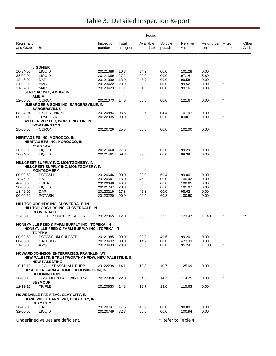|                         |                                                                                                             |                      |                   | Found                  |                     |                   |                          |            |               |
|-------------------------|-------------------------------------------------------------------------------------------------------------|----------------------|-------------------|------------------------|---------------------|-------------------|--------------------------|------------|---------------|
| Registrant<br>and Grade | Brand                                                                                                       | Inspection<br>number | Total<br>nitrogen | Available<br>phosphate | Soluble<br>potash   | Relative<br>value | Refund per Micro-<br>ton | nutrients  | Other<br>Add. |
|                         |                                                                                                             |                      |                   |                        |                     |                   |                          |            |               |
|                         | <b>LIGONIER</b>                                                                                             |                      |                   |                        |                     |                   |                          |            |               |
| 10-34-00                | <b>LIQUID</b>                                                                                               | 20121388             | 10.3              | 34.2                   | 00.0                | 101.28            | 0.00                     |            |               |
| 28-00-00<br>18-46-00    | <b>LIQUID</b><br>DAP <sup>®</sup>                                                                           | 20121389<br>20121390 | 27.2<br>18.0      | 00.0<br>45.7           | 00.0<br>00.0        | 97.14<br>99.58    | 8.80<br>0.00             |            |               |
| 21-00-00                | AMS                                                                                                         | 20123422             | 20.9              | 00.0                   | 00.0                | 99.52             | 0.00                     | $\star$    |               |
| 11-52-00                | <b>MAP</b>                                                                                                  | 20123423             | 11.1              | 51.3                   | 00.0                | 99.16             | 0.00                     |            |               |
|                         | SENESAC INC., AMBIA, IN                                                                                     |                      |                   |                        |                     |                   |                          |            |               |
|                         | <b>AMBIA</b>                                                                                                |                      |                   |                        |                     |                   |                          | $\star$    |               |
| 12-00-00                | <b>CORON</b><br>UMBARGER & SONS INC, BARGERSVILLE, IN<br><b>BARGERSVILLE</b>                                | 20121073             | 14.6              | 00.0                   | 00.0                | 121.67            | 0.00                     |            |               |
| 08-24-04                | <b>HYPERLINK XL</b>                                                                                         | 20120884             | 08.5              | 23.6                   | 04.4                | 101.97            | 0.00                     |            |               |
| 00-00-00                | TRAFIX ZN                                                                                                   | 20122035             | 00.0              | 00.0                   | 00.0                | 0.00              | 0.00                     | $\star$    |               |
|                         | WHITE RIVER LLC, WORTHINGTON, IN                                                                            |                      |                   |                        |                     |                   |                          |            |               |
|                         | <b>WORTHINGTON</b>                                                                                          |                      |                   |                        |                     |                   |                          |            |               |
| 25-00-00                | <b>CORON</b>                                                                                                | 20120726             | 25.5              | 00.0                   | 00.0                | 102.00            | 0.00                     |            |               |
|                         | <b>HERITAGE FS INC, MOROCCO, IN</b><br><b>HERITAGE FS INC, MOROCCO, IN</b><br><b>MOROCCO</b>                |                      |                   |                        |                     |                   |                          |            |               |
| 28-00-00                | <b>LIQUID</b>                                                                                               | 20121460             | 27.8              | 00.0                   | 00.0                | 99.29             | 0.00                     |            |               |
| 10-34-00                | <b>LIQUID</b>                                                                                               | 20121461             | 09.8              | 33.5                   | 00.0                | 98.38             | 0.00                     |            |               |
|                         | HILLCREST SUPPLY INC, MONTGOMERY, IN<br>HILLCREST SUPPLY INC, MONTGOMERY, IN<br><b>MONTGOMERY</b>           |                      |                   |                        |                     |                   |                          |            |               |
| 00-00-60                | <b>POTASH</b>                                                                                               | 20120646             | 00.0              | 00.0                   | 59.4                | 99.00             | 0.00                     |            |               |
| 18-46-00                | DAP                                                                                                         | 20120647             | 18.0              | 46.3                   | 00.0                | 100.42            | 0.00                     |            |               |
| 46-00-00                | <b>UREA</b>                                                                                                 | 20120648             | 46.3              | 00.0                   | 00.0                | 100.65            | 0.00                     |            |               |
| 28-00-00                | <b>LIQUID</b>                                                                                               | 20121747             | 28.3              | 00.0                   | 00.0                | 101.07            | 0.00                     |            |               |
| 18-46-00                | DAP                                                                                                         | 20123219             | 17.8              | 45.3                   | 00.0                | 98.62             | 0.00                     |            |               |
| 00-00-60                | POTASH                                                                                                      | 20123220             | 00.0              | 00.0                   | 60.3                | 100.50            | 0.00                     |            |               |
|                         | HILLTOP ORCHIDS INC, CLOVERDALE, IN<br>HILLTOP ORCHIDS INC, CLOVERDALE, IN<br><b>CLOVERDALE</b>             |                      |                   |                        |                     |                   |                          |            |               |
| 13-03-15                | <b>HILLTOP ORCHIDS SPECIA</b>                                                                               | 20122365             | 12.0              | 03.3                   | 23.3                | 123.47            | 11.40                    |            | $***$         |
|                         | HONEYVILLE FEED & FARM SUPPLY INC., TOPEKA, IN<br><b>HONEYVILLE FEED &amp; FARM SUPPLY INC., TOPEKA, IN</b> |                      |                   |                        |                     |                   |                          |            |               |
| 00-00-50                | TOPEKA<br>POTASSIUM SULFATE                                                                                 | 20121385             | 00.0              | 00.0                   | 49.6                | 99.20             | 0.00                     |            |               |
| 00-03-00                | <b>CALPHOS</b>                                                                                              | 20123432             | 00.0              | 14.2                   | 00.0                | 473.33            | 0.00                     |            |               |
| 21-00-00                | AMS                                                                                                         | 20123433             | 20.0              | 00.0                   | 00.0                | 95.24             | 11.00                    | $\ast$     |               |
|                         | HOWARD JOHNSON ENTERPRISES, FRANKLIN, WI<br>NEW PALESTINE TRUSTWORTHY HRDW, NEW PALESTINE, IN               |                      |                   |                        |                     |                   |                          |            |               |
| 10-10-10                | <b>NEW PALESTINE</b><br>HJ ALL SEASON ALL PURP<br><b>ORSCHELN FARM &amp; HOME, BLOOMINGTON, IN</b>          | 20122238             | 14.1              | 12.8                   | 10.7                | 125.69            | 0.00                     |            |               |
| 18-03-15                | <b>BLOOMINGTON</b><br>ORSCHELN FALL WINTERIZ<br><b>SEYMOUR</b>                                              | 20122358             | 22.0              | 04.5                   | 14.7                | 114.25            | 0.00                     | $^{\star}$ |               |
| 12-12-12                | <b>TRIPLE</b>                                                                                               | 20120833             | 14.8              | 13.7                   | 13.0                | 115.63            | 0.00                     |            |               |
|                         | HOWESVILLE FARM SVC, CLAY CITY, IN<br>HOWESVILLE FARM SVC, CLAY CITY, IN<br><b>CLAY CITY</b>                |                      |                   |                        |                     |                   |                          |            |               |
| 18-46-00                | <b>DAP</b>                                                                                                  | 20120747             | 17.5              | 45.9                   | 00.0                | 98.89             | 0.00                     |            |               |
| 32-00-00                | <b>LIQUID</b>                                                                                               | 20120749             | 32.3              | 00.0                   | 00.0                | 100.94            | 0.00                     |            |               |
|                         | Underlined values are deficient.                                                                            |                      |                   |                        | * Refer to Table 4. |                   |                          |            |               |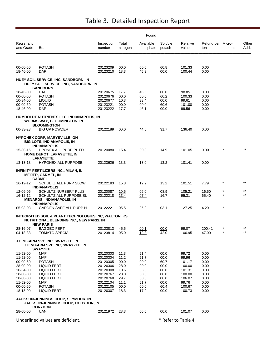|                         |                                                                                                                      |                      |                   | Found                  |                   |                     |                          |                    |                |
|-------------------------|----------------------------------------------------------------------------------------------------------------------|----------------------|-------------------|------------------------|-------------------|---------------------|--------------------------|--------------------|----------------|
| Registrant<br>and Grade | Brand                                                                                                                | Inspection<br>number | Total<br>nitrogen | Available<br>phosphate | Soluble<br>potash | Relative<br>value   | Refund per Micro-<br>ton | nutrients          | Other<br>Add.  |
| 00-00-60                | POTASH                                                                                                               | 20123209             | 00.0              | 00.0                   | 60.8              | 101.33              | 0.00                     |                    |                |
| 18-46-00                | <b>DAP</b>                                                                                                           | 20123210             | 18.3              | 45.9                   | 00.0              | 100.44              | 0.00                     |                    |                |
|                         | <b>HUEY SOIL SERVICE, INC, SANDBORN, IN</b><br>HUEY SOIL SERVICE, INC, SANDBORN, IN<br>SANDBORN                      |                      |                   |                        |                   |                     |                          |                    |                |
| 18-46-00                | DAP                                                                                                                  | 20120675             | 17.7              | 45.6                   | 00.0              | 98.85               | 0.00                     |                    |                |
| 00-00-60<br>10-34-00    | POTASH<br><b>LIQUID</b>                                                                                              | 20120676<br>20120677 | 00.0<br>10.3      | 00.0<br>33.4           | 60.2<br>00.0      | 100.33<br>99.61     | 0.00<br>0.00             |                    |                |
| 00-00-60                | <b>POTASH</b>                                                                                                        | 20123221             | 00.0              | 00.0                   | 60.6              | 101.00              | 0.00                     |                    |                |
| 18-46-00                | DAP                                                                                                                  | 20123222             | 17.7              | 46.1                   | 00.0              | 99.56               | 0.00                     |                    |                |
|                         | HUMBOLDT NUTRIENTS LLC, INDIANAPOLIS, IN<br><b>WORMS WAY, BLOOMINGTON, IN</b><br><b>BLOOMINGTON</b>                  |                      |                   |                        |                   |                     |                          |                    |                |
| 00-33-23                | <b>BIG UP POWDER</b>                                                                                                 | 20122189             | 00.0              | 44.6                   | 31.7              | 136.40              | 0.00                     |                    |                |
|                         | <b>HYPONEX CORP, MARYSVILLE, OH</b><br>BIG LOTS, INDIANAPOLIS, IN<br><b>INDIANAPOLIS</b>                             |                      |                   |                        |                   |                     |                          |                    |                |
| 15-30-15                | <b>HPONEX ALL PURP PL FD</b><br><b>HOME DEPOT, LAFAYETTE, IN</b><br><b>LAFAYETTE</b>                                 | 20120080             | 15.4              | 30.3                   | 14.9              | 101.05              | 0.00                     |                    |                |
| 13-13-13                | <b>HYPONEX ALL PURPOSE</b>                                                                                           | 20123626             | 13.3              | 13.0                   | 13.2              | 101.41              | 0.00                     |                    |                |
|                         | INFINITY FERTILIZERS INC., MILAN, IL<br><b>MEIJER, CARMEL, IN</b><br><b>CARMEL</b>                                   |                      |                   |                        |                   |                     |                          |                    |                |
| 16-12-12                | SCHULTZ ALL PURP SLOW<br><b>INDIANAPOLIS</b>                                                                         | 20122183             | 15.3              | 12.2                   | 13.2              | 101.51              | 7.79                     | $^\star$           | $***$          |
| 12-06-06<br>16-12-12    | SCHULTZ NURSERY PLUS<br>SCHULTZ ALL PURPOSE SL<br><b>MENARDS, INDIANAPOLIS, IN</b>                                   | 20120087<br>20122218 | 10.5<br>13.4      | 06.0<br><u>07.4</u>    | 08.9<br>16.7      | 105.21<br>95.31     | 16.50<br>65.40           | $\star$<br>$\star$ | $***$<br>$***$ |
|                         | <b>INDIANAPOLIS</b>                                                                                                  |                      |                   |                        |                   |                     |                          |                    |                |
| 05-03-03                | GARDEN SAFE ALL PURP N                                                                                               | 20122221             | 05.5              | 05.9                   | 03.1              | 127.25              | 4.20                     | $\star$            |                |
|                         | INTEGRATED SOIL & PLANT TECHNOLOGIES INC, WALTON, KS<br>NUTRITIONAL BLENDING INC., NEW PARIS, IN<br><b>NEW PARIS</b> |                      |                   |                        |                   |                     |                          |                    |                |
| 28-16-07                | <b>BAGGED FERT</b>                                                                                                   | 20123813             | 45.5              | 00.1                   | 00.0              | 99.07               | 200.41                   |                    | **             |
| 04-18-38                | TOMATO SPECIAL                                                                                                       | 20123814             | 05.0              | <u>12.3</u>            | 42.0              | 100.95              | 47.00                    |                    |                |
|                         | <b>J E M FARM SVC INC, SWAYZEE, IN</b><br><b>J E M FARM SVC INC, SWAYZEE, IN</b><br><b>SWAYZEE</b>                   |                      |                   |                        |                   |                     |                          |                    |                |
| 11-52-00                | MAP                                                                                                                  | 20120303             | 11.3              | 51.4                   | 00.0              | 99.72               | 0.00                     |                    |                |
| 11-52-00                | MAP                                                                                                                  | 20120304             | 11.2              | 51.7                   | 00.0              | 99.96               | 0.00                     |                    |                |
| 00-00-60                | <b>POTASH</b>                                                                                                        | 20120305             | 00.0              | 00.0                   | 60.7              | 101.17              | 0.00                     |                    |                |
| 28-00-00                | LIQUID FERT                                                                                                          | 20120306             | 28.0              | 00.0                   | 00.0              | 100.00              | 0.00                     |                    |                |
| 10-34-00<br>28-00-00    | LIQUID FERT<br>LIQUID FERT                                                                                           | 20120308<br>20120767 | 10.6<br>28.0      | 33.8<br>00.0           | 00.0<br>00.0      | 101.31<br>100.00    | 0.00<br>0.00             |                    |                |
| 28-00-00                | <b>LIQUID FERT</b>                                                                                                   | 20120768             | 29.7              | 00.0                   | 00.0              | 106.07              | 0.00                     |                    |                |
| 11-52-00                | MAP                                                                                                                  | 20122104             | 11.1              | 51.7                   | 00.0              | 99.76               | 0.00                     |                    |                |
| 00-00-60                | <b>POTASH</b>                                                                                                        | 20122105             | 00.0              | 00.0                   | 60.4              | 100.67              | 0.00                     |                    |                |
| 18-18-00                | LIQUID FERT                                                                                                          | 20120307             | 18.3              | 17.9                   | 00.0              | 100.73              | 0.00                     |                    |                |
|                         | JACKSON-JENNINGS COOP, SEYMOUR, IN<br>JACKSON-JENNINGS COOP, CORYDON, IN<br><b>CORYDON</b>                           |                      |                   |                        |                   |                     |                          |                    |                |
| 28-00-00                | UAN                                                                                                                  | 20121972             | 28.3              | 00.0                   | 00.0              | 101.07              | 0.00                     |                    |                |
|                         | Underlined values are deficient.                                                                                     |                      |                   |                        |                   | * Refer to Table 4. |                          |                    |                |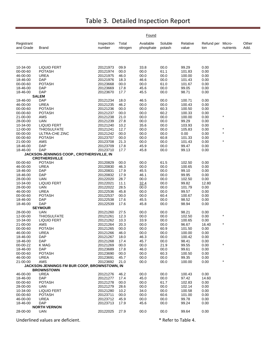| Registrant<br>Total<br>Available<br>Micro-<br>Inspection<br>Soluble<br>Relative<br>Refund per<br>and Grade<br><b>Brand</b><br>number<br>nitrogen<br>phosphate<br>potash<br>value<br>nutrients<br>Add.<br>ton<br>10-34-00<br><b>LIQUID FERT</b><br>09.9<br>00.0<br>99.29<br>0.00<br>20121973<br>33.8<br><b>POTASH</b><br>61.1<br>00-00-60<br>20121974<br>00.0<br>00.0<br>101.83<br>0.00<br>46-00-00<br><b>UREA</b><br>20121975<br>00.0<br>00.0<br>100.00<br>0.00<br>46.0<br>18-46-00<br><b>DAP</b><br>20121976<br>18.3<br>46.6<br>00.0<br>101.43<br>0.00<br>00-00-60<br><b>POTASH</b><br>61.0<br>0.00<br>20123668<br>00.0<br>00.0<br>101.67<br>18-46-00<br>DAP<br>20123669<br>17.8<br>45.6<br>00.0<br>99.05<br>0.00<br>DAP<br>20123670<br>98.71<br>0.00<br>18-46-00<br>17.7<br>45.5<br>00.0<br><b>SALEM</b><br>18-46-00<br><b>DAP</b><br>20121234<br>18.0<br>46.5<br>00.0<br>100.71<br>0.00<br>46-00-00<br><b>UREA</b><br>20121235<br>46.2<br>00.0<br>00.0<br>100.43<br>0.00<br>00.0<br>00-00-60<br><b>POTASH</b><br>20121236<br>00.0<br>60.3<br>100.50<br>0.00<br>00-00-60<br><b>POTASH</b><br>20121237<br>00.0<br>00.0<br>60.2<br>100.33<br>0.00<br>$\star$<br>21-00-00<br>AMS<br>20121238<br>21.0<br>00.0<br>00.0<br>100.00<br>0.00<br>99.29<br>28-00-00<br><b>UAN</b><br>20121239<br>27.8<br>00.0<br>00.0<br>0.00<br>35.6<br>10-34-00<br><b>LIQUID FERT</b><br>20121240<br>10.2<br>00.0<br>103.93<br>0.00<br>THIOSULFATE<br>$\star$<br>12-00-00<br>20121241<br>12.7<br>00.0<br>00.0<br>105.83<br>0.00<br>$\star$<br>00-00-00<br>ULTRA-CHE ZINC<br>20121242<br>00.0<br>00.0<br>00.0<br>0.00<br>0.00<br>00-00-60<br><b>POTASH</b><br>20123707<br>00.0<br>00.0<br>60.8<br>101.33<br>0.00<br>$\star$<br>21-00-00<br>AMS<br>20123708<br>21.3<br>00.0<br>00.0<br>101.43<br>0.00<br><b>DAP</b><br>18-46-00<br>20123709<br>17.8<br>45.9<br>00.0<br>99.47<br>0.00<br>DAP<br>20123710<br>17.7<br>0.00<br>18-46-00<br>45.8<br>00.0<br>99.13<br><b>JACKSON-JENNINGS COOP., CROTHERSVILLE, IN</b><br><b>CROTHERSVILLE</b><br>00-00-60<br><b>POTASH</b><br>00.0<br>00.0<br>61.5<br>102.50<br>0.00<br>20120829<br>46-00-00<br><b>UREA</b><br>20120830<br>46.3<br>00.0<br>00.0<br>100.65<br>0.00<br>18-46-00<br><b>DAP</b><br>20120831<br>17.9<br>45.5<br>00.0<br>99.10<br>0.00<br>18-46-00<br><b>DAP</b><br>20120832<br>46.1<br>00.0<br>99.95<br>0.00<br>17.9<br>00.0<br>102.50<br>28-00-00<br><b>UAN</b><br>20122020<br>28.7<br>00.0<br>0.00<br>10-34-00<br><b>LIQUID FERT</b><br>20122021<br>99.82<br>12.80<br>11.1<br>32.4<br>00.0<br>28-00-00<br><b>UAN</b><br>20122022<br>28.5<br>00.0<br>00.0<br>101.79<br>0.00<br>46-00-00<br><b>UREA</b><br>20122536<br>00.0<br>00.0<br>99.57<br>0.00<br>45.8<br>00-00-60<br><b>POTASH</b><br>20122537<br>00.0<br>60.4<br>100.67<br>0.00<br>00.0<br>18-46-00<br>DAP<br>20122538<br>17.6<br>45.5<br>00.0<br>98.52<br>0.00<br><b>DAP</b><br>18-46-00<br>20122539<br>17.6<br>45.8<br>00.0<br>98.94<br>0.00<br><b>SEYMOUR</b><br><b>UAN</b><br>20121260<br>27.5<br>00.0<br>98.21<br>0.00<br>28-00-00<br>00.0<br>$\star$<br>12-00-00<br><b>THIOSULFATE</b><br>20121261<br>12.3<br>00.0<br>00.0<br>102.50<br>0.00<br>10-34-00<br><b>LIQUID FERT</b><br>20121262<br>10.3<br>33.9<br>00.0<br>100.65<br>0.00<br>$\star$<br>21-00-00<br>AMS<br>20121264<br>20.3<br>00.0<br>00.0<br>96.67<br>16.40<br><b>POTASH</b><br>00-00-60<br>20121265<br>00.0<br>00.0<br>60.9<br>101.50<br>0.00<br>20121266<br>00.0<br>100.00<br>46-00-00<br><b>UREA</b><br>46.0<br>00.0<br>0.00<br>18-46-00<br>DAP<br>20121267<br>18.0<br>46.3<br>00.0<br>100.42<br>0.00<br>18-46-00<br>DAP<br>20121268<br>45.7<br>00.0<br>98.41<br>0.00<br>17.4<br>00-00-22<br>K MAG<br>20121269<br>00.0<br>21.9<br>99.55<br>0.00<br>00.0<br>18-46-00<br><b>DAP</b><br>20123689<br>46.0<br>99.61<br>0.00<br>17.8<br>00.0<br>00-00-60<br><b>POTASH</b><br>00.0<br>60.3<br>20123690<br>00.0<br>100.50<br>0.00<br>46-00-00<br><b>UREA</b><br>20123691<br>00.0<br>00.0<br>99.35<br>0.00<br>45.7<br>21-00-00<br>AMS<br>20123692<br>00.0<br>00.0<br>100.00<br>21.0<br>0.00<br>JACKSON-JENNINGS FM BUR COOP, BROWNSTOWN, IN<br><b>BROWNSTOWN</b><br><b>UREA</b><br>0.00<br>46-00-00<br>20121276<br>46.2<br>00.0<br>00.0<br>100.43<br>18-46-00<br><b>DAP</b><br>45.0<br>20121277<br>17.4<br>00.0<br>97.42<br>14.60<br><b>POTASH</b><br>00-00-60<br>20121278<br>00.0<br>00.0<br>61.7<br>102.83<br>0.00<br>28-00-00<br><b>UAN</b><br>20121279<br>00.0<br>00.0<br>102.14<br>28.6<br>0.00<br>10-34-00<br>20121280<br>100.58<br>LIQUID FERT<br>10.2<br>34.0<br>00.0<br>0.00<br>00-00-60<br><b>POTASH</b><br>20123711<br>00.0<br>60.6<br>101.00<br>0.00<br>00.0<br>46-00-00<br><b>UREA</b><br>20123712<br>00.0<br>00.0<br>99.78<br>0.00<br>45.9<br>18-46-00<br>DAP<br>20123713<br>45.6<br>00.0<br>99.24<br>0.00<br>17.9<br><b>NORTH VERNON</b><br>27.9<br>00.0<br>99.64<br>0.00<br>28-00-00<br>UAN<br>20122025<br>00.0 |  |  | Found |  |  |       |
|-----------------------------------------------------------------------------------------------------------------------------------------------------------------------------------------------------------------------------------------------------------------------------------------------------------------------------------------------------------------------------------------------------------------------------------------------------------------------------------------------------------------------------------------------------------------------------------------------------------------------------------------------------------------------------------------------------------------------------------------------------------------------------------------------------------------------------------------------------------------------------------------------------------------------------------------------------------------------------------------------------------------------------------------------------------------------------------------------------------------------------------------------------------------------------------------------------------------------------------------------------------------------------------------------------------------------------------------------------------------------------------------------------------------------------------------------------------------------------------------------------------------------------------------------------------------------------------------------------------------------------------------------------------------------------------------------------------------------------------------------------------------------------------------------------------------------------------------------------------------------------------------------------------------------------------------------------------------------------------------------------------------------------------------------------------------------------------------------------------------------------------------------------------------------------------------------------------------------------------------------------------------------------------------------------------------------------------------------------------------------------------------------------------------------------------------------------------------------------------------------------------------------------------------------------------------------------------------------------------------------------------------------------------------------------------------------------------------------------------------------------------------------------------------------------------------------------------------------------------------------------------------------------------------------------------------------------------------------------------------------------------------------------------------------------------------------------------------------------------------------------------------------------------------------------------------------------------------------------------------------------------------------------------------------------------------------------------------------------------------------------------------------------------------------------------------------------------------------------------------------------------------------------------------------------------------------------------------------------------------------------------------------------------------------------------------------------------------------------------------------------------------------------------------------------------------------------------------------------------------------------------------------------------------------------------------------------------------------------------------------------------------------------------------------------------------------------------------------------------------------------------------------------------------------------------------------------------------------------------------------------------------------------------------------------------------------------------------------------------------------------------------------------------------------------------------------------------------------------------------------------------------------------------------------------------------------------------------------------------------------------------------------------------------------------------------------------------------------------------------------------------------------------------------------------------------------------------------------------------------------------------|--|--|-------|--|--|-------|
|                                                                                                                                                                                                                                                                                                                                                                                                                                                                                                                                                                                                                                                                                                                                                                                                                                                                                                                                                                                                                                                                                                                                                                                                                                                                                                                                                                                                                                                                                                                                                                                                                                                                                                                                                                                                                                                                                                                                                                                                                                                                                                                                                                                                                                                                                                                                                                                                                                                                                                                                                                                                                                                                                                                                                                                                                                                                                                                                                                                                                                                                                                                                                                                                                                                                                                                                                                                                                                                                                                                                                                                                                                                                                                                                                                                                                                                                                                                                                                                                                                                                                                                                                                                                                                                                                                                                                                                                                                                                                                                                                                                                                                                                                                                                                                                                                                                                                   |  |  |       |  |  | Other |
|                                                                                                                                                                                                                                                                                                                                                                                                                                                                                                                                                                                                                                                                                                                                                                                                                                                                                                                                                                                                                                                                                                                                                                                                                                                                                                                                                                                                                                                                                                                                                                                                                                                                                                                                                                                                                                                                                                                                                                                                                                                                                                                                                                                                                                                                                                                                                                                                                                                                                                                                                                                                                                                                                                                                                                                                                                                                                                                                                                                                                                                                                                                                                                                                                                                                                                                                                                                                                                                                                                                                                                                                                                                                                                                                                                                                                                                                                                                                                                                                                                                                                                                                                                                                                                                                                                                                                                                                                                                                                                                                                                                                                                                                                                                                                                                                                                                                                   |  |  |       |  |  |       |
|                                                                                                                                                                                                                                                                                                                                                                                                                                                                                                                                                                                                                                                                                                                                                                                                                                                                                                                                                                                                                                                                                                                                                                                                                                                                                                                                                                                                                                                                                                                                                                                                                                                                                                                                                                                                                                                                                                                                                                                                                                                                                                                                                                                                                                                                                                                                                                                                                                                                                                                                                                                                                                                                                                                                                                                                                                                                                                                                                                                                                                                                                                                                                                                                                                                                                                                                                                                                                                                                                                                                                                                                                                                                                                                                                                                                                                                                                                                                                                                                                                                                                                                                                                                                                                                                                                                                                                                                                                                                                                                                                                                                                                                                                                                                                                                                                                                                                   |  |  |       |  |  |       |
|                                                                                                                                                                                                                                                                                                                                                                                                                                                                                                                                                                                                                                                                                                                                                                                                                                                                                                                                                                                                                                                                                                                                                                                                                                                                                                                                                                                                                                                                                                                                                                                                                                                                                                                                                                                                                                                                                                                                                                                                                                                                                                                                                                                                                                                                                                                                                                                                                                                                                                                                                                                                                                                                                                                                                                                                                                                                                                                                                                                                                                                                                                                                                                                                                                                                                                                                                                                                                                                                                                                                                                                                                                                                                                                                                                                                                                                                                                                                                                                                                                                                                                                                                                                                                                                                                                                                                                                                                                                                                                                                                                                                                                                                                                                                                                                                                                                                                   |  |  |       |  |  |       |
|                                                                                                                                                                                                                                                                                                                                                                                                                                                                                                                                                                                                                                                                                                                                                                                                                                                                                                                                                                                                                                                                                                                                                                                                                                                                                                                                                                                                                                                                                                                                                                                                                                                                                                                                                                                                                                                                                                                                                                                                                                                                                                                                                                                                                                                                                                                                                                                                                                                                                                                                                                                                                                                                                                                                                                                                                                                                                                                                                                                                                                                                                                                                                                                                                                                                                                                                                                                                                                                                                                                                                                                                                                                                                                                                                                                                                                                                                                                                                                                                                                                                                                                                                                                                                                                                                                                                                                                                                                                                                                                                                                                                                                                                                                                                                                                                                                                                                   |  |  |       |  |  |       |
|                                                                                                                                                                                                                                                                                                                                                                                                                                                                                                                                                                                                                                                                                                                                                                                                                                                                                                                                                                                                                                                                                                                                                                                                                                                                                                                                                                                                                                                                                                                                                                                                                                                                                                                                                                                                                                                                                                                                                                                                                                                                                                                                                                                                                                                                                                                                                                                                                                                                                                                                                                                                                                                                                                                                                                                                                                                                                                                                                                                                                                                                                                                                                                                                                                                                                                                                                                                                                                                                                                                                                                                                                                                                                                                                                                                                                                                                                                                                                                                                                                                                                                                                                                                                                                                                                                                                                                                                                                                                                                                                                                                                                                                                                                                                                                                                                                                                                   |  |  |       |  |  |       |
|                                                                                                                                                                                                                                                                                                                                                                                                                                                                                                                                                                                                                                                                                                                                                                                                                                                                                                                                                                                                                                                                                                                                                                                                                                                                                                                                                                                                                                                                                                                                                                                                                                                                                                                                                                                                                                                                                                                                                                                                                                                                                                                                                                                                                                                                                                                                                                                                                                                                                                                                                                                                                                                                                                                                                                                                                                                                                                                                                                                                                                                                                                                                                                                                                                                                                                                                                                                                                                                                                                                                                                                                                                                                                                                                                                                                                                                                                                                                                                                                                                                                                                                                                                                                                                                                                                                                                                                                                                                                                                                                                                                                                                                                                                                                                                                                                                                                                   |  |  |       |  |  |       |
|                                                                                                                                                                                                                                                                                                                                                                                                                                                                                                                                                                                                                                                                                                                                                                                                                                                                                                                                                                                                                                                                                                                                                                                                                                                                                                                                                                                                                                                                                                                                                                                                                                                                                                                                                                                                                                                                                                                                                                                                                                                                                                                                                                                                                                                                                                                                                                                                                                                                                                                                                                                                                                                                                                                                                                                                                                                                                                                                                                                                                                                                                                                                                                                                                                                                                                                                                                                                                                                                                                                                                                                                                                                                                                                                                                                                                                                                                                                                                                                                                                                                                                                                                                                                                                                                                                                                                                                                                                                                                                                                                                                                                                                                                                                                                                                                                                                                                   |  |  |       |  |  |       |
|                                                                                                                                                                                                                                                                                                                                                                                                                                                                                                                                                                                                                                                                                                                                                                                                                                                                                                                                                                                                                                                                                                                                                                                                                                                                                                                                                                                                                                                                                                                                                                                                                                                                                                                                                                                                                                                                                                                                                                                                                                                                                                                                                                                                                                                                                                                                                                                                                                                                                                                                                                                                                                                                                                                                                                                                                                                                                                                                                                                                                                                                                                                                                                                                                                                                                                                                                                                                                                                                                                                                                                                                                                                                                                                                                                                                                                                                                                                                                                                                                                                                                                                                                                                                                                                                                                                                                                                                                                                                                                                                                                                                                                                                                                                                                                                                                                                                                   |  |  |       |  |  |       |
|                                                                                                                                                                                                                                                                                                                                                                                                                                                                                                                                                                                                                                                                                                                                                                                                                                                                                                                                                                                                                                                                                                                                                                                                                                                                                                                                                                                                                                                                                                                                                                                                                                                                                                                                                                                                                                                                                                                                                                                                                                                                                                                                                                                                                                                                                                                                                                                                                                                                                                                                                                                                                                                                                                                                                                                                                                                                                                                                                                                                                                                                                                                                                                                                                                                                                                                                                                                                                                                                                                                                                                                                                                                                                                                                                                                                                                                                                                                                                                                                                                                                                                                                                                                                                                                                                                                                                                                                                                                                                                                                                                                                                                                                                                                                                                                                                                                                                   |  |  |       |  |  |       |
|                                                                                                                                                                                                                                                                                                                                                                                                                                                                                                                                                                                                                                                                                                                                                                                                                                                                                                                                                                                                                                                                                                                                                                                                                                                                                                                                                                                                                                                                                                                                                                                                                                                                                                                                                                                                                                                                                                                                                                                                                                                                                                                                                                                                                                                                                                                                                                                                                                                                                                                                                                                                                                                                                                                                                                                                                                                                                                                                                                                                                                                                                                                                                                                                                                                                                                                                                                                                                                                                                                                                                                                                                                                                                                                                                                                                                                                                                                                                                                                                                                                                                                                                                                                                                                                                                                                                                                                                                                                                                                                                                                                                                                                                                                                                                                                                                                                                                   |  |  |       |  |  |       |
|                                                                                                                                                                                                                                                                                                                                                                                                                                                                                                                                                                                                                                                                                                                                                                                                                                                                                                                                                                                                                                                                                                                                                                                                                                                                                                                                                                                                                                                                                                                                                                                                                                                                                                                                                                                                                                                                                                                                                                                                                                                                                                                                                                                                                                                                                                                                                                                                                                                                                                                                                                                                                                                                                                                                                                                                                                                                                                                                                                                                                                                                                                                                                                                                                                                                                                                                                                                                                                                                                                                                                                                                                                                                                                                                                                                                                                                                                                                                                                                                                                                                                                                                                                                                                                                                                                                                                                                                                                                                                                                                                                                                                                                                                                                                                                                                                                                                                   |  |  |       |  |  |       |
|                                                                                                                                                                                                                                                                                                                                                                                                                                                                                                                                                                                                                                                                                                                                                                                                                                                                                                                                                                                                                                                                                                                                                                                                                                                                                                                                                                                                                                                                                                                                                                                                                                                                                                                                                                                                                                                                                                                                                                                                                                                                                                                                                                                                                                                                                                                                                                                                                                                                                                                                                                                                                                                                                                                                                                                                                                                                                                                                                                                                                                                                                                                                                                                                                                                                                                                                                                                                                                                                                                                                                                                                                                                                                                                                                                                                                                                                                                                                                                                                                                                                                                                                                                                                                                                                                                                                                                                                                                                                                                                                                                                                                                                                                                                                                                                                                                                                                   |  |  |       |  |  |       |
|                                                                                                                                                                                                                                                                                                                                                                                                                                                                                                                                                                                                                                                                                                                                                                                                                                                                                                                                                                                                                                                                                                                                                                                                                                                                                                                                                                                                                                                                                                                                                                                                                                                                                                                                                                                                                                                                                                                                                                                                                                                                                                                                                                                                                                                                                                                                                                                                                                                                                                                                                                                                                                                                                                                                                                                                                                                                                                                                                                                                                                                                                                                                                                                                                                                                                                                                                                                                                                                                                                                                                                                                                                                                                                                                                                                                                                                                                                                                                                                                                                                                                                                                                                                                                                                                                                                                                                                                                                                                                                                                                                                                                                                                                                                                                                                                                                                                                   |  |  |       |  |  |       |
|                                                                                                                                                                                                                                                                                                                                                                                                                                                                                                                                                                                                                                                                                                                                                                                                                                                                                                                                                                                                                                                                                                                                                                                                                                                                                                                                                                                                                                                                                                                                                                                                                                                                                                                                                                                                                                                                                                                                                                                                                                                                                                                                                                                                                                                                                                                                                                                                                                                                                                                                                                                                                                                                                                                                                                                                                                                                                                                                                                                                                                                                                                                                                                                                                                                                                                                                                                                                                                                                                                                                                                                                                                                                                                                                                                                                                                                                                                                                                                                                                                                                                                                                                                                                                                                                                                                                                                                                                                                                                                                                                                                                                                                                                                                                                                                                                                                                                   |  |  |       |  |  |       |
|                                                                                                                                                                                                                                                                                                                                                                                                                                                                                                                                                                                                                                                                                                                                                                                                                                                                                                                                                                                                                                                                                                                                                                                                                                                                                                                                                                                                                                                                                                                                                                                                                                                                                                                                                                                                                                                                                                                                                                                                                                                                                                                                                                                                                                                                                                                                                                                                                                                                                                                                                                                                                                                                                                                                                                                                                                                                                                                                                                                                                                                                                                                                                                                                                                                                                                                                                                                                                                                                                                                                                                                                                                                                                                                                                                                                                                                                                                                                                                                                                                                                                                                                                                                                                                                                                                                                                                                                                                                                                                                                                                                                                                                                                                                                                                                                                                                                                   |  |  |       |  |  |       |
|                                                                                                                                                                                                                                                                                                                                                                                                                                                                                                                                                                                                                                                                                                                                                                                                                                                                                                                                                                                                                                                                                                                                                                                                                                                                                                                                                                                                                                                                                                                                                                                                                                                                                                                                                                                                                                                                                                                                                                                                                                                                                                                                                                                                                                                                                                                                                                                                                                                                                                                                                                                                                                                                                                                                                                                                                                                                                                                                                                                                                                                                                                                                                                                                                                                                                                                                                                                                                                                                                                                                                                                                                                                                                                                                                                                                                                                                                                                                                                                                                                                                                                                                                                                                                                                                                                                                                                                                                                                                                                                                                                                                                                                                                                                                                                                                                                                                                   |  |  |       |  |  |       |
|                                                                                                                                                                                                                                                                                                                                                                                                                                                                                                                                                                                                                                                                                                                                                                                                                                                                                                                                                                                                                                                                                                                                                                                                                                                                                                                                                                                                                                                                                                                                                                                                                                                                                                                                                                                                                                                                                                                                                                                                                                                                                                                                                                                                                                                                                                                                                                                                                                                                                                                                                                                                                                                                                                                                                                                                                                                                                                                                                                                                                                                                                                                                                                                                                                                                                                                                                                                                                                                                                                                                                                                                                                                                                                                                                                                                                                                                                                                                                                                                                                                                                                                                                                                                                                                                                                                                                                                                                                                                                                                                                                                                                                                                                                                                                                                                                                                                                   |  |  |       |  |  |       |
|                                                                                                                                                                                                                                                                                                                                                                                                                                                                                                                                                                                                                                                                                                                                                                                                                                                                                                                                                                                                                                                                                                                                                                                                                                                                                                                                                                                                                                                                                                                                                                                                                                                                                                                                                                                                                                                                                                                                                                                                                                                                                                                                                                                                                                                                                                                                                                                                                                                                                                                                                                                                                                                                                                                                                                                                                                                                                                                                                                                                                                                                                                                                                                                                                                                                                                                                                                                                                                                                                                                                                                                                                                                                                                                                                                                                                                                                                                                                                                                                                                                                                                                                                                                                                                                                                                                                                                                                                                                                                                                                                                                                                                                                                                                                                                                                                                                                                   |  |  |       |  |  |       |
|                                                                                                                                                                                                                                                                                                                                                                                                                                                                                                                                                                                                                                                                                                                                                                                                                                                                                                                                                                                                                                                                                                                                                                                                                                                                                                                                                                                                                                                                                                                                                                                                                                                                                                                                                                                                                                                                                                                                                                                                                                                                                                                                                                                                                                                                                                                                                                                                                                                                                                                                                                                                                                                                                                                                                                                                                                                                                                                                                                                                                                                                                                                                                                                                                                                                                                                                                                                                                                                                                                                                                                                                                                                                                                                                                                                                                                                                                                                                                                                                                                                                                                                                                                                                                                                                                                                                                                                                                                                                                                                                                                                                                                                                                                                                                                                                                                                                                   |  |  |       |  |  |       |
|                                                                                                                                                                                                                                                                                                                                                                                                                                                                                                                                                                                                                                                                                                                                                                                                                                                                                                                                                                                                                                                                                                                                                                                                                                                                                                                                                                                                                                                                                                                                                                                                                                                                                                                                                                                                                                                                                                                                                                                                                                                                                                                                                                                                                                                                                                                                                                                                                                                                                                                                                                                                                                                                                                                                                                                                                                                                                                                                                                                                                                                                                                                                                                                                                                                                                                                                                                                                                                                                                                                                                                                                                                                                                                                                                                                                                                                                                                                                                                                                                                                                                                                                                                                                                                                                                                                                                                                                                                                                                                                                                                                                                                                                                                                                                                                                                                                                                   |  |  |       |  |  |       |
|                                                                                                                                                                                                                                                                                                                                                                                                                                                                                                                                                                                                                                                                                                                                                                                                                                                                                                                                                                                                                                                                                                                                                                                                                                                                                                                                                                                                                                                                                                                                                                                                                                                                                                                                                                                                                                                                                                                                                                                                                                                                                                                                                                                                                                                                                                                                                                                                                                                                                                                                                                                                                                                                                                                                                                                                                                                                                                                                                                                                                                                                                                                                                                                                                                                                                                                                                                                                                                                                                                                                                                                                                                                                                                                                                                                                                                                                                                                                                                                                                                                                                                                                                                                                                                                                                                                                                                                                                                                                                                                                                                                                                                                                                                                                                                                                                                                                                   |  |  |       |  |  |       |
|                                                                                                                                                                                                                                                                                                                                                                                                                                                                                                                                                                                                                                                                                                                                                                                                                                                                                                                                                                                                                                                                                                                                                                                                                                                                                                                                                                                                                                                                                                                                                                                                                                                                                                                                                                                                                                                                                                                                                                                                                                                                                                                                                                                                                                                                                                                                                                                                                                                                                                                                                                                                                                                                                                                                                                                                                                                                                                                                                                                                                                                                                                                                                                                                                                                                                                                                                                                                                                                                                                                                                                                                                                                                                                                                                                                                                                                                                                                                                                                                                                                                                                                                                                                                                                                                                                                                                                                                                                                                                                                                                                                                                                                                                                                                                                                                                                                                                   |  |  |       |  |  |       |
|                                                                                                                                                                                                                                                                                                                                                                                                                                                                                                                                                                                                                                                                                                                                                                                                                                                                                                                                                                                                                                                                                                                                                                                                                                                                                                                                                                                                                                                                                                                                                                                                                                                                                                                                                                                                                                                                                                                                                                                                                                                                                                                                                                                                                                                                                                                                                                                                                                                                                                                                                                                                                                                                                                                                                                                                                                                                                                                                                                                                                                                                                                                                                                                                                                                                                                                                                                                                                                                                                                                                                                                                                                                                                                                                                                                                                                                                                                                                                                                                                                                                                                                                                                                                                                                                                                                                                                                                                                                                                                                                                                                                                                                                                                                                                                                                                                                                                   |  |  |       |  |  |       |
|                                                                                                                                                                                                                                                                                                                                                                                                                                                                                                                                                                                                                                                                                                                                                                                                                                                                                                                                                                                                                                                                                                                                                                                                                                                                                                                                                                                                                                                                                                                                                                                                                                                                                                                                                                                                                                                                                                                                                                                                                                                                                                                                                                                                                                                                                                                                                                                                                                                                                                                                                                                                                                                                                                                                                                                                                                                                                                                                                                                                                                                                                                                                                                                                                                                                                                                                                                                                                                                                                                                                                                                                                                                                                                                                                                                                                                                                                                                                                                                                                                                                                                                                                                                                                                                                                                                                                                                                                                                                                                                                                                                                                                                                                                                                                                                                                                                                                   |  |  |       |  |  |       |
|                                                                                                                                                                                                                                                                                                                                                                                                                                                                                                                                                                                                                                                                                                                                                                                                                                                                                                                                                                                                                                                                                                                                                                                                                                                                                                                                                                                                                                                                                                                                                                                                                                                                                                                                                                                                                                                                                                                                                                                                                                                                                                                                                                                                                                                                                                                                                                                                                                                                                                                                                                                                                                                                                                                                                                                                                                                                                                                                                                                                                                                                                                                                                                                                                                                                                                                                                                                                                                                                                                                                                                                                                                                                                                                                                                                                                                                                                                                                                                                                                                                                                                                                                                                                                                                                                                                                                                                                                                                                                                                                                                                                                                                                                                                                                                                                                                                                                   |  |  |       |  |  |       |
|                                                                                                                                                                                                                                                                                                                                                                                                                                                                                                                                                                                                                                                                                                                                                                                                                                                                                                                                                                                                                                                                                                                                                                                                                                                                                                                                                                                                                                                                                                                                                                                                                                                                                                                                                                                                                                                                                                                                                                                                                                                                                                                                                                                                                                                                                                                                                                                                                                                                                                                                                                                                                                                                                                                                                                                                                                                                                                                                                                                                                                                                                                                                                                                                                                                                                                                                                                                                                                                                                                                                                                                                                                                                                                                                                                                                                                                                                                                                                                                                                                                                                                                                                                                                                                                                                                                                                                                                                                                                                                                                                                                                                                                                                                                                                                                                                                                                                   |  |  |       |  |  |       |
|                                                                                                                                                                                                                                                                                                                                                                                                                                                                                                                                                                                                                                                                                                                                                                                                                                                                                                                                                                                                                                                                                                                                                                                                                                                                                                                                                                                                                                                                                                                                                                                                                                                                                                                                                                                                                                                                                                                                                                                                                                                                                                                                                                                                                                                                                                                                                                                                                                                                                                                                                                                                                                                                                                                                                                                                                                                                                                                                                                                                                                                                                                                                                                                                                                                                                                                                                                                                                                                                                                                                                                                                                                                                                                                                                                                                                                                                                                                                                                                                                                                                                                                                                                                                                                                                                                                                                                                                                                                                                                                                                                                                                                                                                                                                                                                                                                                                                   |  |  |       |  |  |       |
|                                                                                                                                                                                                                                                                                                                                                                                                                                                                                                                                                                                                                                                                                                                                                                                                                                                                                                                                                                                                                                                                                                                                                                                                                                                                                                                                                                                                                                                                                                                                                                                                                                                                                                                                                                                                                                                                                                                                                                                                                                                                                                                                                                                                                                                                                                                                                                                                                                                                                                                                                                                                                                                                                                                                                                                                                                                                                                                                                                                                                                                                                                                                                                                                                                                                                                                                                                                                                                                                                                                                                                                                                                                                                                                                                                                                                                                                                                                                                                                                                                                                                                                                                                                                                                                                                                                                                                                                                                                                                                                                                                                                                                                                                                                                                                                                                                                                                   |  |  |       |  |  |       |
|                                                                                                                                                                                                                                                                                                                                                                                                                                                                                                                                                                                                                                                                                                                                                                                                                                                                                                                                                                                                                                                                                                                                                                                                                                                                                                                                                                                                                                                                                                                                                                                                                                                                                                                                                                                                                                                                                                                                                                                                                                                                                                                                                                                                                                                                                                                                                                                                                                                                                                                                                                                                                                                                                                                                                                                                                                                                                                                                                                                                                                                                                                                                                                                                                                                                                                                                                                                                                                                                                                                                                                                                                                                                                                                                                                                                                                                                                                                                                                                                                                                                                                                                                                                                                                                                                                                                                                                                                                                                                                                                                                                                                                                                                                                                                                                                                                                                                   |  |  |       |  |  |       |
|                                                                                                                                                                                                                                                                                                                                                                                                                                                                                                                                                                                                                                                                                                                                                                                                                                                                                                                                                                                                                                                                                                                                                                                                                                                                                                                                                                                                                                                                                                                                                                                                                                                                                                                                                                                                                                                                                                                                                                                                                                                                                                                                                                                                                                                                                                                                                                                                                                                                                                                                                                                                                                                                                                                                                                                                                                                                                                                                                                                                                                                                                                                                                                                                                                                                                                                                                                                                                                                                                                                                                                                                                                                                                                                                                                                                                                                                                                                                                                                                                                                                                                                                                                                                                                                                                                                                                                                                                                                                                                                                                                                                                                                                                                                                                                                                                                                                                   |  |  |       |  |  |       |
|                                                                                                                                                                                                                                                                                                                                                                                                                                                                                                                                                                                                                                                                                                                                                                                                                                                                                                                                                                                                                                                                                                                                                                                                                                                                                                                                                                                                                                                                                                                                                                                                                                                                                                                                                                                                                                                                                                                                                                                                                                                                                                                                                                                                                                                                                                                                                                                                                                                                                                                                                                                                                                                                                                                                                                                                                                                                                                                                                                                                                                                                                                                                                                                                                                                                                                                                                                                                                                                                                                                                                                                                                                                                                                                                                                                                                                                                                                                                                                                                                                                                                                                                                                                                                                                                                                                                                                                                                                                                                                                                                                                                                                                                                                                                                                                                                                                                                   |  |  |       |  |  |       |
|                                                                                                                                                                                                                                                                                                                                                                                                                                                                                                                                                                                                                                                                                                                                                                                                                                                                                                                                                                                                                                                                                                                                                                                                                                                                                                                                                                                                                                                                                                                                                                                                                                                                                                                                                                                                                                                                                                                                                                                                                                                                                                                                                                                                                                                                                                                                                                                                                                                                                                                                                                                                                                                                                                                                                                                                                                                                                                                                                                                                                                                                                                                                                                                                                                                                                                                                                                                                                                                                                                                                                                                                                                                                                                                                                                                                                                                                                                                                                                                                                                                                                                                                                                                                                                                                                                                                                                                                                                                                                                                                                                                                                                                                                                                                                                                                                                                                                   |  |  |       |  |  |       |
|                                                                                                                                                                                                                                                                                                                                                                                                                                                                                                                                                                                                                                                                                                                                                                                                                                                                                                                                                                                                                                                                                                                                                                                                                                                                                                                                                                                                                                                                                                                                                                                                                                                                                                                                                                                                                                                                                                                                                                                                                                                                                                                                                                                                                                                                                                                                                                                                                                                                                                                                                                                                                                                                                                                                                                                                                                                                                                                                                                                                                                                                                                                                                                                                                                                                                                                                                                                                                                                                                                                                                                                                                                                                                                                                                                                                                                                                                                                                                                                                                                                                                                                                                                                                                                                                                                                                                                                                                                                                                                                                                                                                                                                                                                                                                                                                                                                                                   |  |  |       |  |  |       |
|                                                                                                                                                                                                                                                                                                                                                                                                                                                                                                                                                                                                                                                                                                                                                                                                                                                                                                                                                                                                                                                                                                                                                                                                                                                                                                                                                                                                                                                                                                                                                                                                                                                                                                                                                                                                                                                                                                                                                                                                                                                                                                                                                                                                                                                                                                                                                                                                                                                                                                                                                                                                                                                                                                                                                                                                                                                                                                                                                                                                                                                                                                                                                                                                                                                                                                                                                                                                                                                                                                                                                                                                                                                                                                                                                                                                                                                                                                                                                                                                                                                                                                                                                                                                                                                                                                                                                                                                                                                                                                                                                                                                                                                                                                                                                                                                                                                                                   |  |  |       |  |  |       |
|                                                                                                                                                                                                                                                                                                                                                                                                                                                                                                                                                                                                                                                                                                                                                                                                                                                                                                                                                                                                                                                                                                                                                                                                                                                                                                                                                                                                                                                                                                                                                                                                                                                                                                                                                                                                                                                                                                                                                                                                                                                                                                                                                                                                                                                                                                                                                                                                                                                                                                                                                                                                                                                                                                                                                                                                                                                                                                                                                                                                                                                                                                                                                                                                                                                                                                                                                                                                                                                                                                                                                                                                                                                                                                                                                                                                                                                                                                                                                                                                                                                                                                                                                                                                                                                                                                                                                                                                                                                                                                                                                                                                                                                                                                                                                                                                                                                                                   |  |  |       |  |  |       |
|                                                                                                                                                                                                                                                                                                                                                                                                                                                                                                                                                                                                                                                                                                                                                                                                                                                                                                                                                                                                                                                                                                                                                                                                                                                                                                                                                                                                                                                                                                                                                                                                                                                                                                                                                                                                                                                                                                                                                                                                                                                                                                                                                                                                                                                                                                                                                                                                                                                                                                                                                                                                                                                                                                                                                                                                                                                                                                                                                                                                                                                                                                                                                                                                                                                                                                                                                                                                                                                                                                                                                                                                                                                                                                                                                                                                                                                                                                                                                                                                                                                                                                                                                                                                                                                                                                                                                                                                                                                                                                                                                                                                                                                                                                                                                                                                                                                                                   |  |  |       |  |  |       |
|                                                                                                                                                                                                                                                                                                                                                                                                                                                                                                                                                                                                                                                                                                                                                                                                                                                                                                                                                                                                                                                                                                                                                                                                                                                                                                                                                                                                                                                                                                                                                                                                                                                                                                                                                                                                                                                                                                                                                                                                                                                                                                                                                                                                                                                                                                                                                                                                                                                                                                                                                                                                                                                                                                                                                                                                                                                                                                                                                                                                                                                                                                                                                                                                                                                                                                                                                                                                                                                                                                                                                                                                                                                                                                                                                                                                                                                                                                                                                                                                                                                                                                                                                                                                                                                                                                                                                                                                                                                                                                                                                                                                                                                                                                                                                                                                                                                                                   |  |  |       |  |  |       |
|                                                                                                                                                                                                                                                                                                                                                                                                                                                                                                                                                                                                                                                                                                                                                                                                                                                                                                                                                                                                                                                                                                                                                                                                                                                                                                                                                                                                                                                                                                                                                                                                                                                                                                                                                                                                                                                                                                                                                                                                                                                                                                                                                                                                                                                                                                                                                                                                                                                                                                                                                                                                                                                                                                                                                                                                                                                                                                                                                                                                                                                                                                                                                                                                                                                                                                                                                                                                                                                                                                                                                                                                                                                                                                                                                                                                                                                                                                                                                                                                                                                                                                                                                                                                                                                                                                                                                                                                                                                                                                                                                                                                                                                                                                                                                                                                                                                                                   |  |  |       |  |  |       |
|                                                                                                                                                                                                                                                                                                                                                                                                                                                                                                                                                                                                                                                                                                                                                                                                                                                                                                                                                                                                                                                                                                                                                                                                                                                                                                                                                                                                                                                                                                                                                                                                                                                                                                                                                                                                                                                                                                                                                                                                                                                                                                                                                                                                                                                                                                                                                                                                                                                                                                                                                                                                                                                                                                                                                                                                                                                                                                                                                                                                                                                                                                                                                                                                                                                                                                                                                                                                                                                                                                                                                                                                                                                                                                                                                                                                                                                                                                                                                                                                                                                                                                                                                                                                                                                                                                                                                                                                                                                                                                                                                                                                                                                                                                                                                                                                                                                                                   |  |  |       |  |  |       |
|                                                                                                                                                                                                                                                                                                                                                                                                                                                                                                                                                                                                                                                                                                                                                                                                                                                                                                                                                                                                                                                                                                                                                                                                                                                                                                                                                                                                                                                                                                                                                                                                                                                                                                                                                                                                                                                                                                                                                                                                                                                                                                                                                                                                                                                                                                                                                                                                                                                                                                                                                                                                                                                                                                                                                                                                                                                                                                                                                                                                                                                                                                                                                                                                                                                                                                                                                                                                                                                                                                                                                                                                                                                                                                                                                                                                                                                                                                                                                                                                                                                                                                                                                                                                                                                                                                                                                                                                                                                                                                                                                                                                                                                                                                                                                                                                                                                                                   |  |  |       |  |  |       |
|                                                                                                                                                                                                                                                                                                                                                                                                                                                                                                                                                                                                                                                                                                                                                                                                                                                                                                                                                                                                                                                                                                                                                                                                                                                                                                                                                                                                                                                                                                                                                                                                                                                                                                                                                                                                                                                                                                                                                                                                                                                                                                                                                                                                                                                                                                                                                                                                                                                                                                                                                                                                                                                                                                                                                                                                                                                                                                                                                                                                                                                                                                                                                                                                                                                                                                                                                                                                                                                                                                                                                                                                                                                                                                                                                                                                                                                                                                                                                                                                                                                                                                                                                                                                                                                                                                                                                                                                                                                                                                                                                                                                                                                                                                                                                                                                                                                                                   |  |  |       |  |  |       |
|                                                                                                                                                                                                                                                                                                                                                                                                                                                                                                                                                                                                                                                                                                                                                                                                                                                                                                                                                                                                                                                                                                                                                                                                                                                                                                                                                                                                                                                                                                                                                                                                                                                                                                                                                                                                                                                                                                                                                                                                                                                                                                                                                                                                                                                                                                                                                                                                                                                                                                                                                                                                                                                                                                                                                                                                                                                                                                                                                                                                                                                                                                                                                                                                                                                                                                                                                                                                                                                                                                                                                                                                                                                                                                                                                                                                                                                                                                                                                                                                                                                                                                                                                                                                                                                                                                                                                                                                                                                                                                                                                                                                                                                                                                                                                                                                                                                                                   |  |  |       |  |  |       |
|                                                                                                                                                                                                                                                                                                                                                                                                                                                                                                                                                                                                                                                                                                                                                                                                                                                                                                                                                                                                                                                                                                                                                                                                                                                                                                                                                                                                                                                                                                                                                                                                                                                                                                                                                                                                                                                                                                                                                                                                                                                                                                                                                                                                                                                                                                                                                                                                                                                                                                                                                                                                                                                                                                                                                                                                                                                                                                                                                                                                                                                                                                                                                                                                                                                                                                                                                                                                                                                                                                                                                                                                                                                                                                                                                                                                                                                                                                                                                                                                                                                                                                                                                                                                                                                                                                                                                                                                                                                                                                                                                                                                                                                                                                                                                                                                                                                                                   |  |  |       |  |  |       |
|                                                                                                                                                                                                                                                                                                                                                                                                                                                                                                                                                                                                                                                                                                                                                                                                                                                                                                                                                                                                                                                                                                                                                                                                                                                                                                                                                                                                                                                                                                                                                                                                                                                                                                                                                                                                                                                                                                                                                                                                                                                                                                                                                                                                                                                                                                                                                                                                                                                                                                                                                                                                                                                                                                                                                                                                                                                                                                                                                                                                                                                                                                                                                                                                                                                                                                                                                                                                                                                                                                                                                                                                                                                                                                                                                                                                                                                                                                                                                                                                                                                                                                                                                                                                                                                                                                                                                                                                                                                                                                                                                                                                                                                                                                                                                                                                                                                                                   |  |  |       |  |  |       |
|                                                                                                                                                                                                                                                                                                                                                                                                                                                                                                                                                                                                                                                                                                                                                                                                                                                                                                                                                                                                                                                                                                                                                                                                                                                                                                                                                                                                                                                                                                                                                                                                                                                                                                                                                                                                                                                                                                                                                                                                                                                                                                                                                                                                                                                                                                                                                                                                                                                                                                                                                                                                                                                                                                                                                                                                                                                                                                                                                                                                                                                                                                                                                                                                                                                                                                                                                                                                                                                                                                                                                                                                                                                                                                                                                                                                                                                                                                                                                                                                                                                                                                                                                                                                                                                                                                                                                                                                                                                                                                                                                                                                                                                                                                                                                                                                                                                                                   |  |  |       |  |  |       |
|                                                                                                                                                                                                                                                                                                                                                                                                                                                                                                                                                                                                                                                                                                                                                                                                                                                                                                                                                                                                                                                                                                                                                                                                                                                                                                                                                                                                                                                                                                                                                                                                                                                                                                                                                                                                                                                                                                                                                                                                                                                                                                                                                                                                                                                                                                                                                                                                                                                                                                                                                                                                                                                                                                                                                                                                                                                                                                                                                                                                                                                                                                                                                                                                                                                                                                                                                                                                                                                                                                                                                                                                                                                                                                                                                                                                                                                                                                                                                                                                                                                                                                                                                                                                                                                                                                                                                                                                                                                                                                                                                                                                                                                                                                                                                                                                                                                                                   |  |  |       |  |  |       |
|                                                                                                                                                                                                                                                                                                                                                                                                                                                                                                                                                                                                                                                                                                                                                                                                                                                                                                                                                                                                                                                                                                                                                                                                                                                                                                                                                                                                                                                                                                                                                                                                                                                                                                                                                                                                                                                                                                                                                                                                                                                                                                                                                                                                                                                                                                                                                                                                                                                                                                                                                                                                                                                                                                                                                                                                                                                                                                                                                                                                                                                                                                                                                                                                                                                                                                                                                                                                                                                                                                                                                                                                                                                                                                                                                                                                                                                                                                                                                                                                                                                                                                                                                                                                                                                                                                                                                                                                                                                                                                                                                                                                                                                                                                                                                                                                                                                                                   |  |  |       |  |  |       |
|                                                                                                                                                                                                                                                                                                                                                                                                                                                                                                                                                                                                                                                                                                                                                                                                                                                                                                                                                                                                                                                                                                                                                                                                                                                                                                                                                                                                                                                                                                                                                                                                                                                                                                                                                                                                                                                                                                                                                                                                                                                                                                                                                                                                                                                                                                                                                                                                                                                                                                                                                                                                                                                                                                                                                                                                                                                                                                                                                                                                                                                                                                                                                                                                                                                                                                                                                                                                                                                                                                                                                                                                                                                                                                                                                                                                                                                                                                                                                                                                                                                                                                                                                                                                                                                                                                                                                                                                                                                                                                                                                                                                                                                                                                                                                                                                                                                                                   |  |  |       |  |  |       |
|                                                                                                                                                                                                                                                                                                                                                                                                                                                                                                                                                                                                                                                                                                                                                                                                                                                                                                                                                                                                                                                                                                                                                                                                                                                                                                                                                                                                                                                                                                                                                                                                                                                                                                                                                                                                                                                                                                                                                                                                                                                                                                                                                                                                                                                                                                                                                                                                                                                                                                                                                                                                                                                                                                                                                                                                                                                                                                                                                                                                                                                                                                                                                                                                                                                                                                                                                                                                                                                                                                                                                                                                                                                                                                                                                                                                                                                                                                                                                                                                                                                                                                                                                                                                                                                                                                                                                                                                                                                                                                                                                                                                                                                                                                                                                                                                                                                                                   |  |  |       |  |  |       |
|                                                                                                                                                                                                                                                                                                                                                                                                                                                                                                                                                                                                                                                                                                                                                                                                                                                                                                                                                                                                                                                                                                                                                                                                                                                                                                                                                                                                                                                                                                                                                                                                                                                                                                                                                                                                                                                                                                                                                                                                                                                                                                                                                                                                                                                                                                                                                                                                                                                                                                                                                                                                                                                                                                                                                                                                                                                                                                                                                                                                                                                                                                                                                                                                                                                                                                                                                                                                                                                                                                                                                                                                                                                                                                                                                                                                                                                                                                                                                                                                                                                                                                                                                                                                                                                                                                                                                                                                                                                                                                                                                                                                                                                                                                                                                                                                                                                                                   |  |  |       |  |  |       |
|                                                                                                                                                                                                                                                                                                                                                                                                                                                                                                                                                                                                                                                                                                                                                                                                                                                                                                                                                                                                                                                                                                                                                                                                                                                                                                                                                                                                                                                                                                                                                                                                                                                                                                                                                                                                                                                                                                                                                                                                                                                                                                                                                                                                                                                                                                                                                                                                                                                                                                                                                                                                                                                                                                                                                                                                                                                                                                                                                                                                                                                                                                                                                                                                                                                                                                                                                                                                                                                                                                                                                                                                                                                                                                                                                                                                                                                                                                                                                                                                                                                                                                                                                                                                                                                                                                                                                                                                                                                                                                                                                                                                                                                                                                                                                                                                                                                                                   |  |  |       |  |  |       |
|                                                                                                                                                                                                                                                                                                                                                                                                                                                                                                                                                                                                                                                                                                                                                                                                                                                                                                                                                                                                                                                                                                                                                                                                                                                                                                                                                                                                                                                                                                                                                                                                                                                                                                                                                                                                                                                                                                                                                                                                                                                                                                                                                                                                                                                                                                                                                                                                                                                                                                                                                                                                                                                                                                                                                                                                                                                                                                                                                                                                                                                                                                                                                                                                                                                                                                                                                                                                                                                                                                                                                                                                                                                                                                                                                                                                                                                                                                                                                                                                                                                                                                                                                                                                                                                                                                                                                                                                                                                                                                                                                                                                                                                                                                                                                                                                                                                                                   |  |  |       |  |  |       |
|                                                                                                                                                                                                                                                                                                                                                                                                                                                                                                                                                                                                                                                                                                                                                                                                                                                                                                                                                                                                                                                                                                                                                                                                                                                                                                                                                                                                                                                                                                                                                                                                                                                                                                                                                                                                                                                                                                                                                                                                                                                                                                                                                                                                                                                                                                                                                                                                                                                                                                                                                                                                                                                                                                                                                                                                                                                                                                                                                                                                                                                                                                                                                                                                                                                                                                                                                                                                                                                                                                                                                                                                                                                                                                                                                                                                                                                                                                                                                                                                                                                                                                                                                                                                                                                                                                                                                                                                                                                                                                                                                                                                                                                                                                                                                                                                                                                                                   |  |  |       |  |  |       |
|                                                                                                                                                                                                                                                                                                                                                                                                                                                                                                                                                                                                                                                                                                                                                                                                                                                                                                                                                                                                                                                                                                                                                                                                                                                                                                                                                                                                                                                                                                                                                                                                                                                                                                                                                                                                                                                                                                                                                                                                                                                                                                                                                                                                                                                                                                                                                                                                                                                                                                                                                                                                                                                                                                                                                                                                                                                                                                                                                                                                                                                                                                                                                                                                                                                                                                                                                                                                                                                                                                                                                                                                                                                                                                                                                                                                                                                                                                                                                                                                                                                                                                                                                                                                                                                                                                                                                                                                                                                                                                                                                                                                                                                                                                                                                                                                                                                                                   |  |  |       |  |  |       |
|                                                                                                                                                                                                                                                                                                                                                                                                                                                                                                                                                                                                                                                                                                                                                                                                                                                                                                                                                                                                                                                                                                                                                                                                                                                                                                                                                                                                                                                                                                                                                                                                                                                                                                                                                                                                                                                                                                                                                                                                                                                                                                                                                                                                                                                                                                                                                                                                                                                                                                                                                                                                                                                                                                                                                                                                                                                                                                                                                                                                                                                                                                                                                                                                                                                                                                                                                                                                                                                                                                                                                                                                                                                                                                                                                                                                                                                                                                                                                                                                                                                                                                                                                                                                                                                                                                                                                                                                                                                                                                                                                                                                                                                                                                                                                                                                                                                                                   |  |  |       |  |  |       |
|                                                                                                                                                                                                                                                                                                                                                                                                                                                                                                                                                                                                                                                                                                                                                                                                                                                                                                                                                                                                                                                                                                                                                                                                                                                                                                                                                                                                                                                                                                                                                                                                                                                                                                                                                                                                                                                                                                                                                                                                                                                                                                                                                                                                                                                                                                                                                                                                                                                                                                                                                                                                                                                                                                                                                                                                                                                                                                                                                                                                                                                                                                                                                                                                                                                                                                                                                                                                                                                                                                                                                                                                                                                                                                                                                                                                                                                                                                                                                                                                                                                                                                                                                                                                                                                                                                                                                                                                                                                                                                                                                                                                                                                                                                                                                                                                                                                                                   |  |  |       |  |  |       |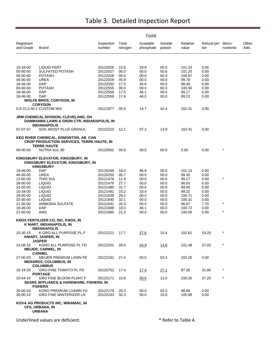|                         |                                                                                                                |                      |                   | Found                  |                   |                   |                          |           |               |
|-------------------------|----------------------------------------------------------------------------------------------------------------|----------------------|-------------------|------------------------|-------------------|-------------------|--------------------------|-----------|---------------|
| Registrant<br>and Grade | Brand                                                                                                          | Inspection<br>number | Total<br>nitrogen | Available<br>phosphate | Soluble<br>potash | Relative<br>value | Refund per Micro-<br>ton | nutrients | Other<br>Add. |
|                         |                                                                                                                |                      |                   |                        |                   |                   |                          |           |               |
| 10-34-00                | LIQUID FERT                                                                                                    | 20122026             | 10.5              | 33.9                   | 00.0              | 101.23            | 0.00                     |           |               |
| 00-00-50                | SULFATED POTASH                                                                                                | 20122027             | 00.0              | 00.0                   | 50.6              | 101.20            | 0.00                     |           |               |
| 00-00-60                | <b>POTASH</b>                                                                                                  | 20122028             | 00.0              | 00.0                   | 60.4              | 100.67            | 0.00                     |           |               |
| 46-00-00<br>18-46-00    | UREA<br><b>DAP</b>                                                                                             | 20122029<br>20122030 | 45.9<br>17.5      | 00.0<br>45.6           | 00.0<br>00.0      | 99.78<br>98.46    | 0.00<br>0.00             |           |               |
| 00-00-60                | <b>POTASH</b>                                                                                                  | 20122555             | 00.0              | 00.0                   | 60.3              | 100.50            | 0.00                     |           |               |
| 18-46-00                | DAP                                                                                                            | 20122556             | 17.5              | 46.1                   | 00.0              | 99.17             | 0.00                     |           |               |
| 18-46-00                | DAP                                                                                                            | 20122558             | 17.6              | 46.0                   | 00.0              | 99.22             | 0.00                     |           |               |
|                         | <b>WOLFE BROS, CORYDON, IN</b><br><b>CORYDON</b>                                                               |                      |                   |                        |                   |                   |                          |           |               |
|                         | 5.9-15.2-40.2 CUSTOM MIX                                                                                       | 20121977             | 05.5              | 14.7                   | 42.4              | 102.31            | 0.00                     |           |               |
|                         | JRM CHEMICAL DIVISION, CLEVELAND, OH<br>DAMMANNS LAWN & GRDN CTR, INDIANAPOLIS, IN                             |                      |                   |                        |                   |                   |                          |           |               |
| 07-07-07                | <b>INDIANAPOLIS</b><br>SOIL MOIST PLUS GRANUL                                                                  | 20122210             | 12.1              | 07.2                   | 13.9              | 162.41            | 0.00                     |           |               |
|                         | KEG RIVER CHEMICAL, EDMONTON, AB CAN<br><b>CROP PRODUCTION SERVICES, TERRE HAUTE, IN</b><br><b>TERRE HAUTE</b> |                      |                   |                        |                   |                   |                          |           |               |
| 00-00-00                | NUTRA SUL 90                                                                                                   | 20120502             | 00.0              | 00.0                   | 00.0              | 0.00              | 0.00                     |           |               |
|                         | KINGSBURY ELEVATOR, KINGSBURY, IN<br>KINGSBURY ELEVATOR, KINGSBURY, IN<br><b>KINGSBURY</b>                     |                      |                   |                        |                   |                   |                          |           |               |
| 18-46-00                | <b>DAP</b>                                                                                                     | 20120249             | 18.0              | 46.8                   | 00.0              | 101.13            | 0.00                     |           |               |
| 46-00-00                | <b>UREA</b>                                                                                                    | 20120250             | 45.7              | 00.0                   | 00.0              | 99.35             | 0.00                     |           |               |
| 12-00-00                | THIO SUL                                                                                                       | 20121478             | 11.9              | 00.0                   | 00.0              | 99.17             | 0.00                     | $\star$   |               |
| 28-00-00<br>32-00-00    | <b>LIQUID</b><br><b>LIQUID</b>                                                                                 | 20121479<br>20121480 | 27.7<br>31.7      | 00.0<br>00.0           | 00.0<br>00.0      | 98.93<br>99.06    | 0.00<br>0.00             |           |               |
| 10-34-00                | <b>LIQUID</b>                                                                                                  | 20121481             | 10.2              | 33.4                   | 00.0              | 99.32             | 0.00                     |           |               |
| 28-00-00                | <b>LIQUID</b>                                                                                                  | 20121639             | 28.2              | 00.0                   | 00.0              | 100.71            | 0.00                     |           |               |
| 32-00-00                | LIQUID                                                                                                         | 20121640             | 32.1              | 00.0                   | 00.0              | 100.31            | 0.00                     |           |               |
| 21-00-00                | <b>AMMONIA SULFATE</b>                                                                                         | 20121641             | 20.3              | 00.0                   | 00.0              | 96.67             | 7.70                     | $^\star$  |               |
| 18-46-00<br>21-00-00    | DAP<br>AMS                                                                                                     | 20121689<br>20121690 | 18.3<br>21.0      | 46.1<br>00.0           | 00.0<br>00.0      | 100.72<br>100.00  | 0.00<br>0.00             |           |               |
|                         | KNOX FERTILIZER CO, INC, KNOX, IN<br>K MART, INDIANAPOLIS, IN                                                  |                      |                   |                        |                   |                   |                          |           |               |
| 15-30-15                | <b>INDIANAPOLIS</b><br>K GRO ALL-PURPOSE PL F                                                                  | 20122211             | 17.7              | 27.6                   | 15.4              | 102.61            | 19.20                    |           |               |
|                         | <b>KMART, JASPER, IN</b><br><b>JASPER</b>                                                                      |                      |                   |                        |                   |                   |                          |           |               |
| 24-08-16                | KGRO ALL PURPOSE PL FD<br><b>MEIJER, CARMEL, IN</b><br><b>CARMEL</b>                                           | 20122201             | 28.0              | 04.9                   | 14.8              | 101.48            | 37.03                    |           |               |
| 27-00-03                | MEIJER PREMIUM LAWN FE<br><b>MENARDS, COLUMBUS, IN</b><br><b>COLUMBUS</b>                                      | 20122181             | 27.4              | 00.0                   | 03.3              | 102.26            | 0.00                     |           |               |
| 16-19-29                | <b>GRO-FINE TOMATO PL FD</b><br><b>PORTAGE</b>                                                                 | 20120752             | 17.4              | 17.4                   | 27.1              | 97.35             | 31.80                    | $\star$   |               |
| 10-54-10                | <b>GRO FINE BLOOM PLANT F</b><br><b>SEARS APPLIANCE &amp; HARDWARE, FISHERS, IN</b>                            | 20122171             | 10.8              | 50.6                   | 12.0              | 100.25            | 27.20                    | $\star$   |               |
| 30-00-03<br>30-00-10    | <b>FISHERS</b><br>KGRO PREMIUM LOAWN FD<br><b>GRO FINE WINTERIZER LN</b>                                       | 20122179<br>20122243 | 29.3<br>32.3      | 00.0<br>00.0           | 03.3<br>10.0      | 98.69<br>105.88   | 0.00<br>0.00             |           |               |
|                         | KOVA AG PRODUCTS INC, WINAMAC, IN<br><b>CFS, URBANA, IN</b><br><b>URBANA</b>                                   |                      |                   |                        |                   |                   |                          |           |               |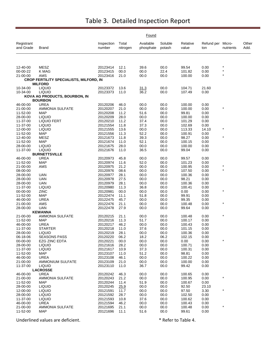|                         |                                                       |                      |                   | Found                  |                   |                   |                          |           |               |
|-------------------------|-------------------------------------------------------|----------------------|-------------------|------------------------|-------------------|-------------------|--------------------------|-----------|---------------|
| Registrant<br>and Grade | Brand                                                 | Inspection<br>number | Total<br>nitrogen | Available<br>phosphate | Soluble<br>potash | Relative<br>value | Refund per Micro-<br>ton | nutrients | Other<br>Add. |
|                         |                                                       |                      |                   |                        |                   |                   |                          |           |               |
| 12-40-00                | <b>MESZ</b>                                           | 20123414             | 12.1              | 39.6                   | 00.0              | 99.54             | 0.00                     |           |               |
| 00-00-22                | K MAG                                                 | 20123415             | 00.0              | 00.0                   | 22.4              | 101.82            | 0.00                     |           |               |
| 21-00-00                | AMS<br><b>CROP FERTILITY SPECIALISTS, MILFORD, IN</b> | 20123416             | 21.0              | 00.0                   | 00.0              | 100.00            | 0.00                     |           |               |
|                         | <b>MILFORD</b>                                        |                      |                   |                        |                   |                   |                          |           |               |
| 10-34-00<br>10-34-00    | <b>LIQUID</b><br><b>LIQUID</b>                        | 20123372<br>20123373 | 13.6<br>11.0      | 31.3<br>36.2           | 00.0<br>00.0      | 104.71<br>107.49  | 21.60<br>0.00            |           |               |
|                         | KOVA AG PRODUCTS, BOURBON, IN                         |                      |                   |                        |                   |                   |                          |           |               |
|                         | <b>BOURBON</b>                                        |                      |                   |                        |                   |                   |                          |           |               |
| 46-00-00                | <b>UREA</b>                                           | 20120206             | 46.0              | 00.0                   | 00.0              | 100.00            | 0.00                     |           |               |
| 21-00-00                | AMMONIA SULFATE                                       | 20120207             | 21.0              | 00.0                   | 00.0              | 100.00            | 0.00                     | $\star$   |               |
| 11-52-00                | MAP                                                   | 20120208             | 11.2              | 51.6                   | 00.0              | 99.81             | 0.00                     |           |               |
| 28-00-00<br>11-37-00    | <b>LIQUID</b><br><b>LIQUID FERT</b>                   | 20120209<br>20120210 | 28.0<br>11.2      | 00.0<br>37.4           | 00.0<br>00.0      | 100.00<br>101.29  | 0.00<br>0.00             |           |               |
| 11-37-00                | <b>LIQUID</b>                                         | 20121554             | 11.8              | 37.3                   | 00.0              | 102.69            | 0.00                     |           |               |
| 12-00-00                | <b>LIQUID</b>                                         | 20121555             | 13.6              | 00.0                   | 00.0              | 113.33            | 14.10                    |           |               |
| 11-52-00                | <b>MAP</b>                                            | 20121556             | 11.3              | 52.2                   | 00.0              | 100.91            | 0.00                     |           |               |
| 12-40-00                | <b>MESZ</b>                                           | 20121673             | 11.8              | 39.3                   | 00.0              | 98.27             | 0.00                     |           |               |
| 11-52-00                | <b>MAP</b>                                            | 20121674             | 11.0              | 52.1                   | 00.0              | 100.15            | 0.00                     |           |               |
| 28-00-00                | <b>LIQUID</b>                                         | 20121675             | 28.0              | 00.0                   | 00.0              | 100.00            | 0.00                     |           |               |
| 11-37-00                | <b>LIQUID</b>                                         | 20121676             | 11.0              | 36.5                   | 00.0              | 99.04             | 0.00                     |           |               |
| 46-00-00                | <b>BURNETTSVILLE</b><br><b>UREA</b>                   | 20120973             | 45.8              | 00.0                   | 00.0              | 99.57             | 0.00                     |           |               |
| 11-52-00                | <b>MAP</b>                                            | 20120974             | 11.6              | 52.0                   | 00.0              | 101.23            | 0.00                     |           |               |
| 21-00-00                | AMS                                                   | 20120975             | 21.2              | 00.0                   | 00.0              | 100.95            | 0.00                     |           |               |
| 08-00-00                |                                                       | 20120976             | 08.6              | 00.0                   | 00.0              | 107.50            | 0.00                     | $\star$   |               |
| 28-00-00                | <b>UAN</b>                                            | 20120977             | 28.1              | 00.0                   | 00.0              | 100.36            | 0.00                     |           |               |
| 28-00-00                | <b>UAN</b>                                            | 20120978             | 27.5              | 00.0                   | 00.0              | 98.21             | 0.00                     |           |               |
| 28-00-00                | <b>UAN</b>                                            | 20120979             | 28.1              | 00.0                   | 00.0              | 100.36            | 0.00                     |           |               |
| 11-37-00<br>00-00-00    | <b>LIQUID</b><br>ZINC                                 | 20120980<br>20120981 | 11.3<br>00.0      | 36.8<br>00.0           | 00.0<br>00.0      | 100.41            | 0.00<br>0.00             |           |               |
| 11-52-00                | <b>MAP</b>                                            | 20122474             | 11.1              | 51.8                   | 00.0              | 0.00<br>99.91     | 0.00                     |           |               |
| 46-00-00                | <b>UREA</b>                                           | 20122475             | 45.7              | 00.0                   | 00.0              | 99.35             | 0.00                     |           |               |
| 21-00-00                | AMS                                                   | 20122476             | 21.1              | 00.0                   | 00.0              | 100.48            | 0.00                     | $\star$   |               |
| 28-00-00                | <b>UAN</b>                                            | 20122478             | 27.9              | 00.0                   | 00.0              | 99.64             | 0.00                     |           |               |
|                         | <b>KEWANNA</b>                                        |                      |                   |                        |                   |                   |                          |           |               |
| 21-00-00                | AMMONIA SULFATE                                       | 20120215             | 21.1              | 00.0                   | 00.0              | 100.48            | 0.00                     |           |               |
| 11-52-00                | <b>MAP</b>                                            | 20120216             | 11.3              | 51.7                   | 00.0              | 100.17            | 0.00                     |           |               |
| 46-00-00<br>11-37-00    | <b>UREA</b><br>STARTER                                | 20120217<br>20120218 | 46.2<br>11.0      | 00.0<br>37.6           | 00.0<br>00.0      | 100.43<br>101.15  | 0.00<br>0.00             |           |               |
| 28-00-00                | <b>LIQUID</b>                                         | 20120219             | 28.1              | 00.0                   | 00.0              | 100.36            | 0.00                     |           |               |
| 06-18-06                | <b>SEASONS PASS</b>                                   | 20120220             | 06.2              | 18.2                   | 06.2              | 102.15            | 0.00                     |           |               |
| 00-00-00                | <b>EZG ZINC EDTA</b>                                  | 20120221             | 00.0              | 00.0                   | 00.0              | 0.00              | 0.00                     | $\star$   |               |
| 28-00-00                | <b>LIQUID</b>                                         | 20121616             | 28.2              | 00.0                   | 00.0              | 100.71            | 0.00                     |           |               |
| 11-37-00                | <b>LIQUID</b>                                         | 20121617             | 10.9              | 37.3                   | 00.0              | 100.31            | 0.00                     |           |               |
| 11-52-00                | MAP                                                   | 20123107             | 11.0              | 51.2                   | 00.0              | 98.81             | 0.00                     |           |               |
| 46-00-00                | <b>UREA</b>                                           | 20123108             | 46.1              | 00.0                   | 00.0              | 100.22            | 0.00                     |           |               |
| 21-00-00<br>11-37-00    | AMMONIUM SULFATE<br><b>LIQUID</b>                     | 20123109<br>20123110 | 21.0<br>11.0      | 00.0<br>36.7           | 00.0<br>00.0      | 100.00<br>99.42   | 0.00<br>0.00             |           |               |
|                         | <b>LACROSSE</b>                                       |                      |                   |                        |                   |                   |                          |           |               |
| 46-00-00                | <b>UREA</b>                                           | 20120242             | 46.3              | 00.0                   | 00.0              | 100.65            | 0.00                     |           |               |
| 21-00-00                | <b>AMMONIA SULFATE</b>                                | 20120243             | 21.2              | 00.0                   | 00.0              | 100.95            | 0.00                     |           |               |
| 11-52-00                | MAP                                                   | 20120244             | 11.4              | 51.9                   | 00.0              | 100.67            | 0.00                     |           |               |
| 28-00-00                | <b>LIQUID</b>                                         | 20120245             | 25.9              | 00.0                   | 00.0              | 92.50             | 23.10                    |           |               |
| 12-00-00                | <b>LIQUID</b>                                         | 20121591             | 11.7              | 00.0                   | 00.0              | 97.50             | 3.30                     | $\star$   |               |
| 28-00-00                | <b>LIQUID</b>                                         | 20121592             | 28.7              | 00.0                   | 00.0              | 102.50            | 0.00                     |           |               |
| 11-37-00<br>46-00-00    | <b>LIQUID</b><br><b>UREA</b>                          | 20121593<br>20121594 | 10.8<br>46.2      | 37.6<br>00.0           | 00.0<br>00.0      | 100.62<br>100.43  | 0.00<br>0.00             |           |               |
| 21-00-00                | <b>AMMONIA SULFATE</b>                                | 20121695             | 21.1              | 00.0                   | 00.0              | 100.48            | 0.00                     |           |               |
| 11-52-00                | <b>MAP</b>                                            | 20121696             | 11.1              | 51.6                   | 00.0              | 99.61             | 0.00                     |           |               |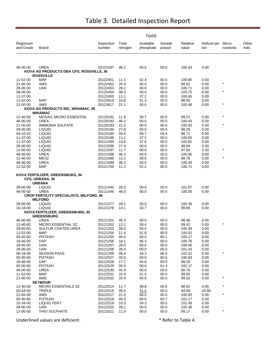|                         |                                                                            | Found                |                   |                        |                   |                   |                          |           |               |
|-------------------------|----------------------------------------------------------------------------|----------------------|-------------------|------------------------|-------------------|-------------------|--------------------------|-----------|---------------|
| Registrant<br>and Grade | <b>Brand</b>                                                               | Inspection<br>number | Total<br>nitrogen | Available<br>phosphate | Soluble<br>potash | Relative<br>value | Refund per Micro-<br>ton | nutrients | Other<br>Add. |
| 46-00-00                | <b>UREA</b>                                                                | 20121697             | 46.2              | 00.0                   | 00.0              | 100.43            | 0.00                     |           |               |
|                         | KOVA AG PRODUCTS DBA CFS, ROSSVILLE, IN<br><b>ROSSVILLE</b>                |                      |                   |                        |                   |                   |                          |           |               |
| 11-52-00                | <b>MAP</b>                                                                 | 20122451             | 11.1              | 52.4                   | 00.0              | 100.80            | 0.00                     |           |               |
| 21-00-00                | AMS                                                                        | 20122452             | 20.9              | 00.0                   | 00.0              | 99.52             | 0.00                     | $\star$   |               |
| 28-00-00                | UAN                                                                        | 20122453             | 28.2              | 00.0                   | 00.0              | 100.71            | 0.00                     |           |               |
| 08-00-00                |                                                                            | 20122454             | 08.3              | 00.0                   | 00.0              | 103.75            | 0.00                     | $\star$   |               |
| 11-37-00                |                                                                            | 20122455             | 11.1              | 37.2                   | 00.0              | 100.65            | 0.00                     |           |               |
| 11-52-00                | <b>MAP</b>                                                                 | 20123616             | 10.8              | 51.3                   | 00.0              | 98.55             | 0.00                     | $\star$   |               |
| 21-00-00                | AMS                                                                        | 20123617             | 21.1              | 00.0                   | 00.0              | 100.48            | 0.00                     |           |               |
|                         | KOVA AG PRODUCTS INC, WINAMAC, IN<br><b>WINAMAC</b>                        |                      |                   |                        |                   |                   |                          |           |               |
| 12-40-00                | <b>MOSAIC MICRO ESSENTIAL</b>                                              | 20120181             | 11.9              | 39.7                   | 00.0              | 99.23             | 0.00                     | $\star$   |               |
| 46-00-00                | UREA                                                                       | 20120182             | 46.2              | 00.0                   | 00.0              | 100.43            | 0.00                     |           |               |
| 21-00-00                | <b>AMMONIA SULFATE</b>                                                     | 20120183             | 21.0              | 00.0                   | 00.0              | 100.00            | 0.00                     | $\star$   |               |
| 28-00-00                | <b>LIQUID</b>                                                              | 20120184             | 27.8              | 00.0                   | 00.0              | 99.29             | 0.00                     |           |               |
| 04-10-10                | <b>LIQUID</b>                                                              | 20120185             | 04.5              | 09.7                   | 09.4              | 98.71             | 0.00                     |           |               |
| 11-37-00                | <b>LIQUID</b>                                                              | 20120186             | 11.1              | 37.2                   | 00.0              | 100.65            | 0.00                     |           |               |
| 11-37-00                | <b>LIQUID</b>                                                              | 20121595             | 10.8              | 37.6                   | 00.0              | 100.62            | 0.00                     |           |               |
| 28-00-00                | <b>LIQUID</b>                                                              | 20121596             | 27.9              | 00.0                   | 00.0              | 99.64             | 0.00                     | $\star$   |               |
| 12-00-00                | <b>LIQUID</b>                                                              | 20121597             | 11.7              | 00.0                   | 00.0              | 97.50             | 3.30                     |           |               |
| 46-00-00<br>12-40-00    | <b>UREA</b><br><b>MESZ</b>                                                 | 20121598<br>20121698 | 46.3<br>12.2      | 00.0<br>39.6           | 00.0<br>00.0      | 100.65<br>99.78   | 0.00<br>0.00             | $\star$   |               |
| 46-00-00                | <b>UREA</b>                                                                | 20121699             | 46.2              | 00.0                   | 00.0              | 100.43            | 0.00                     |           |               |
| 11-52-00                | <b>MAP</b>                                                                 | 20121700             | 11.2              | 52.2                   | 00.0              | 100.71            | 0.00                     |           |               |
|                         | KOVA FERTILIZER, GREENSBURG, IN<br><b>CFS, URBANA, IN</b><br><b>URBANA</b> |                      |                   |                        |                   |                   |                          |           |               |
| 28-00-00                | <b>LIQUID</b>                                                              | 20121445             | 28.3              | 00.0                   | 00.0              | 101.07            | 0.00                     |           |               |
| 46-00-00                | UREA                                                                       | 20121446             | 46.0              | 00.0                   | 00.0              | 100.00            | 0.00                     |           |               |
|                         | CROP FERTILITY SPECIALISTS, MILFORD, IN<br><b>MILFORD</b>                  |                      |                   |                        |                   |                   |                          |           |               |
| 28-00-00                | <b>LIQUID</b>                                                              | 20121377             | 28.1              | 00.0                   | 00.0              | 100.36            | 0.00                     |           |               |
| 10-34-00                | <b>LIQUID</b>                                                              | 20121378             | 10.1              | 33.7                   | 00.0              | 99.66             | 0.00                     |           |               |
|                         | KOVA FERTILIZER, GREENSBURG, IN<br><b>GREENSBURG</b>                       |                      |                   |                        |                   |                   |                          |           |               |
| 46-00-00                | <b>UREA</b>                                                                | 20121201             | 45.3              | 00.0                   | 00.0              | 98.48             | 0.00                     |           |               |
| 12-40-00                | MICRO ESSENTIAL SZ                                                         | 20121202             | 12.2              | 39.4                   | 00.0              | 99.42             | 0.00                     |           |               |
| 39-00-00                | SULFUR COATED UREA                                                         | 20121203             | 39.0              | 00.0                   | 00.0              | 100.00            | 0.00                     |           |               |
| 11-52-00                | <b>MAP</b>                                                                 | 20121204             | 11.4              | 51.8                   | 00.0              | 100.52            | 0.00                     |           |               |
| 00-00-60                | <b>POTASH</b>                                                              | 20121205             | 00.0              | 00.0                   | 60.1              | 100.17            | 0.00                     |           |               |
| 18-46-00                | <b>DAP</b>                                                                 | 20121206             | 18.1              | 46.4                   | 00.0              | 100.76            | 0.00                     |           |               |
| 28-00-00                | UAN                                                                        | 20121207             | 28.0              | 00.0                   | 00.0              | 100.00            | 0.00                     |           |               |
| 28-00-00<br>06-18-06    | <b>UAN</b><br><b>SEASON PASS</b>                                           | 20121208<br>20121209 | 28.4              | 00.0<br>18.3           | 00.0              | 101.43<br>102.52  | 0.00                     | *         |               |
| 00-00-60                | <b>POTASH</b>                                                              | 20122527             | 06.4<br>00.0      | 00.0                   | 06.0<br>60.5      | 100.83            | 0.00<br>0.00             |           |               |
| 18-46-00                | <b>DAP</b>                                                                 | 20122528             | 17.7              | 45.9                   | 00.0              | 99.28             | 0.00                     |           |               |
| 00-00-60                | <b>POTASH</b>                                                              | 20122529             | 00.0              | 00.0                   | 61.3              | 102.17            | 0.00                     |           |               |
| 46-00-00                | <b>UREA</b>                                                                | 20122530             | 45.9              | 00.0                   | 00.0              | 99.78             | 0.00                     |           |               |
| 11-52-00                | <b>MAP</b>                                                                 | 20122531             | 10.9              | 51.5                   | 00.0              | 99.05             | 0.00                     |           |               |
| 21-00-00                | AMS                                                                        | 20122532             | 20.9              | 00.0                   | 00.0              | 99.52             | 0.00                     |           |               |
|                         | <b>SEYMOUR</b>                                                             |                      |                   |                        |                   |                   |                          |           |               |
| 12-40-00                | MICRO ESSENTIALS SZ                                                        | 20122514             | 11.7              | 39.8                   | 00.0              | 98.92             | 0.00                     |           |               |
| 00-44-00                | <b>TRIPLE</b>                                                              | 20122516             | 00.0              | 41.4                   | 00.0              | 94.09             | 20.80                    |           |               |
| 21-00-00                | AMS                                                                        | 20122517             | 21.0              | 00.0                   | 00.0              | 100.00            | 0.00                     | $\star$   |               |
| 00-00-60                | <b>POTASH</b>                                                              | 20122518             | 00.0              | 00.0                   | 60.7              | 101.17            | 0.00                     |           |               |
| 10-34-00                | <b>LIQUID FERT</b>                                                         | 20122519             | 10.3              | 34.3                   | 00.0              | 101.49            | 0.00                     |           |               |
| 28-00-00                | UAN                                                                        | 20122520             | 28.1              | 00.0                   | 00.0              | 100.36            | 0.00                     | $\star$   |               |
| 12-00-00                | THIO SULPHATE                                                              | 20122521             | 11.9              | 00.0                   | 00.0              | 99.17             | 0.00                     |           |               |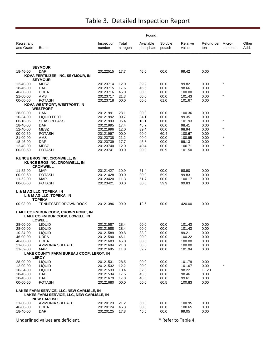| Registrant<br>and Grade | Brand                                                                                                         | Inspection<br>number | Total<br>nitrogen | Available<br>phosphate | Soluble<br>potash | Relative<br>value | Refund per Micro-<br>ton | nutrients | Other<br>Add. |
|-------------------------|---------------------------------------------------------------------------------------------------------------|----------------------|-------------------|------------------------|-------------------|-------------------|--------------------------|-----------|---------------|
|                         | <b>SEYMOUR</b>                                                                                                |                      |                   |                        |                   |                   |                          |           |               |
| 18-46-00                | DAP                                                                                                           | 20122515             | 17.7              | 46.0                   | 00.0              | 99.42             | 0.00                     |           |               |
|                         | KOVA FERTILIZER, INC, SEYMOUR, IN<br><b>SEYMOUR</b>                                                           |                      |                   |                        |                   |                   |                          |           |               |
| 12-40-00                | MESZ                                                                                                          | 20123714             | 12.0              | 39.9                   | 00.0              | 99.82             | 0.00                     | $\star$   |               |
| 18-46-00                | <b>DAP</b>                                                                                                    | 20123715             | 17.6              | 45.6                   | 00.0              | 98.66             | 0.00                     |           |               |
| 46-00-00                | UREA                                                                                                          | 20123716             | 46.0              | 00.0                   | 00.0              | 100.00            | 0.00                     |           |               |
| 21-00-00                | AMS                                                                                                           | 20123717             | 21.3              | 00.0                   | 00.0              | 101.43            | 0.00                     |           |               |
| 00-00-60                | <b>POTASH</b><br>KOVA WESTPORT, WESTPORT, IN                                                                  | 20123718             | 00.0              | 00.0                   | 61.0              | 101.67            | 0.00                     |           |               |
|                         | <b>WESTPORT</b>                                                                                               |                      |                   |                        |                   |                   |                          |           |               |
| 28-00-00                | <b>UAN</b>                                                                                                    | 20121991             | 28.1              | 00.0                   | 00.0              | 100.36            | 0.00                     |           |               |
| 10-34-00                | <b>LIQUID FERT</b>                                                                                            | 20121992             | 09.7              | 34.1                   | 00.0              | 99.35             | 0.00                     |           |               |
| 06-18-06                | <b>SEASON PASS</b>                                                                                            | 20121993             | 06.4              | 18.1                   | 06.0              | 101.93            | 0.00                     | $\star$   |               |
| 18-46-00                | <b>DAP</b>                                                                                                    | 20121995             | 17.4              | 45.7                   | 00.0              | 98.41             | 0.00                     |           |               |
| 12-40-00                | MESZ                                                                                                          | 20121996             | 12.0              | 39.4                   | 00.0              | 98.94             | 0.00                     | $\star$   |               |
| 00-00-60                | <b>POTASH</b>                                                                                                 | 20121997             | 00.0              | 00.0                   | 60.4              | 100.67            | 0.00                     |           |               |
| 21-00-00                | AMS                                                                                                           | 20123738             | 21.2              | 00.0                   | 00.0              | 100.95            | 0.00                     | $\star$   |               |
| 18-46-00                | DAP                                                                                                           | 20123739             | 17.7              | 45.8                   | 00.0              | 99.13             | 0.00                     | $\star$   |               |
| 12-40-00                | MESZ                                                                                                          | 20123740             | 12.0              | 40.4                   | 00.0              | 100.71            | 0.00                     |           |               |
| 00-00-60                | <b>POTASH</b>                                                                                                 | 20123741             | 00.0              | 00.0                   | 60.9              | 101.50            | 0.00                     |           |               |
|                         | KUNCE BROS INC, CROMWELL, IN<br>KUNCE BROS INC, CROMWELL, IN<br><b>CROMWELL</b>                               |                      |                   |                        |                   |                   |                          |           |               |
| 11-52-00                | MAP                                                                                                           | 20121427             | 10.9              | 51.4                   | 00.0              | 98.90             | 0.00                     |           |               |
| 00-00-60                | <b>POTASH</b>                                                                                                 | 20121428             | 00.0              | 00.0                   | 59.9              | 99.83             | 0.00                     |           |               |
| 11-52-00                | MAP                                                                                                           | 20123420             | 11.3              | 51.7                   | 00.0              | 100.17            | 0.00                     |           |               |
| 00-00-60                | <b>POTASH</b>                                                                                                 | 20123421             | 00.0              | 00.0                   | 59.9              | 99.83             | 0.00                     |           |               |
|                         | L & M AG LLC, TOPEKA, IN<br>L & M AG LLC, TOPEKA, IN<br><b>TOPEKA</b>                                         |                      |                   |                        |                   |                   |                          |           |               |
| 00-03-00                | TENNESSEE BROWN ROCK                                                                                          | 20121386             | 00.0              | 12.6                   | 00.0              | 420.00            | 0.00                     |           |               |
|                         | LAKE CO FM BUR COOP, CROWN POINT, IN<br>LAKE CO FM BUR COOP, LOWELL, IN<br><b>LOWELL</b>                      |                      |                   |                        |                   |                   |                          |           |               |
| 28-00-00                | <b>LIQUID</b>                                                                                                 | 20121587             | 28.4              | 00.0                   | 00.0              | 101.43            | 0.00                     |           |               |
| 28-00-00                | <b>LIQUID</b>                                                                                                 | 20121588             | 28.4              | 00.0                   | 00.0              | 101.43            | 0.00                     |           |               |
| 10-34-00                | <b>LIQUID</b>                                                                                                 | 20121589             | 09.8              | 33.9                   | 00.0              | 99.21             | 0.00                     |           |               |
| 46-00-00                | UREA                                                                                                          | 20121590             | 46.1              | 00.0                   | $00.0$            | 100.22            | 0.00                     |           |               |
| 46-00-00                | <b>UREA</b>                                                                                                   | 20121683             | 46.0              | 00.0                   | 00.0              | 100.00            | 0.00                     |           |               |
| 21-00-00                | <b>AMMONIA SULFATE</b><br><b>MAP</b>                                                                          | 20121684<br>20121685 | 21.0              | 00.0<br>52.2           | 00.0              | 100.00            | 0.00<br>0.00             |           |               |
| 11-52-00                | LAKE COUNTY FARM BUREAU COOP, LEROY, IN                                                                       |                      | 11.8              |                        | 00.0              | 101.94            |                          |           |               |
|                         | <b>LEROY</b>                                                                                                  |                      |                   |                        |                   |                   |                          |           |               |
| 28-00-00                | <b>LIQUID</b>                                                                                                 | 20121531             | 28.5              | 00.0                   | 00.0              | 101.79            | 0.00                     |           |               |
| 12-00-00                | <b>LIQUID</b>                                                                                                 | 20121532             | 12.2              | 00.0                   | 00.0              | 101.67            | 0.00                     |           |               |
| 10-34-00                | <b>LIQUID</b>                                                                                                 | 20121533             | 10.4              | 32.6                   | 00.0              | 98.22             | 11.20                    |           |               |
| 18-46-00                | <b>DAP</b>                                                                                                    | 20121534             | 17.5              | 45.6                   | 00.0              | 98.46             | 0.00                     |           |               |
| 18-46-00                | <b>DAP</b>                                                                                                    | 20121679             | 17.8              | 46.0                   | 00.0              | 99.61             | 0.00                     |           |               |
| 00-00-60                | <b>POTASH</b>                                                                                                 | 20121680             | 00.0              | 00.0                   | 60.5              | 100.83            | 0.00                     |           |               |
|                         | LAKES FARM SERVICE, LLC, NEW CARLISLE, IN<br>LAKES FARM SERVICE, LLC, NEW CARLISLE, IN<br><b>NEW CARLISLE</b> |                      |                   |                        |                   |                   |                          |           |               |
| 21-00-00                | <b>AMMONIA SULFATE</b>                                                                                        | 20120123             | 21.2              | 00.0                   | 00.0              | 100.95            | 0.00                     |           |               |
| 46-00-00                | <b>UREA</b>                                                                                                   | 20120124             | 46.3              | 00.0                   | 00.0              | 100.65            | 0.00                     |           |               |
| 18-46-00                | <b>DAP</b>                                                                                                    | 20120125             | 17.8              | 45.6                   | 00.0              | 99.05             | 0.00                     |           |               |
|                         |                                                                                                               |                      |                   |                        |                   |                   |                          |           |               |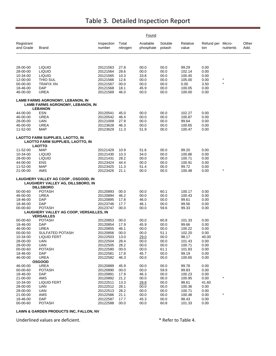|                         |                                                                                              |                      |                   | Found                  |                   |                   |                          |           |               |
|-------------------------|----------------------------------------------------------------------------------------------|----------------------|-------------------|------------------------|-------------------|-------------------|--------------------------|-----------|---------------|
| Registrant<br>and Grade | Brand                                                                                        | Inspection<br>number | Total<br>nitrogen | Available<br>phosphate | Soluble<br>potash | Relative<br>value | Refund per Micro-<br>ton | nutrients | Other<br>Add. |
|                         |                                                                                              |                      |                   |                        |                   |                   |                          |           |               |
| 28-00-00                | <b>LIQUID</b>                                                                                | 20121563             | 27.8              | 00.0                   | 00.0              | 99.29             | 0.00                     |           |               |
| 28-00-00                | <b>LIQUID</b>                                                                                | 20121564             | 28.6              | 00.0                   | 00.0              | 102.14            | 0.00                     |           |               |
| 10-34-00                | <b>LIQUID</b>                                                                                | 20121565             | 10.3              | 33.8                   | 00.0              | 100.45            | 0.00                     |           |               |
| 12-00-00                | THIO SUL                                                                                     | 20121566             | 12.6              | 00.0                   | 00.0              | 105.00            | 0.00                     | $\star$   |               |
| 00-00-00<br>18-46-00    | <b>TRAFIX XN</b><br><b>DAP</b>                                                               | 20121567<br>20121568 | 00.0<br>18.1      | 00.0<br>45.9           | 00.0<br>00.0      | 0.00<br>100.05    | 3.50<br>0.00             |           |               |
| 46-00-00                | <b>UREA</b>                                                                                  | 20121569             | 46.0              | 00.0                   | 00.0              | 100.00            | 0.00                     |           |               |
|                         | LAMB FARMS AGRONOMY, LEBANON, IN<br>LAMB FARMS AGRONOMY, LEBANON, IN                         |                      |                   |                        |                   |                   |                          |           |               |
|                         | <b>LEBANON</b>                                                                               |                      |                   |                        |                   |                   |                          |           |               |
| 44-00-00                | <b>ESN</b>                                                                                   | 20120541             | 45.0              | 00.0                   | 00.0              | 102.27            | 0.00                     |           |               |
| 46-00-00                | <b>UREA</b>                                                                                  | 20120542             | 46.4              | 00.0                   | 00.0              | 100.87            | 0.00                     |           |               |
| 28-00-00<br>46-00-00    | <b>UAN</b><br><b>UREA</b>                                                                    | 20121009<br>20123628 | 27.9<br>46.3      | 00.0<br>00.0           | 00.0<br>00.0      | 99.64<br>100.65   | 0.00<br>0.00             |           |               |
| 11-52-00                | <b>MAP</b>                                                                                   | 20123629             | 11.3              | 51.9                   | 00.0              | 100.47            | 0.00                     |           |               |
|                         | LAOTTO FARM SUPPLIES, LAOTTO, IN<br><b>LAOTTO FARM SUPPLIES, LAOTTO, IN</b>                  |                      |                   |                        |                   |                   |                          |           |               |
| 11-52-00                | <b>LAOTTO</b><br><b>MAP</b>                                                                  | 20121429             | 10.9              | 51.6                   | 00.0              | 99.20             | 0.00                     |           |               |
| 10-34-00                | <b>LIQUID</b>                                                                                | 20121430             | 10.3              | 34.0                   | 00.0              | 100.86            | 0.00                     |           |               |
| 28-00-00                | <b>LIQUID</b>                                                                                | 20121431             | 28.2              | 00.0                   | 00.0              | 100.71            | 0.00                     |           |               |
| 44-00-00                | <b>ENS</b>                                                                                   | 20123424             | 44.4              | 00.0                   | 00.0              | 100.91            | 0.00                     |           |               |
| 11-52-00                | MAP                                                                                          | 20123425             | 11.3              | 51.4                   | 00.0              | 99.72             | 0.00                     |           |               |
| 21-00-00                | AMS                                                                                          | 20123426             | 21.1              | 00.0                   | 00.0              | 100.48            | 0.00                     | $\star$   |               |
|                         | LAUGHERY VALLEY AG COOP, OSGOOD, IN<br>LAUGHERY VALLEY AG, DILLSBORO, IN<br><b>DILLSBORO</b> |                      |                   |                        |                   |                   |                          |           |               |
| 00-00-60                | <b>POTASH</b>                                                                                | 20120893             | 00.0              | 00.0                   | 60.1              | 100.17            | 0.00                     |           |               |
| 46-00-00                | UREA                                                                                         | 20120894             | 46.2              | 00.0                   | 00.0              | 100.43            | 0.00                     |           |               |
| 18-46-00                | DAP                                                                                          | 20120895             | 17.8              | 46.0                   | 00.0              | 99.61             | 0.00                     |           |               |
| 18-46-00                | <b>DAP</b>                                                                                   | 20123746             | 17.7              | 46.1                   | 00.0              | 99.56             | 0.00                     |           |               |
| 00-00-60                | <b>POTASH</b>                                                                                | 20123747             | 00.0              | 00.0                   | 59.6              | 99.33             | 0.00                     |           |               |
|                         | <b>LAUGHERY VALLEY AG COOP, VERSAILLES, IN</b><br><b>VERSAILLES</b>                          |                      |                   |                        |                   |                   |                          |           |               |
| 00-00-60                | <b>POTASH</b>                                                                                | 20120853             | 00.0              | 00.0                   | 60.8              | 101.33            | 0.00                     |           |               |
| 18-46-00                | DAP                                                                                          | 20120854             | 17.9              | 45.9                   | 00.0              | 99.66             | 0.00                     |           |               |
| 46-00-00                | UREA                                                                                         | 20120855             | 46.1              | 00.0                   | 00.0              | 100.22            | 0.00                     |           |               |
| 00-00-50                | SULFATED POTASH                                                                              | 20120856             | 00.0              | 00.0                   | 51.1              | 102.20            | 0.00                     |           |               |
| 10-34-00                | <b>LIQUID FERT</b>                                                                           | 20122503             | 13.0              | 29.0                   | $00.0\,$          | 98.17             | 40.00                    |           |               |
| 28-00-00                | UAN                                                                                          | 20122504             | 28.4              | 00.0                   | 00.0              | 101.43            | 0.00                     |           |               |
| 28-00-00<br>00-00-60    | <b>UAN</b><br><b>POTASH</b>                                                                  | 20122505<br>20122580 | 28.2<br>00.0      | 00.0<br>00.0           | 00.0<br>61.1      | 100.71<br>101.83  | 0.00<br>0.00             |           |               |
| 18-46-00                | <b>DAP</b>                                                                                   | 20122581             | 17.8              | 45.7                   | 00.0              | 99.19             | 0.00                     |           |               |
| 46-00-00                | <b>UREA</b>                                                                                  | 20122582             | 46.3              | 00.0                   | 00.0              | 100.65            | 0.00                     |           |               |
|                         | <b>OSGOOD</b>                                                                                |                      |                   |                        |                   |                   |                          |           |               |
| 46-00-00                | <b>UREA</b>                                                                                  | 20120889             | 45.9              | 00.0                   | 00.0              | 99.78             | 0.00                     |           |               |
| 00-00-60                | <b>POTASH</b>                                                                                | 20120890             | 00.0              | 00.0                   | 59.9              | 99.83             | 0.00                     |           |               |
| 18-46-00                | <b>DAP</b>                                                                                   | 20120891             | 17.9              | 46.3                   | 00.0              | 100.23            | 0.00                     | $\star$   |               |
| 21-00-00<br>10-34-00    | AMS<br><b>LIQUID FERT</b>                                                                    | 20120892<br>20122511 | 21.2<br>13.3      | 00.0                   | 00.0<br>00.0      | 100.95<br>98.61   | 0.00<br>41.60            |           |               |
| 28-00-00                | UAN                                                                                          | 20122512             | 28.1              | 28.8<br>00.0           | 00.0              | 100.36            | 0.00                     |           |               |
| 28-00-00                | UAN                                                                                          | 20122513             | 28.2              | 00.0                   | 00.0              | 100.71            | 0.00                     |           |               |
| 21-00-00                | AMS                                                                                          | 20122586             | 21.1              | 00.0                   | 00.0              | 100.48            | 0.00                     | $\star$   |               |
| 18-46-00                | <b>DAP</b>                                                                                   | 20122587             | 17.7              | 45.3                   | 00.0              | 98.43             | 0.00                     |           |               |
| 00-00-60                | <b>POTASH</b>                                                                                | 20122588             | 00.0              | 00.0                   | 60.8              | 101.33            | 0.00                     |           |               |

**LAWN & GARDEN PRODUCTS INC, FALLON, NV**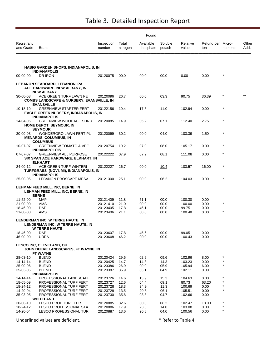|                         |                                                                                              |                      |                   | Found                  |                   |                   |                          |            |               |
|-------------------------|----------------------------------------------------------------------------------------------|----------------------|-------------------|------------------------|-------------------|-------------------|--------------------------|------------|---------------|
| Registrant<br>and Grade | Brand                                                                                        | Inspection<br>number | Total<br>nitrogen | Available<br>phosphate | Soluble<br>potash | Relative<br>value | Refund per Micro-<br>ton | nutrients  | Other<br>Add. |
|                         | <b>HABIG GARDEN SHOPS, INDIANAPOLIS, IN</b>                                                  |                      |                   |                        |                   |                   |                          |            |               |
|                         | <b>INDIANAPOLIS</b>                                                                          |                      |                   |                        |                   |                   |                          | *          |               |
| 00-00-00                | DR IRON                                                                                      | 20120075             | 00.0              | 00.0                   | 00.0              | 0.00              | 0.00                     |            |               |
|                         | LEBANON SEABOARD, LEBANON, PA<br>ACE HARDWARE, NEW ALBANY, IN<br><b>NEW ALBANY</b>           |                      |                   |                        |                   |                   |                          |            |               |
| 30-00-03                | ACE GREEN TURF LAWN FE<br><b>COMBS LANDSCAPE &amp; NURSERY, EVANSVILLE, IN</b>               | 20120096             | 26.7              | 00.0                   | 03.3              | 90.75             | 36.39                    |            |               |
| 10-18-10                | <b>EVANSVILLE</b><br><b>GREENVIEW STARTER FERT</b>                                           | 20122156             | 10.4              | 17.5                   | 11.0              | 102.94            | 0.00                     | $\star$    |               |
|                         | <b>EAGLE CREEK NURSERY, INDIANAPOLIS, IN</b><br><b>INDIANAPOLIS</b>                          |                      |                   |                        |                   |                   |                          |            |               |
| 14-04-06                | <b>GREENVIEW WOODACE SHRU</b><br>HOME DEPOT, SEYMOUR, IN<br><b>SEYMOUR</b>                   | 20120085             | 14.9              | 05.2                   | 07.1              | 112.40            | 2.75                     | $\star$    |               |
| 30-00-03                | WONDERGRO LAWN FERT PL<br><b>MENARDS, COLUMBUS, IN</b><br><b>COLUMBUS</b>                    | 20120099             | 30.2              | 00.0                   | 04.0              | 103.39            | 1.50                     |            |               |
| 10-07-07                | <b>GREENVIEW TOMATO &amp; VEG</b><br><b>INDIANAPOLOIS</b>                                    | 20120754             | 10.2              | 07.0                   | 08.0              | 105.17            | 0.00                     | $\star$    |               |
| 07-07-07                | <b>GREENVIEW ALL PURPOSE</b><br>SIX SPAN ACE HARDWARE, ELKHART, IN<br><b>ELKHART</b>         | 20122222             | 07.9              | 07.2                   | 08.1              | 111.08            | 0.00                     | $^\star$   |               |
| 24-00-12                | ACE GREEN TURF WINTERI<br>TURFGRASS (NOVI, MI), INDIANAPOLIS, IN<br><b>INDIANAPOLIS</b>      | 20122227             | 26.7              | 00.0                   | 10.4              | 103.57            | 16.00                    |            |               |
| 25-00-05                | LEBANON PROSCAPE MESA                                                                        | 20121300             | 25.1              | 00.0                   | 06.2              | 104.03            | 0.00                     | $\star$    |               |
|                         | LEHMAN FEED MILL, INC, BERNE, IN<br>LEHMAN FEED MILL, INC, BERNE, IN<br><b>BERNE</b>         |                      |                   |                        |                   |                   |                          |            |               |
| 11-52-00                | <b>MAP</b>                                                                                   | 20121409             | 11.8              | 51.1                   | 00.0              | 100.30            | 0.00                     |            |               |
| 21-00-00                | AMS                                                                                          | 20121410             | 21.0              | 00.0                   | 00.0              | 100.00            | 0.00                     | $\star$    |               |
| 18-46-00<br>21-00-00    | DAP<br>AMS                                                                                   | 20123405<br>20123406 | 17.8<br>21.1      | 46.1<br>00.0           | 00.0<br>00.0      | 99.75<br>100.48   | 0.00<br>0.00             | $\star$    |               |
|                         | LENDERMAN INC, W TERRE HAUTE, IN<br>LENDERMAN INC, W TERRE HAUTE, IN<br><b>W TERRE HAUTE</b> |                      |                   |                        |                   |                   |                          |            |               |
| 18-46-00                | DAP.                                                                                         | 20123607             | 17.8              | 45.6                   | 00.0              | 99.05             | 0.00                     |            |               |
| 46-00-00                | <b>UREA</b>                                                                                  | 20123608             | 46.2              | 00.0                   | 00.0              | 100.43            | 0.00                     |            |               |
|                         | <b>LESCO INC, CLEVELAND, OH</b><br>JOHN DEERE LANDSCAPES, FT WAYNE, IN<br>FT WAYNE           |                      |                   |                        |                   |                   |                          |            |               |
| 28-03-10                | <b>BLEND</b>                                                                                 | 20120424             | 29.6              | 02.9                   | 09.6              | 102.96            | 8.00                     |            |               |
| 14-14-14                | <b>BLEND</b>                                                                                 | 20120425             | 14.7              | 14.3                   | 14.3              | 103.23            | 0.00                     |            |               |
| 25-00-06<br>35-03-05    | <b>BLEND</b><br><b>BLEND</b>                                                                 | 20123386<br>20123387 | 26.9<br>35.9      | 00.0<br>03.1           | 05.9<br>04.9      | 105.94<br>102.11  | 6.00<br>0.00             |            |               |
|                         | <b>INDIANAPOLIS</b>                                                                          |                      |                   |                        |                   |                   |                          |            |               |
| 14-14-14                | PROFESSIONAL LANDSCAPE                                                                       | 20123726             | 14.6              | 13.9                   | 15.3              | 104.63            | 0.00                     | $^{\star}$ |               |
| 18-05-09                | PROFESSIONAL TURF FERT                                                                       | 20123727             | 12.6              | 04.4                   | 09.1              | 80.73             | 63.20                    |            |               |
| 18-24-12<br>14-20-04    | PROFESSIONAL TURF FERT<br>PROFESSIONAL TURF FERT                                             | 20123728<br>20123729 | 18.3<br>13.5      | 24.9<br>20.5           | 11.3<br>06.1      | 100.69<br>105.51  | 0.00<br>0.00             | $\star$    |               |
| 35-03-05                | PROFESSIONAL TURF FERT                                                                       | 20123730             | 35.8              | 03.8                   | 04.7              | 102.66            | 0.00                     |            |               |
|                         | <b>WHITELAND</b>                                                                             |                      |                   |                        |                   |                   |                          |            |               |
| 30-00-10<br>18-24-12    | LESCO PROF TURF FERT<br>LESCO PROFESSIONAL STA                                               | 20120885<br>20120886 | 32.6<br>17.9      | 00.0<br>23.6           | 08.2<br>14.0      | 102.47<br>103.08  | 18.00<br>0.00            | $\star$    |               |
| 14-20-04                | LESCO PROFESSIONAL TUR                                                                       | 20120887             | 13.6              | 20.8                   | 04.0              | 100.56            | 0.00                     | $\star$    |               |
|                         |                                                                                              |                      |                   |                        |                   |                   |                          |            |               |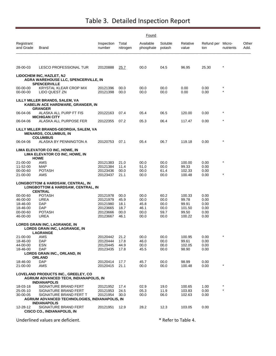|                         |                                                                                                                |                      |                   | Found                  |                   |                   |                          |           |               |
|-------------------------|----------------------------------------------------------------------------------------------------------------|----------------------|-------------------|------------------------|-------------------|-------------------|--------------------------|-----------|---------------|
| Registrant<br>and Grade | Brand                                                                                                          | Inspection<br>number | Total<br>nitrogen | Available<br>phosphate | Soluble<br>potash | Relative<br>value | Refund per Micro-<br>ton | nutrients | Other<br>Add. |
| 28-00-03                | LESCO PROFESSIONAL TUR                                                                                         | 20120888             | <u>25.7</u>       | 00.0                   | 04.5              | 96.95             | 25.30                    | $\ast$    |               |
|                         | LIDOCHEM INC, HAZLET, NJ<br>AGRA WAREHOUSE LLC, SPENCERVILLE, IN                                               |                      |                   |                        |                   |                   |                          |           |               |
| 00-00-00<br>00-00-00    | <b>SPENCERVILLE</b><br>KRYSTAL KLEAR CROP MIX<br>LIDO QUEST ZN                                                 | 20121396<br>20121398 | 00.0<br>00.0      | 00.0<br>00.0           | 00.0<br>00.0      | 0.00<br>0.00      | 0.00<br>0.00             |           |               |
|                         | LILLY MILLER BRANDS, SALEM, VA<br>KABELIN ACE HARDWARE, GRANGER, IN<br><b>GRANGER</b>                          |                      |                   |                        |                   |                   |                          |           |               |
| 06-04-06                | ALASKA ALL PURP FT FIS<br><b>MICHIGAN CITY</b>                                                                 | 20122163             | 07.4              | 05.4                   | 06.5              | 120.00            | 0.00                     | *         |               |
| 06-04-06                | ALASKA ALL PURPOSE FER                                                                                         | 20122355             | 07.2              | 05.3                   | 06.4              | 117.47            | 0.00                     | $\star$   |               |
|                         | LILLY MILLER BRANDS-GEORGIA, SALEM, VA<br><b>MENARDS, COLUMBUS, IN</b><br><b>COLUMBUS</b>                      |                      |                   |                        |                   |                   |                          |           |               |
| 06-04-06                | ALASKA BY PENNINGTON A                                                                                         | 20120753             | 07.1              | 05.4                   | 06.7              | 119.18            | 0.00                     | $\star$   |               |
|                         | LIMA ELEVATOR CO INC, HOWE, IN<br>LIMA ELEVATOR CO INC, HOWE, IN<br><b>HOWE</b>                                |                      |                   |                        |                   |                   |                          |           |               |
| 21-00-00<br>11-52-00    | AMS<br>MAP                                                                                                     | 20121383<br>20121384 | 21.0<br>11.4      | 00.0<br>51.0           | 00.0<br>00.0      | 100.00<br>99.33   | 0.00<br>0.00             | $\star$   |               |
| 00-00-60                | <b>POTASH</b>                                                                                                  | 20123436             | 00.0              | 00.0                   | 61.4              | 102.33            | 0.00                     |           |               |
| 21-00-00                | AMS                                                                                                            | 20123437             | 21.1              | 00.0                   | 00.0              | 100.48            | 0.00                     | $\star$   |               |
|                         | <b>LONGBOTTOM &amp; HARDSAW, CENTRAL, IN</b><br><b>LONGBOTTOM &amp; HARDSAW, CENTRAL, IN</b><br><b>CENTRAL</b> |                      |                   |                        |                   |                   |                          |           |               |
| 00-00-60                | <b>POTASH</b>                                                                                                  | 20121978             | 00.0              | 00.0                   | 60.2              | 100.33            | 0.00                     |           |               |
| 46-00-00                | UREA                                                                                                           | 20121979             | 45.9              | 00.0                   | 00.0              | 99.78             | 0.00                     |           |               |
| 18-46-00<br>18-46-00    | DAP<br>DAP                                                                                                     | 20121980<br>20123665 | 18.1<br>18.7      | 45.8<br>46.1           | 00.0<br>00.0      | 99.91<br>101.50   | 0.00<br>0.00             |           |               |
| 00-00-60                | <b>POTASH</b>                                                                                                  | 20123666             | 00.0              | 00.0                   | 59.7              | 99.50             | 0.00                     |           |               |
| 46-00-00                | UREA                                                                                                           | 20123667             | 46.1              | 00.0                   | 00.0              | 100.22            | 0.00                     |           |               |
|                         | LORDS GRAIN INC, LAGRANGE, IN<br><b>LORDS GRAIN INC, LAGRANGE, IN</b>                                          |                      |                   |                        |                   |                   |                          |           |               |
| 21-00-00                | LAGRANGE<br>AMS                                                                                                | 20120442             | 21.2              | 00.0                   | 00.0              | 100.95            | 0.00                     | $\star$   |               |
| 18-46-00                | <b>DAP</b>                                                                                                     | 20120444             | 17.8              | 46.0                   | 00.0              | 99.61             | 0.00                     |           |               |
| 44-00-00<br>18-46-00    | <b>ESN</b><br>DAP                                                                                              | 20120445<br>20123435 | 44.9<br>17.8      | 00.0<br>45.5           | 00.0<br>00.0      | 102.05<br>98.90   | 0.00<br>0.00             |           |               |
|                         | LORDS GRAIN INC., ORLAND, IN                                                                                   |                      |                   |                        |                   |                   |                          |           |               |
|                         | <b>ORLAND</b>                                                                                                  |                      |                   |                        |                   |                   |                          |           |               |
| 18-46-00<br>21-00-00    | DAP<br>AMS                                                                                                     | 20120414<br>20120415 | 17.7<br>21.1      | 45.7<br>00.0           | 00.0<br>00.0      | 98.99<br>100.48   | 0.00<br>0.00             |           |               |
|                         | LOVELAND PRODUCTS INC., GREELEY, CO<br>AGRIUM ADVANCED TECH, INDIANAPOLIS, IN<br><b>INDIANAPOLIS</b>           |                      |                   |                        |                   |                   |                          |           |               |
| 18-03-18<br>25-05-10    | SIGNATURE BRAND FERT<br>SIGNATURE BRAND FERT                                                                   | 20121952<br>20121953 | 17.4<br>24.5      | 02.9<br>05.3           | 19.0<br>11.9      | 100.65<br>103.83  | 1.00<br>0.00             | $\star$   |               |
| 30-00-05                | SIGNATURE BRAND FERT T                                                                                         | 20121954             | 30.0              | 00.0                   | 06.0              | 102.63            | 0.00                     |           |               |
|                         | AGRIUM ADVANCED TECHNOLOGIES, INDIANAPOLIS, IN<br><b>INDIANAPOLIS</b>                                          |                      |                   |                        |                   |                   |                          |           |               |
| 12-28-12                | SIGNATURE BRAND FERT<br><b>CISCO CO., INDIANAPOLIS, IN</b>                                                     | 20121951             | 12.9              | 28.2                   | 12.3              | 103.05            | 0.00                     |           |               |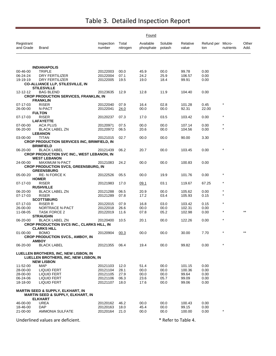|                         |                                                                                              |                      |                   | Found                  |                   |                   |                          |            |               |
|-------------------------|----------------------------------------------------------------------------------------------|----------------------|-------------------|------------------------|-------------------|-------------------|--------------------------|------------|---------------|
| Registrant<br>and Grade | <b>Brand</b>                                                                                 | Inspection<br>number | Total<br>nitrogen | Available<br>phosphate | Soluble<br>potash | Relative<br>value | Refund per Micro-<br>ton | nutrients  | Other<br>Add. |
|                         |                                                                                              |                      |                   |                        |                   |                   |                          |            |               |
|                         | <b>INDIANAPOLIS</b>                                                                          |                      |                   |                        |                   |                   |                          |            |               |
| 00-46-00                | <b>TRIPLE</b>                                                                                | 20122003             | 00.0              | 45.9                   | 00.0              | 99.78             | 0.00                     |            |               |
| 06-24-24                | DRY FERTILIZER                                                                               | 20122004             | 07.1              | 24.2                   | 25.9              | 106.57            | 0.00                     |            |               |
| 19-19-19                | DRY FERTILIZER                                                                               | 20122005             | 19.5              | 19.0                   | 18.4              | 99.91             | 0.00                     |            |               |
|                         | <b>CO-ALLIANCE LLP, STILESVILLE, IN</b><br><b>STILESVILLE</b>                                |                      |                   |                        |                   |                   |                          |            |               |
| 12-12-12                | <b>BAG BLEND</b>                                                                             | 20123635             | 12.9              | 12.8                   | 11.9              | 104.40            | 0.00                     |            |               |
|                         | <b>CROP PRODUCTION SERVICES, FRANKLIN, IN</b>                                                |                      |                   |                        |                   |                   |                          |            |               |
|                         | <b>FRANKLIN</b>                                                                              |                      |                   |                        |                   |                   |                          |            |               |
| 07-17-03                | <b>RISER</b>                                                                                 | 20122040             | 07.9              | 16.4                   | 02.8              | 101.28            | 0.45                     | $\star$    |               |
| 26-00-00                | N-PACT                                                                                       | 20122041             | 24.0              | 00.0                   | 00.0              | 92.31             | 22.00                    |            |               |
|                         | <b>FULTON</b>                                                                                |                      |                   |                        |                   |                   |                          |            |               |
| 07-17-03                | <b>RISER</b><br><b>LAFAYETTE</b>                                                             | 20120237             | 07.3              | 17.0                   | 03.5              | 103.42            | 0.00                     |            |               |
| 07-00-00                | ACA PLUS                                                                                     | 20120971             | 07.5              | 00.0                   | 00.0              | 107.14            | 0.00                     | $^{\star}$ |               |
| 06-20-00                | <b>BLACK LABEL ZN</b>                                                                        | 20120972             | 06.5              | 20.6                   | 00.0              | 104.56            | 0.00                     | $\star$    |               |
|                         | <b>LEBANON</b>                                                                               |                      |                   |                        |                   |                   |                          |            |               |
| 03-00-00                | TITAN                                                                                        | 20121015             | 02.7              | 00.0                   | 00.0              | 90.00             | 3.30                     |            |               |
|                         | <b>CROP PRODUCTION SERVICES INC, BRIMFIELD, IN</b>                                           |                      |                   |                        |                   |                   |                          |            |               |
|                         | <b>BRIMFIELD</b>                                                                             |                      |                   |                        |                   |                   |                          |            |               |
| 06-20-00                | <b>BLACK LABEL</b>                                                                           | 20121439             | 06.2              | 20.7                   | 00.0              | 103.45            | 0.00                     |            |               |
|                         | CROP PRODUCTION SVC INC., WEST LEBANON, IN<br><b>WEST LEBANON</b>                            |                      |                   |                        |                   |                   |                          |            |               |
| 24-00-00                | <b>MAXIMUM N-PACT</b>                                                                        | 20121083             | 24.2              | 00.0                   | 00.0              | 100.83            | 0.00                     |            |               |
|                         | <b>CROP PRODUCTION SVCS, GREENSBURG, IN</b>                                                  |                      |                   |                        |                   |                   |                          |            |               |
|                         | <b>GREENSBURG</b>                                                                            |                      |                   |                        |                   |                   |                          |            |               |
| 05-00-20                | RE-N FORCE K                                                                                 | 20122526             | 05.5              | 00.0                   | 19.9              | 101.76            | 0.00                     |            |               |
|                         | <b>HOMER</b>                                                                                 |                      |                   |                        |                   |                   |                          |            |               |
| 07-17-03                | <b>RISER</b>                                                                                 | 20121983             | 17.0              | 09.1                   | 03.1              | 119.67            | 67.25                    | $\star$    |               |
|                         | <b>RUSHVILLE</b>                                                                             |                      |                   |                        |                   |                   |                          | $\star$    |               |
| 06-20-00<br>07-17-03    | <b>BLACK LABEL ZN</b><br><b>RISER</b>                                                        | 20121288<br>20121289 | 06.5<br>07.8      | 20.9<br>17.2           | 00.0<br>03.4      | 105.62<br>105.93  | 0.00<br>0.15             |            |               |
|                         | <b>SCOTTSBURG</b>                                                                            |                      |                   |                        |                   |                   |                          |            |               |
| 07-17-03                | <b>RISER R</b>                                                                               | 20122015             | 07.9              | 16.8                   | 03.0              | 103.42            | 0.15                     | $\star$    |               |
| 26-00-00                | NORTRACE N-PACT                                                                              | 20122018             | 26.6              | 00.0                   | 00.0              | 102.31            | 0.00                     |            |               |
| 11-08-05                | <b>TASK FORCE 2</b>                                                                          | 20122019             | 11.6              | 07.8                   | 05.2              | 102.98            | 0.00                     |            |               |
|                         | <b>STRAUGHN</b>                                                                              |                      |                   |                        |                   |                   |                          |            |               |
| 06-20-00                | <b>BLACK LABEL ZN</b>                                                                        | 20120400             | 10.5              | 20.1                   | 00.0              | 122.26            | 0.00                     | $\star$    |               |
|                         | <b>CROP PRODUCTION SVCS INC., CLARKS HILL, IN</b><br><b>CLARKS HILL</b>                      |                      |                   |                        |                   |                   |                          |            |               |
| $01 - 00 - 00$          | <b>BOMO</b>                                                                                  | 20120904             | 00.3              | 00.0                   | 00.0              | 30.00             | 7.70                     |            |               |
|                         | <b>CROP PRODUCTION SVCS., AMBOY, IN</b>                                                      |                      |                   |                        |                   |                   |                          |            |               |
|                         | <b>AMBOY</b>                                                                                 |                      |                   |                        |                   |                   |                          |            |               |
| 06-20-00                | <b>BLACK LABEL</b>                                                                           | 20121355             | 06.4              | 19.4                   | 00.0              | 99.82             | 0.00                     | $\star$    |               |
|                         |                                                                                              |                      |                   |                        |                   |                   |                          |            |               |
|                         | LUELLEN BROTHERS, INC, NEW LISBON, IN<br>LUELLEN BROTHERS, INC, NEW LISBON, IN               |                      |                   |                        |                   |                   |                          |            |               |
|                         | <b>NEW LISBON</b>                                                                            |                      |                   |                        |                   |                   |                          |            |               |
| 11-52-00                | <b>MAP</b>                                                                                   | 20121103             | 12.0              | 51.4                   | 00.0              | 101.15            | 0.00                     |            |               |
| 28-00-00                | LIQUID FERT                                                                                  | 20121104             | 28.1              | 00.0                   | 00.0              | 100.36            | 0.00                     |            |               |
| 28-00-00                | LIQUID FERT                                                                                  | 20121105             | 27.9              | 00.0                   | 00.0              | 99.64             | 0.00                     |            |               |
| 06-24-06                | <b>LIQUID FERT</b>                                                                           | 20121106             | 06.3              | 23.6                   | 05.7              | 99.09             | 0.00                     |            |               |
| 18-18-00                | LIQUID FERT                                                                                  | 20121107             | 18.0              | 17.6                   | 00.0              | 99.06             | 0.00                     |            |               |
|                         |                                                                                              |                      |                   |                        |                   |                   |                          |            |               |
|                         | <b>MARTIN SEED &amp; SUPPLY, ELKHART, IN</b><br><b>MARTIN SEED &amp; SUPPLY, ELKHART, IN</b> |                      |                   |                        |                   |                   |                          |            |               |
|                         | <b>ELKHART</b>                                                                               |                      |                   |                        |                   |                   |                          |            |               |
| 46-00-00                | UREA                                                                                         | 20120162             | 46.2              | 00.0                   | 00.0              | 100.43            | 0.00                     |            |               |
| 18-46-00                | <b>DAP</b>                                                                                   | 20120163             | 18.0              | 45.4                   | 00.0              | 99.15             | 0.00                     |            |               |
| 21-00-00                | AMMONIA SULFATE                                                                              | 20120164             | 21.0              | 00.0                   | 00.0              | 100.00            | 0.00                     | $\star$    |               |
|                         |                                                                                              |                      |                   |                        |                   |                   |                          |            |               |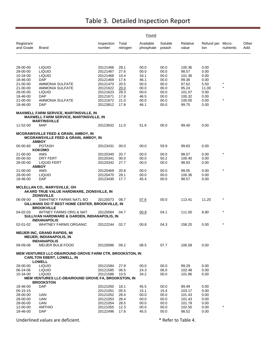|                         |                                                                                                                      |                      |                   | Found                  |                   |                   |                          |           |               |
|-------------------------|----------------------------------------------------------------------------------------------------------------------|----------------------|-------------------|------------------------|-------------------|-------------------|--------------------------|-----------|---------------|
| Registrant<br>and Grade | Brand                                                                                                                | Inspection<br>number | Total<br>nitrogen | Available<br>phosphate | Soluble<br>potash | Relative<br>value | Refund per Micro-<br>ton | nutrients | Other<br>Add. |
|                         |                                                                                                                      |                      |                   |                        |                   |                   |                          |           |               |
| 28-00-00                | <b>LIQUID</b>                                                                                                        | 20121466             | 28.1              | 00.0                   | 00.0              | 100.36            | 0.00                     |           |               |
| 28-00-00                | <b>LIQUID</b>                                                                                                        | 20121467             | 27.6              | 00.0                   | 00.0              | 98.57             | 0.00                     |           |               |
| 10-34-00<br>18-46-00    | <b>LIQUID</b><br><b>DAP</b>                                                                                          | 20121468<br>20121469 | 10.4<br>17.6      | 34.1<br>46.1           | 00.0<br>00.0      | 101.36<br>99.36   | 0.00<br>0.00             |           |               |
| 21-00-00                | <b>AMMONIA SULFATE</b>                                                                                               | 20121470             | 20.5              | 00.0                   | 00.0              | 97.62             | 5.50                     | $\star$   |               |
| 21-00-00                | AMMONIA SULFATE                                                                                                      | 20121622             | 20.0              | 00.0                   | 00.0              | 95.24             | 11.00                    | $\star$   |               |
| 28-00-00                | <b>LIQUID</b>                                                                                                        | 20121623             | 28.3              | 00.0                   | 00.0              | 101.07            | 0.00                     |           |               |
| 18-46-00                | DAP                                                                                                                  | 20121671             | 17.8              | 46.5                   | 00.0              | 100.32            | 0.00                     |           |               |
| 21-00-00                | AMMONIA SULFATE                                                                                                      | 20121672             | 21.0              | 00.0                   | 00.0              | 100.00            | 0.00                     | $\star$   |               |
| 18-46-00                | DAP                                                                                                                  | 20123812             | 17.8              | 46.1                   | 00.0              | 99.75             | 0.00                     |           |               |
|                         | MAXWELL FARM SERVICE, MARTINSVILLE, IN<br><b>MAXWELL FARM SERVICE, MARTINSVILLE, IN</b>                              |                      |                   |                        |                   |                   |                          |           |               |
|                         | <b>MARTINSVILLE</b>                                                                                                  |                      |                   |                        |                   |                   |                          |           |               |
| 11-52-00                | <b>MAP</b>                                                                                                           | 20123632             | 11.0              | 51.6                   | 00.0              | 99.40             | 0.00                     |           |               |
|                         | <b>MCGRAWSVILLE FEED &amp; GRAIN, AMBOY, IN</b><br><b>MCGRAWSVILLE FEED &amp; GRAIN, AMBOY, IN</b><br><b>AMBOY</b>   |                      |                   |                        |                   |                   |                          |           |               |
| 00-00-60                | <b>POTASH</b>                                                                                                        | 20123431             | 00.0              | 00.0                   | 59.9              | 99.83             | 0.00                     |           |               |
|                         | <b>KOKOMO</b>                                                                                                        |                      |                   |                        |                   |                   |                          |           |               |
| 21-00-00                | AMS                                                                                                                  | 20120340             | 20.7              | 00.0                   | 00.0              | 98.57             | 0.00                     | $\star$   |               |
| 00-00-50                | DRY FERT                                                                                                             | 20120341             | 00.0              | 00.0                   | 50.2              | 100.40            | 0.00                     |           |               |
| 28-00-00                | LIQUID FERT<br><b>AMBOY</b>                                                                                          | 20120342             | 27.7              | 00.0                   | 00.0              | 98.93             | 0.00                     |           |               |
| 21-00-00                | AMS                                                                                                                  | 20120469             | 20.8              | 00.0                   | 00.0              | 99.05             | 0.00                     | $\star$   |               |
| 28-00-00                | LIQUID                                                                                                               | 20120470             | 28.1              | 00.0                   | 00.0              | 100.36            | 0.00                     |           |               |
| 18-46-00                | <b>DAP</b>                                                                                                           | 20123430             | 17.7              | 45.4                   | 00.0              | 98.57             | 0.00                     |           |               |
|                         | <b>MCLELLAN CO., MARYSVILLE, OH</b><br>AKARD TRUE VALUE HARDWARE, ZIONSVILLE, IN<br><b>ZIONSVILLE</b>                |                      |                   |                        |                   |                   |                          |           |               |
| 06-09-00                | SWHITNEY FARMS NATL BO<br><b>GILLMANS DO IT BEST HOME CENTER, BROOKVILLE, IN</b>                                     | 20120073             | 08.7              | 07.6                   | 00.0              | 113.41            | 11.20                    |           |               |
| 04-02-03                | <b>BROOKVILLE</b><br>WITNEY FARMS ORG & NAT<br>SULLIVAN HARDWARE & GARDEN, INDIANAPOLIS, IN                          | 20120064             | 04.7              | 00.9                   | 04.1              | 111.00            | 8.80                     | $\star$   |               |
| 02-01-02                | <b>INDIANAPOLIS</b><br><b>WHITNEY FARMS ORGANIC</b>                                                                  | 20122244             | 02.7              | 00.8                   | 04.3              | 158.20            | 0.00                     |           |               |
|                         | <b>MEIJER INC, GRAND RAPIDS, MI</b><br><b>MEIJER, INDIANAPOLIS, IN</b><br><b>INDIANAPOLIS</b>                        |                      |                   |                        |                   |                   |                          |           |               |
| 09-09-06                | MEIJER BULB FOOD                                                                                                     | 20120086             | 09.2              | 08.5                   | 07.7              | 106.58            | 0.00                     |           |               |
|                         | <b>MEM VENTURES LLC-DBA/ROUND GROVE FARM CTR, BROOKSTON, IN</b><br><b>CARLTON EBERT, LOWELL, IN</b><br><b>LOWELL</b> |                      |                   |                        |                   |                   |                          |           |               |
| 28-00-00                | <b>LIQUID</b>                                                                                                        | 20121584             | 27.8              | 00.0                   | 00.0              | 99.29             | 0.00                     |           |               |
| 06-24-06                | <b>LIQUID</b>                                                                                                        | 20121585             | 06.5              | 24.3                   | 06.0              | 102.48            | 0.00                     |           |               |
| 10-34-00                | <b>LIQUID</b>                                                                                                        | 20121586             | 10.5              | 34.2                   | 00.0              | 101.86            | 0.00                     |           |               |
|                         | MEM VENTURES LLC-DBA/ROUND GROVE FA, BROOKSTON, IN<br><b>BROOKSTON</b>                                               |                      |                   |                        |                   |                   |                          |           |               |
| 18-46-00                | <b>DAP</b>                                                                                                           | 20121050             | 18.1              | 45.5                   | 00.0              | 99.49             | 0.00                     |           |               |
| 05-15-15                |                                                                                                                      | 20121051             | 05.5              | 15.1                   | 15.4              | 103.17            | 0.00                     |           |               |
| 28-00-00                | <b>UAN</b>                                                                                                           | 20121052             | 28.4              | 00.0                   | 00.0              | 101.43            | 0.00                     |           |               |
| 28-00-00                | UAN                                                                                                                  | 20121053             | 28.4              | 00.0                   | 00.0              | 101.43            | 0.00                     |           |               |
| 28-00-00                | UAN                                                                                                                  | 20121054             | 28.5              | 00.0                   | 00.0              | 101.79            | 0.00                     | $\star$   |               |
| 12-00-00<br>18-46-00    | <b>AMTHIO</b><br>DAP                                                                                                 | 20121055<br>20122496 | 12.3              | 00.0<br>45.5           | 00.0              | 102.50            | 0.00                     |           |               |
|                         |                                                                                                                      |                      | 17.6              |                        | 00.0              | 98.52             | 0.00                     |           |               |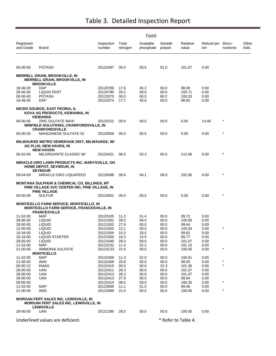|                         |                                                                                                                                |                      |                   | Found                  |                     |                   |                          |           |               |
|-------------------------|--------------------------------------------------------------------------------------------------------------------------------|----------------------|-------------------|------------------------|---------------------|-------------------|--------------------------|-----------|---------------|
| Registrant<br>and Grade | Brand                                                                                                                          | Inspection<br>number | Total<br>nitrogen | Available<br>phosphate | Soluble<br>potash   | Relative<br>value | Refund per Micro-<br>ton | nutrients | Other<br>Add. |
| 00-00-60                | <b>POTASH</b>                                                                                                                  | 20122497             | 00.0              | 00.0                   | 61.0                | 101.67            | 0.00                     |           |               |
|                         | <b>MERRELL GRAIN, BROOKVILLE, IN</b><br><b>MERRELL GRAIN, BROOKVILLE, IN</b><br><b>BROOKVILLE</b>                              |                      |                   |                        |                     |                   |                          |           |               |
| 18-46-00                | <b>DAP</b>                                                                                                                     | 20120789             | 17.6              | 45.2                   | 00.0                | 98.09             | 0.00                     |           |               |
| 28-00-00                | <b>LIQUID FERT</b>                                                                                                             | 20120790             | 28.2              | 00.0                   | 00.0                | 100.71            | 0.00                     |           |               |
| 00-00-60                | <b>POTASH</b>                                                                                                                  | 20122073             | 00.0              | 00.0                   | 60.2                | 100.33            | 0.00                     |           |               |
| 18-46-00                | DAP                                                                                                                            | 20122074             | 17.7              | 45.6                   | 00.0                | 98.85             | 0.00                     |           |               |
|                         | MICRO SOURCE, EAST PEORIA, IL<br>KOVA AG PRODUCTS, KEWANNA, IN<br><b>KEWANNA</b>                                               |                      |                   |                        |                     |                   |                          |           |               |
| 00-00-00                | <b>ZINC SULFATE MAXI</b><br><b>WINFIELD SOLUTIONS, CRAWFORDSVILLE, IN</b><br><b>CRAWFORDSVILLE</b>                             | 20120222             | 00.0              | 00.0                   | 00.0                | 0.00              | 14.40                    |           |               |
| 00-00-00                | MANGANESE SULFATE 32                                                                                                           | 20120509             | 00.0              | 00.0                   | 00.0                | 0.00              | 0.00                     | $\star$   |               |
|                         | MILWAUKEE METRO SEWERAGE DIST, MILWAUKEE, WI<br><b>AG PLUS, NEW HAVEN, IN</b><br><b>NEW HAVEN</b>                              |                      |                   |                        |                     |                   |                          |           |               |
| 06-02-00                | MILORGANITE CLASSIC W/                                                                                                         | 20120421             | 06.0              | 03.3                   | 00.0                | 112.68            | 0.00                     | $\star$   |               |
|                         | MIRACLE-GRO LAWN PRODUCTS INC, MARYSVILLE, OH<br>HOME DEPOT, SEYMOUR, IN<br><b>SEYMOUR</b>                                     |                      |                   |                        |                     |                   |                          |           |               |
| 09-04-09                | MIRACLE-GRO LIQUAFEED                                                                                                          | 20120098             | 09.6              | 04.1                   | 08.9                | 102.90            | 0.00                     |           |               |
|                         | <b>MONTANA SULPHUR &amp; CHEMICAL CO, BILLINGS, MT</b><br>PINE VILLAGE SVC CENTER INC, PINE VILLAGE, IN<br><b>PINE VILLAGE</b> |                      |                   |                        |                     |                   |                          |           |               |
| 00-00-00                | <b>SULFUR</b>                                                                                                                  | 20123601             | 00.0              | 00.0                   | 00.0                | 0.00              | 0.00                     | $\star$   |               |
|                         | <b>MONTICELLO FARM SERVICE, MONTICELLO, IN</b><br><b>MONTICELLO FARM SERVICE, FRANCESVILLE, IN</b><br><b>FRANCESVILLE</b>      |                      |                   |                        |                     |                   |                          |           |               |
| 11-52-00                | <b>MAP</b>                                                                                                                     | 20120105             | 11.3              | 51.4                   | 00.0                | 99.72             | 0.00                     |           |               |
| 28-00-00<br>28-00-00    | <b>LIQUID</b>                                                                                                                  | 20121501<br>20121502 | 28.0<br>27.9      | 00.0                   | 00.0                | 100.00<br>99.64   | 0.00<br>0.00             |           |               |
| 12-00-00                | <b>LIQUID</b><br><b>LIQUID</b>                                                                                                 | 20121503             | 12.1              | 00.0<br>00.0           | 00.0<br>00.0        | 100.83            | 0.00                     | $\star$   |               |
| 10-34-00                | <b>LIQUID</b>                                                                                                                  | 20121504             | 10.3              | 33.5                   | 00.0                | 99.82             | 0.00                     |           |               |
| 16-16-00                | <b>LIQUID STARTER</b>                                                                                                          | 20121505             | 16.3              | 15.5                   | 00.0                | 99.77             | 0.00                     |           |               |
| 28-00-00                | <b>LIQUID</b>                                                                                                                  | 20121646             | 28.3              | 00.0                   | 00.0                | 101.07            | 0.00                     |           |               |
| 11-52-00                | <b>MAP</b>                                                                                                                     | 20123132             | 11.4              | 52.2                   | 00.0                | 101.12            | 0.00                     |           |               |
| 21-00-00                | <b>AMMONIA SULFATE</b><br><b>MONTICELLO</b>                                                                                    | 20123133             | 21.0              | 00.0                   | 00.0                | 100.00            | 0.00                     |           |               |
| 11-52-00                | MAP                                                                                                                            | 20122408             | 11.3              | 52.0                   | 00.0                | 100.61            | 0.00                     |           |               |
| 21-00-00                | AMS                                                                                                                            | 20122409             | 20.8              | 00.0                   | 00.0                | 99.05             | 0.00                     | $\star$   |               |
| 00-00-22                | <b>KMAG</b>                                                                                                                    | 20122410             | 00.0              | 00.0                   | 22.3                | 101.36            | 0.00                     |           |               |
| 28-00-00                | UAN                                                                                                                            | 20122411             | 28.3              | 00.0                   | 00.0                | 101.07            | 0.00                     |           |               |
| 28-00-00                | <b>UAN</b>                                                                                                                     | 20122412             | 28.3              | 00.0                   | 00.0                | 101.07            | 0.00                     |           |               |
| 28-00-00<br>08-00-00    | <b>UAN</b>                                                                                                                     | 20122413<br>20122414 | 27.9<br>08.5      | 00.0<br>00.0           | 00.0<br>00.0        | 99.64<br>106.25   | 0.00<br>0.00             |           |               |
| 11-52-00                | <b>MAP</b>                                                                                                                     | 20123588             | 11.1              | 51.5                   | 00.0                | 99.46             | 0.00                     |           |               |
| 21-00-00                | AMS                                                                                                                            | 20123589             | 21.0              | 00.0                   | 00.0                | 100.00            | 0.00                     | $\star$   |               |
|                         | MORGAN FERT SALES INC, LEWISVILLE, IN<br><b>MORGAN FERT SALES INC, LEWISVILLE, IN</b><br><b>LEWISVILLE</b>                     |                      |                   |                        |                     |                   |                          |           |               |
| 28-00-00                | <b>UAN</b>                                                                                                                     | 20121290             | 28.0              | 00.0                   | 00.0                | 100.00            | 0.00                     |           |               |
|                         | Underlined values are deficient.                                                                                               |                      |                   |                        | * Refer to Table 4. |                   |                          |           |               |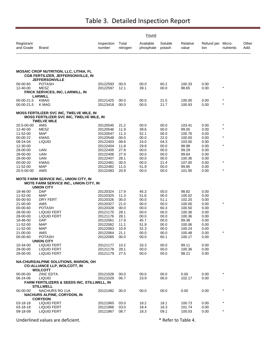|                         |                                                                                                                          | Found                |                   |                        |                   |                   |                          |                    |               |
|-------------------------|--------------------------------------------------------------------------------------------------------------------------|----------------------|-------------------|------------------------|-------------------|-------------------|--------------------------|--------------------|---------------|
| Registrant<br>and Grade | <b>Brand</b>                                                                                                             | Inspection<br>number | Total<br>nitrogen | Available<br>phosphate | Soluble<br>potash | Relative<br>value | Refund per Micro-<br>ton | nutrients          | Other<br>Add. |
|                         |                                                                                                                          |                      |                   |                        |                   |                   |                          |                    |               |
|                         | <b>MOSAIC CROP NUTRITION, LLC, LITHIA, FL</b><br><b>CGB FERTILIZER, JEFFERSONVILLE, IN</b><br><b>JEFFERSONVILLE</b>      |                      |                   |                        |                   |                   |                          |                    |               |
| 00-00-60<br>12-40-00    | <b>POTASH</b><br>MESZ                                                                                                    | 20122593<br>20122597 | 00.0<br>12.1      | 00.0<br>39.1           | 60.2<br>00.0      | 100.33<br>98.65   | 0.00<br>0.00             | $\star$            |               |
|                         | <b>FRICK SERVICES, INC. LARWILL, IN</b>                                                                                  |                      |                   |                        |                   |                   |                          |                    |               |
| 00-00-21.5              | <b>LARWILL</b><br><b>KMAG</b>                                                                                            | 20121425             | 00.0              | 00.0                   | 21.5              | 100.00            | 0.00                     | $\star$            |               |
| 00-00-21.5              | K MAG                                                                                                                    | 20123418             | 00.0              | 00.0                   | 21.7              | 100.93            | 0.00                     | $\star$            |               |
|                         | <b>MOSS FERTILIZER SVC INC, TWELVE MILE, IN</b><br><b>MOSS FERTILIZER SVC INC, TWELVE MILE, IN</b><br><b>TWELVE MILE</b> |                      |                   |                        |                   |                   |                          |                    |               |
| 20.5-00-00              | AMS                                                                                                                      | 20120545             | 21.2              | 00.0                   | 00.0              | 103.41            | 0.00                     | $\star$<br>$\star$ |               |
| 12-40-00<br>11-52-00    | MESZ<br><b>MAP</b>                                                                                                       | 20120546<br>20120547 | 11.9<br>11.3      | 39.6<br>52.1           | 00.0<br>00.0      | 99.05<br>100.76   | 0.00<br>0.00             |                    |               |
| 00-00-22                | KMAG                                                                                                                     | 20120548             | 00.0              | 00.0                   | 22.0              | 100.00            | 0.00                     | $\star$            |               |
| 08-24-04<br>12-30-00    | <b>LIQUID</b>                                                                                                            | 20122403             | 08.6              | 24.0<br>29.8           | 04.3              | 103.00<br>98.98   | 0.00                     | $\star$            |               |
| 28-00-00                | <b>UAN</b>                                                                                                               | 20122404<br>20122405 | 11.8<br>27.8      | 00.0                   | 00.0<br>00.0      | 99.29             | 0.00<br>0.00             |                    |               |
| 28-00-00                | <b>UAN</b>                                                                                                               | 20122406             | 27.9              | 00.0                   | 00.0              | 99.64             | 0.00                     |                    |               |
| 28-00-00<br>00-00-20    | UAN<br>KMAG                                                                                                              | 20122407<br>20122481 | 28.1<br>00.0      | 00.0<br>00.0           | 00.0<br>21.4      | 100.36<br>107.00  | 0.00<br>0.00             | $\star$            |               |
| 11-52-00                | <b>MAP</b>                                                                                                               | 20122482             | 11.0              | 51.9                   | 00.0              | 99.85             | 0.00                     |                    |               |
| 20.5-00-00              | AMS                                                                                                                      | 20122483             | 20.9              | 00.0                   | 00.0              | 101.95            | 0.00                     | $\star$            |               |
|                         | <b>MOTE FARM SERVICE INC., UNION CITY, IN</b><br><b>MOTE FARM SERVICE INC., UNION CITY, IN</b><br><b>UNION CITY</b>      |                      |                   |                        |                   |                   |                          |                    |               |
| 18-46-00                | DAP                                                                                                                      | 20120324             | 17.9              | 45.3                   | 00.0              | 98.82             | 0.00                     |                    |               |
| 11-52-00<br>00-00-50    | MAP<br>DRY FERT                                                                                                          | 20120325<br>20120326 | 11.3<br>00.0      | 51.6<br>00.0           | 00.0<br>51.1      | 100.02<br>102.20  | 0.00<br>0.00             |                    |               |
| 21-00-00                | AMS                                                                                                                      | 20120327             | 21.0              | 00.0                   | 00.0              | 100.00            | 0.00                     | $\star$            |               |
| 00-00-60                | <b>POTASH</b>                                                                                                            | 20120328             | 00.0              | 00.0                   | 60.3              | 100.50            | 0.00                     |                    |               |
| 28-00-00<br>28-00-00    | <b>LIQUID FERT</b><br><b>LIQUID FERT</b>                                                                                 | 20121175<br>20121176 | 28.1<br>28.1      | 00.0<br>00.0           | 00.0<br>00.0      | 100.36<br>100.36  | 0.00<br>0.00             |                    |               |
| 18-46-00                | DAP                                                                                                                      | 20122061             | 17.9              | 45.7                   | 00.0              | 99.38             | 0.00                     |                    |               |
| 11-52-00                | MAP                                                                                                                      | 20122062             | 11.1              | 51.9                   | 00.0              | 100.06            | 0.00                     |                    |               |
| 11-52-00<br>21-00-00    | MAP<br>AMS                                                                                                               | 20122063<br>20122064 | 10.9<br>21.1      | 52.3<br>00.0           | 00.0<br>00.0      | 100.24<br>100.48  | 0.00<br>0.00             |                    |               |
| 00-00-60                | <b>POTASH</b>                                                                                                            | 20122065             | 00.0              | 00.0                   | 60.1              | 100.17            | 0.00                     |                    |               |
|                         | <b>UNION CITY</b>                                                                                                        |                      |                   |                        |                   |                   |                          |                    |               |
| 10-34-00<br>28-00-00    | <b>LIQUID FERT</b><br>LIQUID FERT                                                                                        | 20121177<br>20121178 | 10.2<br>28.1      | 33.3<br>00.0           | 00.0<br>00.0      | 99.11<br>100.36   | 0.00<br>0.00             |                    |               |
| 28-00-00                | LIQUID FERT                                                                                                              | 20121179             | 27.5              | 00.0                   | 00.0              | 98.21             | 0.00                     |                    |               |
|                         | NA-CHURS/ALPINE SOLUTIONS, MARION, OH<br><b>CO-ALLIANCE LLP, WOLCOTT, IN</b><br><b>WOLCOTT</b>                           |                      |                   |                        |                   |                   |                          |                    |               |
| 00-00-00                | <b>ZINC EDTA</b>                                                                                                         | 20121026             | 00.0              | 00.0                   | 00.0              | 0.00              | 0.00                     |                    |               |
| 06-24-06                | <b>LIQUID</b>                                                                                                            | 20121029             | 06.7              | 23.9                   | 06.0              | 102.17            | 0.00                     |                    |               |
|                         | FARM FERTILIZERS & SEEDS INC, STILLWELL, IN<br><b>STILLWELL</b>                                                          |                      |                   |                        |                   |                   |                          |                    |               |
| $00 - 00 - 00$          | NACHURS RD 11A                                                                                                           | 20121482             | 00.0              | 00.0                   | 00.0              | 0.00              | 0.00                     | $\star$            |               |
|                         | <b>NACHURS ALPINE, CORYDON, IN</b>                                                                                       |                      |                   |                        |                   |                   |                          |                    |               |
| $03 - 18 - 18$          | <b>CORYDON</b><br><b>LIQUID FERT</b>                                                                                     | 20121965             | 03.0              | 18.2                   | 18.1              | 100.73            | 0.00                     | $\star$            |               |
| 03-18-18                | <b>LIQUID FERT</b>                                                                                                       | 20121966             | 03.0              | 18.4                   | 18.3              | 101.74            | 0.00                     |                    |               |
| 09-18-09                | <b>LIQUID FERT</b>                                                                                                       | 20121967             | 08.7              | 18.3                   | 09.1              | 100.03            | 0.00                     | $\star$            |               |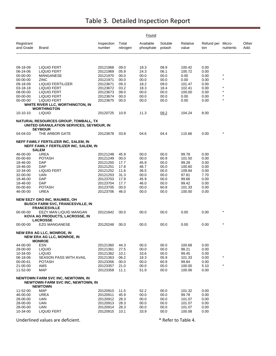|                         |                                                                                                        |                      |                   | Found                  |                   |                   |                          |                    |               |
|-------------------------|--------------------------------------------------------------------------------------------------------|----------------------|-------------------|------------------------|-------------------|-------------------|--------------------------|--------------------|---------------|
| Registrant<br>and Grade | Brand                                                                                                  | Inspection<br>number | Total<br>nitrogen | Available<br>phosphate | Soluble<br>potash | Relative<br>value | Refund per Micro-<br>ton | nutrients          | Other<br>Add. |
|                         |                                                                                                        |                      |                   |                        |                   |                   |                          |                    |               |
| 09-18-09                | LIQUID FERT                                                                                            | 20121968             | 09.0              | 18.3                   | 08.9              | 100.42            | 0.00                     |                    |               |
| 06-24-06                | LIQUID FERT                                                                                            | 20121969             | 05.9              | 24.3                   | 06.1              | 100.72            | 0.00                     |                    |               |
| 00-00-00                | MANGANESE                                                                                              | 20121970             | 00.0              | 00.0                   | 00.0              | 0.00              | 0.00                     | $\star$<br>$\star$ |               |
| 00-00-00                | ZINC                                                                                                   | 20121971             | 00.0              | 00.0                   | 00.0              | 0.00              | 0.00                     |                    |               |
| 09-18-09                | LIQUID FERTILIZER                                                                                      | 20123671             | 09.3              | 18.2                   | 09.0              | 101.47            | 0.00                     |                    |               |
| 03-18-18                | LIQUID FERT                                                                                            | 20123672             | 03.2              | 18.3                   | 18.4              | 102.41            | 0.00                     | $\star$            |               |
| 08-00-00<br>00-00-00    | <b>LIQUID FERT</b><br><b>LIQUID FERT</b>                                                               | 20123673<br>20123674 | 08.0<br>00.0      | 00.0<br>00.0           | 00.0<br>00.0      | 100.00<br>0.00    | 0.00<br>0.00             | $\star$            |               |
| 00-00-00                | <b>LIQUID FERT</b>                                                                                     | 20123675             | 00.0              | 00.0                   | 00.0              | 0.00              | 0.00                     | $\star$            |               |
|                         | WHITE RIVER LLC, WORTHINGTON, IN                                                                       |                      |                   |                        |                   |                   |                          |                    |               |
|                         | <b>WORTHINGTON</b>                                                                                     |                      |                   |                        |                   |                   |                          |                    |               |
| $10-10-10$              | <b>LIQUID</b>                                                                                          | 20120725             | 10.9              | 11.3                   | 09.2              | 104.24            | 8.00                     |                    |               |
|                         | NATURAL RESOURCES GROUP, TOMBALL, TX<br>UNITED GRANULATION SERVICES, SEYMOUR, IN<br><b>SEYMOUR</b>     |                      |                   |                        |                   |                   |                          |                    |               |
| 04-04-03                | THE ARBOR GATE                                                                                         | 20123678             | 03.8              | 04.6                   | 04.4              | 115.66            | 0.00                     | $^{\star}$         |               |
|                         | NEFF FAMILY FERTILIZER INC, SALEM, IN<br>NEFF FAMILY FERTILIZER INC, SALEM, IN                         |                      |                   |                        |                   |                   |                          |                    |               |
| 46-00-00                | <b>SALEM</b><br><b>UREA</b>                                                                            |                      |                   |                        |                   |                   |                          |                    |               |
| 00-00-60                | <b>POTASH</b>                                                                                          | 20121248<br>20121249 | 45.9<br>00.0      | 00.0<br>00.0           | 00.0<br>60.9      | 99.78<br>101.50   | 0.00<br>0.00             |                    |               |
| 18-46-00                | <b>DAP</b>                                                                                             | 20121250             | 17.7              | 45.9                   | 00.0              | 99.28             | 0.00                     |                    |               |
| 18-46-00                | DAP                                                                                                    | 20121251             | 17.8              | 46.7                   | 00.0              | 100.60            | 0.00                     |                    |               |
| 10-34-00                | <b>LIQUID FERT</b>                                                                                     | 20121252             | 11.6              | 36.5                   | 00.0              | 109.84            | 0.00                     |                    |               |
| 32-00-00                | UAN                                                                                                    | 20121253             | 31.3              | 00.0                   | 00.0              | 97.81             | 7.70                     |                    |               |
| 18-46-00                | DAP                                                                                                    | 20123703             | 17.9              | 45.9                   | 00.0              | 99.66             | 0.00                     |                    |               |
| 18-46-00                | <b>DAP</b>                                                                                             | 20123704             | 17.7              | 46.0                   | 00.0              | 99.42             | 0.00                     |                    |               |
| 00-00-60                | <b>POTASH</b>                                                                                          | 20123705             | 00.0              | 00.0                   | 60.8              | 101.33            | 0.00                     |                    |               |
| 46-00-00                | UREA                                                                                                   | 20123706             | 46.0              | 00.0                   | 00.0              | 100.00            | 0.00                     |                    |               |
|                         | <b>NEW EEZY GRO INC, MAUMEE, OH</b><br><b>BUSCH FARM SVC, FRANCESVILLE, IN</b><br><b>FRANCESVILLE</b>  |                      |                   |                        |                   |                   |                          |                    |               |
| $00 - 00 - 00$          | EEZY MAN LIQUID MANGAN<br>KOVA AG PRODUCTS, LACROSSE, IN<br><b>LACROSSE</b>                            | 20121642             | 00.0              | 00.0                   | 00.0              | 0.00              | 0.00                     | $^{\star}$         |               |
| 00-00-00                | <b>EZG MANGANESE</b>                                                                                   | 20120248             | 00.0              | 00.0                   | 00.0              | 0.00              | 0.00                     | $\star$            |               |
|                         | NEW ERA AG LLC, MONROE, IN<br><b>NEW ERA AG LLC, MONROE, IN</b><br><b>MONROE</b>                       |                      |                   |                        |                   |                   |                          |                    |               |
| 44-00-00                | <b>ESN</b>                                                                                             | 20121360             | 44.3              | 00.0                   | 00.0              | 100.68            | 0.00                     |                    |               |
| 28-00-00                | <b>LIQUID</b>                                                                                          | 20121361             | 27.5              | 00.0                   | 00.0              | 98.21             | 0.00                     |                    |               |
| 10-34-00                | <b>LIQUID</b>                                                                                          | 20121362             | 10.1              | 33.6                   | 00.0              | 99.45             | 0.00                     |                    |               |
| 06-18-06                | <b>SEASON PASS WITH AVAIL</b>                                                                          | 20121363             | 06.2              | 18.3                   | 05.9              | 101.33            | 0.00                     | $\star$            |               |
| 00-00-61                | <b>POTASH</b>                                                                                          | 20123356             | 00.0              | 00.0                   | 60.9              | 99.84             | 0.00                     | $\star$            |               |
| 21-00-00<br>11-52-00    | AMS<br><b>MAP</b>                                                                                      | 20123357<br>20123358 | 21.0<br>11.1      | 00.0<br>51.9           | 00.0<br>00.0      | 100.00<br>100.06  | 5.10<br>0.00             |                    |               |
|                         |                                                                                                        |                      |                   |                        |                   |                   |                          |                    |               |
|                         | <b>NEWTOWN FARM SVC INC, NEWTOWN, IN</b><br><b>NEWTOWN FARM SVC INC, NEWTOWN, IN</b><br><b>NEWTOWN</b> |                      |                   |                        |                   |                   |                          |                    |               |
| 11-52-00                | <b>MAP</b>                                                                                             | 20120910             | 11.5              | 52.2                   | 00.0              | 101.32            | 0.00                     |                    |               |
| 46-00-00                | <b>UREA</b>                                                                                            | 20120911             | 45.9              | 00.0                   | 00.0              | 99.78             | 0.00                     |                    |               |
| 28-00-00                | <b>UAN</b>                                                                                             | 20120912             | 28.3              | 00.0                   | 00.0              | 101.07            | 0.00                     |                    |               |
| 28-00-00                | UAN                                                                                                    | 20120913             | 28.3              | 00.0                   | 00.0              | 101.07            | 0.00                     |                    |               |
| 28-00-00                | <b>UAN</b>                                                                                             | 20120914             | 28.3              | 00.0                   | 00.0              | 101.07            | 0.00                     |                    |               |
| 10-34-00                | <b>LIQUID FERT</b>                                                                                     | 20120915             | 10.1              | 33.9                   | 00.0              | 100.08            | 0.00                     |                    |               |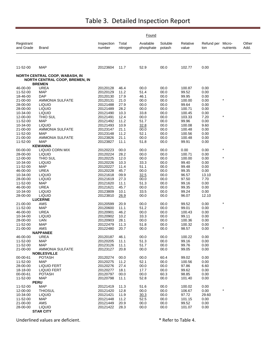|                         |                                                                         |                      |                   | Found                  |                   |                   |                          |           |               |
|-------------------------|-------------------------------------------------------------------------|----------------------|-------------------|------------------------|-------------------|-------------------|--------------------------|-----------|---------------|
| Registrant<br>and Grade | Brand                                                                   | Inspection<br>number | Total<br>nitrogen | Available<br>phosphate | Soluble<br>potash | Relative<br>value | Refund per Micro-<br>ton | nutrients | Other<br>Add. |
| 11-52-00                | <b>MAP</b>                                                              | 20123604             | 11.7              | 52.9                   | 00.0              | 102.77            | 0.00                     |           |               |
|                         | NORTH CENTRAL COOP, WABASH, IN<br><b>NORTH CENTRAL COOP, BREMEN, IN</b> |                      |                   |                        |                   |                   |                          |           |               |
|                         | <b>BREMEN</b>                                                           |                      |                   |                        |                   |                   |                          |           |               |
| 46-00-00                | <b>UREA</b>                                                             | 20120128             | 46.4              | 00.0                   | 00.0              | 100.87            | 0.00                     |           |               |
| 11-52-00                | <b>MAP</b>                                                              | 20120129             | 11.2              | 51.4                   | 00.0              | 99.52             | 0.00                     |           |               |
| 18-46-00<br>21-00-00    | <b>DAP</b>                                                              | 20120130             | 17.9              | 46.1                   | 00.0              | 99.95             | 0.00                     | $\star$   |               |
|                         | <b>AMMONIA SULFATE</b>                                                  | 20120131             | 21.0              | 00.0                   | 00.0              | 100.00            | 0.00                     |           |               |
| 28-00-00                | <b>LIQUID</b>                                                           | 20121488             | 27.9              | 00.0                   | 00.0              | 99.64             | 0.00                     |           |               |
| 28-00-00<br>10-34-00    | <b>LIQUID</b><br><b>LIQUID</b>                                          | 20121489<br>20121490 | 28.2<br>10.3      | 00.0<br>33.8           | 00.0<br>00.0      | 100.71<br>100.45  | 0.00<br>0.00             |           |               |
| 12-00-00                | THIO SUL                                                                | 20121491             | 12.4              | 00.0                   | 00.0              | 103.33            | 7.20                     | $\star$   |               |
| 11-52-00                | <b>MAP</b>                                                              | 20121492             | 11.2              | 51.7                   | 00.0              | 99.96             | 0.00                     |           |               |
| 10-34-00                | <b>LIQUID</b>                                                           | 20121493             | 10.9              | 32.8                   | 00.0              | 100.08            | 9.60                     |           |               |
| 21-00-00                | <b>AMMONIA SULFATE</b>                                                  | 20123147             | 21.1              | 00.0                   | 00.0              | 100.48            | 0.00                     |           |               |
| 11-52-00                | <b>MAP</b>                                                              | 20123148             | 11.2              | 52.1                   | 00.0              | 100.56            | 0.00                     |           |               |
| 21-00-00                | <b>AMMONIA SULFATE</b>                                                  | 20123826             | 21.1              | 00.0                   | 00.0              | 100.48            | 0.00                     |           |               |
| 11-52-00                | <b>MAP</b>                                                              | 20123827             | 11.1              | 51.8                   | 00.0              | 99.91             | 0.00                     |           |               |
|                         | <b>KEWANNA</b>                                                          |                      |                   |                        |                   |                   |                          |           |               |
| 00-00-00                | LIQUID CORN MIX                                                         | 20120223             | 00.0              | 00.0                   | 00.0              | 0.00              | 0.00                     | $\star$   |               |
| 28-00-00                | <b>LIQUID</b>                                                           | 20120224             | 28.2              | 00.0                   | 00.0              | 100.71            | 0.00                     |           |               |
| 12-00-00                | THIO SUL                                                                | 20120225             | 12.0              | 00.0                   | 00.0              | 100.00            | 0.00                     | $\star$   |               |
| 10-34-00                | <b>LIQUID</b>                                                           | 20120226             | 10.3              | 33.3                   | 00.0              | 99.40             | 0.00                     |           |               |
| 11-52-00                | <b>MAP</b>                                                              | 20120227             | 11.4              | 51.1                   | 00.0              | 99.48             | 0.00                     |           |               |
| 46-00-00                | UREA                                                                    | 20120228             | 45.7              | 00.0                   | 00.0              | 99.35             | 0.00                     |           |               |
| 10-34-00                | <b>LIQUID</b>                                                           | 20121618             | 09.9              | 32.5                   | 00.0              | 96.57             | 13.10                    |           |               |
| 28-00-00                | <b>LIQUID</b>                                                           | 20121619             | 27.3              | 00.0                   | 00.0              | 97.50             | 7.70                     |           |               |
| 11-52-00                | <b>MAP</b>                                                              | 20121620             | 11.1              | 51.3                   | 00.0              | 99.16             | 0.00                     |           |               |
| 46-00-00                | <b>UREA</b>                                                             | 20121621             | 45.7              | 00.0                   | 00.0              | 99.35             | 0.00                     |           |               |
| 10-34-00                | <b>LIQUID</b>                                                           | 20123809             | 10.1              | 33.5                   | 00.0              | 99.24             | 0.00                     |           |               |
| 28-00-00                | <b>LIQUID</b>                                                           | 20123810             | 26.9              | 00.0                   | 00.0              | 96.07             | 12.10                    |           |               |
|                         | <b>LUCERNE</b>                                                          |                      |                   |                        |                   |                   |                          |           |               |
| 21-00-00<br>11-52-00    | AMS<br><b>MAP</b>                                                       | 20120599<br>20120600 | 20.9<br>11.1      | 00.0<br>51.2           | 00.0<br>00.0      | 99.52<br>99.01    | 0.00<br>0.00             |           |               |
| 46-00-00                | UREA                                                                    | 20120901             | 46.2              | 00.0                   | 00.0              | 100.43            | 0.00                     |           |               |
| 10-34-00                | <b>LIQUID</b>                                                           | 20120902             | 10.2              | 33.3                   | 00.0              | 99.11             | 0.00                     |           |               |
| 28-00-00                | UAN                                                                     | 20120903             | 28.1              | 00.0                   | 00.0              | 100.36            | 0.00                     |           |               |
| 11-52-00                | <b>MAP</b>                                                              | 20122479             | 11.3              | 51.8                   | 00.0              | 100.32            | 0.00                     |           |               |
| 21-00-00                | AMS                                                                     | 20122480             | 20.7              | 00.0                   | 00.0              | 98.57             | 0.00                     |           |               |
|                         | <b>NAPPANEE</b>                                                         |                      |                   |                        |                   |                   |                          |           |               |
| 46-00-00                | UREA                                                                    | 20120187             | 46.1              | 00.0                   | 00.0              | 100.22            | 0.00                     |           |               |
| 11-52-00                | <b>MAP</b>                                                              | 20120205             | 11.1              | 51.3                   | 00.0              | 99.16             | 0.00                     |           |               |
| 11-52-00                | MAP                                                                     | 20123126             | 11.1              | 51.7                   | $00.0\,$          | 99.76             | 0.00                     |           |               |
| 21-00-00                | <b>AMMONIA SULFATE</b>                                                  | 20123127             | 20.8              | 00.0                   | 00.0              | 99.05             | 0.00                     |           |               |
|                         | <b>NOBLESVILLE</b>                                                      |                      |                   |                        |                   |                   |                          |           |               |
| 00-00-61                | <b>POTASH</b>                                                           | 20120274             | 00.0              | 00.0                   | 60.4              | 99.02             | 0.00                     |           |               |
| 11-52-00                | <b>MAP</b>                                                              | 20120275             | 11.2              | 52.1                   | 00.0              | 100.56            | 0.00                     |           |               |
| 28-00-00<br>18-18-00    | <b>LIQUID FERT</b><br>LIQUID FERT                                       | 20120276<br>20120277 | 27.4<br>18.1      | 00.0<br>17.7           | 00.0<br>00.0      | 97.86<br>99.62    | 6.60<br>0.00             |           |               |
| 00-00-61                | <b>POTASH</b>                                                           | 20120797             | 00.0              | 00.0                   | 60.3              | 98.85             | 0.00                     |           |               |
| 11-52-00                | <b>MAP</b>                                                              | 20120798             | 11.1              | 52.8                   | 00.0              | 101.40            | 0.00                     |           |               |
|                         | <b>PERU</b>                                                             |                      |                   |                        |                   |                   |                          |           |               |
| 11-52-00                | <b>MAP</b>                                                              | 20121419             | 11.3              | 51.6                   | 00.0              | 100.02            | 0.00                     |           |               |
| 12-00-00                | <b>THIOSUL</b>                                                          | 20121420             | 12.8              | 00.0                   | 00.0              | 106.67            | 0.00                     |           |               |
| 10-34-00                | <b>LIQUID</b>                                                           | 20121421             | 11.9              | 30.3                   | 00.0              | 97.72             | 29.60                    |           |               |
| 11-52-00                | MAP                                                                     | 20121448             | 11.2              | 52.5                   | 00.0              | 101.15            | 0.00                     |           |               |
| 21-00-00                | AMS                                                                     | 20121449             | 20.9              | 00.0                   | 00.0              | 99.52             | 0.00                     |           |               |
| 28-00-00                | <b>LIQUID</b>                                                           | 20121422             | 28.3              | 00.0                   | 00.0              | 101.07            | 0.00                     |           |               |
|                         | <b>STAR CITY</b>                                                        |                      |                   |                        |                   |                   |                          |           |               |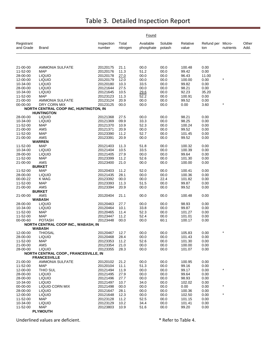|                         |                                                             |                      |                   | Found                  |                   |                   |                   |                     |               |
|-------------------------|-------------------------------------------------------------|----------------------|-------------------|------------------------|-------------------|-------------------|-------------------|---------------------|---------------|
| Registrant<br>and Grade | Brand                                                       | Inspection<br>number | Total<br>nitrogen | Available<br>phosphate | Soluble<br>potash | Relative<br>value | Refund per<br>ton | Micro-<br>nutrients | Other<br>Add. |
|                         |                                                             |                      |                   |                        |                   |                   |                   |                     |               |
| 21-00-00                | <b>AMMONIA SULFATE</b>                                      | 20120175             | 21.1              | 00.0                   | 00.0              | 100.48            | 0.00              |                     |               |
| 11-52-00                | <b>MAP</b>                                                  | 20120176             | 11.3              | 51.2                   | 00.0              | 99.42             | 0.00              |                     |               |
| 28-00-00                | <b>LIQUID</b>                                               | 20120178             | 27.0              | 00.0                   | 00.0              | 96.43             | 11.00             | $\star$             |               |
| 12-00-00<br>10-34-00    | <b>LIQUID</b><br><b>LIQUID</b>                              | 20120179<br>20120180 | 12.0<br>10.3      | 00.0<br>33.5           | 00.0<br>00.0      | 100.00<br>99.82   | 0.00<br>0.00      |                     |               |
| 28-00-00                | <b>LIQUID</b>                                               | 20121644             | 27.5              | 00.0                   | 00.0              | 98.21             | 0.00              |                     |               |
| 10-34-00                | <b>LIQUID</b>                                               | 20121645             | 10.5              | 29.6                   | 00.0              | 92.23             | 35.20             |                     |               |
| 11-52-00                | <b>MAP</b>                                                  | 20123123             | 11.3              | 52.2                   | 00.0              | 100.91            | 0.00              |                     |               |
| 21-00-00                | AMMONIA SULFATE                                             | 20123124             | 20.9              | 00.0                   | 00.0              | 99.52             | 0.00              | $\star$             |               |
| 00-00-00                | DRY CORN MIX<br>NORTH CENTRAL COOP INC, HUNTINGTON, IN      | 20123125             | 00.0              | 00.0                   | 00.0              | 0.00              | 3.60              |                     |               |
|                         | <b>HUNTINGTON</b>                                           |                      |                   |                        |                   |                   |                   |                     |               |
| 28-00-00                | <b>LIQUID</b>                                               | 20121368             | 27.5              | 00.0                   | 00.0              | 98.21             | 0.00              |                     |               |
| 10-34-00                | <b>LIQUID</b>                                               | 20121369             | 09.9              | 33.3                   | 00.0              | 98.25<br>100.24   | 0.00              |                     |               |
| 11-52-00<br>21-00-00    | <b>MAP</b><br>AMS                                           | 20121370<br>20121371 | 10.9<br>20.9      | 52.3<br>00.0           | 00.0<br>00.0      | 99.52             | 0.00<br>0.00      |                     |               |
| 11-52-00                | <b>MAP</b>                                                  | 20123390             | 11.2              | 52.7                   | 00.0              | 101.45            | 0.00              |                     |               |
| 21-00-00                | AMS                                                         | 20123391             | 20.9              | 00.0                   | 00.0              | 99.52             | 0.00              |                     |               |
|                         | <b>WARREN</b>                                               |                      |                   |                        |                   |                   |                   |                     |               |
| 11-52-00                | <b>MAP</b>                                                  | 20121403             | 11.3              | 51.8                   | 00.0              | 100.32            | 0.00              |                     |               |
| 10-34-00                | <b>LIQUID</b><br><b>LIQUID</b>                              | 20121404             | 10.5<br>27.9      | 33.5<br>00.0           | 00.0<br>00.0      | 100.39<br>99.64   | 0.00<br>0.00      |                     |               |
| 28-00-00<br>11-52-00    | <b>MAP</b>                                                  | 20121405<br>20123399 | 11.2              | 52.6                   | 00.0              | 101.30            | 0.00              |                     |               |
| 21-00-00                | AMS                                                         | 20123400             | 21.0              | 00.0                   | 00.0              | 100.00            | 0.00              |                     |               |
|                         | <b>BURKET</b>                                               |                      |                   |                        |                   |                   |                   |                     |               |
| 11-52-00                | <b>MAP</b>                                                  | 20120403             | 11.2              | 52.0                   | 00.0              | 100.41            | 0.00              |                     |               |
| 28-00-00                | <b>LIQUID</b>                                               | 20121435             | 28.1              | 00.0                   | 00.0              | 100.36            | 0.00              |                     |               |
| 00-00-22<br>11-52-00    | K MAG<br><b>MAP</b>                                         | 20123392<br>20123393 | 00.0<br>11.3      | 00.0<br>51.5           | 22.4<br>00.0      | 101.82<br>99.87   | 0.00<br>0.00      |                     |               |
| 21-00-00                | AMS                                                         | 20123394             | 20.9              | 00.0                   | 00.0              | 99.52             | 0.00              |                     |               |
|                         | <b>BURKET</b>                                               |                      |                   |                        |                   |                   |                   |                     |               |
| 21-00-00                | AMS                                                         | 20120404             | 21.1              | 00.0                   | 00.0              | 100.48            | 0.00              |                     |               |
| 28-00-00                | <b>WABASH</b><br><b>LIQUID</b>                              | 20120463             | 27.7              | 00.0                   | 00.0              | 98.93             | 0.00              |                     |               |
| 10-34-00                | <b>LIQUID</b>                                               | 20120464             | 10.1              | 33.8                   | 00.0              | 99.87             | 0.00              |                     |               |
| 11-52-00                | <b>MAP</b>                                                  | 20120465             | 11.4              | 52.3                   | 00.0              | 101.27            | 0.00              |                     |               |
| 11-52-00                | <b>MAP</b>                                                  | 20123447             | 11.2              | 52.4                   | 00.0              | 101.01            | 0.00              |                     |               |
| 00-00-60                | <b>POTASH</b>                                               | 20123448             | 00.0              | 00.0                   | 60.1              | 100.17            | 0.00              |                     |               |
|                         | <b>NORTH CENTRAL COOP INC., WABASH, IN</b><br><b>WABASH</b> |                      |                   |                        |                   |                   |                   |                     |               |
| 12-00-00                | <b>THIOSAL</b>                                              | 20120467             | 12.7              | 00.0                   | 00.0              | 105.83            | 0.00              |                     |               |
| 28-00-00                | <b>LIQUID</b>                                               | 20120468             | 28.4              | 00.0                   | 00.0              | 101.43            | 0.00              |                     |               |
| 11-52-00<br>21-00-00    | MAP<br>AMS                                                  | 20123353<br>20123354 | 11.2<br>21.0      | 52.6<br>00.0           | 00.0<br>00.0      | 101.30<br>100.00  | 0.00<br>0.00      |                     |               |
| 28-00-00                | <b>LIQUID</b>                                               | 20123355             | 28.3              | 00.0                   | 00.0              | 101.07            | 0.00              |                     |               |
|                         | NORTH CENTRAL COOP., FRANCESVILLE, IN                       |                      |                   |                        |                   |                   |                   |                     |               |
|                         | <b>FRANCESVILLE</b>                                         |                      |                   |                        |                   |                   |                   |                     |               |
| 21-00-00                | <b>AMMONIA SULFATE</b>                                      | 20120102             | 21.2              | 00.0                   | 00.0              | 100.95            | 0.00              |                     |               |
| 11-52-00<br>12-00-00    | MAP<br>THIO SUL                                             | 20120104<br>20121494 | 11.1<br>11.9      | 51.3<br>00.0           | 00.0<br>00.0      | 99.16<br>99.17    | 0.00<br>0.00      |                     |               |
| 28-00-00                | <b>LIQUID</b>                                               | 20121495             | 27.9              | 00.0                   | 00.0              | 99.64             | 0.00              |                     |               |
| 28-00-00                | <b>LIQUID</b>                                               | 20121496             | 27.7              | 00.0                   | 00.0              | 98.93             | 0.00              |                     |               |
| 10-34-00                | <b>LIQUID</b>                                               | 20121497             | 10.7              | 34.0                   | 00.0              | 102.02            | 0.00              |                     |               |
| 00-00-00                | <b>LIQUID CORN MIX</b>                                      | 20121498             | 00.0              | 00.0                   | 00.0              | 0.00              | 0.00              | $\star$             |               |
| 28-00-00                | <b>LIQUID</b>                                               | 20121647             | 28.1              | 00.0                   | 00.0              | 100.36            | 0.00              | $\star$             |               |
| 12-00-00<br>11-52-00    | <b>LIQUID</b><br>MAP                                        | 20121648<br>20123128 | 12.3              | 00.0<br>52.5           | 00.0<br>00.0      | 102.50<br>101.15  | 0.00<br>0.00      |                     |               |
| 10-34-00                | <b>LIQUID</b>                                               | 20123129             | 11.2<br>10.2      | 34.4                   | 00.0              | 101.41            | 0.00              |                     |               |
| 11-52-00                | MAP                                                         | 20123803             | 10.9              | 51.6                   | 00.0              | 99.20             | 0.00              |                     |               |
|                         | <b>PLYMOUTH</b>                                             |                      |                   |                        |                   |                   |                   |                     |               |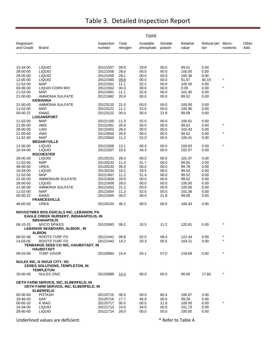|                         |                                                                                                                      |                      |                   | Found                  |                   |                   |                          |           |               |
|-------------------------|----------------------------------------------------------------------------------------------------------------------|----------------------|-------------------|------------------------|-------------------|-------------------|--------------------------|-----------|---------------|
| Registrant<br>and Grade | Brand                                                                                                                | Inspection<br>number | Total<br>nitrogen | Available<br>phosphate | Soluble<br>potash | Relative<br>value | Refund per Micro-<br>ton | nutrients | Other<br>Add. |
|                         |                                                                                                                      |                      |                   |                        |                   |                   |                          |           |               |
| 10-34-00                | <b>LIQUID</b>                                                                                                        | 20121557             | 09.8              | 33.8                   | 00.0              | 99.01             | 0.00                     |           |               |
| 28-00-00                | <b>LIQUID</b>                                                                                                        | 20121558             | 28.0              | 00.0                   | 00.0              | 100.00            | 0.00                     |           |               |
| 28-00-00                | <b>LIQUID</b>                                                                                                        | 20121559             | 28.1              | 00.0                   | 00.0              | 100.36            | 0.00                     |           |               |
| 12-00-00                | <b>LIQUID</b>                                                                                                        | 20121560             | 09.8              | 00.0                   | 00.0              | 81.67             | 40.10                    | $\star$   |               |
| 11-52-00                | <b>MAP</b>                                                                                                           | 20121561             | 11.1              | 52.2                   | 00.0              | 100.50            | 0.00                     |           |               |
| 00-00-00                | LIQUID CORN MIX                                                                                                      | 20121562             | 00.0              | 00.0                   | 00.0              | 0.00              | 0.00                     | $\star$   |               |
| 11-52-00                | MAP                                                                                                                  | 20121681             | 11.1              | 52.8                   | 00.0              | 101.40            | 0.00                     |           |               |
| 21-00-00                | AMMONIA SULFATE<br><b>KEWANNA</b>                                                                                    | 20121682             | 20.9              | 00.0                   | 00.0              | 99.52             | 0.00                     |           |               |
| 21-00-00                | AMMONIA SULFATE                                                                                                      | 20123120             | 21.0              | 00.0                   | 00.0              | 100.00            | 0.00                     |           |               |
| 11-52-00                | <b>MAP</b>                                                                                                           | 20123121             | 11.1              | 52.5                   | 00.0              | 100.95            | 0.00                     |           |               |
| 00-00-22                | <b>KMAG</b>                                                                                                          | 20123122             | 00.0              | 00.0                   | 21.8              | 99.09             | 0.00                     |           |               |
|                         | <b>LOGANSPORT</b>                                                                                                    |                      |                   |                        |                   |                   |                          |           |               |
| 11-52-00                | MAP                                                                                                                  | 20121100             | 11.3              | 52.0                   | 00.0              | 100.61            | 0.00                     |           |               |
| 21-00-00                | AMS                                                                                                                  | 20122401             | 20.9              | 00.0                   | 00.0              | 99.52             | 0.00                     | $\star$   |               |
| 28-00-00                | UAN                                                                                                                  | 20122402             | 28.4              | 00.0                   | 00.0              | 101.43            | 0.00                     |           |               |
| 21-00-00                | AMS                                                                                                                  | 20123564             | 20.9              | 00.0                   | 00.0              | 99.52             | 0.00                     | $\star$   |               |
| 11-52-00                | <b>MAP</b>                                                                                                           | 20123565             | 11.2              | 52.0                   | 00.0              | 100.41            | 0.00                     |           |               |
|                         | <b>MEDARYVILLE</b>                                                                                                   |                      |                   |                        |                   |                   |                          |           |               |
| 12-00-00<br>10-34-00    | <b>LIQUID</b><br><b>LIQUID</b>                                                                                       | 20121506<br>20121507 | 12.1<br>10.5      | 00.0<br>34.3           | 00.0<br>00.0      | 100.83<br>102.07  | 0.00<br>0.00             |           |               |
|                         | <b>ROCHESTER</b>                                                                                                     |                      |                   |                        |                   |                   |                          |           |               |
| 28-00-00                | <b>LIQUID</b>                                                                                                        | 20120231             | 28.3              | 00.0                   | 00.0              | 101.07            | 0.00                     |           |               |
| 11-52-00                | <b>MAP</b>                                                                                                           | 20120232             | 11.0              | 51.7                   | 00.0              | 99.55             | 0.00                     |           |               |
| 46-00-00                | <b>UREA</b>                                                                                                          | 20120233             | 45.9              | 00.0                   | 00.0              | 99.78             | 0.00                     |           |               |
| 10-34-00                | <b>LIQUID</b>                                                                                                        | 20120234             | 10.2              | 33.5                   | 00.0              | 99.53             | 0.00                     |           |               |
| 11-52-00                | <b>MAP</b>                                                                                                           | 20121607             | 11.2              | 51.4                   | 00.0              | 99.52             | 0.00                     |           |               |
| 21-00-00                | <b>AMMONIUM SULFATE</b>                                                                                              | 20121608             | 20.9              | 00.0                   | 00.0              | 99.52             | 0.00                     |           |               |
| 28-00-00                | LIQUID                                                                                                               | 20121609             | 28.0              | 00.0                   | 00.0              | 100.00            | 0.00                     |           |               |
| 21-00-00                | <b>AMMONIA SULFATE</b>                                                                                               | 20121653             | 21.2              | 00.0                   | 00.0              | 100.95            | 0.00                     |           |               |
| 11-52-00                | MAP                                                                                                                  | 20121654             | 11.3              | 52.5                   | 00.0              | 101.36            | 0.00                     |           |               |
| 00-00-22                | <b>KMAG</b>                                                                                                          | 20121655             | 00.0              | 00.0                   | 21.8              | 99.09             | 0.00                     |           |               |
| 46-00-00                | <b>FRANCESVILLE</b><br><b>UREA</b>                                                                                   | 20120103             | 46.2              | 00.0                   | 00.0              | 100.43            | 0.00                     |           |               |
|                         |                                                                                                                      |                      |                   |                        |                   |                   |                          |           |               |
|                         | <b>NOVOZYMES BIOLOGICALS INC, LEBANON, PA</b><br><b>EAGLE CREEK NURSERY, INDIANAPOLIS, IN</b><br><b>INDIANAPOLIS</b> |                      |                   |                        |                   |                   |                          |           |               |
| 06-10-10                | <b>MYCO SPIKES</b><br><b>LEBANON SEABOARD, ALBION, IN</b>                                                            | 20120083             | 09.2              | 10.5                   | 11.2              | 120.81            | 0.00                     |           |               |
| 08-02-06                | <b>ALBION</b><br>ROOTS TURF FD                                                                                       | 20121441             | 08.8              | 02.5                   | 08.4              | 122.44            | 0.00                     |           |               |
| 14-03-05                | <b>ROOTS TURF FD</b>                                                                                                 | 20121442             | 14.2              | 03.3                   | 05.5              | 104.21            | 0.00                     | $\star$   |               |
|                         | TENBARGE SEED CO INC, HAUBSTADT, IN                                                                                  |                      |                   |                        |                   |                   |                          |           |               |
|                         | <b>HAUBSTADT</b>                                                                                                     |                      |                   |                        |                   |                   |                          |           |               |
| 09-03-06                | <b>TURF VIGOR</b>                                                                                                    | 20120684             | 10.4              | 04.1                   | 07.0              | 118.69            | 0.00                     | $\star$   |               |
|                         | <b>NULEX INC, N SIOUX CITY, SD</b><br><b>CERES SOLUTIONS, TEMPLETON, IN</b>                                          |                      |                   |                        |                   |                   |                          |           |               |
|                         | <b>TEMPLETON</b>                                                                                                     |                      |                   |                        |                   |                   |                          |           |               |
| 16-00-00                | NULEX ZINC                                                                                                           | 20120989             | 14.4              | 00.0                   | 00.0              | 90.00             | 17.60                    | $\star$   |               |
|                         | OETH FARM SERVICE, INC, ELBERFELD, IN<br>OETH FARM SERVICE, INC, ELBERFELD, IN<br><b>ELBERFELD</b>                   |                      |                   |                        |                   |                   |                          |           |               |
| 00-00-60                | <b>POTASH</b>                                                                                                        | 20120715             | 00.0              | 00.0                   | 60.4              | 100.67            | 0.00                     |           |               |
| 18-46-00                | <b>DAP</b>                                                                                                           | 20120716             | 17.7              | 45.9                   | 00.0              | 99.28             | 0.00                     |           |               |
| 00-00-20                | K MAG                                                                                                                | 20120717             | 00.0              | 00.0                   | 21.8              | 109.00            | 0.00                     | $\star$   |               |
| 10-34-00                | <b>LIQUID</b>                                                                                                        | 20121713             | 10.6              | 34.0                   | 00.0              | 101.73            | 0.00                     |           |               |
| 28-00-00                | <b>LIQUID</b>                                                                                                        | 20121714             | 28.0              | 00.0                   | 00.0              | 100.00            | 0.00                     |           |               |
|                         |                                                                                                                      |                      |                   |                        |                   |                   |                          |           |               |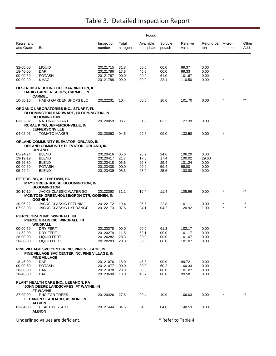|                         |                                                                                                      |                      |                   | Found                  |                   |                   |                          |            |               |
|-------------------------|------------------------------------------------------------------------------------------------------|----------------------|-------------------|------------------------|-------------------|-------------------|--------------------------|------------|---------------|
| Registrant<br>and Grade | <b>Brand</b>                                                                                         | Inspection<br>number | Total<br>nitrogen | Available<br>phosphate | Soluble<br>potash | Relative<br>value | Refund per Micro-<br>ton | nutrients  | Other<br>Add. |
|                         |                                                                                                      |                      |                   |                        |                   |                   |                          |            |               |
| 32-00-00                | <b>LIQUID</b>                                                                                        | 20121715             | 31.8              | 00.0                   | 00.0              | 99.37             | 0.00                     |            |               |
| 18-46-00<br>00-00-60    | DAP<br><b>POTASH</b>                                                                                 | 20121786<br>20121787 | 17.8<br>00.0      | 45.8<br>00.0           | 00.0<br>61.0      | 99.33<br>101.67   | 0.00<br>0.00             |            |               |
| 00-00-20                | KMAG                                                                                                 | 20121788             | 00.0              | 00.0                   | 22.1              | 110.50            | 0.00                     | $^{\star}$ |               |
|                         | OLSEN DISTRIBUTING CO., BARRINGTON, IL<br><b>HABIG GARDEN SHOPS, CARMEL, IN</b>                      |                      |                   |                        |                   |                   |                          |            |               |
| 10-50-10                | <b>CARMEL</b><br><b>HABIG GARDEN SHOPS BLO</b>                                                       | 20122231             | 10.4              | 50.0                   | 10.6              | 101.70            | 0.00                     | $^\star$   | $***$         |
|                         | ORGANIC LABORATORIES INC., STUART, FL<br>BLOOMINGTON HARDWARE, BLOOMINGTON, IN<br><b>BLOOMINGTON</b> |                      |                   |                        |                   |                   |                          |            |               |
| 03-02-02                | NATURAL START<br><b>RURAL KING, JEFFERSONVILLE, IN</b><br><b>JEFFERSONVILLE</b>                      | 20120059             | 03.7              | 01.9                   | 03.2              | 127.39            | 0.00                     |            |               |
| 04-02-06                | <b>TOMATO MAKER</b>                                                                                  | 20120093             | 04.5              | 02.6                   | 09.0              | 133.58            | 0.00                     | $^{\star}$ |               |
|                         | ORLAND COMMUNITY ELEVATOR, ORLAND, IN<br>ORLAND COMMUNITY ELEVATOR, ORLAND, IN<br><b>ORLAND</b>      |                      |                   |                        |                   |                   |                          |            |               |
| 05-24-24                | <b>BLEND</b>                                                                                         | 20120416             | 05.6              | 26.2                   | 24.6              | 106.20            | 0.00                     |            |               |
| 19-19-19                | <b>BLEND</b>                                                                                         | 20120417             | 21.7              | <u>17.3</u>            | <u>17.4</u>       | 100.02            | 29.60                    |            |               |
| 05-26-30                | <b>BLEND</b>                                                                                         | 20120418             | 05.6              | 26.8                   | 29.4              | 101.24            | 0.00                     |            |               |
| 00-00-60<br>05-24-24    | <b>POTASH</b><br><b>BLEND</b>                                                                        | 20123438<br>20123439 | 00.0<br>05.3      | 00.0<br>23.9           | 59.4<br>25.6      | 99.00<br>103.80   | 0.00<br>0.00             |            |               |
|                         | PETERS INC, ALLENTOWN, PA<br>MAYS GREENHOUSE, BLOOMINGTON, IN<br><b>BLOOMINGTON</b>                  |                      |                   |                        |                   |                   |                          |            |               |
| 30-10-10                | JACKS CLASSIC WATER SO<br>MCINTOSH GREENHOUSE/GRDN CTR, GOSHEN, IN<br><b>GOSHEN</b>                  | 20122363             | 31.2              | 10.4                   | 11.4              | 105.96            | 0.00                     |            | $***$         |
| 20-06-22<br>07-03-03    | JACKS CLASSIC PETUNIA<br><b>JACKS CLASSIC HYDRANGE</b>                                               | 20122172<br>20122173 | 19.4<br>07.6      | 06.5<br>04.1           | 22.8<br>04.2      | 101.11<br>120.92  | 0.00<br>1.00             | $\star$    | $***$         |
|                         | PIERCE GRAIN INC, WINDFALL, IN<br>PIERCE GRAIN INC, WINDFALL, IN<br><b>WINDFALL</b>                  |                      |                   |                        |                   |                   |                          |            |               |
| 00-00-60                | DRY FERT                                                                                             | 20120278             | 00.0              | 00.0                   | 61.3              | 102.17            | 0.00                     |            |               |
| 11-52-00                | DRY FERT                                                                                             | 20120279             | 11.5              | 52.1                   | 00.0              | 101.17            | 0.00                     |            |               |
| 28-00-00<br>28-00-00    | LIQUID FERT<br><b>LIQUID FERT</b>                                                                    | 20120282<br>20120283 | 28.3<br>28.3      | 00.0<br>00.0           | 00.0<br>00.0      | 101.07<br>101.07  | 0.00<br>0.00             |            |               |
|                         | PINE VILLAGE SVC CENTER INC, PINE VILLAGE, IN<br>PINE VILLAGE SVC CENTER INC, PINE VILLAGE, IN       |                      |                   |                        |                   |                   |                          |            |               |
| 18-46-00                | <b>PINE VILLAGE</b><br><b>DAP</b>                                                                    | 20121076             | 18.0              | 45.8                   | 00.0              | 99.72             | 0.00                     |            |               |
| 00-00-60                | <b>POTASH</b>                                                                                        | 20121077             | 00.0              | 00.0                   | 60.2              | 100.33            | 0.00                     |            |               |
| 28-00-00                | UAN                                                                                                  | 20121078             | 28.3              | 00.0                   | 00.0              | 101.07            | 0.00                     |            |               |
| 18-46-00                | <b>DAP</b>                                                                                           | 20123600             | 18.0              | 45.7                   | 00.0              | 99.58             | 0.00                     |            |               |
|                         | PLANT HEALTH CARE INC., LEBANON, PA<br>JOHN DEERE LANDSCAPES, FT WAYNE, IN<br>FT WAYNE               |                      |                   |                        |                   |                   |                          |            |               |
| 27-09-09                | PHC FOR TREES<br><b>LEBANON SEABOARD, ALBION, IN</b><br><b>ALBION</b>                                | 20120426             | 27.5              | 09.4                   | 10.9              | 106.03            | 0.00                     |            | $***$         |
| 03-04-03                | <b>HEALTHY START</b><br><b>ALBION</b>                                                                | 20121444             | 04.5              | 04.5                   | 04.8              | 140.53            | 0.00                     |            |               |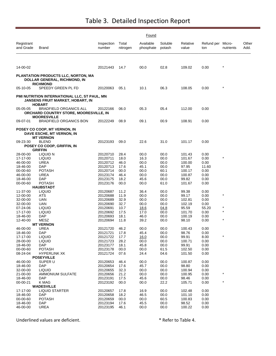|                         |                                                                                                          |                      |                   | Found                  |                   |                   |                          |            |               |
|-------------------------|----------------------------------------------------------------------------------------------------------|----------------------|-------------------|------------------------|-------------------|-------------------|--------------------------|------------|---------------|
| Registrant<br>and Grade | Brand                                                                                                    | Inspection<br>number | Total<br>nitrogen | Available<br>phosphate | Soluble<br>potash | Relative<br>value | Refund per Micro-<br>ton | nutrients  | Other<br>Add. |
| 14-00-02                |                                                                                                          | 20121443             | 14.7              | 00.0                   | 02.8              | 109.02            | 0.00                     | $\star$    |               |
|                         |                                                                                                          |                      |                   |                        |                   |                   |                          |            |               |
|                         | PLANTATION PRODUCTS LLC, NORTON, MA<br>DOLLAR GENERAL, RICHMOND, IN<br><b>RICHMOND</b>                   |                      |                   |                        |                   |                   |                          |            |               |
| 05-10-05                | SPEEDY GREEN PL FD                                                                                       | 20120063             | 05.1              | 10.1                   | 06.3              | 108.05            | 0.00                     | $^{\star}$ |               |
|                         | PMI NUTRITION INTERNATIONAL LLC, ST PAUL, MN<br><b>JANSENS FRUIT MARKET, HOBART, IN</b><br><b>HOBART</b> |                      |                   |                        |                   |                   |                          |            |               |
| 05-05-05                | <b>BRADFIELD ORGANICS ALL</b><br>ORCHARD COUNTRY STORE, MOORESVILLE, IN<br><b>MOORESVILLE</b>            | 20122166             | 06.0              | 05.3                   | 05.4              | 112.00            | 0.00                     |            |               |
| 09-07-01                | <b>BRADFIELD ORGANICS BON</b>                                                                            | 20122249             | 08.9              | 09.1                   | 00.9              | 108.91            | 0.00                     |            |               |
|                         | POSEY CO COOP, MT VERNON, IN<br>DAVE ESCHE, MT VERNON, IN<br><b>MT VERNON</b>                            |                      |                   |                        |                   |                   |                          |            |               |
| 09-23-30                | <b>BLEND</b><br>POSEY CO COOP, GRIFFIN, IN<br><b>GRIFFIN</b>                                             | 20123193             | 09.0              | 22.6                   | 31.0              | 101.17            | 0.00                     |            |               |
| 28-00-00                | LIQUID N                                                                                                 | 20120710             | 28.4              | 00.0                   | 00.0              | 101.43            | 0.00                     |            |               |
| 17-17-00                | <b>LIQUID</b>                                                                                            | 20120711             | 18.0              | 16.3                   | 00.0              | 101.67            | 0.00                     |            |               |
| 46-00-00                | <b>UREA</b>                                                                                              | 20120712             | 46.0              | 00.0                   | 00.0              | 100.00            | 0.00                     |            |               |
| 18-46-00                | DAP                                                                                                      | 20120713             | 17.6              | 45.1                   | 00.0              | 97.95             | 11.60                    |            |               |
| 00-00-60<br>46-00-00    | POTASH<br>UREA                                                                                           | 20120714<br>20123174 | 00.0<br>46.4      | 00.0<br>00.0           | 60.1<br>00.0      | 100.17<br>100.87  | 0.00<br>0.00             |            |               |
| 18-46-00                | <b>DAP</b>                                                                                               | 20123175             | 18.2              | 45.6                   | 00.0              | 99.82             | 0.00                     |            |               |
| 00-00-60                | <b>POTASH</b>                                                                                            | 20123176             | 00.0              | 00.0                   | 61.0              | 101.67            | 0.00                     |            |               |
|                         | <b>HAUBSTADT</b>                                                                                         |                      |                   |                        |                   |                   |                          |            |               |
| 11-37-00                | <b>LIQUID</b>                                                                                            | 20120687             | 11.2              | 36.4                   | 00.0              | 99.38             | 0.00                     |            |               |
| 12-00-00                | ATS                                                                                                      | 20120688             | 11.9              | 00.0                   | 00.0              | 99.17             | 0.00                     | $\star$    |               |
| 32-00-00                | UAN                                                                                                      | 20120689             | 32.9              | 00.0                   | 00.0              | 102.81            | 0.00                     |            |               |
| 32-00-00                | UAN                                                                                                      | 20120690             | 32.7              | 00.0                   | 00.0              | 102.19            | 0.00                     |            |               |
| 07-24-06                | <b>LIQUID</b>                                                                                            | 20120691             | 10.7              | 18.6                   | <u>04.8</u>       | 95.59             | 55.20                    | $\star$    |               |
| 17-17-00                | <b>LIQUID</b>                                                                                            | 20120692             | 17.5              | 17.0                   | 00.0              | 101.70            | 0.00                     | $\star$    |               |
| 18-46-00                | DAP                                                                                                      | 20120693             | 18.1              | 46.0                   | 00.0              | 100.19            | 0.00                     |            |               |
| 12-40-00                | MESZ                                                                                                     | 20120694             | 11.8              | 39.2                   | 00.0              | 98.10             | 0.00                     |            |               |
|                         | <b>MT VERNON</b><br>UREA                                                                                 |                      | 46.2              | 00.0                   | 00.0              |                   | 0.00                     |            |               |
| 46-00-00<br>18-46-00    | DAP                                                                                                      | 20121720<br>20121721 | 17.8              | 45.4                   | 00.0              | 100.43<br>98.76   | 0.00                     |            |               |
| 17-17-00                | <b>LIQUID</b>                                                                                            | 20121722             | 17.7              | 16.0                   | 00.0              | 99.91             | 8.00                     | $\star$    |               |
| 28-00-00                | <b>LIQUID</b>                                                                                            | 20121723             | 28.2              | 00.0                   | 00.0              | 100.71            | 0.00                     |            |               |
| 18-46-00                | <b>DAP</b>                                                                                               | 20123177             | 18.1              | 45.8                   | 00.0              | 99.91             | 0.00                     |            |               |
| 00-00-60                | <b>POTASH</b>                                                                                            | 20123178             | 00.0              | 00.0                   | 61.5              | 102.50            | 0.00                     |            |               |
| 08-24-04                | <b>HYPERLINK XK</b>                                                                                      | 20121724             | 07.6              | 24.4                   | 04.6              | 101.50            | 0.00                     |            |               |
|                         | <b>POSEYVILLE</b>                                                                                        |                      |                   |                        |                   |                   |                          |            |               |
| 46-00-00                | SUPER U                                                                                                  | 20120653             | 46.4              | 00.0                   | 00.0              | 100.87            | 0.00                     |            |               |
| 18-46-00                | <b>DAP</b>                                                                                               | 20120654             | 17.6              | 45.7                   | 00.0              | 98.80             | 0.00                     |            |               |
| 32-00-00                | <b>LIQUID</b>                                                                                            | 20120655             | 32.3              | 00.0                   | 00.0              | 100.94            | 0.00                     |            |               |
| 21-00-00                | <b>AMMONIUM SULFATE</b>                                                                                  | 20120656             | 21.2              | 00.0                   | 00.0              | 100.95            | 0.00                     | $\star$    |               |
| 18-46-00                | <b>DAP</b>                                                                                               | 20123191             | 17.5              | 45.6                   | 00.0              | 98.46             | 0.00                     |            |               |
| 00-00-21                | K MAG                                                                                                    | 20123192             | 00.0              | 00.0                   | 22.2              | 105.71            | 0.00                     |            |               |
| 17-17-00                | <b>WADESVILLE</b><br><b>LIQUID STARTER</b>                                                               | 20120657             | 17.8              | 16.9                   | 00.0              | 102.48            | 0.00                     |            |               |
| 18-46-00                | DAP                                                                                                      | 20120658             | 18.2              | 46.5                   | 00.0              | 101.10            | 0.00                     |            |               |
| 00-00-60                | <b>POTASH</b>                                                                                            | 20120659             | 00.0              | 00.0                   | 60.5              | 100.83            | 0.00                     |            |               |
| 18-46-00                | <b>DAP</b>                                                                                               | 20123194             | 17.6              | 45.5                   | 00.0              | 98.52             | 0.00                     |            |               |
| 46-00-00                | <b>UREA</b>                                                                                              | 20123195             | 46.1              | 00.0                   | 00.0              | 100.22            | 0.00                     |            |               |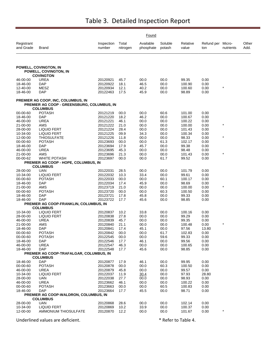|                         |                                                                                  |                      |                   | Found                  |                   |                   |                          |           |               |
|-------------------------|----------------------------------------------------------------------------------|----------------------|-------------------|------------------------|-------------------|-------------------|--------------------------|-----------|---------------|
| Registrant<br>and Grade | Brand                                                                            | Inspection<br>number | Total<br>nitrogen | Available<br>phosphate | Soluble<br>potash | Relative<br>value | Refund per Micro-<br>ton | nutrients | Other<br>Add. |
|                         | POWELL, COVINGTON, IN<br>POWELL, COVINGTON, IN                                   |                      |                   |                        |                   |                   |                          |           |               |
|                         | <b>COVINGTON</b>                                                                 |                      |                   |                        |                   |                   |                          |           |               |
| 46-00-00                | UREA                                                                             | 20120921             | 45.7              | 00.0                   | 00.0              | 99.35             | 0.00                     |           |               |
| 18-46-00                | <b>DAP</b>                                                                       | 20120922             | 18.1              | 46.5                   | 00.0              | 100.90            | 0.00                     |           |               |
| 12-40-00                | MESZ                                                                             | 20120934             | 12.1              | 40.2                   | 00.0              | 100.60            | 0.00                     | $\star$   |               |
| 18-46-00                | <b>DAP</b>                                                                       | 20122463             | 17.5              | 45.9                   | 00.0              | 98.89             | 0.00                     |           |               |
|                         | PREMIER AG COOP, INC, COLUMBUS, IN<br>PREMIER AG COOP - GREENSBURG, COLUMBUS, IN |                      |                   |                        |                   |                   |                          |           |               |
|                         | <b>COLUMBUS</b>                                                                  |                      |                   |                        |                   |                   |                          |           |               |
| 00-00-60                | <b>POTASH</b>                                                                    | 20121219             | 00.0              | 00.0                   | 60.6              | 101.00            | 0.00                     |           |               |
| 18-46-00                | DAP                                                                              | 20121220             | 18.2              | 46.2                   | 00.0              | 100.67            | 0.00                     |           |               |
| 46-00-00                | <b>UREA</b>                                                                      | 20121221             | 46.1              | 00.0                   | 00.0              | 100.22            | 0.00                     | $\star$   |               |
| 21-00-00<br>28-00-00    | AMS<br><b>LIQUID FERT</b>                                                        | 20121222<br>20121224 | 21.0<br>28.4      | 00.0<br>00.0           | 00.0<br>00.0      | 100.00<br>101.43  | 0.00<br>0.00             |           |               |
| 10-34-00                | <b>LIQUID FERT</b>                                                               | 20121225             | 09.9              | 34.3                   | 00.0              | 100.34            | 0.00                     |           |               |
| 12-00-00                | THIOSULFATE                                                                      | 20121226             | 11.8              | 00.0                   | 00.0              | 98.33             | 0.00                     | $\star$   |               |
| 00-00-60                | <b>POTASH</b>                                                                    | 20123693             | 00.0              | 00.0                   | 61.3              | 102.17            | 0.00                     |           |               |
| 18-46-00                | DAP                                                                              | 20123694             | 17.9              | 45.7                   | 00.0              | 99.38             | 0.00                     |           |               |
| 46-00-00                | <b>UREA</b>                                                                      | 20123695             | 45.3              | 00.0                   | 00.0              | 98.48             | 0.00                     |           |               |
| 21-00-00                | AMS                                                                              | 20123696             | 21.3              | 00.0                   | 00.0              | 101.43            | 0.00                     | $\star$   |               |
| 00-00-62                | <b>WHITE POTASH</b>                                                              | 20123697             | 00.0              | 00.0                   | 61.7              | 99.52             | 0.00                     |           |               |
|                         | PREMIER AG COOP - HOPE, COLUMBUS, IN                                             |                      |                   |                        |                   |                   |                          |           |               |
|                         | <b>COLUMBUS</b>                                                                  |                      |                   |                        |                   |                   |                          |           |               |
| 28-00-00                | UAN                                                                              | 20122031             | 28.5              | 00.0                   | 00.0              | 101.79            | 0.00                     |           |               |
| 10-34-00                | <b>LIQUID FERT</b>                                                               | 20122032             | 10.3              | 33.4                   | 00.0              | 99.61             | 0.00                     |           |               |
| 00-00-60<br>18-46-00    | <b>POTASH</b><br>DAP                                                             | 20122033<br>20122034 | 00.0<br>17.4      | 00.0<br>45.9           | 60.1<br>00.0      | 100.17<br>98.69   | 0.00<br>0.00             |           |               |
| 21-00-00                | AMS                                                                              | 20123719             | 21.0              | 00.0                   | 00.0              | 100.00            | 0.00                     |           |               |
| 00-00-60                | <b>POTASH</b>                                                                    | 20123720             | 00.0              | 00.0                   | 60.3              | 100.50            | 0.00                     |           |               |
| 18-46-00                | DAP                                                                              | 20123721             | 17.8              | 45.8                   | 00.0              | 99.33             | 0.00                     |           |               |
| 18-46-00                | DAP                                                                              | 20123722             | 17.7              | 45.6                   | 00.0              | 98.85             | 0.00                     |           |               |
|                         | <b>PREMIER AG COOP-FRANKLIN, COLUMBUS, IN</b>                                    |                      |                   |                        |                   |                   |                          |           |               |
|                         | <b>COLUMBUS</b>                                                                  |                      |                   |                        |                   |                   |                          |           |               |
| 10-34-00                | <b>LIQUID FERT</b>                                                               | 20120837             | 10.2              | 33.8                   | 00.0              | 100.16            | 0.00                     |           |               |
| 28-00-00                | <b>LIQUID FERT</b>                                                               | 20120838             | 27.8              | 00.0                   | 00.0              | 99.29             | 0.00                     |           |               |
| 46-00-00                | <b>UREA</b>                                                                      | 20120839             | 45.7              | 00.0                   | 00.0              | 99.35             | 0.00                     | $\star$   |               |
| 21-00-00<br>18-46-00    | AMS<br>DAP                                                                       | 20120840<br>20120841 | 21.1<br>17.4      | 00.0<br>45.1           | 00.0<br>00.0      | 100.48<br>97.56   | 0.00<br>13.80            |           |               |
| 00-00-60                | POTASH                                                                           | 20120842             | 00.0              | 00.0                   | 61.7              | 102.83            | 0.00                     |           |               |
| 00-00-60                | <b>POTASH</b>                                                                    | 20122545             | 00.0              | 00.0                   | 59.6              | 99.33             | 0.00                     |           |               |
| 18-46-00                | <b>DAP</b>                                                                       | 20122546             | 17.7              | 46.1                   | 00.0              | 99.56             | 0.00                     |           |               |
| 46-00-00                | <b>UREA</b>                                                                      | 20122547             | 46.3              | 00.0                   | 00.0              | 100.65            | 0.00                     |           |               |
| 18-46-00                | <b>DAP</b>                                                                       | 20122548             | 17.7              | 45.6                   | 00.0              | 98.85             | 0.00                     |           |               |
|                         | PREMIER AG COOP-TRAFALGAR, COLUMBUS, IN                                          |                      |                   |                        |                   |                   |                          |           |               |
|                         | <b>COLUMBUS</b>                                                                  |                      |                   |                        |                   |                   |                          |           |               |
| 18-46-00                | <b>DAP</b>                                                                       | 20120877             | 17.9              | 46.1                   | 00.0              | 99.95             | 0.00                     |           |               |
| 00-00-60                | <b>POTASH</b>                                                                    | 20120878             | 00.0              | 00.0                   | 60.3              | 100.50            | 0.00                     |           |               |
| 46-00-00                | UREA                                                                             | 20120879             | 45.8              | 00.0                   | 00.0              | 99.57             | 0.00                     |           |               |
| 10-34-00                | <b>LIQUID FERT</b>                                                               | 20122037             | 11.9              | 30.4                   | 00.0              | 97.93             | 28.80                    |           |               |
| 28-00-00<br>46-00-00    | UAN<br><b>UREA</b>                                                               | 20122038<br>20123662 | 27.7<br>46.1      | 00.0<br>00.0           | 00.0<br>00.0      | 98.93<br>100.22   | 0.00<br>0.00             |           |               |
| 00-00-60                | <b>POTASH</b>                                                                    | 20123663             | 00.0              | 00.0                   | 60.5              | 100.83            | 0.00                     |           |               |
| 18-46-00                | <b>DAP</b>                                                                       | 20123664             | 17.7              | 45.5                   | 00.0              | 98.71             | 0.00                     |           |               |
|                         | PREMIER AG COOP-WALDRON, COLUMBUS, IN                                            |                      |                   |                        |                   |                   |                          |           |               |
|                         | <b>COLUMBUS</b>                                                                  |                      |                   |                        |                   |                   |                          |           |               |
| 28-00-00                | <b>UAN</b>                                                                       | 20120868             | 28.6              | 00.0                   | 00.0              | 102.14            | 0.00                     |           |               |
| 10-34-00                | <b>LIQUID FERT</b>                                                               | 20120869             | 10.2              | 33.9                   | 00.0              | 100.37            | 0.00                     |           |               |
| 12-00-00                | AMMONIUM THIOSULFATE                                                             | 20120870             | 12.2              | 00.0                   | 00.0              | 101.67            | 0.00                     | $\star$   |               |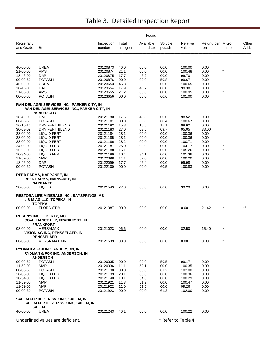|                         |                                                                                                   |                      |                   | Found                  |                     |                   |                          |           |               |
|-------------------------|---------------------------------------------------------------------------------------------------|----------------------|-------------------|------------------------|---------------------|-------------------|--------------------------|-----------|---------------|
| Registrant<br>and Grade | Brand                                                                                             | Inspection<br>number | Total<br>nitrogen | Available<br>phosphate | Soluble<br>potash   | Relative<br>value | Refund per Micro-<br>ton | nutrients | Other<br>Add. |
|                         |                                                                                                   |                      |                   |                        |                     |                   |                          |           |               |
| 46-00-00                | UREA                                                                                              | 20120873             | 46.0              | 00.0                   | 00.0                | 100.00            | 0.00                     |           |               |
| 21-00-00                | AMS                                                                                               | 20120874             | 21.1              | 00.0                   | 00.0                | 100.48            | 0.00                     | $\star$   |               |
| 18-46-00                | <b>DAP</b>                                                                                        | 20120875             | 17.7              | 46.2                   | 00.0                | 99.70             | 0.00                     |           |               |
| 00-00-60                | <b>POTASH</b>                                                                                     | 20120876             | 00.0              | 00.0                   | 59.8                | 99.67             | 0.00                     |           |               |
| 46-00-00                | UREA                                                                                              | 20123653             | 46.3              | 00.0                   | 00.0                | 100.65            | 0.00                     |           |               |
| 18-46-00                | DAP                                                                                               | 20123654             | 17.9              | 45.7                   | 00.0                | 99.38             | 0.00                     |           |               |
| 21-00-00<br>00-00-60    | AMS<br><b>POTASH</b>                                                                              | 20123655<br>20123656 | 21.2<br>00.0      | 00.0<br>00.0           | 00.0<br>60.6        | 100.95<br>101.00  | 0.00<br>0.00             | $\star$   |               |
|                         | RAN DEL AGRI SERVICES INC., PARKER CITY, IN<br><b>RAN DEL AGRI SERVICES INC., PARKER CITY, IN</b> |                      |                   |                        |                     |                   |                          |           |               |
|                         | <b>PARKER CITY</b>                                                                                |                      |                   |                        |                     |                   |                          |           |               |
| 18-46-00                | DAP                                                                                               | 20121180             | 17.6              | 45.5                   | 00.0                | 98.52             | 0.00                     |           |               |
| 00-00-60                | <b>POTASH</b>                                                                                     | 20121181             | 00.0              | 00.0                   | 60.4                | 100.67            | 0.00                     |           |               |
| 16-16-16                | DRY FERT BLEND                                                                                    | 20121182             | 15.8              | 16.6                   | 15.1                | 98.62             | 0.00                     |           |               |
| 30-03-09                | DRY FERT BLEND                                                                                    | 20121183             | 27.0              | 03.5                   | 09.7                | 95.05             | 33.00                    |           |               |
| 28-00-00                | LIQUID FERT                                                                                       | 20121184             | 28.1              | 00.0                   | 00.0                | 100.36            | 0.00                     |           |               |
| 28-00-00                | <b>LIQUID FERT</b>                                                                                | 20121185             | 28.1              | 00.0                   | 00.0                | 100.36            | 0.00                     |           |               |
| 28-00-00<br>24-00-00    | LIQUID FERT                                                                                       | 20121186<br>20121187 | 28.2<br>25.0      | 00.0<br>00.0           | 00.0                | 100.71<br>104.17  | 0.00                     | $\ast$    |               |
| 15-20-00                | LIQUID FERT<br>LIQUID FERT                                                                        | 20121188             | 16.1              | 20.6                   | 00.0<br>00.0        | 105.20            | 0.00<br>0.00             |           |               |
| 10-34-00                | <b>LIQUID FERT</b>                                                                                | 20121189             | 10.4              | 34.1                   | 00.0                | 101.36            | 0.00                     |           |               |
| 11-52-00                | MAP                                                                                               | 20122098             | 11.1              | 52.0                   | 00.0                | 100.20            | 0.00                     |           |               |
| 18-46-00                | <b>DAP</b>                                                                                        | 20122099             | 17.7              | 46.4                   | 00.0                | 99.98             | 0.00                     |           |               |
| 00-00-60                | <b>POTASH</b>                                                                                     | 20122100             | 00.0              | 00.0                   | 60.5                | 100.83            | 0.00                     |           |               |
|                         | REED FARMS, NAPPANEE, IN<br><b>REED FARMS, NAPPANEE, IN</b><br><b>NAPPANEE</b>                    |                      |                   |                        |                     |                   |                          |           |               |
| 28-00-00                | <b>LIQUID</b>                                                                                     | 20121549             | 27.8              | 00.0                   | 00.0                | 99.29             | 0.00                     |           |               |
|                         | <b>RESTORA LIFE MINERALS INC., BAYSPRINGS, MS</b><br>L & M AG LLC, TOPEKA, IN<br>TOPEKA           |                      |                   |                        |                     |                   |                          |           |               |
| 00-00-00                | <b>FLORA-STIM</b>                                                                                 | 20121387             | 00.0              | 00.0                   | 00.0                | 0.00              | 21.42                    |           |               |
|                         | <b>ROSEN'S INC., LIBERTY, MO</b><br><b>CO-ALLIANCE LLP, FRANKFORT, IN</b><br><b>FRANKFORT</b>     |                      |                   |                        |                     |                   |                          |           |               |
| 08-00-00                | VERSAMAX                                                                                          | 20121023             | 06.6              | 00.0                   | 00.0                | 82.50             | 15.40                    |           |               |
|                         | VISION AG INC, RENSSELAER, IN<br><b>RENSSELAER</b>                                                |                      |                   |                        |                     |                   |                          |           |               |
| 00-00-00                | <b>VERSA MAX MN</b>                                                                               | 20121539             | 00.0              | 00.0                   | 00.0                | 0.00              | 0.00                     | $\star$   |               |
|                         | RYDMAN & FOX INC, ANDERSON, IN<br><b>RYDMAN &amp; FOX INC, ANDERSON, IN</b><br><b>ANDERSON</b>    |                      |                   |                        |                     |                   |                          |           |               |
| 00-00-60                | <b>POTASH</b>                                                                                     | 20120335             | 00.0              | 00.0                   | 59.5                | 99.17             | 0.00                     |           |               |
| 11-52-00                | MAP                                                                                               | 20120336             | 11.1              | 52.1                   | 00.0                | 100.35            | 0.00                     |           |               |
| 00-00-60                | <b>POTASH</b>                                                                                     | 20121138             | 00.0              | 00.0                   | 61.2                | 102.00            | 0.00                     |           |               |
| 28-00-00                | <b>LIQUID FERT</b>                                                                                | 20121139             | 28.1              | 00.0                   | 00.0                | 100.36            | 0.00                     |           |               |
| 10-34-00                | <b>LIQUID FERT</b>                                                                                | 20121140             | 10.1              | 34.0                   | 00.0                | 100.29            | 0.00                     |           |               |
| 11-52-00                | MAP                                                                                               | 20121921             | 11.3              | 51.9                   | 00.0                | 100.47            | 0.00                     |           |               |
| 11-52-00                | <b>MAP</b>                                                                                        | 20121922             | 11.0              | 51.5                   | 00.0                | 99.26             | 0.00                     |           |               |
| 00-00-60                | <b>POTASH</b>                                                                                     | 20121923             | 00.0              | 00.0                   | 61.2                | 102.00            | 0.00                     |           |               |
|                         | SALEM FERTILIZER SVC INC, SALEM, IN<br>SALEM FERTILIZER SVC INC, SALEM, IN<br><b>SALEM</b>        |                      |                   |                        |                     |                   |                          |           |               |
| 46-00-00                | <b>UREA</b>                                                                                       | 20121243             | 46.1              | 00.0                   | 00.0                | 100.22            | 0.00                     |           |               |
|                         | Underlined values are deficient.                                                                  |                      |                   |                        | * Refer to Table 4. |                   |                          |           |               |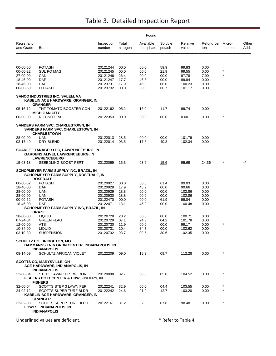|                         |                                                                                                            |                      |                   | Found                  |                   |                     |                          |            |               |
|-------------------------|------------------------------------------------------------------------------------------------------------|----------------------|-------------------|------------------------|-------------------|---------------------|--------------------------|------------|---------------|
| Registrant<br>and Grade | <b>Brand</b>                                                                                               | Inspection<br>number | Total<br>nitrogen | Available<br>phosphate | Soluble<br>potash | Relative<br>value   | Refund per Micro-<br>ton | nutrients  | Other<br>Add. |
| 00-00-60                | <b>POTASH</b>                                                                                              | 20121244             | 00.0              | 00.0                   | 59.9              | 99.83               | 0.00                     |            |               |
| 00-00-22                | <b>SUL PO MAG</b>                                                                                          | 20121245             | 00.0              | 00.0                   | 21.9              | 99.55               | 0.00                     | $^{\star}$ |               |
| 27-00-00                | CAN                                                                                                        | 20121246             | 26.4              | 00.0                   | 00.0              | 97.78               | 7.90                     | $\star$    |               |
| 18-46-00                | <b>DAP</b>                                                                                                 | 20121247             | 17.7              | 46.3                   | 00.0              | 99.84               | 0.00                     |            |               |
| 18-46-00<br>00-00-60    | <b>DAP</b><br><b>POTASH</b>                                                                                | 20123731<br>20123732 | 17.9<br>00.0      | 46.3<br>00.0           | 00.0<br>60.7      | 100.23<br>101.17    | 0.00<br>0.00             |            |               |
|                         | SANCO INDUSTRIES INC, SALEM, VA<br>KABELIN ACE HARDWARE, GRANGER, IN                                       |                      |                   |                        |                   |                     |                          |            |               |
| 05-16-12                | <b>GRANGER</b><br>TNT TOMATO BOOSTER CON                                                                   | 20122162             | 05.2              | 16.0                   | 11.7              | 99.74               | 0.00                     |            |               |
| 00-00-00                | <b>MICHIGAN CITY</b><br>ROT-NOT RX                                                                         | 20122353             | 00.0              | 00.0                   | 00.0              | 0.00                | 0.00                     | $^{\star}$ |               |
|                         | <b>SANDERS FARM SVC, CHARLESTOWN, IN</b><br><b>SANDERS FARM SVC, CHARLESTOWN, IN</b><br><b>CHARLESTOWN</b> |                      |                   |                        |                   |                     |                          |            |               |
| 28-00-00                | <b>UAN</b>                                                                                                 | 20122013             | 28.5              | 00.0                   | 00.0              | 101.79              | 0.00                     |            |               |
| 03-17-40                | DRY BLEND                                                                                                  | 20122014             | 03.5              | 17.6                   | 40.3              | 102.34              | 0.00                     |            |               |
|                         | <b>SCARLET TANAGER LLC, LAWRENCEBURG, IN</b><br>GARDENS ALIVE!, LAWRENCEBURG, IN<br><b>LAWRENCEBURG</b>    |                      |                   |                        |                   |                     |                          |            |               |
| 15-03-18                | SEEEDLING BOOST FERT                                                                                       | 20120069             | 15.3              | 03.6                   | 15.6              | 95.69               | 24.36                    |            | $***$         |
|                         | SCHOPMEYER FARM SUPPLY INC, BRAZIL, IN<br>SCHOPMEYER FARM SUPPLY, ROSEDALE, IN<br><b>ROSEDALE</b>          |                      |                   |                        |                   |                     |                          |            |               |
| 00-00-62                | <b>POTASH</b>                                                                                              | 20120927             | 00.0              | 00.0                   | 61.4              | 99.03               | 0.00                     |            |               |
| 18-46-00                | DAP                                                                                                        | 20120928             | 17.9              | 45.9                   | 00.0              | 99.66               | 0.00                     |            |               |
| 28-00-00                | UAN                                                                                                        | 20120929             | 28.8              | 00.0                   | 00.0              | 102.86              | 0.00                     |            |               |
| 28-00-00<br>00-00-62    | UAN<br><b>POTASH</b>                                                                                       | 20120930<br>20122470 | 28.8<br>00.0      | 00.0<br>00.0           | 00.0<br>61.9      | 102.86<br>99.84     | 0.00<br>0.00             |            |               |
| 18-46-00                | <b>DAP</b>                                                                                                 | 20122471             | 18.1              | 46.2                   | 00.0              | 100.48              | 0.00                     |            |               |
|                         | SCHOPMEYER FARM SUPPLY INC, BRAZIL, IN                                                                     |                      |                   |                        |                   |                     |                          |            |               |
| 28-00-00                | <b>BRAZIL</b><br><b>LIQUID</b>                                                                             | 20120728             | 28.2              | 00.0                   | 00.0              | 100.71              | 0.00                     |            |               |
| 07-24-04                | <b>GREEN FLAG</b>                                                                                          | 20120729             | 07.1              | 24.3                   | 04.2              | 101.78              | 0.00                     |            |               |
| 12-00-00                | ATS                                                                                                        | 20120730             | 11.9              | 00.0                   | 00.0              | 99.17               | 0.00                     | $^{\star}$ |               |
| 10-34-00                | <b>LIQUID</b>                                                                                              | 20120731             | 10.4              | 34.7                   | 00.0              | 102.62              | 0.00                     |            |               |
| 03-10-30                | SUSPENSION                                                                                                 | 20120732             | 03.7              | 09.5                   | 30.6              | 102.35              | 0.00                     |            |               |
|                         | <b>SCHULTZ CO, BRIDGETON, MO</b><br>DAMMANNS LN & GRDN CENTER, INDIANAPOLIS, IN<br><b>INDIANAPOLIS</b>     |                      |                   |                        |                   |                     |                          |            |               |
| 08-14-09                | SCHULTZ AFRICAN VIOLET                                                                                     | 20122209             | 09.0              | 16.2                   | 09.7              | 112.28              | 0.00                     | $^{\star}$ |               |
|                         | <b>SCOTTS CO, MARYSVILLE, OH</b><br>ACE HARDWARE, INDIANAPOLIS, IN<br><b>INDIANAPOLIS</b>                  |                      |                   |                        |                   |                     |                          |            |               |
| 32-00-04                | STEP3 LAWN FERT W/IRON<br>FISHERS DO IT CENTER & HDW, FISHERS, IN<br><b>FISHERS</b>                        | 20120088             | 32.7              | 00.0                   | 05.0              | 104.52              | 0.00                     | $^{\star}$ |               |
| 32-00-04                | SCOTTS STEP 3 LAWN FER                                                                                     | 20122241             | 32.9              | 00.0                   | 04.4              | 103.55              | 0.00                     |            |               |
| 24-02-12                | <b>SCOTTS SUPER TURF BLDR</b><br>KABELIN ACE HARDWARE, GRANGER, IN                                         | 20122242             | 24.6              | 01.9                   | 12.7              | 103.20              | 0.00                     |            |               |
| 32-02-08                | <b>GRANGER</b><br>SCOTTS SUPER TURF BLDR<br>LOWES, INDIANAPOLIS, IN<br><b>INDIANAPOLIS</b>                 | 20122161             | 31.2              | 02.5                   | 07.8              | 98.48               | 0.00                     | $\star$    |               |
|                         | Underlined values are deficient.                                                                           |                      |                   |                        |                   | * Refer to Table 4. |                          |            |               |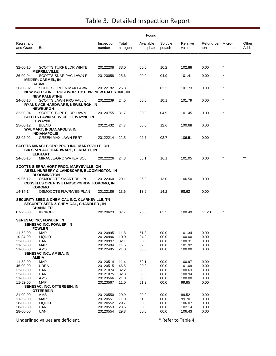|                         | Found                                                                                                                 |                      |                   |                        |                   |                   |                          |            |               |  |  |
|-------------------------|-----------------------------------------------------------------------------------------------------------------------|----------------------|-------------------|------------------------|-------------------|-------------------|--------------------------|------------|---------------|--|--|
| Registrant<br>and Grade | Brand                                                                                                                 | Inspection<br>number | Total<br>nitrogen | Available<br>phosphate | Soluble<br>potash | Relative<br>value | Refund per Micro-<br>ton | nutrients  | Other<br>Add. |  |  |
|                         |                                                                                                                       |                      |                   |                        |                   |                   |                          |            |               |  |  |
| 32-00-10                | <b>SCOTTS TURF BLDR WINTE</b><br><b>MERRILLVILLE</b>                                                                  | 20122208             | 33.0              | 00.0                   | 10.2              | 102.88            | 0.00                     | $^{\star}$ |               |  |  |
| 26-00-04                | SCOTTS SNAP PAC LAWN F<br><b>MEIJER, CARMEL, IN</b><br><b>CARMEL</b>                                                  | 20120058             | 25.6              | 00.0                   | 04.9              | 101.41            | 0.00                     | $^\star$   |               |  |  |
| 26-00-02                | <b>SCOTTS GREEN MAX LAWN</b><br>NEW PALESTINE TRUSTWORTHY HDW, NEW PALESTINE, IN                                      | 20122182             | 26.3              | 00.0                   | 02.2              | 101.73            | 0.00                     | $\star$    |               |  |  |
| 24-00-10                | <b>NEW PALESTINE</b><br>SCOTTS LAWN PRO FALL L<br><b>RYANS ACE HARDWARE, NEWBURGH, IN</b>                             | 20122239             | 24.5              | 00.0                   | 10.1              | 101.79            | 0.00                     | $\star$    |               |  |  |
| 32-00-04                | <b>NEWBURGH</b><br>SCOTTS TURF BLDR LAWN<br><b>SCOTTS LAWN SERVICE, FT WAYNE, IN</b><br>FT WAYNE                      | 20120755             | 31.7              | 00.0                   | 04.9              | 101.45            | 0.00                     | $\star$    |               |  |  |
| 25-00-12                | <b>BLEND</b><br><b>WALMART, INDIANAPOLIS, IN</b><br><b>INDIANAPOLIS</b>                                               | 20121432             | 24.7              | 00.0                   | 12.6              | 100.68            | 0.00                     |            |               |  |  |
| 22-02-02                | <b>GREEN MAX LAWN FERT</b>                                                                                            | 20122214             | 22.5              | 02.7                   | 02.7              | 106.51            | 0.00                     |            |               |  |  |
|                         | SCOTTS MIRACLE-GRO PROD INC, MARYSVILLE, OH<br>SIX SPAN ACE HARDWARE, ELKHART, IN<br><b>ELKHART</b>                   |                      |                   |                        |                   |                   |                          |            |               |  |  |
| 24-08-16                | MIRACLE-GRO WATER SOL                                                                                                 | 20122226             | 24.3              | 08.1                   | 16.1              | 101.05            | 0.00                     |            |               |  |  |
|                         | SCOTTS-SIERRA HORT PROD, MARYSVILLE, OH<br>ABELL NURSERY & LANDSCAPE, BLOOMINGTON, IN<br><b>BLOOMINGTON</b>           |                      |                   |                        |                   |                   |                          |            |               |  |  |
| 19-06-12                | OSMOCOTE SMART REL PL<br><b>COSSELLS CREATIVE LNDSCP/GRDN, KOKOMO, IN</b><br>кокомо                                   | 20122360             | 20.1              | 06.3                   | 13.0              | 106.50            | 0.00                     |            |               |  |  |
| 14-14-14                | OSMOCOTE FLWR/VEG PLAN                                                                                                | 20122186             | 13.6              | 13.6                   | 14.2              | 98.62             | 0.00                     |            |               |  |  |
|                         | SECURITY SEED & CHEMICAL INC, CLARKSVILLE, TN<br><b>SECURITY SEED &amp; CHEMICAL, CHANDLER, IN</b><br><b>CHANDLER</b> |                      |                   |                        |                   |                   |                          |            |               |  |  |
| $07 - 25 - 03$          | <b>KICKOFF</b>                                                                                                        | 20120623             | 07.7              | 23.6                   | 03.5              | 100.49            | 11.20                    | $^{\star}$ |               |  |  |
|                         | <b>SENESAC INC, FOWLER, IN</b><br><b>SENESAC INC, FOWLER, IN</b><br><b>FOWLER</b>                                     |                      |                   |                        |                   |                   |                          |            |               |  |  |
| 11-52-00                | MAP                                                                                                                   | 20120995             | 11.8              | 51.8                   | 00.0              | 101.34            | 0.00                     |            |               |  |  |
| 10-34-00<br>32-00-00    | <b>LIQUID</b><br><b>UAN</b>                                                                                           | 20120996<br>20120997 | 10.0<br>32.1      | 34.0<br>00.0           | 00.0<br>00.0      | 100.00<br>100.31  | 0.00<br>0.00             |            |               |  |  |
| 11-52-00                | <b>MAP</b>                                                                                                            | 20122484             | 11.5              | 52.6                   | 00.0              | 101.92            | 0.00                     |            |               |  |  |
| 21-00-00                | AMS                                                                                                                   | 20122485             | 21.0              | 00.0                   | 00.0              | 100.00            | 0.00                     |            |               |  |  |
|                         | SENESAC INC., AMBIA, IN                                                                                               |                      |                   |                        |                   |                   |                          |            |               |  |  |
| 11-52-00                | AMBIA<br><b>MAP</b>                                                                                                   | 20120514             | 11.4              | 52.1                   | 00.0              | 100.97            | 0.00                     |            |               |  |  |
| 46-00-00                | <b>UREA</b>                                                                                                           | 20120515             | 46.5              | 00.0                   | 00.0              | 101.09            | 0.00                     |            |               |  |  |
| 32-00-00                | <b>UAN</b>                                                                                                            | 20121074             | 32.2              | 00.0                   | 00.0              | 100.63            | 0.00                     |            |               |  |  |
| 32-00-00                | <b>UAN</b>                                                                                                            | 20121075             | 32.3              | 00.0                   | 00.0              | 100.94            | 0.00                     |            |               |  |  |
| 21-00-00<br>11-52-00    | AMS<br><b>MAP</b>                                                                                                     | 20123566<br>20123567 | 21.0              | 00.0                   | 00.0              | 100.00            | 0.00                     |            |               |  |  |
|                         | SENESAC, INC, OTTERBEIN, IN                                                                                           |                      | 11.0              | 51.9                   | 00.0              | 99.85             | 0.00                     |            |               |  |  |
|                         | <b>OTTERBEIN</b>                                                                                                      |                      |                   |                        |                   |                   |                          |            |               |  |  |
| 21-00-00                | AMS                                                                                                                   | 20120550             | 20.9              | 00.0                   | 00.0              | 99.52             | 0.00                     |            |               |  |  |
| 11-52-00                | <b>MAP</b>                                                                                                            | 20120551             | 11.0              | 51.8                   | 00.0              | 99.70             | 0.00                     |            |               |  |  |
| 28-00-00<br>28-00-00    | <b>LIQUID</b><br><b>UAN</b>                                                                                           | 20120552<br>20120553 | 29.7<br>28.6      | 00.0<br>00.0           | 00.0<br>00.0      | 106.07<br>102.14  | 0.00<br>0.00             |            |               |  |  |
| 28-00-00                | <b>UAN</b>                                                                                                            | 20120554             | 29.8              | 00.0                   | 00.0              | 106.43            | 0.00                     |            |               |  |  |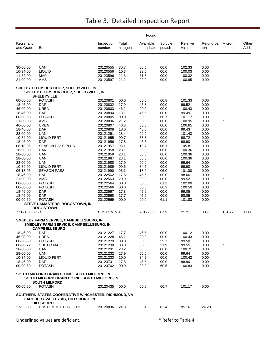|                         |                                                                                                                        |                      |                   | Found                  |                     |                   |                          |            |               |
|-------------------------|------------------------------------------------------------------------------------------------------------------------|----------------------|-------------------|------------------------|---------------------|-------------------|--------------------------|------------|---------------|
| Registrant<br>and Grade | <b>Brand</b>                                                                                                           | Inspection<br>number | Total<br>nitrogen | Available<br>phosphate | Soluble<br>potash   | Relative<br>value | Refund per Micro-<br>ton | nutrients  | Other<br>Add. |
|                         |                                                                                                                        |                      |                   |                        |                     |                   |                          |            |               |
| 30-00-00                | <b>UAN</b>                                                                                                             | 20120555             | 30.7              | 00.0                   | 00.0                | 102.33            | 0.00                     |            |               |
| 10-34-00                | <b>LIQUID</b>                                                                                                          | 20120556             | 10.3              | 33.6                   | 00.0                | 100.03            | 0.00                     |            |               |
| 11-52-00                | <b>MAP</b>                                                                                                             | 20123596             | 11.3              | 51.8                   | 00.0                | 100.32            | 0.00                     |            |               |
| 21-00-00                | AMS                                                                                                                    | 20123597             | 21.2              | 00.0                   | 00.0                | 100.95            | 0.00                     |            |               |
|                         | SHELBY CO FM BUR COOP, SHELBYVILLE, IN<br>SHELBY CO FM BUR COOP, SHELBYVILLE, IN<br><b>SHELBYVILLE</b>                 |                      |                   |                        |                     |                   |                          |            |               |
| 00-00-60                | <b>POTASH</b>                                                                                                          | 20120801             | 00.0              | 00.0                   | 60.8                | 101.33            | 0.00                     |            |               |
| 18-46-00                | <b>DAP</b>                                                                                                             | 20120802             | 17.9              | 45.8                   | 00.0                | 99.52             | 0.00                     |            |               |
| 46-00-00                | <b>UREA</b>                                                                                                            | 20120803             | 46.2              | 00.0                   | 00.0                | 100.43            | 0.00                     |            |               |
| 18-46-00                | <b>DAP</b>                                                                                                             | 20120804             | 18.1              | 45.5                   | 00.0                | 99.49             | 0.00                     |            |               |
| 00-00-60                | <b>POTASH</b>                                                                                                          | 20120805             | 00.0              | 00.0                   | 60.7                | 101.17            | 0.00                     | $\star$    |               |
| 21-00-00                | AMS                                                                                                                    | 20120806             | 21.2              | 00.0                   | 00.0                | 100.95            | 0.00                     |            |               |
| 46-00-00<br>18-46-00    | <b>UREA</b><br>DAP                                                                                                     | 20120807<br>20120808 | 46.3<br>18.0      | 00.0<br>45.6           | 00.0<br>00.0        | 100.65<br>99.43   | 0.00<br>0.00             |            |               |
| 28-00-00                | UAN                                                                                                                    | 20121291             | 28.4              | 00.0                   | 00.0                | 101.43            | 0.00                     |            |               |
| 10-34-00                | <b>LIQUID FERT</b>                                                                                                     | 20121955             | 09.7              | 33.8                   | 00.0                | 98.72             | 0.00                     |            |               |
| 18-46-00                | <b>DAP</b>                                                                                                             | 20121956             | 17.8              | 45.5                   | 00.0                | 98.90             | 0.00                     |            |               |
| 06-18-06                | SEASON PASS PLUS                                                                                                       | 20121957             | 06.1              | 19.7                   | 06.1                | 105.81            | 0.00                     |            |               |
| 28-00-00                | UAN                                                                                                                    | 20121958             | 28.1              | 00.0                   | 00.0                | 100.36            | 0.00                     |            |               |
| 28-00-00                | <b>UAN</b>                                                                                                             | 20121959             | 28.1              | 00.0                   | 00.0                | 100.36            | 0.00                     |            |               |
| 28-00-00                | <b>UAN</b>                                                                                                             | 20121987             | 28.1              | 00.0                   | 00.0                | 100.36            | 0.00                     |            |               |
| 28-00-00<br>10-34-00    | <b>UAN</b>                                                                                                             | 20121988             | 27.9<br>09.6      | 00.0<br>34.5           | 00.0                | 99.64<br>99.90    | 0.00                     |            |               |
| 06-18-06                | <b>LIQUID FERT</b><br><b>SEASON PASS</b>                                                                               | 20121989<br>20121990 | 06.1              | 18.2                   | 00.0<br>06.0        | 101.00            | 0.00<br>0.00             |            |               |
| 18-46-00                | <b>DAP</b>                                                                                                             | 20122562             | 17.6              | 45.6                   | 00.0                | 98.66             | 0.00                     |            |               |
| 21-00-00                | AMS                                                                                                                    | 20122563             | 20.9              | 00.0                   | 00.0                | 99.52             | 0.00                     | $^{\star}$ |               |
| 00-00-60                | <b>POTASH</b>                                                                                                          | 20122564             | 00.0              | 00.0                   | 61.2                | 102.00            | 0.00                     |            |               |
| 00-00-60                | <b>POTASH</b>                                                                                                          | 20122566             | 00.0              | 00.0                   | 60.3                | 100.50            | 0.00                     |            |               |
| 18-46-00                | DAP                                                                                                                    | 20122567             | 17.8              | 45.6                   | 00.0                | 99.05             | 0.00                     |            |               |
| 18-46-00                | <b>DAP</b>                                                                                                             | 20122568             | 17.7              | 45.6                   | 00.0                | 98.85             | 0.00                     |            |               |
| 00-00-60                | <b>POTASH</b><br>STEVE LAMASTERS, BOGGSTOWN, IN                                                                        | 20122569             | 00.0              | 00.0                   | 61.1                | 101.83            | 0.00                     |            |               |
|                         | <b>BOGGSTOWN</b>                                                                                                       |                      |                   |                        |                     |                   |                          |            |               |
| 7.38-18.86-35.4         |                                                                                                                        | <b>CUSTOM MIX</b>    |                   | 20122565               | 07.9                | 21.2              | 33.7                     | 101.27     | 17.00         |
|                         |                                                                                                                        |                      |                   |                        |                     |                   |                          |            |               |
|                         | SMEDLEY FARM SERVICE, CAMPBELLSBURG, IN<br>SMEDLEY FARM SERVICE, CAMPBELLSBURG, IN<br><b>CAMPBELLSBURG</b>             |                      |                   |                        |                     |                   |                          |            |               |
| 18-46-00                | DAP                                                                                                                    | 20121227             | 17.7              | 46.5                   | 00.0                | 100.12            | 0.00                     |            |               |
| 46-00-00                | UREA                                                                                                                   | 20121228             | 46.2              | 00.0                   | 00.0                | 100.43            | 0.00                     |            |               |
| 00-00-60                | <b>POTASH</b>                                                                                                          | 20121229             | 00.0              | 00.0                   | 59.7                | 99.50             | 0.00                     | $^\star$   |               |
| 00-00-22                | SUL PO MAG                                                                                                             | 20121230             | 00.0              | 00.0                   | 21.9                | 99.55             | 0.00                     |            |               |
| 28-00-00<br>28-00-00    | UAN<br>UAN                                                                                                             | 20121231<br>20121232 | 28.2<br>27.9      | 00.0<br>00.0           | 00.0<br>00.0        | 100.71<br>99.64   | 0.00<br>0.00             |            |               |
| 10-34-00                | LIQUID FERT                                                                                                            | 20121233             | 10.0              | 34.2                   | 00.0                | 100.42            | 0.00                     |            |               |
| 18-46-00                | DAP                                                                                                                    | 20123701             | 17.8              | 45.5                   | 00.0                | 98.90             | 0.00                     |            |               |
| 00-00-60                | <b>POTASH</b>                                                                                                          | 20123702             | 00.0              | 00.0                   | 60.5                | 100.83            | 0.00                     |            |               |
|                         | SOUTH MILFORD GRAIN CO INC, SOUTH MILFORD, IN<br>SOUTH MILFORD GRAIN CO INC, SOUTH MILFORD, IN<br><b>SOUTH MILFORD</b> |                      |                   |                        |                     |                   |                          |            |               |
| 00-00-60                | <b>POTASH</b>                                                                                                          | 20120435             | 00.0              | 00.0                   | 60.7                | 101.17            | 0.00                     |            |               |
|                         | SOUTHERN STATES COOPERATIVE-WINCHESTER, RICHMOND, VA                                                                   |                      |                   |                        |                     |                   |                          |            |               |
|                         | LAUGHERY VALLEY AG, DILLSBORO, IN<br><b>DILLSBORO</b>                                                                  |                      |                   |                        |                     |                   |                          |            |               |
| 27-03-03                | <b>CUSTOM MIX DRY FERT</b>                                                                                             | 20120896             | 24.8              | 03.4                   | 03.4                | 95.16             | 24.20                    |            |               |
|                         | Underlined values are deficient.                                                                                       |                      |                   |                        | * Refer to Table 4. |                   |                          |            |               |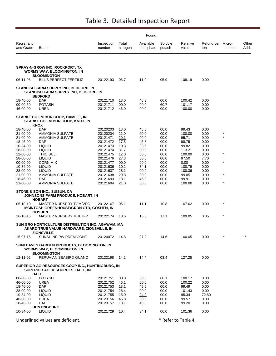|                         |                                                                                                       |                      |                   | Found                  |                     |                   |                          |              |               |
|-------------------------|-------------------------------------------------------------------------------------------------------|----------------------|-------------------|------------------------|---------------------|-------------------|--------------------------|--------------|---------------|
| Registrant<br>and Grade | Brand                                                                                                 | Inspection<br>number | Total<br>nitrogen | Available<br>phosphate | Soluble<br>potash   | Relative<br>value | Refund per Micro-<br>ton | nutrients    | Other<br>Add. |
|                         | <b>SPRAY-N-GROW INC, ROCKPORT, TX</b><br><b>WORMS WAY, BLOOMINGTON, IN</b>                            |                      |                   |                        |                     |                   |                          |              |               |
| 06-11-05                | <b>BLOOMINGTON</b><br><b>BILLS PERFECT FERTILIZ</b>                                                   | 20122193             | 06.7              | 11.0                   | 05.9                | 108.19            | 0.00                     |              |               |
|                         | STANDISH FARM SUPPLY INC, BEDFORD, IN<br>STANDISH FARM SUPPLY INC, BEDFORD, IN<br><b>BEDFORD</b>      |                      |                   |                        |                     |                   |                          |              |               |
| 18-46-00                | DAP                                                                                                   | 20121710             | 18.0              | 46.3                   | 00.0                | 100.42            | 0.00                     |              |               |
| 00-00-60                | <b>POTASH</b>                                                                                         | 20121711             | 00.0              | 00.0                   | 60.7                | 101.17            | 0.00                     |              |               |
| 46-00-00                | UREA                                                                                                  | 20121712             | 46.0              | 00.0                   | 00.0                | 100.00            | 0.00                     |              |               |
|                         | STARKE CO FM BUR COOP, HAMLET, IN<br>STARKE CO FM BUR COOP, KNOX, IN<br>KNOX                          |                      |                   |                        |                     |                   |                          |              |               |
| 18-46-00                | <b>DAP</b>                                                                                            | 20120203             | 18.0              | 45.6                   | 00.0                | 99.43             | 0.00                     |              |               |
| 21-00-00                | <b>AMMONIA SULFATE</b>                                                                                | 20120204             | 21.0              | 00.0                   | 00.0                | 100.00            | 0.00                     | *<br>$\star$ |               |
| 21-00-00<br>18-46-00    | <b>AMMONIA SULFATE</b><br>DAP                                                                         | 20121471<br>20121472 | 20.1<br>17.5      | 00.0<br>45.8           | 00.0<br>00.0        | 95.71<br>98.75    | 9.90<br>0.00             |              |               |
| 10-34-00                | <b>LIQUID</b>                                                                                         | 20121473             | 10.3              | 33.5                   | 00.0                | 99.82             | 0.00                     |              |               |
| 28-00-00                | <b>LIQUID</b>                                                                                         | 20121474             | 31.7              | 00.0                   | 00.0                | 113.21            | 0.00                     |              |               |
| 12-00-00                | THIO SUL                                                                                              | 20121475             | 12.0              | 00.0                   | 00.0                | 100.00            | 0.00                     | $\star$      |               |
| 28-00-00<br>00-00-00    | <b>LIQUID</b><br><b>CORN MIX</b>                                                                      | 20121476<br>20121477 | 27.3<br>00.0      | 00.0<br>00.0           | 00.0<br>00.0        | 97.50<br>0.00     | 7.70<br>0.00             | $\star$      |               |
| 10-34-00                | <b>LIQUID</b>                                                                                         | 20121636             | 10.2              | 34.1                   | 00.0                | 100.79            | 0.00                     |              |               |
| 28-00-00                | <b>LIQUID</b>                                                                                         | 20121637             | 28.1              | 00.0                   | 00.0                | 100.36            | 0.00                     |              |               |
| 21-00-00                | AMMONIA SULFATE                                                                                       | 20121638             | 20.8              | 00.0                   | 00.0                | 99.05             | 0.00                     | $\star$      |               |
| 18-46-00                | <b>DAP</b>                                                                                            | 20121693             | 18.1              | 45.8                   | 00.0                | 99.91             | 0.00                     | $^{\star}$   |               |
| 21-00-00                | AMMONIA SULFATE                                                                                       | 20121694             | 21.0              | 00.0                   | 00.0                | 100.00            | 0.00                     |              |               |
|                         | STONE & SON INC., SUISUN, CA<br>JOHNSONS FARM PRODUCE, HOBART, IN<br><b>HOBART</b>                    |                      |                   |                        |                     |                   |                          |              |               |
| 05-10-10                | <b>MASTER NURSERY TOM/VEG</b><br><b>MCINTOSH GREENHOUSE/GRDN CTR, GOSHEN, IN</b><br><b>GOSHEN</b>     | 20122167             | 05.1              | 11.1                   | 10.8                | 107.62            | 0.00                     | $^{\star}$   |               |
| 16-16-16                | <b>MASTER NURSERY MULTI-P</b>                                                                         | 20122174             | 18.6              | 16.3                   | 17.1                | 109.05            | 0.35                     | $\star$      |               |
|                         | SUN GRO HORTICULTURE DISTRIBUTION INC, AGAWAM, MA<br>AKARD TRUE VALUE HARDWARE, ZIONSVILLE, IN        |                      |                   |                        |                     |                   |                          |              |               |
| 15-07-15                | ZIONSVILLE<br>SUNSHINE PW PREM CONT                                                                   | 20120072             | 14.8              | 07.8                   | 14.6                | 100.05            | 0.00                     |              | $***$         |
|                         | SUNLEAVES GARDEN PRODUCTS, BLOOMINGTON, IN<br><b>WORMS WAY, BLOOMINGTON, IN</b><br><b>BLOOMINGTON</b> |                      |                   |                        |                     |                   |                          |              |               |
| 12-11-02                | PERUVIAN SEABIRD GUANO                                                                                | 20122198             | 14.2              | 14.4                   | 03.4                | 127.25            | 0.00                     |              |               |
|                         | SUPERIOR AG RESOURCES COOP INC., HUNTINGBURG, IN<br>SUPERIOR AG RESOURCES, DALE, IN<br><b>DALE</b>    |                      |                   |                        |                     |                   |                          |              |               |
| 00-00-60                | <b>POTASH</b>                                                                                         | 20121751             | 00.0              | 00.0                   | 60.1                | 100.17            | 0.00                     |              |               |
| 46-00-00                | <b>UREA</b>                                                                                           | 20121752             | 46.1              | 00.0                   | 00.0                | 100.22            | 0.00                     |              |               |
| 18-46-00                | DAP                                                                                                   | 20121753             | 18.1              | 45.5                   | 00.0                | 99.49             | 0.00                     |              |               |
| 28-00-00                | <b>LIQUID</b>                                                                                         | 20121754             | 28.4              | 00.0                   | 00.0                | 101.43            | 0.00                     |              |               |
| 10-34-00<br>46-00-00    | <b>LIQUID</b><br>UREA                                                                                 | 20121755<br>20123156 | 15.0<br>45.8      | 24.9<br>00.0           | 00.0<br>00.0        | 95.34<br>99.57    | 72.80<br>0.00            |              |               |
| 18-46-00                | DAP                                                                                                   | 20123157             | 18.1              | 45.3                   | 00.0                | 99.20             | 0.00                     |              |               |
|                         | <b>HUNTINGBURG</b>                                                                                    |                      |                   |                        |                     |                   |                          |              |               |
| 10-34-00                | <b>LIQUID</b>                                                                                         | 20121729             | 10.4              | 34.1                   | 00.0                | 101.36            | 0.00                     |              |               |
|                         | Underlined values are deficient.                                                                      |                      |                   |                        | * Refer to Table 4. |                   |                          |              |               |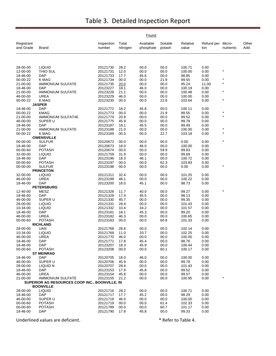|                         |                                                |                      |                   | Found                  |                   |                   |                          |           |               |
|-------------------------|------------------------------------------------|----------------------|-------------------|------------------------|-------------------|-------------------|--------------------------|-----------|---------------|
| Registrant<br>and Grade | <b>Brand</b>                                   | Inspection<br>number | Total<br>nitrogen | Available<br>phosphate | Soluble<br>potash | Relative<br>value | Refund per Micro-<br>ton | nutrients | Other<br>Add. |
|                         |                                                |                      |                   |                        |                   |                   |                          |           |               |
| 28-00-00                | <b>LIQUID</b>                                  | 20121730             | 28.2              | 00.0                   | 00.0              | 100.71            | 0.00                     |           |               |
| 12-00-00                | THIO SUL                                       | 20121731             | 12.0              | 00.0                   | 00.0              | 100.00            | 0.00                     | *         |               |
| 18-46-00                | <b>DAP</b>                                     | 20121733             | 17.7              | 45.6                   | 00.0              | 98.85             | 0.00                     |           |               |
| 00-00-22                | K MAG                                          | 20121734             | 00.0              | 00.0                   | 21.9              | 99.55             | 0.00                     | $\star$   |               |
| 21-00-00                | <b>AMMONIUM SULFATE</b>                        | 20121735             | 20.0              | 00.0                   | 00.0              | 95.24             | 11.00                    | $\star$   |               |
| 18-46-00                | <b>DAP</b>                                     | 20123227             | 18.1              | 46.0                   | 00.0              | 100.19            | 0.00                     | $\star$   |               |
| 21-00-00                | AMMONIUM SULFATE                               | 20123228             | 21.1              | 00.0                   | 00.0              | 100.48            | 0.00                     |           |               |
| 46-00-00<br>00-00-22    | <b>UREA</b><br>K MAG                           | 20123229<br>20123230 | 46.0<br>00.0      | 00.0<br>00.0           | 00.0<br>22.8      | 100.00<br>103.64  | 0.00<br>0.00             | $\star$   |               |
|                         | <b>JASPER</b>                                  |                      |                   |                        |                   |                   |                          |           |               |
| 18-46-00                | <b>DAP</b>                                     | 20121772             | 18.2              | 45.8                   | 00.0              | 100.11            | 0.00                     |           |               |
| 00-00-22                | <b>KMAG</b>                                    | 20121773             | 00.0              | 00.0                   | 21.9              | 99.55             | 0.00                     |           |               |
| 21-00-00                | <b>AMMONIUM SULFAT4E</b>                       | 20121774             | 20.9              | 00.0                   | 00.0              | 99.52             | 0.00                     | $\star$   |               |
| 46-00-00                | SUPER U                                        | 20121775             | 45.9              | 00.0                   | 00.0              | 99.78             | 0.00                     |           |               |
| 18-46-00                | <b>DAP</b>                                     | 20123187             | 18.1              | 45.5                   | 00.0              | 99.49             | 0.00                     |           |               |
| 21-00-00                | AMMONIUM SULFATE                               | 20123188             | 21.0              | 00.0                   | 00.0              | 100.00            | 0.00                     |           |               |
| 00-00-22                | <b>K MAG</b>                                   | 20123189             | 00.0              | 00.0                   | 22.7              | 103.18            | 0.00                     | $\star$   |               |
|                         | <b>OWENSVILLE</b>                              |                      |                   |                        |                   |                   |                          |           |               |
| 00-00-00                | <b>SULFUR</b>                                  | 20120672             | 00.0              | 00.0                   | 00.0              | 0.00              | 0.00                     | $\star$   |               |
| 18-46-00                | <b>DAP</b>                                     | 20120673             | 18.0              | 46.0                   | 00.0              | 100.00            | 0.00                     |           |               |
| 00-00-60                | <b>POTASH</b>                                  | 20120674             | 00.0              | 00.0                   | 59.9              | 99.83             | 0.00                     |           |               |
| 32-00-00                | <b>LIQUID</b>                                  | 20121759             | 31.9              | 00.0                   | 00.0              | 99.69             | 0.00                     |           |               |
| 18-46-00                | <b>DAP</b>                                     | 20123196             | 18.3              | 46.1                   | 00.0              | 100.72            | 0.00                     |           |               |
| 00-00-60<br>00-00-00    | <b>POTASH</b><br><b>SULFUR</b>                 | 20123197<br>20123198 | 00.0<br>00.0      | 00.0<br>00.0           | 62.3<br>00.0      | 103.83<br>0.00    | 0.00<br>0.00             |           |               |
|                         | <b>PRINCETON</b>                               |                      |                   |                        |                   |                   |                          |           |               |
| 32-00-00                | <b>LIQUID</b>                                  | 20121311             | 32.4              | 00.0                   | 00.0              | 101.25            | 0.00                     |           |               |
| 46-00-00                | <b>UREA</b>                                    | 20123199             | 46.1              | 00.0                   | 00.0              | 100.22            | 0.00                     |           |               |
| 18-46-00                | <b>DAP</b>                                     | 20123200             | 18.0              | 45.1                   | 00.0              | 98.73             | 0.00                     |           |               |
|                         | <b>PETERSBURG</b>                              |                      |                   |                        |                   |                   |                          |           |               |
| 12-40-00                | MESZ                                           | 20121328             | 11.7              | 40.0                   | 00.0              | 99.27             | 0.00                     |           |               |
| 18-46-00                | <b>DAP</b>                                     | 20121329             | 17.4              | 45.5                   | 00.0              | 98.13             | 0.00                     |           |               |
| 46-00-00                | SUPER U                                        | 20121330             | 45.7              | 00.0                   | 00.0              | 99.35             | 0.00                     |           |               |
| 28-00-00                | <b>LIQUID</b>                                  | 20121331             | 28.4              | 00.0                   | 00.0              | 101.43            | 0.00                     |           |               |
| 10-34-00                | <b>LIQUID</b>                                  | 20121332             | 10.4              | 34.2                   | 00.0              | 101.57            | 0.00                     |           |               |
| 18-46-00                | <b>DAP</b>                                     | 20123181             | 18.1              | 45.3                   | 00.0              | 99.20             | 0.00                     |           |               |
| 46-00-00                | <b>UREA</b>                                    | 20123182             | 46.3              | 00.0                   | 00.0              | 100.65            | 0.00                     |           |               |
| 00-00-60                | <b>POTASH</b><br><b>RICHLAND</b>               | 20123183             | 00.0              | 00.0                   | 60.8              | 101.33            | 0.00                     |           |               |
| 28-00-00                | <b>UAN</b>                                     | 20121768             | 28.6              | 00.0                   | 00.0              | 102.14            | 0.00                     |           |               |
| 10-34-00                | <b>LIQUID</b>                                  | 20121769             | 11.0              | 33.7                   | 00.0              | 102.25            | 0.00                     |           |               |
| 46-00-00                | UREA                                           | 20121770             | 46.0              | 00.0                   | 00.0              | 100.00            | 0.00                     |           |               |
| 18-46-00                | <b>DAP</b>                                     | 20121771             | 17.8              | 45.4                   | 00.0              | 98.76             | 0.00                     |           |               |
| 18-46-00                | <b>DAP</b>                                     | 20123207             | 18.3              | 45.9                   | 00.0              | 100.44            | 0.00                     |           |               |
| 00-00-60                | <b>POTASH</b>                                  | 20123208             | 00.0              | 00.0                   | 60.1              | 100.17            | 0.00                     |           |               |
|                         | <b>ST MEINRAD</b>                              |                      |                   |                        |                   |                   |                          |           |               |
| 18-46-00                | <b>DAP</b>                                     | 20120705             | 18.0              | 46.0                   | 00.0              | 100.00            | 0.00                     |           |               |
| 46-00-00                | SUPER U                                        | 20120706             | 45.9              | 00.0                   | 00.0              | 99.78             | 0.00                     |           |               |
| 28-00-00                | LIQUID N                                       | 20120707             | 28.4              | 00.0                   | 00.0              | 101.43            | 0.00                     |           |               |
| 18-46-00                | DAP                                            | 20123153             | 17.9              | 45.8                   | 00.0              | 99.52             | 0.00                     |           |               |
| 46-00-00<br>21-00-00    | <b>UREA</b><br>AMMONIUM SULFATE                | 20123154<br>20123155 | 45.8<br>21.2      | 00.0<br>00.0           | 00.0<br>00.0      | 99.57<br>100.95   | 0.00<br>0.00             |           |               |
|                         | SUPERIOR AG RESOURCES COOP INC., BOONVILLE, IN |                      |                   |                        |                   |                   |                          |           |               |
|                         | <b>BOONVILLE</b>                               |                      |                   |                        |                   |                   |                          |           |               |
| 28-00-00                | <b>LIQUID</b>                                  | 20121716             | 28.2              | 00.0                   | 00.0              | 100.71            | 0.00                     |           |               |
| 18-46-00                | <b>DAP</b>                                     | 20121717             | 17.7              | 45.2                   | 00.0              | 98.29             | 0.00                     |           |               |
| 46-00-00                | SUPER U                                        | 20121718             | 46.0              | 00.0                   | 00.0              | 100.00            | 0.00                     |           |               |
| 00-00-60                | <b>POTASH</b>                                  | 20121719             | 00.0              | 00.0                   | 61.4              | 102.33            | 0.00                     |           |               |
| 00-00-60                | <b>POTASH</b>                                  | 20121789             | 00.0              | 00.0                   | 60.7              | 101.17            | 0.00                     |           |               |
| 18-46-00                | <b>DAP</b>                                     | 20121790             | 17.8              | 45.8                   | 00.0              | 99.33             | 0.00                     |           |               |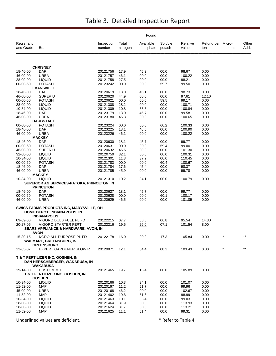|                         |                                                                                                 |                      |                   | Found                  |                   |                   |                          |           |               |
|-------------------------|-------------------------------------------------------------------------------------------------|----------------------|-------------------|------------------------|-------------------|-------------------|--------------------------|-----------|---------------|
| Registrant<br>and Grade | <b>Brand</b>                                                                                    | Inspection<br>number | Total<br>nitrogen | Available<br>phosphate | Soluble<br>potash | Relative<br>value | Refund per Micro-<br>ton | nutrients | Other<br>Add. |
|                         |                                                                                                 |                      |                   |                        |                   |                   |                          |           |               |
|                         | <b>CHRISNEY</b>                                                                                 |                      |                   |                        |                   |                   |                          |           |               |
| 18-46-00                | <b>DAP</b>                                                                                      | 20121756             | 17.9              | 45.2                   | 00.0              | 98.67             | 0.00                     |           |               |
| 46-00-00                | <b>UREA</b>                                                                                     | 20121757             | 46.1              | 00.0                   | 00.0              | 100.22            | 0.00                     |           |               |
| 28-00-00                | <b>LIQUID</b>                                                                                   | 20121758             | 27.5              | 00.0                   | 00.0              | 98.21             | 0.00                     |           |               |
| 00-00-60                | <b>POTASH</b><br><b>EVANSVILLE</b>                                                              | 20123242             | 00.0              | 00.0                   | 59.7              | 99.50             | 0.00                     |           |               |
| 18-46-00                | <b>DAP</b>                                                                                      | 20120619             | 18.0              | 45.1                   | 00.0              | 98.73             | 0.00                     |           |               |
| 46-00-00                | SUPER U                                                                                         | 20120620             | 44.9              | 00.0                   | 00.0              | 97.61             | 12.10                    |           |               |
| 00-00-60                | <b>POTASH</b>                                                                                   | 20120621             | 00.0              | 00.0                   | 59.5              | 99.17             | 0.00                     |           |               |
| 28-00-00                | <b>LIQUID</b>                                                                                   | 20121308             | 28.2              | 00.0                   | 00.0              | 100.71            | 0.00                     |           |               |
| 10-34-00                | <b>LIQUID</b>                                                                                   | 20121309             | 10.8              | 33.3                   | 00.0              | 100.84            | 0.00                     |           |               |
| 18-46-00                | <b>DAP</b>                                                                                      | 20123179             | 18.0              | 45.7                   | 00.0              | 99.58             | 0.00                     |           |               |
| 46-00-00                | UREA                                                                                            | 20123180             | 46.3              | 00.0                   | 00.0              | 100.65            | 0.00                     |           |               |
|                         | <b>HAUBSTADT</b>                                                                                |                      |                   |                        |                   |                   |                          |           |               |
| 00-00-60                | <b>POTASH</b>                                                                                   | 20123224             | 00.0              | 00.0                   | 60.2              | 100.33            | 0.00                     |           |               |
| 18-46-00                | <b>DAP</b>                                                                                      | 20123225             | 18.1              | 46.5                   | 00.0              | 100.90            | 0.00                     |           |               |
| 46-00-00                | <b>UREA</b>                                                                                     | 20123226             | 46.1              | 00.0                   | 00.0              | 100.22            | 0.00                     |           |               |
| 18-46-00                | <b>MACKEY</b><br><b>DAP</b>                                                                     | 20120630             | 18.1              | 45.7                   | 00.0              | 99.77             | 0.00                     |           |               |
| 00-00-60                | <b>POTASH</b>                                                                                   | 20120631             | 00.0              | 00.0                   | 59.4              | 99.00             | 0.00                     |           |               |
| 46-00-00                | SUPER U                                                                                         | 20120632             | 46.6              | 00.0                   | 00.0              | 101.30            | 0.00                     |           |               |
| 32-00-00                | <b>LIQUID</b>                                                                                   | 20120750             | 32.1              | 00.0                   | 00.0              | 100.31            | 0.00                     |           |               |
| 10-34-00                | <b>LIQUID</b>                                                                                   | 20121301             | 11.3              | 37.2                   | 00.0              | 110.45            | 0.00                     |           |               |
| 00-00-60                | <b>POTASH</b>                                                                                   | 20121783             | 00.0              | 00.0                   | 60.4              | 100.67            | 0.00                     |           |               |
| 18-46-00                | <b>DAP</b>                                                                                      | 20121784             | 17.6              | 45.4                   | 00.0              | 98.37             | 0.00                     |           |               |
| 46-00-00                | <b>UREA</b><br><b>MACKEY</b>                                                                    | 20121785             | 45.9              | 00.0                   | 00.0              | 99.78             | 0.00                     |           |               |
| 10-34-00                | LIQUID<br>SUPERIOR AG SERVICES-PATOKA, PRINCETON, IN                                            | 20121310             | 10.2              | 34.1                   | 00.0              | 100.79            | 0.00                     |           |               |
| 18-46-00                | <b>PRINCETON</b><br><b>DAP</b>                                                                  | 20120627             | 18.1              | 45.7                   | 00.0              | 99.77             | 0.00                     |           |               |
| 00-00-60                | <b>POTASH</b>                                                                                   | 20120628             | 00.0              | 00.0                   | 60.1              | 100.17            | 0.00                     |           |               |
| 46-00-00                | UREA                                                                                            | 20120629             | 46.5              | 00.0                   | 00.0              | 101.09            | 0.00                     |           |               |
|                         | SWISS FARMS PRODUCTS INC, MARYSVILLE, OH<br>HOME DEPOT, INDIANAPOLIS, IN<br><b>INDIANAPOLIS</b> |                      |                   |                        |                   |                   |                          |           |               |
| 09-09-06                | VIGORO BULB FUEL PL FD                                                                          | 20122215             | 07.7              | 08.5                   | 06.8              | 95.54             | 14.30                    |           |               |
| 20-27-05                | <b>VIGORO STARTER FERT</b><br><b>SEARS APPLIANCE &amp; HARDWARE, AVON, IN</b>                   | 20122216             | 19.5              | 26.0                   | 07.1              | 101.54            | 8.00                     |           |               |
| 15-30-15                | AVON<br>KGRO ALL PURPOSE PL FD<br><b>WALMART, GREENSBURG, IN</b>                                | 20122178             | 16.0              | 29.8                   | 17.3              | 105.84            | 0.00                     |           | **            |
| 12-05-07                | <b>GREENSBURG</b><br>EXPERT GARDENER SLOW R                                                     | 20120071             | 12.1              | 04.4                   | 08.2              | 103.43            | 0.00                     |           | $***$         |
|                         | T & T FERTILIZER INC, GOSHEN, IN<br>DAN HERSCHBERGER, WAKARUSA, IN<br><b>WAKARUSA</b>           |                      |                   |                        |                   |                   |                          |           |               |
| 19-14-00                | <b>CUSTOM MIX</b><br><b>T &amp; T FERTILIZER INC, GOSHEN, IN</b>                                | 20121465             | 19.7              | 15.4                   | 00.0              | 105.89            | 0.00                     |           |               |
|                         | <b>GOSHEN</b>                                                                                   |                      |                   |                        |                   |                   |                          |           |               |
| 10-34-00                | <b>LIQUID</b>                                                                                   | 20120166             | 10.3              | 34.1                   | 00.0              | 101.07            | 0.00                     |           |               |
| 11-52-00                | <b>MAP</b>                                                                                      | 20120167             | 11.2              | 51.7                   | 00.0              | 99.96             | 0.00                     |           |               |
| 45-00-00<br>11-52-00    | UREA                                                                                            | 20120168             | 46.2              | 00.0                   | 00.0              | 102.67            | 0.00                     |           |               |
| 10-34-00                | MAP<br><b>LIQUID</b>                                                                            | 20121462<br>20121463 | 10.8<br>10.1      | 51.6<br>33.4           | 00.0<br>00.0      | 98.99<br>99.03    | 0.00<br>0.00             |           |               |
| 28-00-00                | <b>LIQUID</b>                                                                                   | 20121464             | 31.9              | 00.0                   | 00.0              | 113.93            | 0.00                     |           |               |
| 28-00-00                | <b>LIQUID</b>                                                                                   | 20121624             | 31.7              | 00.0                   | 00.0              | 113.21            | 0.00                     |           |               |
| 11-52-00                | MAP                                                                                             | 20121625             | 11.1              | 51.4                   | 00.0              | 99.31             | 0.00                     |           |               |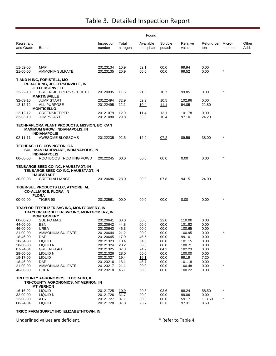|                         |                                                                                                               |                      |                     | Found                  |                     |                   |                          |            |               |
|-------------------------|---------------------------------------------------------------------------------------------------------------|----------------------|---------------------|------------------------|---------------------|-------------------|--------------------------|------------|---------------|
| Registrant<br>and Grade | Brand                                                                                                         | Inspection<br>number | Total<br>nitrogen   | Available<br>phosphate | Soluble<br>potash   | Relative<br>value | Refund per Micro-<br>ton | nutrients  | Other<br>Add. |
|                         |                                                                                                               |                      |                     |                        |                     |                   |                          |            |               |
| 11-52-00<br>21-00-00    | <b>MAP</b><br>AMMONIA SULFATE                                                                                 | 20123134<br>20123135 | 10.9<br>20.9        | 52.1<br>00.0           | 00.0<br>00.0        | 99.94<br>99.52    | 0.00<br>0.00             | $\star$    |               |
|                         | T AND N INC, FORISTELL, MO<br><b>RURAL KING, JEFFERSONVILLE, IN</b><br><b>JEFFERSONVILLE</b>                  |                      |                     |                        |                     |                   |                          |            |               |
| 12-22-10                | <b>GREENSKEEPERS SECRET L</b><br><b>MARTINSVILLE</b>                                                          | 20120095             | 11.6                | 21.6                   | 10.7                | 99.85             | 0.00                     | $\star$    |               |
| 32-03-10<br>12-12-12    | <b>JUMP START</b><br>ALL PURPOSE                                                                              | 20122494<br>20122495 | 32.9<br>12.1        | 02.9<br><u>10.4</u>    | 10.5<br><u>11.1</u> | 102.96<br>94.05   | 0.00<br>21.80            |            |               |
|                         | <b>MONTICELLO</b>                                                                                             |                      |                     |                        |                     |                   |                          |            |               |
| 12-12-12<br>32-03-10    | <b>GREENSKEEPER</b><br>JUMPSTART                                                                              | 20121079<br>20121080 | 12.0<br><u>29.8</u> | 11.4<br>03.8           | 13.1<br>10.4        | 101.78<br>97.10   | 0.00<br>24.20            |            |               |
|                         | TECHNAFLORA PLANT PRODUCTS, MISSION, BC CAN<br><b>MAXIMUM GROW, INDIANAPOLIS, IN</b><br><b>INDIANAPOLIS</b>   |                      |                     |                        |                     |                   |                          |            |               |
| 02-11-11                | AWESOME BLOSSOMS                                                                                              | 20122235             | 02.5                | 12.2                   | 07.2                | 89.59             | 38.00                    |            |               |
|                         | <b>TECHPAC LLC, COVINGTON, GA</b><br>SULLIVAN HARDWARE, INDIANAPOLIS, IN<br><b>INDIANAPOLIS</b>               |                      |                     |                        |                     |                   |                          |            |               |
| 00-00-00                | ROOTBOOST ROOTING POWD                                                                                        | 20122245             | 00.0                | 00.0                   | 00.0                | 0.00              | 0.00                     | $^{\star}$ |               |
|                         | TENBARGE SEED CO INC, HAUBSTADT, IN<br>TENBARGE SEED CO INC, HAUBSTADT, IN<br><b>HAUBSTADT</b>                |                      |                     |                        |                     |                   |                          |            |               |
| 30-00-08                | <b>GREEN ALLIANCE</b>                                                                                         | 20120686             | 28.0                | 00.0                   | 07.8                | 94.15             | 24.00                    |            |               |
|                         | TIGER-SUL PRODUCTS LLC, ATMORE, AL<br><b>CO-ALLIANCE, FLORA, IN</b><br><b>FLORA</b>                           |                      |                     |                        |                     |                   |                          |            |               |
| 00-00-00                | TIGER 90                                                                                                      | 20123561             | 00.0                | 00.0                   | 00.0                | 0.00              | 0.00                     |            |               |
|                         | TRAYLOR FERTILIZER SVC INC, MONTGOMERY, IN<br>TRAYLOR FERTILIZER SVC INC, MONTGOMERY, IN<br><b>MONTGOMERY</b> |                      |                     |                        |                     |                   |                          |            |               |
| 00-00-20                | SUL PO MAG                                                                                                    | 20120641             | 00.0                | 00.0                   | 22.0                | 110.00            | 0.00                     |            |               |
| 44-00-00<br>46-00-00    | <b>ESN</b><br>UREA                                                                                            | 20120642<br>20120643 | 44.8<br>46.3        | 00.0<br>00.0           | 00.0<br>00.0        | 101.82<br>100.65  | 0.00<br>0.00             |            |               |
| 21-00-00                | AMMONIUM SULFATE                                                                                              | 20120644             | 21.2                | 00.0                   | 00.0                | 100.95            | 0.00                     |            |               |
| 18-46-00                | DAP                                                                                                           | 20120645             | 17.9                | 45.5                   | 00.0                | 99.10             | 0.00                     |            |               |
| 10-34-00                | <b>LIQUID</b>                                                                                                 | 20121323             | 10.4                | 34.0                   | 00.0                | 101.15            | 0.00                     |            |               |
| 28-00-00                | LIQUID N                                                                                                      | 20121324             | 28.2                | 00.0                   | 00.0                | 100.71            | 0.00                     |            |               |
| 07-24-04                | <b>GREEN FLAG</b>                                                                                             | 20121325             | 07.3                | 24.2                   | 04.2                | 102.23            | 0.00                     |            |               |
| 28-00-00<br>19-17-00    | LIQUID N<br><b>LIQUID</b>                                                                                     | 20121326<br>20121327 | 28.0<br>19.4        | 00.0<br>16.1           | 00.0<br>00.0        | 100.00<br>99.19   | 0.00<br>7.20             |            |               |
| 18-46-00                | <b>DAP</b>                                                                                                    | 20123216             | 18.1                | 46.7                   | 00.0                | 101.18            | 0.00                     |            |               |
| 21-00-00                | <b>AMMONIUM SULFATE</b>                                                                                       | 20123217             | 21.1                | 00.0                   | 00.0                | 100.48            | 0.00                     |            |               |
| 46-00-00                | UREA                                                                                                          | 20123218             | 46.1                | 00.0                   | 00.0                | 100.22            | 0.00                     |            |               |
|                         | TRI COUNTY AGRONOMICS, ELDORADO, IL<br>TRI-COUNTY AGRONOMICS, MT VERNON, IN                                   |                      |                     |                        |                     |                   |                          |            |               |
|                         | <b>MT VERNON</b>                                                                                              |                      |                     |                        |                     |                   |                          |            |               |
| 16-16-02                | <b>LIQUID</b>                                                                                                 | 20121725             | 10.9                | 20.3                   | 03.6                | 98.24             | 58.50                    |            |               |
| 32-00-00<br>12-00-00    | LIQUID N<br><b>ATS</b>                                                                                        | 20121726<br>20121727 | 31.7                | 00.0                   | 00.0                | 99.06<br>59.17    | 0.00<br>113.60           |            |               |
| 08-24-04                | <b>LIQUID</b>                                                                                                 | 20121728             | 07.1<br>07.8        | 00.0<br>23.7           | 00.0<br>03.6        | 97.31             | 8.60                     |            |               |
|                         |                                                                                                               |                      |                     |                        |                     |                   |                          |            |               |

#### **TRICO FARM SUPPLY INC, ELIZABETHTOWN, IN**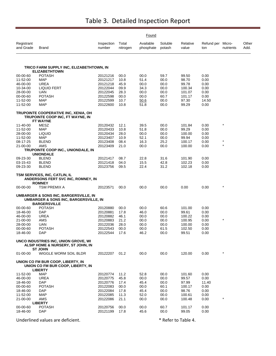|                         |                                                                                                       |                      |                   | Found                  |                   |                   |                          |           |               |
|-------------------------|-------------------------------------------------------------------------------------------------------|----------------------|-------------------|------------------------|-------------------|-------------------|--------------------------|-----------|---------------|
| Registrant<br>and Grade | Brand                                                                                                 | Inspection<br>number | Total<br>nitrogen | Available<br>phosphate | Soluble<br>potash | Relative<br>value | Refund per Micro-<br>ton | nutrients | Other<br>Add. |
|                         | TRICO FARM SUPPLY INC, ELIZABETHTOWN, IN                                                              |                      |                   |                        |                   |                   |                          |           |               |
|                         | <b>ELIZABETHTOWN</b>                                                                                  |                      |                   |                        |                   |                   |                          |           |               |
| 00-00-60                | <b>POTASH</b>                                                                                         | 20121216             | 00.0              | 00.0                   | 59.7              | 99.50             | 0.00                     |           |               |
| 11-52-00                | <b>MAP</b>                                                                                            | 20121217             | 10.8              | 51.4                   | 00.0              | 98.70             | 0.00                     |           |               |
| 46-00-00<br>10-34-00    | <b>UREA</b><br>LIQUID FERT                                                                            | 20121218<br>20122044 | 45.9<br>09.9      | 00.0<br>34.3           | 00.0<br>00.0      | 99.78<br>100.34   | 0.00<br>0.00             |           |               |
| 28-00-00                | UAN                                                                                                   | 20122045             | 28.3              | 00.0                   | 00.0              | 101.07            | 0.00                     |           |               |
| 00-00-60                | <b>POTASH</b>                                                                                         | 20122598             | 00.0              | 00.0                   | 60.7              | 101.17            | 0.00                     |           |               |
| 11-52-00                | MAP                                                                                                   | 20122599             | 10.7              | 50.6                   | 00.0              | 97.30             | 14.50                    |           |               |
| 11-52-00                | <b>MAP</b>                                                                                            | 20122600             | 10.8              | 51.8                   | 00.0              | 99.29             | 0.00                     |           |               |
|                         | TRUPOINTE COOPERATIVE INC, XENIA, OH<br>TRUPOINTE COOP INC, FT WAYNE, IN<br>FT WAYNE                  |                      |                   |                        |                   |                   |                          |           |               |
| 11-40-00                | MESZ                                                                                                  | 20120432             | 12.1              | 39.5                   | 00.0              | 101.84            | 0.00                     | $\star$   |               |
| 11-52-00                | MAP                                                                                                   | 20120433             | 10.8              | 51.8                   | 00.0              | 99.29             | 0.00                     |           |               |
| 28-00-00                | <b>LIQUID</b>                                                                                         | 20120434             | 28.0              | 00.0                   | 00.0              | 100.00            | 0.00                     |           |               |
| 11-52-00                | MAP                                                                                                   | 20123407             | 10.9              | 52.1                   | 00.0              | 99.94             | 0.00                     |           |               |
| 08-17-25                | <b>BLEND</b>                                                                                          | 20123408             | 08.4              | 16.3                   | 25.2              | 100.17            | 0.00                     | $\ast$    |               |
| 21-00-00                | AMS                                                                                                   | 20123409             | 21.0              | 00.0                   | 00.0              | 100.00            | 0.00                     | $\star$   |               |
|                         | TRUPOINTE COOP INC., UNIONDALE, IN<br><b>UNIONDALE</b>                                                |                      |                   |                        |                   |                   |                          |           |               |
| 09-23-30                | <b>BLEND</b>                                                                                          | 20121417             | 08.7              | 22.8                   | 31.6              | 101.90            | 0.00                     |           |               |
| 03-15-43                | <b>BLEND</b>                                                                                          | 20121418             | 04.0              | 15.5                   | 42.8              | 102.23            | 0.00                     |           |               |
| 09-23-30                | <b>BLEND</b>                                                                                          | 20123756             | 09.5              | 22.4                   | 31.2              | 102.18            | 0.00                     |           |               |
|                         | TSM SERVICES, INC, CATLIN, IL<br>ANDERSONS FERT SVC INC, ROMNEY, IN<br><b>ROMNEY</b>                  |                      |                   |                        |                   |                   |                          |           |               |
| 00-00-00                | TSM PREMIX A                                                                                          | 20123571             | 00.0              | 00.0                   | 00.0              | 0.00              | 0.00                     | $\star$   |               |
|                         | UMBARGER & SONS INC, BARGERSVILLE, IN<br>UMBARGER & SONS INC, BARGERSVILLE, IN<br><b>BARGERSVILLE</b> |                      |                   |                        |                   |                   |                          |           |               |
| 00-00-60                | <b>POTASH</b>                                                                                         | 20120880             | 00.0              | 00.0                   | 60.6              | 101.00            | 0.00                     |           |               |
| 18-46-00                | DAP                                                                                                   | 20120881             | 17.8              | 46.0                   | 00.0              | 99.61             | 0.00                     |           |               |
| 46-00-00                | UREA                                                                                                  | 20120882             | 46.1              | 00.0                   | 00.0              | 100.22            | 0.00                     |           |               |
| 21-00-00                | AMS                                                                                                   | 20120883             | 21.2              | 00.0                   | 00.0              | 100.95            | 0.00                     | $\star$   |               |
| 28-00-00                | UAN                                                                                                   | 20122036             | 28.0              | 00.0                   | 00.0              | 100.00            | 0.00                     |           |               |
| 00-00-60<br>18-46-00    | <b>POTASH</b><br><b>DAP</b>                                                                           | 20122543<br>20122544 | 00.0<br>17.6      | 00.0<br>46.2           | 61.5<br>00.0      | 102.50<br>99.51   | 0.00<br>0.00             |           |               |
|                         | UNCO INDUSTRIES INC, UNION GROVE, WI<br>ALSIP HOME & NURSERY, ST JOHN, IN<br><b>ST JOHN</b>           |                      |                   |                        |                   |                   |                          |           |               |
| 01-00-00                | WIGGLE WORM SOIL BLDR                                                                                 | 20122207             | 01.2              | 00.0                   | 00.0              | 120.00            | 0.00                     | $\star$   |               |
|                         | UNION CO FM BUR COOP, LIBERTY, IN<br>UNION CO FM BUR COOP, LIBERTY, IN<br><b>LIBERTY</b>              |                      |                   |                        |                   |                   |                          |           |               |
| 11-52-00                | <b>MAP</b>                                                                                            | 20120774             | 11.2              | 52.8                   | 00.0              | 101.60            | 0.00                     |           |               |
| 46-00-00                | UREA                                                                                                  | 20120775             | 45.8              | 00.0                   | 00.0              | 99.57             | 0.00                     |           |               |
| 18-46-00                | DAP                                                                                                   | 20120776             | 17.4              | 45.4                   | 00.0              | 97.99             | 11.40                    |           |               |
| 00-00-60                | <b>POTASH</b>                                                                                         | 20122083             | 00.0              | 00.0                   | 60.1              | 100.17            | 0.00                     |           |               |
| 18-46-00                | <b>DAP</b>                                                                                            | 20122084             | 17.8              | 45.4                   | 00.0              | 98.76             | 0.00                     |           |               |
| 11-52-00                | <b>MAP</b>                                                                                            | 20122085             | 11.3              | 52.0                   | 00.0              | 100.61            | 0.00                     |           |               |
| 21-00-00                | AMS                                                                                                   | 20122086             | 21.1              | 00.0                   | 00.0              | 100.48            | 0.00                     |           |               |
| 00-00-60                | <b>LIBERTY</b><br><b>POTASH</b>                                                                       | 20120756             | 00.0              | 00.0                   | 60.7              | 101.17            | 0.00                     |           |               |
| 18-46-00                | DAP                                                                                                   | 20121199             | 17.8              | 45.6                   | 00.0              | 99.05             | 0.00                     |           |               |
|                         |                                                                                                       |                      |                   |                        |                   |                   |                          |           |               |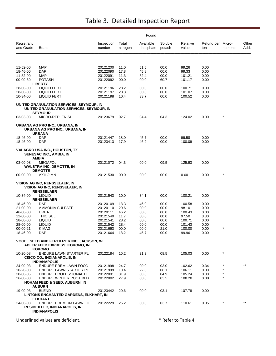|                         |                                                                                                        |                      |                   | Found                  |                   |                   |                          |            |               |
|-------------------------|--------------------------------------------------------------------------------------------------------|----------------------|-------------------|------------------------|-------------------|-------------------|--------------------------|------------|---------------|
| Registrant<br>and Grade | <b>Brand</b>                                                                                           | Inspection<br>number | Total<br>nitrogen | Available<br>phosphate | Soluble<br>potash | Relative<br>value | Refund per Micro-<br>ton | nutrients  | Other<br>Add. |
|                         |                                                                                                        |                      |                   |                        |                   |                   |                          |            |               |
| 11-52-00                | MAP                                                                                                    | 20121200             | 11.0              | 51.5                   | 00.0              | 99.26             | 0.00                     |            |               |
| 18-46-00                | <b>DAP</b>                                                                                             | 20122090             | 17.8              | 45.8                   | 00.0              | 99.33             | 0.00                     |            |               |
| 11-52-00                | MAP                                                                                                    | 20122091             | 11.3              | 52.4                   | 00.0              | 101.21            | 0.00                     |            |               |
| 00-00-60                | <b>POTASH</b>                                                                                          | 20122092             | 00.0              | 00.0                   | 60.7              | 101.17            | 0.00                     |            |               |
| 28-00-00                | <b>LIBERTY</b><br><b>LIQUID FERT</b>                                                                   | 20121196             | 28.2              | 00.0                   | 00.0              | 100.71            | 0.00                     |            |               |
| 28-00-00                | <b>LIQUID FERT</b>                                                                                     | 20121197             | 28.3              | 00.0                   | 00.0              | 101.07            | 0.00                     |            |               |
| 10-34-00                | <b>LIQUID FERT</b>                                                                                     | 20121198             | 10.4              | 33.7                   | 00.0              | 100.52            | 0.00                     |            |               |
|                         | UNITED GRANULATION SERVICES, SEYMOUR, IN<br>UNITED GRANULATION SERVICES, SEYMOUR, IN<br><b>SEYMOUR</b> |                      |                   |                        |                   |                   |                          |            |               |
| 03-03-03                | MICRO-REPLENISH                                                                                        | 20123679             | 02.7              | 04.4                   | 04.3              | 124.02            | 0.00                     | $^{\star}$ |               |
|                         | URBANA AG PRO INC., URBANA, IN<br>URBANA AG PRO INC., URBANA, IN<br><b>URBANA</b>                      |                      |                   |                        |                   |                   |                          |            |               |
| 18-46-00                | <b>DAP</b>                                                                                             | 20121447             | 18.0              | 45.7                   | 00.0              | 99.58             | 0.00                     |            |               |
| 18-46-00                | <b>DAP</b>                                                                                             | 20123413             | 17.9              | 46.2                   | 00.0              | 100.09            | 0.00                     |            |               |
|                         | VALAGRO USA INC., HOUSTON, TX<br>SENESAC INC., AMBIA, IN<br><b>AMBIA</b>                               |                      |                   |                        |                   |                   |                          |            |               |
| 03-00-08                | <b>MEGAFOL</b><br><b>WALSTRA INC, DEMOTTE, IN</b><br><b>DEMOTTE</b>                                    | 20121072             | 04.3              | 00.0                   | 09.5              | 125.93            | 0.00                     |            |               |
| 00-00-00                | AXILO MN                                                                                               | 20121530             | 00.0              | 00.0                   | 00.0              | 0.00              | 0.00                     | $^{\star}$ |               |
|                         | <b>VISION AG INC, RENSSELAER, IN</b><br>VISION AG INC, RENSSELAER, IN<br><b>RENSSELAER</b>             |                      |                   |                        |                   |                   |                          |            |               |
| 10-34-00                | <b>LIQUID</b><br><b>RENSSELAER</b>                                                                     | 20121543             | 10.0              | 34.1                   | 00.0              | 100.21            | 0.00                     |            |               |
| 18-46-00                | <b>DAP</b>                                                                                             | 20120109             | 18.3              | 46.0                   | 00.0              | 100.58            | 0.00                     |            |               |
| 21-00-00                | AMMONIA SULFATE                                                                                        | 20120110             | 20.6              | 00.0                   | 00.0              | 98.10             | 0.00                     |            |               |
| 46-00-00                | UREA                                                                                                   | 20120111             | 46.2              | 00.0                   | 00.0              | 100.43            | 0.00                     |            |               |
| 12-00-00                | THIO SUL                                                                                               | 20121540             | 11.7              | 00.0                   | 00.0              | 97.50             | 3.30                     |            |               |
| 28-00-00                | LIQUID                                                                                                 | 20121541             | 28.2              | 00.0                   | 00.0              | 100.71            | 0.00                     |            |               |
| 28-00-00                | <b>LIQUID</b>                                                                                          | 20121542             | 28.4              | 00.0                   | 00.0              | 101.43            | 0.00                     |            |               |
| 00-00-21                | K MAG                                                                                                  | 20121663             | 00.0              | 00.0                   | 21.0              | 100.00            | 0.00                     | $^{\star}$ |               |
| 18-46-00                | <b>DAP</b>                                                                                             | 20121664             | 18.2              | 45.7                   | 00.0              | 99.96             | 0.00                     |            |               |
|                         | <b>VOGEL SEED AND FERTILIZER INC, JACKSON, WI</b><br>ADLER FEED EXPRESS, KOKOMO, IN<br><b>KOKOMO</b>   |                      |                   |                        |                   |                   |                          |            |               |
| 10-20-08                | ENDURE LAWN STARTER PL<br>CISCO CO., INDIANAPOLIS, IN<br><b>INDIANAPOLIS</b>                           | 20122184             | 10.2              | 21.3                   | 08.5              | 105.03            | 0.00                     | $\star$    |               |
| 24-00-03                | ENDURE PREM LAWN FOOD                                                                                  | 20121998             | 24.7              | 00.0                   | 03.0              | 102.62            | 0.34                     |            | $***$         |
| 10-20-08                | ENDURE LAWN STARTER PL                                                                                 | 20121999             | 10.4              | 22.0                   | 08.1              | 106.11            | 0.00                     |            |               |
| 30-00-05                | <b>ENDURE PROFESSIONAL FE</b>                                                                          | 20122001             | 31.9              | 00.0                   | 04.9              | 105.24            | 0.00                     | $^{\star}$ |               |
| 26-00-03                | ENDURE WINTER ROOT BLD<br><b>HOHAM FEED &amp; SEED, AUBURN, IN</b>                                     | 20122002             | 27.9              | 00.0                   | 03.5              | 108.20            | 0.00                     | $\star$    |               |
|                         | <b>AUBURN</b>                                                                                          |                      |                   |                        |                   |                   |                          |            |               |
| 19-00-03                | <b>BLEND</b>                                                                                           | 20123442             | 20.6              | 00.0                   | 03.1              | 107.78            | 0.00                     |            |               |
|                         | LINTONS ENCHANTED GARDENS, ELKHART, IN<br><b>ELKHART</b>                                               |                      |                   |                        |                   |                   |                          |            |               |
| 24-00-03                | ENDURE PREMIUM LAWN FD<br><b>RESIDEX LLC, INDIANAPOLIS, IN</b><br><b>INDIANAPOLIS</b>                  | 20122229             | 26.2              | 00.0                   | 03.7              | 110.61            | 0.05                     | $^{\star}$ | $***$         |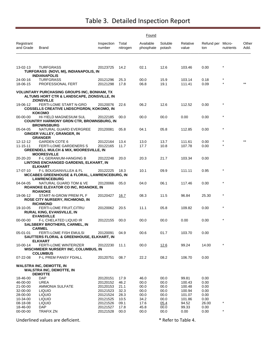|                         | <b>Found</b>                                                                                                           |                      |                   |                        |                   |                   |                          |           |               |  |  |  |
|-------------------------|------------------------------------------------------------------------------------------------------------------------|----------------------|-------------------|------------------------|-------------------|-------------------|--------------------------|-----------|---------------|--|--|--|
| Registrant<br>and Grade | <b>Brand</b>                                                                                                           | Inspection<br>number | Total<br>nitrogen | Available<br>phosphate | Soluble<br>potash | Relative<br>value | Refund per Micro-<br>ton | nutrients | Other<br>Add. |  |  |  |
|                         |                                                                                                                        |                      |                   |                        |                   |                   |                          | $\star$   |               |  |  |  |
| 13-02-13                | <b>TURFGRASS</b><br>TURFGRASS (NOVI, MI), INDIANAPOLIS, IN<br><b>INDIANAPOLIS</b>                                      | 20123725             | 14.2              | 02.1                   | 12.6              | 103.46            | 0.00                     |           |               |  |  |  |
| 24-00-16                | <b>TURFGRASS</b>                                                                                                       | 20121296             | 25.3              | 00.0                   | 15.9              | 103.14            | 0.18                     |           |               |  |  |  |
| 18-06-15                | PROFESSIONAL FERT                                                                                                      | 20121298             | 17.8              | 06.8                   | 19.1              | 111.41            | 0.09                     |           |               |  |  |  |
|                         | <b>VOLUNTARY PURCHASING GROUPS INC, BONHAM, TX</b><br>ALTUMS HORT CTR & LANDSCAPE, ZIONSVILLE, IN<br><b>ZIONSVILLE</b> |                      |                   |                        |                   |                   |                          |           |               |  |  |  |
| 19-06-12                | FERTI-LOME START N-GRO<br><b>COSSELLS CREATIVE LNDSCP/GRDN, KOKOMO, IN</b>                                             | 20120076             | 22.6              | 06.2                   | 12.6              | 112.52            | 0.00                     | $\star$   |               |  |  |  |
| $00 - 00 - 00$          | KOKOMO<br>HI-YIELD MAGNESIUM SUL<br>COUNTRY HARMONY GRDN CTR, BROWNSBURG, IN<br><b>BROWNSBURG</b>                      | 20122185             | 00.0              | 00.0                   | 00.0              | 0.00              | 0.00                     | $\star$   |               |  |  |  |
| 05-04-05                | NATURAL GUARD EVERGREE<br>GINGER VALLEY, GRANGER, IN<br><b>GRANGER</b>                                                 | 20120081             | 05.8              | 04.1                   | 05.8              | 112.85            | 0.00                     | $\star$   |               |  |  |  |
| 12-12-12                | <b>GARDEN COTE 6</b>                                                                                                   | 20122164             | 13.4              | 13.0                   | 13.7              | 111.61            | 0.00                     |           |               |  |  |  |
| 11-15-11                | <b>FERTI-LOME GARDENERS S</b>                                                                                          | 20122165             | 11.7              | 17.7                   | 10.8              | 107.78            | 0.00                     |           |               |  |  |  |
|                         | GREENDELL MULCH & MIX, MOORESVILLE, IN<br><b>MOORESVILLE</b>                                                           |                      |                   |                        |                   |                   |                          |           |               |  |  |  |
| 20-20-20                | F-L GERANIUM-HANGING B<br>LINTONS ENCHANGED GARDENS, ELKHART, IN<br><b>ELKHART</b>                                     | 20122248             | 20.0              | 20.3                   | 21.7              | 103.34            | 0.00                     |           |               |  |  |  |
| 17-07-10                | F-L BOUGAINVILLEA & FL<br>MCCABES GREENHOUSE & FLORAL, LAWRENCEBURG, IN<br><b>LAWRENCEBURG</b>                         | 20122225             | 18.3              | 10.1                   | 09.9              | 111.11            | 0.95                     | $\star$   |               |  |  |  |
| 04-04-05                | NATURAL GUARD TOM & VE<br>ROANOKE ELEVATOR CO INC, ROANOKE, IN<br><b>ROANOKE</b>                                       | 20120066             | 05.0              | 04.0                   | 06.1              | 117.46            | 0.00                     | $\star$   |               |  |  |  |
| 19-06-12                | START-N-GROW PREM PL F<br>ROSE CITY NURSERY, RICHMOND, IN<br><b>RICHMOND</b>                                           | 20120427             | 16.7              | 08.3                   | 11.5              | 96.84             | 25.30                    | $\star$   |               |  |  |  |
| 19-10-05                | FERTI-LOME FRUIT, CITRU<br><b>RURAL KING, EVANSVILLE, IN</b><br><b>EVANSVILLE</b>                                      | 20120062             | 20.5              | 11.1                   | 05.8              | 109.82            | 0.00                     | $\star$   |               |  |  |  |
| 00-00-00                | F-L CHELATED LIQUID IR<br><b>SALSBERY BROTHERS, CARMEL, IN</b><br><b>CARMEL</b>                                        | 20122155             | 00.0              | 00.0                   | 00.0              | 0.00              | 0.00                     | $\star$   |               |  |  |  |
| 05-01-01                | FERTI-LOME FISH EMULSI<br>SAUTTERS FLORAL & GREENHOUSE, ELKHART, IN<br><b>ELKHART</b>                                  | 20120091             | 04.9              | 00.6                   | 01.7              | 103.70            | 0.00                     |           |               |  |  |  |
| $10 - 00 - 14$          | FERTI-LOME WINTERIZER<br>WISCHMEIER NURSERY INC, COLUMBUS, IN<br><b>COLUMBUS</b>                                       | 20122230             | 11.1              | 00.0                   | 12.6              | 99.24             | 14.00                    | $\star$   |               |  |  |  |
| $07 - 22 - 08$          | F-L PREM PANSY FD/ALL                                                                                                  | 20120751             | 08.7              | 22.2                   | 08.2              | 106.70            | 0.00                     |           |               |  |  |  |
|                         | <b>WALSTRA INC, DEMOTTE, IN</b><br><b>WALSTRA INC, DEMOTTE, IN</b><br><b>DEMOTTE</b>                                   |                      |                   |                        |                   |                   |                          |           |               |  |  |  |
| 18-46-00                | DAP                                                                                                                    | 20120151             | 17.9              | 46.0                   | 00.0              | 99.81             | 0.00                     |           |               |  |  |  |
| 46-00-00                | <b>UREA</b>                                                                                                            | 20120152             | 46.2              | 00.0                   | 00.0              | 100.43            | 0.00                     |           |               |  |  |  |
| 21-00-00                | AMMONIA SULFATE                                                                                                        | 20120153             | 21.1              | 00.0                   | 00.0              | 100.48            | 0.00                     |           |               |  |  |  |
| 32-00-00                | <b>LIQUID</b>                                                                                                          | 20121523             | 32.3              | 00.0                   | 00.0              | 100.94            | 0.00                     |           |               |  |  |  |
| 28-00-00                | <b>LIQUID</b>                                                                                                          | 20121524             | 28.3              | 00.0                   | 00.0              | 101.07            | 0.00                     |           |               |  |  |  |
| 10-34-00                | <b>LIQUID</b>                                                                                                          | 20121525             | 10.5              | 34.2                   | 00.0              | 101.86            | 0.00                     |           |               |  |  |  |
| 08-18-08                | <b>LIQUID</b>                                                                                                          | 20121526             | 09.1              | 17.6                   | 05.4              | 94.52             | 26.00                    | $\star$   |               |  |  |  |
| 18-46-00                | DAP                                                                                                                    | 20121527             | 17.8              | 45.8                   | 00.0              | 99.33             | 0.00                     |           |               |  |  |  |
| 00-00-00                | <b>TRAFIX ZN</b>                                                                                                       | 20121528             | 00.0              | 00.0                   | 00.0              | $0.00\,$          | 0.00                     | $\star$   |               |  |  |  |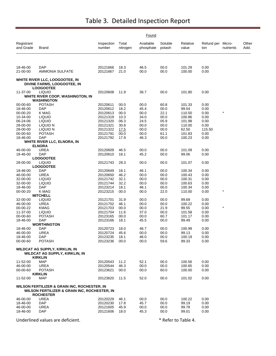|                         |                                                                                   |                      |                   | Found                  |                   |                   |                          |           |               |
|-------------------------|-----------------------------------------------------------------------------------|----------------------|-------------------|------------------------|-------------------|-------------------|--------------------------|-----------|---------------|
| Registrant<br>and Grade | Brand                                                                             | Inspection<br>number | Total<br>nitrogen | Available<br>phosphate | Soluble<br>potash | Relative<br>value | Refund per Micro-<br>ton | nutrients | Other<br>Add. |
| 18-46-00                | <b>DAP</b>                                                                        | 20121666             | 18.3              | 46.5                   | 00.0              | 101.29            | 0.00                     |           |               |
| 21-00-00                | <b>AMMONIA SULFATE</b>                                                            | 20121667             | 21.0              | 00.0                   | 00.0              | 100.00            | 0.00                     |           |               |
|                         | WHITE RIVER LLC, LOOGOOTEE, IN<br>DIVINE FARMS, LOOGOOTEE, IN<br><b>LOOGOOTEE</b> |                      |                   |                        |                   |                   |                          |           |               |
| 11-37-00                | <b>LIQUID</b><br>WHITE RIVER COOP, WASHINGTON, IN                                 | 20120608             | 11.9              | 36.7                   | 00.0              | 101.80            | 0.00                     |           |               |
| 00-00-60                | <b>WASHINGTON</b><br><b>POTASH</b>                                                | 20120611             | 00.0              | 00.0                   |                   |                   | 0.00                     |           |               |
| 18-46-00                | DAP                                                                               | 20120612             | 18.2              | 45.4                   | 60.8<br>00.0      | 101.33<br>99.54   | 0.00                     |           |               |
| 00-00-20                | K MAG                                                                             | 20120613             | 00.0              | 00.0                   | 22.1              | 110.50            | 0.00                     |           |               |
| 10-34-00                | <b>LIQUID</b>                                                                     | 20121319             | 10.3              | 34.0                   | 00.0              | 100.86            | 0.00                     |           |               |
| 06-24-06                | <b>LIQUID</b>                                                                     | 20121320             | 06.3              | 24.5                   | 05.9              | 101.98            | 0.00                     |           |               |
| 28-00-00                | LIQUID N                                                                          | 20121321             | 30.8              | 00.0                   | 00.0              | 110.00            | 0.00                     |           |               |
| 28-00-00                | LIQUID N                                                                          | 20121322             | 17.5              | 00.0                   | 00.0              | 62.50             | 115.50                   |           |               |
| 00-00-60                | <b>POTASH</b>                                                                     | 20121791             | 00.0              | 00.0                   | 61.1              | 101.83            | 0.00                     |           |               |
| 18-46-00                | <b>DAP</b>                                                                        | 20121792             | 17.9              | 46.3                   | 00.0              | 100.23            | 0.00                     |           |               |
|                         | WHITE RIVER LLC, ELNORA, IN<br><b>ELNORA</b>                                      |                      |                   |                        |                   |                   |                          |           |               |
| 46-00-00                | UREA                                                                              | 20120609             | 46.5              | 00.0                   | 00.0              | 101.09            | 0.00                     |           |               |
| 18-46-00                | <b>DAP</b>                                                                        | 20120610             | 18.1              | 45.2                   | 00.0              | 99.06             | 0.00                     |           |               |
|                         | <b>LOOGOOTEE</b>                                                                  |                      |                   |                        |                   |                   |                          |           |               |
| 28-00-00                | <b>LIQUID</b><br><b>LOOGOOTEE</b>                                                 | 20121743             | 28.3              | 00.0                   | 00.0              | 101.07            | 0.00                     |           |               |
| 18-46-00                | DAP                                                                               | 20120649             | 18.1              | 46.1                   | 00.0              | 100.34            | 0.00                     |           |               |
| 46-00-00                | <b>UREA</b>                                                                       | 20120650             | 46.2              | 00.0                   | 00.0              | 100.43            | 0.00                     |           |               |
| 32-00-00                | <b>LIQUID</b>                                                                     | 20121742             | 32.1              | 00.0                   | 00.0              | 100.31            | 0.00                     |           |               |
| 32-00-00                | <b>LIQUID</b>                                                                     | 20121744             | 32.2              | 00.0                   | 00.0              | 100.63            | 0.00                     |           |               |
| 18-46-00                | <b>DAP</b>                                                                        | 20123214             | 18.1              | 46.1                   | 00.0              | 100.34            | 0.00                     |           |               |
| 00-00-20                | K MAG                                                                             | 20123215             | 00.0              | 00.0                   | 22.0              | 110.00            | 0.00                     | $\star$   |               |
|                         | <b>MITCHELL</b>                                                                   |                      |                   |                        |                   |                   |                          |           |               |
| 32-00-00                | <b>LIQUID</b>                                                                     | 20121701             | 31.9              | 00.0                   | 00.0              | 99.69             | 0.00                     |           |               |
| 46-00-00                | <b>UREA</b>                                                                       | 20121702             | 46.1              | 00.0                   | 00.0              | 100.22            | 0.00                     | $\star$   |               |
| 00-00-22<br>11-37-00    | <b>KMAG</b>                                                                       | 20121703             | 00.0              | 00.0                   | 21.9              | 99.55             | 0.00<br>0.00             |           |               |
| 00-00-60                | <b>LIQUID</b><br><b>POTASH</b>                                                    | 20121704<br>20123165 | 11.6<br>00.0      | 37.0<br>00.0           | 00.0<br>60.7      | 101.58<br>101.17  | 0.00                     |           |               |
| 18-46-00                | <b>DAP</b>                                                                        | 20123166             | 18.1              | 45.5                   | 00.0              | 99.49             | 0.00                     |           |               |
|                         | <b>WORTHINGTON</b>                                                                |                      |                   |                        |                   |                   |                          |           |               |
| 18-46-00                | DAP                                                                               | 20120723             | 18.0              | 46.7                   | 00.0              | 100.99            | 0.00                     |           |               |
| 46-00-00                | <b>UREA</b>                                                                       | 20120724             | 45.6              | 00.0                   | 00.0              | 99.13             | 0.00                     |           |               |
| 18-46-00                | DAP                                                                               | 20123235             | 18.1              | 46.0                   | 00.0              | 100.19            | 0.00                     |           |               |
| 00-00-60                | <b>POTASH</b>                                                                     | 20123236             | 00.0              | 00.0                   | 59.6              | 99.33             | 0.00                     |           |               |
|                         | <b>WILDCAT AG SUPPLY, KIRKLIN, IN</b><br><b>WILDCAT AG SUPPLY, KIRKLIN, IN</b>    |                      |                   |                        |                   |                   |                          |           |               |
| 11-52-00                | <b>KIRKLIN</b>                                                                    |                      |                   |                        |                   |                   |                          |           |               |
| 46-00-00                | MAP<br><b>UREA</b>                                                                | 20120543<br>20120544 | 11.2<br>46.3      | 52.1<br>00.0           | 00.0<br>00.0      | 100.56<br>100.65  | 0.00<br>0.00             |           |               |
| 00-00-60                | <b>POTASH</b>                                                                     | 20123621             |                   | 00.0                   | 60.0              | 100.00            | 0.00                     |           |               |
|                         | <b>KIRKLIN</b>                                                                    |                      | 00.0              |                        |                   |                   |                          |           |               |
| 11-52-00                | <b>MAP</b>                                                                        | 20123620             | 11.5              | 52.0                   | 00.0              | 101.02            | 0.00                     |           |               |
|                         | WILSON FERTILIZER & GRAIN INC, ROCHESTER, IN                                      |                      |                   |                        |                   |                   |                          |           |               |
|                         | WILSON FERTILIZER & GRAIN INC, ROCHESTER, IN<br><b>ROCHESTER</b>                  |                      |                   |                        |                   |                   |                          |           |               |
| 46-00-00                | UREA                                                                              | 20120229             | 46.1              | 00.0                   | 00.0              | 100.22            | 0.00                     |           |               |
| 18-46-00                | DAP                                                                               | 20120230             | 17.8              | 45.7                   | 00.0              | 99.19             | 0.00                     |           |               |
| 46-00-00                | UREA                                                                              | 20121605             | 45.9              | 00.0                   | 00.0              | 99.78             | 0.00                     |           |               |
| 18-46-00                | <b>DAP</b>                                                                        | 20121606             | 18.0              | 45.3                   | 00.0              | 99.01             | 0.00                     |           |               |
|                         |                                                                                   |                      |                   |                        |                   |                   |                          |           |               |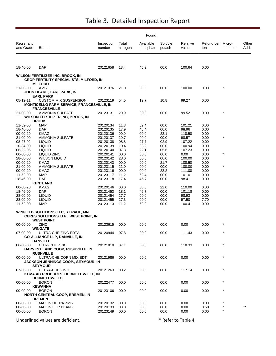|                                              |                                                                                                             |                                              |                              | Found                        |                              |                                     |                              |                    |                 |
|----------------------------------------------|-------------------------------------------------------------------------------------------------------------|----------------------------------------------|------------------------------|------------------------------|------------------------------|-------------------------------------|------------------------------|--------------------|-----------------|
| Registrant<br>and Grade                      | Brand                                                                                                       | Inspection<br>number                         | Total<br>nitrogen            | Available<br>phosphate       | Soluble<br>potash            | Relative<br>value                   | Refund per Micro-<br>ton     | nutrients          | Other<br>Add.   |
|                                              |                                                                                                             |                                              |                              |                              |                              |                                     |                              |                    |                 |
| 18-46-00                                     | <b>DAP</b>                                                                                                  | 20121658                                     | 18.4                         | 45.9                         | 00.0                         | 100.64                              | 0.00                         |                    |                 |
|                                              | <b>WILSON FERTILIZER INC, BROOK, IN</b><br><b>CROP FERTILITY SPECIALISTS, MILFORD, IN</b><br><b>MILFORD</b> |                                              |                              |                              |                              |                                     |                              |                    |                 |
| 21-00-00                                     | AMS<br>JOHN BLAKE, EARL PARK, IN<br><b>EARL PARK</b>                                                        | 20121376                                     | 21.0                         | 00.0                         | 00.0                         | 100.00                              | 0.00                         |                    |                 |
| 05-12-11                                     | <b>CUSTOM MIX SUSPENSION</b><br><b>MONTICELLO FARM SERVICE, FRANCESVILLE, IN</b>                            | 20123119                                     | 04.5                         | 12.7                         | 10.8                         | 99.27                               | 0.00                         |                    |                 |
| 21-00-00                                     | <b>FRANCESVILLE</b><br>AMMONIA SULFATE<br>WILSON FERTILIZER INC, BROOK, IN<br><b>BROOK</b>                  | 20123131                                     | 20.9                         | 00.0                         | 00.0                         | 99.52                               | 0.00                         | $\star$            |                 |
| 11-52-00<br>18-46-00                         | <b>MAP</b><br>DAP<br><b>KMAG</b>                                                                            | 20120134<br>20120135                         | 11.3<br>17.9                 | 52.4<br>45.4                 | 00.0<br>00.0                 | 101.21<br>98.96                     | 0.00<br>0.00                 |                    |                 |
| 00-00-20<br>21-00-00<br>08-27-02<br>10-34-00 | AMMONIA SULFATE<br><b>LIQUID</b><br><b>LIQUID</b>                                                           | 20120136<br>20120137<br>20120138<br>20120139 | 00.0<br>20.7<br>08.8<br>10.4 | 00.0<br>00.0<br>27.7<br>33.9 | 22.1<br>00.0<br>02.9<br>00.0 | 110.50<br>98.57<br>107.22<br>100.94 | 0.00<br>0.00<br>0.00<br>0.00 | $\star$            |                 |
| 06-22-05<br>00-00-00<br>28-00-00             | <b>LIQUID</b><br>LIQUID ZINC<br><b>WILSON LIQUID</b>                                                        | 20120140<br>20120141<br>20120142             | 07.3<br>00.0<br>28.0         | 22.1<br>00.0<br>00.0         | 05.6<br>00.0<br>00.0         | 107.23<br>0.00<br>100.00            | 0.00<br>0.00<br>0.00         | $\star$            |                 |
| 00-00-20<br>21-00-00<br>00-00-20             | <b>KMAG</b><br>AMMONIA SULFATE<br>KMAG                                                                      | 20120143<br>20123115<br>20123116             | 00.0<br>21.0<br>00.0         | 00.0<br>00.0<br>00.0         | 21.7<br>00.0<br>22.2         | 108.50<br>100.00<br>111.00          | 0.00<br>0.00<br>0.00         | $\star$            |                 |
| 11-52-00<br>18-46-00                         | <b>MAP</b><br><b>DAP</b><br><b>KENTLAND</b>                                                                 | 20123117<br>20123118                         | 11.2<br>17.4                 | 52.4<br>45.7                 | 00.0<br>00.0                 | 101.01<br>98.41                     | 0.00<br>0.00                 |                    |                 |
| 00-00-20<br>18-46-00<br>28-00-00             | KMAG<br>DAP<br><b>LIQUID</b>                                                                                | 20120146<br>20121453<br>20121454             | 00.0<br>18.1<br>27.7         | 00.0<br>46.7<br>00.0         | 22.0<br>00.0<br>00.0         | 110.00<br>101.18<br>98.93           | 0.00<br>0.00<br>0.00         |                    |                 |
| 28-00-00<br>11-52-00                         | <b>LIQUID</b><br><b>MAP</b>                                                                                 | 20121455<br>20123113                         | 27.3<br>11.2                 | 00.0<br>52.0                 | 00.0<br>00.0                 | 97.50<br>100.41                     | 7.70<br>0.00                 |                    |                 |
|                                              | WINFIELD SOLUTIONS LLC, ST PAUL, MN<br><b>CERES SOLUTIONS LLP, WEST POINT, IN</b><br><b>WEST POINT</b>      |                                              |                              |                              |                              |                                     |                              |                    |                 |
| 00-00-00                                     | ZINC<br><b>WINGATE</b>                                                                                      | 20123615                                     | 00.0                         | 00.0                         | 00.0                         | 0.00                                | 0.00                         |                    |                 |
| 07-00-00                                     | ULTRA-CHE ZINC EDTA<br><b>CO-ALLIANCE LLP, DANVILLE, IN</b><br><b>DANVILLE</b>                              | 20120944                                     | 07.8                         | 00.0                         | 00.0                         | 111.43                              | 0.00                         |                    |                 |
| 06-00-00                                     | CITRI-CHE ZINC<br>HARVEST LAND COOP, RUSHVILLE, IN<br><b>RUSHVILLE</b>                                      | 20121010                                     | 07.1                         | 00.0                         | 00.0                         | 118.33                              | 0.00                         | $\star$            |                 |
| $00 - 00 - 00$                               | ULTRA-CHE CORN MIX EDT<br>JACKSON-JENNINGS COOP., SEYMOUR, IN<br><b>SEYMOUR</b>                             | 20121986                                     | 00.0                         | 00.0                         | 00.0                         | 0.00                                | 0.00                         | $\star$            |                 |
| 07-00-00                                     | ULTRA-CHE ZINC<br>KOVA AG PRODUCTS, BURNETTSVILLE, IN<br><b>BURNETTSVILLE</b>                               | 20121263                                     | 08.2                         | 00.0                         | 00.0                         | 117.14                              | 0.00                         | $\star$            |                 |
| 00-00-00<br>00-00-00                         | <b>BORON</b><br><b>KEWANNA</b><br><b>BORON</b>                                                              | 20122477<br>20123106                         | 00.0<br>00.0                 | 00.0<br>00.0                 | 00.0<br>00.0                 | 0.00<br>0.00                        | 0.00<br>0.00                 | $\star$<br>$\star$ |                 |
|                                              | <b>NORTH CENTRAL COOP, BREMEN, IN</b><br><b>BREMEN</b>                                                      |                                              |                              |                              |                              |                                     |                              |                    |                 |
| 00-00-00<br>00-00-00<br>00-00-00             | MAX IN ULTRA ZMB<br>MAX IN FOR BEANS<br><b>BORON</b>                                                        | 20120132<br>20120133<br>20123149             | 00.0<br>00.0<br>00.0         | 00.0<br>00.0<br>00.0         | 00.0<br>00.0<br>00.0         | 0.00<br>0.00<br>0.00                | 0.00<br>0.60<br>0.00         | $^\star$           | $^{\star\star}$ |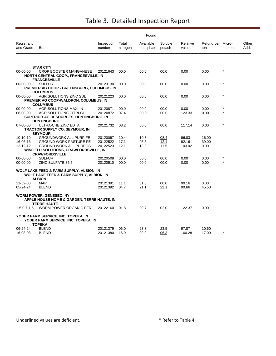|                         |                                                                                                      |                      |                   | Found                  |                   |                   |                          |            |               |
|-------------------------|------------------------------------------------------------------------------------------------------|----------------------|-------------------|------------------------|-------------------|-------------------|--------------------------|------------|---------------|
| Registrant<br>and Grade | <b>Brand</b>                                                                                         | Inspection<br>number | Total<br>nitrogen | Available<br>phosphate | Soluble<br>potash | Relative<br>value | Refund per Micro-<br>ton | nutrients  | Other<br>Add. |
|                         |                                                                                                      |                      |                   |                        |                   |                   |                          |            |               |
|                         | <b>STAR CITY</b>                                                                                     |                      |                   |                        |                   |                   |                          |            |               |
| 00-00-00                | <b>CROP BOOSTER MANGANESE</b><br><b>NORTH CENTRAL COOP., FRANCESVILLE, IN</b><br><b>FRANCESVILLE</b> | 20121643             | 00.0              | 00.0                   | 00.0              | 0.00              | 0.00                     | $\star$    |               |
| 00-00-00                | <b>SULFUR</b>                                                                                        | 20123130             | 00.0              | 00.0                   | 00.0              | 0.00              | 0.00                     | $\star$    |               |
|                         | PREMIER AG COOP - GREENSBURG, COLUMBUS, IN                                                           |                      |                   |                        |                   |                   |                          |            |               |
|                         | <b>COLUMBUS</b>                                                                                      |                      |                   |                        |                   |                   |                          |            |               |
| 00-00-00                | AGRISOLUTIONS ZINC SUL                                                                               | 20121223             | 00.0              | 00.0                   | 00.0              | 0.00              | 0.00                     | $^{\star}$ |               |
|                         | PREMIER AG COOP-WALDRON, COLUMBUS, IN                                                                |                      |                   |                        |                   |                   |                          |            |               |
| 00-00-00                | <b>COLUMBUS</b><br><b>AGRISOLUTIONS MAXI-IN</b>                                                      | 20120871             | 00.0              | 00.0                   | 00.0              | 0.00              | 0.00                     | $\star$    |               |
| 06-00-00                | <b>AGRISOLUTIONS CITRI-CH</b>                                                                        | 20120872             | 07.4              | 00.0                   | 00.0              | 123.33            | 0.00                     |            |               |
|                         | SUPERIOR AG RESOURCES, HUNTINGBURG, IN                                                               |                      |                   |                        |                   |                   |                          |            |               |
|                         | <b>HUNTINGBURG</b>                                                                                   |                      |                   |                        |                   |                   |                          |            |               |
| 07-00-00                | ULTRA-CHE ZINC EDTA                                                                                  | 20121732             | 08.2              | 00.0                   | 00.0              | 117.14            | 0.00                     | $\star$    |               |
|                         | TRACTOR SUPPLY CO, SEYMOUR, IN                                                                       |                      |                   |                        |                   |                   |                          |            |               |
|                         | <b>SEYMOUR</b>                                                                                       |                      |                   |                        |                   |                   |                          |            |               |
| $10-10-10$<br>16-06-16  | <b>GROUNDWORK ALL PURP FE</b><br><b>GROUND WORK PASTURE FE</b>                                       | 20120097<br>20122522 | 10.4<br>17.1      | 10.3<br>05.6           | 08.4<br>12.1      | 96.83<br>92.16    | 16.00<br>39.00           |            |               |
| 12-12-12                | <b>GROUND WORK ALL PURPOS</b>                                                                        | 20122523             | 12.1              | 13.8                   | 11.5              | 103.02            | 0.00                     |            |               |
|                         | <b>WINFIELD SOLUTIONS, CRAWFORDSVILLE, IN</b>                                                        |                      |                   |                        |                   |                   |                          |            |               |
|                         | <b>CRAWFORDSVILLE</b>                                                                                |                      |                   |                        |                   |                   |                          |            |               |
| 00-00-00                | <b>SULFUR</b>                                                                                        | 20120508             | 00.0              | 00.0                   | 00.0              | 0.00              | 0.00                     | $\star$    |               |
| $00 - 00 - 00$          | ZINC SULFATE 35.5                                                                                    | 20120510             | 00.0              | 00.0                   | 00.0              | 0.00              | 0.00                     | $\star$    |               |
|                         | WOLF LAKE FEED & FARM SUPPLY, ALBION, IN                                                             |                      |                   |                        |                   |                   |                          |            |               |
|                         | WOLF LAKE FEED & FARM SUPPLY, ALBION, IN                                                             |                      |                   |                        |                   |                   |                          |            |               |
|                         | <b>ALBION</b>                                                                                        |                      |                   |                        |                   |                   |                          |            |               |
| 11-52-00                | <b>MAP</b>                                                                                           | 20121391             | 11.1              | 51.3                   | 00.0              | 99.16             | 0.00                     |            |               |
| 05-24-24                | <b>BLEND</b>                                                                                         | 20121392             | 04.7              | 21.1                   | 22.1              | 90.66             | 45.50                    |            |               |
|                         | <b>WORM POWER, GENESEO, NY</b><br><b>APPLE HOUSE HOME &amp; GARDEN, TERRE HAUTE, IN</b>              |                      |                   |                        |                   |                   |                          |            |               |
| $1.5 - 0.7 - 1.5$       | <b>TERRE HAUTE</b><br>WORM POWER ORGANIC FER                                                         | 20122160             | 01.8              | 00.7                   | 02.0              | 122.37            | 0.00                     |            |               |
|                         |                                                                                                      |                      |                   |                        |                   |                   |                          |            |               |
|                         | YODER FARM SERVICE, INC, TOPEKA, IN<br>YODER FARM SERVICE, INC, TOPEKA, IN                           |                      |                   |                        |                   |                   |                          |            |               |
|                         | TOPEKA                                                                                               |                      |                   |                        |                   |                   |                          |            |               |
| 06-24-24<br>16-08-08    | <b>BLEND</b><br><b>BLEND</b>                                                                         | 20121379<br>20121380 | 06.0<br>16.9      | 23.3<br>09.0           | 23.5<br>06.3      | 97.87<br>100.28   | 10.60<br>17.00           | $\star$    |               |
|                         |                                                                                                      |                      |                   |                        |                   |                   |                          |            |               |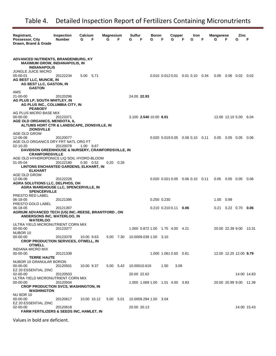| Registrant,<br><b>Inspection</b><br>Calcium<br>Magnesium<br>F<br>G<br>Possessor, City<br><b>Number</b><br>G       | F         | Sulfur<br>F<br>G                | Boron<br>G  | Copper<br>F<br>G                            | F    | Iron<br>G | F | Manganese<br>G | F                | Zinc<br>G              | F           |
|-------------------------------------------------------------------------------------------------------------------|-----------|---------------------------------|-------------|---------------------------------------------|------|-----------|---|----------------|------------------|------------------------|-------------|
| Drawn, Brand & Grade                                                                                              |           |                                 |             |                                             |      |           |   |                |                  |                        |             |
|                                                                                                                   |           |                                 |             |                                             |      |           |   |                |                  |                        |             |
| <b>ADVANCED NUTRIENTS, BRANDENBURG, KY</b><br><b>MAXIMUM GROW, INDIANAPOLIS, IN</b><br><b>INDIANAPOLIS</b>        |           |                                 |             |                                             |      |           |   |                |                  |                        |             |
| JUNGLE JUICE MICRO<br>05-00-01<br>20122234<br>5.00 5.71                                                           |           |                                 |             | $0.010$ $0.012$ $0.01$ $0.01$ $0.10$ $0.34$ |      |           |   | 0.05           |                  | 0.06  0.02             | 0.02        |
| <b>AG BEST LLC, MUNCIE, IN</b><br><b>AG BEST LLC, GASTON, IN</b><br><b>GASTON</b>                                 |           |                                 |             |                                             |      |           |   |                |                  |                        |             |
| AMS<br>21-00-00<br>20120296                                                                                       |           | 24.00 22.93                     |             |                                             |      |           |   |                |                  |                        |             |
| AG PLUS LP, SOUTH WHITLEY, IN<br>AG PLUS INC., COLUMBIA CITY, IN                                                  |           |                                 |             |                                             |      |           |   |                |                  |                        |             |
| <b>PEABODY</b><br>AG PLUS MICRO BASE MIX                                                                          |           |                                 |             |                                             |      |           |   |                |                  |                        |             |
| 00-00-00<br>20123371                                                                                              |           | 3.100 2.540 10.00 8.01          |             |                                             |      |           |   |                |                  | 12.00 12.10 5.00 6.04  |             |
| <b>AGE OLD ORGANICS, MENDOTA, IL</b><br>ALTUMS HORT CTR & LANDSCAPE, ZIONSVILLE, IN<br><b>ZIONSVILLE</b>          |           |                                 |             |                                             |      |           |   |                |                  |                        |             |
| AGE OLD GROW                                                                                                      |           |                                 |             |                                             |      |           |   |                |                  |                        |             |
| 12-06-06<br>20120077<br>AGE OLD ORGANICS DRY FRT NATL ORG FT                                                      |           |                                 |             | $0.020$ $0.019$ $0.05$ $0.06$ $0.10$ $0.11$ |      |           |   | 0.05           | $0.05$ 0.05      |                        | 0.06        |
| $02 - 10 - 20$<br>1.00 8.67<br>20120078                                                                           |           |                                 |             |                                             |      |           |   |                |                  |                        |             |
| <b>DAVIDSON GREENHOUSE &amp; NURSERY, CRAWFORDSVILLE, IN</b>                                                      |           |                                 |             |                                             |      |           |   |                |                  |                        |             |
| <b>CRAWFORDSVILLE</b><br>AGE OLD HYHDROPONICS LIQ SOIL HYDRO-BLOOM                                                |           |                                 |             |                                             |      |           |   |                |                  |                        |             |
| $01 - 05 - 04$<br>20122180<br>$0.50 \quad 0.52$<br>0.20                                                           | 0.26      |                                 |             |                                             |      |           |   |                |                  |                        |             |
| LINTONS ENCHANTED GARDENS, ELKHART, IN<br><b>ELKHART</b>                                                          |           |                                 |             |                                             |      |           |   |                |                  |                        |             |
| AGE OLD GROW<br>12-06-06<br>20122228                                                                              |           |                                 |             | $0.020$ $0.021$ $0.05$ $0.06$ $0.10$ $0.11$ |      |           |   |                | $0.05$ 0.05 0.05 |                        | 0.06        |
| <b>AGRA SOLUTIONS LLC, DELPHOS, OH</b><br><b>AGRA WAREHOUSE LLC, SPENCERVILLE, IN</b>                             |           |                                 |             |                                             |      |           |   |                |                  |                        |             |
| <b>SPENCERVILLE</b><br>PRESTO RED LABEL                                                                           |           |                                 |             |                                             |      |           |   |                |                  |                        |             |
| 06-18-05<br>20121395                                                                                              |           |                                 | 0.250 0.230 |                                             |      |           |   | 1.00           | 0.99             |                        |             |
| PRESTO GOLD LABEL                                                                                                 |           |                                 |             |                                             |      |           |   |                |                  |                        |             |
| 06-18-05<br>20121397<br>AGRIUM ADVANCED TECH (US) INC.-REESE, BRANTFORD, ON<br><b>ANDERSONS INC, WATERLOO, IN</b> |           |                                 |             | $0.210$ $0.210$ $0.11$ 0.06                 |      |           |   |                | 0.21  0.22  0.70 |                        | 0.06        |
| <b>WATERLOO</b>                                                                                                   |           |                                 |             |                                             |      |           |   |                |                  |                        |             |
| ULTRA YIELD MICRONUTRIENT CORN MIX<br>20123377<br>$00 - 00 - 00$<br>NUBOR 10                                      |           | 1.000 0.872 1.00 1.75 4.00 4.21 |             |                                             |      |           |   |                | 20.00 22.39 9.00 |                        | 13.31       |
| 00-00-00<br>20123378<br>10.00 9.63                                                                                | 5.00 7.30 | 10.0009.039 1.50 3.10           |             |                                             |      |           |   |                |                  |                        |             |
| <b>CROP PRODUCTION SERVICES, OTWELL, IN</b>                                                                       |           |                                 |             |                                             |      |           |   |                |                  |                        |             |
| <b>OTWELL</b><br><b>INDIANA MICRO MIX</b>                                                                         |           |                                 |             |                                             |      |           |   |                |                  |                        |             |
| 00-00-00<br>20121339<br><b>TERRE HAUTE</b>                                                                        |           |                                 |             | 1.000 1.061 0.50 0.81                       |      |           |   |                |                  | 12.00 12.25 12.00 9.79 |             |
| NUBOR 10 GRANULAR BORON<br>00-00-00<br>20120501<br>10.00 9.37                                                     | 5.00 5.42 | 10.00010.619                    |             | 1.50                                        | 3.09 |           |   |                |                  |                        |             |
| EZ 20 ESSENTIAL ZINC                                                                                              |           |                                 |             |                                             |      |           |   |                |                  |                        |             |
| 02-00-00<br>20120503<br>ULTRA YIELD MICRONUTRIENT CORN MIX                                                        |           | 20.00 22.62                     |             |                                             |      |           |   |                |                  |                        | 14.00 14.83 |
| 00-00-00<br>20120504                                                                                              |           | 1.000 1.069 1.00 1.01 4.00 3.83 |             |                                             |      |           |   |                |                  | 20.00 20.99 9.00 11.39 |             |
| <b>CROP PRODUCTION SVCS, WASHINGTON, IN</b><br><b>WASHINGTON</b>                                                  |           |                                 |             |                                             |      |           |   |                |                  |                        |             |
| NU BOR 10<br>00-00-00<br>20120617<br>10.00 10.12                                                                  | 5.00 5.01 | 10.0009.294 1.50 3.04           |             |                                             |      |           |   |                |                  |                        |             |
| EZ 20 ESSENTIAL ZINC                                                                                              |           |                                 |             |                                             |      |           |   |                |                  |                        |             |
| 02-00-00<br>20120618                                                                                              |           | 20.00 20.13                     |             |                                             |      |           |   |                |                  |                        |             |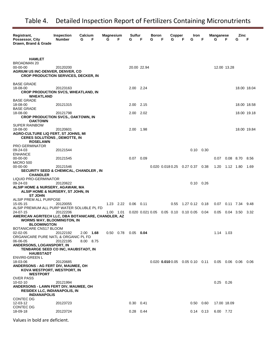| Registrant,<br>Possessor, City<br>Drawn, Brand & Grade                                                                                                               | <b>Inspection</b><br><b>Number</b> | Calcium<br>G<br>F      | Magnesium<br>G | F | Sulfur<br>G            | F           | <b>Boron</b><br>G | F | Copper<br>G | Iron<br>G<br>F                              | F                 | Manganese<br>G | F                | Zinc<br>G   | F           |
|----------------------------------------------------------------------------------------------------------------------------------------------------------------------|------------------------------------|------------------------|----------------|---|------------------------|-------------|-------------------|---|-------------|---------------------------------------------|-------------------|----------------|------------------|-------------|-------------|
| <b>HAMLET</b><br><b>BROADMAN 20</b><br>00-00-00<br><b>AGRIUM US INC-DENVER, DENVER, CO</b><br><b>CROP PRODUCTION SERVICES, DECKER, IN</b>                            | 20120200                           |                        |                |   |                        | 20.00 22.94 |                   |   |             |                                             |                   |                | 12.00 13.28      |             |             |
| <b>BASE GRADE</b><br>18-08-00<br><b>CROP PRODUCTION SVCS, WHEATLAND, IN</b><br><b>WHEATLAND</b>                                                                      | 20123163                           |                        |                |   | 2.00 2.24              |             |                   |   |             |                                             |                   |                |                  |             | 18.00 18.04 |
| <b>BASE GRADE</b><br>18-08-00                                                                                                                                        | 20121315                           |                        |                |   | 2.00 2.15              |             |                   |   |             |                                             |                   |                |                  | 18.00 18.58 |             |
| <b>BASE GRADE</b><br>18-08-00<br><b>CROP PRODUCTION SVCS., OAKTOWN, IN</b><br><b>OAKTOWN</b>                                                                         | 20121798                           |                        |                |   | 2.00                   | 2.02        |                   |   |             |                                             |                   |                |                  | 18.00 19.18 |             |
| <b>SUPER RAINBOW</b><br>18-08-00<br>AGRO-CULTURE LIQ FERT, ST JOHNS, MI<br><b>CERES SOLUTIONS, DEMOTTE, IN</b><br><b>ROSELAWN</b>                                    | 20120601                           |                        |                |   | 2.00                   | 1.98        |                   |   |             |                                             |                   |                |                  |             | 18.00 19.84 |
| <b>PRO GERMINATOR</b><br>09-24-03<br><b>ENHANCE</b>                                                                                                                  | 20121544                           |                        |                |   |                        |             |                   |   |             |                                             | $0.10 \quad 0.30$ |                |                  |             |             |
| 00-00-00<br><b>MICRO 500</b>                                                                                                                                         | 20121545                           |                        |                |   | $0.07$ 0.09            |             |                   |   |             |                                             |                   | 0.07           | $0.08$ 8.70      |             | 8.56        |
| 00-00-00<br><b>SECURITY SEED &amp; CHEMICAL, CHANDLER, IN</b><br><b>CHANDLER</b>                                                                                     | 20121546                           |                        |                |   |                        |             |                   |   |             | $0.020$ $0.018$ $0.25$ $0.27$ $0.37$ $0.38$ |                   | 1.20           | 1.12 1.80        |             | 1.69        |
| <b>LIQUID PRO-GERMINATOR</b><br>09-24-03<br>ALSIP HOME & NURSERY, AGAWAM, MA<br>ALSIP HOME & NURSERY, ST JOHN, IN                                                    | 20120622                           |                        |                |   |                        |             |                   |   |             |                                             | $0.10 \quad 0.26$ |                |                  |             |             |
| <b>ST JOHN</b><br>ALSIP PREM ALL PURPOSE                                                                                                                             |                                    |                        |                |   |                        |             |                   |   |             |                                             |                   |                |                  |             |             |
| 15-05-15<br>ALSIP PREMIUM ALL PURP WATER SOLUBLE PL FD                                                                                                               | 20120055                           |                        | 1.23 2.22      |   | $0.06$ 0.11            |             |                   |   | 0.55        | 1.27 0.12 0.18                              |                   | 0.07           | $0.11$ 7.34      |             | 9.48        |
| 24-07-15<br>AMERICAN AGRITECH LLC, DBA BOTANICARE, CHANDLER, AZ<br><b>WORMS WAY, BLOOMINGTON, IN</b><br><b>BLOOMINGTON</b>                                           | 20122206                           |                        | 1.00 1.01      |   |                        |             |                   |   |             | 0.020 0.021 0.05 0.05 0.10 0.10 0.05        | 0.04              | 0.05           | 0.04 3.50        |             | 3.32        |
| BOTANICARE CNS17 BLOOM<br>02-02-05<br>ORGANICARE PURE NATL & ORGANIC PL FD<br>06-06-05<br>ANDERSONS, LOGANSPORT, IN<br>TENBARGE SEED CO INC, HAUBSTADT, IN           | 20122192<br>20122195               | 2.00 1.68<br>8.00 8.75 |                |   | 0.50  0.78  0.05  0.04 |             |                   |   |             |                                             |                   | 1.14 1.03      |                  |             |             |
| <b>HAUBSTADT</b><br><b>ENVIRO-GREEN L</b><br>18-03-06<br>ANDERSONS - AG FERT DIV, MAUMEE, OH<br>KOVA WESTPORT, WESTPORT, IN                                          | 20120685                           |                        |                |   |                        |             |                   |   |             | $0.020$ $0.010$ $0.05$ $0.05$ $0.10$ $0.11$ |                   |                | $0.05$ 0.06 0.06 |             | 0.06        |
| <b>WESTPORT</b><br><b>OVER PASS</b><br>$10 - 02 - 10$<br><b>ANDERSONS - LAWN FERT DIV, MAUMEE, OH</b><br><b>RESIDEX LLC, INDIANAPOLIS, IN</b><br><b>INDIANAPOLIS</b> | 20121994                           |                        |                |   |                        |             |                   |   |             |                                             |                   | $0.25$ 0.26    |                  |             |             |
| <b>CONTEC DG</b><br>12-03-12                                                                                                                                         | 20123723                           |                        |                |   | $0.30 \quad 0.41$      |             |                   |   |             |                                             | $0.50 \quad 0.60$ |                | 17.00 18.09      |             |             |
| CONTEC DG<br>18-09-18                                                                                                                                                | 20123724                           |                        |                |   | $0.28$ 0.44            |             |                   |   |             |                                             | $0.14$ 0.13       | 6.00 7.72      |                  |             |             |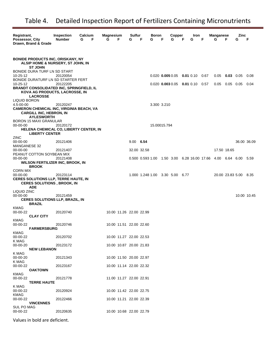| Registrant,<br>Possessor, City<br>Drawn, Brand & Grade                                                                                                 | <b>Inspection</b><br><b>Number</b> | Calcium<br>F<br>G | Magnesium<br>G | F | <b>Sulfur</b><br>G      | F           | Boron<br>G         | F | Copper<br>G                     | F | Iron<br>G   | F                                                                  | <b>Manganese</b><br>G | F                 | Zinc<br>G             | F           |
|--------------------------------------------------------------------------------------------------------------------------------------------------------|------------------------------------|-------------------|----------------|---|-------------------------|-------------|--------------------|---|---------------------------------|---|-------------|--------------------------------------------------------------------|-----------------------|-------------------|-----------------------|-------------|
| <b>BONIDE PRODUCTS INC, ORISKANY, NY</b><br>ALSIP HOME & NURSERY, ST JOHN, IN<br><b>ST JOHN</b>                                                        |                                    |                   |                |   |                         |             |                    |   |                                 |   |             |                                                                    |                       |                   |                       |             |
| BONIDE DURA TURF LN SD START<br>10-25-12                                                                                                               | 20120054                           |                   |                |   |                         |             | $0.020$ 0.005 0.05 |   |                                 |   | $0.01$ 0.10 | 0.67                                                               | 0.05                  | $0.03 \quad 0.05$ |                       | 0.08        |
| BONIDE DURATURF LN SD STARTER FERT<br>10-25-12<br><b>BRANDT CONSOLIDATED INC, SPRINGFIELD, IL</b><br>KOVA AG PRODUCTS, LACROSSE, IN<br><b>LACROSSE</b> | 20122205                           |                   |                |   |                         |             | $0.020$ 0.003 0.05 |   |                                 |   | $0.01$ 0.10 | 0.57                                                               | 0.05                  | $0.05$ 0.05       |                       | 0.04        |
| LIQUID BORON<br>4.5-00-00<br><b>CAMERON CHEMICAL INC, VIRGINIA BEACH, VA</b><br><b>CARGILL INC, HEBRON, IN</b>                                         | 20120247                           |                   |                |   |                         |             | 3.300 3.210        |   |                                 |   |             |                                                                    |                       |                   |                       |             |
| <b>AYLESWORTH</b><br>BORON 15 MAXI GRANULAR<br>00-00-00<br>HELENA CHEMICAL CO, LIBERTY CENTER, IN                                                      | 20120172                           |                   |                |   |                         |             | 15.00015.794       |   |                                 |   |             |                                                                    |                       |                   |                       |             |
| <b>LIBERTY CENTER</b><br>ZINC                                                                                                                          |                                    |                   |                |   |                         |             |                    |   |                                 |   |             |                                                                    |                       |                   |                       |             |
| 00-00-00<br><b>MANGANESE 32</b>                                                                                                                        | 20121406                           |                   |                |   | 9.00                    | 6.54        |                    |   |                                 |   |             |                                                                    |                       |                   |                       | 36.00 36.09 |
| 00-00-00                                                                                                                                               | 20121407                           |                   |                |   |                         | 32.00 32.58 |                    |   |                                 |   |             |                                                                    | 17.50 18.65           |                   |                       |             |
| PEANUT COTTON SOYBEAN MIX<br>00-00-00<br><b>WILSON FERTILIZER INC, BROOK, IN</b><br><b>BROOK</b>                                                       | 20121408                           |                   |                |   |                         |             |                    |   |                                 |   |             | 0.500 0.593 1.00  1.50  3.00  6.28  16.00  17.66  4.00  6.64  6.00 |                       |                   |                       | 5.59        |
| <b>CORN MIX</b><br>00-00-00<br><b>CERES SOLUTIONS LLP, TERRE HAUTE, IN</b><br><b>CERES SOLUTIONS, BROOK, IN</b>                                        | 20123114                           |                   |                |   |                         |             |                    |   | 1.000 1.248 1.00 3.30 5.00 6.77 |   |             |                                                                    |                       |                   | 20.00 23.83 5.00 8.35 |             |
| <b>ADE</b><br>LIQUID ZINC<br>00-00-00<br><b>CERES SOLUTIONS LLP, BRAZIL, IN</b><br><b>BRAZIL</b>                                                       | 20121459                           |                   |                |   |                         |             |                    |   |                                 |   |             |                                                                    |                       |                   |                       | 10.00 10.45 |
| KMAG                                                                                                                                                   |                                    |                   |                |   |                         |             |                    |   |                                 |   |             |                                                                    |                       |                   |                       |             |
| 00-00-22<br><b>CLAY CITY</b><br>KMAG                                                                                                                   | 20120740                           |                   |                |   | 10.00 11.26 22.00 22.99 |             |                    |   |                                 |   |             |                                                                    |                       |                   |                       |             |
| 00-00-22<br><b>FARMERSBURG</b><br>KMAG                                                                                                                 | 20120746                           |                   |                |   | 10.00 11.51 22.00 22.60 |             |                    |   |                                 |   |             |                                                                    |                       |                   |                       |             |
| 00-00-22<br>K MAG                                                                                                                                      | 20120702                           |                   |                |   | 10.00 11.27 22.00 22.53 |             |                    |   |                                 |   |             |                                                                    |                       |                   |                       |             |
| 00-00-20<br><b>NEW LEBANON</b>                                                                                                                         | 20123172                           |                   |                |   | 10.00 10.87 20.00 21.83 |             |                    |   |                                 |   |             |                                                                    |                       |                   |                       |             |
| K MAG<br>00-00-20<br>K MAG                                                                                                                             | 20121343                           |                   |                |   | 10.00 11.50 20.00 22.97 |             |                    |   |                                 |   |             |                                                                    |                       |                   |                       |             |
| 00-00-22<br><b>OAKTOWN</b>                                                                                                                             | 20123167                           |                   |                |   | 10.00 11.14 22.00 22.32 |             |                    |   |                                 |   |             |                                                                    |                       |                   |                       |             |
| <b>KMAG</b><br>00-00-22<br><b>TERRE HAUTE</b>                                                                                                          | 20121778                           |                   |                |   | 11.00 11.27 22.00 22.91 |             |                    |   |                                 |   |             |                                                                    |                       |                   |                       |             |
| K MAG<br>00-00-22                                                                                                                                      | 20120924                           |                   |                |   | 10.00 11.42 22.00 22.75 |             |                    |   |                                 |   |             |                                                                    |                       |                   |                       |             |
| KMAG<br>00-00-22                                                                                                                                       | 20122466                           |                   |                |   | 10.00 11.21 22.00 22.39 |             |                    |   |                                 |   |             |                                                                    |                       |                   |                       |             |
| <b>VINCENNES</b><br>SUL PO MAG<br>00-00-22                                                                                                             | 20120635                           |                   |                |   | 10.00 10.68 22.00 22.79 |             |                    |   |                                 |   |             |                                                                    |                       |                   |                       |             |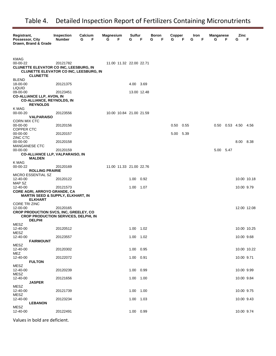| Registrant,<br>Possessor, City<br>Drawn, Brand & Grade                                                                                     | Inspection<br><b>Number</b> | Calcium<br>G | F | <b>Magnesium</b><br>G | F                       | Sulfur<br>G | F           | Boron<br>G | F | Copper<br>G | F    | Iron<br>G | F | <b>Manganese</b><br>G | F | Zinc<br>G           | F           |
|--------------------------------------------------------------------------------------------------------------------------------------------|-----------------------------|--------------|---|-----------------------|-------------------------|-------------|-------------|------------|---|-------------|------|-----------|---|-----------------------|---|---------------------|-------------|
| KMAG<br>00-00-22<br><b>CLUNETTE ELEVATOR CO INC, LEESBURG, IN</b><br><b>CLUNETTE ELEVATOR CO INC, LEESBURG, IN</b><br><b>CLUNETTE</b>      | 20121782                    |              |   |                       | 11.00 11.32 22.00 22.71 |             |             |            |   |             |      |           |   |                       |   |                     |             |
| <b>BLEND</b><br>18-00-00<br><b>LIQUID</b>                                                                                                  | 20121375                    |              |   |                       |                         | 4.00 3.69   |             |            |   |             |      |           |   |                       |   |                     |             |
| 09-00-00<br><b>CO-ALLIANCE LLP, AVON, IN</b><br><b>CO-ALLIANCE, REYNOLDS, IN</b><br><b>REYNOLDS</b>                                        | 20123451                    |              |   |                       |                         |             | 13.00 12.48 |            |   |             |      |           |   |                       |   |                     |             |
| K MAG<br>00-00-20<br><b>VALPARAISO</b><br>CORN MIX CTC                                                                                     | 20123556                    |              |   |                       | 10.00 10.84 21.00 21.59 |             |             |            |   |             |      |           |   |                       |   |                     |             |
| 00-00-00<br>COPPER CTC                                                                                                                     | 20120156                    |              |   |                       |                         |             |             |            |   | 0.50        | 0.55 |           |   |                       |   | 0.50 0.53 4.50 4.56 |             |
| $00 - 00 - 00$<br>ZINC CTC                                                                                                                 | 20120157                    |              |   |                       |                         |             |             |            |   | 5.00        | 5.39 |           |   |                       |   |                     |             |
| 00-00-00<br>MANGANESE CTC                                                                                                                  | 20120158                    |              |   |                       |                         |             |             |            |   |             |      |           |   | 5.00 5.47             |   | 8.00 8.38           |             |
| $00 - 00 - 00$<br><b>CO-ALLIANCE LLP, VALPARAISO, IN</b><br><b>MALDEN</b>                                                                  | 20120159                    |              |   |                       |                         |             |             |            |   |             |      |           |   |                       |   |                     |             |
| K MAG<br>00-00-22<br><b>ROLLING PRAIRIE</b>                                                                                                | 20120169                    |              |   |                       | 11.00 11.33 21.00 22.76 |             |             |            |   |             |      |           |   |                       |   |                     |             |
| MICRO ESSENTIAL SZ<br>12-40-00<br>MAP SZ                                                                                                   | 20120122                    |              |   |                       |                         | 1.00 0.92   |             |            |   |             |      |           |   |                       |   |                     | 10.00 10.18 |
| 12-40-00<br><b>CORE AGRI, ARROYO GRANDE, CA</b><br><b>MARTIN SEED &amp; SUPPLY, ELKHART, IN</b><br><b>ELKHART</b>                          | 20121573                    |              |   |                       |                         | 1.00        | 1.07        |            |   |             |      |           |   |                       |   | 10.00 9.79          |             |
| CORE TRI ZINC<br>12-00-00<br><b>CROP PRODUCTION SVCS, INC, GREELEY, CO</b><br><b>CROP PRODUCTION SERVICES, DELPHI, IN</b><br><b>DELPHI</b> | 20120165                    |              |   |                       |                         |             |             |            |   |             |      |           |   |                       |   |                     | 12.00 12.08 |
| MESZ<br>12-40-00                                                                                                                           | 20120512                    |              |   |                       |                         | 1.00 1.02   |             |            |   |             |      |           |   |                       |   |                     | 10.00 10.25 |
| <b>MESZ</b><br>12-40-00<br><b>FAIRMOUNT</b>                                                                                                | 20123557                    |              |   |                       |                         | 1.00 1.02   |             |            |   |             |      |           |   |                       |   | 10.00 9.68          |             |
| MESZ<br>12-40-00                                                                                                                           | 20120302                    |              |   |                       |                         | 1.00 0.95   |             |            |   |             |      |           |   |                       |   |                     | 10.00 10.22 |
| MEZ<br>12-40-00<br><b>FULTON</b>                                                                                                           | 20122072                    |              |   |                       |                         | 1.00 0.91   |             |            |   |             |      |           |   |                       |   | 10.00 9.71          |             |
| MESZ<br>12-40-00<br>MESZ                                                                                                                   | 20120239                    |              |   |                       |                         | 1.00 0.99   |             |            |   |             |      |           |   |                       |   | 10.00 9.99          |             |
| 12-40-00<br><b>JASPER</b>                                                                                                                  | 20121656                    |              |   |                       |                         | 1.00 1.00   |             |            |   |             |      |           |   |                       |   | 10.00 9.84          |             |
| <b>MESZ</b><br>12-40-00<br><b>MESZ</b>                                                                                                     | 20121739                    |              |   |                       |                         | 1.00 1.00   |             |            |   |             |      |           |   |                       |   | 10.00 9.75          |             |
| 12-40-00<br><b>LEBANON</b>                                                                                                                 | 20123234                    |              |   |                       |                         | 1.00 1.03   |             |            |   |             |      |           |   |                       |   | 10.00 9.43          |             |
| MESZ<br>12-40-00                                                                                                                           | 20122491                    |              |   |                       |                         | 1.00 0.99   |             |            |   |             |      |           |   |                       |   | 10.00 9.74          |             |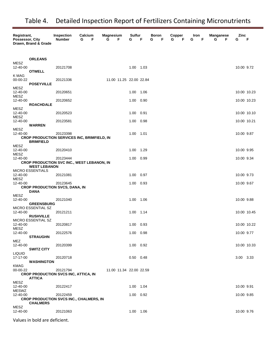| Registrant,<br>Possessor, City   | Drawn, Brand & Grade                                              | Inspection<br><b>Number</b> | Calcium<br>G<br>F | <b>Magnesium</b><br>G<br>F | Sulfur<br>G       | F    | Boron<br>F<br>G | Copper<br>G<br>F | Iron<br>F<br>G | <b>Manganese</b><br>G<br>F | Zinc<br>G   | F           |
|----------------------------------|-------------------------------------------------------------------|-----------------------------|-------------------|----------------------------|-------------------|------|-----------------|------------------|----------------|----------------------------|-------------|-------------|
| <b>MESZ</b><br>12-40-00          | <b>ORLEANS</b><br><b>OTWELL</b>                                   | 20121708                    |                   |                            | 1.00 1.03         |      |                 |                  |                |                            | 10.00 9.72  |             |
| K MAG<br>00-00-22<br>MESZ        | <b>POSEYVILLE</b>                                                 | 20121336                    |                   | 11.00 11.25 22.00 22.84    |                   |      |                 |                  |                |                            |             |             |
| 12-40-00<br>MESZ                 |                                                                   | 20120651                    |                   |                            | 1.00              | 1.06 |                 |                  |                |                            | 10.00 10.23 |             |
| 12-40-00                         | <b>ROACHDALE</b>                                                  | 20120652                    |                   |                            | 1.00              | 0.90 |                 |                  |                |                            | 10.00 10.23 |             |
| MESZ<br>12-40-00<br>MESZ         |                                                                   | 20120523                    |                   |                            | 1.00              | 0.91 |                 |                  |                |                            | 10.00 10.10 |             |
| 12-40-00                         | <b>WARREN</b>                                                     | 20123581                    |                   |                            | 1.00              | 0.98 |                 |                  |                |                            | 10.00 10.21 |             |
| <b>MESZ</b><br>12-40-00          | CROP PRODUCTION SERVICES INC, BRIMFIELD, IN<br><b>BRIMFIELD</b>   | 20123398                    |                   |                            | 1.00 1.01         |      |                 |                  |                |                            | 10.00 9.87  |             |
| MESZ<br>12-40-00                 |                                                                   | 20120410                    |                   |                            | 1.00              | 1.29 |                 |                  |                |                            | 10.00 9.95  |             |
| <b>MESZ</b><br>12-40-00          | CROP PRODUCTION SVC INC., WEST LEBANON, IN                        | 20123444                    |                   |                            | 1.00              | 0.99 |                 |                  |                |                            | 10.00 9.34  |             |
|                                  | <b>WEST LEBANON</b><br><b>MICRO ESSENTIALS</b>                    |                             |                   |                            |                   |      |                 |                  |                |                            |             |             |
| 12-40-00<br>MESZ                 |                                                                   | 20121081                    |                   |                            | 1.00              | 0.97 |                 |                  |                |                            | 10.00 9.73  |             |
| 12-40-00                         | <b>CROP PRODUCTION SVCS, DANA, IN</b>                             | 20123645                    |                   |                            | 1.00              | 0.93 |                 |                  |                |                            | 10.00 9.67  |             |
| MESZ                             | DANA                                                              |                             |                   |                            |                   |      |                 |                  |                |                            |             |             |
| 12-40-00                         | <b>GREENSBURG</b><br>MICRO ESSENTIAL SZ                           | 20121040                    |                   |                            | 1.00 1.06         |      |                 |                  |                |                            | 10.00 9.88  |             |
| 12-40-00                         | <b>RUSHVILLE</b>                                                  | 20121211                    |                   |                            | 1.00 1.14         |      |                 |                  |                |                            | 10.00 10.45 |             |
| 12-40-00<br><b>MESZ</b>          | MICRO ESSENTIAL SZ                                                | 20120817                    |                   |                            | 1.00 0.93         |      |                 |                  |                |                            | 10.00 10.22 |             |
| 12-40-00                         | <b>STRAUGHN</b>                                                   | 20122576                    |                   |                            | 1.00 0.98         |      |                 |                  |                |                            | 10.00 9.77  |             |
| MEZ<br>12-40-00                  | <b>SWITZ CITY</b>                                                 | 20120399                    |                   |                            | 1.00 0.92         |      |                 |                  |                |                            |             | 10.00 10.33 |
| <b>LIQUID</b><br>17-17-00        | <b>WASHINGTON</b>                                                 | 20120718                    |                   |                            | $0.50$ 0.48       |      |                 |                  |                |                            | 3.00 3.33   |             |
| <b>KMAG</b><br>00-00-22          | <b>CROP PRODUCTION SVCS INC, ATTICA, IN</b><br><b>ATTICA</b>      | 20121794                    |                   | 11.00 11.34 22.00 22.59    |                   |      |                 |                  |                |                            |             |             |
| MESZ<br>12-40-00<br><b>MESWZ</b> |                                                                   | 20122417                    |                   |                            | 1.00 1.04         |      |                 |                  |                |                            | 10.00 9.91  |             |
| 12-40-00                         | <b>CROP PRODUCTION SVCS INC., CHALMERS, IN</b><br><b>CHALMERS</b> | 20122459                    |                   |                            | $1.00 \quad 0.92$ |      |                 |                  |                |                            | 10.00 9.85  |             |
| <b>MESZ</b><br>12-40-00          |                                                                   | 20121063                    |                   |                            | 1.00 1.06         |      |                 |                  |                |                            | 10.00 9.76  |             |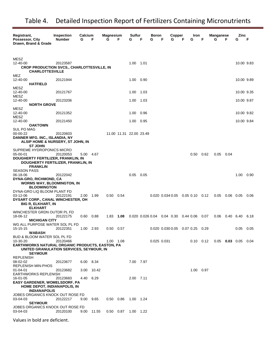| Registrant,<br>Possessor, City<br>Drawn, Brand & Grade                                                                                                         | <b>Inspection</b><br><b>Number</b> | Calcium<br>G | F     | Magnesium<br>G | F                       | Sulfur<br>G | F    | Boron<br>G  | Copper<br>F<br>G                            | F<br>G | Iron        | F    | <b>Manganese</b><br>G | F           | Zinc<br>G   | F    |
|----------------------------------------------------------------------------------------------------------------------------------------------------------------|------------------------------------|--------------|-------|----------------|-------------------------|-------------|------|-------------|---------------------------------------------|--------|-------------|------|-----------------------|-------------|-------------|------|
| MESZ<br>12-40-00<br><b>CROP PRODUCTION SVCS., CHARLOTTESVILLE, IN</b><br><b>CHARLOTTESVILLE</b>                                                                | 20123587                           |              |       |                |                         | 1.00        | 1.01 |             |                                             |        |             |      |                       |             | 10.00 9.83  |      |
| MEZ<br>12-40-00<br><b>HATFIELD</b>                                                                                                                             | 20121944                           |              |       |                |                         | 1.00        | 0.90 |             |                                             |        |             |      |                       |             | 10.00 9.89  |      |
| MESZ<br>12-40-00                                                                                                                                               | 20121767                           |              |       |                |                         | 1.00        | 1.03 |             |                                             |        |             |      |                       |             | 10.00 9.35  |      |
| MESZ<br>12-40-00<br><b>NORTH GROVE</b>                                                                                                                         | 20123206                           |              |       |                |                         | 1.00        | 1.03 |             |                                             |        |             |      |                       |             | 10.00 9.87  |      |
| MESZ<br>12-40-00<br>MESZ                                                                                                                                       | 20121352                           |              |       |                |                         | 1.00        | 0.96 |             |                                             |        |             |      |                       |             | 10.00 9.82  |      |
| 12-40-00<br><b>OAKTOWN</b>                                                                                                                                     | 20121450                           |              |       |                |                         | 1.00        | 0.95 |             |                                             |        |             |      |                       |             | 10.00 9.84  |      |
| <b>SUL PO MAG</b><br>00-00-22<br>DANNER MFG. INC., ISLANDIA, NY<br>ALSIP HOME & NURSERY, ST JOHN, IN<br><b>ST JOHN</b>                                         | 20120603                           |              |       |                | 11.00 11.31 22.00 23.49 |             |      |             |                                             |        |             |      |                       |             |             |      |
| SUPREME HYDROPONICS MICRO<br>05-00-01<br>DOUGHERTY FERTILIZER, FRANKLIN, IN<br>DOUGHERTY FERTILIZER, FRANKLIN, IN<br><b>FRANKLIN</b>                           | 20120053                           | 5.00 4.67    |       |                |                         |             |      |             |                                             |        | 0.50        | 0.62 | 0.05                  | 0.04        |             |      |
| <b>SEASON PASS</b><br>06-18-06<br><b>DYNA-GRO, RICHMOND, CA</b><br><b>WORMS WAY, BLOOMINGTON, IN</b><br><b>BLOOMINGTON</b>                                     | 20122042                           |              |       |                |                         | 0.05        | 0.05 |             |                                             |        |             |      |                       |             | 1.00        | 0.90 |
| DYNA-GRO LIQ BLOOM PLANT FD<br>03-12-06<br><b>DYSART CORP., CANAL WINCHESTER, OH</b><br><b>BIG R, ELKHART, IN</b><br><b>ELKHART</b>                            | 20122191                           | 2.00         | 1.99  | $0.50$ 0.54    |                         |             |      |             | $0.020$ $0.034$ $0.05$ $0.05$ $0.10$ $0.12$ |        |             |      | 0.05                  | $0.06$ 0.05 |             | 0.06 |
| WINCHESTER GRDN OUTDR PL FD<br>18-06-12                                                                                                                        | 20122175                           | 0.60         | 0.88  | 1.83           | 1.08                    |             |      |             | 0.020 0.026 0.04 0.04 0.30 0.44 0.06        |        |             | 0.07 | 0.06                  | 0.40 6.40   |             | 6.18 |
| <b>MICHIGAN CITY</b><br>WG ALL PURPOSE WATER SOL PL FD<br>15-15-15                                                                                             | 20122351                           | 1.00 2.93    |       | $0.50$ 0.57    |                         |             |      |             | 0.020 0.030 0.05 0.07 0.25 0.29             |        |             |      |                       |             | $0.05$ 0.05 |      |
| <b>WABASH</b><br>BUD & BLOOM WATER SOL PL FD<br>10-30-20<br><b>EARTHWORKS NATURAL ORGANIC PRODUCTS, EASTON, PA</b><br>UNITED GRANULATION SERVICES, SEYMOUR, IN | 20120466                           |              |       | 1.00 1.08      |                         |             |      | 0.025 0.031 |                                             |        | $0.10$ 0.12 |      | $0.05$ 0.03 0.05      |             |             | 0.04 |
| <b>SEYMOUR</b><br><b>REPLENISH</b><br>08-02-02                                                                                                                 | 20123677                           | 6.00 8.34    |       |                |                         | 7.00 7.97   |      |             |                                             |        |             |      |                       |             |             |      |
| <b>REPLENISH MIN-PHOS</b><br>$01 - 04 - 01$<br>EARTHWORKS REPLENISH                                                                                            | 20123682                           | 3.00         | 10.42 |                |                         |             |      |             |                                             |        | 1.00 0.97   |      |                       |             |             |      |
| 16-01-05<br>EASY GARDENER, WOMELSDORF, PA<br>HOME DEPOT, INDIANAPOLIS, IN<br><b>INDIANAPOLIS</b>                                                               | 20123683                           | 4.40 6.29    |       |                |                         | 2.00 7.11   |      |             |                                             |        |             |      |                       |             |             |      |
| JOBES ORGANICS KNOCK OUT ROSE FD<br>03-04-03<br><b>SEYMOUR</b>                                                                                                 | 20122217                           | 9.00 9.65    |       | $0.50$ 0.86    |                         | 1.00 1.24   |      |             |                                             |        |             |      |                       |             |             |      |
| JOBES ORGANICS KNOCK OUT ROSE FD<br>03-04-03                                                                                                                   | 20120100                           | 9.00 11.55   |       | $0.50$ 0.87    |                         | 1.00 1.22   |      |             |                                             |        |             |      |                       |             |             |      |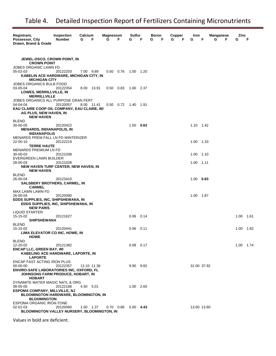| Registrant,<br>Possessor, City<br>Drawn, Brand & Grade                                      | Inspection<br><b>Number</b> | Calcium<br>G | F | <b>Magnesium</b><br>G | F.                | Sulfur<br>G | F           | Boron<br>G | F | Copper<br>F<br>G | Iron<br>G   | F       | Manganese<br>G | F | Zinc<br>G | F    |
|---------------------------------------------------------------------------------------------|-----------------------------|--------------|---|-----------------------|-------------------|-------------|-------------|------------|---|------------------|-------------|---------|----------------|---|-----------|------|
| <b>JEWEL-OSCO, CROWN POINT, IN</b>                                                          |                             |              |   |                       |                   |             |             |            |   |                  |             |         |                |   |           |      |
| <b>CROWN POINT</b>                                                                          |                             |              |   |                       |                   |             |             |            |   |                  |             |         |                |   |           |      |
| JOBES ORGANIC LAWN FD<br>05-02-03                                                           | 20122203                    | 7.00 9.89    |   |                       | $0.50 \quad 0.76$ | 1.00 1.20   |             |            |   |                  |             |         |                |   |           |      |
| KABELIN ACE HARDWARE, MICHIGAN CITY, IN                                                     |                             |              |   |                       |                   |             |             |            |   |                  |             |         |                |   |           |      |
| <b>MICHIGAN CITY</b>                                                                        |                             |              |   |                       |                   |             |             |            |   |                  |             |         |                |   |           |      |
| JOBES ORGANICS BULB FOOD<br>03-05-04                                                        | 20122354                    | 8.00 13.91   |   |                       | $0.50$ 0.83       | 1.60 2.37   |             |            |   |                  |             |         |                |   |           |      |
| <b>LOWES, MERRILLVILLE, IN</b>                                                              |                             |              |   |                       |                   |             |             |            |   |                  |             |         |                |   |           |      |
| <b>MERRILLVILLE</b><br>JOBES ORGANICS ALL PURPOSE GRAN FERT                                 |                             |              |   |                       |                   |             |             |            |   |                  |             |         |                |   |           |      |
| 04-04-04                                                                                    | 20120057                    | 8.00 11.41   |   |                       | $0.50 \quad 0.72$ | 1.40 1.91   |             |            |   |                  |             |         |                |   |           |      |
| EAU CLAIRE COOP OIL COMPANY, EAU CLAIRE, WI                                                 |                             |              |   |                       |                   |             |             |            |   |                  |             |         |                |   |           |      |
| AG PLUS, NEW HAVEN, IN<br><b>NEW HAVEN</b>                                                  |                             |              |   |                       |                   |             |             |            |   |                  |             |         |                |   |           |      |
| <b>BLEND</b>                                                                                |                             |              |   |                       |                   |             |             |            |   |                  |             |         |                |   |           |      |
| 30-00-05                                                                                    | 20120422                    |              |   |                       |                   | $1.00$ 0.63 |             |            |   |                  | 1.10 1.42   |         |                |   |           |      |
| <b>MENARDS, INDIANAPOLIS, IN</b><br><b>INDIANAPOLIS</b>                                     |                             |              |   |                       |                   |             |             |            |   |                  |             |         |                |   |           |      |
| MENARDS PREM FALL LN FD WINTERIZER                                                          |                             |              |   |                       |                   |             |             |            |   |                  |             |         |                |   |           |      |
| 22-00-10<br><b>TERRE HAUTE</b>                                                              | 20122219                    |              |   |                       |                   |             |             |            |   |                  | 1.00 1.33   |         |                |   |           |      |
| <b>MENARDS PREMIUM LN FD</b>                                                                |                             |              |   |                       |                   |             |             |            |   |                  |             |         |                |   |           |      |
| 30-00-03                                                                                    | 20121038                    |              |   |                       |                   |             |             |            |   |                  | 1.00 1.10   |         |                |   |           |      |
| EVERGREEN LAWN BUILDER<br>28-00-03                                                          | 20121039                    |              |   |                       |                   |             |             |            |   |                  | 1.00        | $-1.11$ |                |   |           |      |
| <b>NEW HAVEN TURF CENTER, NEW HAVEN, IN</b>                                                 |                             |              |   |                       |                   |             |             |            |   |                  |             |         |                |   |           |      |
| <b>NEW HAVEN</b>                                                                            |                             |              |   |                       |                   |             |             |            |   |                  |             |         |                |   |           |      |
| <b>BLEND</b><br>26-00-04                                                                    | 20123410                    |              |   |                       |                   |             |             |            |   |                  | $1.00$ 0.83 |         |                |   |           |      |
| <b>SALSBERY BROTHERS, CARMEL, IN</b>                                                        |                             |              |   |                       |                   |             |             |            |   |                  |             |         |                |   |           |      |
| <b>CARMEL</b><br>MAX LAWN LAWN FD                                                           |                             |              |   |                       |                   |             |             |            |   |                  |             |         |                |   |           |      |
| 26-00-04                                                                                    | 20120090                    |              |   |                       |                   |             |             |            |   |                  | 1.00 1.87   |         |                |   |           |      |
| EDDS SUPPLIES, INC, SHIPSHEWANA, IN                                                         |                             |              |   |                       |                   |             |             |            |   |                  |             |         |                |   |           |      |
| EDDS SUPPLIES, INC, SHIPSHEWANA, IN<br><b>NEW PARIS</b>                                     |                             |              |   |                       |                   |             |             |            |   |                  |             |         |                |   |           |      |
| LIQUID STARTER                                                                              |                             |              |   |                       |                   |             |             |            |   |                  |             |         |                |   |           |      |
| 15-15-02                                                                                    | 20121627                    |              |   |                       |                   | $0.06$ 0.14 |             |            |   |                  |             |         |                |   | 1.00      | 1.61 |
| <b>SHIPSHEWANA</b><br><b>BLEND</b>                                                          |                             |              |   |                       |                   |             |             |            |   |                  |             |         |                |   |           |      |
| 15-15-02                                                                                    | 20120441                    |              |   |                       |                   | $0.06$ 0.11 |             |            |   |                  |             |         |                |   | 1.00 1.82 |      |
| LIMA ELEVATOR CO INC, HOWE, IN<br><b>HOWE</b>                                               |                             |              |   |                       |                   |             |             |            |   |                  |             |         |                |   |           |      |
| <b>BLEND</b>                                                                                |                             |              |   |                       |                   |             |             |            |   |                  |             |         |                |   |           |      |
| 12-20-02                                                                                    | 20121382                    |              |   |                       |                   |             | $0.08$ 0.17 |            |   |                  |             |         |                |   | 1.00 1.74 |      |
| <b>ENCAP LLC, GREEN BAY, WI</b><br>KABELING ACE HARDWARE, LAPORTE, IN                       |                             |              |   |                       |                   |             |             |            |   |                  |             |         |                |   |           |      |
| <b>LAPORTE</b><br>ENCAP FAST ACTING IRON PLUS                                               |                             |              |   |                       |                   |             |             |            |   |                  |             |         |                |   |           |      |
| 00-00-00                                                                                    | 20122357                    | 12.10 11.36  |   |                       |                   |             | 9.90 9.82   |            |   |                  | 31.00 37.92 |         |                |   |           |      |
| <b>ENVIRO-SAFE LABORATORIES INC, OXFORD, FL</b><br><b>JOHNSONS FARM PRODUCE, HOBART, IN</b> |                             |              |   |                       |                   |             |             |            |   |                  |             |         |                |   |           |      |
| <b>HOBART</b>                                                                               |                             |              |   |                       |                   |             |             |            |   |                  |             |         |                |   |           |      |
| DYNAMITE MATER MAGIC NATL & ORG                                                             |                             |              |   |                       |                   |             |             |            |   |                  |             |         |                |   |           |      |
| 08-05-05<br><b>ESPOMA COMPANY, MILLVILLE, NJ</b>                                            | 20122168                    | 4.50 5.01    |   |                       |                   |             | 1.00 2.60   |            |   |                  |             |         |                |   |           |      |
| <b>BLOOMINGTON HARDWARE, BLOOMINGTON, IN</b>                                                |                             |              |   |                       |                   |             |             |            |   |                  |             |         |                |   |           |      |
| <b>BLOOMINGTON</b>                                                                          |                             |              |   |                       |                   |             |             |            |   |                  |             |         |                |   |           |      |
| ESPOMA ORGANIC IRON-TONE<br>02-01-03                                                        | 20120060                    | 1.50 1.37    |   |                       | $0.70$ 0.86       | $5.00$ 4.43 |             |            |   |                  | 13.00 13.60 |         |                |   |           |      |
| BLOOMINGTON VALLEY NURSERY, BLOOMINGTON, IN                                                 |                             |              |   |                       |                   |             |             |            |   |                  |             |         |                |   |           |      |
|                                                                                             |                             |              |   |                       |                   |             |             |            |   |                  |             |         |                |   |           |      |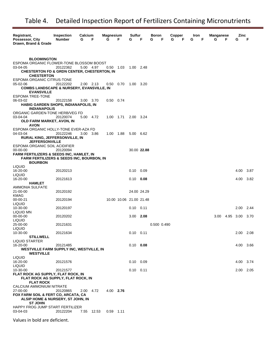| Registrant,<br>Possessor, City<br>Drawn, Brand & Grade                                                                               | <b>Inspection</b><br><b>Number</b> | Calcium<br>G<br>F | <b>Magnesium</b><br>G | F                       | Sulfur<br>G       | F           | Boron<br>F<br>G | Copper<br>G | Iron<br>F<br>G | F | Manganese<br>G | F         | Zinc<br>G | F    |
|--------------------------------------------------------------------------------------------------------------------------------------|------------------------------------|-------------------|-----------------------|-------------------------|-------------------|-------------|-----------------|-------------|----------------|---|----------------|-----------|-----------|------|
|                                                                                                                                      |                                    |                   |                       |                         |                   |             |                 |             |                |   |                |           |           |      |
| <b>BLOOMINGTON</b><br>ESPOMA ORGANIC FLOWER-TONE BLOSSOM BOOST<br>03-04-05<br><b>CHESTERTON FD &amp; GRDN CENTER, CHESTERTON, IN</b> | 20122362                           | 5.00 4.97         | $0.50$ 1.03           |                         | 1.00 2.48         |             |                 |             |                |   |                |           |           |      |
| <b>CHESTERTON</b><br>ESPOMA ORGANIC CITRUS-TONE                                                                                      |                                    |                   |                       |                         |                   |             |                 |             |                |   |                |           |           |      |
| 05-02-06<br><b>COMBS LANDSCAPE &amp; NURSERY, EVANSVILLE, IN</b><br><b>EVANSVILLE</b>                                                | 20122202                           | 2.00 2.13         | $0.50 \quad 0.70$     |                         | 1.00 3.20         |             |                 |             |                |   |                |           |           |      |
| <b>ESPOMA TREE-TONE</b><br>06-03-02<br><b>HABIG GARDEN SHOPS, INDIANAPOLIS, IN</b>                                                   | 20122158                           | 3.00 3.70         | $0.50$ 0.74           |                         |                   |             |                 |             |                |   |                |           |           |      |
| <b>INDIANAPOLIS</b><br>ORGANIC GARDEN-TONE HERB/VEG FD                                                                               |                                    |                   |                       |                         |                   |             |                 |             |                |   |                |           |           |      |
| 03-04-04<br>OLD FARM MARKET, AVON, IN<br><b>AVON</b>                                                                                 | 20120074                           | 5.00 4.72         | 1.00 1.71             |                         | 2.00 3.24         |             |                 |             |                |   |                |           |           |      |
| ESPOMA ORGANIC HOLLY-TONE EVER-AZA FD<br>04-03-04                                                                                    | 20122246                           | 3.00 3.86         | 1.00 1.88             |                         | 5.00 6.62         |             |                 |             |                |   |                |           |           |      |
| RURAL KING, JEFFERSONVILLE, IN<br><b>JEFFERSONVILLE</b><br>ESPOMA ORGANIC SOIL ACIDIFIER                                             |                                    |                   |                       |                         |                   |             |                 |             |                |   |                |           |           |      |
| 00-00-00<br><b>FARM FERTILIZERS &amp; SEEDS INC, HAMLET, IN</b>                                                                      | 20120094                           |                   |                       |                         |                   | 30.00 22.88 |                 |             |                |   |                |           |           |      |
| <b>FARM FERTILIZERS &amp; SEEDS INC, BOURBON, IN</b><br><b>BOURBON</b>                                                               |                                    |                   |                       |                         |                   |             |                 |             |                |   |                |           |           |      |
| LIQUID<br>16-20-00                                                                                                                   | 20120213                           |                   |                       |                         | 0.10              | 0.09        |                 |             |                |   |                |           | 4.00      | 3.87 |
| <b>LIQUID</b><br>16-20-00                                                                                                            | 20121613                           |                   |                       |                         | $0.10 \quad 0.08$ |             |                 |             |                |   |                |           | 4.00      | 3.82 |
| <b>HAMLET</b><br>AMMONIA SULFATE                                                                                                     |                                    |                   |                       |                         |                   |             |                 |             |                |   |                |           |           |      |
| 21-00-00<br><b>KMAG</b>                                                                                                              | 20120192                           |                   |                       |                         |                   | 24.00 24.29 |                 |             |                |   |                |           |           |      |
| 00-00-21<br>LIQUID                                                                                                                   | 20120194                           |                   |                       | 10.00 10.06 21.00 21.48 |                   |             |                 |             |                |   |                |           |           |      |
| 10-30-00                                                                                                                             | 20120197                           |                   |                       |                         | $0.10 \quad 0.11$ |             |                 |             |                |   |                |           | 2.00      | 2.44 |
| LIQUID MN<br>00-00-00<br><b>LIQUID</b>                                                                                               | 20120202                           |                   |                       |                         | $3.00$ 2.08       |             |                 |             |                |   | 3.00           | 4.95 3.00 |           | 3.70 |
| 25-00-00<br>LIQUID                                                                                                                   | 20121631                           |                   |                       |                         |                   |             | 0.500 0.490     |             |                |   |                |           |           |      |
| 10-30-00<br><b>STILLWELL</b>                                                                                                         | 20121634                           |                   |                       |                         | $0.10$ 0.11       |             |                 |             |                |   |                |           | 2.00 2.08 |      |
| <b>LIQUID STARTER</b><br>16-20-00                                                                                                    | 20121485                           |                   |                       |                         | $0.10$ 0.08       |             |                 |             |                |   |                |           | 4.00 3.66 |      |
| <b>WESTVILLE FARM SUPPLY INC, WESTVILLE, IN</b><br><b>WESTVILLE</b>                                                                  |                                    |                   |                       |                         |                   |             |                 |             |                |   |                |           |           |      |
| <b>LIQUID</b><br>16-20-00                                                                                                            | 20121576                           |                   |                       |                         | $0.10$ 0.09       |             |                 |             |                |   |                |           | 4.00 3.74 |      |
| LIQUID<br>10-30-00                                                                                                                   | 20121577                           |                   |                       |                         | $0.10$ $0.11$     |             |                 |             |                |   |                |           | 2.00      | 2.05 |
| FLAT ROCK AG SUPPLY, FLAT ROCK, IN<br>FLAT ROCK AG SUPPLY, FLAT ROCK, IN<br><b>FLAT ROCK</b>                                         |                                    |                   |                       |                         |                   |             |                 |             |                |   |                |           |           |      |
| CALCIUM AMMONIUM NITRATE<br>27-00-00                                                                                                 | 20120865                           | 2.00 4.72         | 4.00 2.76             |                         |                   |             |                 |             |                |   |                |           |           |      |
| FOX FARM SOIL & FERT CO, ARCATA, CA<br>ALSIP HOME & NURSERY, ST JOHN, IN                                                             |                                    |                   |                       |                         |                   |             |                 |             |                |   |                |           |           |      |
| <b>ST JOHN</b><br>HAPPY FROG JUMP START FERTILIZER<br>03-04-03                                                                       | 20122204                           | 7.55 12.53        | $0.59$ 1.11           |                         |                   |             |                 |             |                |   |                |           |           |      |
|                                                                                                                                      |                                    |                   |                       |                         |                   |             |                 |             |                |   |                |           |           |      |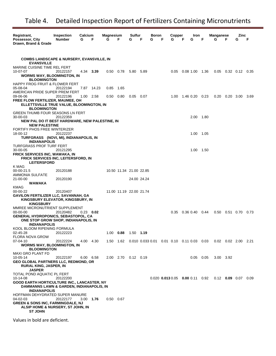| Registrant,<br>Possessor, City<br>Drawn, Brand & Grade                                              | <b>Inspection</b><br><b>Number</b> | Calcium<br>G | F           | <b>Magnesium</b><br>G | F                       | Sulfur<br>G | F           | Boron<br>G | F | Copper<br>G | F | Iron<br>G                              | F    | <b>Manganese</b><br>G                                                                | F | Zinc<br>G            | F    |
|-----------------------------------------------------------------------------------------------------|------------------------------------|--------------|-------------|-----------------------|-------------------------|-------------|-------------|------------|---|-------------|---|----------------------------------------|------|--------------------------------------------------------------------------------------|---|----------------------|------|
|                                                                                                     |                                    |              |             |                       |                         |             |             |            |   |             |   |                                        |      |                                                                                      |   |                      |      |
| <b>COMBS LANDSCAPE &amp; NURSERY, EVANSVILLE, IN</b><br><b>EVANSVILLE</b>                           |                                    |              |             |                       |                         |             |             |            |   |             |   |                                        |      |                                                                                      |   |                      |      |
| MARINE CUISINE TIME REL FERT                                                                        |                                    |              |             |                       |                         |             |             |            |   |             |   |                                        |      |                                                                                      |   |                      |      |
| 10-07-07<br><b>WORMS WAY, BLOOMINGTON, IN</b>                                                       | 20122157                           |              | 4.34 3.39   | 0.50                  | 0.78                    | 5.80        | 5.89        |            |   |             |   | 0.05 0.08 1.00 1.36                    |      | 0.05                                                                                 |   |                      | 0.35 |
| <b>BLOOMINGTON</b>                                                                                  |                                    |              |             |                       |                         |             |             |            |   |             |   |                                        |      |                                                                                      |   |                      |      |
| HAPPY FROG FRUIT & FLOWER FERT<br>05-08-04                                                          | 20122194                           |              | 7.87 14.23  | 0.85                  | 1.65                    |             |             |            |   |             |   |                                        |      |                                                                                      |   |                      |      |
| AMERICAN PRIDE SUPER PREM FERT                                                                      |                                    |              |             |                       |                         |             |             |            |   |             |   |                                        |      |                                                                                      |   |                      |      |
| 09-06-06<br>FREE FLOW FERTILIZER, MAUMEE, OH                                                        | 20122196                           |              | 1.00 2.58   | 0.50                  | 0.80                    | 0.05        | 0.07        |            |   | 1.00        |   | 1.46 0.20 0.23                         |      | 0.20                                                                                 |   | $0.20\quad 3.00$     | 3.69 |
| ELLETTSVILLE TRUE VALUE, BLOOMINGTON, IN                                                            |                                    |              |             |                       |                         |             |             |            |   |             |   |                                        |      |                                                                                      |   |                      |      |
| <b>BLOOMINGTON</b><br><b>GREEN THUMB FOUR SEASONS LN FERT</b>                                       |                                    |              |             |                       |                         |             |             |            |   |             |   |                                        |      |                                                                                      |   |                      |      |
| 30-00-03                                                                                            | 20122359                           |              |             |                       |                         |             |             |            |   |             |   | 2.00 1.80                              |      |                                                                                      |   |                      |      |
| NEW PAL DO IT BEST HARDWARE, NEW PALESTINE, IN<br><b>NEW PALESTINE</b>                              |                                    |              |             |                       |                         |             |             |            |   |             |   |                                        |      |                                                                                      |   |                      |      |
| FORTIFY PHOS FREE WINTERIZER<br>18-00-12                                                            | 20122237                           |              |             |                       |                         |             |             |            |   |             |   | 1.00 1.05                              |      |                                                                                      |   |                      |      |
| TURFGRASS (NOVI, MI), INDIANAPOLIS, IN                                                              |                                    |              |             |                       |                         |             |             |            |   |             |   |                                        |      |                                                                                      |   |                      |      |
| <b>INDIANAPOLIS</b><br>TURFGRASS PROF TURF FERT                                                     |                                    |              |             |                       |                         |             |             |            |   |             |   |                                        |      |                                                                                      |   |                      |      |
| 30-00-05                                                                                            | 20121295                           |              |             |                       |                         |             |             |            |   |             |   | 1.00                                   | 1.50 |                                                                                      |   |                      |      |
| <b>FRICK SERVICES INC, WAWAKA, IN</b><br>FRICK SERVICES INC, LEITERSFORD, IN<br><b>LEITERSFORD</b>  |                                    |              |             |                       |                         |             |             |            |   |             |   |                                        |      |                                                                                      |   |                      |      |
| K MAG                                                                                               |                                    |              |             |                       |                         |             |             |            |   |             |   |                                        |      |                                                                                      |   |                      |      |
| 00-00-21.5<br>AMMONIA SULFATE                                                                       | 20120188                           |              |             |                       | 10.50 11.34 21.00 22.85 |             |             |            |   |             |   |                                        |      |                                                                                      |   |                      |      |
| 21-00-00<br>WAWAKA                                                                                  | 20120190                           |              |             |                       |                         |             | 24.00 24.24 |            |   |             |   |                                        |      |                                                                                      |   |                      |      |
| KMAG                                                                                                |                                    |              |             |                       |                         |             |             |            |   |             |   |                                        |      |                                                                                      |   |                      |      |
| 00-00-22<br><b>GAVILON FERTILIZER LLC, SAVANNAH, GA</b>                                             | 20120407                           |              |             |                       | 11.00 11.19 22.00 21.74 |             |             |            |   |             |   |                                        |      |                                                                                      |   |                      |      |
| KINGSBURY ELEVATOR, KINGSBURY, IN                                                                   |                                    |              |             |                       |                         |             |             |            |   |             |   |                                        |      |                                                                                      |   |                      |      |
| <b>KINGSBURY</b><br>MMREE MICRONUTRIENT SUPPLEMENT                                                  |                                    |              |             |                       |                         |             |             |            |   |             |   |                                        |      |                                                                                      |   |                      |      |
| $00 - 00 - 00$                                                                                      | 20120482                           |              | $0.23$ 0.02 |                       |                         |             |             |            |   |             |   | $0.35$ $0.36$ $0.40$ $0.44$            |      |                                                                                      |   | $0.50$ $0.51$ $0.70$ | 0.73 |
| GENERAL HYDROPONICS, SEBASTOPOL, CA<br>ONE STOP GROW SHOP, INDIANAPOLIS, IN<br><b>INDIANAPOLIS</b>  |                                    |              |             |                       |                         |             |             |            |   |             |   |                                        |      |                                                                                      |   |                      |      |
| KOOL BLOOM RIPENING FORMULA                                                                         |                                    |              |             |                       |                         |             |             |            |   |             |   |                                        |      |                                                                                      |   |                      |      |
| 02-45-28<br>FLORA NOVA GROW                                                                         | 20122223                           |              |             |                       | 1.00 0.88 1.50 1.19     |             |             |            |   |             |   |                                        |      |                                                                                      |   |                      |      |
| $07 - 04 - 10$<br><b>WORMS WAY, BLOOMINGTON, IN</b>                                                 | 20122224                           |              | 4.00 4.30   |                       |                         |             |             |            |   |             |   |                                        |      | 1.50  1.62  0.010  0.033  0.01  0.01  0.10  0.11  0.03  0.03  0.02  0.02  2.00  2.21 |   |                      |      |
| <b>BLOOMINGTON</b>                                                                                  |                                    |              |             |                       |                         |             |             |            |   |             |   |                                        |      |                                                                                      |   |                      |      |
| MAXI GRO PLANT FD<br>10-05-14                                                                       | 20122197                           |              | 6.00 6.58   |                       | 2.00 2.70 0.12 0.19     |             |             |            |   |             |   | $0.05$ 0.05                            |      | 3.00 3.92                                                                            |   |                      |      |
| GEO GLOBAL PARTNERS LLC, REDMOND, OR                                                                |                                    |              |             |                       |                         |             |             |            |   |             |   |                                        |      |                                                                                      |   |                      |      |
| <b>RURAL KING, JASPER, IN</b><br><b>JASPER</b>                                                      |                                    |              |             |                       |                         |             |             |            |   |             |   |                                        |      |                                                                                      |   |                      |      |
| TOTAL POND AQUATIC PL FERT                                                                          |                                    |              |             |                       |                         |             |             |            |   |             |   |                                        |      |                                                                                      |   |                      |      |
| 10-14-08<br>GOOD EARTH HORTICULTURE INC., LANCASTER, NY                                             | 20122200                           |              |             |                       |                         |             |             |            |   |             |   | $0.020$ $0.0130.05$ $0.0000.11$ $0.92$ |      | $0.12$ 0.09 0.07                                                                     |   |                      | 0.09 |
| DAMMANNS LAWN & GARDEN, INDIANAPOLIS, IN                                                            |                                    |              |             |                       |                         |             |             |            |   |             |   |                                        |      |                                                                                      |   |                      |      |
| <b>INDIANAPOLIS</b><br>HOFFMAN DEHYDRATED SUPER MANURE                                              |                                    |              |             |                       |                         |             |             |            |   |             |   |                                        |      |                                                                                      |   |                      |      |
| 04-02-03                                                                                            | 20122177                           |              | 3.00 1.76   | $0.50$ 0.67           |                         |             |             |            |   |             |   |                                        |      |                                                                                      |   |                      |      |
| <b>GREEN &amp; SONS INC, FARMINGDALE, NJ</b><br>ALSIP HOME & NURSERY, ST JOHN, IN<br><b>ST JOHN</b> |                                    |              |             |                       |                         |             |             |            |   |             |   |                                        |      |                                                                                      |   |                      |      |
|                                                                                                     |                                    |              |             |                       |                         |             |             |            |   |             |   |                                        |      |                                                                                      |   |                      |      |
| Values in bold are deficient.                                                                       |                                    |              |             |                       |                         |             |             |            |   |             |   |                                        |      |                                                                                      |   |                      |      |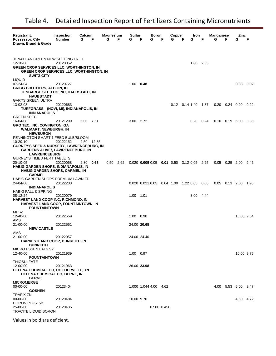| Registrant,                                                                                        | Inspection    | Calcium   |            | <b>Magnesium</b> |      | Sulfur      |             | Boron                                                   |   | Copper |   | Iron                        |      | Manganese        |           | Zinc                        |      |
|----------------------------------------------------------------------------------------------------|---------------|-----------|------------|------------------|------|-------------|-------------|---------------------------------------------------------|---|--------|---|-----------------------------|------|------------------|-----------|-----------------------------|------|
| Possessor, City<br>Drawn, Brand & Grade                                                            | <b>Number</b> | G         | F          | G                | F    | G           | F           | G                                                       | F | G      | F | G                           | F    | G                | F         | G                           | F    |
|                                                                                                    |               |           |            |                  |      |             |             |                                                         |   |        |   |                             |      |                  |           |                             |      |
|                                                                                                    |               |           |            |                  |      |             |             |                                                         |   |        |   |                             |      |                  |           |                             |      |
| JONATHAN GREEN NEW SEEDING LN FT                                                                   |               |           |            |                  |      |             |             |                                                         |   |        |   |                             |      |                  |           |                             |      |
| 12-18-08                                                                                           | 20120052      |           |            |                  |      |             |             |                                                         |   |        |   | 1.00 2.35                   |      |                  |           |                             |      |
| <b>GREEN CROP SERVICES LLC, WORTHINGTON, IN</b><br><b>GREEN CROP SERVICES LLC, WORTHINGTON, IN</b> |               |           |            |                  |      |             |             |                                                         |   |        |   |                             |      |                  |           |                             |      |
| <b>SWITZ CITY</b>                                                                                  |               |           |            |                  |      |             |             |                                                         |   |        |   |                             |      |                  |           |                             |      |
| <b>LIQUID</b><br>07-24-04                                                                          |               |           |            |                  |      | $1.00$ 0.48 |             |                                                         |   |        |   |                             |      |                  |           | $0.08$ 0.02                 |      |
| <b>GRIGG BROTHERS, ALBION, ID</b>                                                                  | 20120727      |           |            |                  |      |             |             |                                                         |   |        |   |                             |      |                  |           |                             |      |
| TENBARGE SEED CO INC, HAUBSTADT, IN                                                                |               |           |            |                  |      |             |             |                                                         |   |        |   |                             |      |                  |           |                             |      |
| <b>HAUBSTADT</b>                                                                                   |               |           |            |                  |      |             |             |                                                         |   |        |   |                             |      |                  |           |                             |      |
| <b>GARYS GREEN ULTRA</b>                                                                           |               |           |            |                  |      |             |             |                                                         |   |        |   |                             |      |                  |           |                             |      |
| 13-02-03<br>TURFGRASS (NOVI, MI), INDIANAPOLIS, IN                                                 | 20120683      |           |            |                  |      |             |             |                                                         |   |        |   | $0.12$ $0.14$ $1.40$ $1.37$ |      | 0.20             | 0.24 0.20 |                             | 0.22 |
| <b>INDIANAPOLIS</b>                                                                                |               |           |            |                  |      |             |             |                                                         |   |        |   |                             |      |                  |           |                             |      |
| <b>GREEN SPEC</b>                                                                                  |               |           |            |                  |      |             |             |                                                         |   |        |   |                             |      |                  |           |                             |      |
| 16-04-08                                                                                           | 20121299      | 6.00 7.51 |            |                  |      | 3.00 2.72   |             |                                                         |   |        |   | 0.20                        | 0.24 |                  |           | $0.10$ $0.19$ $6.00$ $8.38$ |      |
| <b>GRO TEC, INC, COVINGTON, GA</b><br><b>WALMART, NEWBURGH, IN</b>                                 |               |           |            |                  |      |             |             |                                                         |   |        |   |                             |      |                  |           |                             |      |
| <b>NEWBURGH</b>                                                                                    |               |           |            |                  |      |             |             |                                                         |   |        |   |                             |      |                  |           |                             |      |
| PENNINGTON SMART 1 FEED BULB/BLOOM                                                                 |               |           |            |                  |      |             |             |                                                         |   |        |   |                             |      |                  |           |                             |      |
| $10 - 20 - 10$                                                                                     | 20122152      |           | 2.50 12.85 |                  |      |             |             |                                                         |   |        |   |                             |      |                  |           |                             |      |
| <b>GURNEY'S SEED &amp; NURSERY, LAWRENCEBURG, IN</b>                                               |               |           |            |                  |      |             |             |                                                         |   |        |   |                             |      |                  |           |                             |      |
| <b>GARDENS ALIVE!, LAWRENCEBURG, IN</b><br><b>LAWRENCEBURG</b>                                     |               |           |            |                  |      |             |             |                                                         |   |        |   |                             |      |                  |           |                             |      |
| <b>GURNEYS TIMED FERT TABLETS</b>                                                                  |               |           |            |                  |      |             |             |                                                         |   |        |   |                             |      |                  |           |                             |      |
| 20-10-05                                                                                           | 20120068      | 2.80      | 0.68       | 0.50             | 2.62 |             |             | $0.020$ $0.005$ $0.05$ $0.01$ $0.50$ $3.12$ $0.05$ 2.25 |   |        |   |                             |      | $0.05$ 0.25 2.00 |           |                             | 2.46 |
| <b>HABIG GARDEN SHOPS, INDIANAPOLIS, IN</b>                                                        |               |           |            |                  |      |             |             |                                                         |   |        |   |                             |      |                  |           |                             |      |
| <b>HABIG GARDEN SHOPS, CARMEL, IN</b><br><b>CARMEL</b>                                             |               |           |            |                  |      |             |             |                                                         |   |        |   |                             |      |                  |           |                             |      |
| HABIG GARDEN SHOPS PREMIUM LAWN FD                                                                 |               |           |            |                  |      |             |             |                                                         |   |        |   |                             |      |                  |           |                             |      |
| 24-04-08                                                                                           | 20122233      |           |            |                  |      |             |             | 0.020 0.021 0.05 0.04 1.00 1.22 0.05 0.06               |   |        |   |                             |      | $0.05$ 0.13 2.00 |           |                             | 1.95 |
| <b>INDIANAPOLIS</b><br><b>HABIG FALL &amp; SPRING</b>                                              |               |           |            |                  |      |             |             |                                                         |   |        |   |                             |      |                  |           |                             |      |
| 08-12-24                                                                                           | 20120079      |           |            |                  |      | 1.00        | 1.01        |                                                         |   |        |   | 3.00 4.44                   |      |                  |           |                             |      |
| HARVEST LAND COOP INC, RICHMOND, IN                                                                |               |           |            |                  |      |             |             |                                                         |   |        |   |                             |      |                  |           |                             |      |
| HARVEST LAND COOP, FOUNTAINTOWN, IN                                                                |               |           |            |                  |      |             |             |                                                         |   |        |   |                             |      |                  |           |                             |      |
| <b>FOUNTAINTOWN</b><br>MESZ                                                                        |               |           |            |                  |      |             |             |                                                         |   |        |   |                             |      |                  |           |                             |      |
| 12-40-00                                                                                           | 20122559      |           |            |                  |      | 1.00        | 0.90        |                                                         |   |        |   |                             |      |                  |           | 10.00 9.54                  |      |
| AMS                                                                                                |               |           |            |                  |      |             |             |                                                         |   |        |   |                             |      |                  |           |                             |      |
| $21 - 00 - 00$                                                                                     | 20122561      |           |            |                  |      |             | 24.00 20.65 |                                                         |   |        |   |                             |      |                  |           |                             |      |
| <b>NEW CASTLE</b><br>AMS                                                                           |               |           |            |                  |      |             |             |                                                         |   |        |   |                             |      |                  |           |                             |      |
| 21-00-00                                                                                           | 20122057      |           |            |                  |      |             | 24.00 24.40 |                                                         |   |        |   |                             |      |                  |           |                             |      |
| HARVESTLAND COOP, DUNREITH, IN                                                                     |               |           |            |                  |      |             |             |                                                         |   |        |   |                             |      |                  |           |                             |      |
| <b>DUNREITH</b>                                                                                    |               |           |            |                  |      |             |             |                                                         |   |        |   |                             |      |                  |           |                             |      |
| <b>MICRO ESSENTIALS SZ</b><br>12-40-00                                                             | 20121939      |           |            |                  |      | 1.00 0.97   |             |                                                         |   |        |   |                             |      |                  |           | 10.00 9.75                  |      |
| <b>FOUNTAINTOWN</b>                                                                                |               |           |            |                  |      |             |             |                                                         |   |        |   |                             |      |                  |           |                             |      |
| <b>THIOSULFATE</b>                                                                                 |               |           |            |                  |      |             |             |                                                         |   |        |   |                             |      |                  |           |                             |      |
| 12-00-00                                                                                           | 20121963      |           |            |                  |      |             | 26.00 23.98 |                                                         |   |        |   |                             |      |                  |           |                             |      |
| HELENA CHEMICAL CO, COLLIERVILLE, TN<br>HELENA CHEMICAL CO, BERNE, IN                              |               |           |            |                  |      |             |             |                                                         |   |        |   |                             |      |                  |           |                             |      |
| <b>BERNE</b>                                                                                       |               |           |            |                  |      |             |             |                                                         |   |        |   |                             |      |                  |           |                             |      |
| <b>MICROMERGE</b>                                                                                  |               |           |            |                  |      |             |             |                                                         |   |        |   |                             |      |                  |           |                             |      |
| 00-00-00                                                                                           | 20123404      |           |            |                  |      |             |             | 1.000 1.044 4.00 4.62                                   |   |        |   |                             |      |                  |           | 4.00 5.53 5.00 9.47         |      |
| <b>GOSHEN</b><br>TRAFIX ZN                                                                         |               |           |            |                  |      |             |             |                                                         |   |        |   |                             |      |                  |           |                             |      |
| 00-00-00                                                                                           | 20120484      |           |            |                  |      | 10.00 9.70  |             |                                                         |   |        |   |                             |      |                  |           | 4.50 4.72                   |      |
| CORON PLUS .5B                                                                                     |               |           |            |                  |      |             |             |                                                         |   |        |   |                             |      |                  |           |                             |      |
| 25-00-00                                                                                           | 20120485      |           |            |                  |      |             |             | 0.500 0.458                                             |   |        |   |                             |      |                  |           |                             |      |
| <b>TRACITE LIQUID BORON</b>                                                                        |               |           |            |                  |      |             |             |                                                         |   |        |   |                             |      |                  |           |                             |      |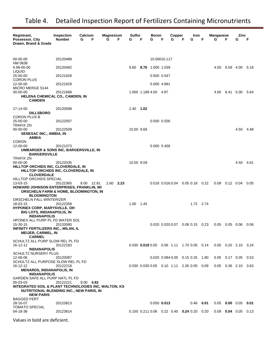| Registrant,<br>Possessor, City<br>Drawn, Brand & Grade                                                              | <b>Inspection</b><br><b>Number</b> | Calcium<br>G<br>F | <b>Magnesium</b><br>G<br>F | Sulfur<br>G | F | Boron<br>G            | F | Copper<br>G | Iron<br>F<br>G                                            | F           | <b>Manganese</b><br>G | F                    | Zinc<br>G                   | F     |
|---------------------------------------------------------------------------------------------------------------------|------------------------------------|-------------------|----------------------------|-------------|---|-----------------------|---|-------------|-----------------------------------------------------------|-------------|-----------------------|----------------------|-----------------------------|-------|
| 00-00-00                                                                                                            | 20120488                           |                   |                            |             |   | 10.00010.117          |   |             |                                                           |             |                       |                      |                             |       |
| HM 0838<br>6.99-00-00                                                                                               | 20120492                           |                   |                            |             |   | 9.60 8.76 1.000 1.039 |   |             |                                                           |             | 4.00                  |                      | 6.59 4.00 5.18              |       |
| LIQUID<br>25-00-00                                                                                                  | 20121628                           |                   |                            |             |   | 0.500 0.547           |   |             |                                                           |             |                       |                      |                             |       |
| <b>CORON PLUS</b><br>12-00-00                                                                                       | 20121629                           |                   |                            |             |   | 5.000 4.891           |   |             |                                                           |             |                       |                      |                             |       |
| MICRO MERGE 5144<br>$00 - 00 - 00$                                                                                  | 20121668                           |                   |                            |             |   | 1.000 1.189 4.00 4.87 |   |             |                                                           |             | 4.00                  |                      | 6.41 5.00                   | -5.64 |
| HELENA CHEMICAL CO., CAMDEN, IN<br><b>CAMDEN</b>                                                                    |                                    |                   |                            |             |   |                       |   |             |                                                           |             |                       |                      |                             |       |
| 17-14-00                                                                                                            | 20120598                           |                   |                            | 2.40 1.02   |   |                       |   |             |                                                           |             |                       |                      |                             |       |
| <b>DILLSBORO</b><br>CORON PLUS B                                                                                    |                                    |                   |                            |             |   |                       |   |             |                                                           |             |                       |                      |                             |       |
| 25-00-00<br><b>TRAFIX ZN</b>                                                                                        | 20122507                           |                   |                            |             |   | 0.500 0.556           |   |             |                                                           |             |                       |                      |                             |       |
| 00-00-00<br>SENESAC INC., AMBIA, IN                                                                                 | 20122509                           |                   |                            | 10.00 9.68  |   |                       |   |             |                                                           |             |                       |                      | 4.50 4.48                   |       |
| AMBIA<br><b>CORON</b>                                                                                               |                                    |                   |                            |             |   |                       |   |             |                                                           |             |                       |                      |                             |       |
| 12-00-00<br>UMBARGER & SONS INC, BARGERSVILLE, IN                                                                   | 20121073                           |                   |                            |             |   | 5.000 5.456           |   |             |                                                           |             |                       |                      |                             |       |
| <b>BARGERSVILLE</b><br><b>TRAFIX ZN</b>                                                                             |                                    |                   |                            |             |   |                       |   |             |                                                           |             |                       |                      |                             |       |
| 00-00-00                                                                                                            | 20122035                           |                   |                            | 10.00 9.59  |   |                       |   |             |                                                           |             |                       |                      | 4.50 4.61                   |       |
| <b>HILLTOP ORCHIDS INC, CLOVERDALE, IN</b><br>HILLTOP ORCHIDS INC, CLOVERDALE, IN<br><b>CLOVERDALE</b>              |                                    |                   |                            |             |   |                       |   |             |                                                           |             |                       |                      |                             |       |
| HILLTOP ORCHIDS SPECIAL                                                                                             |                                    |                   |                            |             |   |                       |   |             |                                                           |             |                       |                      |                             |       |
| 13-03-15<br><b>HOWARD JOHNSON ENTERPRISES, FRANKLIN, WI</b><br><b>ORSCHELN FARM &amp; HOME, BLOOMINGTON, IN</b>     | 20122365                           | 8.00 12.81        | 2.60 2.23                  |             |   |                       |   |             | $0.018$ $0.016$ $0.04$ $0.05$ $0.18$ $0.22$               |             |                       | $0.09$ $0.12$ $0.04$ |                             | 0.05  |
| <b>BLOOMINGTON</b>                                                                                                  |                                    |                   |                            |             |   |                       |   |             |                                                           |             |                       |                      |                             |       |
| ORSCHELN FALL WINTERIZER<br>18-03-15                                                                                | 20122358                           |                   |                            | 1.00 1.45   |   |                       |   |             |                                                           | 1.72 2.74   |                       |                      |                             |       |
| <b>HYPONEX CORP, MARYSVILLE, OH</b>                                                                                 |                                    |                   |                            |             |   |                       |   |             |                                                           |             |                       |                      |                             |       |
| <b>BIG LOTS, INDIANAPOLIS, IN</b><br><b>INDIANAPOLIS</b>                                                            |                                    |                   |                            |             |   |                       |   |             |                                                           |             |                       |                      |                             |       |
| HPONEX ALL PURP PL FD WATER SOL                                                                                     |                                    |                   |                            |             |   |                       |   |             |                                                           |             |                       |                      |                             |       |
| 15-30-15<br>INFINITY FERTILIZERS INC., MILAN, IL                                                                    | 20120080                           |                   |                            |             |   |                       |   |             | $0.020$ $0.020$ $0.07$ $0.08$ $0.15$ $0.23$               |             | 0.05                  | $0.05$ 0.06          |                             | 0.06  |
| <b>MEIJER, CARMEL, IN</b><br><b>CARMEL</b>                                                                          |                                    |                   |                            |             |   |                       |   |             |                                                           |             |                       |                      |                             |       |
| SCHULTZ ALL PURP SLOW REL PL FD<br>16-12-12                                                                         | 20122183                           |                   |                            |             |   |                       |   |             | 0.030 0.018 0.05 0.06 1.11 1.70 0.05 0.14                 |             |                       |                      | $0.05$ $0.20$ $2.10$ $3.24$ |       |
| <b>INDIANAPOLIS</b><br><b>SCHULTZ NURSERY PLUS</b>                                                                  |                                    |                   |                            |             |   |                       |   |             |                                                           |             |                       |                      |                             |       |
| 12-06-06                                                                                                            | 20120087                           |                   |                            |             |   |                       |   |             | 0.020 0.084 0.05 0.15 0.25 1.80                           |             |                       | $0.05$ 0.17 0.05     |                             | 0.53  |
| SCHULTZ ALL PURPOSE SLOW REL PL FD<br>16-12-12                                                                      | 20122218                           |                   |                            |             |   |                       |   |             | 0.030 0.030 0.05 0.10 1.11 2.26 0.05                      | 0.09        |                       |                      | $0.05$ $0.36$ 2.10 3.63     |       |
| <b>MENARDS, INDIANAPOLIS, IN</b><br><b>INDIANAPOLIS</b>                                                             |                                    |                   |                            |             |   |                       |   |             |                                                           |             |                       |                      |                             |       |
| GARDEN SAFE ALL PURP NATL PL FD                                                                                     |                                    |                   |                            |             |   |                       |   |             |                                                           |             |                       |                      |                             |       |
| 05-03-03<br>INTEGRATED SOIL & PLANT TECHNOLOGIES INC, WALTON, KS<br><b>NUTRITIONAL BLENDING INC., NEW PARIS, IN</b> | 20122221                           | $9.00$ 4.82       |                            |             |   |                       |   |             |                                                           |             |                       |                      |                             |       |
| <b>NEW PARIS</b>                                                                                                    |                                    |                   |                            |             |   |                       |   |             |                                                           |             |                       |                      |                             |       |
| <b>BAGGED FERT</b><br>28-16-07                                                                                      | 20123813                           |                   |                            |             |   | $0.050$ 0.013         |   |             |                                                           | $0.46$ 0.01 | 0.05                  | $0.00 \quad 0.05$    |                             | 0.01  |
| <b>TOMATO SPECIAL</b><br>04-18-38                                                                                   | 20123814                           |                   |                            |             |   |                       |   |             | $0.150$ $0.211$ $0.06$ $0.22$ $0.40$ $0.24$ $0.20$ $0.20$ |             | 0.09                  |                      | $0.04$ 0.05 0.13            |       |
|                                                                                                                     |                                    |                   |                            |             |   |                       |   |             |                                                           |             |                       |                      |                             |       |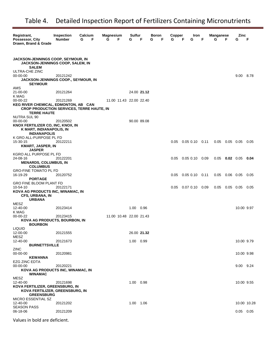| Registrant,<br>Possessor, City<br>Drawn, Brand & Grade                                                                     | <b>Inspection</b><br><b>Number</b> | Calcium<br>G<br>F | <b>Magnesium</b><br>G | F                       | Sulfur<br>G | F           | Boron<br>G | F | Copper<br>G | F<br>G               | Iron<br>F | <b>Manganese</b><br>G | F                | Zinc<br>G             | F           |
|----------------------------------------------------------------------------------------------------------------------------|------------------------------------|-------------------|-----------------------|-------------------------|-------------|-------------|------------|---|-------------|----------------------|-----------|-----------------------|------------------|-----------------------|-------------|
| <b>JACKSON-JENNINGS COOP, SEYMOUR, IN</b><br><b>JACKSON-JENNINGS COOP, SALEM, IN</b><br><b>SALEM</b>                       |                                    |                   |                       |                         |             |             |            |   |             |                      |           |                       |                  |                       |             |
| ULTRA-CHE ZINC<br>$00 - 00 - 00$<br>JACKSON-JENNINGS COOP., SEYMOUR, IN<br><b>SEYMOUR</b>                                  | 20121242                           |                   |                       |                         |             |             |            |   |             |                      |           |                       |                  | 9.00 8.78             |             |
| AMS<br>21-00-00<br>K MAG                                                                                                   | 20121264                           |                   |                       |                         |             | 24.00 21.12 |            |   |             |                      |           |                       |                  |                       |             |
| 00-00-22<br>KEG RIVER CHEMICAL, EDMONTON, AB CAN<br><b>CROP PRODUCTION SERVICES, TERRE HAUTE, IN</b><br><b>TERRE HAUTE</b> | 20121269                           |                   |                       | 11.00 11.43 22.00 22.40 |             |             |            |   |             |                      |           |                       |                  |                       |             |
| <b>NUTRA SUL 90</b><br>00-00-00<br>KNOX FERTILIZER CO, INC, KNOX, IN<br>K MART, INDIANAPOLIS, IN<br><b>INDIANAPOLIS</b>    | 20120502                           |                   |                       |                         | 90.00 89.08 |             |            |   |             |                      |           |                       |                  |                       |             |
| K GRO ALL-PURPOSE PL FD<br>15-30-15<br><b>KMART, JASPER, IN</b><br><b>JASPER</b>                                           | 20122211                           |                   |                       |                         |             |             |            |   | 0.05        | $0.05$ $0.10$ $0.11$ |           |                       | $0.05$ 0.05 0.05 |                       | 0.05        |
| KGRO ALL PURPOSE PL FD<br>24-08-16<br><b>MENARDS, COLUMBUS, IN</b><br><b>COLUMBUS</b>                                      | 20122201                           |                   |                       |                         |             |             |            |   | 0.05        | $0.05$ 0.10 0.09     |           |                       |                  | $0.05$ 0.02 0.05 0.04 |             |
| <b>GRO-FINE TOMATO PL FD</b><br>16-19-29<br><b>PORTAGE</b>                                                                 | 20120752                           |                   |                       |                         |             |             |            |   | 0.05        | $0.05$ $0.10$ $0.11$ |           |                       | $0.05$ 0.06 0.05 |                       | 0.05        |
| <b>GRO FINE BLOOM PLANT FD</b><br>10-54-10<br>KOVA AG PRODUCTS INC, WINAMAC, IN<br>CFS, URBANA, IN<br><b>URBANA</b>        | 20122171                           |                   |                       |                         |             |             |            |   | 0.05        | $0.07$ 0.10 0.09     |           |                       |                  | $0.05$ 0.05 0.05      | 0.05        |
| MESZ<br>12-40-00<br>K MAG                                                                                                  | 20123414                           |                   |                       |                         | 1.00 0.96   |             |            |   |             |                      |           |                       |                  | 10.00 9.97            |             |
| 00-00-22<br>KOVA AG PRODUCTS, BOURBON, IN<br><b>BOURBON</b>                                                                | 20123415                           |                   |                       | 11.00 10.48 22.00 21.43 |             |             |            |   |             |                      |           |                       |                  |                       |             |
| <b>LIQUID</b><br>12-00-00<br>MESZ                                                                                          | 20121555                           |                   |                       |                         | 26.00 21.32 |             |            |   |             |                      |           |                       |                  |                       |             |
| 12-40-00<br><b>BURNETTSVILLE</b>                                                                                           | 20121673                           |                   |                       |                         | 1.00 0.99   |             |            |   |             |                      |           |                       |                  | 10.00 9.79            |             |
| ZINC<br>$00 - 00 - 00$<br><b>KEWANNA</b>                                                                                   | 20120981                           |                   |                       |                         |             |             |            |   |             |                      |           |                       |                  | 10.00 9.98            |             |
| EZG ZINC EDTA<br>$00 - 00 - 00$<br>KOVA AG PRODUCTS INC, WINAMAC, IN<br><b>WINAMAC</b>                                     | 20120221                           |                   |                       |                         |             |             |            |   |             |                      |           |                       |                  | 9.00 9.24             |             |
| <b>MESZ</b><br>12-40-00<br>KOVA FERTILIZER, GREENSBURG, IN<br>KOVA FERTILIZER, GREENSBURG, IN<br><b>GREENSBURG</b>         | 20121698                           |                   |                       |                         | 1.00 0.98   |             |            |   |             |                      |           |                       |                  | 10.00 9.55            |             |
| MICRO ESSENTIAL SZ<br>12-40-00<br><b>SEASON PASS</b>                                                                       | 20121202                           |                   |                       |                         | 1.00 1.06   |             |            |   |             |                      |           |                       |                  |                       | 10.00 10.28 |
| 06-18-06                                                                                                                   | 20121209                           |                   |                       |                         |             |             |            |   |             |                      |           |                       |                  | $0.05$ 0.05           |             |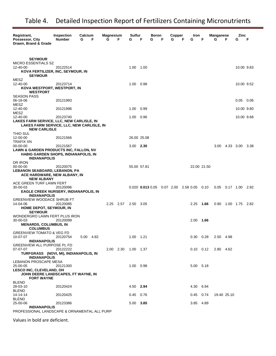| Registrant,<br>Possessor, City<br>Drawn, Brand & Grade          | <b>Inspection</b><br><b>Number</b> | Calcium<br>G | F         | <b>Magnesium</b><br>G | F                   | Sulfur<br>G   | F           | Boron<br>G | F | Copper<br>G | F | Iron<br>G                                   | F                           | Manganese<br>G         | F           | Zinc<br>G        | F    |
|-----------------------------------------------------------------|------------------------------------|--------------|-----------|-----------------------|---------------------|---------------|-------------|------------|---|-------------|---|---------------------------------------------|-----------------------------|------------------------|-------------|------------------|------|
|                                                                 |                                    |              |           |                       |                     |               |             |            |   |             |   |                                             |                             |                        |             |                  |      |
|                                                                 |                                    |              |           |                       |                     |               |             |            |   |             |   |                                             |                             |                        |             |                  |      |
| <b>SEYMOUR</b><br><b>MICRO ESSENTIALS SZ</b>                    |                                    |              |           |                       |                     |               |             |            |   |             |   |                                             |                             |                        |             |                  |      |
| 12-40-00                                                        | 20122514                           |              |           |                       |                     | 1.00 1.00     |             |            |   |             |   |                                             |                             |                        |             | 10.00 9.83       |      |
| KOVA FERTILIZER, INC, SEYMOUR, IN<br><b>SEYMOUR</b>             |                                    |              |           |                       |                     |               |             |            |   |             |   |                                             |                             |                        |             |                  |      |
| MESZ                                                            |                                    |              |           |                       |                     |               |             |            |   |             |   |                                             |                             |                        |             |                  |      |
| 12-40-00                                                        | 20123714                           |              |           |                       |                     | 1.00          | 0.98        |            |   |             |   |                                             |                             |                        |             | 10.00 9.52       |      |
| KOVA WESTPORT, WESTPORT, IN<br><b>WESTPORT</b>                  |                                    |              |           |                       |                     |               |             |            |   |             |   |                                             |                             |                        |             |                  |      |
| <b>SEASON PASS</b>                                              |                                    |              |           |                       |                     |               |             |            |   |             |   |                                             |                             |                        |             |                  |      |
| 06-18-06<br>MESZ                                                | 20121993                           |              |           |                       |                     |               |             |            |   |             |   |                                             |                             |                        |             | 0.05             | 0.06 |
| 12-40-00                                                        | 20121996                           |              |           |                       |                     | 1.00          | 0.99        |            |   |             |   |                                             |                             |                        |             | 10.00 9.80       |      |
| MESZ<br>12-40-00                                                |                                    |              |           |                       |                     | 1.00          | 0.96        |            |   |             |   |                                             |                             |                        |             | 10.00 9.68       |      |
| LAKES FARM SERVICE, LLC, NEW CARLISLE, IN                       | 20123740                           |              |           |                       |                     |               |             |            |   |             |   |                                             |                             |                        |             |                  |      |
| LAKES FARM SERVICE, LLC, NEW CARLISLE, IN                       |                                    |              |           |                       |                     |               |             |            |   |             |   |                                             |                             |                        |             |                  |      |
| <b>NEW CARLISLE</b><br>THIO SUL                                 |                                    |              |           |                       |                     |               |             |            |   |             |   |                                             |                             |                        |             |                  |      |
| 12-00-00                                                        | 20121566                           |              |           |                       |                     |               | 26.00 25.08 |            |   |             |   |                                             |                             |                        |             |                  |      |
| <b>TRAFIX XN</b><br>$00 - 00 - 00$                              | 20121567                           |              |           |                       |                     | $3.00$ 2.30   |             |            |   |             |   |                                             |                             | 3.00                   |             | 4.33 3.00 3.38   |      |
| LAWN & GARDEN PRODUCTS INC, FALLON, NV                          |                                    |              |           |                       |                     |               |             |            |   |             |   |                                             |                             |                        |             |                  |      |
| <b>HABIG GARDEN SHOPS, INDIANAPOLIS, IN</b>                     |                                    |              |           |                       |                     |               |             |            |   |             |   |                                             |                             |                        |             |                  |      |
| <b>INDIANAPOLIS</b><br>DR IRON                                  |                                    |              |           |                       |                     |               |             |            |   |             |   |                                             |                             |                        |             |                  |      |
| 00-00-00                                                        | 20120075                           |              |           |                       |                     |               | 55.00 57.81 |            |   |             |   |                                             | 22.00 21.50                 |                        |             |                  |      |
| LEBANON SEABOARD, LEBANON, PA<br>ACE HARDWARE, NEW ALBANY, IN   |                                    |              |           |                       |                     |               |             |            |   |             |   |                                             |                             |                        |             |                  |      |
| <b>NEW ALBANY</b>                                               |                                    |              |           |                       |                     |               |             |            |   |             |   |                                             |                             |                        |             |                  |      |
| ACE GREEN TURF LAWN FERT<br>30-00-03                            | 20120096                           |              |           |                       |                     |               |             |            |   |             |   | $0.020$ 0.013 0.05 0.07 2.00 2.58 0.05 0.10 |                             | 0.05  0.17  1.00  2.92 |             |                  |      |
| <b>EAGLE CREEK NURSERY, INDIANAPOLIS, IN</b>                    |                                    |              |           |                       |                     |               |             |            |   |             |   |                                             |                             |                        |             |                  |      |
| <b>INDIANAPOLIS</b>                                             |                                    |              |           |                       |                     |               |             |            |   |             |   |                                             |                             |                        |             |                  |      |
| <b>GREENVIEW WOODACE SHRUB FT</b><br>14-04-06                   | 20120085                           |              |           |                       | 2.25 2.57           | 2.50 3.05     |             |            |   |             |   | 2.25                                        | 1.66                        | 0.90                   |             | 1.00  1.75  2.82 |      |
| HOME DEPOT, SEYMOUR, IN                                         |                                    |              |           |                       |                     |               |             |            |   |             |   |                                             |                             |                        |             |                  |      |
| <b>SEYMOUR</b><br>WONDERGRO LAWN FERT PLUS IRON                 |                                    |              |           |                       |                     |               |             |            |   |             |   |                                             |                             |                        |             |                  |      |
| 30-00-03                                                        | 20120099                           |              |           |                       |                     |               |             |            |   |             |   | 2.00                                        | 1.66                        |                        |             |                  |      |
| <b>MENARDS, COLUMBUS, IN</b><br><b>COLUMBUS</b>                 |                                    |              |           |                       |                     |               |             |            |   |             |   |                                             |                             |                        |             |                  |      |
| <b>GREENVIEW TOMATO &amp; VEG FD</b>                            |                                    |              |           |                       |                     |               |             |            |   |             |   |                                             |                             |                        |             |                  |      |
| 10-07-07                                                        | 20120754                           |              | 5.00 4.82 |                       |                     | $1.00$ $1.21$ |             |            |   |             |   | $0.30 \quad 0.28$                           |                             | 2.50 4.98              |             |                  |      |
| <b>INDIANAPOLIS</b><br>GREENVIEW ALL PURPOSE PL FD              |                                    |              |           |                       |                     |               |             |            |   |             |   |                                             |                             |                        |             |                  |      |
| 07-07-07                                                        | 20122222                           |              |           |                       | 2.00 2.30 1.00 1.37 |               |             |            |   |             |   |                                             | $0.10$ $0.12$ $2.80$ $4.62$ |                        |             |                  |      |
| TURFGRASS (NOVI, MI), INDIANAPOLIS, IN<br><b>INDIANAPOLIS</b>   |                                    |              |           |                       |                     |               |             |            |   |             |   |                                             |                             |                        |             |                  |      |
| LEBANON PROSCAPE MESA                                           |                                    |              |           |                       |                     |               |             |            |   |             |   |                                             |                             |                        |             |                  |      |
| 25-00-05                                                        | 20121300                           |              |           |                       |                     | 1.00 0.98     |             |            |   |             |   | 5.00 5.18                                   |                             |                        |             |                  |      |
| LESCO INC, CLEVELAND, OH<br>JOHN DEERE LANDSCAPES, FT WAYNE, IN |                                    |              |           |                       |                     |               |             |            |   |             |   |                                             |                             |                        |             |                  |      |
| <b>FORT WAYNE</b>                                               |                                    |              |           |                       |                     |               |             |            |   |             |   |                                             |                             |                        |             |                  |      |
| <b>BLEND</b><br>28-03-10                                        | 20120424                           |              |           |                       |                     | 4.50 2.94     |             |            |   |             |   | 4.30 6.94                                   |                             |                        |             |                  |      |
| <b>BLEND</b>                                                    |                                    |              |           |                       |                     |               |             |            |   |             |   |                                             |                             |                        |             |                  |      |
| 14-14-14<br><b>BLEND</b>                                        | 20120425                           |              |           |                       |                     | $0.45$ 0.76   |             |            |   |             |   | $0.45$ 0.74                                 |                             |                        | 19.40 25.10 |                  |      |
| 25-00-06                                                        | 20123386                           |              |           |                       |                     | 5.00 3.85     |             |            |   |             |   | 3.85 4.89                                   |                             |                        |             |                  |      |
| <b>INDIANAPOLIS</b><br>-----                                    |                                    |              |           |                       |                     |               |             |            |   |             |   |                                             |                             |                        |             |                  |      |

PROFESSIONAL LANDSCAPE & ORNAMENTAL ALL PURP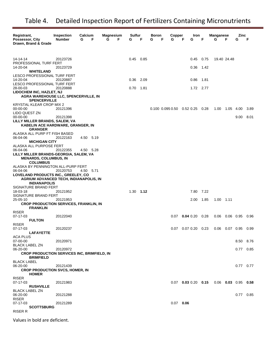| Registrant,<br>Possessor, City<br>Drawn, Brand & Grade                                                     | <b>Inspection</b><br><b>Number</b> | Calcium<br>F<br>G | <b>Magnesium</b><br>G<br>F | Sulfur<br>G   | F | Boron<br>F<br>G            | Copper<br>G | F<br>G                | Iron      | F      | Manganese<br>G   | F         | Zinc<br>G             | F    |
|------------------------------------------------------------------------------------------------------------|------------------------------------|-------------------|----------------------------|---------------|---|----------------------------|-------------|-----------------------|-----------|--------|------------------|-----------|-----------------------|------|
| 14-14-14                                                                                                   | 20123726                           |                   |                            | $0.45$ 0.85   |   |                            |             | 0.45                  |           | 0.75   | 19.40 24.48      |           |                       |      |
| PROFESSIONAL TURF FERT<br>14-20-04                                                                         | 20123729                           |                   |                            |               |   |                            |             | 0.36                  |           | 1.42   |                  |           |                       |      |
| WHITELAND<br>LESCO PROFESSIONAL TURF FERT                                                                  |                                    |                   |                            |               |   |                            |             |                       |           |        |                  |           |                       |      |
| 14-20-04<br>LESCO PROFESSIONAL TURF FERT                                                                   | 20120887                           |                   |                            | 0.36 2.09     |   |                            |             | 0.86                  |           | - 1.81 |                  |           |                       |      |
| 28-00-03<br><b>LIDOCHEM INC, HAZLET, NJ</b><br>AGRA WAREHOUSE LLC, SPENCERVILLE, IN<br><b>SPENCERVILLE</b> | 20120888                           |                   |                            | $0.70$ 1.81   |   |                            |             |                       | 1.72 2.77 |        |                  |           |                       |      |
| KRYSTAL KLEAR CROP MIX 2<br>$00 - 00 - 00$                                                                 | 20121396                           |                   |                            |               |   | 0.100 0.095 0.50 0.52 0.25 |             |                       |           | 0.28   | 1.00             | 1.05 4.00 |                       | 3.89 |
| LIDO QUEST ZN<br>00-00-00<br>LILLY MILLER BRANDS, SALEM, VA<br>KABELIN ACE HARDWARE, GRANGER, IN           | 20121398                           |                   |                            |               |   |                            |             |                       |           |        |                  |           | 9.00                  | 8.01 |
| <b>GRANGER</b><br>ALASKA ALL PURP FT FISH BASED                                                            |                                    |                   |                            |               |   |                            |             |                       |           |        |                  |           |                       |      |
| 06-04-06<br><b>MICHIGAN CITY</b><br>ALASKA ALL PURPOSE FERT                                                | 20122163                           | 4.50 5.19         |                            |               |   |                            |             |                       |           |        |                  |           |                       |      |
| 06-04-06<br>LILLY MILLER BRANDS-GEORGIA, SALEM, VA<br><b>MENARDS, COLUMBUS, IN</b><br><b>COLUMBUS</b>      | 20122355                           | 4.50 5.28         |                            |               |   |                            |             |                       |           |        |                  |           |                       |      |
| ALASKA BY PENNINGTON ALL-PURP FERT<br>06-04-06                                                             | 20120753                           | 4.50<br>5.71      |                            |               |   |                            |             |                       |           |        |                  |           |                       |      |
| LOVELAND PRODUCTS INC., GREELEY, CO<br>AGRIUM ADVANCED TECH, INDIANAPOLIS, IN<br><b>INDIANAPOLIS</b>       |                                    |                   |                            |               |   |                            |             |                       |           |        |                  |           |                       |      |
| SIGNATURE BRAND FERT<br>18-03-18<br>SIGNATURE BRAND FERT                                                   | 20121952                           |                   |                            | $1.30$ $1.12$ |   |                            |             | 7.80                  |           | 7.22   |                  |           |                       |      |
| 25-05-10<br><b>CROP PRODUCTION SERVICES, FRANKLIN, IN</b>                                                  | 20121953                           |                   |                            |               |   |                            |             | 2.00                  |           | 1.85   | $1.00$ $1.11$    |           |                       |      |
| <b>FRANKLIN</b><br><b>RISER</b><br>07-17-03                                                                | 20122040                           |                   |                            |               |   |                            |             | $0.07$ 0.04 0.20      |           | 0.28   | 0.06             | 0.06 0.95 |                       | 0.96 |
| <b>FULTON</b><br><b>RISER</b>                                                                              |                                    |                   |                            |               |   |                            |             |                       |           |        |                  |           |                       |      |
| 07-17-03<br><b>LAFAYETTE</b><br><b>ACA PLUS</b>                                                            | 20120237                           |                   |                            |               |   |                            |             | $0.07$ 0.07 0.20 0.23 |           |        | $0.06$ 0.07 0.95 |           |                       | 0.99 |
| 07-00-00<br><b>BLACK LABEL ZN</b>                                                                          | 20120971                           |                   |                            |               |   |                            |             |                       |           |        |                  |           | 8.50 8.76             |      |
| 06-20-00<br><b>CROP PRODUCTION SERVICES INC, BRIMFIELD, IN</b><br><b>BRIMFIELD</b>                         | 20120972                           |                   |                            |               |   |                            |             |                       |           |        |                  |           | 0.77 0.85             |      |
| <b>BLACK LABEL</b><br>06-20-00<br><b>CROP PRODUCTION SVCS, HOMER, IN</b>                                   | 20121439                           |                   |                            |               |   |                            |             |                       |           |        |                  |           | $0.77$ 0.77           |      |
| <b>HOMER</b><br><b>RISER</b><br>07-17-03<br><b>RUSHVILLE</b>                                               | 20121983                           |                   |                            |               |   |                            |             | $0.07$ 0.03 0.20 0.15 |           |        |                  |           | $0.06$ 0.03 0.95 0.58 |      |
| <b>BLACK LABEL ZN</b><br>06-20-00<br><b>RISER</b>                                                          | 20121288                           |                   |                            |               |   |                            |             |                       |           |        |                  |           | 0.77                  | 0.85 |
| 07-17-03<br><b>SCOTTSBURG</b>                                                                              | 20121289                           |                   |                            |               |   |                            | $0.07$ 0.06 |                       |           |        |                  |           |                       |      |
| RISER R                                                                                                    |                                    |                   |                            |               |   |                            |             |                       |           |        |                  |           |                       |      |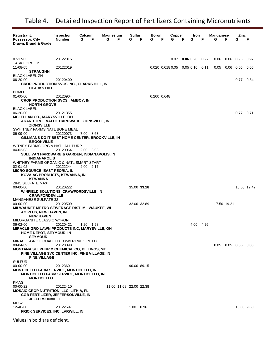| Registrant,                                                                                                           | <b>Inspection</b> | Calcium   | Magnesium |                         | Sulfur    |             | Boron       |   | Copper |   | Iron                                        |      | <b>Manganese</b> |             | Zinc                  |             |
|-----------------------------------------------------------------------------------------------------------------------|-------------------|-----------|-----------|-------------------------|-----------|-------------|-------------|---|--------|---|---------------------------------------------|------|------------------|-------------|-----------------------|-------------|
| Possessor, City<br>Drawn, Brand & Grade                                                                               | <b>Number</b>     | G<br>F    | G         | F                       | G         | F           | G           | F | G      | F | G                                           | F    | G                | F           | G                     | F           |
|                                                                                                                       |                   |           |           |                         |           |             |             |   |        |   |                                             |      |                  |             |                       |             |
| 07-17-03                                                                                                              | 20122015          |           |           |                         |           |             |             |   | 0.07   |   | $0.06$ 0.20                                 | 0.27 | $0.06$ 0.06 0.95 |             |                       | 0.97        |
| <b>TASK FORCE 2</b>                                                                                                   |                   |           |           |                         |           |             |             |   |        |   |                                             |      |                  |             |                       |             |
| 11-08-05<br><b>STRAUGHN</b>                                                                                           | 20122019          |           |           |                         |           |             |             |   |        |   | $0.020$ $0.018$ $0.05$ $0.05$ $0.10$ $0.11$ |      | 0.05             | $0.06$ 0.05 |                       | 0.06        |
| <b>BLACK LABEL ZN</b>                                                                                                 |                   |           |           |                         |           |             |             |   |        |   |                                             |      |                  |             |                       |             |
| 06-20-00<br><b>CROP PRODUCTION SVCS INC., CLARKS HILL, IN</b>                                                         | 20120400          |           |           |                         |           |             |             |   |        |   |                                             |      |                  |             | 0.77                  | 0.84        |
| <b>CLARKS HILL</b>                                                                                                    |                   |           |           |                         |           |             |             |   |        |   |                                             |      |                  |             |                       |             |
| <b>BOMO</b><br>01-00-00                                                                                               | 20120904          |           |           |                         |           |             | 0.200 0.648 |   |        |   |                                             |      |                  |             |                       |             |
| <b>CROP PRODUCTION SVCS., AMBOY, IN</b>                                                                               |                   |           |           |                         |           |             |             |   |        |   |                                             |      |                  |             |                       |             |
| <b>NORTH GROVE</b><br><b>BLACK LABEL</b>                                                                              |                   |           |           |                         |           |             |             |   |        |   |                                             |      |                  |             |                       |             |
| 06-20-00                                                                                                              | 20121355          |           |           |                         |           |             |             |   |        |   |                                             |      |                  |             | $0.77$ 0.71           |             |
| <b>MCLELLAN CO., MARYSVILLE, OH</b><br>AKARD TRUE VALUE HARDWARE, ZIONSVILLE, IN                                      |                   |           |           |                         |           |             |             |   |        |   |                                             |      |                  |             |                       |             |
| <b>ZIONSVILLE</b>                                                                                                     |                   |           |           |                         |           |             |             |   |        |   |                                             |      |                  |             |                       |             |
| SWHITNEY FARMS NATL BONE MEAL<br>06-09-00                                                                             | 20120073          | 7.00 8.63 |           |                         |           |             |             |   |        |   |                                             |      |                  |             |                       |             |
| GILLMANS DO IT BEST HOME CENTER, BROOKVILLE, IN                                                                       |                   |           |           |                         |           |             |             |   |        |   |                                             |      |                  |             |                       |             |
| <b>BROOKVILLE</b><br>WITNEY FARMS ORG & NATL ALL PURP                                                                 |                   |           |           |                         |           |             |             |   |        |   |                                             |      |                  |             |                       |             |
| 04-02-03                                                                                                              | 20120064          | 2.00 3.08 |           |                         |           |             |             |   |        |   |                                             |      |                  |             |                       |             |
| SULLIVAN HARDWARE & GARDEN, INDIANAPOLIS, IN<br><b>INDIANAPOLIS</b>                                                   |                   |           |           |                         |           |             |             |   |        |   |                                             |      |                  |             |                       |             |
| WHITNEY FARMS ORGANIC & NATL SMART START                                                                              |                   |           |           |                         |           |             |             |   |        |   |                                             |      |                  |             |                       |             |
| 02-01-02<br><b>MICRO SOURCE, EAST PEORIA, IL</b>                                                                      | 20122244          | 2.00 2.17 |           |                         |           |             |             |   |        |   |                                             |      |                  |             |                       |             |
| KOVA AG PRODUCTS, KEWANNA, IN                                                                                         |                   |           |           |                         |           |             |             |   |        |   |                                             |      |                  |             |                       |             |
| <b>KEWANNA</b><br><b>ZINC SULFATE MAXI</b>                                                                            |                   |           |           |                         |           |             |             |   |        |   |                                             |      |                  |             |                       |             |
| 00-00-00                                                                                                              | 20120222          |           |           |                         |           | 35.00 33.18 |             |   |        |   |                                             |      |                  |             |                       | 16.50 17.47 |
| <b>WINFIELD SOLUTIONS, CRAWFORDSVILLE, IN</b><br><b>CRAWFORDSVILLE</b>                                                |                   |           |           |                         |           |             |             |   |        |   |                                             |      |                  |             |                       |             |
| <b>MANGANESE SULFATE 32</b>                                                                                           |                   |           |           |                         |           |             |             |   |        |   |                                             |      |                  |             |                       |             |
| 00-00-00<br><b>MILWAUKEE METRO SEWERAGE DIST, MILWAUKEE, WI</b>                                                       | 20120509          |           |           |                         |           | 32.00 32.89 |             |   |        |   |                                             |      | 17.50 19.21      |             |                       |             |
| AG PLUS, NEW HAVEN, IN                                                                                                |                   |           |           |                         |           |             |             |   |        |   |                                             |      |                  |             |                       |             |
| <b>NEW HAVEN</b><br>MILORGANITE CLASSIC W/IRON                                                                        |                   |           |           |                         |           |             |             |   |        |   |                                             |      |                  |             |                       |             |
| 06-02-00                                                                                                              | 20120421          | 1.20 1.98 |           |                         |           |             |             |   |        |   | 4.00 4.26                                   |      |                  |             |                       |             |
| <b>MIRACLE-GRO LAWN PRODUCTS INC, MARYSVILLE, OH</b><br>HOME DEPOT, SEYMOUR, IN                                       |                   |           |           |                         |           |             |             |   |        |   |                                             |      |                  |             |                       |             |
| <b>SEYMOUR</b>                                                                                                        |                   |           |           |                         |           |             |             |   |        |   |                                             |      |                  |             |                       |             |
| MIRACLE-GRO LIQUAFEED TOM/FRT/VEG PL FD<br>09-04-09                                                                   | 20120098          |           |           |                         |           |             |             |   |        |   |                                             |      |                  |             | $0.05$ 0.05 0.05 0.06 |             |
| MONTANA SULPHUR & CHEMICAL CO, BILLINGS, MT<br>PINE VILLAGE SVC CENTER INC, PINE VILLAGE, IN                          |                   |           |           |                         |           |             |             |   |        |   |                                             |      |                  |             |                       |             |
| <b>PINE VILLAGE</b><br><b>SULFUR</b>                                                                                  |                   |           |           |                         |           |             |             |   |        |   |                                             |      |                  |             |                       |             |
| 00-00-00                                                                                                              | 20123601          |           |           |                         |           | 90.00 89.15 |             |   |        |   |                                             |      |                  |             |                       |             |
| <b>MONTICELLO FARM SERVICE, MONTICELLO, IN</b><br><b>MONTICELLO FARM SERVICE, MONTICELLO, IN</b><br><b>MONTICELLO</b> |                   |           |           |                         |           |             |             |   |        |   |                                             |      |                  |             |                       |             |
| <b>KMAG</b>                                                                                                           |                   |           |           |                         |           |             |             |   |        |   |                                             |      |                  |             |                       |             |
| 00-00-22<br><b>MOSAIC CROP NUTRITION, LLC, LITHIA, FL</b>                                                             | 20122410          |           |           | 11.00 11.68 22.00 22.38 |           |             |             |   |        |   |                                             |      |                  |             |                       |             |
| <b>CGB FERTILIZER, JEFFERSONVILLE, IN</b>                                                                             |                   |           |           |                         |           |             |             |   |        |   |                                             |      |                  |             |                       |             |
| <b>JEFFERSONVILLE</b><br>MESZ                                                                                         |                   |           |           |                         |           |             |             |   |        |   |                                             |      |                  |             |                       |             |
| 12-40-00                                                                                                              | 20122597          |           |           |                         | 1.00 0.96 |             |             |   |        |   |                                             |      |                  |             | 10.00 9.63            |             |
| FRICK SERVICES, INC, LARWILL, IN                                                                                      |                   |           |           |                         |           |             |             |   |        |   |                                             |      |                  |             |                       |             |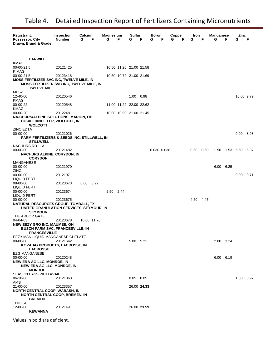| Registrant,<br>Possessor, City<br>Drawn, Brand & Grade                                                                   | <b>Inspection</b><br><b>Number</b> | Calcium<br>F<br>G | <b>Magnesium</b><br>G<br>F | Sulfur<br>G | F | Boron<br>G<br>F | Copper<br>F<br>G | Iron<br>G | F    | Manganese<br>G | F         | Zinc<br>G  | F    |
|--------------------------------------------------------------------------------------------------------------------------|------------------------------------|-------------------|----------------------------|-------------|---|-----------------|------------------|-----------|------|----------------|-----------|------------|------|
|                                                                                                                          |                                    |                   |                            |             |   |                 |                  |           |      |                |           |            |      |
| <b>LARWILL</b>                                                                                                           |                                    |                   |                            |             |   |                 |                  |           |      |                |           |            |      |
| KMAG<br>00-00-21.5                                                                                                       | 20121425                           |                   | 10.50 11.26 21.00 21.58    |             |   |                 |                  |           |      |                |           |            |      |
| K MAG<br>00-00-21.5                                                                                                      | 20123418                           |                   | 10.50 10.72 21.00 21.69    |             |   |                 |                  |           |      |                |           |            |      |
| <b>MOSS FERTILIZER SVC INC, TWELVE MILE, IN</b><br><b>MOSS FERTILIZER SVC INC, TWELVE MILE, IN</b><br><b>TWELVE MILE</b> |                                    |                   |                            |             |   |                 |                  |           |      |                |           |            |      |
| MESZ<br>12-40-00<br>KMAG                                                                                                 | 20120546                           |                   |                            | 1.00 0.98   |   |                 |                  |           |      |                |           | 10.00 9.79 |      |
| 00-00-22                                                                                                                 | 20120548                           |                   | 11.00 11.22 22.00 22.62    |             |   |                 |                  |           |      |                |           |            |      |
| KMAG                                                                                                                     |                                    |                   |                            |             |   |                 |                  |           |      |                |           |            |      |
| 00-00-20<br>NA-CHURS/ALPINE SOLUTIONS, MARION, OH<br><b>CO-ALLIANCE LLP, WOLCOTT, IN</b><br><b>WOLCOTT</b>               | 20122481                           |                   | 10.00 10.90 21.00 21.45    |             |   |                 |                  |           |      |                |           |            |      |
| <b>ZINC EDTA</b><br>00-00-00<br><b>FARM FERTILIZERS &amp; SEEDS INC, STILLWELL, IN</b>                                   | 20121026                           |                   |                            |             |   |                 |                  |           |      |                |           | 9.00 8.98  |      |
| <b>STILLWELL</b><br>NACHURS RD 11A                                                                                       |                                    |                   |                            |             |   |                 |                  |           |      |                |           |            |      |
| 00-00-00                                                                                                                 | 20121482                           |                   |                            |             |   | 0.030 0.038     |                  | 0.50      | 0.50 | 1.50           | 1.53 5.50 |            | 5.37 |
| <b>NACHURS ALPINE, CORYDON, IN</b><br><b>CORYDON</b>                                                                     |                                    |                   |                            |             |   |                 |                  |           |      |                |           |            |      |
| MANGANESE<br>00-00-00<br><b>ZINC</b>                                                                                     | 20121970                           |                   |                            |             |   |                 |                  |           |      | 6.00           | 6.25      |            |      |
| 00-00-00<br><b>LIQUID FERT</b>                                                                                           | 20121971                           |                   |                            |             |   |                 |                  |           |      |                |           | 9.00 8.71  |      |
| 08-00-00                                                                                                                 | 20123673                           | 8.00 8.22         |                            |             |   |                 |                  |           |      |                |           |            |      |
| <b>LIQUID FERT</b><br>00-00-00                                                                                           | 20123674                           |                   | 2.50 2.44                  |             |   |                 |                  |           |      |                |           |            |      |
| <b>LIQUID FERT</b><br>00-00-00                                                                                           | 20123675                           |                   |                            |             |   |                 |                  | 4.50 4.47 |      |                |           |            |      |
| NATURAL RESOURCES GROUP, TOMBALL, TX<br>UNITED GRANULATION SERVICES, SEYMOUR, IN<br><b>SEYMOUR</b>                       |                                    |                   |                            |             |   |                 |                  |           |      |                |           |            |      |
| THE ARBOR GATE<br>04-04-03                                                                                               | 20123678                           | 10.00 11.76       |                            |             |   |                 |                  |           |      |                |           |            |      |
| <b>NEW EEZY GRO INC, MAUMEE, OH</b><br><b>BUSCH FARM SVC, FRANCESVILLE, IN</b><br><b>FRANCESVILLE</b>                    |                                    |                   |                            |             |   |                 |                  |           |      |                |           |            |      |
| EEZY MAN LIQUID MANGANESE CHELATE                                                                                        |                                    |                   |                            |             |   |                 |                  |           |      |                |           |            |      |
| 00-00-00<br>KOVA AG PRODUCTS, LACROSSE, IN<br><b>LACROSSE</b>                                                            | 20121642                           |                   |                            | 5.00 5.21   |   |                 |                  |           |      | 2.00 3.24      |           |            |      |
| <b>EZG MANGANESE</b>                                                                                                     |                                    |                   |                            |             |   |                 |                  |           |      |                |           |            |      |
| 00-00-00<br><b>NEW ERA AG LLC, MONROE, IN</b>                                                                            | 20120248                           |                   |                            |             |   |                 |                  |           |      | 6.00 6.19      |           |            |      |
| <b>NEW ERA AG LLC, MONROE, IN</b><br><b>MONROE</b>                                                                       |                                    |                   |                            |             |   |                 |                  |           |      |                |           |            |      |
| <b>SEASON PASS WITH AVAIL</b><br>06-18-06                                                                                | 20121363                           |                   |                            | $0.05$ 0.05 |   |                 |                  |           |      |                |           | 1.00       | 0.97 |
| AMS                                                                                                                      |                                    |                   |                            |             |   |                 |                  |           |      |                |           |            |      |
| 21-00-00<br><b>NORTH CENTRAL COOP, WABASH, IN</b><br><b>NORTH CENTRAL COOP, BREMEN, IN</b><br><b>BREMEN</b>              | 20123357                           |                   |                            | 26.00 24.33 |   |                 |                  |           |      |                |           |            |      |
| THIO SUL<br>12-00-00                                                                                                     | 20121491                           |                   |                            | 26.00 23.59 |   |                 |                  |           |      |                |           |            |      |
| <b>KEWANNA</b>                                                                                                           |                                    |                   |                            |             |   |                 |                  |           |      |                |           |            |      |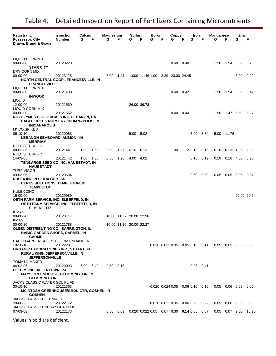| Registrant,<br>Possessor, City<br>Drawn, Brand & Grade                                                                    | <b>Inspection</b><br><b>Number</b> | Calcium<br>G | F    | Magnesium<br>G | F                       | Sulfur<br>G | F           | Boron<br>G | Copper<br>G                                                  | F | Iron<br>G         | F    | <b>Manganese</b><br>G | F                    | Zinc<br>G              | F           |
|---------------------------------------------------------------------------------------------------------------------------|------------------------------------|--------------|------|----------------|-------------------------|-------------|-------------|------------|--------------------------------------------------------------|---|-------------------|------|-----------------------|----------------------|------------------------|-------------|
|                                                                                                                           |                                    |              |      |                |                         |             |             |            |                                                              |   |                   |      |                       |                      |                        |             |
| LIQUID CORN MIX<br>00-00-00<br><b>STAR CITY</b>                                                                           | 20120223                           |              |      |                |                         |             |             |            | $0.40 \quad 0.40$                                            |   |                   |      |                       |                      | 1.50  1.54  5.50  5.76 |             |
| DRY CORN MIX<br>00-00-00<br><b>NORTH CENTRAL COOP., FRANCESVILLE, IN</b><br><b>FRANCESVILLE</b>                           | 20123125                           |              |      | $5.00$ 1.42    |                         |             |             |            | 1.000 1.146 1.00 3.89 20.00 24.45                            |   |                   |      |                       |                      | 5.00 9.22              |             |
| LIQUID CORN MIX<br>00-00-00<br><b>INWOOD</b>                                                                              | 20121498                           |              |      |                |                         |             |             |            | $0.40 \quad 0.42$                                            |   |                   |      |                       |                      | 1.50  1.54  5.50  5.47 |             |
| <b>LIQUID</b><br>12-00-00<br>LIQUID CORN MIX                                                                              | 20121560                           |              |      |                |                         |             | 26.00 20.72 |            |                                                              |   |                   |      |                       |                      |                        |             |
| 00-00-00<br>NOVOZYMES BIOLOGICALS INC, LEBANON, PA<br><b>EAGLE CREEK NURSERY, INDIANAPOLIS, IN</b><br><b>INDIANAPOLIS</b> | 20121562                           |              |      |                |                         |             |             |            | $0.40 \quad 0.44$                                            |   |                   |      |                       |                      | 1.50 1.47 5.50 5.27    |             |
| <b>MYCO SPIKES</b><br>06-10-10<br>LEBANON SEABOARD, ALBION, IN<br><b>MERRIAM</b>                                          | 20120083                           |              |      |                |                         | 5.00 5.02   |             |            |                                                              |   | 3.00 3.34         |      |                       | 5.00 11.76           |                        |             |
| ROOTS TURF FD<br>08-02-06<br>ROOTS TURF FD                                                                                | 20121441                           | 1.00         | 1.65 | 0.50           | 1.57                    | 0.10        | 0.13        |            | 1.00                                                         |   | 1.12 0.10 0.15    |      |                       | $0.10$ $0.13$ $1.00$ |                        | 2.89        |
| 14-03-05<br>TENBARGE SEED CO INC, HAUBSTADT, IN<br>HAUBSTADT                                                              | 20121442                           | 1.00 1.35    |      | $0.50$ 1.20    |                         | 4.00        | - 4.02      |            |                                                              |   | $0.10 \quad 0.19$ |      |                       | $0.10$ $0.16$ $4.00$ |                        | 6.90        |
| <b>TURF VIGOR</b><br>09-03-06<br>NULEX INC, N SIOUX CITY, SD                                                              | 20120684                           |              |      |                |                         |             |             |            |                                                              |   | 0.60              | 0.58 |                       | $0.05$ 0.05 0.05     |                        | 0.07        |
| <b>CERES SOLUTIONS, TEMPLETON, IN</b><br><b>TEMPLETON</b><br>NULEX ZINC                                                   |                                    |              |      |                |                         |             |             |            |                                                              |   |                   |      |                       |                      |                        |             |
| 16-00-00<br>OETH FARM SERVICE, INC, ELBERFELD, IN<br>OETH FARM SERVICE, INC, ELBERFELD, IN<br><b>ELBERFELD</b>            | 20120989                           |              |      |                |                         |             |             |            |                                                              |   |                   |      |                       |                      |                        | 20.00 20.54 |
| K MAG<br>00-00-20<br>KMAG                                                                                                 | 20120717                           |              |      |                | 10.00 11.37 20.00 22.96 |             |             |            |                                                              |   |                   |      |                       |                      |                        |             |
| 00-00-20<br><b>OLSEN DISTRIBUTING CO., BARRINGTON, IL</b><br>HABIG GARDEN SHOPS, CARMEL, IN<br><b>CARMEL</b>              | 20121788                           |              |      |                | 10.00 11.10 20.00 22.27 |             |             |            |                                                              |   |                   |      |                       |                      |                        |             |
| HABIG GARDEN SHOPS BLOOM ENHANCER<br>10-50-10                                                                             | 20122231                           |              |      |                |                         |             |             |            | $0.020$ $0.022$ $0.05$ $0.05$ $0.10$ $0.11$                  |   |                   |      |                       |                      | $0.05$ 0.05 0.05 0.05  |             |
| ORGANIC LABORATORIES INC., STUART, FL<br><b>RURAL KING, JEFFERSONVILLE, IN</b><br><b>JEFFERSONVILLE</b>                   |                                    |              |      |                |                         |             |             |            |                                                              |   |                   |      |                       |                      |                        |             |
| <b>TOMATO MAKER</b><br>04-02-06<br>PETERS INC, ALLENTOWN, PA                                                              | 20120093                           | 6.00 6.42    |      | $0.50$ 3.15    |                         |             |             |            |                                                              |   | $0.25$ 0.41       |      |                       |                      |                        |             |
| <b>MAYS GREENHOUSE, BLOOMINGTON, IN</b><br><b>BLOOMINGTON</b><br>JACKS CLASSIC WATER SOL PL FD                            |                                    |              |      |                |                         |             |             |            |                                                              |   |                   |      |                       |                      |                        |             |
| 30-10-10<br><b>MCINTOSH GREENHOUSE/GRDN CTR, GOSHEN, IN</b><br><b>GOSHEN</b>                                              | 20122363                           |              |      |                |                         |             |             |            | $0.020$ $0.024$ $0.05$ $0.06$ $0.10$ $0.10$                  |   |                   |      |                       |                      | $0.05$ 0.06 0.05 0.05  |             |
| <b>JACKS CLASSIC PETUNIA FD</b><br>20-06-22<br>JACKS CLASSIC HYDRANGEA BLUE                                               | 20122172                           |              |      |                |                         |             |             |            | $0.020$ $0.022$ $0.05$ $0.06$ $0.20$ $0.22$                  |   |                   |      |                       | $0.05$ 0.06 0.05     |                        | 0.06        |
| 07-03-03                                                                                                                  | 20122173                           |              |      |                | 0.50  0.69              |             |             |            | $0.020$ $0.022$ $0.05$ $0.07$ $0.30$ <b>0.14</b> $0.05$ 0.07 |   |                   |      |                       | $0.05$ 0.07 9.00     |                        | 16.95       |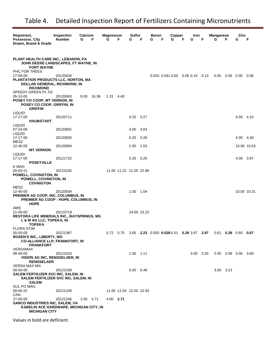| Registrant,<br>Possessor, City<br>Drawn, Brand & Grade                                                                                 | Inspection<br><b>Number</b> | Calcium<br>G<br>F | <b>Magnesium</b><br>G | F                       | Sulfur<br>G   | F           | Boron<br>F<br>G                                                         | Copper<br>G | F<br>G | Iron<br>F | G | Manganese | F          | Zinc<br>G           | F           |
|----------------------------------------------------------------------------------------------------------------------------------------|-----------------------------|-------------------|-----------------------|-------------------------|---------------|-------------|-------------------------------------------------------------------------|-------------|--------|-----------|---|-----------|------------|---------------------|-------------|
| PLANT HEALTH CARE INC., LEBANON, PA<br>JOHN DEERE LANDSCAPES, FT WAYNE, IN<br><b>FORT WAYNE</b>                                        |                             |                   |                       |                         |               |             |                                                                         |             |        |           |   |           |            |                     |             |
| PHC FOR TREES<br>27-09-09<br>PLANTATION PRODUCTS LLC, NORTON, MA<br><b>DOLLAR GENERAL, RICHMOND, IN</b><br><b>RICHMOND</b>             | 20120426                    |                   |                       |                         |               |             | 0.020 0.041 0.05 0.06 0.10 0.13                                         |             |        |           |   | 0.05      | 0.06  0.05 |                     | 0.06        |
| SPEEDY GREEN PL FD<br>05-10-05<br>POSEY CO COOP, MT VERNON, IN<br>POSEY CO COOP, GRIFFIN, IN<br><b>GRIFFIN</b>                         | 20120063                    | 8.00<br>16.36     | 1.31 4.40             |                         |               |             |                                                                         |             |        |           |   |           |            |                     |             |
| LIQUID<br>17-17-00<br><b>HAUBSTADT</b>                                                                                                 | 20120711                    |                   |                       |                         | $0.25$ 0.27   |             |                                                                         |             |        |           |   |           |            | 4.00 4.10           |             |
| LIQUID<br>07-24-06<br><b>LIQUID</b>                                                                                                    | 20120691                    |                   |                       |                         | 4.00          | 3.63        |                                                                         |             |        |           |   |           |            |                     |             |
| 17-17-00<br>MESZ                                                                                                                       | 20120692                    |                   |                       |                         | 0.25          | 0.28        |                                                                         |             |        |           |   |           |            | 4.00                | 4.40        |
| 12-40-00<br><b>MT VERNON</b>                                                                                                           | 20120694                    |                   |                       |                         | 1.00          | 1.03        |                                                                         |             |        |           |   |           |            |                     | 10.00 10.53 |
| LIQUID<br>17-17-00<br><b>POSEYVILLE</b>                                                                                                | 20121722                    |                   |                       |                         | $0.25$ 0.26   |             |                                                                         |             |        |           |   |           |            | 4.00 3.87           |             |
| K MAG<br>00-00-21<br>POWELL, COVINGTON, IN<br>POWELL, COVINGTON, IN<br><b>COVINGTON</b>                                                | 20123192                    |                   |                       | 11.00 11.22 21.00 22.80 |               |             |                                                                         |             |        |           |   |           |            |                     |             |
| MESZ<br>12-40-00<br>PREMIER AG COOP, INC, COLUMBUS, IN<br>PREMIER AG COOP - HOPE, COLUMBUS, IN<br><b>HOPE</b>                          | 20120934                    |                   |                       |                         | 1.00          | 1.04        |                                                                         |             |        |           |   |           |            | 10.00 10.31         |             |
| AMS<br>21-00-00<br><b>RESTORA LIFE MINERALS INC., BAYSPRINGS, MS</b><br>L & M AG LLC, TOPEKA, IN<br><b>TOPEKA</b><br><b>FLORA-STIM</b> | 20123719                    |                   |                       |                         |               | 24.00 23.22 |                                                                         |             |        |           |   |           |            |                     |             |
| 00-00-00<br>ROSEN'S INC., LIBERTY, MO<br><b>CO-ALLIANCE LLP, FRANKFORT, IN</b><br><b>FRANKFORT</b>                                     | 20121387                    |                   |                       |                         |               |             | 0.72 0.75 3.65 2.23 0.550 0.028 0.51 0.28 3.67 2.97 0.61 0.38 0.93 0.67 |             |        |           |   |           |            |                     |             |
| VERSAMAX<br>08-00-00<br>VISION AG INC, RENSSELAER, IN<br><b>RENSSELAER</b>                                                             | 20121023                    |                   |                       |                         | $1.00$ $1.11$ |             |                                                                         |             |        | 3.00 3.26 |   |           |            | 2.00 2.08 3.00 3.80 |             |
| VERSA MAX MN<br>00-00-00<br>SALEM FERTILIZER SVC INC, SALEM, IN<br>SALEM FERTILIZER SVC INC, SALEM, IN<br><b>SALEM</b>                 | 20121539                    |                   |                       |                         | 5.00 5.48     |             |                                                                         |             |        |           |   | 3.00 3.23 |            |                     |             |
| <b>SUL PO MAG</b><br>00-00-22<br>CAN                                                                                                   | 20121245                    |                   |                       | 11.00 11.54 22.00 22.93 |               |             |                                                                         |             |        |           |   |           |            |                     |             |
| 27-00-00<br><b>SANCO INDUSTRIES INC, SALEM, VA</b><br>KABELIN ACE HARDWARE, MICHIGAN CITY, IN<br><b>MICHIGAN CITY</b>                  | 20121246                    | 2.00 4.71         | 4.00 2.71             |                         |               |             |                                                                         |             |        |           |   |           |            |                     |             |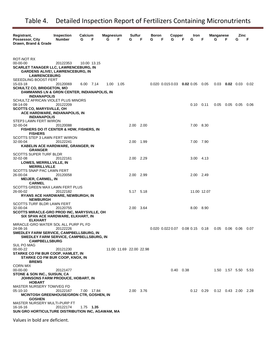| Registrant,                                                        | Inspection    | Calcium   |             | <b>Magnesium</b> |                         | Sulfur    |   | Boron |   | Copper                                      |   | Iron              |   | Manganese |                  | Zinc                        |      |
|--------------------------------------------------------------------|---------------|-----------|-------------|------------------|-------------------------|-----------|---|-------|---|---------------------------------------------|---|-------------------|---|-----------|------------------|-----------------------------|------|
| Possessor, City                                                    | <b>Number</b> | G         | - F         | G                | F                       | G         | F | G     | F | G                                           | F | G                 | F | G         | E                | G                           | F    |
| Drawn, Brand & Grade                                               |               |           |             |                  |                         |           |   |       |   |                                             |   |                   |   |           |                  |                             |      |
|                                                                    |               |           |             |                  |                         |           |   |       |   |                                             |   |                   |   |           |                  |                             |      |
| ROT-NOT RX                                                         |               |           |             |                  |                         |           |   |       |   |                                             |   |                   |   |           |                  |                             |      |
| 00-00-00                                                           | 20122353      |           | 10.00 13.15 |                  |                         |           |   |       |   |                                             |   |                   |   |           |                  |                             |      |
| <b>SCARLET TANAGER LLC, LAWRENCEBURG, IN</b>                       |               |           |             |                  |                         |           |   |       |   |                                             |   |                   |   |           |                  |                             |      |
| <b>GARDENS ALIVE!, LAWRENCEBURG, IN</b>                            |               |           |             |                  |                         |           |   |       |   |                                             |   |                   |   |           |                  |                             |      |
| <b>LAWRENCEBURG</b><br>SEEEDLING BOOST FERT                        |               |           |             |                  |                         |           |   |       |   |                                             |   |                   |   |           |                  |                             |      |
| 15-03-18                                                           | 20120069      | 6.00 7.14 |             | 1.00 1.05        |                         |           |   |       |   | $0.020$ $0.015$ $0.03$ $0.02$ $0.05$ $0.05$ |   |                   |   |           |                  | $0.03$ 0.02 0.03            | 0.02 |
| <b>SCHULTZ CO, BRIDGETON, MO</b>                                   |               |           |             |                  |                         |           |   |       |   |                                             |   |                   |   |           |                  |                             |      |
| DAMMANNS LN & GRDN CENTER, INDIANAPOLIS, IN                        |               |           |             |                  |                         |           |   |       |   |                                             |   |                   |   |           |                  |                             |      |
| <b>INDIANAPOLIS</b>                                                |               |           |             |                  |                         |           |   |       |   |                                             |   |                   |   |           |                  |                             |      |
| SCHULTZ AFRICAN VIOLET PLUS MINORS                                 |               |           |             |                  |                         |           |   |       |   |                                             |   |                   |   |           |                  |                             |      |
| 08-14-09                                                           | 20122209      |           |             |                  |                         |           |   |       |   |                                             |   | $0.10 \quad 0.11$ |   |           |                  | $0.05$ 0.05 0.05            | 0.06 |
| <b>SCOTTS CO, MARYSVILLE, OH</b><br>ACE HARDWARE, INDIANAPOLIS, IN |               |           |             |                  |                         |           |   |       |   |                                             |   |                   |   |           |                  |                             |      |
| <b>INDIANAPOLIS</b>                                                |               |           |             |                  |                         |           |   |       |   |                                             |   |                   |   |           |                  |                             |      |
| STEP3 LAWN FERT W/IRON                                             |               |           |             |                  |                         |           |   |       |   |                                             |   |                   |   |           |                  |                             |      |
| 32-00-04                                                           | 20120088      |           |             |                  |                         | 2.00 2.00 |   |       |   |                                             |   | 7.00 8.30         |   |           |                  |                             |      |
| FISHERS DO IT CENTER & HDW, FISHERS, IN                            |               |           |             |                  |                         |           |   |       |   |                                             |   |                   |   |           |                  |                             |      |
| <b>FISHERS</b>                                                     |               |           |             |                  |                         |           |   |       |   |                                             |   |                   |   |           |                  |                             |      |
| SCOTTS STEP 3 LAWN FERT W/IRON<br>$32 - 00 - 04$                   | 20122241      |           |             |                  |                         | 2.00 1.99 |   |       |   |                                             |   | 7.00 7.90         |   |           |                  |                             |      |
| KABELIN ACE HARDWARE, GRANGER, IN                                  |               |           |             |                  |                         |           |   |       |   |                                             |   |                   |   |           |                  |                             |      |
| <b>GRANGER</b>                                                     |               |           |             |                  |                         |           |   |       |   |                                             |   |                   |   |           |                  |                             |      |
| <b>SCOTTS SUPER TURF BLDR</b>                                      |               |           |             |                  |                         |           |   |       |   |                                             |   |                   |   |           |                  |                             |      |
| 32-02-08                                                           | 20122161      |           |             |                  |                         | 2.00 2.29 |   |       |   |                                             |   | 3.00 4.13         |   |           |                  |                             |      |
| LOWES, MERRILLVILLE, IN                                            |               |           |             |                  |                         |           |   |       |   |                                             |   |                   |   |           |                  |                             |      |
| <b>MERRILLVILLE</b>                                                |               |           |             |                  |                         |           |   |       |   |                                             |   |                   |   |           |                  |                             |      |
| SCOTTS SNAP PAC LAWN FERT<br>26-00-04                              | 20120058      |           |             |                  |                         | 2.00 2.99 |   |       |   |                                             |   | 2.00 2.49         |   |           |                  |                             |      |
| <b>MEIJER, CARMEL, IN</b>                                          |               |           |             |                  |                         |           |   |       |   |                                             |   |                   |   |           |                  |                             |      |
| <b>CARMEL</b>                                                      |               |           |             |                  |                         |           |   |       |   |                                             |   |                   |   |           |                  |                             |      |
| SCOTTS GREEN MAX LAWN FERT PLUS                                    |               |           |             |                  |                         |           |   |       |   |                                             |   |                   |   |           |                  |                             |      |
| 26-00-02                                                           | 20122182      |           |             |                  |                         | 5.17 5.18 |   |       |   |                                             |   | 11.00 12.07       |   |           |                  |                             |      |
| RYANS ACE HARDWARE, NEWBURGH, IN                                   |               |           |             |                  |                         |           |   |       |   |                                             |   |                   |   |           |                  |                             |      |
| <b>NEWBURGH</b><br>SCOTTS TURF BLDR LAWN FERT                      |               |           |             |                  |                         |           |   |       |   |                                             |   |                   |   |           |                  |                             |      |
| 32-00-04                                                           | 20120755      |           |             |                  |                         | 2.00 3.64 |   |       |   |                                             |   | 8.00 8.90         |   |           |                  |                             |      |
| SCOTTS MIRACLE-GRO PROD INC, MARYSVILLE, OH                        |               |           |             |                  |                         |           |   |       |   |                                             |   |                   |   |           |                  |                             |      |
| SIX SPAN ACE HARDWARE, ELKHART, IN                                 |               |           |             |                  |                         |           |   |       |   |                                             |   |                   |   |           |                  |                             |      |
| <b>ELKHART</b>                                                     |               |           |             |                  |                         |           |   |       |   |                                             |   |                   |   |           |                  |                             |      |
| MIRACLE-GRO WATER SOL ALL PURP PL FD                               |               |           |             |                  |                         |           |   |       |   |                                             |   |                   |   |           |                  |                             |      |
| 24-08-16<br>SMEDLEY FARM SERVICE, CAMPBELLSBURG, IN                | 20122226      |           |             |                  |                         |           |   |       |   | $0.020$ $0.022$ $0.07$ $0.08$ $0.15$ $0.18$ |   |                   |   |           | $0.05$ 0.06 0.06 |                             | 0.07 |
| SMEDLEY FARM SERVICE, CAMPBELLSBURG, IN                            |               |           |             |                  |                         |           |   |       |   |                                             |   |                   |   |           |                  |                             |      |
| <b>CAMPBELLSBURG</b>                                               |               |           |             |                  |                         |           |   |       |   |                                             |   |                   |   |           |                  |                             |      |
| SUL PO MAG                                                         |               |           |             |                  |                         |           |   |       |   |                                             |   |                   |   |           |                  |                             |      |
| 00-00-22                                                           | 20121230      |           |             |                  | 11.00 11.69 22.00 22.98 |           |   |       |   |                                             |   |                   |   |           |                  |                             |      |
| STARKE CO FM BUR COOP, HAMLET, IN                                  |               |           |             |                  |                         |           |   |       |   |                                             |   |                   |   |           |                  |                             |      |
| STARKE CO FM BUR COOP, KNOX, IN<br><b>BREMS</b>                    |               |           |             |                  |                         |           |   |       |   |                                             |   |                   |   |           |                  |                             |      |
| <b>CORN MIX</b>                                                    |               |           |             |                  |                         |           |   |       |   |                                             |   |                   |   |           |                  |                             |      |
| 00-00-00                                                           | 20121477      |           |             |                  |                         |           |   |       |   | $0.40$ 0.38                                 |   |                   |   |           |                  | 1.50  1.57  5.50  5.53      |      |
| STONE & SON INC., SUISUN, CA                                       |               |           |             |                  |                         |           |   |       |   |                                             |   |                   |   |           |                  |                             |      |
| <b>JOHNSONS FARM PRODUCE, HOBART, IN</b>                           |               |           |             |                  |                         |           |   |       |   |                                             |   |                   |   |           |                  |                             |      |
| <b>HOBART</b>                                                      |               |           |             |                  |                         |           |   |       |   |                                             |   |                   |   |           |                  |                             |      |
| MASTER NURSERY TOM/VEG FD<br>05-10-10                              | 20122167      |           | 7.00 17.84  |                  |                         | 2.00 3.76 |   |       |   |                                             |   | $0.12 \quad 0.29$ |   |           |                  | $0.12$ $0.43$ $2.00$ $2.28$ |      |
| <b>MCINTOSH GREENHOUSE/GRDN CTR, GOSHEN, IN</b>                    |               |           |             |                  |                         |           |   |       |   |                                             |   |                   |   |           |                  |                             |      |
| <b>GOSHEN</b>                                                      |               |           |             |                  |                         |           |   |       |   |                                             |   |                   |   |           |                  |                             |      |
| MASTER NURSERY MULTI-PURP FT                                       |               |           |             |                  |                         |           |   |       |   |                                             |   |                   |   |           |                  |                             |      |
| 16-16-16                                                           | 20122174      | 1.75 1.35 |             |                  |                         |           |   |       |   |                                             |   |                   |   |           |                  |                             |      |
| SUN GRO HORTICULTURE DISTRIBUTION INC, AGAWAM, MA                  |               |           |             |                  |                         |           |   |       |   |                                             |   |                   |   |           |                  |                             |      |
|                                                                    |               |           |             |                  |                         |           |   |       |   |                                             |   |                   |   |           |                  |                             |      |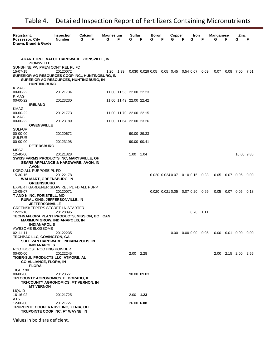| Registrant,                                                         | <b>Inspection</b> | Calcium | Magnesium |                         | Sulfur      |             | Boron |   | Copper                                    |   | Iron        |   | Manganese                                               |                  | Zinc                |      |
|---------------------------------------------------------------------|-------------------|---------|-----------|-------------------------|-------------|-------------|-------|---|-------------------------------------------|---|-------------|---|---------------------------------------------------------|------------------|---------------------|------|
| Possessor, City<br>Drawn, Brand & Grade                             | <b>Number</b>     | F<br>G  | G         | F                       | G           | F           | G     | F | G                                         | F | G           | F | G                                                       | F                | G                   | F    |
|                                                                     |                   |         |           |                         |             |             |       |   |                                           |   |             |   |                                                         |                  |                     |      |
|                                                                     |                   |         |           |                         |             |             |       |   |                                           |   |             |   |                                                         |                  |                     |      |
| AKARD TRUE VALUE HARDWARE, ZIONSVILLE, IN                           |                   |         |           |                         |             |             |       |   |                                           |   |             |   |                                                         |                  |                     |      |
| <b>ZIONSVILLE</b><br>SUNSHINE PW PREM CONT REL PL FD                |                   |         |           |                         |             |             |       |   |                                           |   |             |   |                                                         |                  |                     |      |
| 15-07-15                                                            | 20120072          |         | 1.20 1.39 |                         |             |             |       |   | 0.030 0.029 0.05 0.05 0.45 0.54 0.07 0.09 |   |             |   | 0.07                                                    |                  | $0.08$ 7.00         | 7.51 |
| SUPERIOR AG RESOURCES COOP INC., HUNTINGBURG, IN                    |                   |         |           |                         |             |             |       |   |                                           |   |             |   |                                                         |                  |                     |      |
| SUPERIOR AG RESOURCES, HUNTINGBURG, IN<br><b>HUNTINGBURG</b>        |                   |         |           |                         |             |             |       |   |                                           |   |             |   |                                                         |                  |                     |      |
| K MAG                                                               |                   |         |           |                         |             |             |       |   |                                           |   |             |   |                                                         |                  |                     |      |
| 00-00-22<br>K MAG                                                   | 20121734          |         |           | 11.00 11.56 22.00 22.23 |             |             |       |   |                                           |   |             |   |                                                         |                  |                     |      |
| 00-00-22                                                            | 20123230          |         |           | 11.00 11.49 22.00 22.42 |             |             |       |   |                                           |   |             |   |                                                         |                  |                     |      |
| <b>IRELAND</b>                                                      |                   |         |           |                         |             |             |       |   |                                           |   |             |   |                                                         |                  |                     |      |
| KMAG<br>00-00-22                                                    | 20121773          |         |           | 11.00 11.70 22.00 22.15 |             |             |       |   |                                           |   |             |   |                                                         |                  |                     |      |
| K MAG                                                               |                   |         |           |                         |             |             |       |   |                                           |   |             |   |                                                         |                  |                     |      |
| 00-00-22                                                            | 20123189          |         |           | 11.00 11.64 22.00 23.26 |             |             |       |   |                                           |   |             |   |                                                         |                  |                     |      |
| <b>OWENSVILLE</b><br><b>SULFUR</b>                                  |                   |         |           |                         |             |             |       |   |                                           |   |             |   |                                                         |                  |                     |      |
| $00 - 00 - 00$                                                      | 20120672          |         |           |                         |             | 90.00 89.33 |       |   |                                           |   |             |   |                                                         |                  |                     |      |
| <b>SULFUR</b><br>00-00-00                                           | 20123198          |         |           |                         |             | 90.00 90.41 |       |   |                                           |   |             |   |                                                         |                  |                     |      |
| <b>PETERSBURG</b>                                                   |                   |         |           |                         |             |             |       |   |                                           |   |             |   |                                                         |                  |                     |      |
| MESZ                                                                |                   |         |           |                         |             |             |       |   |                                           |   |             |   |                                                         |                  |                     |      |
| 12-40-00<br>SWISS FARMS PRODUCTS INC, MARYSVILLE, OH                | 20121328          |         |           |                         | 1.00 1.04   |             |       |   |                                           |   |             |   |                                                         |                  | 10.00 9.85          |      |
| <b>SEARS APPLIANCE &amp; HARDWARE, AVON, IN</b>                     |                   |         |           |                         |             |             |       |   |                                           |   |             |   |                                                         |                  |                     |      |
| <b>AVON</b>                                                         |                   |         |           |                         |             |             |       |   |                                           |   |             |   |                                                         |                  |                     |      |
| KGRO ALL PURPOSE PL FD<br>15-30-15                                  | 20122178          |         |           |                         |             |             |       |   | 0.020 0.024 0.07 0.10 0.15 0.23           |   |             |   |                                                         | $0.05$ 0.07 0.06 |                     | 0.09 |
| <b>WALMART, GREENSBURG, IN</b>                                      |                   |         |           |                         |             |             |       |   |                                           |   |             |   |                                                         |                  |                     |      |
| <b>GREENSBURG</b><br>EXPERT GARDENER SLOW REL PL FD ALL PURP        |                   |         |           |                         |             |             |       |   |                                           |   |             |   |                                                         |                  |                     |      |
| 12-05-07                                                            | 20120071          |         |           |                         |             |             |       |   | 0.020 0.021 0.05 0.07 0.20 0.69           |   |             |   | 0.05                                                    | 0.07  0.05       |                     | 0.18 |
| T AND N INC, FORISTELL, MO                                          |                   |         |           |                         |             |             |       |   |                                           |   |             |   |                                                         |                  |                     |      |
| <b>RURAL KING, JEFFERSONVILLE, IN</b><br><b>JEFFERSONVILLE</b>      |                   |         |           |                         |             |             |       |   |                                           |   |             |   |                                                         |                  |                     |      |
| GREENSKEEPERS SECRET LN STARTER                                     |                   |         |           |                         |             |             |       |   |                                           |   |             |   |                                                         |                  |                     |      |
| 12-22-10<br>TECHNAFLORA PLANT PRODUCTS, MISSION, BC CAN             | 20120095          |         |           |                         |             |             |       |   |                                           |   | $0.70$ 1.11 |   |                                                         |                  |                     |      |
| <b>MAXIMUM GROW, INDIANAPOLIS, IN</b>                               |                   |         |           |                         |             |             |       |   |                                           |   |             |   |                                                         |                  |                     |      |
| <b>INDIANAPOLIS</b>                                                 |                   |         |           |                         |             |             |       |   |                                           |   |             |   |                                                         |                  |                     |      |
| AWESOME BLOSSOMS<br>02-11-11                                        | 20122235          |         |           |                         |             |             |       |   |                                           |   |             |   | $0.00$ $0.00$ $0.00$ $0.05$ $0.00$ $0.01$ $0.00$ $0.00$ |                  |                     |      |
| TECHPAC LLC, COVINGTON, GA                                          |                   |         |           |                         |             |             |       |   |                                           |   |             |   |                                                         |                  |                     |      |
| SULLIVAN HARDWARE, INDIANAPOLIS, IN<br><b>INDIANAPOLIS</b>          |                   |         |           |                         |             |             |       |   |                                           |   |             |   |                                                         |                  |                     |      |
| ROOTBOOST ROOTING POWDER                                            |                   |         |           |                         |             |             |       |   |                                           |   |             |   |                                                         |                  |                     |      |
| 00-00-00                                                            | 20122245          |         |           |                         | 2.00 2.28   |             |       |   |                                           |   |             |   |                                                         |                  | 2.00 2.15 2.00 2.55 |      |
| TIGER-SUL PRODUCTS LLC, ATMORE, AL<br><b>CO-ALLIANCE, FLORA, IN</b> |                   |         |           |                         |             |             |       |   |                                           |   |             |   |                                                         |                  |                     |      |
| <b>FLORA</b>                                                        |                   |         |           |                         |             |             |       |   |                                           |   |             |   |                                                         |                  |                     |      |
| TIGER 90                                                            |                   |         |           |                         |             |             |       |   |                                           |   |             |   |                                                         |                  |                     |      |
| 00-00-00<br>TRI COUNTY AGRONOMICS, ELDORADO, IL                     | 20123561          |         |           |                         |             | 90.00 89.83 |       |   |                                           |   |             |   |                                                         |                  |                     |      |
| TRI-COUNTY AGRONOMICS, MT VERNON, IN                                |                   |         |           |                         |             |             |       |   |                                           |   |             |   |                                                         |                  |                     |      |
| <b>MT VERNON</b><br><b>LIQUID</b>                                   |                   |         |           |                         |             |             |       |   |                                           |   |             |   |                                                         |                  |                     |      |
| 16-16-02                                                            | 20121725          |         |           |                         | $2.00$ 1.23 |             |       |   |                                           |   |             |   |                                                         |                  |                     |      |
| ATS                                                                 |                   |         |           |                         |             |             |       |   |                                           |   |             |   |                                                         |                  |                     |      |
| 12-00-00<br>TRUPOINTE COOPERATIVE INC, XENIA, OH                    | 20121727          |         |           |                         | 26.00 6.08  |             |       |   |                                           |   |             |   |                                                         |                  |                     |      |
| TRUPOINTE COOP INC, FT WAYNE, IN                                    |                   |         |           |                         |             |             |       |   |                                           |   |             |   |                                                         |                  |                     |      |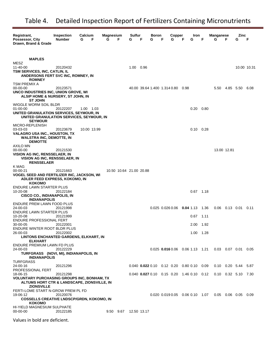| Registrant,<br>Possessor, City<br>Drawn, Brand & Grade                                                                                                               | <b>Inspection</b><br><b>Number</b> | Calcium<br>G<br>F | Magnesium<br>G | F                       | Sulfur<br>G | F | Boron<br>G | F<br>G | Copper<br>F                                     | Iron<br>G         | F                | Manganese<br>G       | F              | Zinc<br>G                   | F           |
|----------------------------------------------------------------------------------------------------------------------------------------------------------------------|------------------------------------|-------------------|----------------|-------------------------|-------------|---|------------|--------|-------------------------------------------------|-------------------|------------------|----------------------|----------------|-----------------------------|-------------|
| <b>MAPLES</b><br>MESZ<br>11-40-00<br>TSM SERVICES, INC, CATLIN, IL<br>ANDERSONS FERT SVC INC, ROMNEY, IN                                                             | 20120432                           |                   |                |                         | 1.00 0.96   |   |            |        |                                                 |                   |                  |                      |                |                             | 10.00 10.31 |
| <b>ROMNEY</b><br>TSM PREMIX A<br>$00 - 00 - 00$<br>UNCO INDUSTRIES INC, UNION GROVE, WI<br>ALSIP HOME & NURSERY, ST JOHN, IN<br><b>ST JOHN</b>                       | 20123571                           |                   |                |                         |             |   |            |        | 40.00 39.64 1.400 1.314 0.80 0.98               |                   |                  |                      | 5.50 4.85 5.50 |                             | 6.08        |
| WIGGLE WORM SOIL BLDR<br>$01 - 00 - 00$<br>UNITED GRANULATION SERVICES, SEYMOUR, IN<br>UNITED GRANULATION SERVICES, SEYMOUR, IN<br><b>SEYMOUR</b>                    | 20122207                           | 1.00 1.03         |                |                         |             |   |            |        |                                                 | $0.20 \quad 0.80$ |                  |                      |                |                             |             |
| MICRO-REPLENISH<br>03-03-03<br><b>VALAGRO USA INC., HOUSTON, TX</b><br><b>WALSTRA INC, DEMOTTE, IN</b><br><b>DEMOTTE</b>                                             | 20123679                           | 10.00 13.99       |                |                         |             |   |            |        |                                                 | $0.10 \quad 0.28$ |                  |                      |                |                             |             |
| AXILO MN<br>00-00-00<br><b>VISION AG INC, RENSSELAER, IN</b><br>VISION AG INC, RENSSELAER, IN<br><b>RENSSELAER</b><br>K MAG                                          | 20121530                           |                   |                |                         |             |   |            |        |                                                 |                   |                  | 13.00 12.81          |                |                             |             |
| 00-00-21<br>VOGEL SEED AND FERTILIZER INC, JACKSON, WI<br>ADLER FEED EXPRESS, KOKOMO, IN<br><b>KOKOMO</b><br>ENDURE LAWN STARTER PLUS                                | 20121663                           |                   |                | 10.50 10.64 21.00 20.88 |             |   |            |        |                                                 |                   |                  |                      |                |                             |             |
| 10-20-08<br>CISCO CO., INDIANAPOLIS, IN<br><b>INDIANAPOLIS</b><br>ENDURE PREM LAWN FOOD PLUS                                                                         | 20122184                           |                   |                |                         |             |   |            |        |                                                 | $0.67$ 1.18       |                  | $0.06$ $0.13$ $0.01$ |                |                             |             |
| 24-00-03<br>ENDURE LAWN STARTER PLUS<br>10-20-08<br><b>ENDURE PROFESSIONAL FERT</b>                                                                                  | 20121998<br>20121999               |                   |                |                         |             |   |            |        | $0.025$ $0.026$ $0.06$ $0.04$ 1.13              | 0.67              | - 1.36<br>- 1.11 |                      |                |                             | 0.11        |
| 30-00-05<br>ENDURE WINTER ROOT BLDR PLUS<br>26-00-03                                                                                                                 | 20122001<br>20122002               |                   |                |                         |             |   |            |        |                                                 | 2.00<br>1.00 1.28 | 1.92             |                      |                |                             |             |
| LINTONS ENCHANTED GARDENS, ELKHART, IN<br><b>ELKHART</b><br>ENDURE PREMIUM LAWN FD PLUS<br>24-00-03<br>TURFGRASS (NOVI, MI), INDIANAPOLIS, IN<br><b>INDIANAPOLIS</b> | 20122229                           |                   |                |                         |             |   |            |        | $0.025$ 0.016 0.06 0.06 1.13 1.21               |                   |                  |                      |                | $0.03$ 0.07 0.01 0.05       |             |
| <b>TURFGRASS</b><br>24-00-16<br>PROFESSIONAL FERT                                                                                                                    | 20121296                           |                   |                |                         |             |   |            |        | $0.040$ $0.022$ 0.10 $0.12$ 0.20 0.80 0.10 0.09 |                   |                  |                      |                | $0.10$ $0.20$ 5.44 5.87     |             |
| 18-06-15<br><b>VOLUNTARY PURCHASING GROUPS INC, BONHAM, TX</b><br>ALTUMS HORT CTR & LANDSCAPE, ZIONSVILLE, IN<br><b>ZIONSVILLE</b>                                   | 20121298                           |                   |                |                         |             |   |            |        | $0.040$ $0.027$ 0.10 $0.15$ 0.20 1.46 0.10 0.12 |                   |                  |                      |                | $0.10$ $0.32$ $5.10$ $7.30$ |             |
| FERTI-LOME START N-GROW PREM PL FD<br>19-06-12<br><b>COSSELLS CREATIVE LNDSCP/GRDN, KOKOMO, IN</b><br><b>KOKOMO</b>                                                  | 20120076                           |                   |                |                         |             |   |            |        | $0.020$ $0.019$ $0.05$ $0.06$ $0.10$ $1.07$     |                   |                  |                      |                | $0.05$ 0.06 0.05 0.09       |             |
| HI-YIELD MAGNESIUM SULPHATE<br>$00 - 00 - 00$                                                                                                                        | 20122185                           |                   |                | 9.50 9.67 12.50 13.17   |             |   |            |        |                                                 |                   |                  |                      |                |                             |             |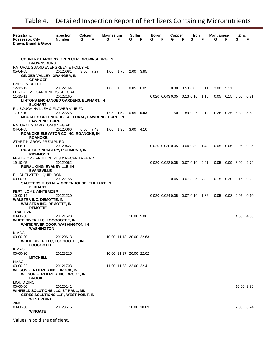| Registrant,                                              | <b>Inspection</b> | Calcium   |   | Magnesium |                         | Sulfur      |             | Boron |   | Copper                                      |   | Iron                        |   | <b>Manganese</b> |           | Zinc                  |      |
|----------------------------------------------------------|-------------------|-----------|---|-----------|-------------------------|-------------|-------------|-------|---|---------------------------------------------|---|-----------------------------|---|------------------|-----------|-----------------------|------|
| Possessor, City                                          | <b>Number</b>     | G         | F | G         | F                       | G           | F           | G     | F | G                                           | F | G                           | F | G                | F         | G                     | F    |
| Drawn, Brand & Grade                                     |                   |           |   |           |                         |             |             |       |   |                                             |   |                             |   |                  |           |                       |      |
|                                                          |                   |           |   |           |                         |             |             |       |   |                                             |   |                             |   |                  |           |                       |      |
| <b>COUNTRY HARMONY GRDN CTR, BROWNSBURG, IN</b>          |                   |           |   |           |                         |             |             |       |   |                                             |   |                             |   |                  |           |                       |      |
| <b>BROWNSBURG</b>                                        |                   |           |   |           |                         |             |             |       |   |                                             |   |                             |   |                  |           |                       |      |
| NATURAL GUARD EVERGREEN & HOLLY FD                       |                   |           |   |           |                         |             |             |       |   |                                             |   |                             |   |                  |           |                       |      |
| 05-04-05                                                 | 20120081          | 3.00 7.27 |   | 1.00      | 1.70                    | 2.00        | 3.95        |       |   |                                             |   |                             |   |                  |           |                       |      |
| GINGER VALLEY, GRANGER, IN<br><b>GRANGER</b>             |                   |           |   |           |                         |             |             |       |   |                                             |   |                             |   |                  |           |                       |      |
| <b>GARDEN COTE 6</b>                                     |                   |           |   |           |                         |             |             |       |   |                                             |   |                             |   |                  |           |                       |      |
| 12-12-12                                                 | 20122164          |           |   | 1.00 1.58 |                         | 0.05        | 0.05        |       |   |                                             |   | $0.30$ $0.50$ $0.05$ $0.11$ |   | 3.00             | 5.11      |                       |      |
| FERTI-LOME GARDENERS SPECIAL                             |                   |           |   |           |                         |             |             |       |   |                                             |   |                             |   |                  |           |                       |      |
| $11 - 15 - 11$                                           | 20122165          |           |   |           |                         |             |             |       |   | $0.020$ $0.043$ $0.05$ $0.13$ $0.10$ 1.16   |   |                             |   |                  |           | $0.05$ 0.15 0.05 0.21 |      |
| LINTONS ENCHANGED GARDENS, ELKHART, IN<br><b>ELKHART</b> |                   |           |   |           |                         |             |             |       |   |                                             |   |                             |   |                  |           |                       |      |
| F-L BOUGAINVILLEA & FLOWER VINE FD                       |                   |           |   |           |                         |             |             |       |   |                                             |   |                             |   |                  |           |                       |      |
| 17-07-10                                                 | 20122225          |           |   | 1.95 1.59 |                         | 0.05        | 0.03        |       |   |                                             |   | 1.50 1.89 0.26 0.19         |   | 0.26             | 0.25 5.80 |                       | 5.63 |
| <b>MCCABES GREENHOUSE &amp; FLORAL, LAWRENCEBURG, IN</b> |                   |           |   |           |                         |             |             |       |   |                                             |   |                             |   |                  |           |                       |      |
| <b>LAWRENCEBURG</b><br>NATURAL GUARD TOM & VEG FD        |                   |           |   |           |                         |             |             |       |   |                                             |   |                             |   |                  |           |                       |      |
| 04-04-05                                                 | 20120066          | 6.00 7.43 |   |           | 1.00 1.90               | $3.00$ 4.10 |             |       |   |                                             |   |                             |   |                  |           |                       |      |
| ROANOKE ELEVATOR CO INC, ROANOKE, IN                     |                   |           |   |           |                         |             |             |       |   |                                             |   |                             |   |                  |           |                       |      |
| <b>ROANOKE</b>                                           |                   |           |   |           |                         |             |             |       |   |                                             |   |                             |   |                  |           |                       |      |
| START-N-GROW PREM PL FD<br>19-06-12                      | 20120427          |           |   |           |                         |             |             |       |   | $0.020$ $0.030$ $0.05$ $0.04$ $0.30$ 1.40   |   |                             |   | 0.05             |           | 0.06 0.05             | 0.05 |
| <b>ROSE CITY NURSERY, RICHMOND, IN</b>                   |                   |           |   |           |                         |             |             |       |   |                                             |   |                             |   |                  |           |                       |      |
| <b>RICHMOND</b>                                          |                   |           |   |           |                         |             |             |       |   |                                             |   |                             |   |                  |           |                       |      |
| FERTI-LOME FRUIT, CITRUS & PECAN TREE FD                 |                   |           |   |           |                         |             |             |       |   |                                             |   |                             |   |                  |           |                       |      |
| 19-10-05                                                 | 20120062          |           |   |           |                         |             |             |       |   | $0.020$ $0.022$ $0.05$ $0.07$ $0.10$ $0.91$ |   |                             |   |                  |           | 0.05 0.09 3.00 2.79   |      |
| RURAL KING, EVANSVILLE, IN<br><b>EVANSVILLE</b>          |                   |           |   |           |                         |             |             |       |   |                                             |   |                             |   |                  |           |                       |      |
| F-L CHELATED LIQUID IRON                                 |                   |           |   |           |                         |             |             |       |   |                                             |   |                             |   |                  |           |                       |      |
| 00-00-00                                                 | 20122155          |           |   |           |                         |             |             |       |   |                                             |   | $0.05$ 0.07 3.25 4.32       |   |                  |           | $0.15$ 0.20 0.16 0.22 |      |
| SAUTTERS FLORAL & GREENHOUSE, ELKHART, IN                |                   |           |   |           |                         |             |             |       |   |                                             |   |                             |   |                  |           |                       |      |
| <b>ELKHART</b><br><b>FERTI-LOME WINTERIZER</b>           |                   |           |   |           |                         |             |             |       |   |                                             |   |                             |   |                  |           |                       |      |
| $10 - 00 - 14$                                           | 20122230          |           |   |           |                         |             |             |       |   | 0.020 0.024 0.05 0.07 0.10 1.86             |   |                             |   |                  |           | $0.05$ 0.08 0.05      | 0.10 |
| <b>WALSTRA INC, DEMOTTE, IN</b>                          |                   |           |   |           |                         |             |             |       |   |                                             |   |                             |   |                  |           |                       |      |
| <b>WALSTRA INC, DEMOTTE, IN</b>                          |                   |           |   |           |                         |             |             |       |   |                                             |   |                             |   |                  |           |                       |      |
| <b>DEMOTTE</b><br><b>TRAFIX ZN</b>                       |                   |           |   |           |                         |             |             |       |   |                                             |   |                             |   |                  |           |                       |      |
| 00-00-00                                                 | 20121528          |           |   |           |                         | 10.00 9.86  |             |       |   |                                             |   |                             |   |                  |           | 4.50 4.50             |      |
| WHITE RIVER LLC, LOOGOOTEE, IN                           |                   |           |   |           |                         |             |             |       |   |                                             |   |                             |   |                  |           |                       |      |
| WHITE RIVER COOP, WASHINGTON, IN                         |                   |           |   |           |                         |             |             |       |   |                                             |   |                             |   |                  |           |                       |      |
| <b>WASHINGTON</b>                                        |                   |           |   |           |                         |             |             |       |   |                                             |   |                             |   |                  |           |                       |      |
| K MAG<br>00-00-20                                        | 20120613          |           |   |           | 10.00 11.18 20.00 22.63 |             |             |       |   |                                             |   |                             |   |                  |           |                       |      |
| WHITE RIVER LLC, LOOGOOTEE, IN                           |                   |           |   |           |                         |             |             |       |   |                                             |   |                             |   |                  |           |                       |      |
| <b>LOOGOOTEE</b>                                         |                   |           |   |           |                         |             |             |       |   |                                             |   |                             |   |                  |           |                       |      |
| K MAG                                                    |                   |           |   |           |                         |             |             |       |   |                                             |   |                             |   |                  |           |                       |      |
| 00-00-20<br><b>MITCHELL</b>                              | 20123215          |           |   |           | 10.00 11.17 20.00 22.02 |             |             |       |   |                                             |   |                             |   |                  |           |                       |      |
| KMAG                                                     |                   |           |   |           |                         |             |             |       |   |                                             |   |                             |   |                  |           |                       |      |
| 00-00-22                                                 | 20121703          |           |   |           | 11.00 11.38 22.00 22.41 |             |             |       |   |                                             |   |                             |   |                  |           |                       |      |
| <b>WILSON FERTILIZER INC, BROOK, IN</b>                  |                   |           |   |           |                         |             |             |       |   |                                             |   |                             |   |                  |           |                       |      |
| <b>WILSON FERTILIZER INC, BROOK, IN</b><br><b>BROOK</b>  |                   |           |   |           |                         |             |             |       |   |                                             |   |                             |   |                  |           |                       |      |
| LIQUID ZINC                                              |                   |           |   |           |                         |             |             |       |   |                                             |   |                             |   |                  |           |                       |      |
| $00 - 00 - 00$                                           | 20120141          |           |   |           |                         |             |             |       |   |                                             |   |                             |   |                  |           | 10.00 9.96            |      |
| <b>WINFIELD SOLUTIONS LLC, ST PAUL, MN</b>               |                   |           |   |           |                         |             |             |       |   |                                             |   |                             |   |                  |           |                       |      |
| <b>CERES SOLUTIONS LLP, WEST POINT, IN</b>               |                   |           |   |           |                         |             |             |       |   |                                             |   |                             |   |                  |           |                       |      |
| <b>WEST POINT</b><br><b>ZINC</b>                         |                   |           |   |           |                         |             |             |       |   |                                             |   |                             |   |                  |           |                       |      |
| 00-00-00                                                 | 20123615          |           |   |           |                         |             | 10.00 10.09 |       |   |                                             |   |                             |   |                  |           | 7.00 8.74             |      |
| <b>WINGATE</b>                                           |                   |           |   |           |                         |             |             |       |   |                                             |   |                             |   |                  |           |                       |      |
|                                                          |                   |           |   |           |                         |             |             |       |   |                                             |   |                             |   |                  |           |                       |      |